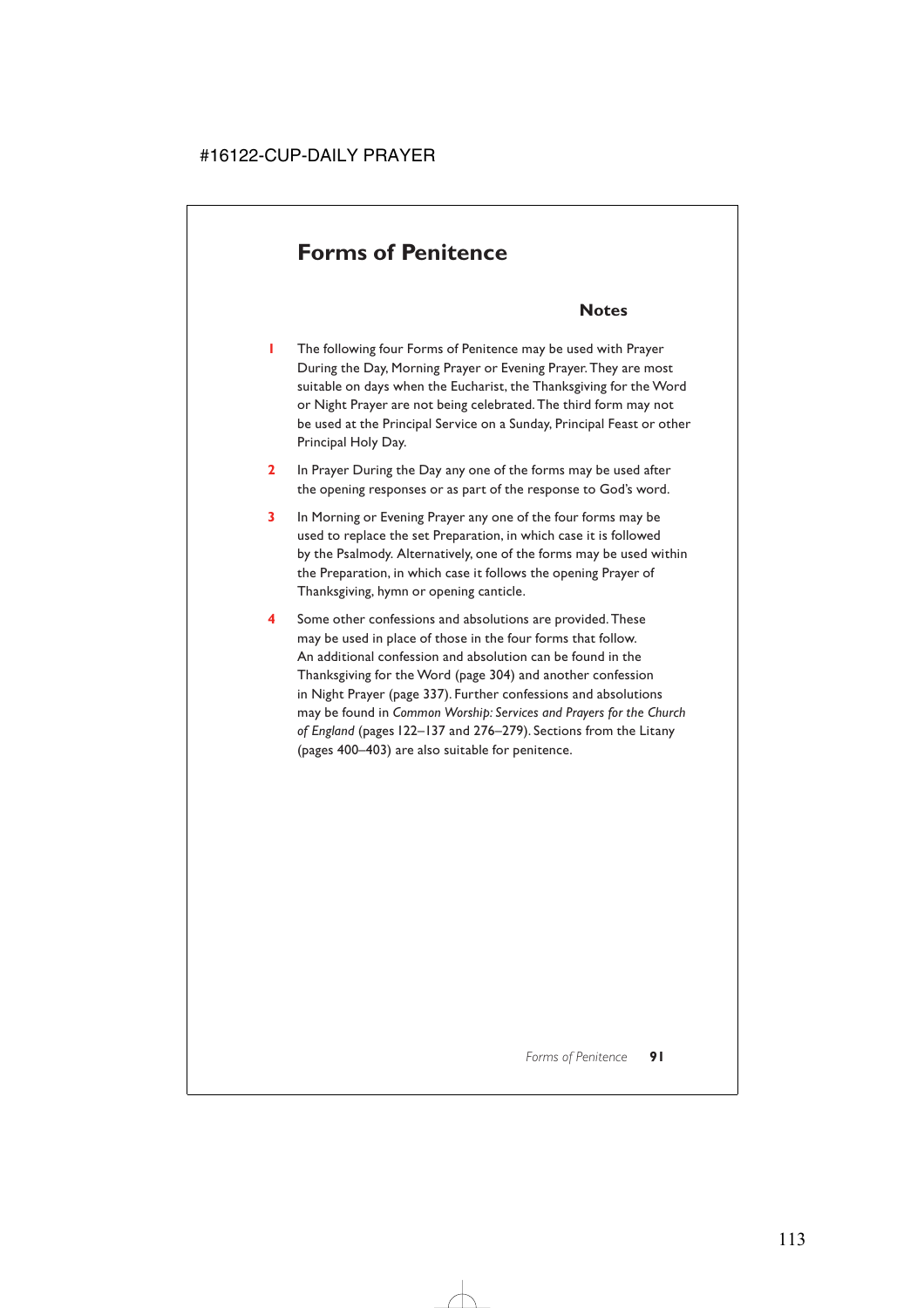# **Forms of Penitence**

# **Notes**

- **1** The following four Forms of Penitence may be used with Prayer During the Day, Morning Prayer or Evening Prayer. They are most suitable on days when the Eucharist, the Thanksgiving for the Word or Night Prayer are not being celebrated. The third form may not be used at the Principal Service on a Sunday, Principal Feast or other Principal Holy Day.
- **2** In Prayer During the Day any one of the forms may be used after the opening responses or as part of the response to God's word.
- **3** In Morning or Evening Prayer any one of the four forms may be used to replace the set Preparation, in which case it is followed by the Psalmody. Alternatively, one of the forms may be used within the Preparation, in which case it follows the opening Prayer of Thanksgiving, hymn or opening canticle.
- **4** Some other confessions and absolutions are provided. These may be used in place of those in the four forms that follow. An additional confession and absolution can be found in the Thanksgiving for the Word (page 304) and another confession in Night Prayer (page 337). Further confessions and absolutions may be found in *Common Worship: Services and Prayers for the Church of England* (pages 122–137 and 276–279). Sections from the Litany (pages 400–403) are also suitable for penitence.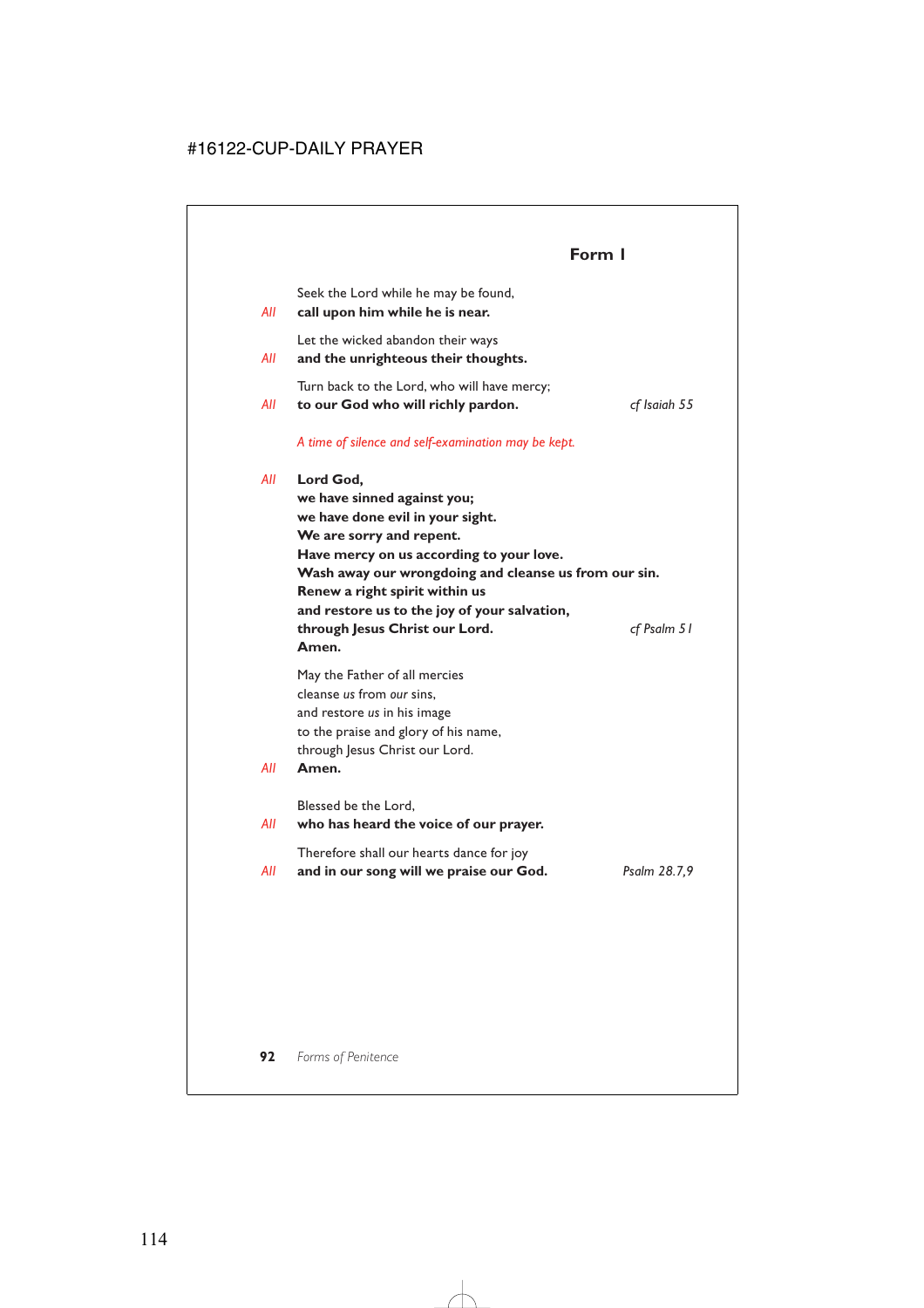# **Form 1**

Seek the Lord while he may be found,

*All* **call upon him while he is near.**

Let the wicked abandon their ways

*All* **and the unrighteous their thoughts.**

Turn back to the Lord, who will have mercy;

*All* **to our God who will richly pardon.** *cf Isaiah 55*

#### *A time of silence and self-examination may be kept.*

*All* **Lord God,**

**we have sinned against you; we have done evil in your sight. We are sorry and repent. Have mercy on us according to your love. Wash away our wrongdoing and cleanse us from our sin. Renew a right spirit within us and restore us to the joy of your salvation, through Jesus Christ our Lord.** *cf Psalm 51* **Amen.**

May the Father of all mercies cleanse *us* from *our* sins, and restore *us* in his image to the praise and glory of his name, through Jesus Christ our Lord.

#### *All* **Amen.**

Blessed be the Lord,

#### *All* **who has heard the voice of our prayer.**

Therefore shall our hearts dance for joy

*All* **and in our song will we praise our God.** *Psalm 28.7,9*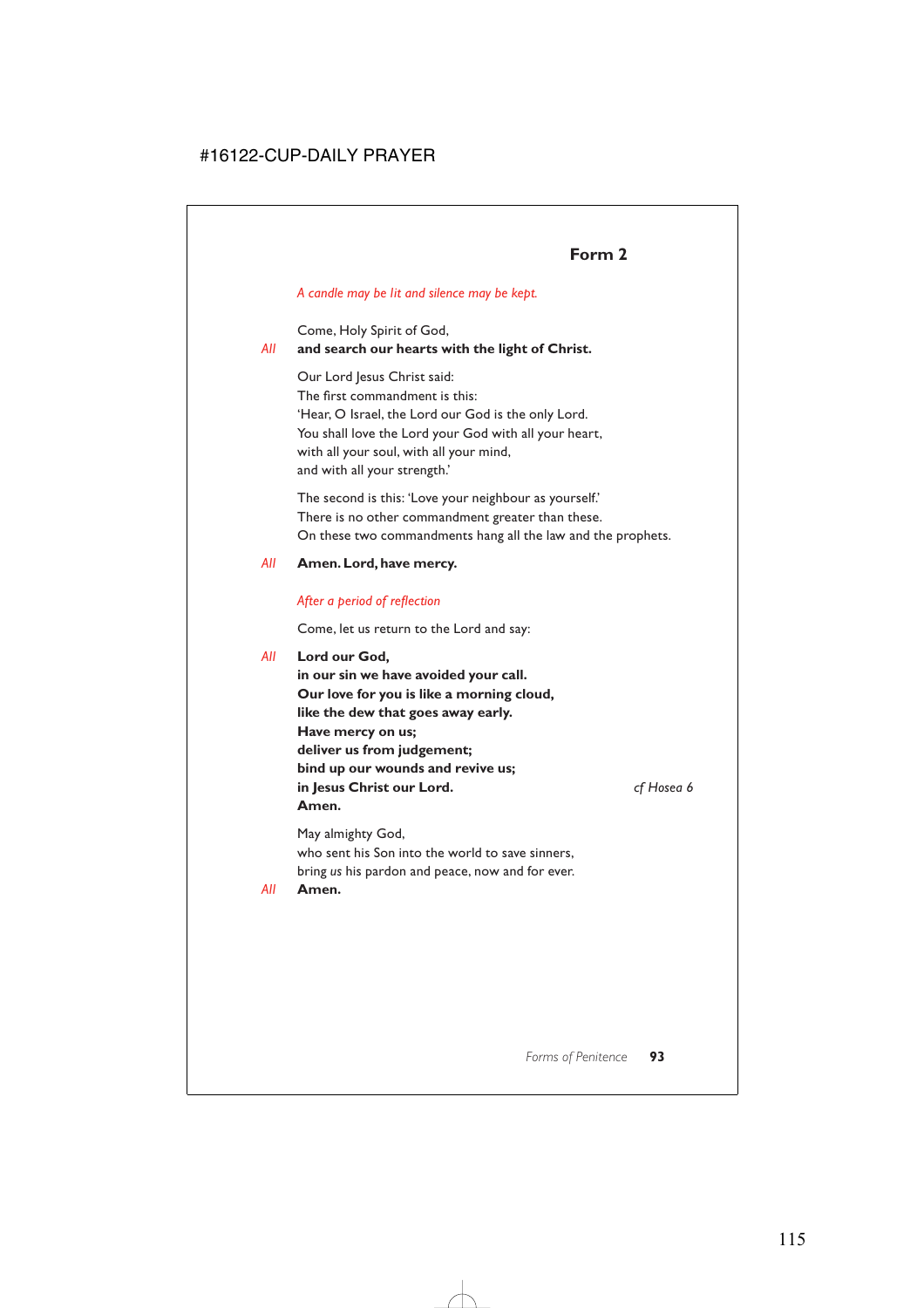# **Form 2**

#### *A candle may be lit and silence may be kept.*

Come, Holy Spirit of God,

#### *All* **and search our hearts with the light of Christ.**

Our Lord Jesus Christ said: The first commandment is this: 'Hear, O Israel, the Lord our God is the only Lord. You shall love the Lord your God with all your heart, with all your soul, with all your mind, and with all your strength.'

The second is this: 'Love your neighbour as yourself.' There is no other commandment greater than these. On these two commandments hang all the law and the prophets.

#### *All* **Amen. Lord, have mercy.**

#### *After a period of reflection*

Come, let us return to the Lord and say:

#### *All* **Lord our God,**

**in our sin we have avoided your call. Our love for you is like a morning cloud, like the dew that goes away early. Have mercy on us; deliver us from judgement; bind up our wounds and revive us; in Jesus Christ our Lord.** *cf Hosea 6* **Amen.**

May almighty God, who sent his Son into the world to save sinners, bring *us* his pardon and peace, now and for ever.

*All* **Amen.**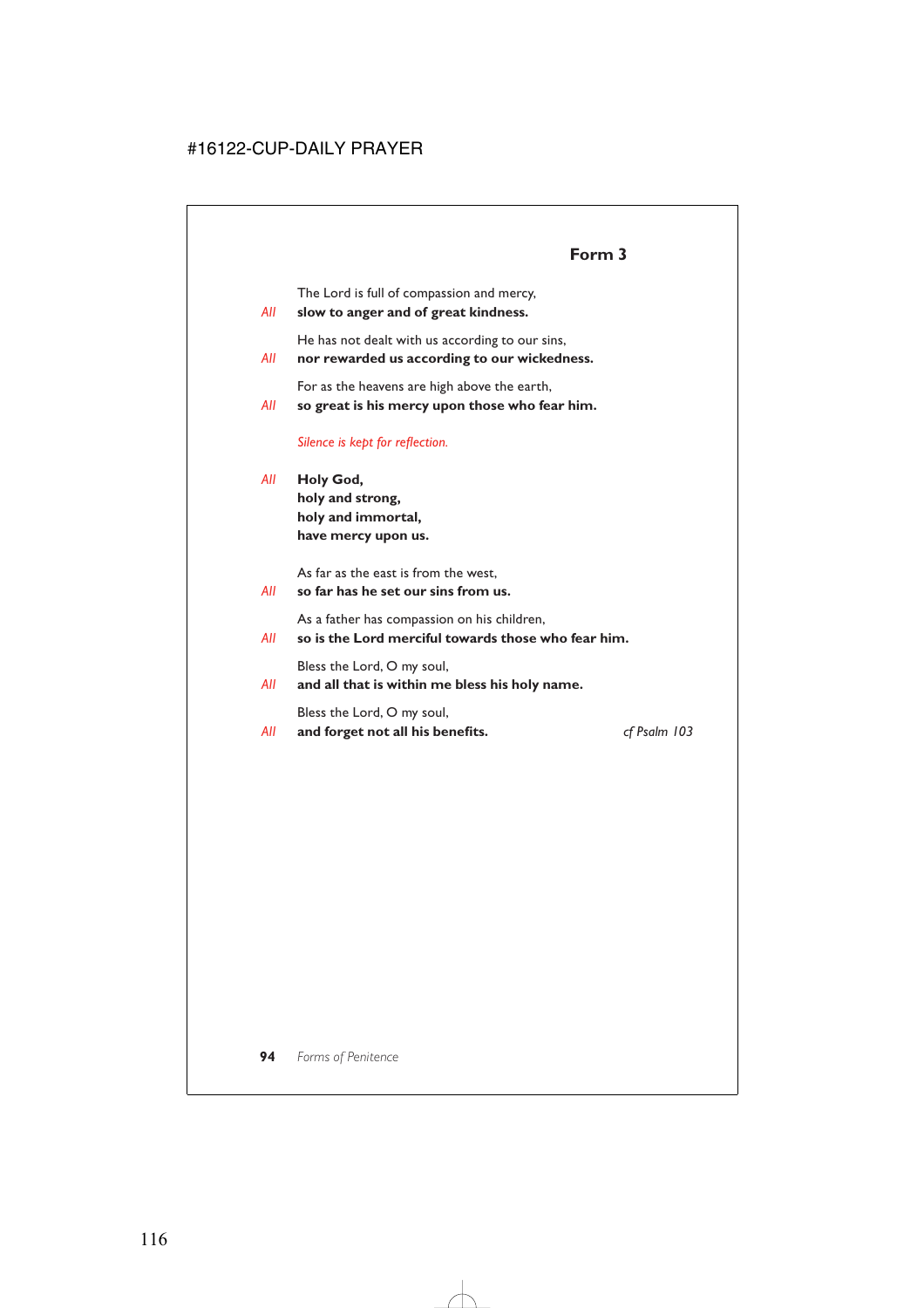The Lord is full of compassion and mercy,

*All* **slow to anger and of great kindness.**

He has not dealt with us according to our sins,

*All* **nor rewarded us according to our wickedness.**

For as the heavens are high above the earth,

*All* **so great is his mercy upon those who fear him.**

*Silence is kept for reflection.*

*All* **Holy God, holy and strong, holy and immortal, have mercy upon us.**

As far as the east is from the west,

*All* **so far has he set our sins from us.**

As a father has compassion on his children,

*All* **so is the Lord merciful towards those who fear him.**

Bless the Lord, O my soul,

*All* **and all that is within me bless his holy name.**

Bless the Lord, O my soul,

*All* **and forget not all his benefits.** *cf Psalm 103*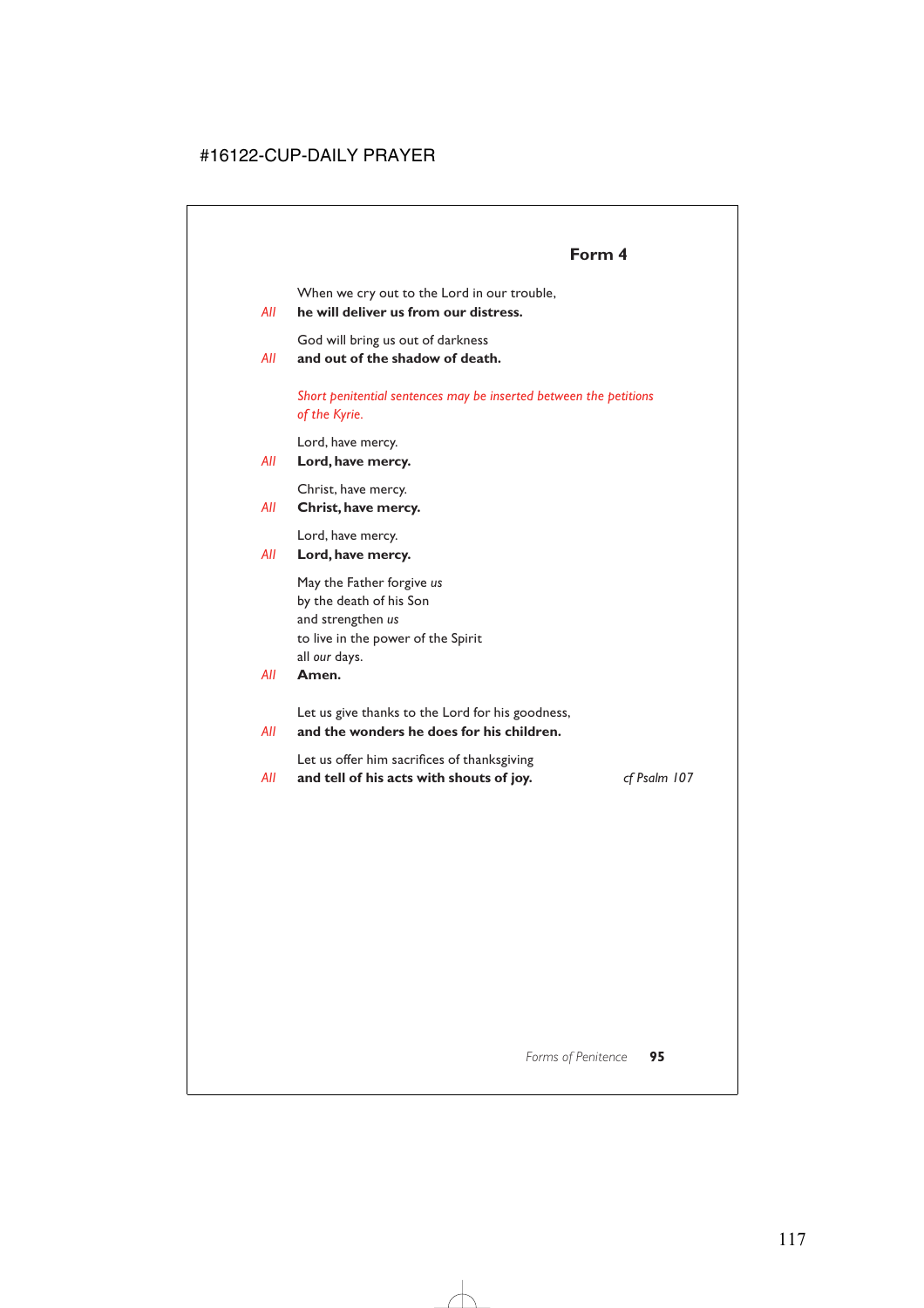# **Form 4**

When we cry out to the Lord in our trouble,

#### *All* **he will deliver us from our distress.**

God will bring us out of darkness

*All* **and out of the shadow of death.**

*Short penitential sentences may be inserted between the petitions of the Kyrie.*

Lord, have mercy.

#### *All* **Lord, have mercy.**

Christ, have mercy.

*All* **Christ, have mercy.**

Lord, have mercy.

*All* **Lord, have mercy.**

May the Father forgive *us* by the death of his Son and strengthen *us* to live in the power of the Spirit all *our* days.

#### *All* **Amen.**

Let us give thanks to the Lord for his goodness,

*All* **and the wonders he does for his children.**

Let us offer him sacrifices of thanksgiving

*All* **and tell of his acts with shouts of joy.** *cf Psalm 107*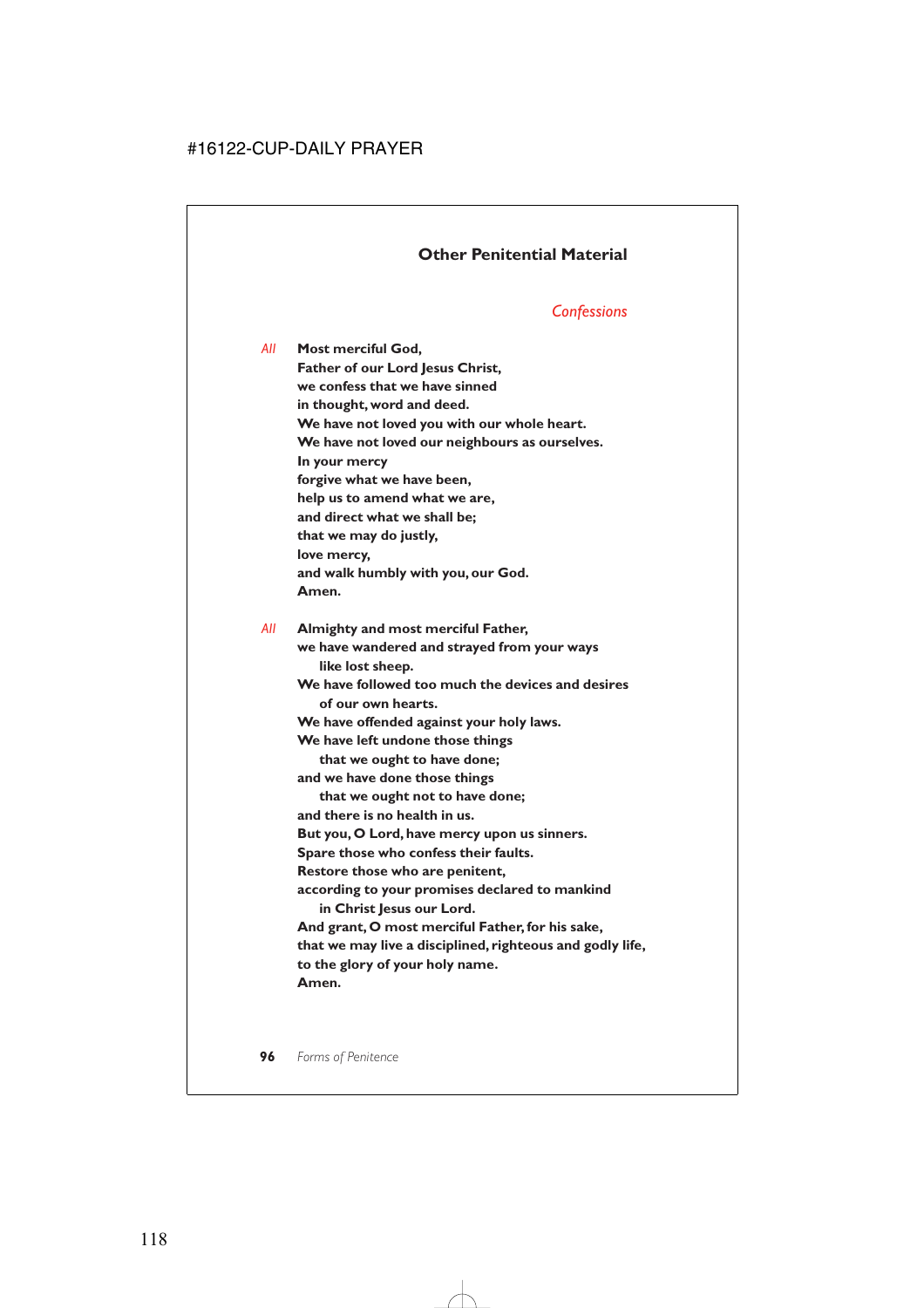### **Other Penitential Material**

#### *Confessions*

*All* **Most merciful God, Father of our Lord Jesus Christ, we confess that we have sinned in thought, word and deed. We have not loved you with our whole heart. We have not loved our neighbours as ourselves. In your mercy forgive what we have been, help us to amend what we are, and direct what we shall be; that we may do justly, love mercy, and walk humbly with you, our God. Amen.**

*All* **Almighty and most merciful Father, we have wandered and strayed from your ways like lost sheep. We have followed too much the devices and desires of our own hearts. We have offended against your holy laws. We have left undone those things that we ought to have done; and we have done those things that we ought not to have done; and there is no health in us. But you, O Lord, have mercy upon us sinners. Spare those who confess their faults. Restore those who are penitent, according to your promises declared to mankind in Christ Jesus our Lord. And grant, O most merciful Father, for his sake, that we may live a disciplined, righteous and godly life, to the glory of your holy name. Amen.**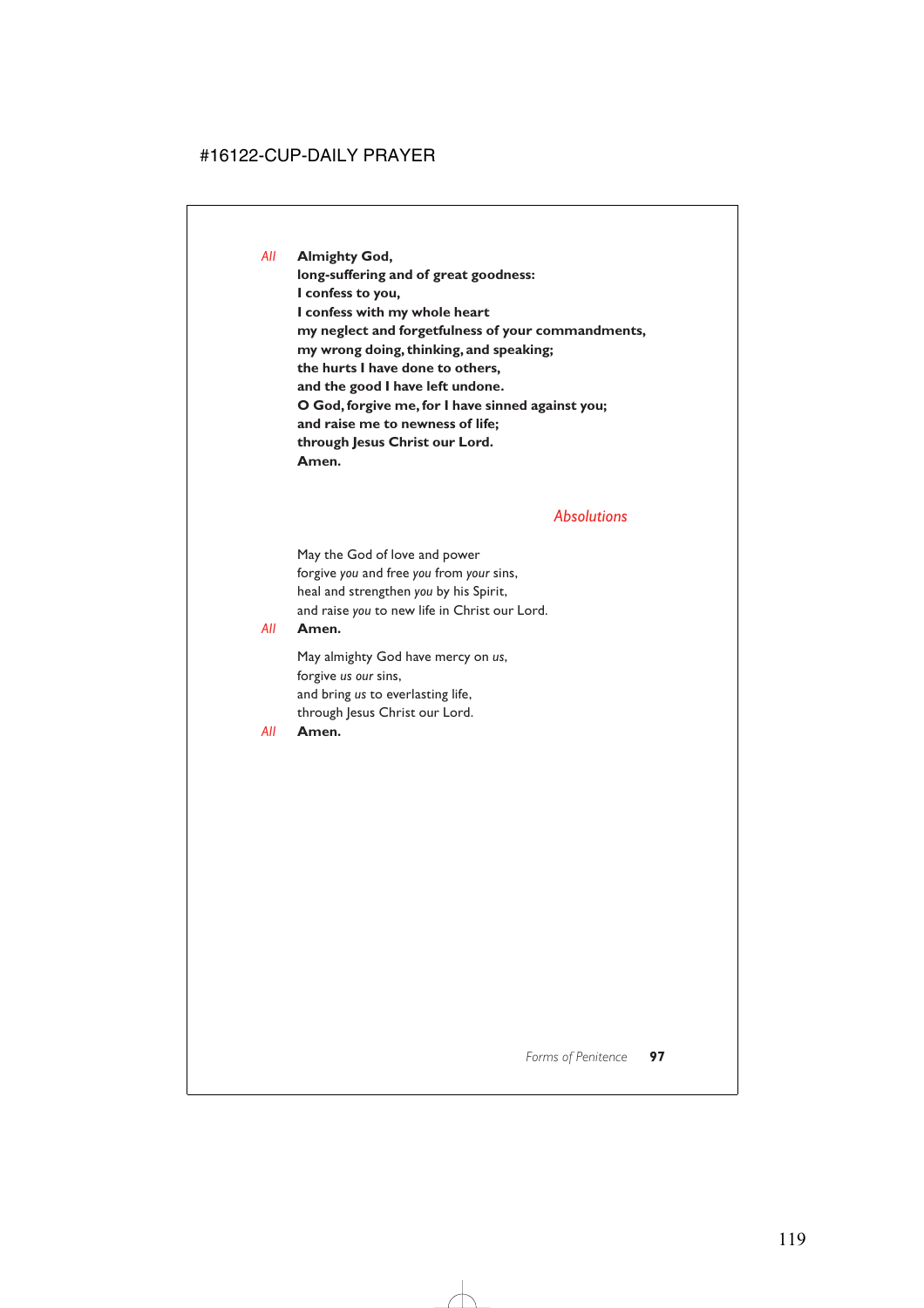*All* **Almighty God,**

**long-suffering and of great goodness: I confess to you, I confess with my whole heart my neglect and forgetfulness of your commandments, my wrong doing, thinking, and speaking; the hurts I have done to others, and the good I have left undone. O God, forgive me, for I have sinned against you; and raise me to newness of life; through Jesus Christ our Lord. Amen.**

#### *Absolutions*

May the God of love and power forgive *you* and free *you* from *your* sins, heal and strengthen *you* by his Spirit, and raise *you* to new life in Christ our Lord.

#### *All* **Amen.**

May almighty God have mercy on *us*, forgive *us our* sins, and bring *us* to everlasting life, through Jesus Christ our Lord.

#### *All* **Amen.**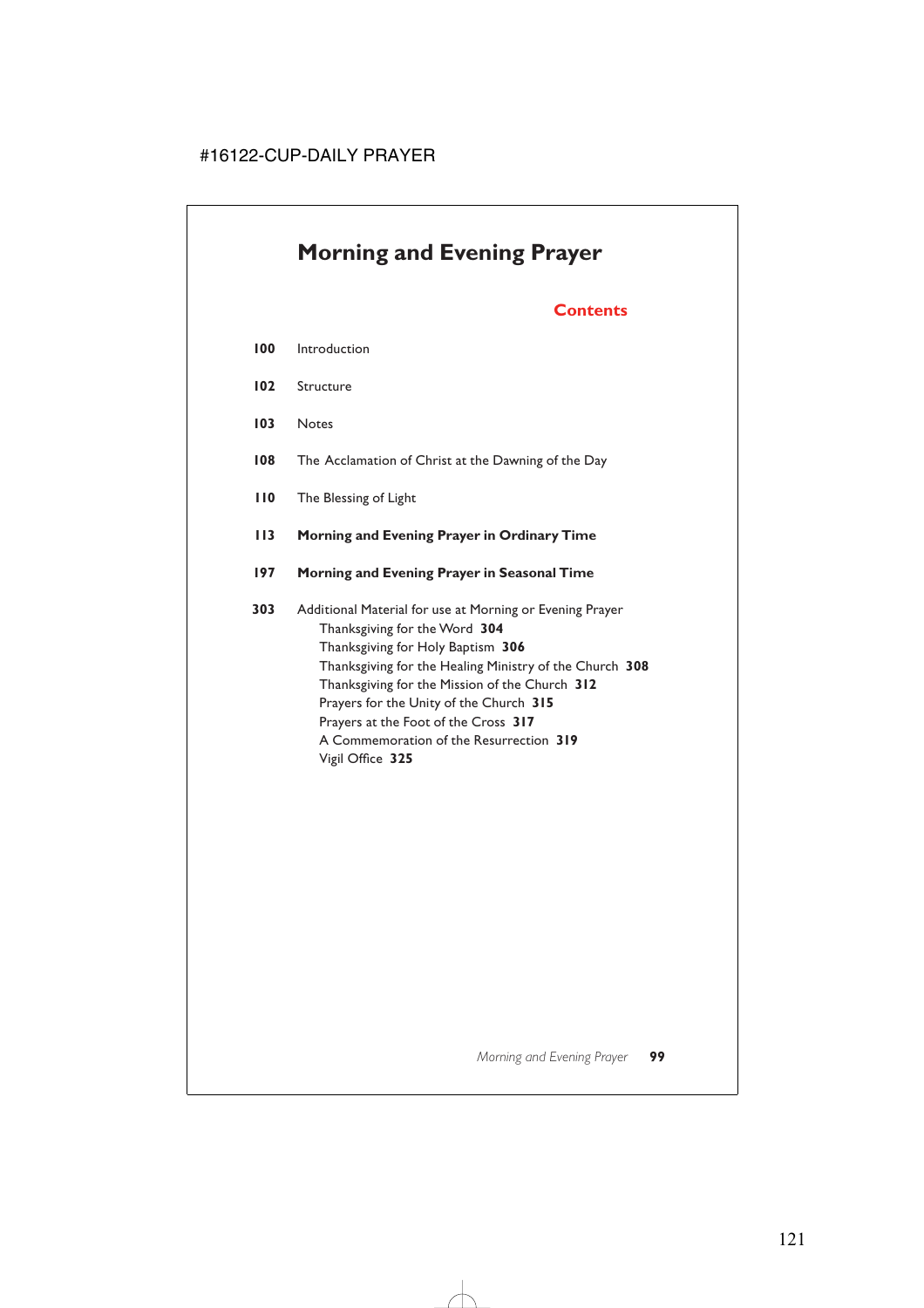# **Morning and Evening Prayer**

# **Contents**

- **100** Introduction
- **102** Structure
- **103** Notes
- **108** The Acclamation of Christ at the Dawning of the Day
- **110** The Blessing of Light
- **113 Morning and Evening Prayer in Ordinary Time**
- **197 Morning and Evening Prayer in Seasonal Time**

**303** Additional Material for use at Morning or Evening Prayer Thanksgiving for the Word **304** Thanksgiving for Holy Baptism **306** Thanksgiving for the Healing Ministry of the Church **308** Thanksgiving for the Mission of the Church **312** Prayers for the Unity of the Church **315** Prayers at the Foot of the Cross **317** A Commemoration of the Resurrection **319** Vigil Office **325**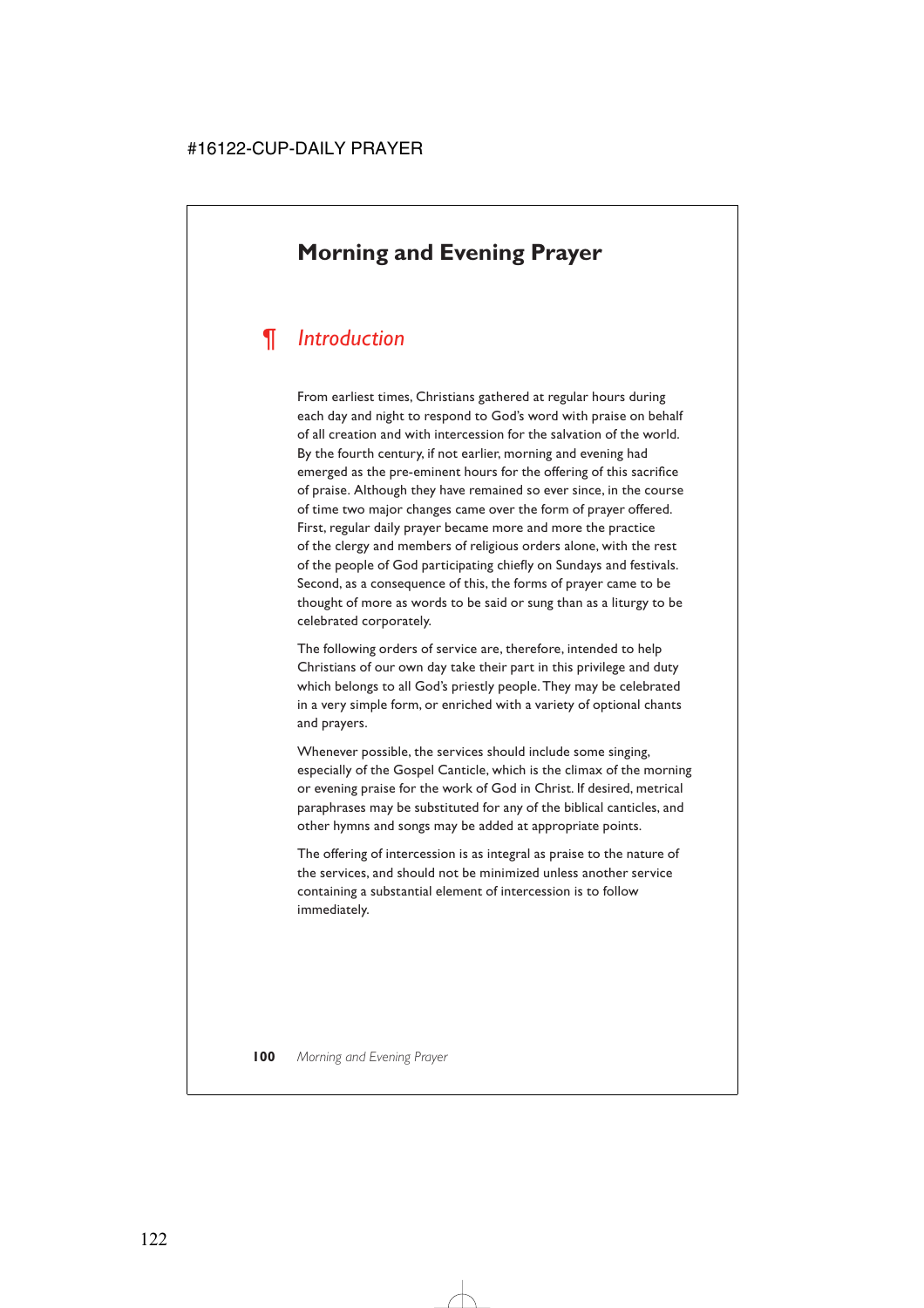# **Morning and Evening Prayer**

# *¶ Introduction*

From earliest times, Christians gathered at regular hours during each day and night to respond to God's word with praise on behalf of all creation and with intercession for the salvation of the world. By the fourth century, if not earlier, morning and evening had emerged as the pre-eminent hours for the offering of this sacrifice of praise. Although they have remained so ever since, in the course of time two major changes came over the form of prayer offered. First, regular daily prayer became more and more the practice of the clergy and members of religious orders alone, with the rest of the people of God participating chiefly on Sundays and festivals. Second, as a consequence of this, the forms of prayer came to be thought of more as words to be said or sung than as a liturgy to be celebrated corporately.

The following orders of service are, therefore, intended to help Christians of our own day take their part in this privilege and duty which belongs to all God's priestly people. They may be celebrated in a very simple form, or enriched with a variety of optional chants and prayers.

Whenever possible, the services should include some singing, especially of the Gospel Canticle, which is the climax of the morning or evening praise for the work of God in Christ. If desired, metrical paraphrases may be substituted for any of the biblical canticles, and other hymns and songs may be added at appropriate points.

The offering of intercession is as integral as praise to the nature of the services, and should not be minimized unless another service containing a substantial element of intercession is to follow immediately.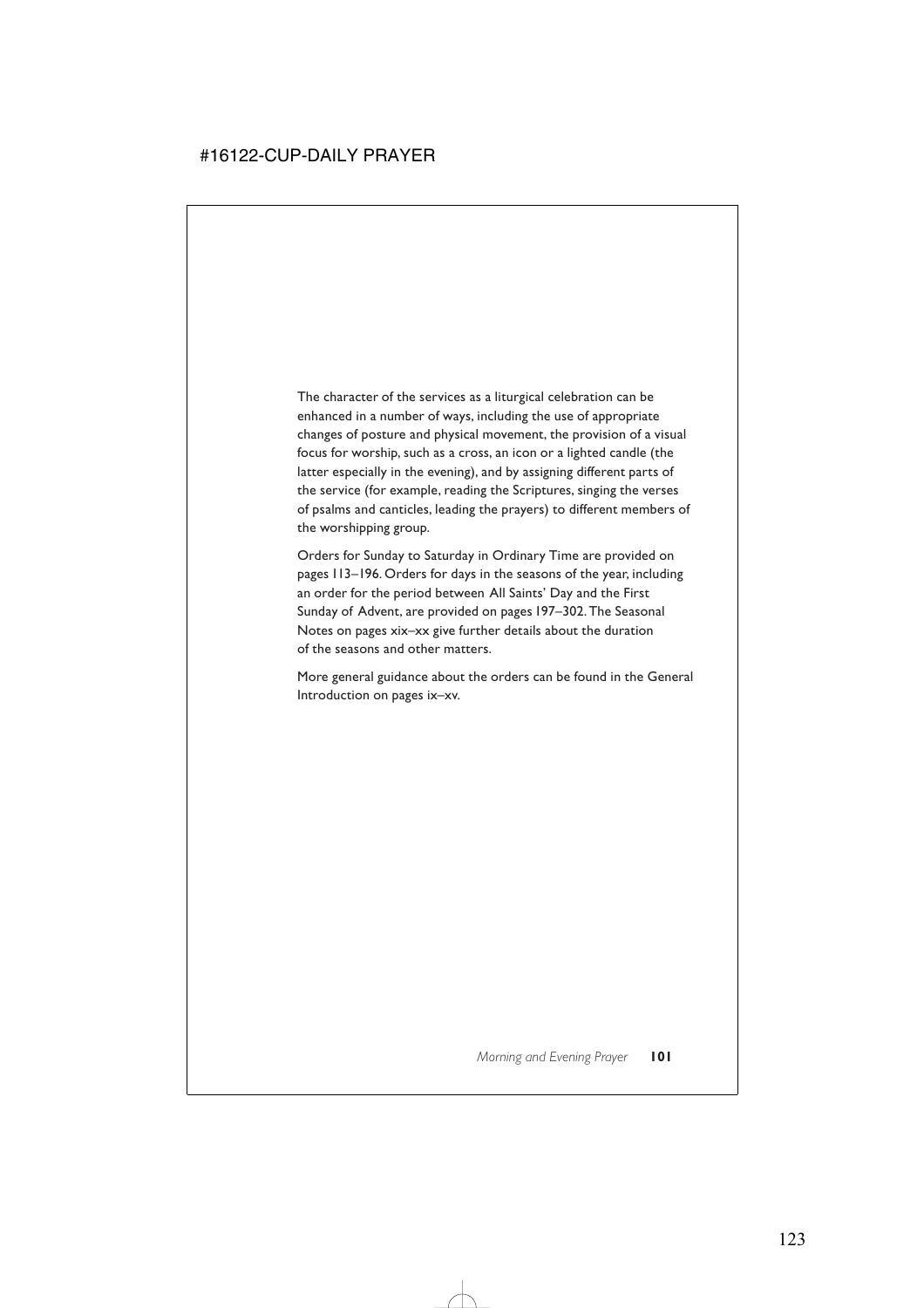The character of the services as a liturgical celebration can be enhanced in a number of ways, including the use of appropriate changes of posture and physical movement, the provision of a visual focus for worship, such as a cross, an icon or a lighted candle (the latter especially in the evening), and by assigning different parts of the service (for example, reading the Scriptures, singing the verses of psalms and canticles, leading the prayers) to different members of the worshipping group.

Orders for Sunday to Saturday in Ordinary Time are provided on pages 113–196. Orders for days in the seasons of the year, including an order for the period between All Saints' Day and the First Sunday of Advent, are provided on pages 197–302. The Seasonal Notes on pages xix–xx give further details about the duration of the seasons and other matters.

More general guidance about the orders can be found in the General Introduction on pages ix–xv.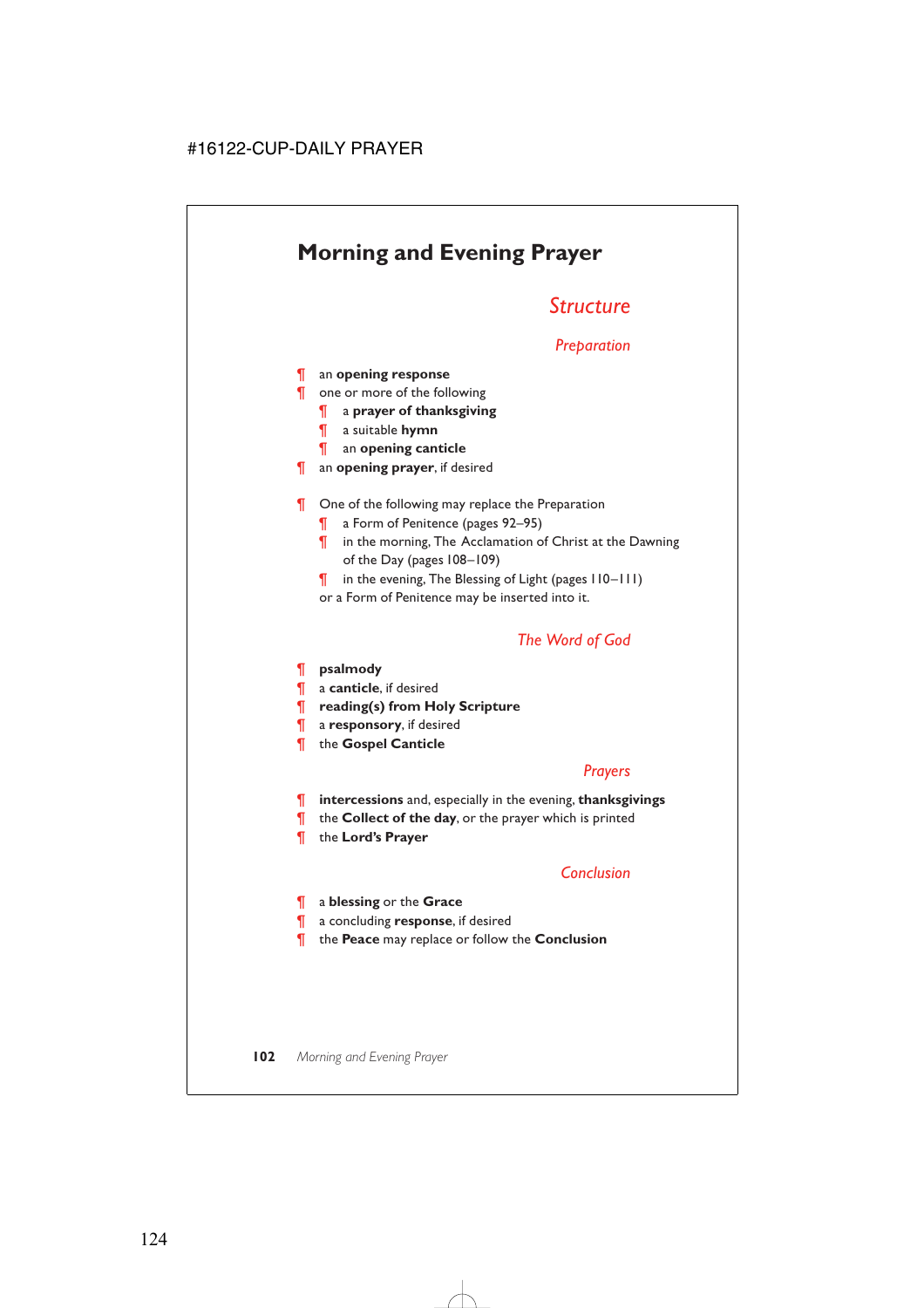# **Morning and Evening Prayer**

# *Structure*

# *Preparation*

¶ an **opening response**

- ¶ one or more of the following
	- ¶ a **prayer of thanksgiving**
	- ¶ a suitable **hymn**
	- ¶ an **opening canticle**
- ¶ an **opening prayer**, if desired
- **T** One of the following may replace the Preparation
	- ¶ a Form of Penitence (pages 92–95)
	- ¶ in the morning, The Acclamation of Christ at the Dawning of the Day (pages 108–109)
	- ¶ in the evening, The Blessing of Light (pages 110–111)
	- or a Form of Penitence may be inserted into it.

# *The Word of God*

¶ **psalmody**

- ¶ a **canticle**, if desired
- ¶ **reading(s) from Holy Scripture**
- ¶ a **responsory**, if desired
- ¶ the **Gospel Canticle**

# *Prayers*

- ¶ **intercessions** and, especially in the evening, **thanksgivings**
- ¶ the **Collect of the day**, or the prayer which is printed
- ¶ the **Lord's Prayer**

# *Conclusion*

- ¶ a **blessing** or the **Grace**
- ¶ a concluding **response**, if desired
- ¶ the **Peace** may replace or follow the **Conclusion**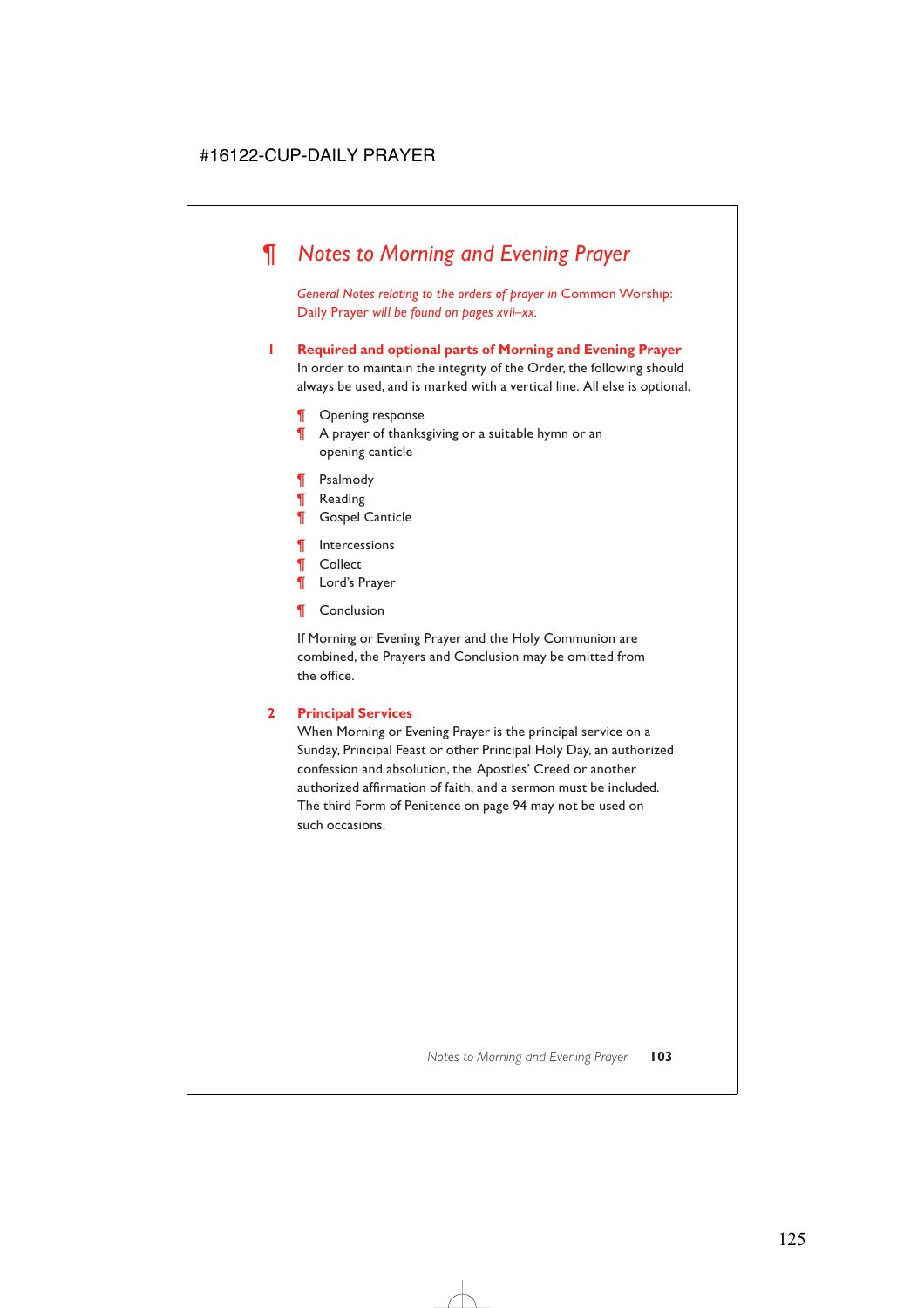# *¶ Notes to Morning and Evening Prayer*

*General Notes relating to the orders of prayer in* Common Worship: Daily Prayer *will be found on pages xvii–xx.*

**1 Required and optional parts of Morning and Evening Prayer**

In order to maintain the integrity of the Order, the following should always be used, and is marked with a vertical line. All else is optional.

- ¶ Opening response
- ¶ A prayer of thanksgiving or a suitable hymn or an opening canticle
- ¶ Psalmody
- ¶ Reading
- ¶ Gospel Canticle
- ¶ Intercessions
- ¶ Collect
- ¶ Lord's Prayer
- ¶ Conclusion

If Morning or Evening Prayer and the Holy Communion are combined, the Prayers and Conclusion may be omitted from the office.

#### **2 Principal Services**

When Morning or Evening Prayer is the principal service on a Sunday, Principal Feast or other Principal Holy Day, an authorized confession and absolution, the Apostles' Creed or another authorized affirmation of faith, and a sermon must be included. The third Form of Penitence on page 94 may not be used on such occasions.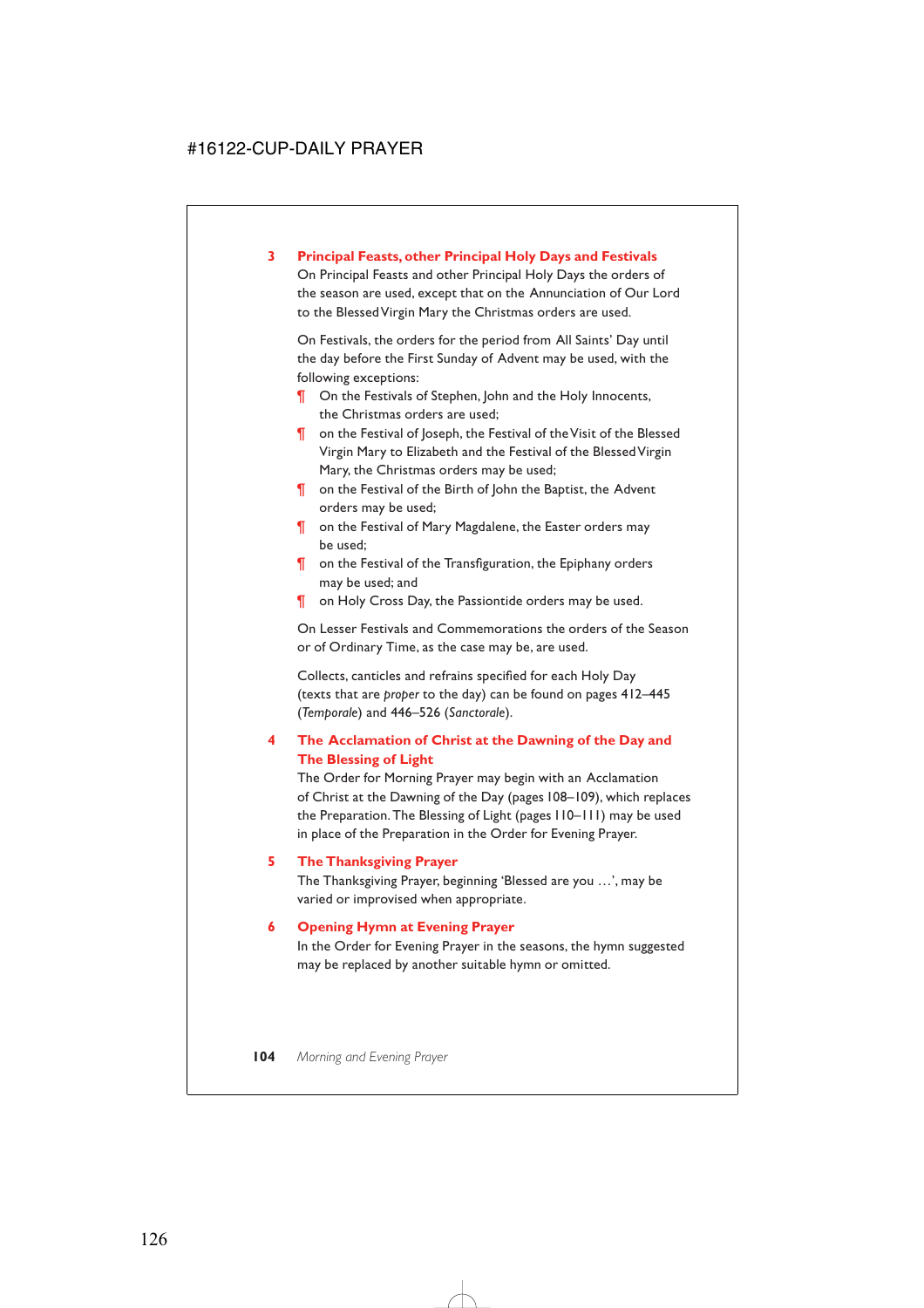#### **3 Principal Feasts, other Principal Holy Days and Festivals**

On Principal Feasts and other Principal Holy Days the orders of the season are used, except that on the Annunciation of Our Lord to the Blessed Virgin Mary the Christmas orders are used.

On Festivals, the orders for the period from All Saints' Day until the day before the First Sunday of Advent may be used, with the following exceptions:

- **T** On the Festivals of Stephen, John and the Holy Innocents, the Christmas orders are used;
- ¶ on the Festival of Joseph, the Festival of the Visit of the Blessed Virgin Mary to Elizabeth and the Festival of the Blessed Virgin Mary, the Christmas orders may be used;
- ¶ on the Festival of the Birth of John the Baptist, the Advent orders may be used;
- ¶ on the Festival of Mary Magdalene, the Easter orders may be used;
- ¶ on the Festival of the Transfiguration, the Epiphany orders may be used; and
- **T** on Holy Cross Day, the Passiontide orders may be used.

On Lesser Festivals and Commemorations the orders of the Season or of Ordinary Time, as the case may be, are used.

Collects, canticles and refrains specified for each Holy Day (texts that are *proper* to the day) can be found on pages 412–445 (*Temporale*) and 446–526 (*Sanctorale*).

### **4 The Acclamation of Christ at the Dawning of the Day and The Blessing of Light**

The Order for Morning Prayer may begin with an Acclamation of Christ at the Dawning of the Day (pages 108–109), which replaces the Preparation. The Blessing of Light (pages 110–111) may be used in place of the Preparation in the Order for Evening Prayer.

#### **5 The Thanksgiving Prayer**

The Thanksgiving Prayer, beginning 'Blessed are you …', may be varied or improvised when appropriate.

#### **6 Opening Hymn at Evening Prayer**

In the Order for Evening Prayer in the seasons, the hymn suggested may be replaced by another suitable hymn or omitted.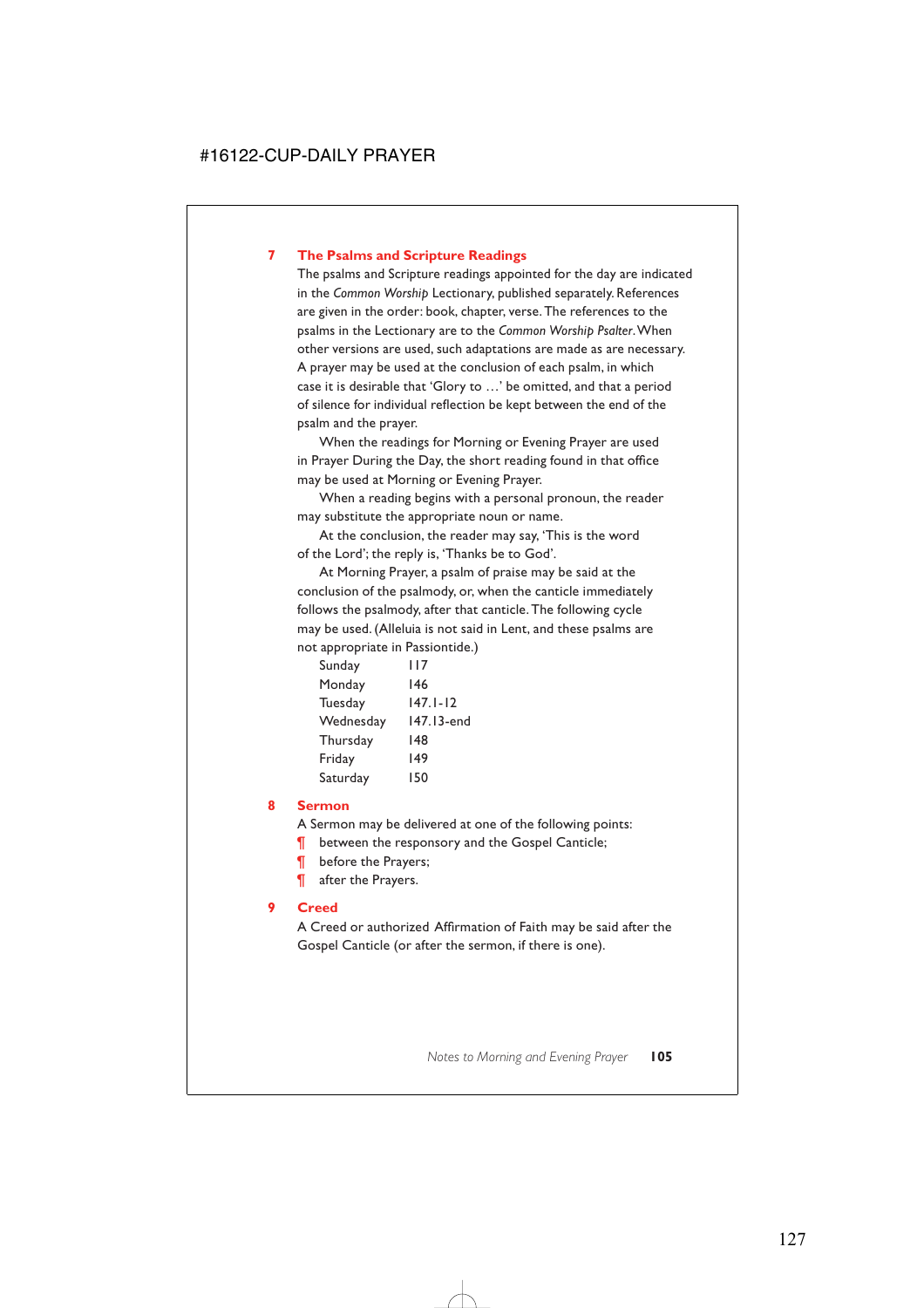#### **7 The Psalms and Scripture Readings**

The psalms and Scripture readings appointed for the day are indicated in the *Common Worship* Lectionary, published separately. References are given in the order: book, chapter, verse. The references to the psalms in the Lectionary are to the *Common Worship Psalter*.When other versions are used, such adaptations are made as are necessary. A prayer may be used at the conclusion of each psalm, in which case it is desirable that 'Glory to …' be omitted, and that a period of silence for individual reflection be kept between the end of the psalm and the prayer.

When the readings for Morning or Evening Prayer are used in Prayer During the Day, the short reading found in that office may be used at Morning or Evening Prayer.

When a reading begins with a personal pronoun, the reader may substitute the appropriate noun or name.

At the conclusion, the reader may say, 'This is the word of the Lord'; the reply is, 'Thanks be to God'.

At Morning Prayer, a psalm of praise may be said at the conclusion of the psalmody, or, when the canticle immediately follows the psalmody, after that canticle. The following cycle may be used. (Alleluia is not said in Lent, and these psalms are not appropriate in Passiontide.)

| Sunday    | 117          |
|-----------|--------------|
| Monday    | 146          |
| Tuesday   | $147.1 - 12$ |
| Wednesday | 147.13-end   |
| Thursday  | 148          |
| Friday    | 149          |
| Saturday  | 150          |

#### **8 Sermon**

A Sermon may be delivered at one of the following points:

- **T** between the responsory and the Gospel Canticle;
- **T** before the Prayers;
- ¶ after the Prayers.

#### **9 Creed**

A Creed or authorized Affirmation of Faith may be said after the Gospel Canticle (or after the sermon, if there is one).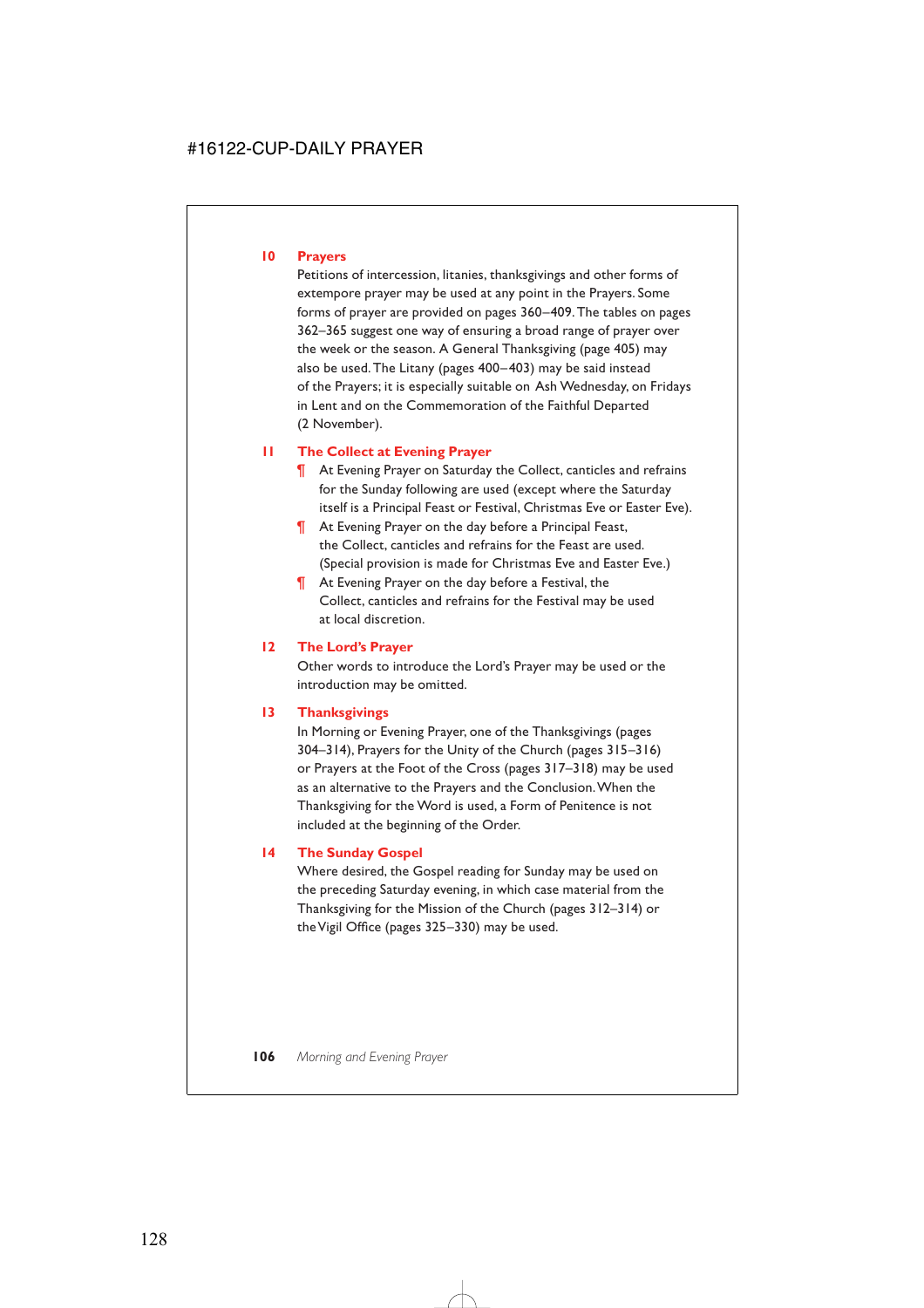#### **10 Prayers**

Petitions of intercession, litanies, thanksgivings and other forms of extempore prayer may be used at any point in the Prayers. Some forms of prayer are provided on pages 360–409. The tables on pages 362–365 suggest one way of ensuring a broad range of prayer over the week or the season. A General Thanksgiving (page 405) may also be used. The Litany (pages 400–403) may be said instead of the Prayers; it is especially suitable on Ash Wednesday, on Fridays in Lent and on the Commemoration of the Faithful Departed (2 November).

#### **11 The Collect at Evening Prayer**

- ¶ At Evening Prayer on Saturday the Collect, canticles and refrains for the Sunday following are used (except where the Saturday itself is a Principal Feast or Festival, Christmas Eve or Easter Eve).
- ¶ At Evening Prayer on the day before a Principal Feast, the Collect, canticles and refrains for the Feast are used. (Special provision is made for Christmas Eve and Easter Eve.)
- ¶ At Evening Prayer on the day before a Festival, the Collect, canticles and refrains for the Festival may be used at local discretion.

#### **12 The Lord's Prayer**

Other words to introduce the Lord's Prayer may be used or the introduction may be omitted.

#### **13 Thanksgivings**

In Morning or Evening Prayer, one of the Thanksgivings (pages 304–314), Prayers for the Unity of the Church (pages 315–316) or Prayers at the Foot of the Cross (pages 317–318) may be used as an alternative to the Prayers and the Conclusion.When the Thanksgiving for the Word is used, a Form of Penitence is not included at the beginning of the Order.

#### **14 The Sunday Gospel**

Where desired, the Gospel reading for Sunday may be used on the preceding Saturday evening, in which case material from the Thanksgiving for the Mission of the Church (pages 312–314) or the Vigil Office (pages 325–330) may be used.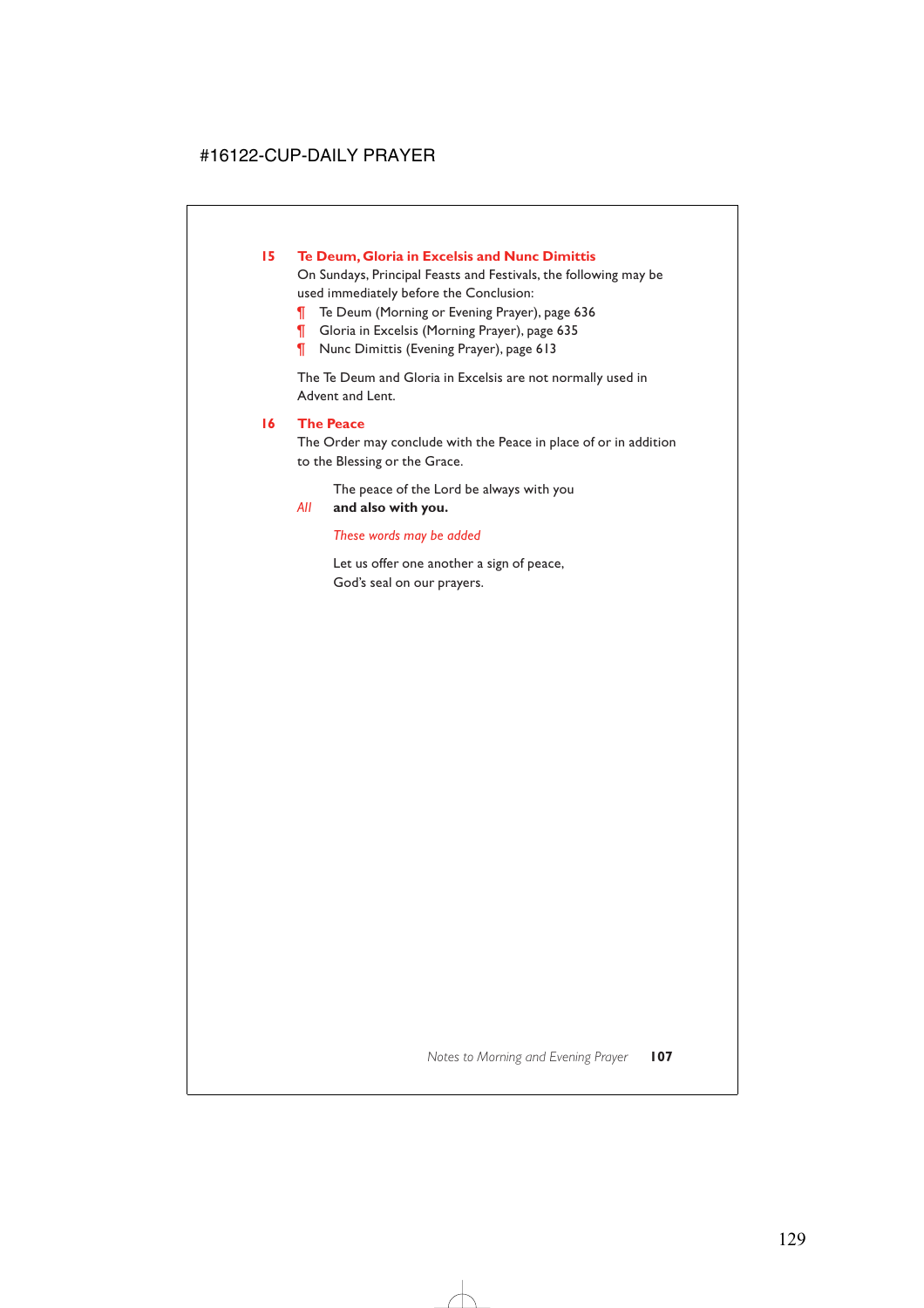### **15 Te Deum, Gloria in Excelsis and Nunc Dimittis**

On Sundays, Principal Feasts and Festivals, the following may be used immediately before the Conclusion:

- ¶ Te Deum (Morning or Evening Prayer), page 636
- Gloria in Excelsis (Morning Prayer), page 635
- ¶ Nunc Dimittis (Evening Prayer), page 613

The Te Deum and Gloria in Excelsis are not normally used in Advent and Lent.

#### **16 The Peace**

The Order may conclude with the Peace in place of or in addition to the Blessing or the Grace.

The peace of the Lord be always with you

#### *All* **and also with you.**

#### *These words may be added*

Let us offer one another a sign of peace, God's seal on our prayers.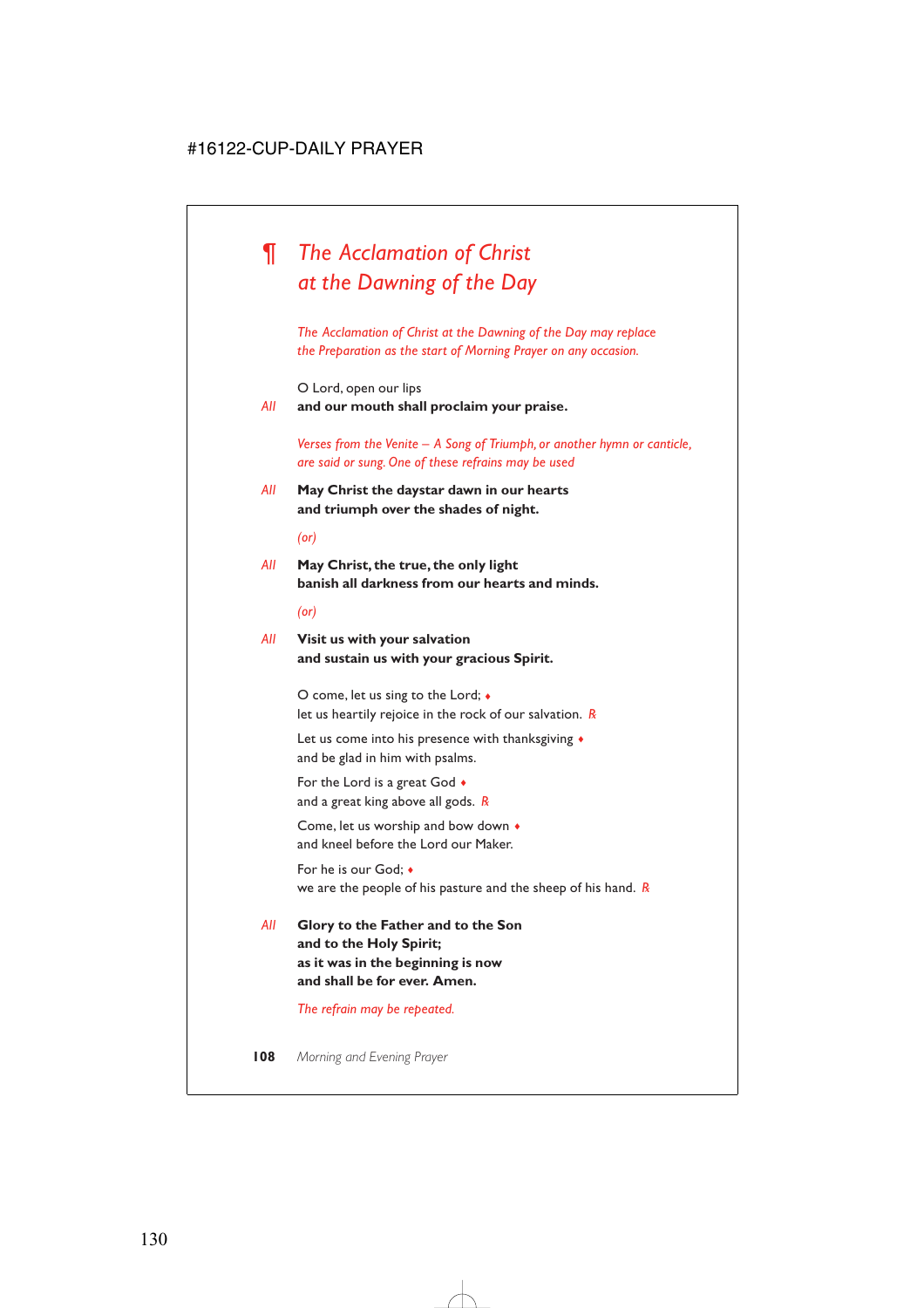# *¶ The Acclamation of Christ at the Dawning of the Day*

*The Acclamation of Christ at the Dawning of the Day may replace the Preparation as the start of Morning Prayer on any occasion.*

O Lord, open our lips

*All* **and our mouth shall proclaim your praise.**

*Verses from the Venite – A Song of Triumph, or another hymn or canticle, are said or sung. One of these refrains may be used*

*All* **May Christ the daystar dawn in our hearts and triumph over the shades of night.**

*(or)*

*All* **May Christ, the true, the only light banish all darkness from our hearts and minds.**

*(or)*

*All* **Visit us with your salvation and sustain us with your gracious Spirit.**

> O come, let us sing to the Lord; ♦ let us heartily rejoice in the rock of our salvation. *R*

Let us come into his presence with thanksgiving  $\triangleleft$ and be glad in him with psalms.

For the Lord is a great God ♦ and a great king above all gods. *R*

Come, let us worship and bow down ♦ and kneel before the Lord our Maker.

For he is our God; ♦ we are the people of his pasture and the sheep of his hand. *R*

*All* **Glory to the Father and to the Son and to the Holy Spirit; as it was in the beginning is now and shall be for ever. Amen.**

*The refrain may be repeated.*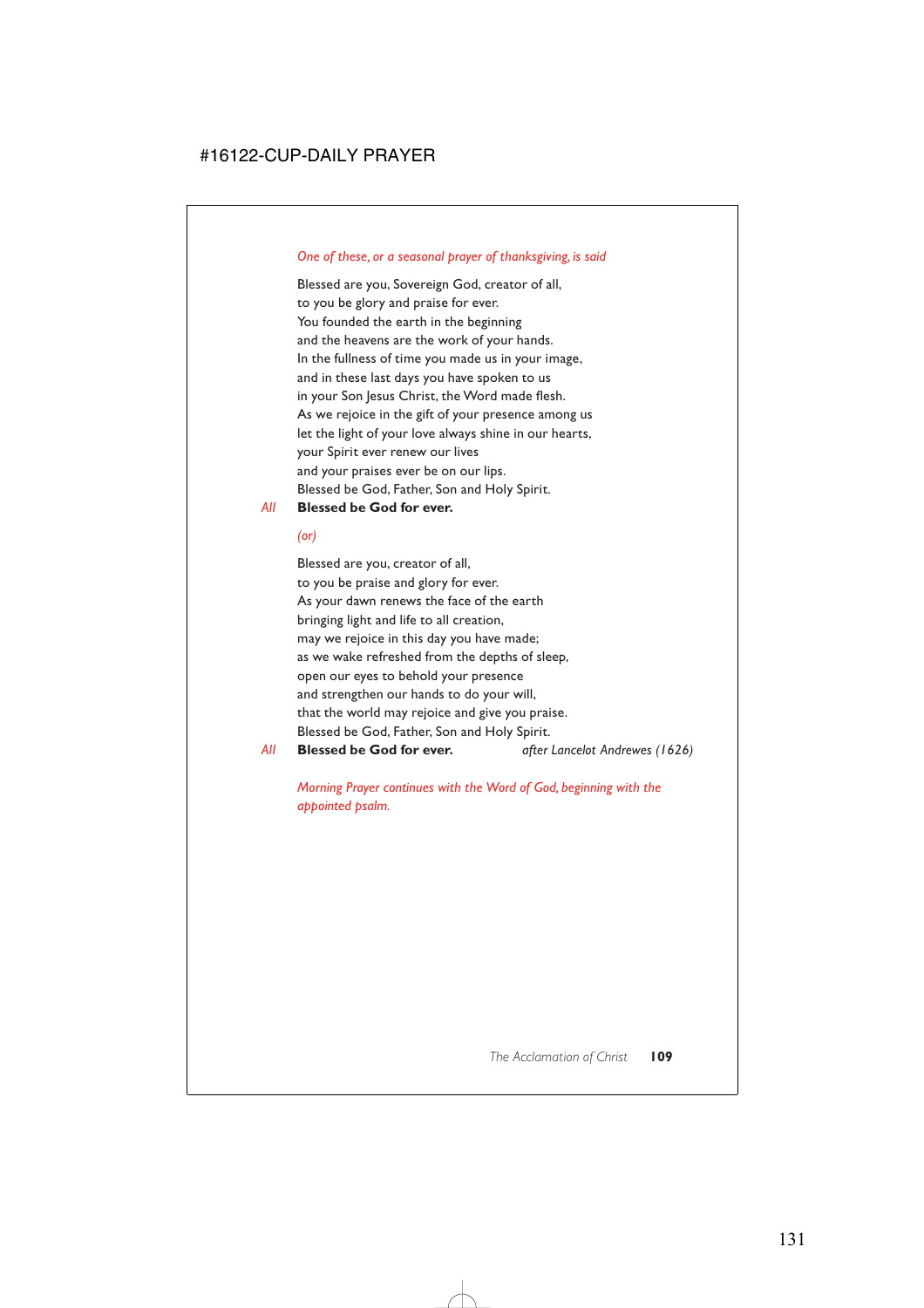#### *One of these, or a seasonal prayer of thanksgiving, is said*

Blessed are you, Sovereign God, creator of all, to you be glory and praise for ever. You founded the earth in the beginning and the heavens are the work of your hands. In the fullness of time you made us in your image, and in these last days you have spoken to us in your Son Jesus Christ, the Word made flesh. As we rejoice in the gift of your presence among us let the light of your love always shine in our hearts, your Spirit ever renew our lives and your praises ever be on our lips. Blessed be God, Father, Son and Holy Spirit.

#### *All* **Blessed be God for ever.**

*(or)*

Blessed are you, creator of all, to you be praise and glory for ever. As your dawn renews the face of the earth bringing light and life to all creation, may we rejoice in this day you have made; as we wake refreshed from the depths of sleep, open our eyes to behold your presence and strengthen our hands to do your will, that the world may rejoice and give you praise. Blessed be God, Father, Son and Holy Spirit. *All* **Blessed be God for ever.** *after Lancelot Andrewes (1626)*

*Morning Prayer continues with the Word of God, beginning with the appointed psalm.*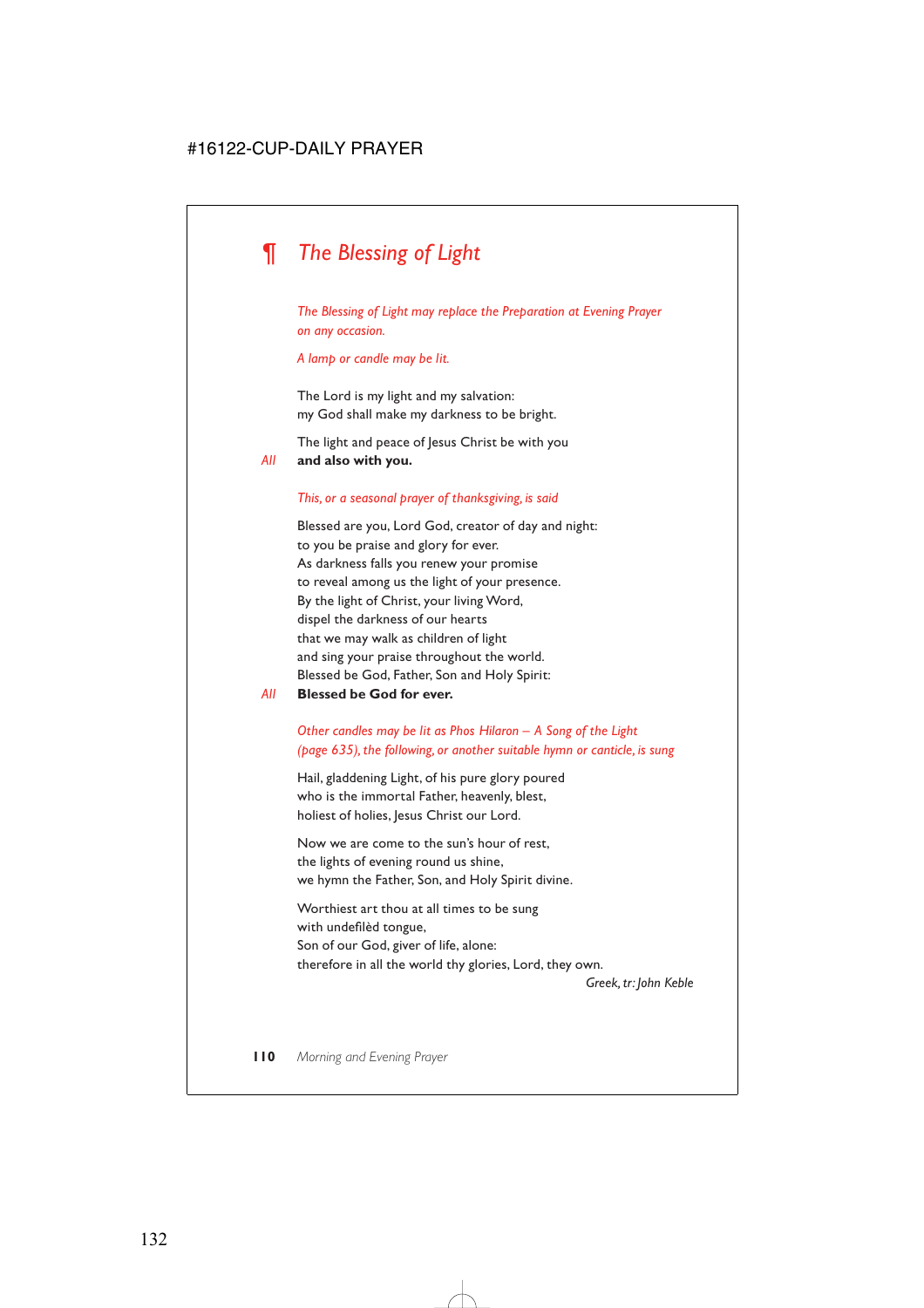# *¶ The Blessing of Light*

*The Blessing of Light may replace the Preparation at Evening Prayer on any occasion.*

*A lamp or candle may be lit.*

The Lord is my light and my salvation: my God shall make my darkness to be bright.

The light and peace of Jesus Christ be with you *All* **and also with you.**

#### *This, or a seasonal prayer of thanksgiving, is said*

Blessed are you, Lord God, creator of day and night: to you be praise and glory for ever. As darkness falls you renew your promise to reveal among us the light of your presence. By the light of Christ, your living Word, dispel the darkness of our hearts that we may walk as children of light and sing your praise throughout the world. Blessed be God, Father, Son and Holy Spirit:

*All* **Blessed be God for ever.**

#### *Other candles may be lit as Phos Hilaron – A Song of the Light (page 635), the following, or another suitable hymn or canticle, is sung*

Hail, gladdening Light, of his pure glory poured who is the immortal Father, heavenly, blest, holiest of holies, Jesus Christ our Lord.

Now we are come to the sun's hour of rest, the lights of evening round us shine, we hymn the Father, Son, and Holy Spirit divine.

Worthiest art thou at all times to be sung with undefilèd tongue, Son of our God, giver of life, alone: therefore in all the world thy glories, Lord, they own.

*Greek, tr: John Keble*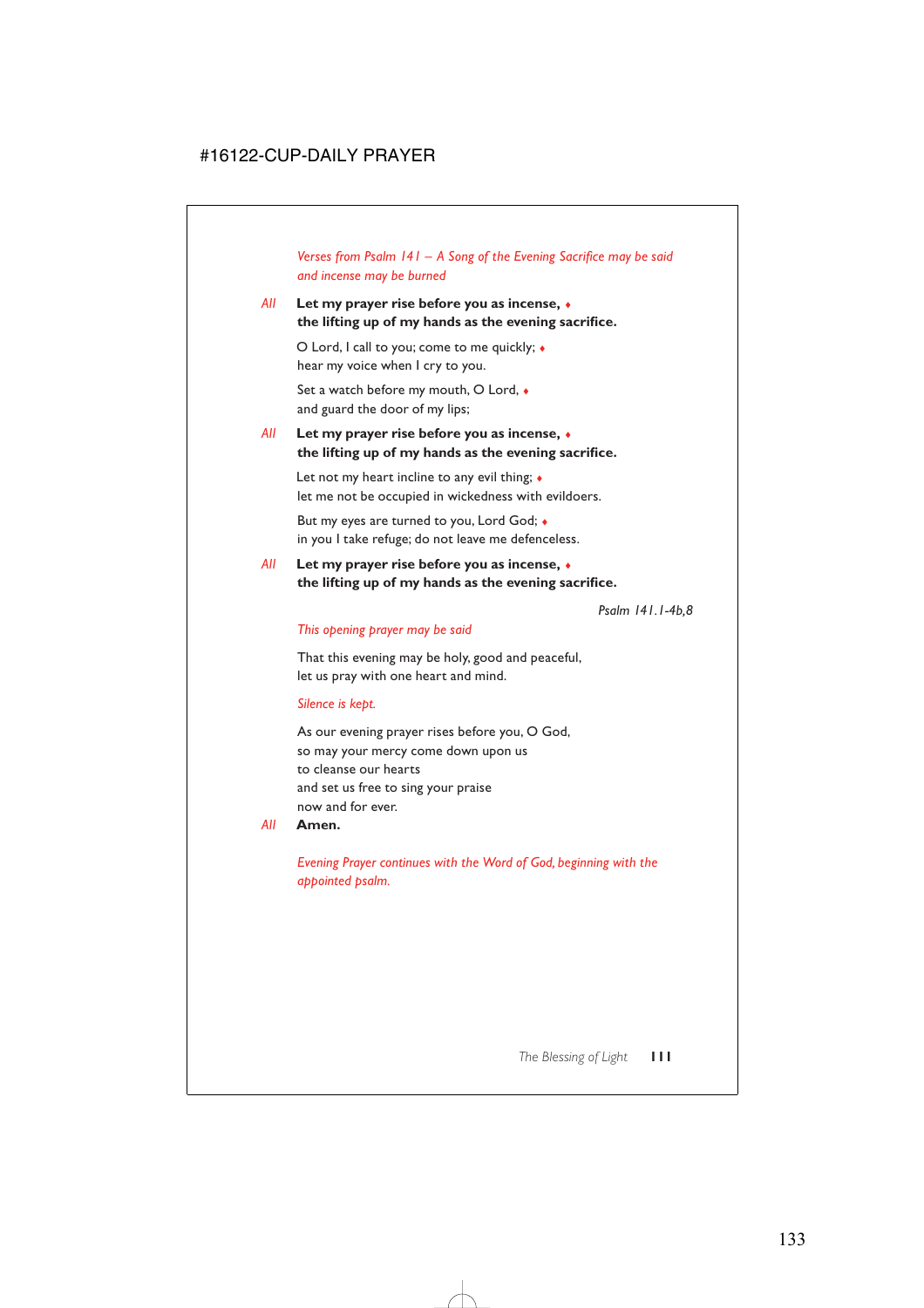*Verses from Psalm 141 – A Song of the Evening Sacrifice may be said and incense may be burned*

#### *All* **Let my prayer rise before you as incense,** ♦ **the lifting up of my hands as the evening sacrifice.**

O Lord, I call to you; come to me quickly; ♦ hear my voice when I cry to you.

Set a watch before my mouth, O Lord, ♦ and guard the door of my lips;

#### *All* **Let my prayer rise before you as incense,** ♦ **the lifting up of my hands as the evening sacrifice.**

Let not my heart incline to any evil thing;  $\triangle$ let me not be occupied in wickedness with evildoers.

But my eyes are turned to you, Lord God; ♦ in you I take refuge; do not leave me defenceless.

#### *All* **Let my prayer rise before you as incense,** ♦ **the lifting up of my hands as the evening sacrifice.**

*Psalm 141.1-4b,8*

#### *This opening prayer may be said*

That this evening may be holy, good and peaceful, let us pray with one heart and mind.

#### *Silence is kept.*

As our evening prayer rises before you, O God, so may your mercy come down upon us to cleanse our hearts and set us free to sing your praise now and for ever.

*All* **Amen.**

*Evening Prayer continues with the Word of God, beginning with the appointed psalm.*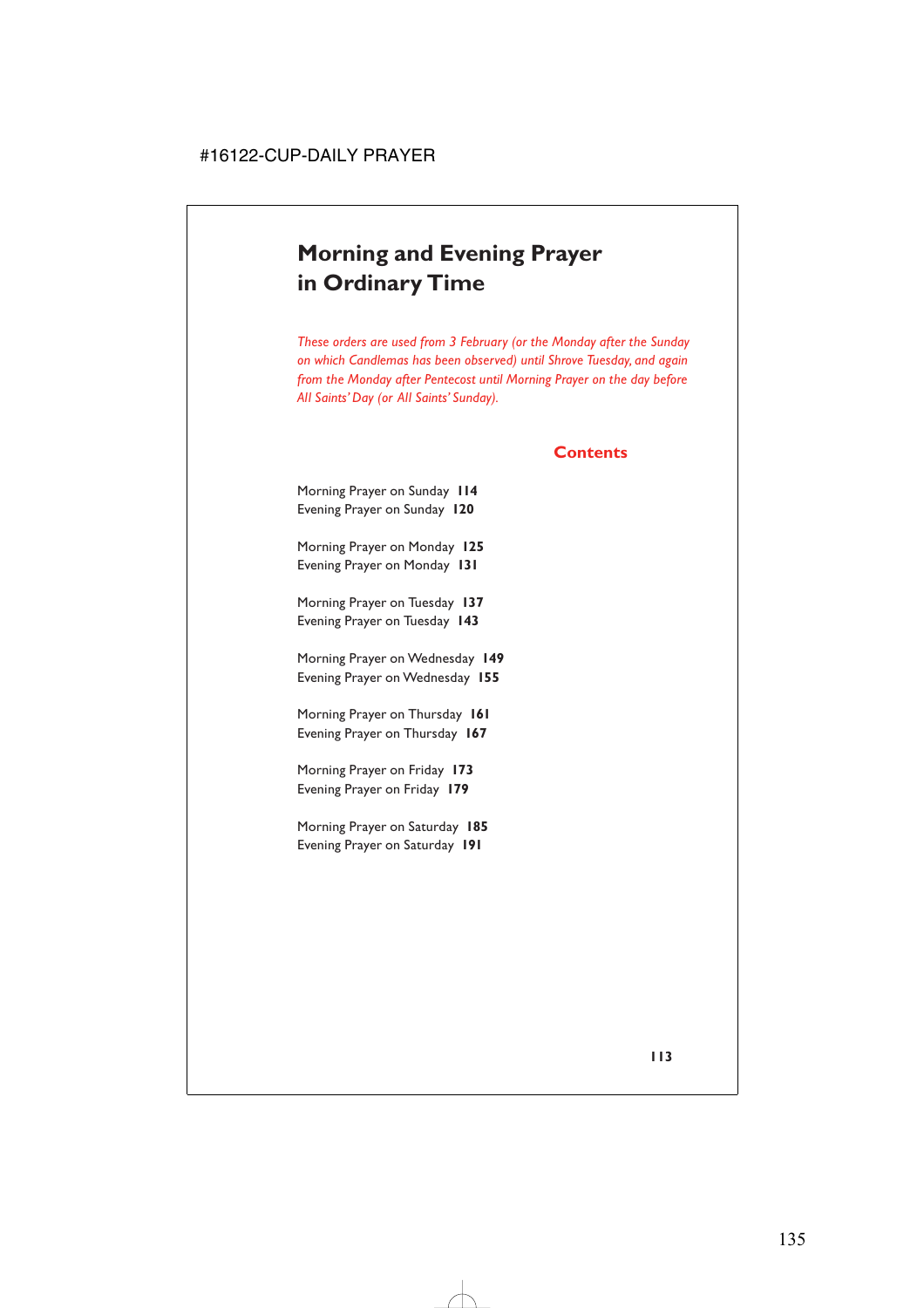# **Morning and Evening Prayer in Ordinary Time**

*These orders are used from 3 February (or the Monday after the Sunday on which Candlemas has been observed) until Shrove Tuesday, and again from the Monday after Pentecost until Morning Prayer on the day before All Saints' Day (or All Saints' Sunday).*

### **Contents**

Morning Prayer on Sunday **114** Evening Prayer on Sunday **120**

Morning Prayer on Monday **125** Evening Prayer on Monday **131**

Morning Prayer on Tuesday **137** Evening Prayer on Tuesday **143**

Morning Prayer on Wednesday **149** Evening Prayer on Wednesday **155**

Morning Prayer on Thursday **161** Evening Prayer on Thursday **167**

Morning Prayer on Friday **173** Evening Prayer on Friday **179**

Morning Prayer on Saturday **185** Evening Prayer on Saturday **191**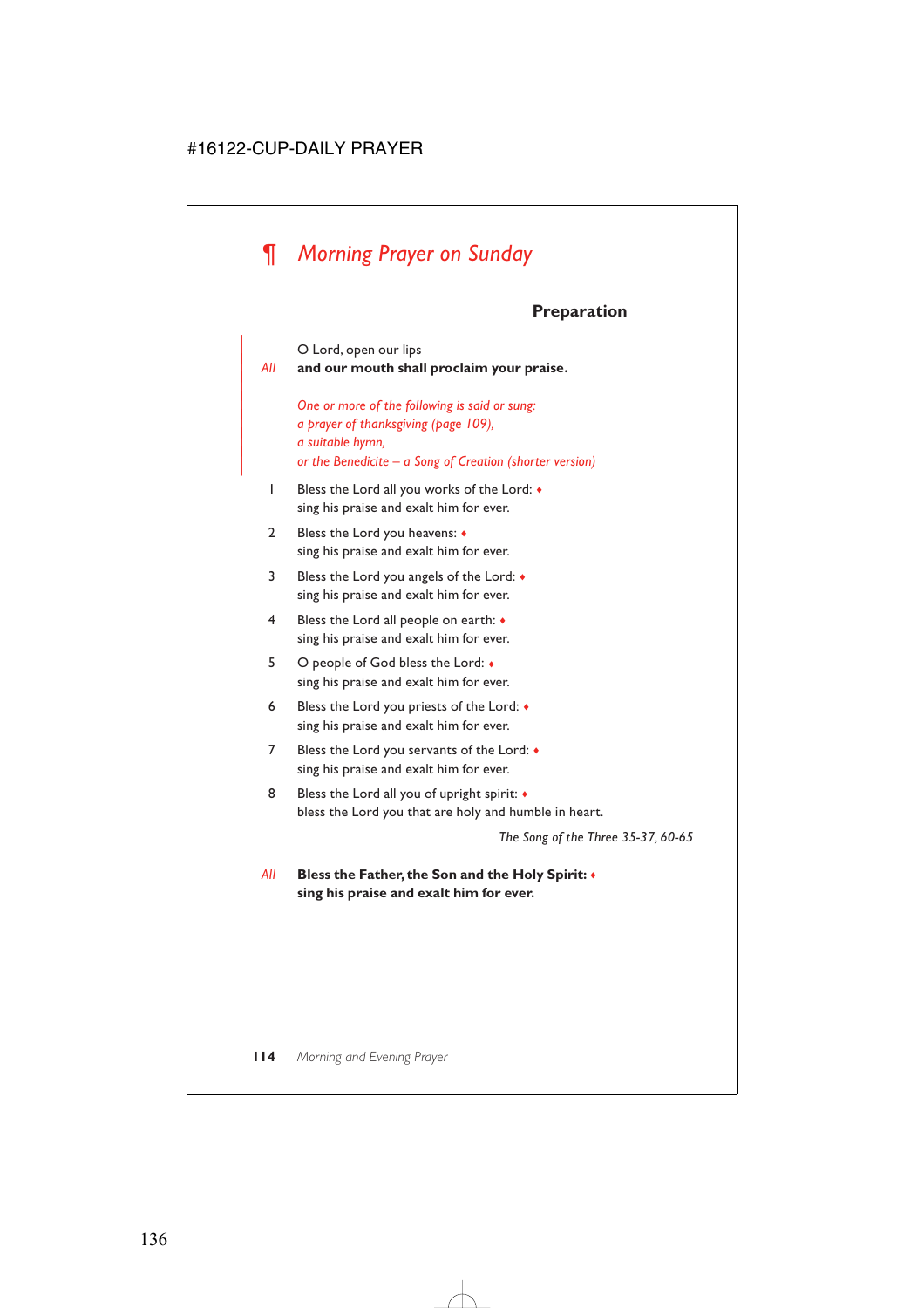# *¶ Morning Prayer on Sunday*

|

# **Preparation**

O Lord, open our lips | *All* **and our mouth shall proclaim your praise.** | *One or more of the following is said or sung:* | *a prayer of thanksgiving (page 109),* | *a suitable hymn,* | *or the Benedicite – a Song of Creation (shorter version)* 1 Bless the Lord all you works of the Lord: ♦ sing his praise and exalt him for ever. 2 Bless the Lord you heavens: ♦ sing his praise and exalt him for ever. 3 Bless the Lord you angels of the Lord: ♦ sing his praise and exalt him for ever. 4 Bless the Lord all people on earth: ♦ sing his praise and exalt him for ever. 5 O people of God bless the Lord: ♦ sing his praise and exalt him for ever. 6 Bless the Lord you priests of the Lord: ♦ sing his praise and exalt him for ever. 7 Bless the Lord you servants of the Lord: ♦ sing his praise and exalt him for ever. 8 Bless the Lord all you of upright spirit:  $\triangleleft$ bless the Lord you that are holy and humble in heart. *The Song of the Three 35-37, 60-65 All* **Bless the Father, the Son and the Holy Spirit:** ♦

**sing his praise and exalt him for ever.**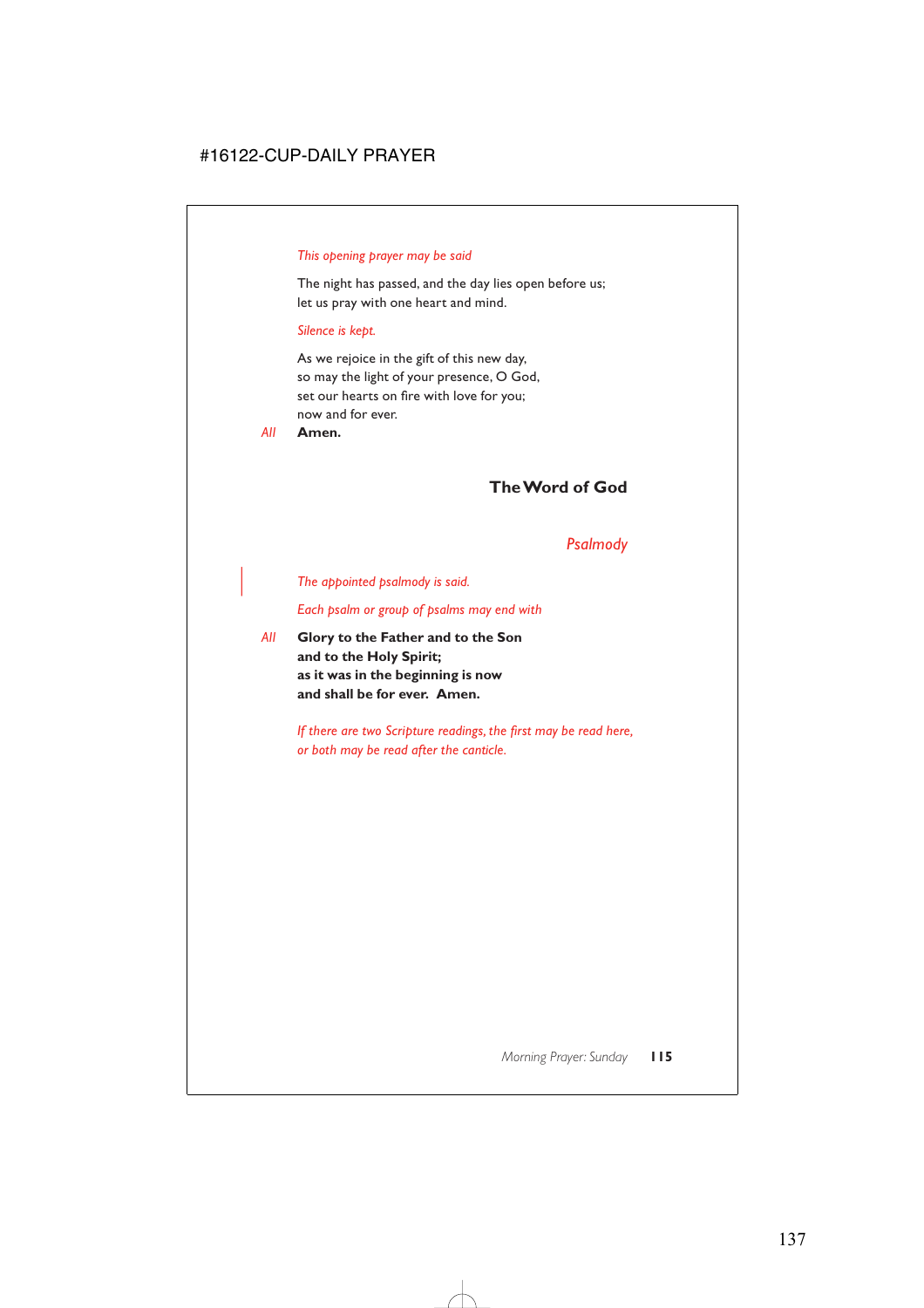#### *This opening prayer may be said*

The night has passed, and the day lies open before us; let us pray with one heart and mind.

#### *Silence is kept.*

As we rejoice in the gift of this new day, so may the light of your presence, O God, set our hearts on fire with love for you; now and for ever.

*All* **Amen.**

### **The Word of God**

### *Psalmody*

| *The appointed psalmody is said.*

*Each psalm or group of psalms may end with*

*All* **Glory to the Father and to the Son and to the Holy Spirit; as it was in the beginning is now and shall be for ever. Amen.**

> *If there are two Scripture readings, the first may be read here, or both may be read after the canticle.*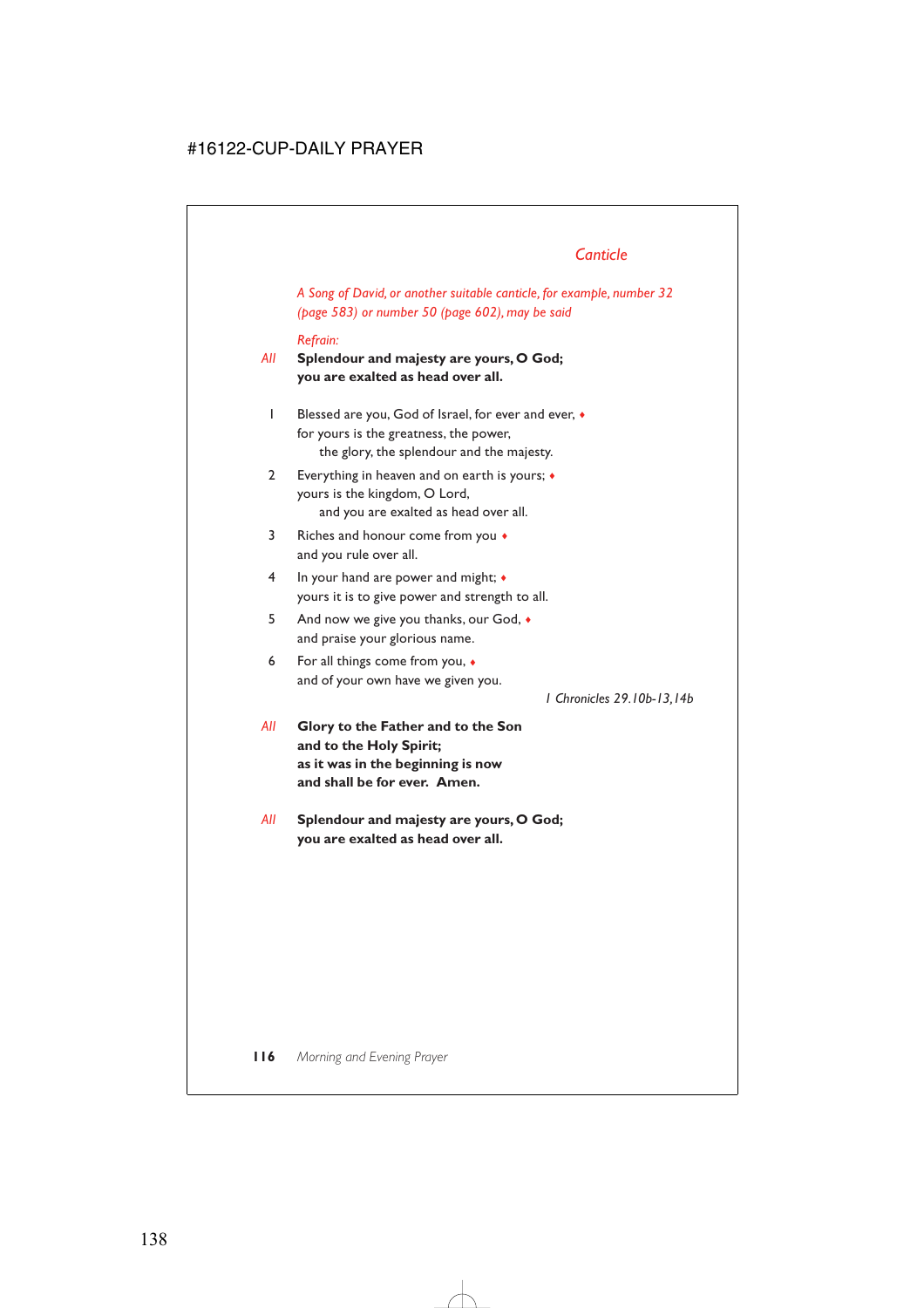# *Canticle*

*A Song of David, or another suitable canticle, for example, number 32 (page 583) or number 50 (page 602), may be said*

#### *Refrain:*

*All* **Splendour and majesty are yours, O God; you are exalted as head over all.**

- 1 Blessed are you, God of Israel, for ever and ever, ♦ for yours is the greatness, the power, the glory, the splendour and the majesty.
- 2 Everything in heaven and on earth is yours; ♦ yours is the kingdom, O Lord, and you are exalted as head over all.
- 3 Riches and honour come from you  $\bullet$ and you rule over all.
- 4 In your hand are power and might; ♦ yours it is to give power and strength to all.
- 5 And now we give you thanks, our God, ♦ and praise your glorious name.
- 6 For all things come from you, ♦ and of your own have we given you.

*1 Chronicles 29.10b-13,14b*

- *All* **Glory to the Father and to the Son and to the Holy Spirit; as it was in the beginning is now and shall be for ever. Amen.**
- *All* **Splendour and majesty are yours, O God; you are exalted as head over all.**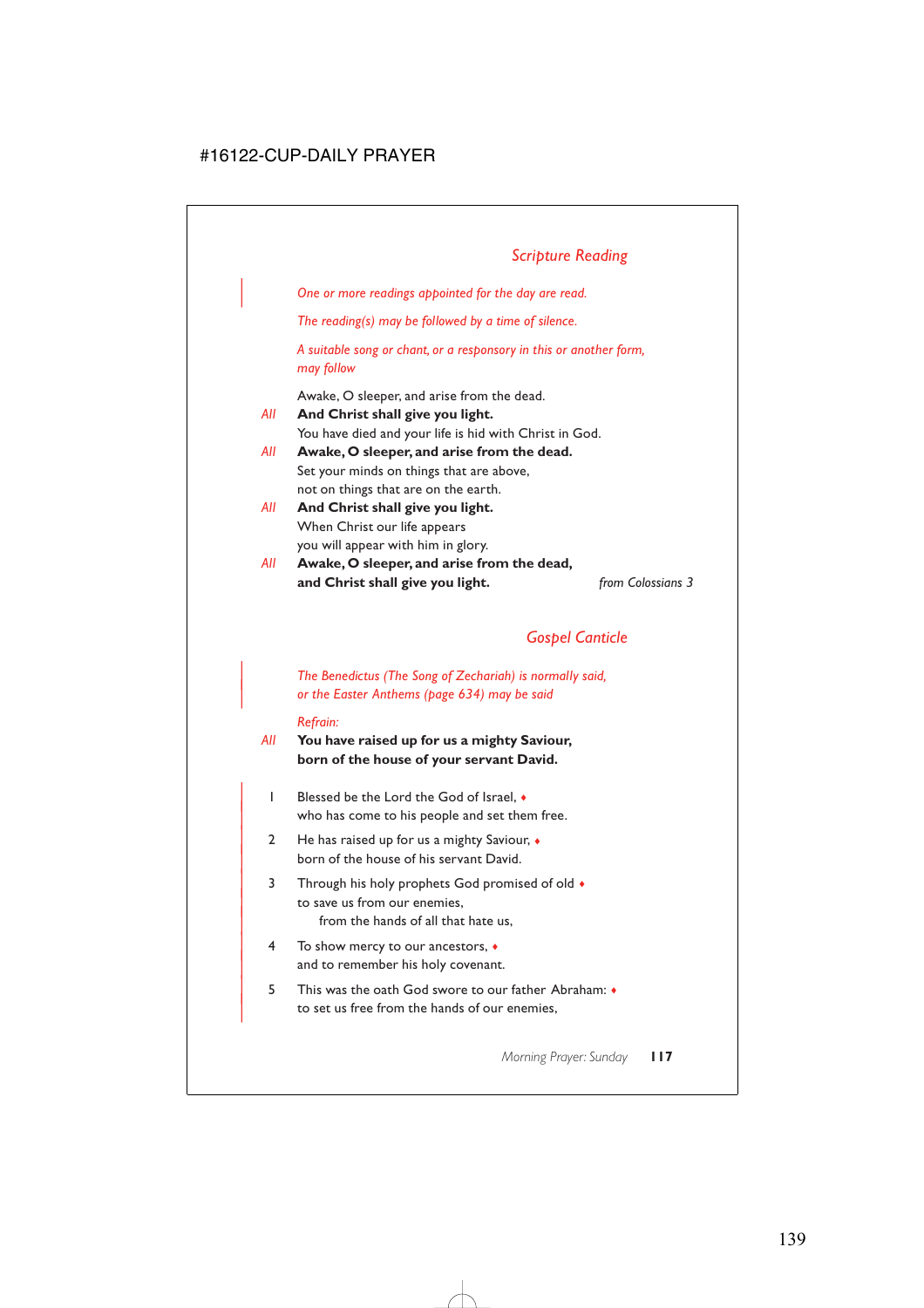# *Scripture Reading*

| *One or more readings appointed for the day are read.*

*The reading(s) may be followed by a time of silence.*

*A suitable song or chant, or a responsory in this or another form, may follow*

Awake, O sleeper, and arise from the dead.

*All* **And Christ shall give you light.** You have died and your life is hid with Christ in God. *All* **Awake, O sleeper, and arise from the dead.**

- Set your minds on things that are above, not on things that are on the earth.
- *All* **And Christ shall give you light.** When Christ our life appears you will appear with him in glory.
- *All* **Awake, O sleeper, and arise from the dead, and Christ shall give you light.** *from Colossians 3*

### *Gospel Canticle*

| *The Benedictus (The Song of Zechariah) is normally said,* | *or the Easter Anthems (page 634) may be said*

#### *Refrain:*

- *All* **You have raised up for us a mighty Saviour, born of the house of your servant David.**
	- | 1 Blessed be the Lord the God of Israel, ♦ who has come to his people and set them free.
	- 2 He has raised up for us a mighty Saviour,  $\bullet$ born of the house of his servant David.
	- 3 Through his holy prophets God promised of old  $\bullet$ to save us from our enemies, from the hands of all that hate us,
	- | 4 To show mercy to our ancestors, ♦ and to remember his holy covenant.
	- | 5 This was the oath God swore to our father Abraham: ♦ to set us free from the hands of our enemies,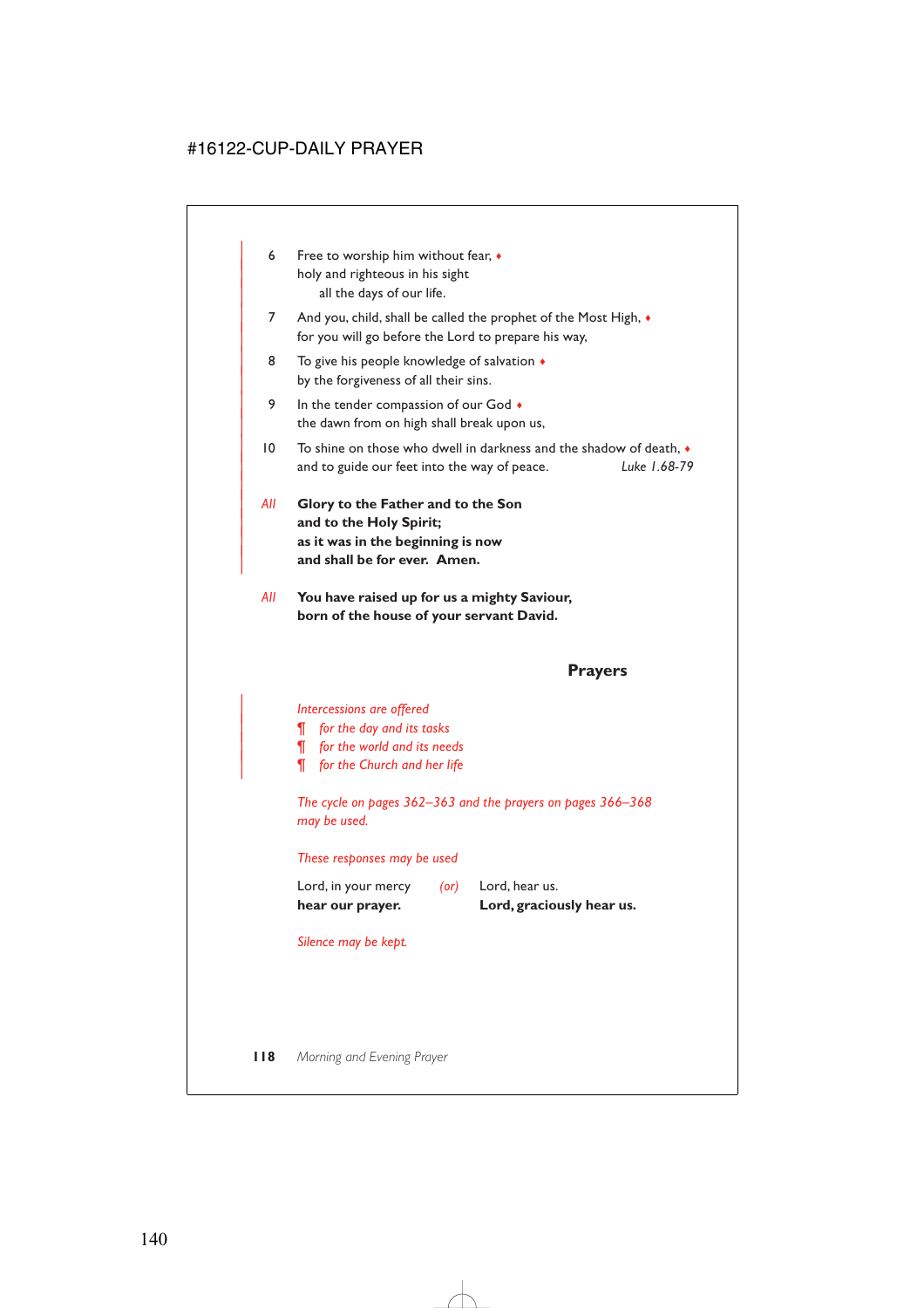- 6 Free to worship him without fear,  $\bullet$ holy and righteous in his sight all the days of our life.
- 7 And you, child, shall be called the prophet of the Most High,  $\bullet$ for you will go before the Lord to prepare his way,
- 8 To give his people knowledge of salvation  $\triangle$ by the forgiveness of all their sins.
- 9 In the tender compassion of our God  $\bullet$ the dawn from on high shall break upon us,
- $| 0 \rangle$  To shine on those who dwell in darkness and the shadow of death. | and to guide our feet into the way of peace. *Luke 1.68-79*
- | *All* **Glory to the Father and to the Son** and to the Holy Spirit; | **as it was in the beginning is now** and shall be for ever. Amen.

|

*All* **You have raised up for us a mighty Saviour, born of the house of your servant David.**

### **Prayers**

#### | *Intercessions are offered*

- | *¶ for the day and its tasks*
- | *¶ for the world and its needs*
- | *¶ for the Church and her life*

*The cycle on pages 362–363 and the prayers on pages 366–368 may be used.*

#### *These responses may be used*

| hear our prayer.    |   | Lord, graciously hear us. |  |
|---------------------|---|---------------------------|--|
| Lord, in your mercy | ( | Lord, hear us.            |  |

*Silence may be kept.*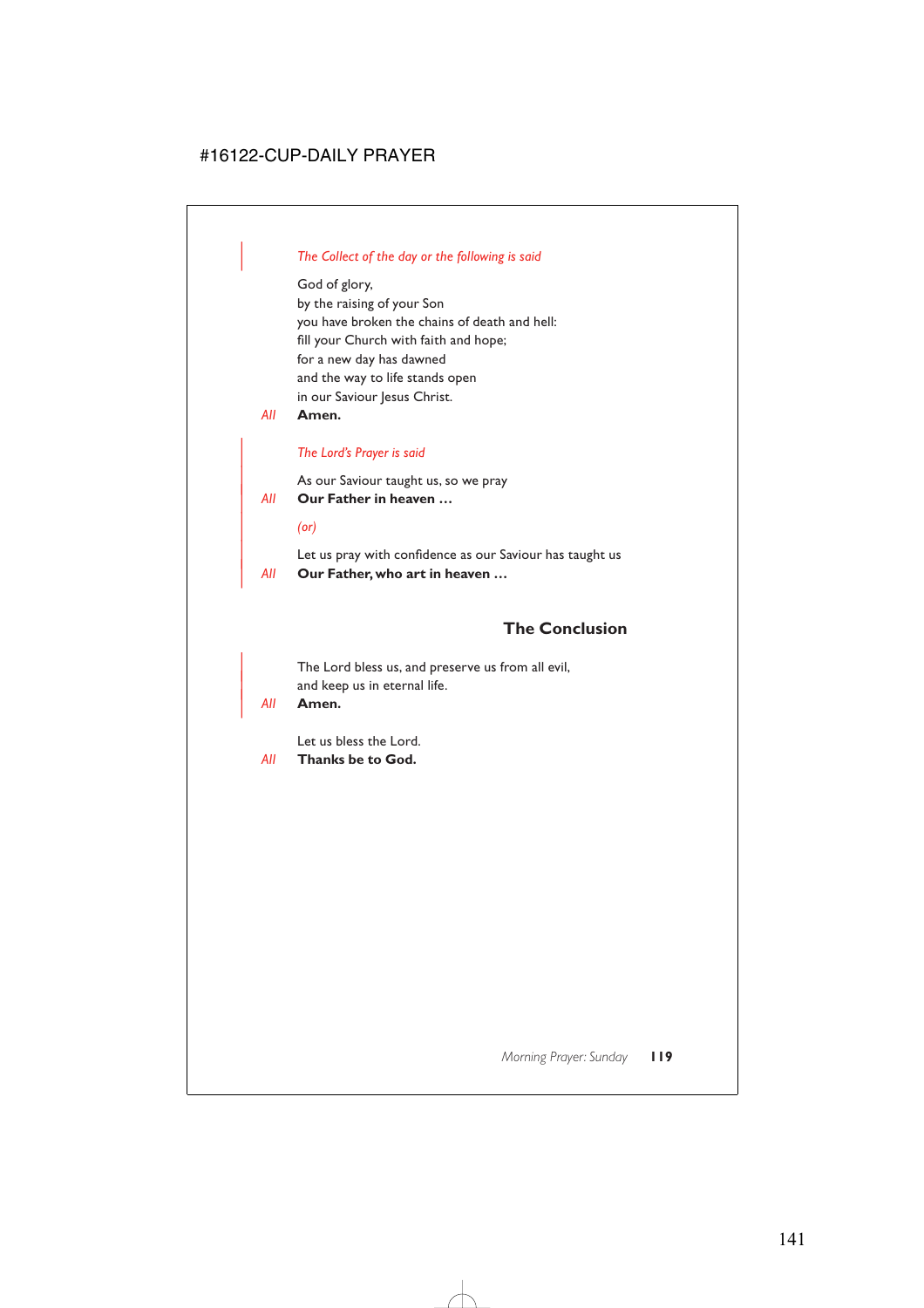#### | *The Collect of the day or the following is said*

God of glory, by the raising of your Son you have broken the chains of death and hell: fill your Church with faith and hope; for a new day has dawned and the way to life stands open in our Saviour Jesus Christ.

*All* **Amen.**

#### | *The Lord's Prayer is said*

As our Saviour taught us, so we pray

| *All* **Our Father in heaven …**

| *(or)*

Let us pray with confidence as our Saviour has taught us | *All* **Our Father, who art in heaven …**

### **The Conclusion**

The Lord bless us, and preserve us from all evil, and keep us in eternal life.

| *All* **Amen.**

Let us bless the Lord.

*All* **Thanks be to God.**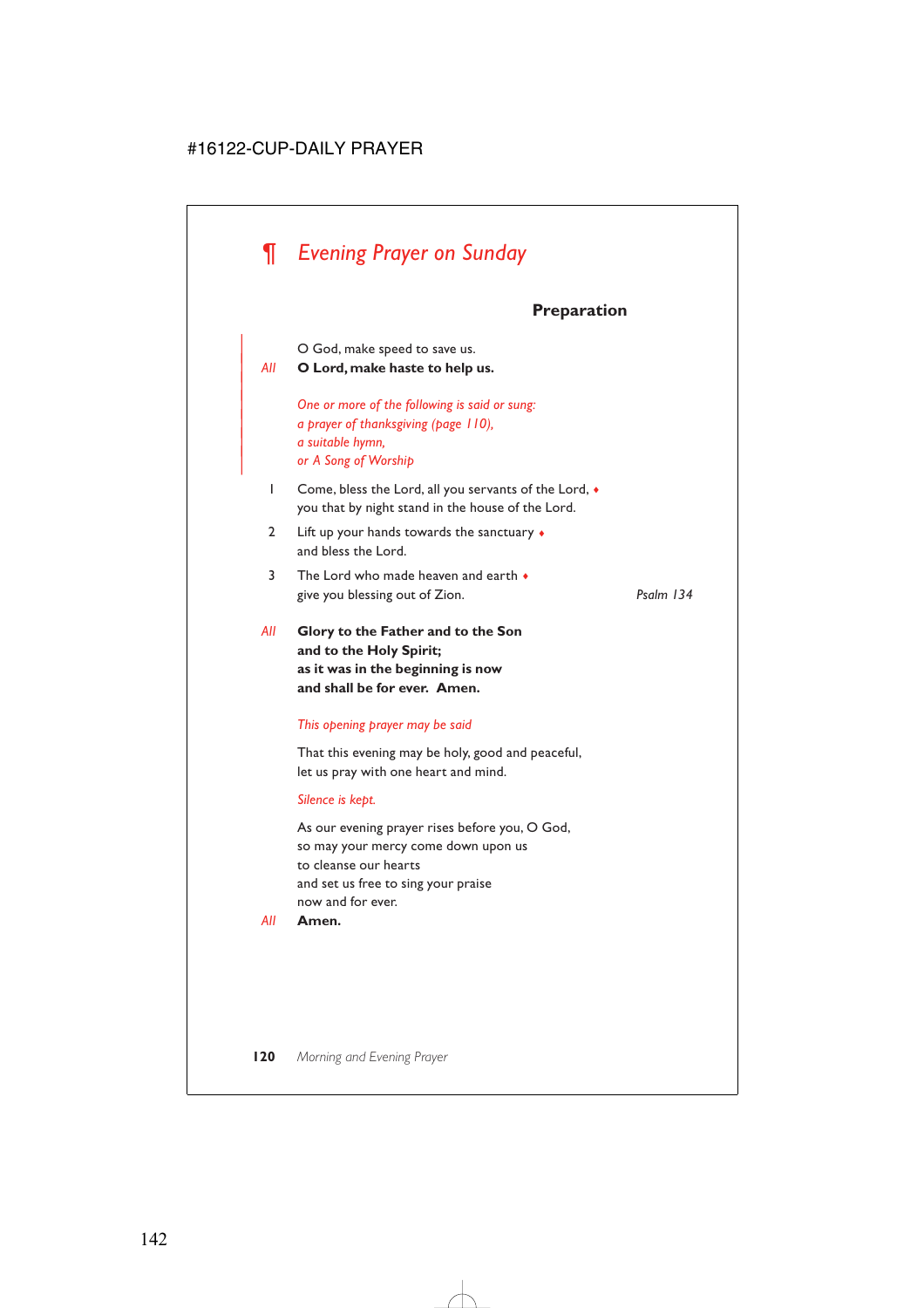# *¶ Evening Prayer on Sunday*

# **Preparation**

| O God, make speed to save us.

#### | *All* **O Lord, make haste to help us.**

|

| *One or more of the following is said or sung:* | *a prayer of thanksgiving (page 110),* | *a suitable hymn,* | *or A Song of Worship*

- 1 Come, bless the Lord, all you servants of the Lord,  $\bullet$ you that by night stand in the house of the Lord.
- 2 Lift up your hands towards the sanctuary  $\bullet$ and bless the Lord.
- 3 The Lord who made heaven and earth  $\bullet$ give you blessing out of Zion. *Psalm 134*

*All* **Glory to the Father and to the Son and to the Holy Spirit; as it was in the beginning is now and shall be for ever. Amen.**

#### *This opening prayer may be said*

That this evening may be holy, good and peaceful, let us pray with one heart and mind.

#### *Silence is kept.*

As our evening prayer rises before you, O God, so may your mercy come down upon us to cleanse our hearts and set us free to sing your praise now and for ever.

*All* **Amen.**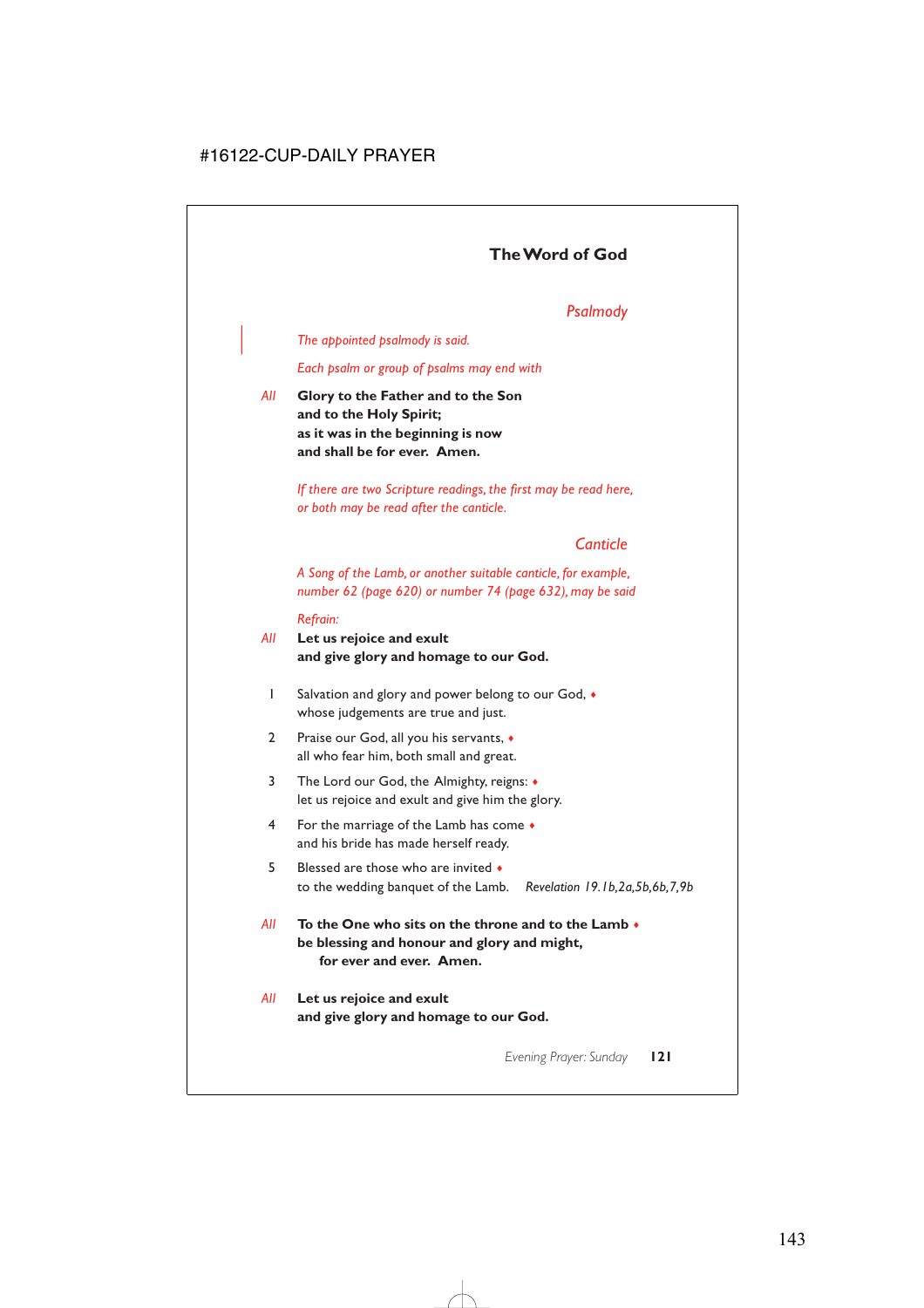# *Psalmody*

| *The appointed psalmody is said.*

*Each psalm or group of psalms may end with*

*All* **Glory to the Father and to the Son and to the Holy Spirit; as it was in the beginning is now and shall be for ever. Amen.**

> *If there are two Scripture readings, the first may be read here, or both may be read after the canticle.*

### *Canticle*

*A Song of the Lamb, or another suitable canticle, for example, number 62 (page 620) or number 74 (page 632), may be said*

#### *Refrain:*

- *All* **Let us rejoice and exult and give glory and homage to our God.**
	- 1 Salvation and glory and power belong to our God, ♦ whose judgements are true and just.
	- 2 Praise our God, all you his servants,  $\bullet$ all who fear him, both small and great.
	- 3 The Lord our God, the Almighty, reigns: ♦ let us rejoice and exult and give him the glory.
	- 4 For the marriage of the Lamb has come ♦ and his bride has made herself ready.
	- 5 Blessed are those who are invited  $\bullet$ to the wedding banquet of the Lamb. *Revelation 19.1b,2a,5b,6b,7,9b*
- *All* **To the One who sits on the throne and to the Lamb** ♦ **be blessing and honour and glory and might, for ever and ever. Amen.**
- *All* **Let us rejoice and exult and give glory and homage to our God.**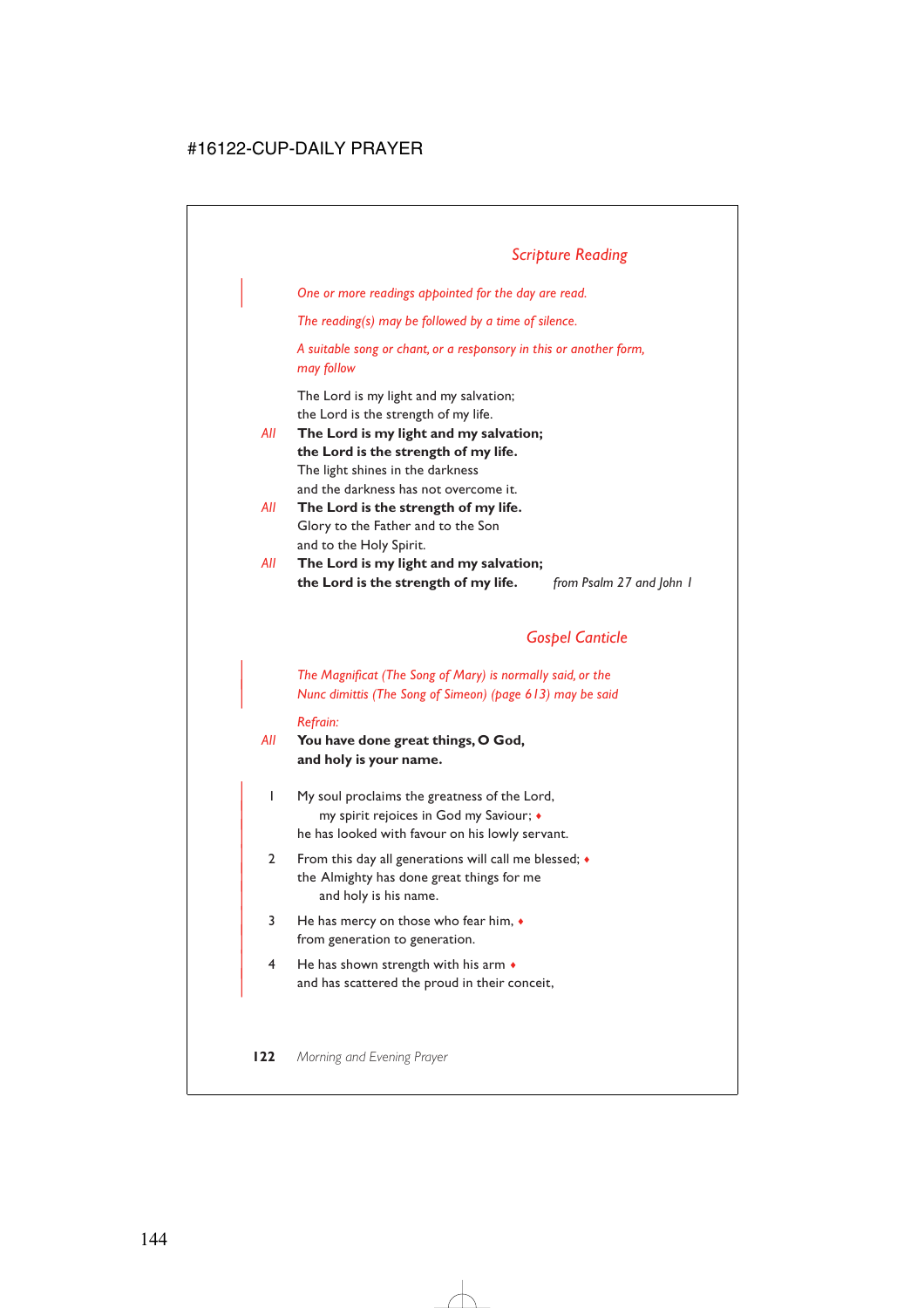| *One or more readings appointed for the day are read.*

*The reading(s) may be followed by a time of silence.*

*A suitable song or chant, or a responsory in this or another form, may follow*

The Lord is my light and my salvation; the Lord is the strength of my life.

*All* **The Lord is my light and my salvation; the Lord is the strength of my life.** The light shines in the darkness and the darkness has not overcome it.

- *All* **The Lord is the strength of my life.** Glory to the Father and to the Son and to the Holy Spirit.
- *All* **The Lord is my light and my salvation; the Lord is the strength of my life.** *from Psalm 27 and John 1*

### *Gospel Canticle*

| *The Magnificat (The Song of Mary) is normally said, or the* | *Nunc dimittis (The Song of Simeon) (page 613) may be said*

#### *Refrain:*

#### *All* **You have done great things, O God, and holy is your name.**

- | 1 My soul proclaims the greatness of the Lord, | my spirit rejoices in God my Saviour; ♦ he has looked with favour on his lowly servant.
- 2 From this day all generations will call me blessed;  $\bullet$ the Almighty has done great things for me and holy is his name.
- | 3 He has mercy on those who fear him, ♦ from generation to generation.
- $4$  He has shown strength with his arm  $\bullet$ and has scattered the proud in their conceit,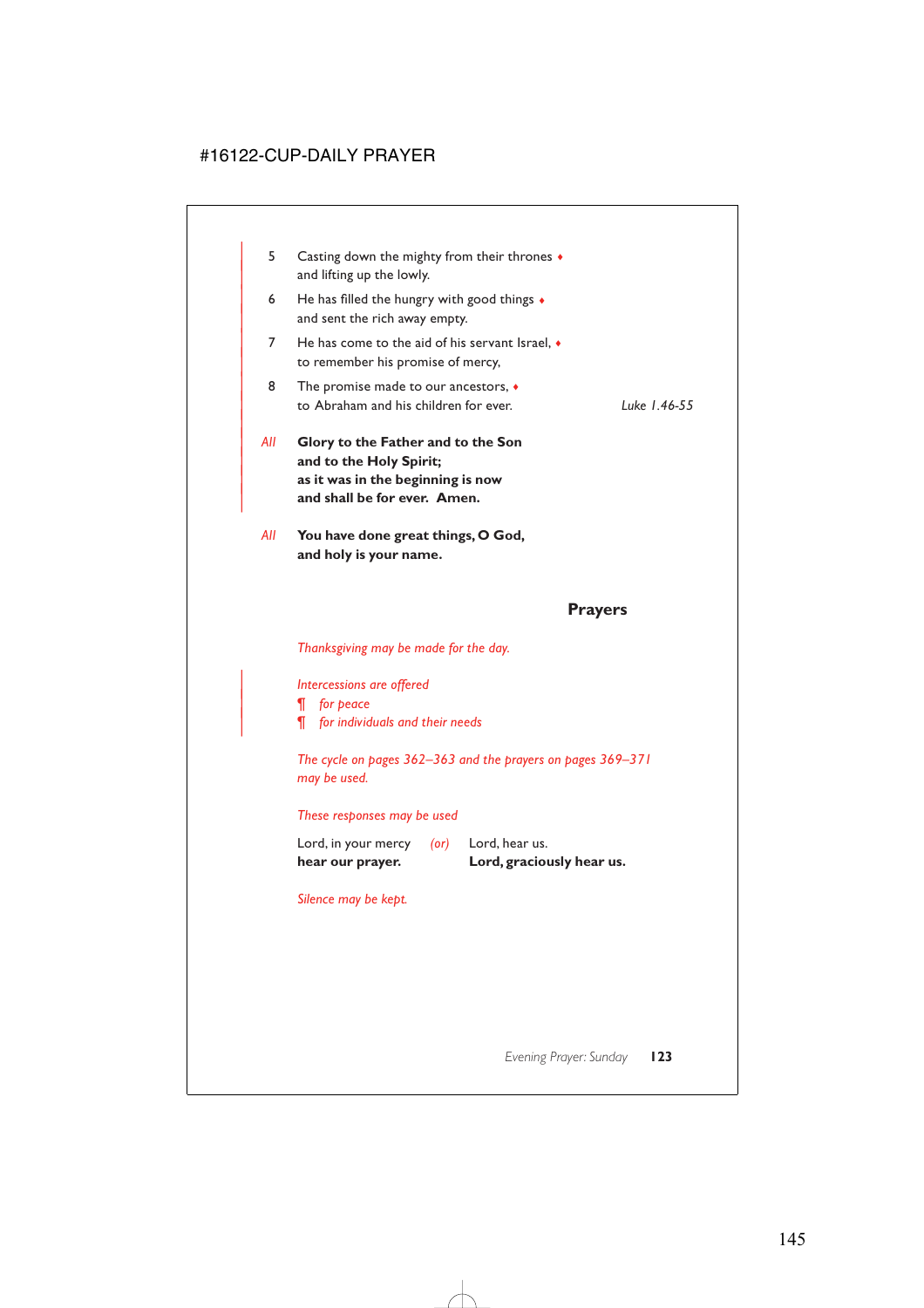| <b>Prayers</b> |     |                                                                                                                                    |              |  |
|----------------|-----|------------------------------------------------------------------------------------------------------------------------------------|--------------|--|
|                | All | You have done great things, O God,<br>and holy is your name.                                                                       |              |  |
|                | All | Glory to the Father and to the Son<br>and to the Holy Spirit;<br>as it was in the beginning is now<br>and shall be for ever. Amen. |              |  |
|                | 8   | The promise made to our ancestors, $\bullet$<br>to Abraham and his children for ever.                                              | Luke 1.46-55 |  |
|                | 7   | He has come to the aid of his servant Israel. $\bullet$<br>to remember his promise of mercy,                                       |              |  |
|                | 6   | He has filled the hungry with good things $\bullet$<br>and sent the rich away empty.                                               |              |  |
|                | 5   | Casting down the mighty from their thrones $\bullet$<br>and lifting up the lowly.                                                  |              |  |

*Thanksgiving may be made for the day.*

| *Intercessions are offered*

| *¶ for peace*

| *¶ for individuals and their needs*

*The cycle on pages 362–363 and the prayers on pages 369–371 may be used.*

#### *These responses may be used*

| hear our prayer.    |            | Lord, graciously hear us. |
|---------------------|------------|---------------------------|
| Lord, in your mercy | $($ or $)$ | Lord, hear us.            |

*Silence may be kept.*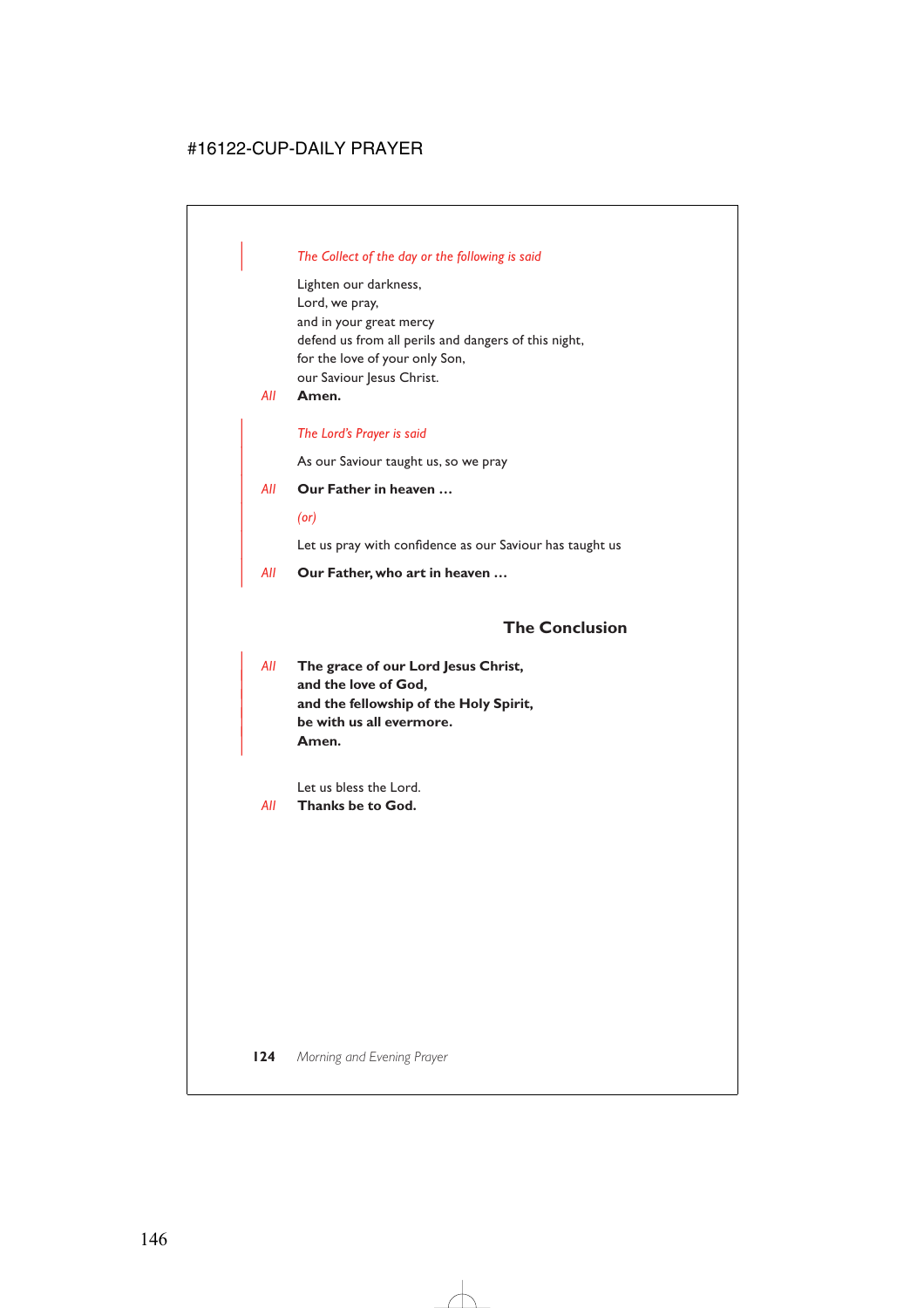### | *The Collect of the day or the following is said*

Lighten our darkness, Lord, we pray, and in your great mercy defend us from all perils and dangers of this night, for the love of your only Son, our Saviour Jesus Christ.

*All* **Amen.**

#### | *The Lord's Prayer is said*

As our Saviour taught us, so we pray

#### | *All* **Our Father in heaven …**

| *(or)*

Let us pray with confidence as our Saviour has taught us

| *All* **Our Father, who art in heaven …**

### **The Conclusion**

| *All* **The grace of our Lord Jesus Christ,** and the love of God, | **and the fellowship of the Holy Spirit,** | **be with us all evermore.** | **Amen.**

Let us bless the Lord.

*All* **Thanks be to God.**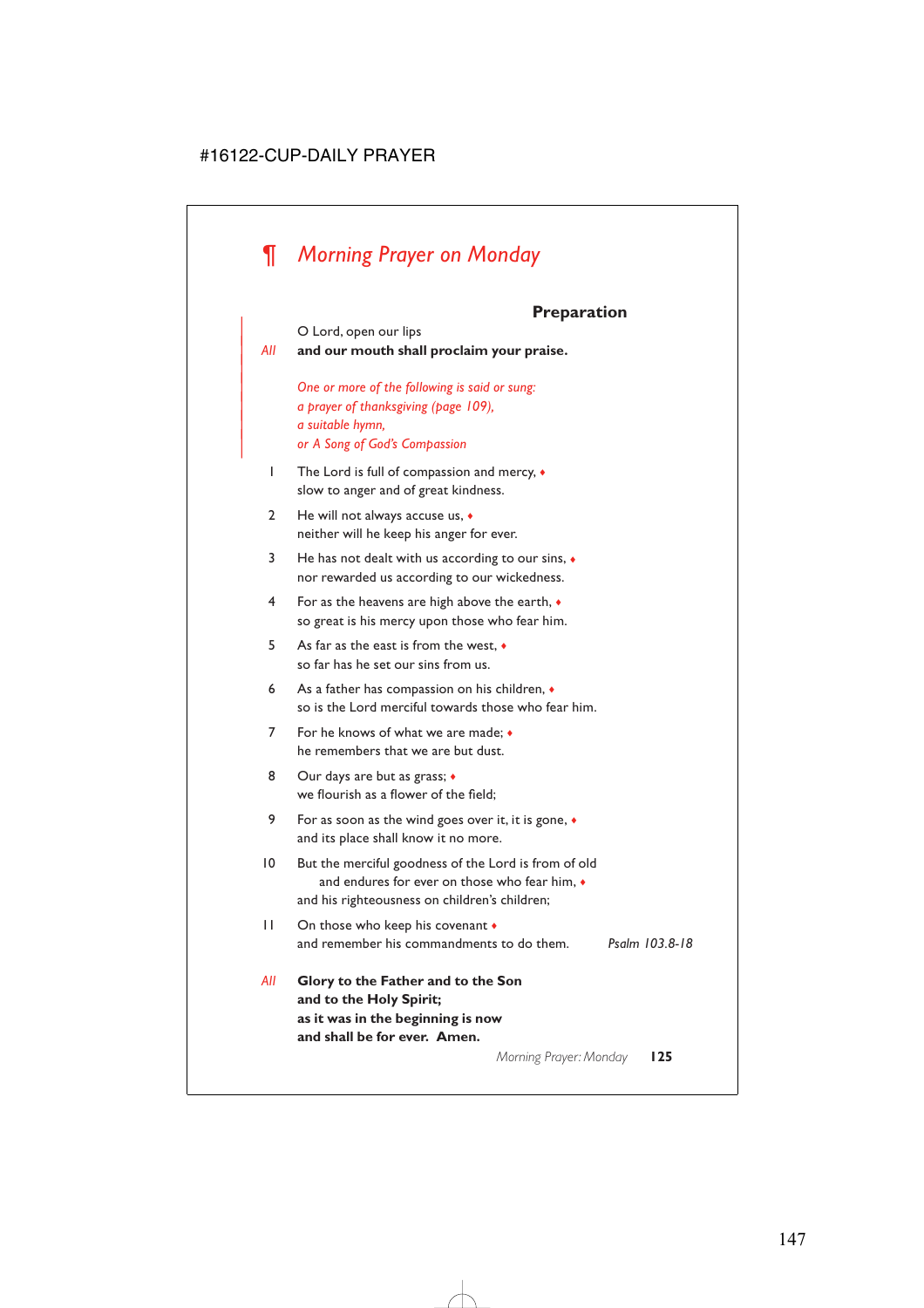# *¶ Morning Prayer on Monday*

# **Preparation**

|                | <b>Preparation</b>                                                                                                                                             |                |  |
|----------------|----------------------------------------------------------------------------------------------------------------------------------------------------------------|----------------|--|
| All            | O Lord, open our lips<br>and our mouth shall proclaim your praise.                                                                                             |                |  |
|                | One or more of the following is said or sung:<br>a prayer of thanksgiving (page 109),<br>a suitable hymn,<br>or A Song of God's Compassion                     |                |  |
| I              | The Lord is full of compassion and mercy, •<br>slow to anger and of great kindness.                                                                            |                |  |
| $\overline{2}$ | He will not always accuse us, $\bullet$<br>neither will he keep his anger for ever.                                                                            |                |  |
| 3              | He has not dealt with us according to our sins, $\bullet$<br>nor rewarded us according to our wickedness.                                                      |                |  |
| 4              | For as the heavens are high above the earth, $\bullet$<br>so great is his mercy upon those who fear him.                                                       |                |  |
| 5              | As far as the east is from the west. $\bullet$<br>so far has he set our sins from us.                                                                          |                |  |
| 6              | As a father has compassion on his children, •<br>so is the Lord merciful towards those who fear him.                                                           |                |  |
| 7              | For he knows of what we are made: •<br>he remembers that we are but dust.                                                                                      |                |  |
| 8              | Our days are but as grass; •<br>we flourish as a flower of the field:                                                                                          |                |  |
| 9              | For as soon as the wind goes over it, it is gone, $\triangleleft$<br>and its place shall know it no more.                                                      |                |  |
| 10             | But the merciful goodness of the Lord is from of old<br>and endures for ever on those who fear him. $\bullet$<br>and his righteousness on children's children; |                |  |
| П              | On those who keep his covenant $\bullet$<br>and remember his commandments to do them.                                                                          | Psalm 103.8-18 |  |
| All            | Glory to the Father and to the Son<br>and to the Holy Spirit;<br>as it was in the beginning is now<br>and shall be for ever. Amen.                             |                |  |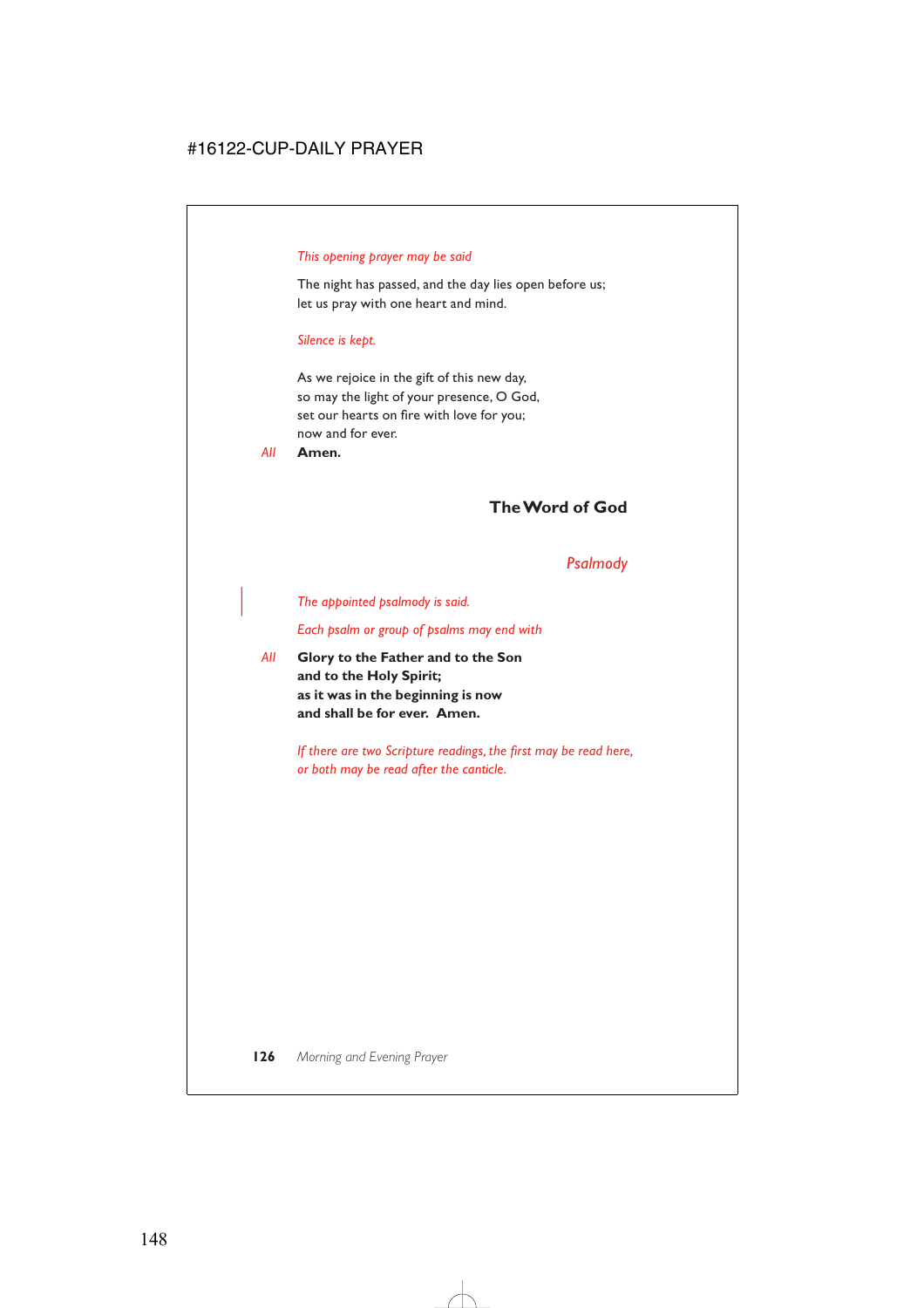#### *This opening prayer may be said*

The night has passed, and the day lies open before us; let us pray with one heart and mind.

#### *Silence is kept.*

As we rejoice in the gift of this new day, so may the light of your presence, O God, set our hearts on fire with love for you; now and for ever.

*All* **Amen.**

### **The Word of God**

#### *Psalmody*

#### | *The appointed psalmody is said.*

*Each psalm or group of psalms may end with*

*All* **Glory to the Father and to the Son and to the Holy Spirit; as it was in the beginning is now and shall be for ever. Amen.**

> *If there are two Scripture readings, the first may be read here, or both may be read after the canticle.*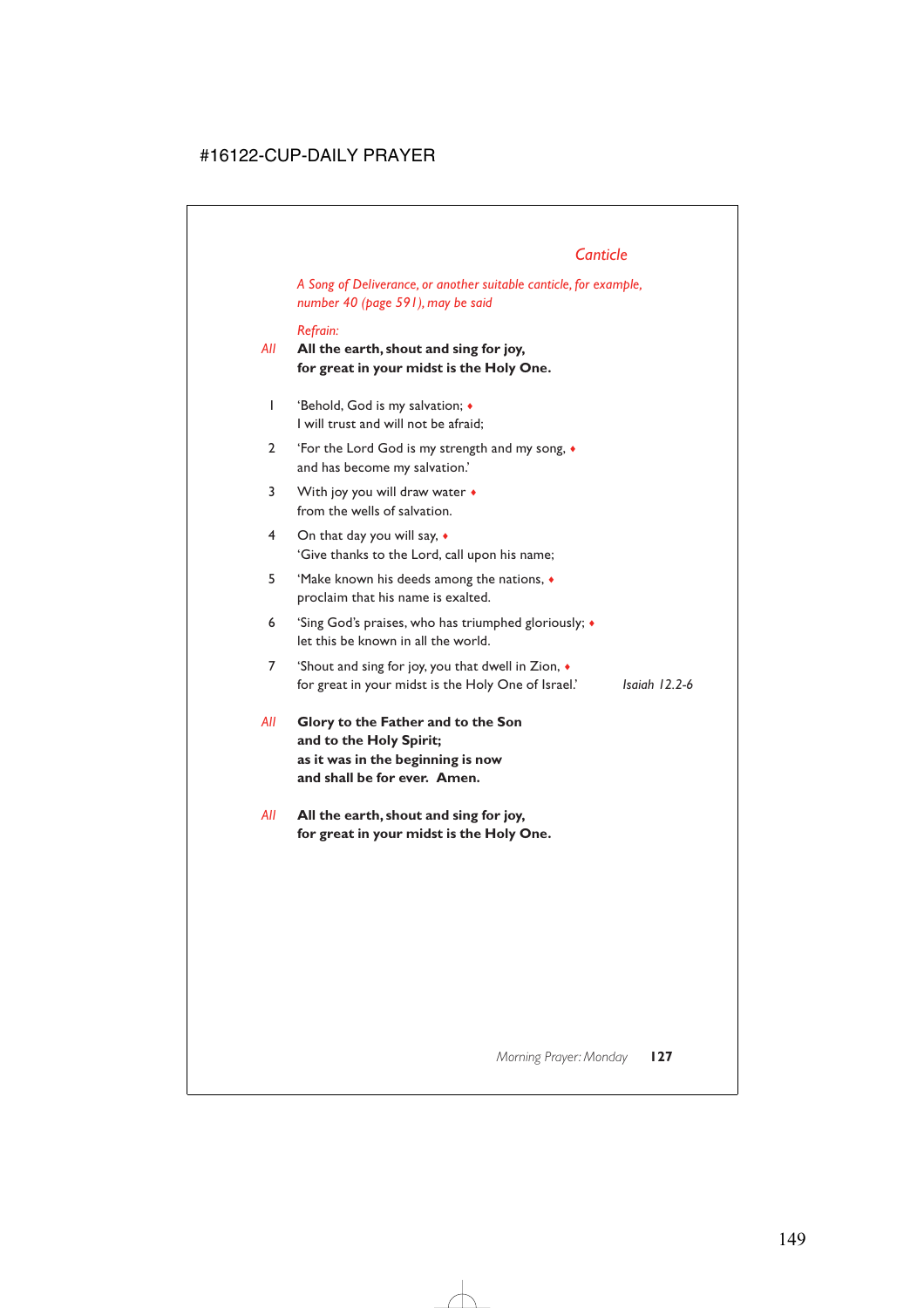# *Canticle*

*A Song of Deliverance, or another suitable canticle, for example, number 40 (page 591), may be said*

### *Refrain:*

- *All* **All the earth, shout and sing for joy, for great in your midst is the Holy One.**
	- 1 'Behold, God is my salvation; ♦ I will trust and will not be afraid;
	- 2 'For the Lord God is my strength and my song, ♦ and has become my salvation.'
	- 3 With joy you will draw water  $\bullet$ from the wells of salvation.
	- 4 On that day you will say, ♦ 'Give thanks to the Lord, call upon his name;
	- 5 'Make known his deeds among the nations, ♦ proclaim that his name is exalted.
	- 6 'Sing God's praises, who has triumphed gloriously; ♦ let this be known in all the world.
	- 7 'Shout and sing for joy, you that dwell in Zion, ♦ for great in your midst is the Holy One of Israel.' *Isaiah 12.2-6*
- *All* **Glory to the Father and to the Son and to the Holy Spirit; as it was in the beginning is now and shall be for ever. Amen.**
- *All* **All the earth, shout and sing for joy, for great in your midst is the Holy One.**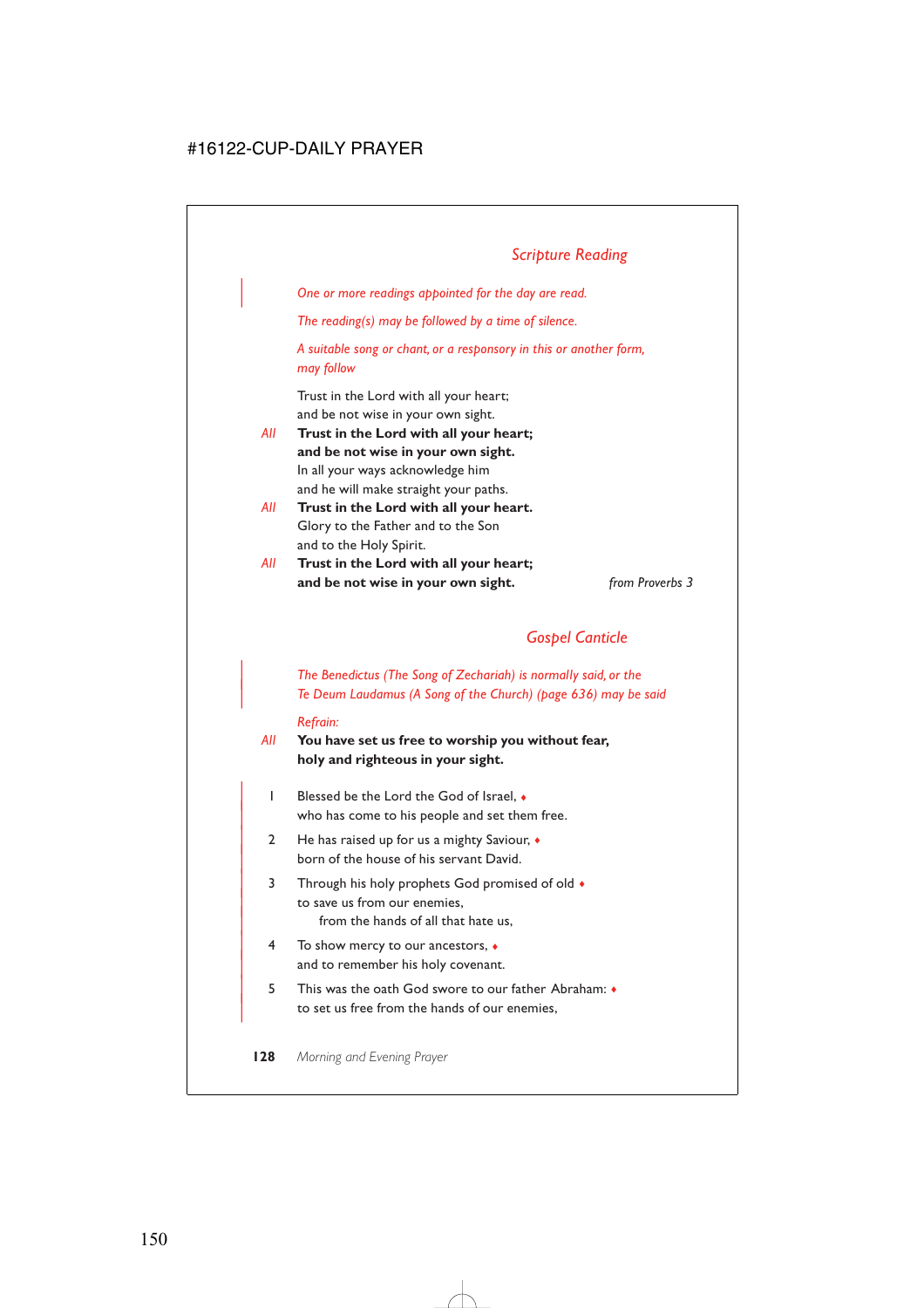# *Scripture Reading*

| *One or more readings appointed for the day are read.*

*The reading(s) may be followed by a time of silence.*

*A suitable song or chant, or a responsory in this or another form, may follow*

Trust in the Lord with all your heart; and be not wise in your own sight.

- *All* **Trust in the Lord with all your heart; and be not wise in your own sight.** In all your ways acknowledge him and he will make straight your paths.
- *All* **Trust in the Lord with all your heart.** Glory to the Father and to the Son and to the Holy Spirit.
- *All* **Trust in the Lord with all your heart; and be not wise in your own sight.** *from Proverbs 3*

### *Gospel Canticle*

### | *The Benedictus (The Song of Zechariah) is normally said, or the* | *Te Deum Laudamus (A Song of the Church) (page 636) may be said*

#### *Refrain:*

- *All* **You have set us free to worship you without fear, holy and righteous in your sight.**
	- $\blacksquare$  Blessed be the Lord the God of Israel  $\blacklozenge$ who has come to his people and set them free.
	- 2 He has raised up for us a mighty Saviour,  $\bullet$ born of the house of his servant David.
	- 3 Through his holy prophets God promised of old  $\bullet$ to save us from our enemies. from the hands of all that hate us,
	- | 4 To show mercy to our ancestors, ♦ and to remember his holy covenant.
	- | 5 This was the oath God swore to our father Abraham: ♦ to set us free from the hands of our enemies.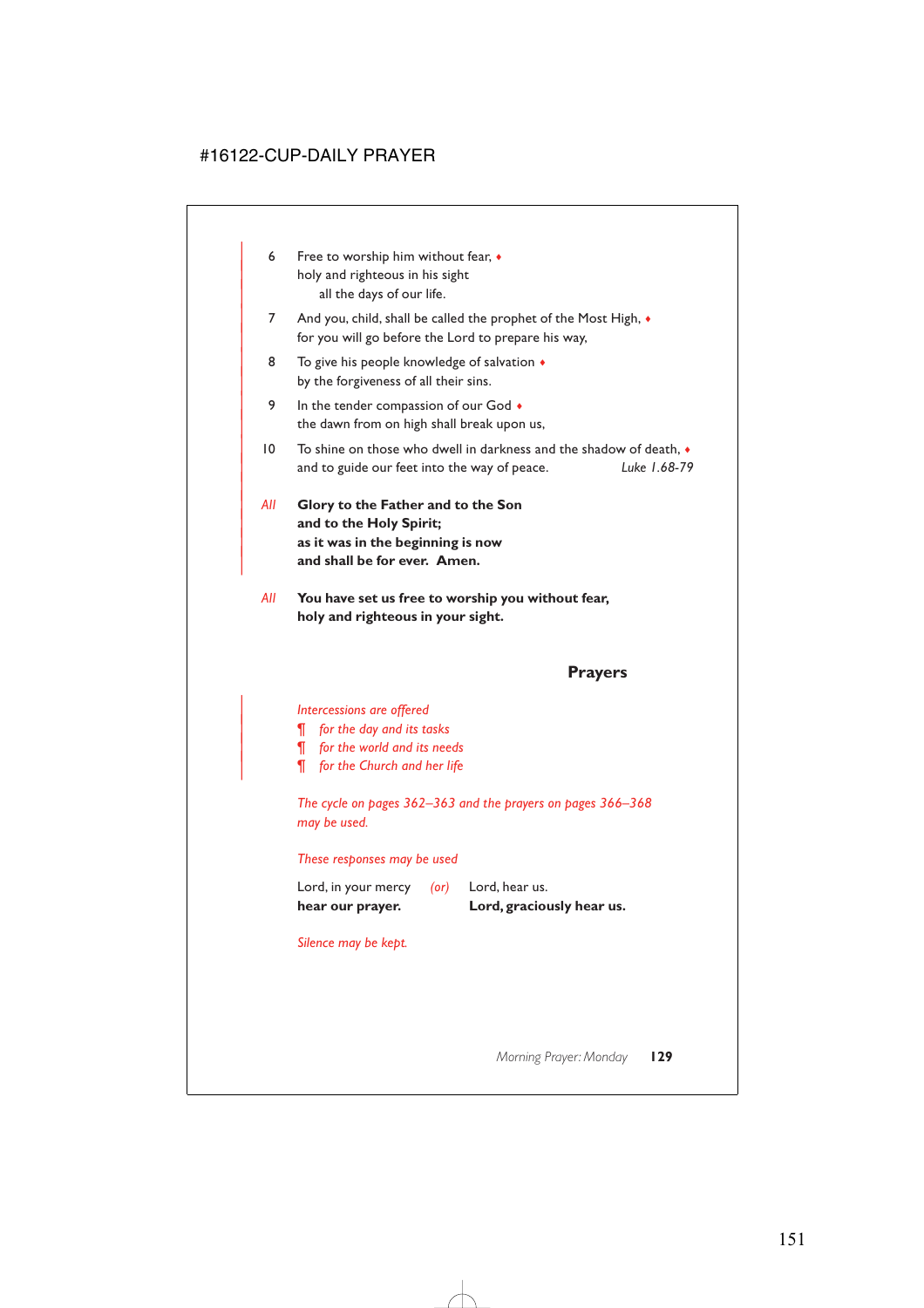- 6 Free to worship him without fear,  $\bullet$ holy and righteous in his sight all the days of our life.
- 7 And you, child, shall be called the prophet of the Most High,  $\bullet$ for you will go before the Lord to prepare his way,
- 8 To give his people knowledge of salvation  $\triangleleft$ by the forgiveness of all their sins.
- 9 In the tender compassion of our God  $\bullet$ the dawn from on high shall break upon us,
- $| 0 \rangle$  To shine on those who dwell in darkness and the shadow of death. | and to guide our feet into the way of peace. *Luke 1.68-79*
- | *All* **Glory to the Father and to the Son** and to the Holy Spirit; | **as it was in the beginning is now** and shall be for ever. Amen.

|

*All* **You have set us free to worship you without fear, holy and righteous in your sight.**

### **Prayers**

### | *Intercessions are offered*

- | *¶ for the day and its tasks*
- | *¶ for the world and its needs*
- | *¶ for the Church and her life*

*The cycle on pages 362–363 and the prayers on pages 366–368 may be used.*

### *These responses may be used*

| hear our prayer.    |      | Lord, graciously hear us. |
|---------------------|------|---------------------------|
| Lord, in your mercy | (or) | Lord, hear us.            |

### *Silence may be kept.*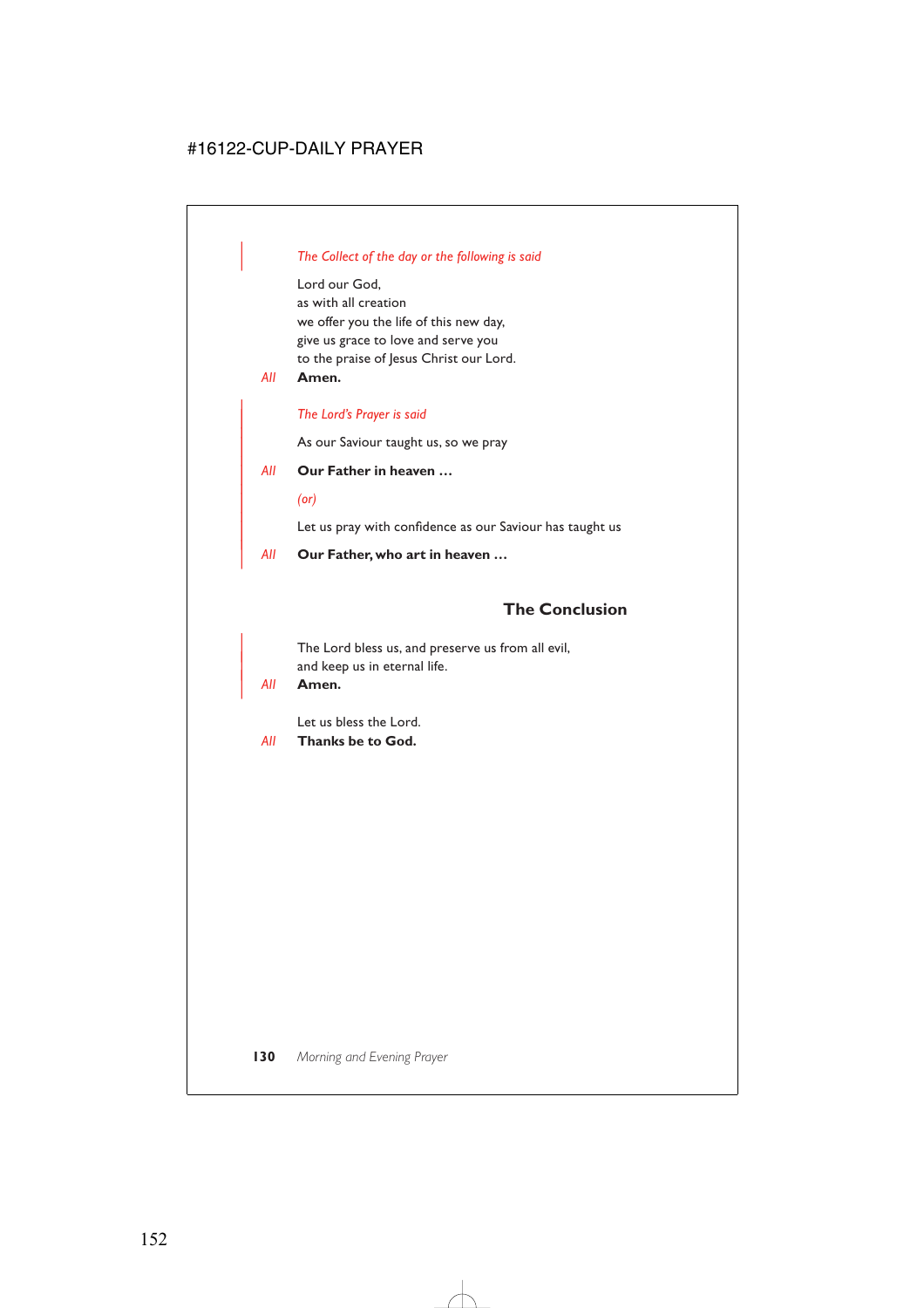### | *The Collect of the day or the following is said*

Lord our God, as with all creation we offer you the life of this new day, give us grace to love and serve you to the praise of Jesus Christ our Lord.

*All* **Amen.**

#### <sup>|</sup> *The Lord's Prayer is said* <sup>|</sup>

As our Saviour taught us, so we pray

### <sup>|</sup> *All* **Our Father in heaven …** <sup>|</sup>

<sup>|</sup> *(or)* <sup>|</sup>

Let us pray with confidence as our Saviour has taught us

| *All* **Our Father, who art in heaven …**

# **The Conclusion**

The Lord bless us, and preserve us from all evil, and keep us in eternal life.

### | *All* **Amen.**

Let us bless the Lord.

*All* **Thanks be to God.**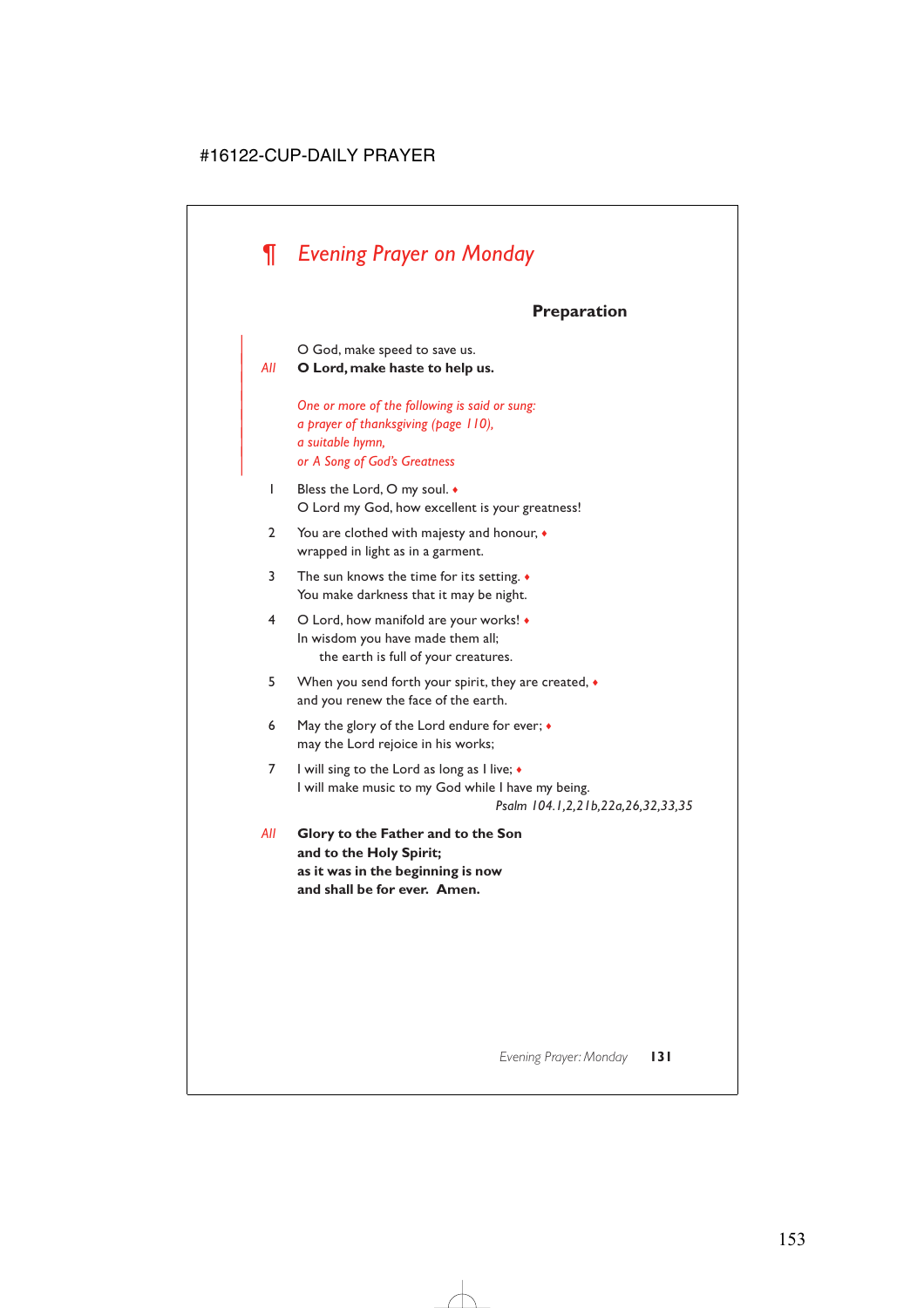# *¶ Evening Prayer on Monday*

# **Preparation**

| O God, make speed to save us.

| *All* **O Lord, make haste to help us.**

|

| *One or more of the following is said or sung:* | *a prayer of thanksgiving (page 110),* | *a suitable hymn,* | *or A Song of God's Greatness*

- 1 Bless the Lord, O my soul. ♦ O Lord my God, how excellent is your greatness!
- 2 You are clothed with majesty and honour,  $\bullet$ wrapped in light as in a garment.
- 3 The sun knows the time for its setting. ♦ You make darkness that it may be night.
- 4 O Lord, how manifold are your works! ♦ In wisdom you have made them all; the earth is full of your creatures.
- 5 When you send forth your spirit, they are created, ♦ and you renew the face of the earth.
- 6 May the glory of the Lord endure for ever;  $\bullet$ may the Lord rejoice in his works;
- 7 I will sing to the Lord as long as I live; ◆ I will make music to my God while I have my being.

*Psalm 104.1,2,21b,22a,26,32,33,35*

*All* **Glory to the Father and to the Son and to the Holy Spirit; as it was in the beginning is now and shall be for ever. Amen.**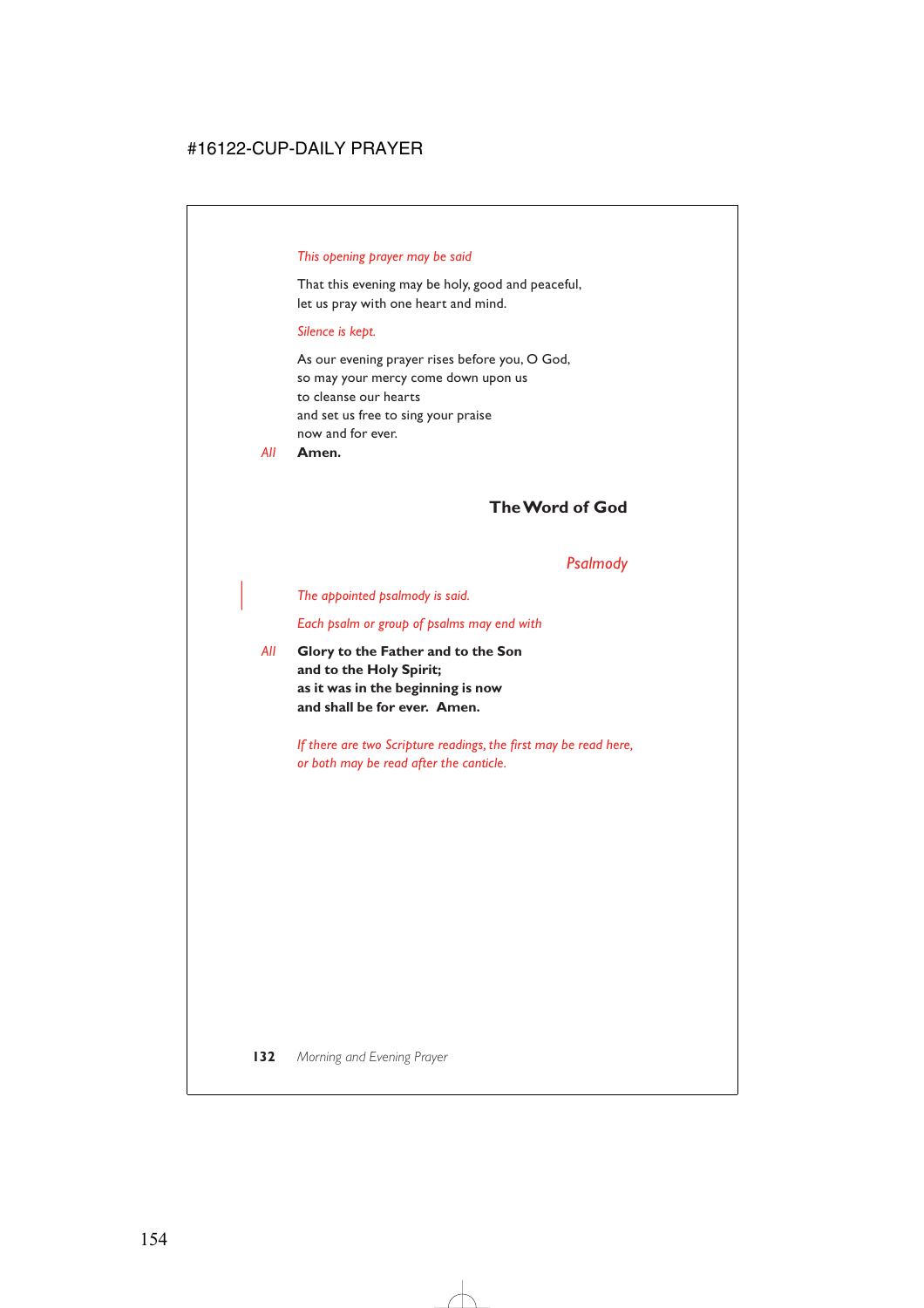### *This opening prayer may be said*

That this evening may be holy, good and peaceful, let us pray with one heart and mind.

### *Silence is kept.*

As our evening prayer rises before you, O God, so may your mercy come down upon us to cleanse our hearts and set us free to sing your praise now and for ever.

*All* **Amen.**

# **The Word of God**

### *Psalmody*

| *The appointed psalmody is said.*

*Each psalm or group of psalms may end with*

*All* **Glory to the Father and to the Son and to the Holy Spirit; as it was in the beginning is now and shall be for ever. Amen.**

> *If there are two Scripture readings, the first may be read here, or both may be read after the canticle.*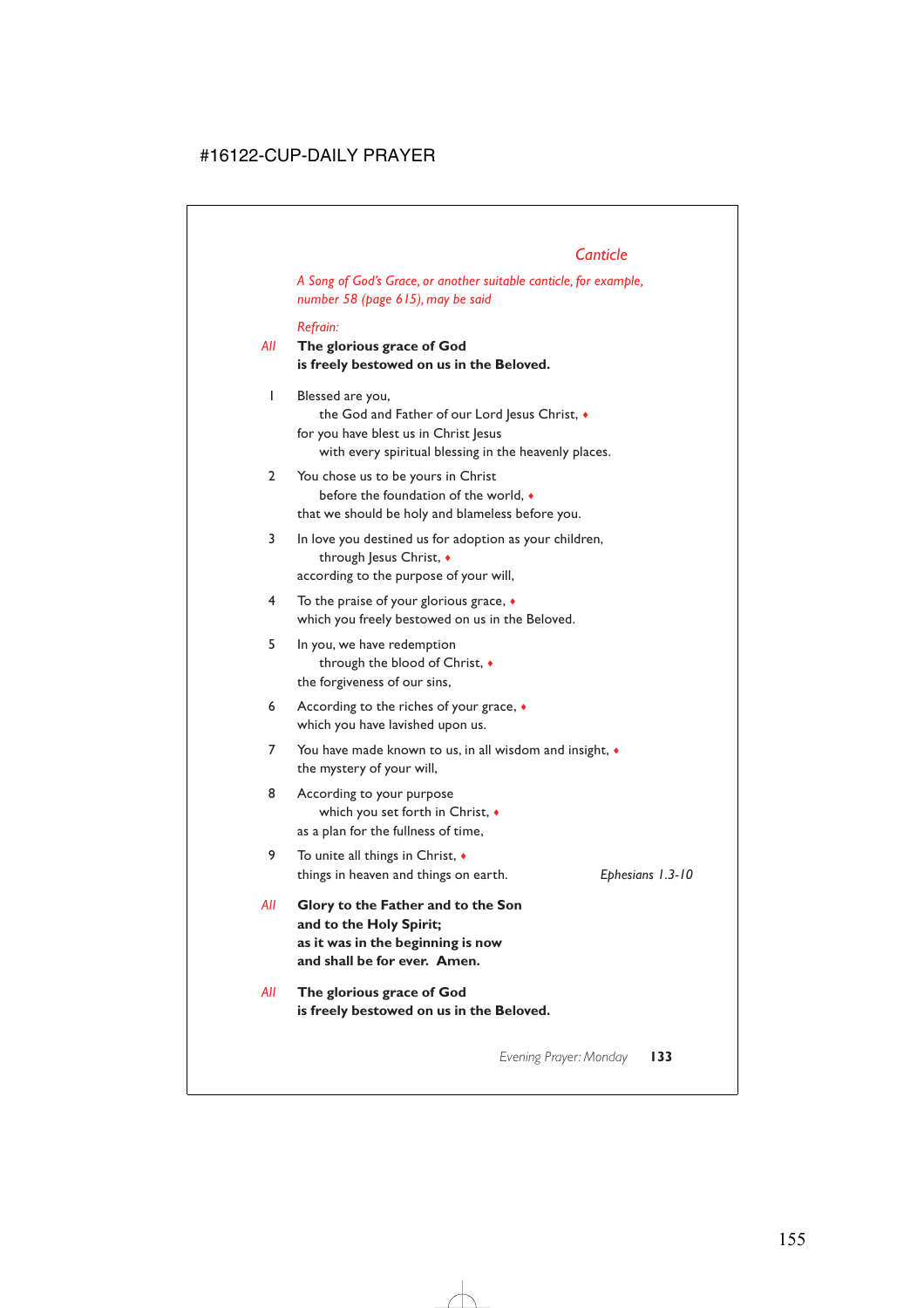# *Canticle*

*A Song of God's Grace, or another suitable canticle, for example, number 58 (page 615), may be said*

#### *Refrain:*

### *All* **The glorious grace of God is freely bestowed on us in the Beloved.**

- 1 Blessed are you, the God and Father of our Lord Jesus Christ,  $\bullet$ for you have blest us in Christ Jesus with every spiritual blessing in the heavenly places.
- 2 You chose us to be yours in Christ before the foundation of the world, ♦ that we should be holy and blameless before you.
- 3 In love you destined us for adoption as your children, through Jesus Christ,  $\bullet$ according to the purpose of your will,
- 4 To the praise of your glorious grace, ♦ which you freely bestowed on us in the Beloved.
- 5 In you, we have redemption through the blood of Christ, ♦ the forgiveness of our sins,
- 6 According to the riches of your grace, ♦ which you have lavished upon us.
- 7 You have made known to us, in all wisdom and insight, ♦ the mystery of your will,
- 8 According to your purpose which you set forth in Christ, ♦ as a plan for the fullness of time,
- 9 To unite all things in Christ, ♦ things in heaven and things on earth. *Ephesians 1.3-10*
- *All* **Glory to the Father and to the Son and to the Holy Spirit; as it was in the beginning is now and shall be for ever. Amen.**
- *All* **The glorious grace of God is freely bestowed on us in the Beloved.**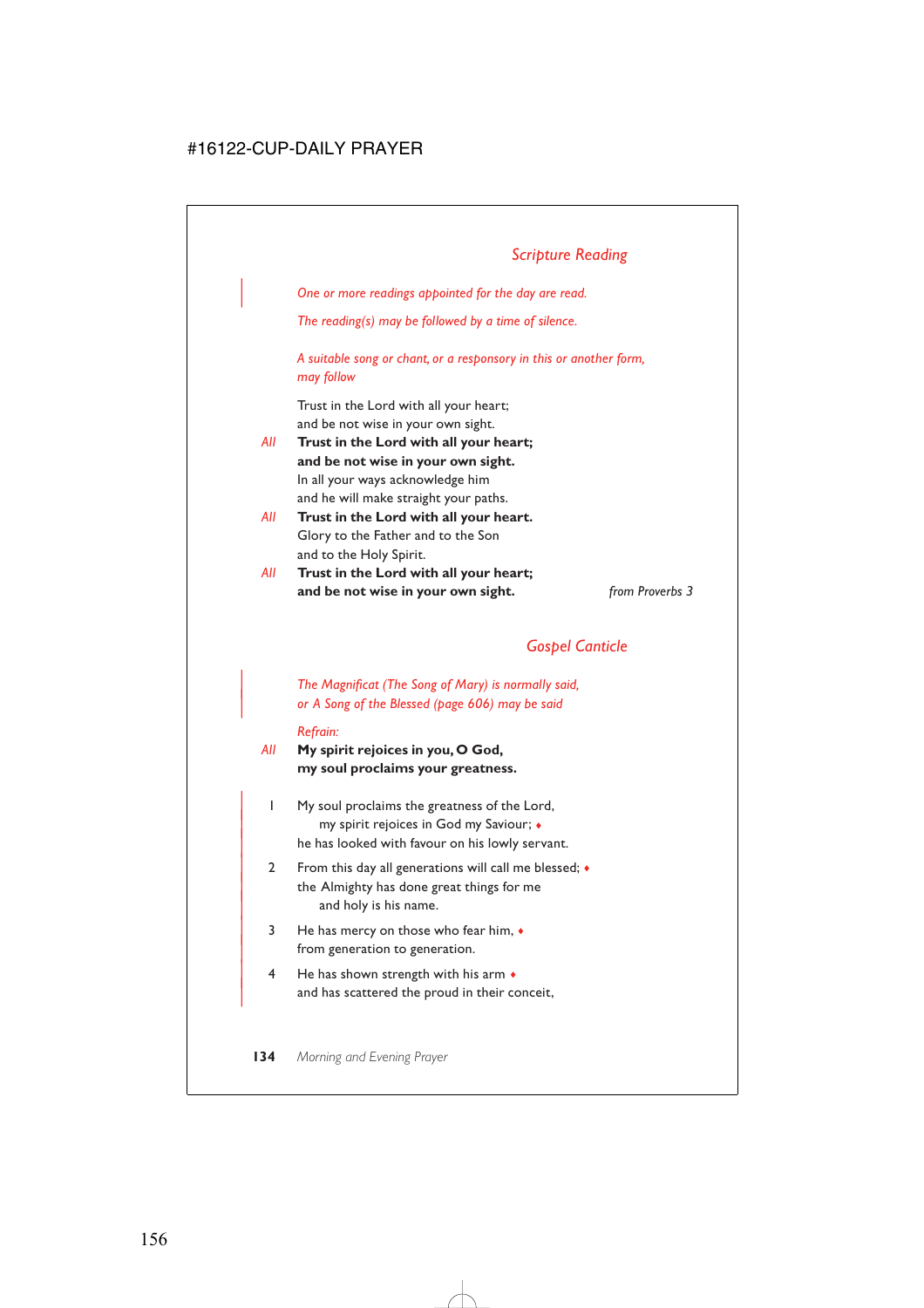| *One or more readings appointed for the day are read.*

*The reading(s) may be followed by a time of silence.*

*A suitable song or chant, or a responsory in this or another form, may follow*

Trust in the Lord with all your heart; and be not wise in your own sight.

- *All* **Trust in the Lord with all your heart; and be not wise in your own sight.** In all your ways acknowledge him and he will make straight your paths.
- *All* **Trust in the Lord with all your heart.** Glory to the Father and to the Son and to the Holy Spirit.
- *All* **Trust in the Lord with all your heart; and be not wise in your own sight.** *from Proverbs 3*

# *Gospel Canticle*

| *The Magnificat (The Song of Mary) is normally said,* | *or A Song of the Blessed (page 606) may be said*

#### *Refrain:*

*All* **My spirit rejoices in you, O God, my soul proclaims your greatness.**

- | 1 My soul proclaims the greatness of the Lord, | my spirit rejoices in God my Saviour; ♦ he has looked with favour on his lowly servant.
- 2 From this day all generations will call me blessed;  $\bullet$ the Almighty has done great things for me and holy is his name.
- $3$  He has mercy on those who fear him,  $\bullet$ from generation to generation.
- $4$  He has shown strength with his arm  $\bullet$ and has scattered the proud in their conceit,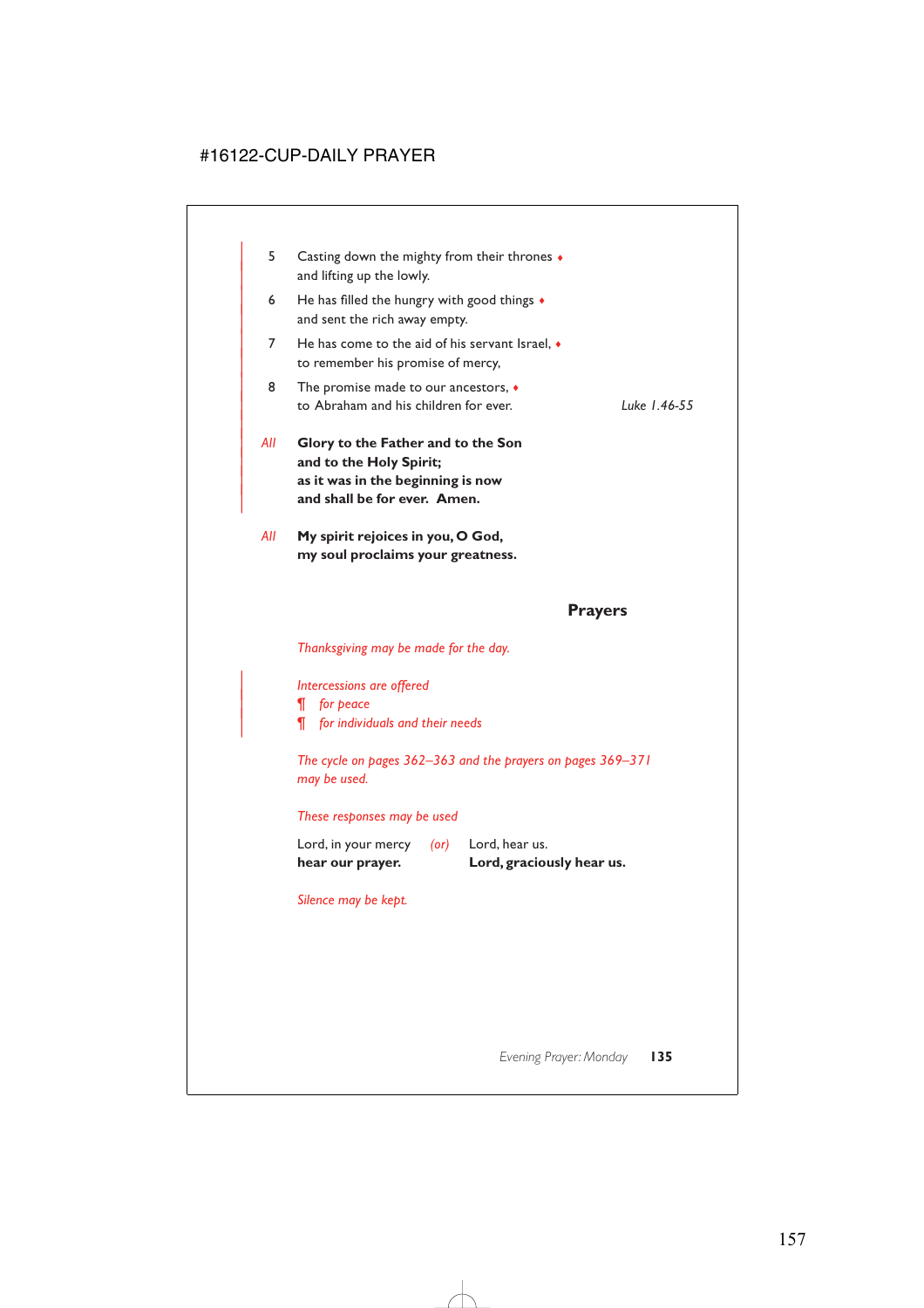| 5.  | Casting down the mighty from their thrones $\bullet$<br>and lifting up the lowly.                                                  |              |
|-----|------------------------------------------------------------------------------------------------------------------------------------|--------------|
| 6   | He has filled the hungry with good things $\bullet$<br>and sent the rich away empty.                                               |              |
| 7   | He has come to the aid of his servant Israel, $\bullet$<br>to remember his promise of mercy,                                       |              |
| 8   | The promise made to our ancestors, $\bullet$<br>to Abraham and his children for ever.                                              | Luke 1.46-55 |
|     |                                                                                                                                    |              |
| All | Glory to the Father and to the Son<br>and to the Holy Spirit;<br>as it was in the beginning is now<br>and shall be for ever. Amen. |              |

### **Prayers**

*Thanksgiving may be made for the day.*

| *Intercessions are offered*

| *¶ for peace*

| *¶ for individuals and their needs*

*The cycle on pages 362–363 and the prayers on pages 369–371 may be used.*

*These responses may be used*

Lord, in your mercy *(or)* Lord, hear us. **hear our prayer. Lord, graciously hear us.**

*Silence may be kept.*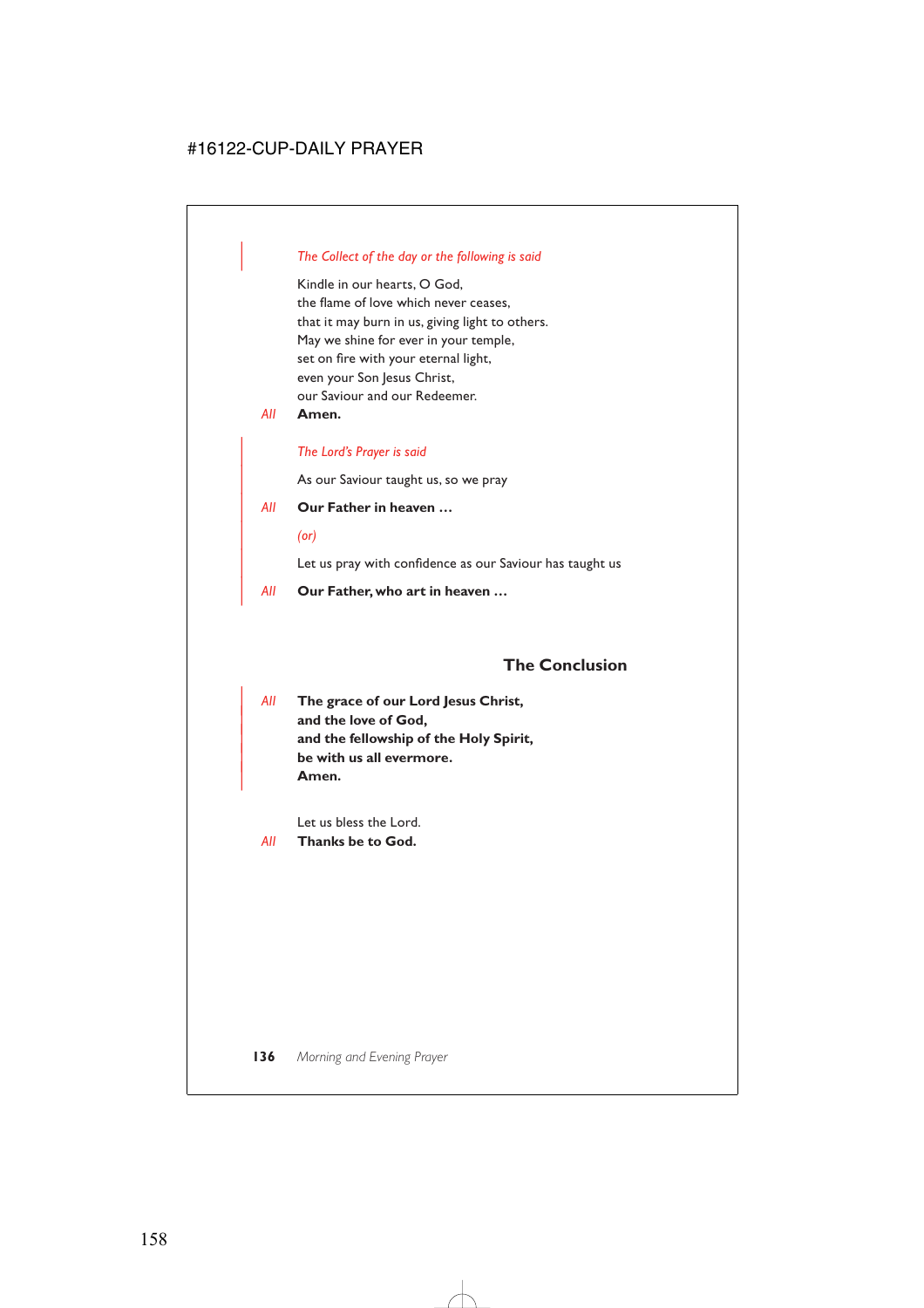### | *The Collect of the day or the following is said*

Kindle in our hearts, O God, the flame of love which never ceases, that it may burn in us, giving light to others. May we shine for ever in your temple, set on fire with your eternal light, even your Son Jesus Christ, our Saviour and our Redeemer.

*All* **Amen.**

### | *The Lord's Prayer is said*

As our Saviour taught us, so we pray

### | *All* **Our Father in heaven …**

| *(or)*

Let us pray with confidence as our Saviour has taught us

| *All* **Our Father, who art in heaven …**

## **The Conclusion**

| *All* **The grace of our Lord Jesus Christ,** and the love of God, | **and the fellowship of the Holy Spirit,** | **be with us all evermore.** | **Amen.**

Let us bless the Lord.

*All* **Thanks be to God.**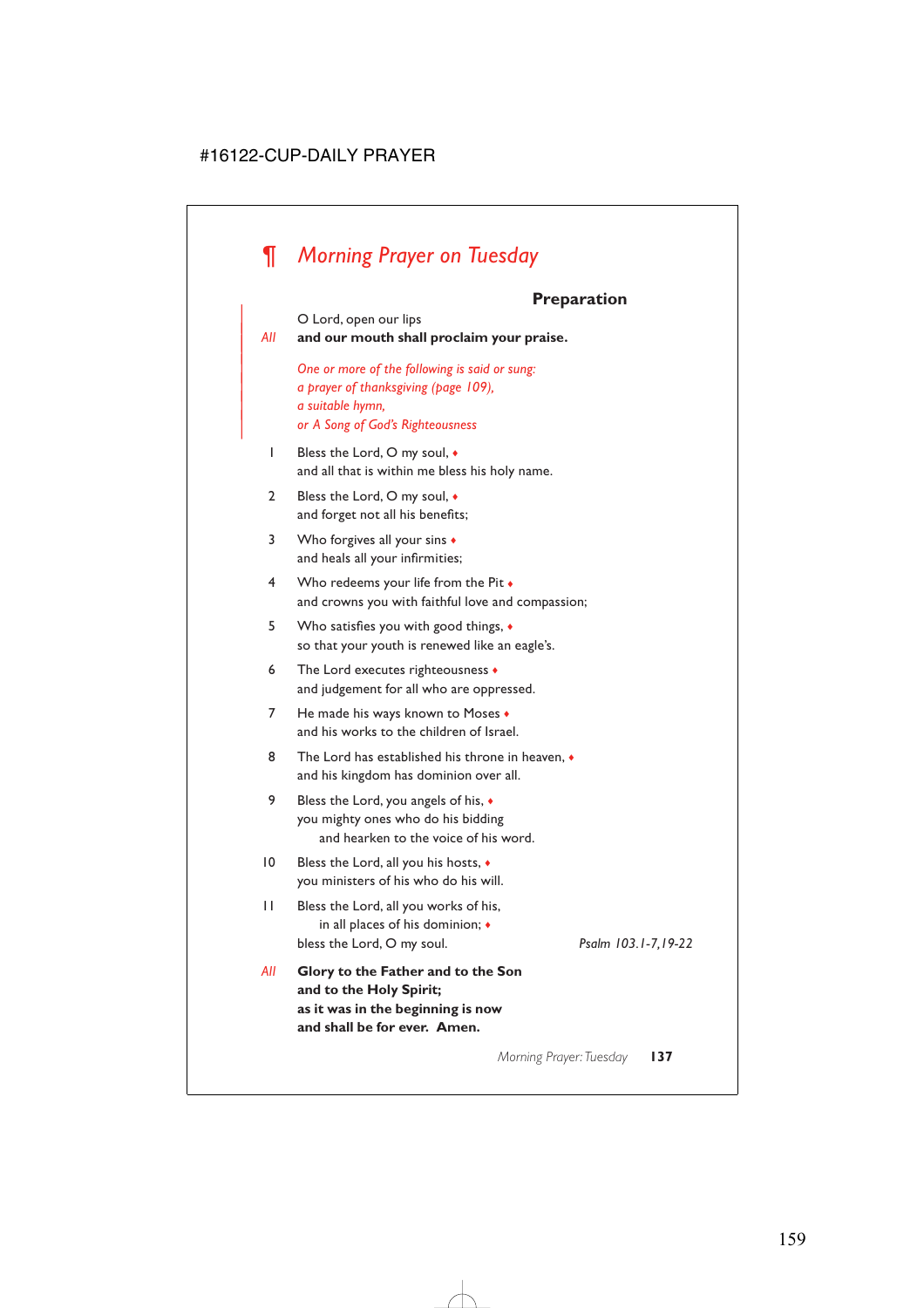# *¶ Morning Prayer on Tuesday*

# **Preparation**

|     | ι ι σραι ατινιι                                                                                                                               |
|-----|-----------------------------------------------------------------------------------------------------------------------------------------------|
| All | O Lord, open our lips<br>and our mouth shall proclaim your praise.                                                                            |
|     | One or more of the following is said or sung:<br>a prayer of thanksgiving (page 109),<br>a suitable hymn,<br>or A Song of God's Righteousness |
| I   | Bless the Lord, O my soul, •<br>and all that is within me bless his holy name.                                                                |
| 2   | Bless the Lord, O my soul, •<br>and forget not all his benefits;                                                                              |
| 3   | Who forgives all your sins +<br>and heals all your infirmities;                                                                               |
| 4   | Who redeems your life from the Pit •<br>and crowns you with faithful love and compassion;                                                     |
| 5   | Who satisfies you with good things, $\bullet$<br>so that your youth is renewed like an eagle's.                                               |
| 6   | The Lord executes righteousness •<br>and judgement for all who are oppressed.                                                                 |
| 7   | He made his ways known to Moses •<br>and his works to the children of Israel.                                                                 |
| 8   | The Lord has established his throne in heaven, $\bullet$<br>and his kingdom has dominion over all.                                            |
| 9   | Bless the Lord, you angels of his, •<br>you mighty ones who do his bidding<br>and hearken to the voice of his word.                           |
| 10  | Bless the Lord, all you his hosts, •<br>you ministers of his who do his will.                                                                 |
| П   | Bless the Lord, all you works of his,<br>in all places of his dominion; •<br>Psalm 103.1-7,19-22<br>bless the Lord, O my soul.                |
| All | Glory to the Father and to the Son<br>and to the Holy Spirit;<br>as it was in the beginning is now<br>and shall be for ever. Amen.            |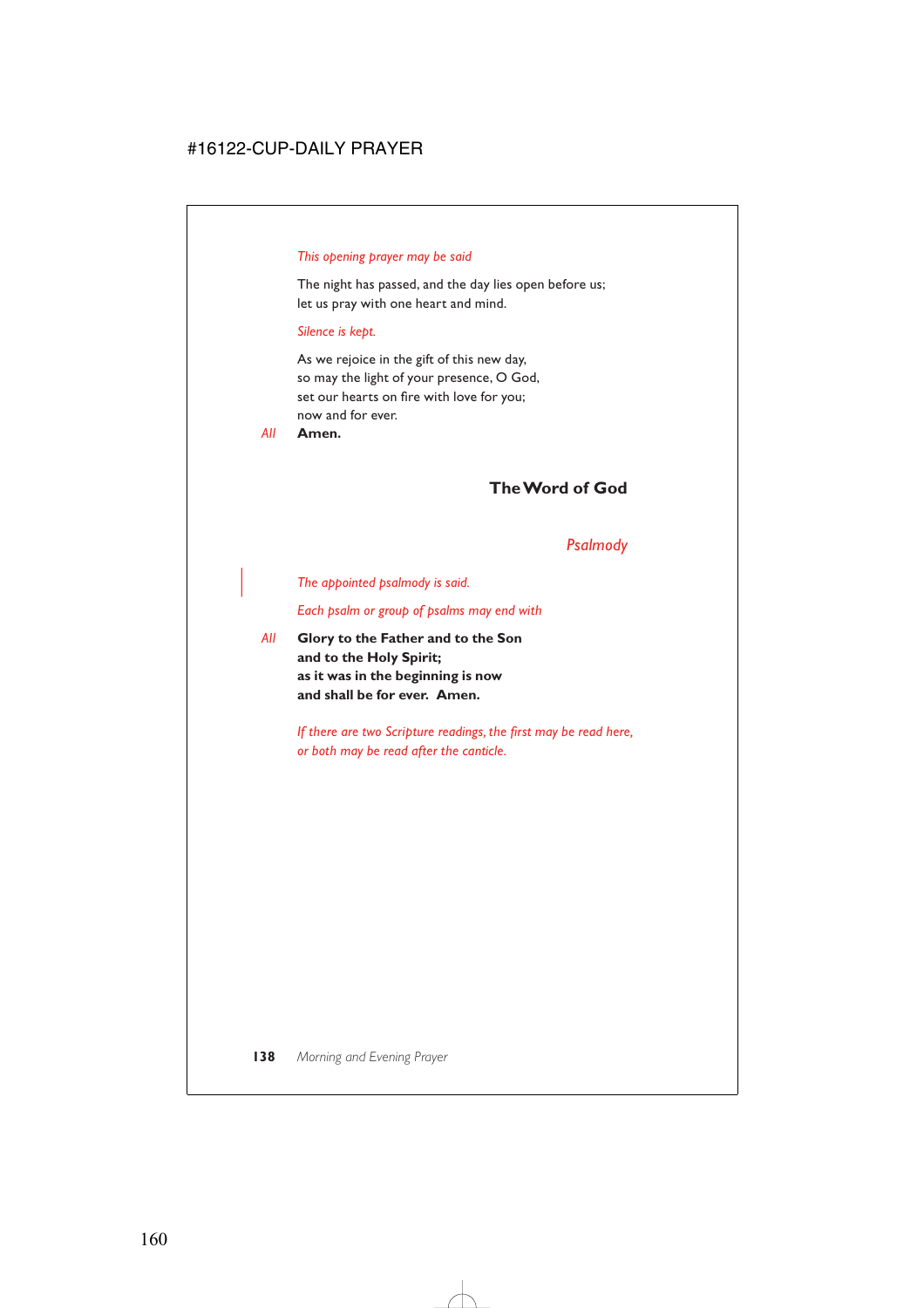### *This opening prayer may be said*

The night has passed, and the day lies open before us; let us pray with one heart and mind.

### *Silence is kept.*

As we rejoice in the gift of this new day, so may the light of your presence, O God, set our hearts on fire with love for you; now and for ever.

*All* **Amen.**

# **The Word of God**

## *Psalmody*

| *The appointed psalmody is said.*

*Each psalm or group of psalms may end with*

*All* **Glory to the Father and to the Son and to the Holy Spirit; as it was in the beginning is now and shall be for ever. Amen.**

> *If there are two Scripture readings, the first may be read here, or both may be read after the canticle.*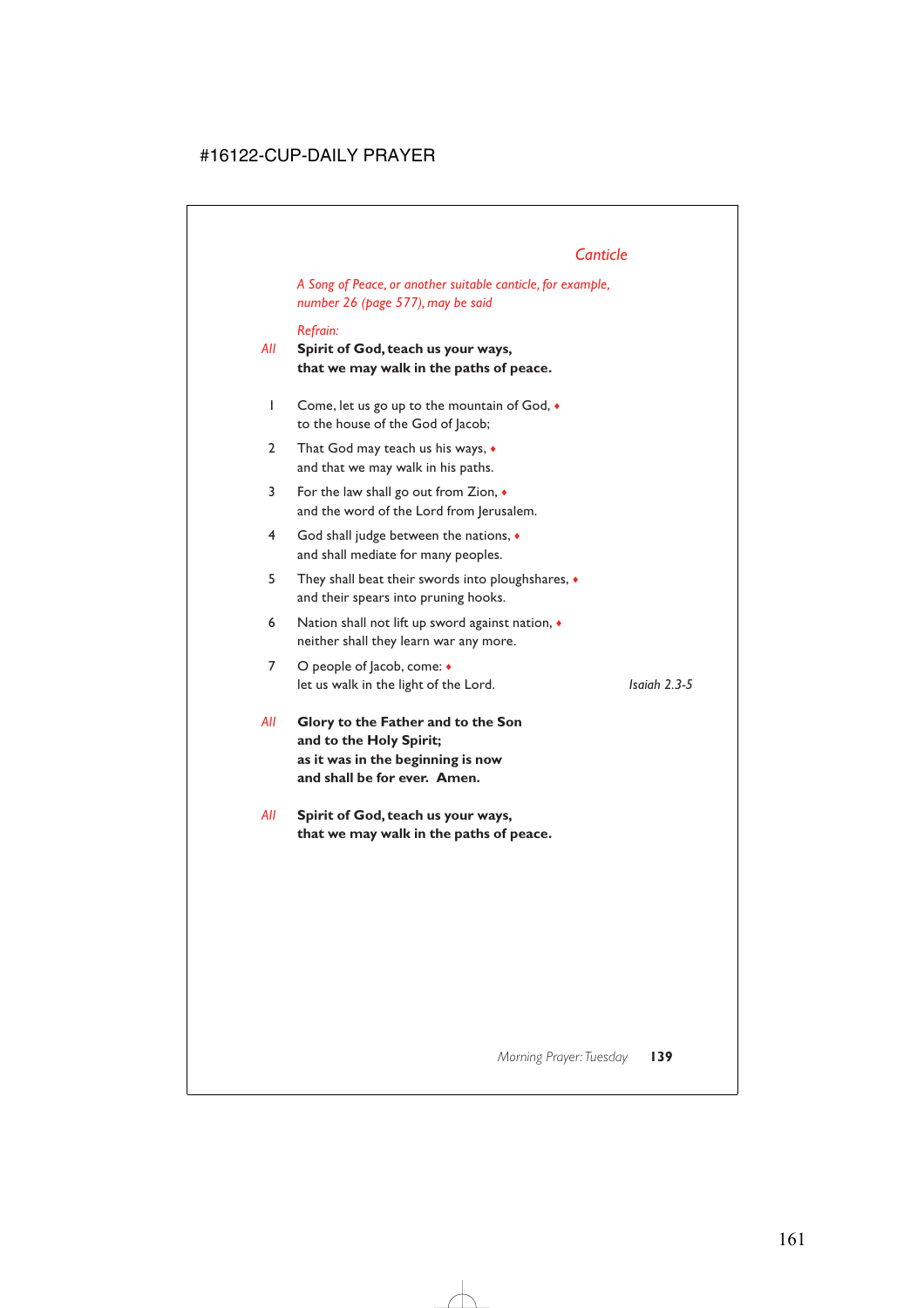# *Canticle*

*A Song of Peace, or another suitable canticle, for example, number 26 (page 577), may be said*

### *Refrain:*

- *All* **Spirit of God, teach us your ways, that we may walk in the paths of peace.**
	- 1 Come, let us go up to the mountain of God, ♦ to the house of the God of Jacob;
	- 2 That God may teach us his ways,  $\bullet$ and that we may walk in his paths.
	- 3 For the law shall go out from Zion, ♦ and the word of the Lord from Jerusalem.
	- 4 God shall judge between the nations, ♦ and shall mediate for many peoples.
	- 5 They shall beat their swords into ploughshares, ♦ and their spears into pruning hooks.
	- 6 Nation shall not lift up sword against nation,  $\triangleleft$ neither shall they learn war any more.
	- 7 O people of Jacob, come: ♦ let us walk in the light of the Lord. *Isaiah 2.3-5*

- *All* **Glory to the Father and to the Son and to the Holy Spirit; as it was in the beginning is now and shall be for ever. Amen.**
- *All* **Spirit of God, teach us your ways, that we may walk in the paths of peace.**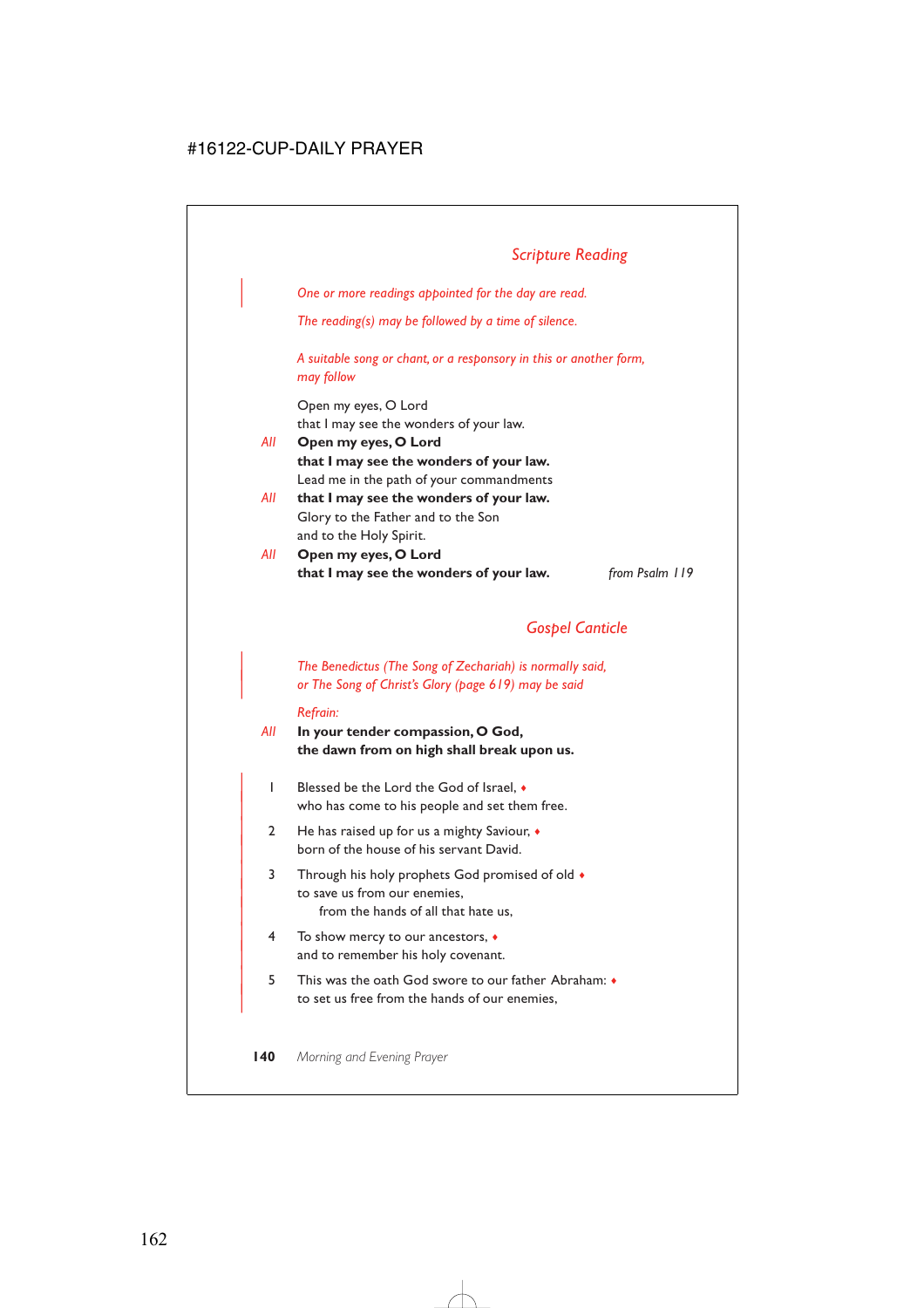# *Scripture Reading*

| *One or more readings appointed for the day are read.*

*The reading(s) may be followed by a time of silence.*

*A suitable song or chant, or a responsory in this or another form, may follow*

Open my eyes, O Lord that I may see the wonders of your law.

- *All* **Open my eyes, O Lord that I may see the wonders of your law.** Lead me in the path of your commandments
- *All* **that I may see the wonders of your law.** Glory to the Father and to the Son and to the Holy Spirit.
- *All* **Open my eyes, O Lord that I may see the wonders of your law.** *from Psalm 119*

## *Gospel Canticle*

| *The Benedictus (The Song of Zechariah) is normally said,* | *or The Song of Christ's Glory (page 619) may be said*

#### *Refrain:*

- *All* **In your tender compassion, O God, the dawn from on high shall break upon us.**
	- | 1 Blessed be the Lord the God of Israel, ♦ who has come to his people and set them free.
	- 2 He has raised up for us a mighty Saviour,  $\bullet$ born of the house of his servant David.
	- 3 Through his holy prophets God promised of old  $\bullet$ to save us from our enemies. from the hands of all that hate us,
	- | 4 To show mercy to our ancestors, ♦ and to remember his holy covenant.
	- | 5 This was the oath God swore to our father Abraham: ♦ to set us free from the hands of our enemies,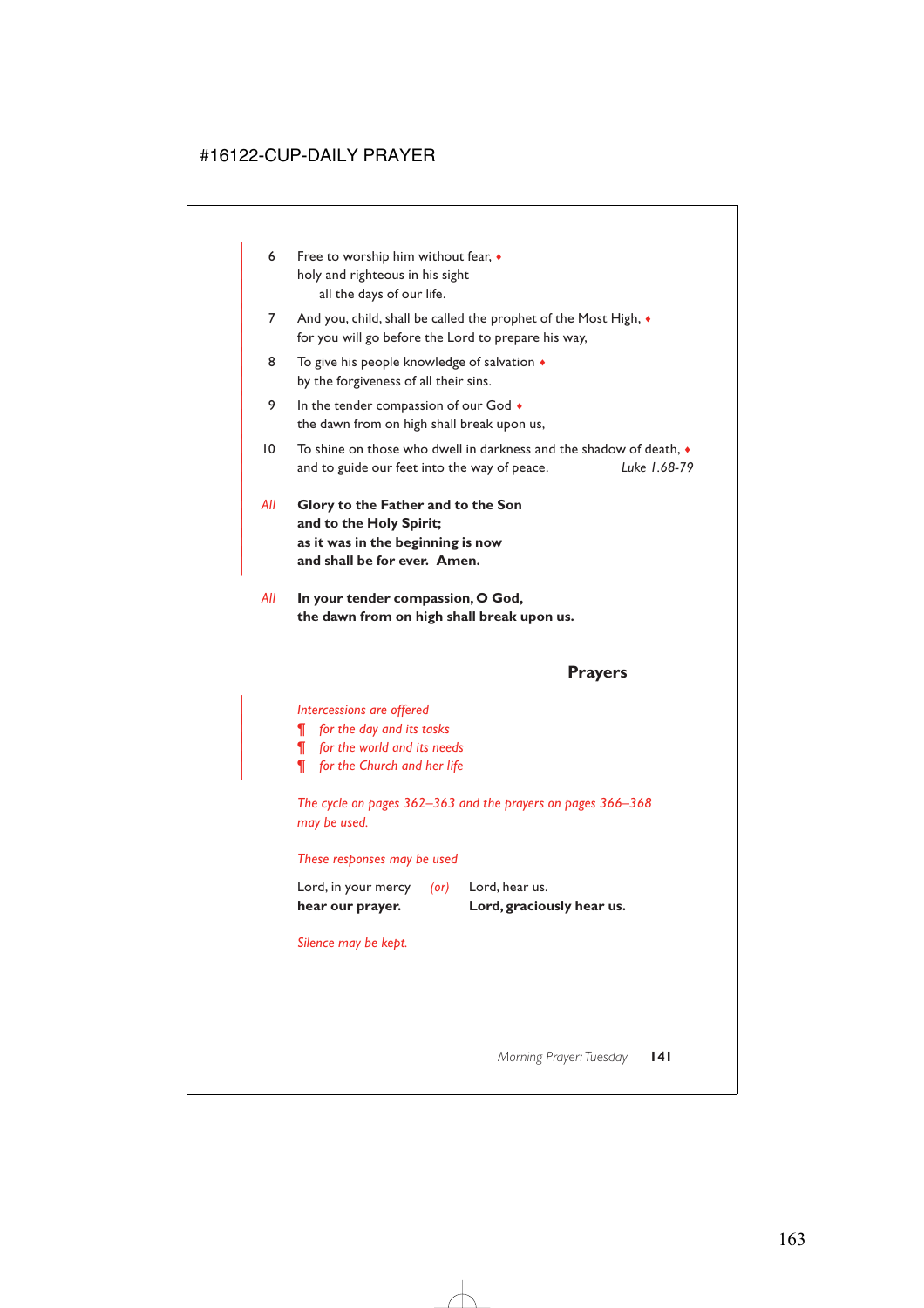- 6 Free to worship him without fear,  $\bullet$ holy and righteous in his sight all the days of our life.
- 7 And you, child, shall be called the prophet of the Most High,  $\bullet$ for you will go before the Lord to prepare his way,
- 8 To give his people knowledge of salvation  $\triangleleft$ by the forgiveness of all their sins.
- 9 In the tender compassion of our God  $\bullet$ the dawn from on high shall break upon us,
- $| 0 \rangle$  To shine on those who dwell in darkness and the shadow of death. | and to guide our feet into the way of peace. *Luke 1.68-79*
- | *All* **Glory to the Father and to the Son** and to the Holy Spirit; | **as it was in the beginning is now** and shall be for ever. Amen.

|

*All* **In your tender compassion, O God, the dawn from on high shall break upon us.**

## **Prayers**

#### | *Intercessions are offered*

- | *¶ for the day and its tasks*
- | *¶ for the world and its needs*
- | *¶ for the Church and her life*

*The cycle on pages 362–363 and the prayers on pages 366–368 may be used.*

### *These responses may be used*

| hear our prayer.    |            | Lord, graciously hear us. |
|---------------------|------------|---------------------------|
| Lord, in your mercy | $($ or $)$ | Lord, hear us.            |

### *Silence may be kept.*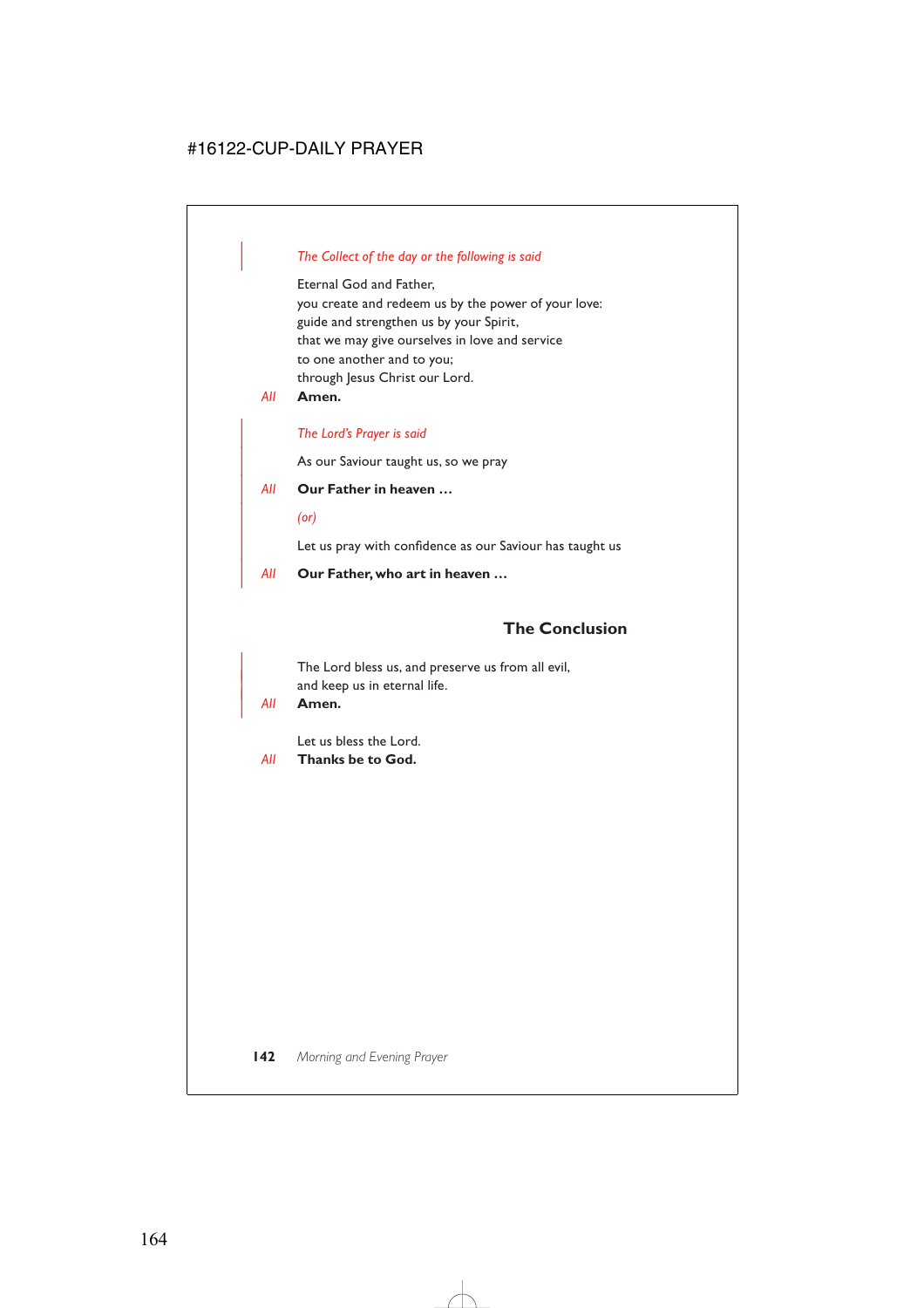### | *The Collect of the day or the following is said*

Eternal God and Father, you create and redeem us by the power of your love: guide and strengthen us by your Spirit, that we may give ourselves in love and service to one another and to you; through Jesus Christ our Lord.

*All* **Amen.**

### | *The Lord's Prayer is said*

As our Saviour taught us, so we pray

### | *All* **Our Father in heaven …**

| *(or)*

Let us pray with confidence as our Saviour has taught us

| *All* **Our Father, who art in heaven …**

# **The Conclusion**

The Lord bless us, and preserve us from all evil, and keep us in eternal life.

| *All* **Amen.**

Let us bless the Lord.

*All* **Thanks be to God.**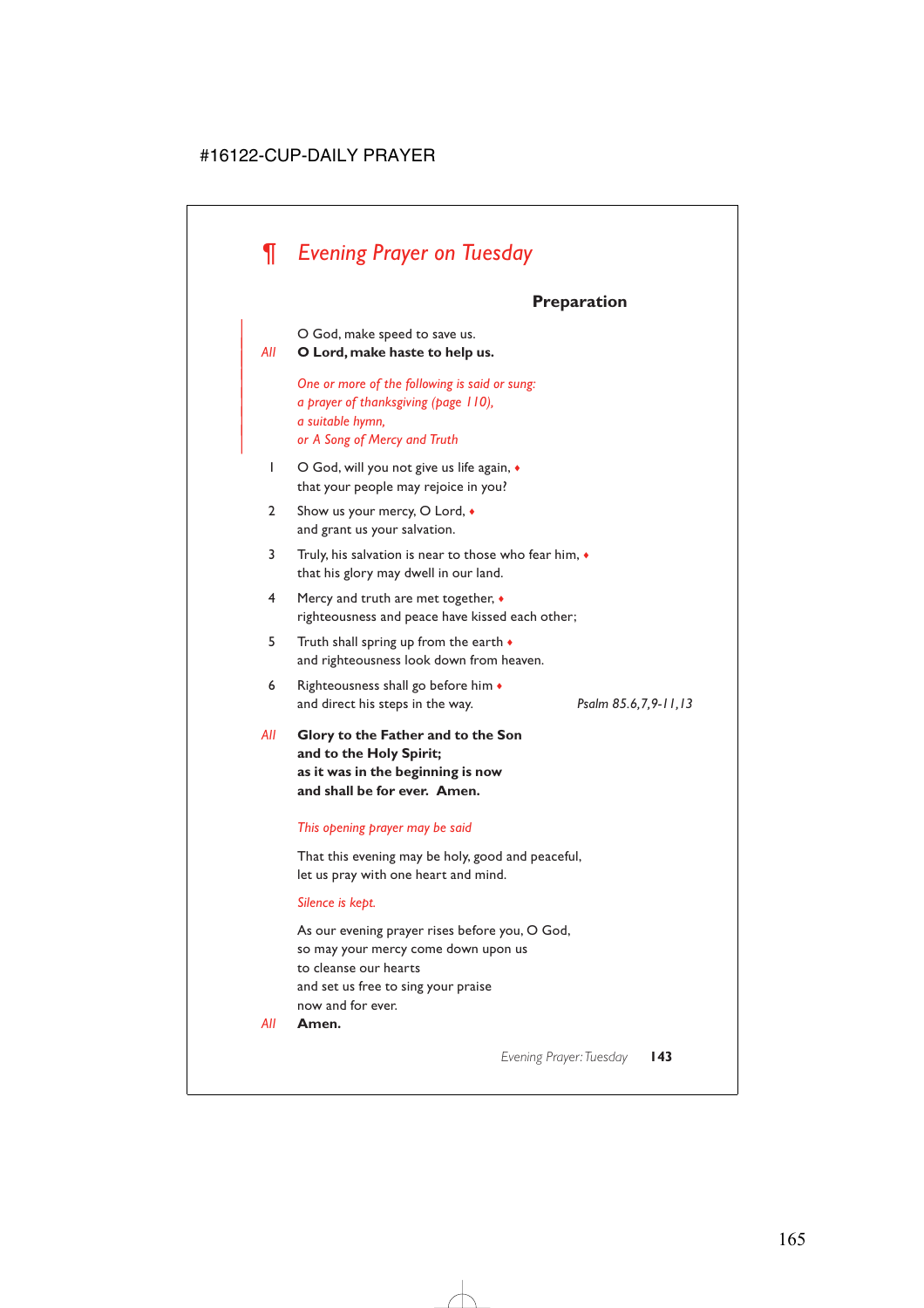# *¶ Evening Prayer on Tuesday*

# **Preparation**

O God, make speed to save us.

### <sup>|</sup> *All* **O Lord, make haste to help us.** <sup>|</sup>

| *One or more of the following is said or sung:* | *a prayer of thanksgiving (page 110),* | *a suitable hymn,* | *or A Song of Mercy and Truth*

- 1 O God, will you not give us life again,  $\bullet$ that your people may rejoice in you?
- 2 Show us your mercy, O Lord,  $\bullet$ and grant us your salvation.
- 3 Truly, his salvation is near to those who fear him, ♦ that his glory may dwell in our land.
- 4 Mercy and truth are met together, ♦ righteousness and peace have kissed each other;
- 5 Truth shall spring up from the earth  $\bullet$ and righteousness look down from heaven.
- 6 Righteousness shall go before him  $\bullet$ and direct his steps in the way. *Psalm 85.6,7,9-11,13*

*All* **Glory to the Father and to the Son and to the Holy Spirit; as it was in the beginning is now and shall be for ever. Amen.**

### *This opening prayer may be said*

That this evening may be holy, good and peaceful, let us pray with one heart and mind.

#### *Silence is kept.*

As our evening prayer rises before you, O God, so may your mercy come down upon us to cleanse our hearts and set us free to sing your praise now and for ever.

*All* **Amen.**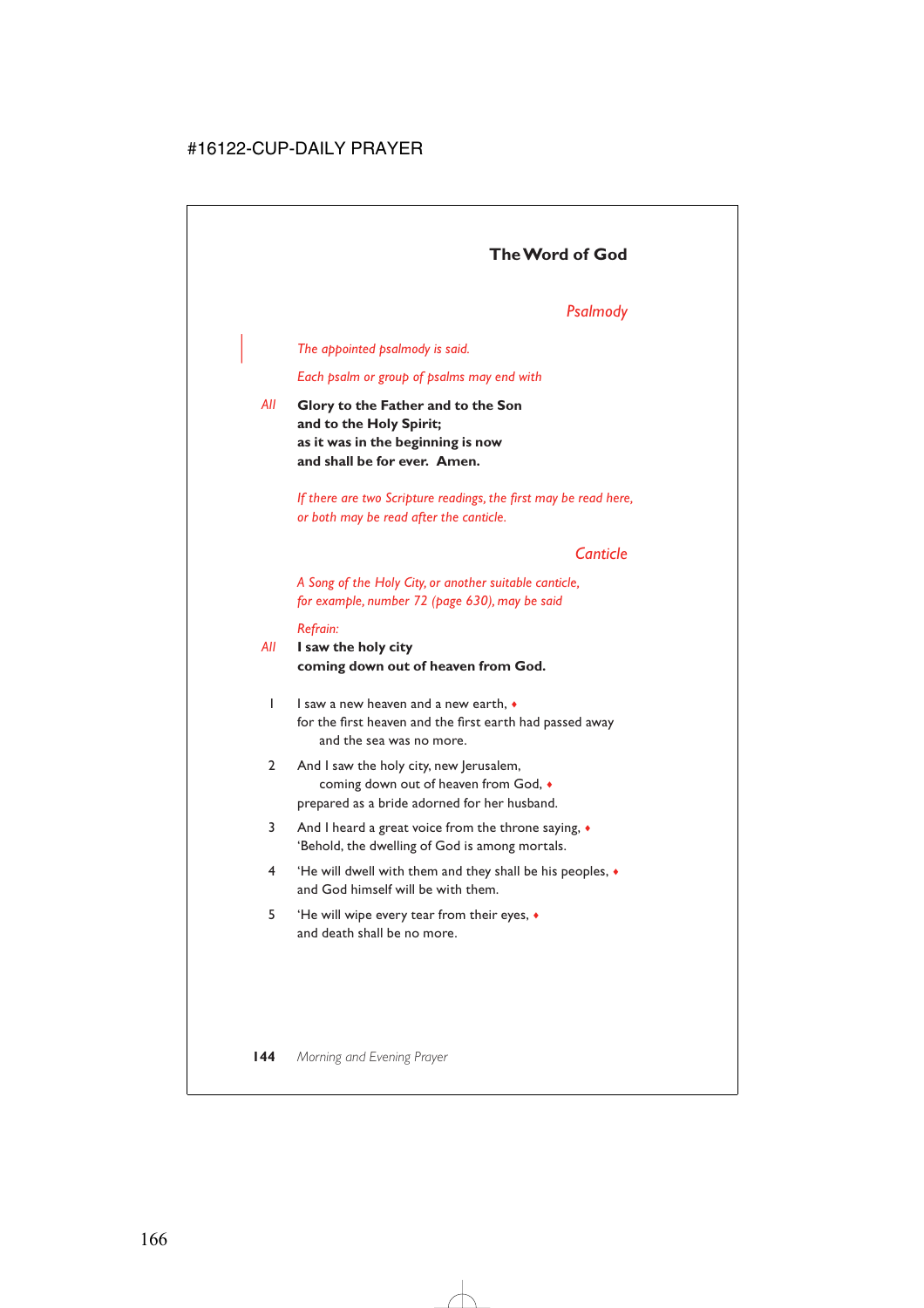# **The Word of God**

### *Psalmody*

### | *The appointed psalmody is said.*

*Each psalm or group of psalms may end with*

*All* **Glory to the Father and to the Son and to the Holy Spirit; as it was in the beginning is now and shall be for ever. Amen.**

> *If there are two Scripture readings, the first may be read here, or both may be read after the canticle.*

### *Canticle*

*A Song of the Holy City, or another suitable canticle, for example, number 72 (page 630), may be said*

#### *Refrain:*

### *All* **I saw the holy city coming down out of heaven from God.**

- 1 I saw a new heaven and a new earth, ♦ for the first heaven and the first earth had passed away and the sea was no more.
- 2 And I saw the holy city, new Jerusalem, coming down out of heaven from God, ♦ prepared as a bride adorned for her husband.
- 3 And I heard a great voice from the throne saying, ♦ 'Behold, the dwelling of God is among mortals.
- 4 'He will dwell with them and they shall be his peoples, ♦ and God himself will be with them.
- 5 'He will wipe every tear from their eyes, ♦ and death shall be no more.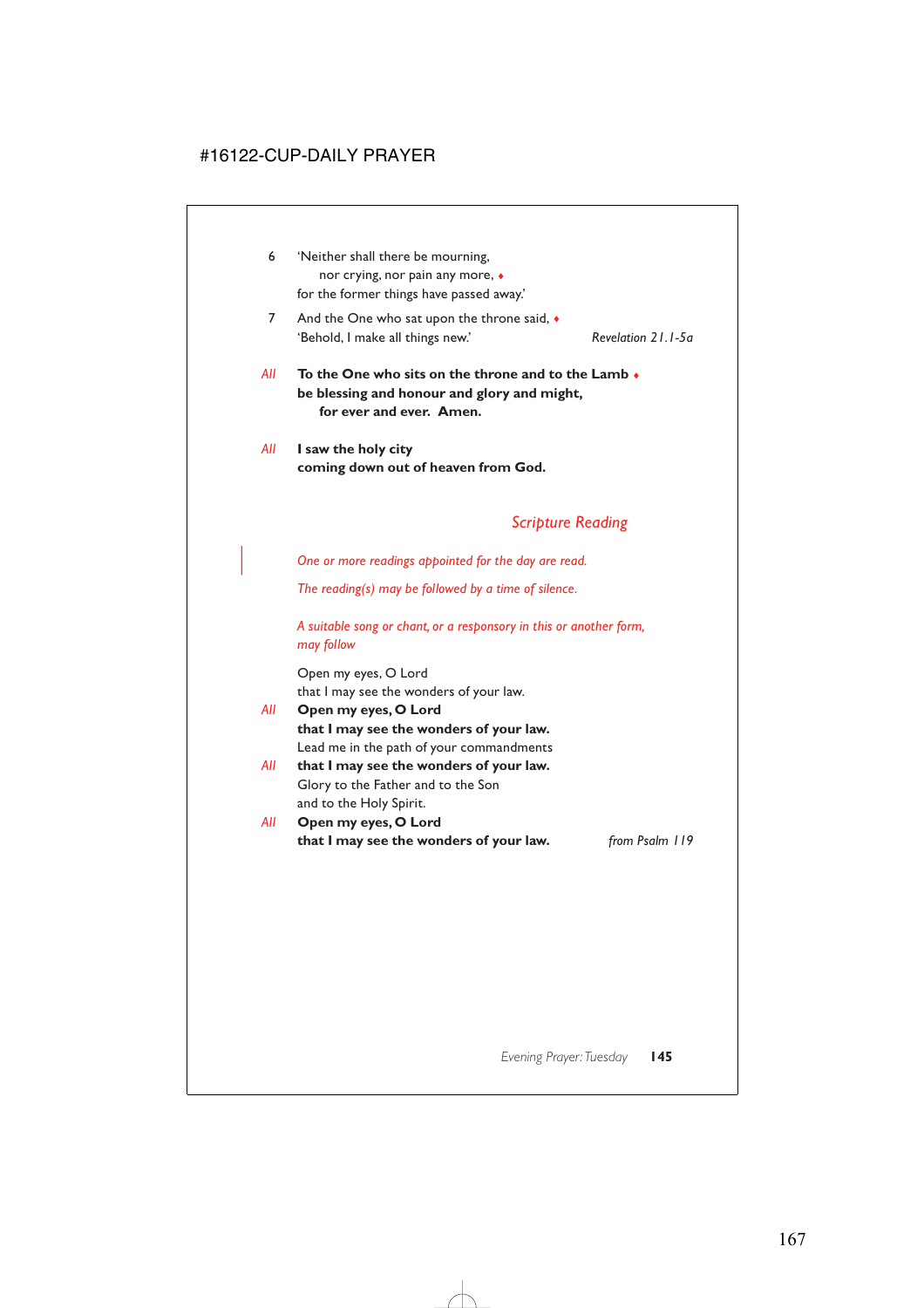- 6 'Neither shall there be mourning, nor crying, nor pain any more, ♦ for the former things have passed away.'
- 7 And the One who sat upon the throne said,  $\bullet$ 'Behold, I make all things new.' *Revelation 21.1-5a*

- *All* **To the One who sits on the throne and to the Lamb** ♦ **be blessing and honour and glory and might, for ever and ever. Amen.**
- *All* **I saw the holy city coming down out of heaven from God.**

## *Scripture Reading*

| *One or more readings appointed for the day are read.*

*The reading(s) may be followed by a time of silence.*

*A suitable song or chant, or a responsory in this or another form, may follow*

Open my eyes, O Lord that I may see the wonders of your law.

- *All* **Open my eyes, O Lord that I may see the wonders of your law.** Lead me in the path of your commandments
- *All* **that I may see the wonders of your law.** Glory to the Father and to the Son and to the Holy Spirit.
- *All* **Open my eyes, O Lord that I may see the wonders of your law.** *from Psalm 119*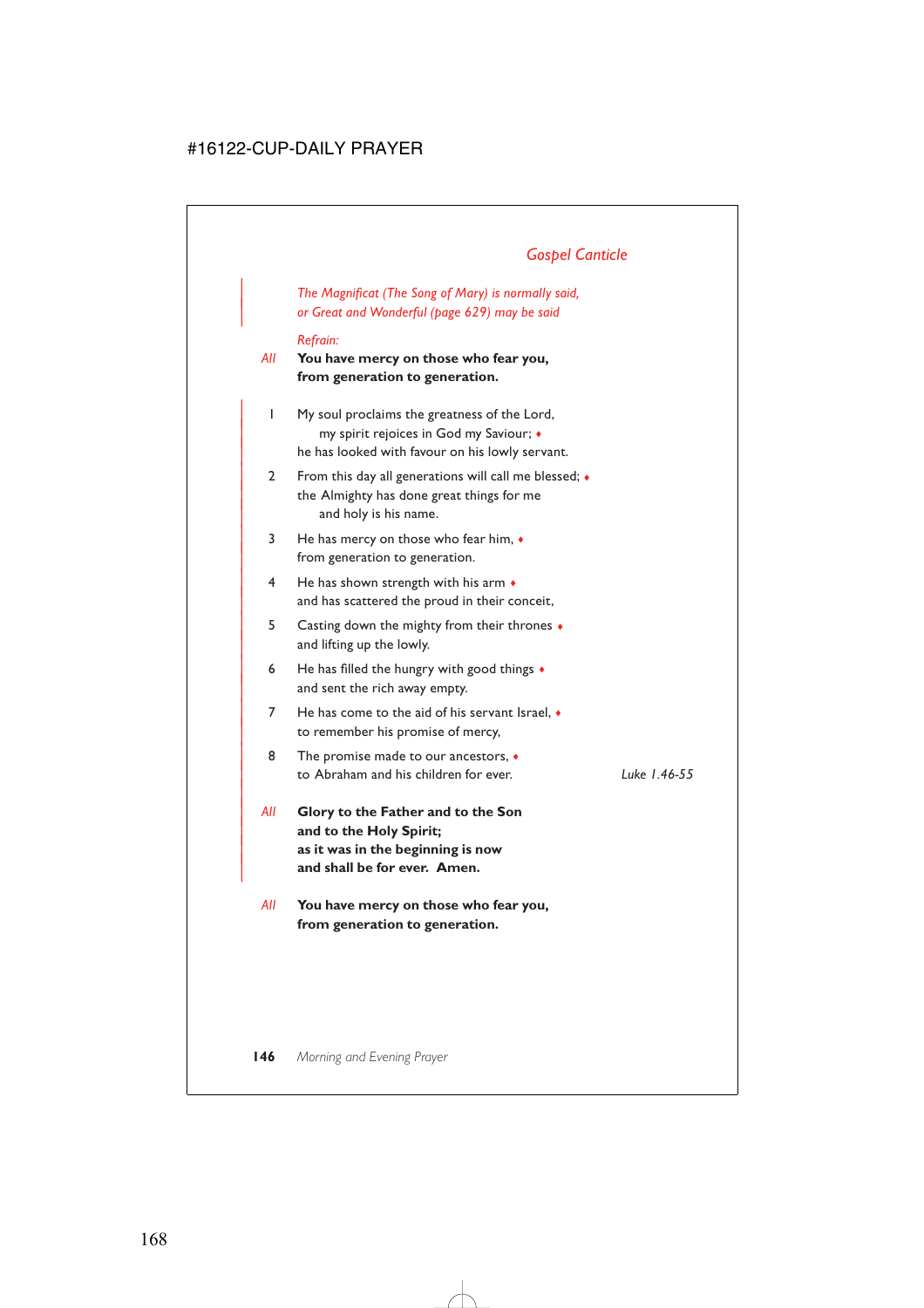# *Gospel Canticle*

| *The Magnificat (The Song of Mary) is normally said,* | *or Great and Wonderful (page 629) may be said*

#### *Refrain:*

*All* **You have mercy on those who fear you, from generation to generation.**

- | 1 My soul proclaims the greatness of the Lord, | my spirit rejoices in God my Saviour; ♦ he has looked with favour on his lowly servant.
- 2 From this day all generations will call me blessed;  $\bullet$ the Almighty has done great things for me and holy is his name.
- | 3 He has mercy on those who fear him, ♦ from generation to generation.
- $4$  He has shown strength with his arm  $\bullet$ and has scattered the proud in their conceit,
- | 5 Casting down the mighty from their thrones ♦ and lifting up the lowly.
- 6 He has filled the hungry with good things  $\bullet$ and sent the rich away empty.
- $7$  He has come to the aid of his servant Israel,  $\bullet$ to remember his promise of mercy,
- 8 The promise made to our ancestors,  $\bullet$ | to Abraham and his children for ever. *Luke 1.46-55*

|

- | *All* **Glory to the Father and to the Son** and to the Holy Spirit; | **as it was in the beginning is now** and shall be for ever. Amen.
- *All* **You have mercy on those who fear you, from generation to generation.**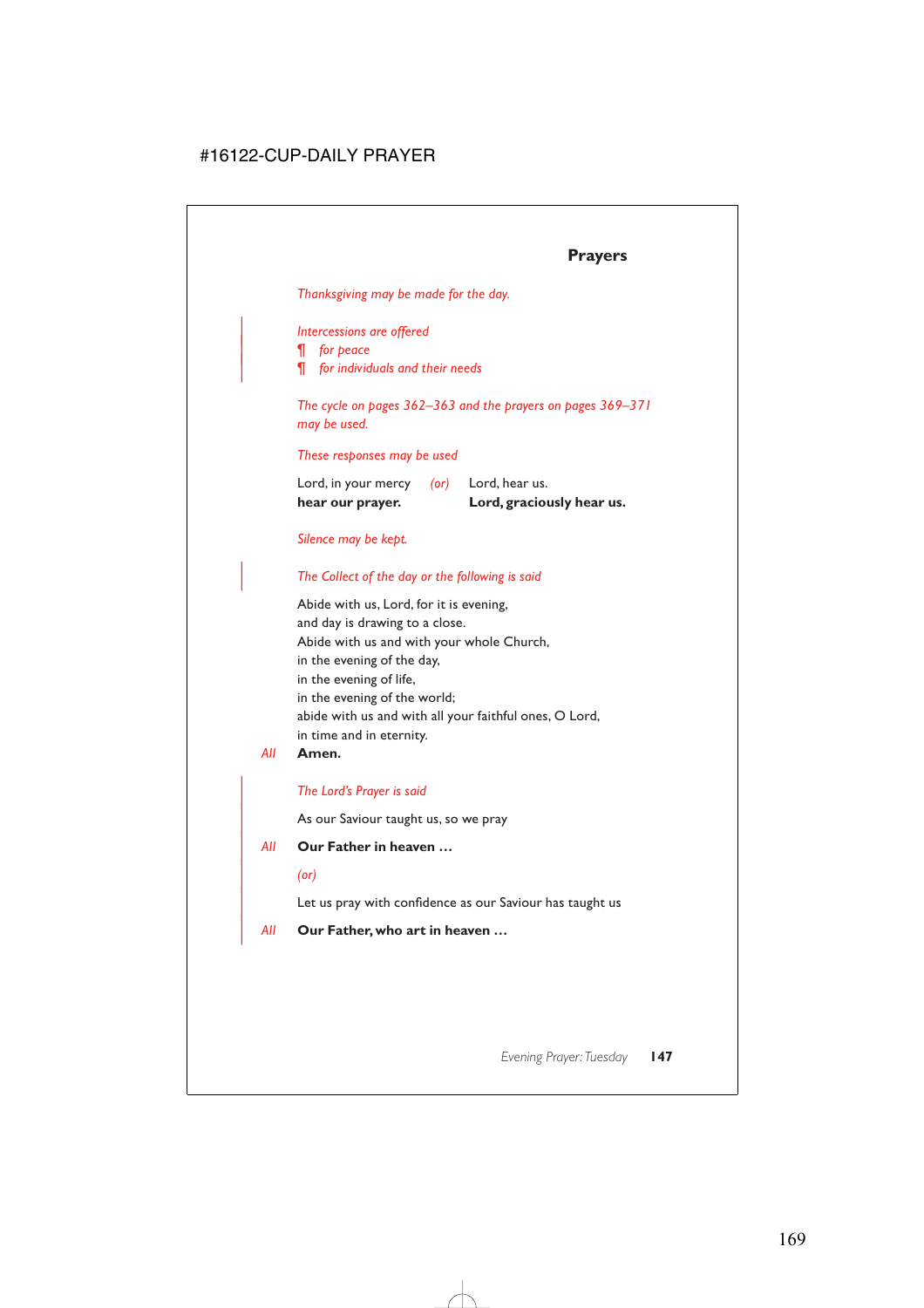### **Prayers**

*Thanksgiving may be made for the day.*

#### | *Intercessions are offered*

| *¶ for peace*

| *¶ for individuals and their needs*

*The cycle on pages 362–363 and the prayers on pages 369–371 may be used.*

*These responses may be used*

| hear our prayer.    |            | Lord, graciously hear us. |
|---------------------|------------|---------------------------|
| Lord, in your mercy | $($ or $)$ | Lord, hear us.            |

### *Silence may be kept.*

### | *The Collect of the day or the following is said*

Abide with us, Lord, for it is evening, and day is drawing to a close. Abide with us and with your whole Church, in the evening of the day, in the evening of life, in the evening of the world; abide with us and with all your faithful ones, O Lord, in time and in eternity.

#### *All* **Amen.**

### | *The Lord's Prayer is said*

As our Saviour taught us, so we pray

### | *All* **Our Father in heaven …**

#### | *(or)*

Let us pray with confidence as our Saviour has taught us

#### | *All* **Our Father, who art in heaven …**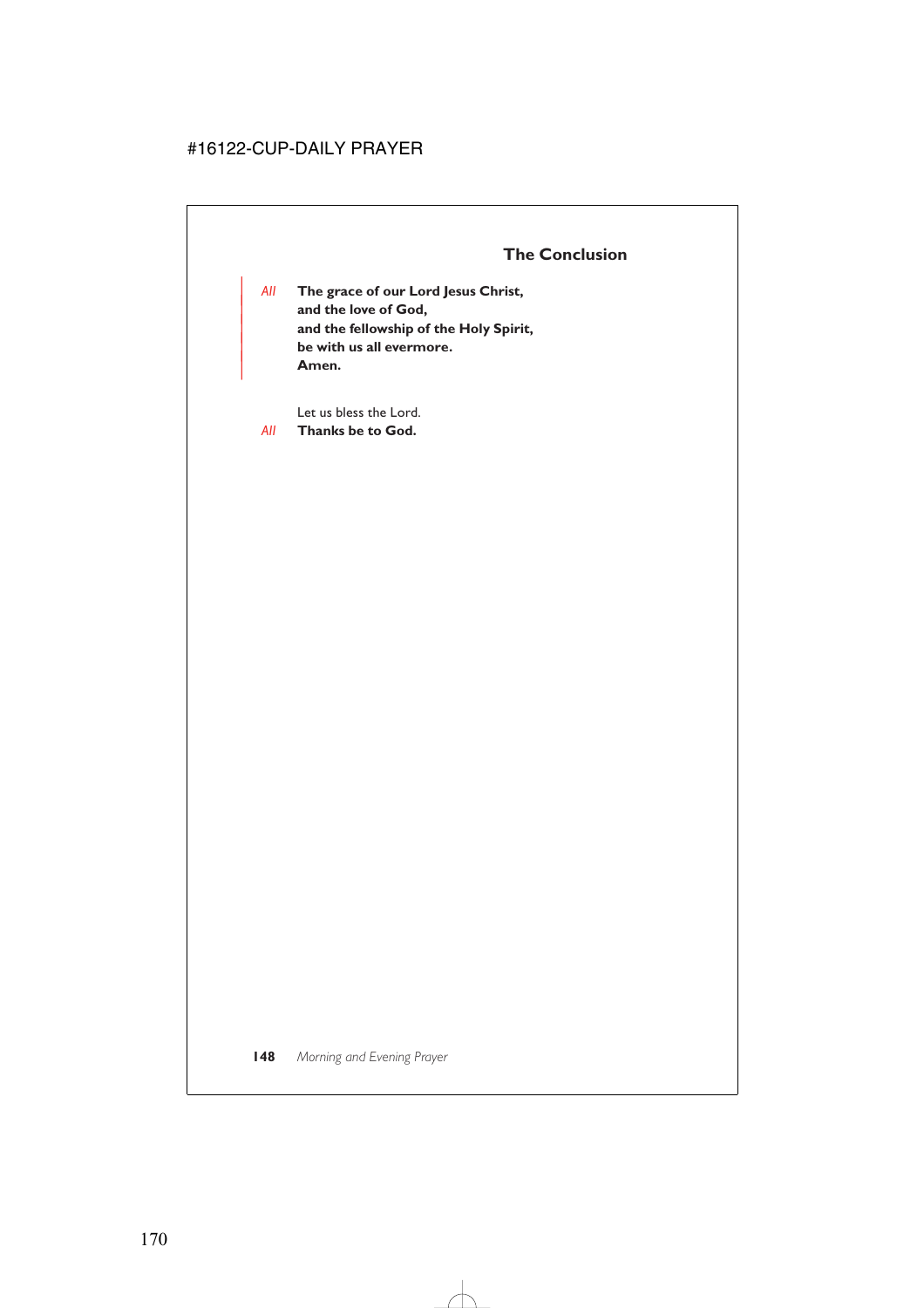| *All* **The grace of our Lord Jesus Christ,** and the love of God, | **and the fellowship of the Holy Spirit,** | **be with us all evermore.** | **Amen.**

Let us bless the Lord.

*All* **Thanks be to God.**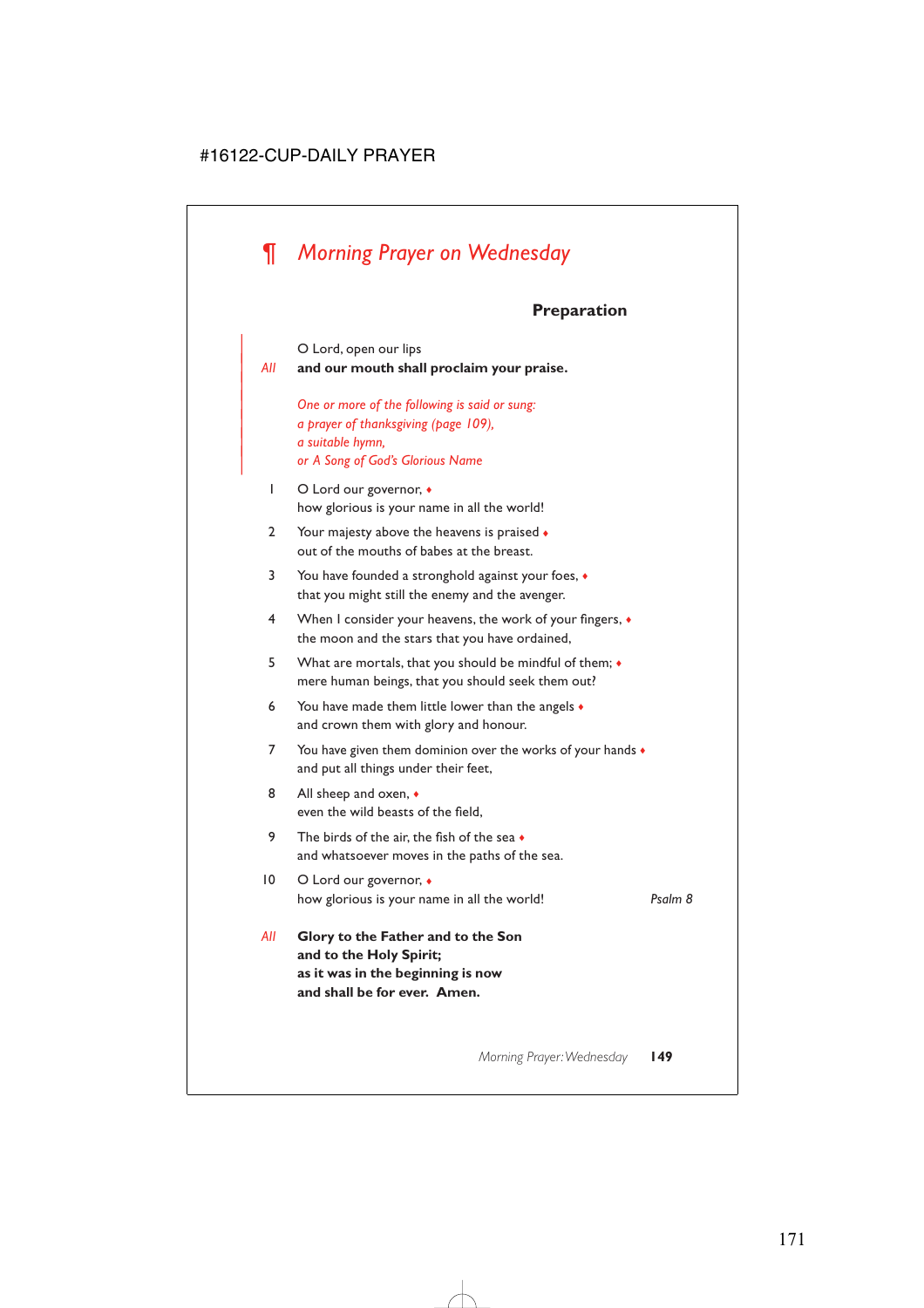# *¶ Morning Prayer on Wednesday*

|

### **Preparation**

O Lord, open our lips | *All* **and our mouth shall proclaim your praise.** | *One or more of the following is said or sung:* | *a prayer of thanksgiving (page 109),* | *a suitable hymn,* | *or A Song of God's Glorious Name* 1 O Lord our governor,  $\bullet$ how glorious is your name in all the world! 2 Your majesty above the heavens is praised  $\bullet$ out of the mouths of babes at the breast. 3 You have founded a stronghold against your foes, ♦ that you might still the enemy and the avenger. 4 When I consider your heavens, the work of your fingers, ♦ the moon and the stars that you have ordained, 5 What are mortals, that you should be mindful of them; ♦ mere human beings, that you should seek them out? 6 You have made them little lower than the angels  $\bullet$ and crown them with glory and honour. 7 You have given them dominion over the works of your hands  $\bullet$ and put all things under their feet, 8 All sheep and oxen,  $\bullet$ even the wild beasts of the field, 9 The birds of the air, the fish of the sea  $\bullet$ and whatsoever moves in the paths of the sea. 10 O Lord our governor, ♦ how glorious is your name in all the world! *Psalm 8 All* **Glory to the Father and to the Son and to the Holy Spirit; as it was in the beginning is now**

**and shall be for ever. Amen.**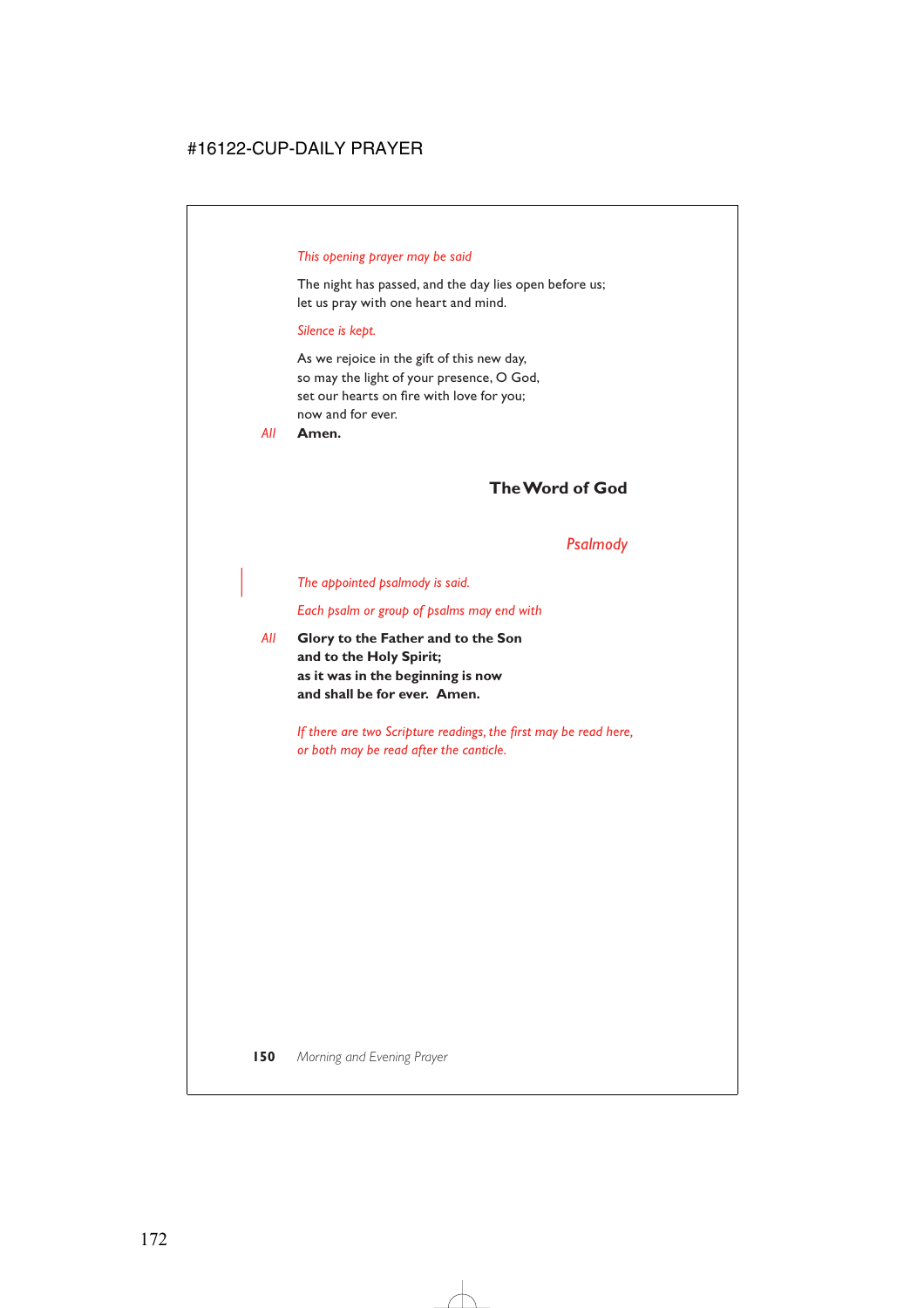### *This opening prayer may be said*

The night has passed, and the day lies open before us; let us pray with one heart and mind.

#### *Silence is kept.*

As we rejoice in the gift of this new day, so may the light of your presence, O God, set our hearts on fire with love for you; now and for ever.

*All* **Amen.**

# **The Word of God**

### *Psalmody*

| *The appointed psalmody is said.*

*Each psalm or group of psalms may end with*

*All* **Glory to the Father and to the Son and to the Holy Spirit; as it was in the beginning is now and shall be for ever. Amen.**

> *If there are two Scripture readings, the first may be read here, or both may be read after the canticle.*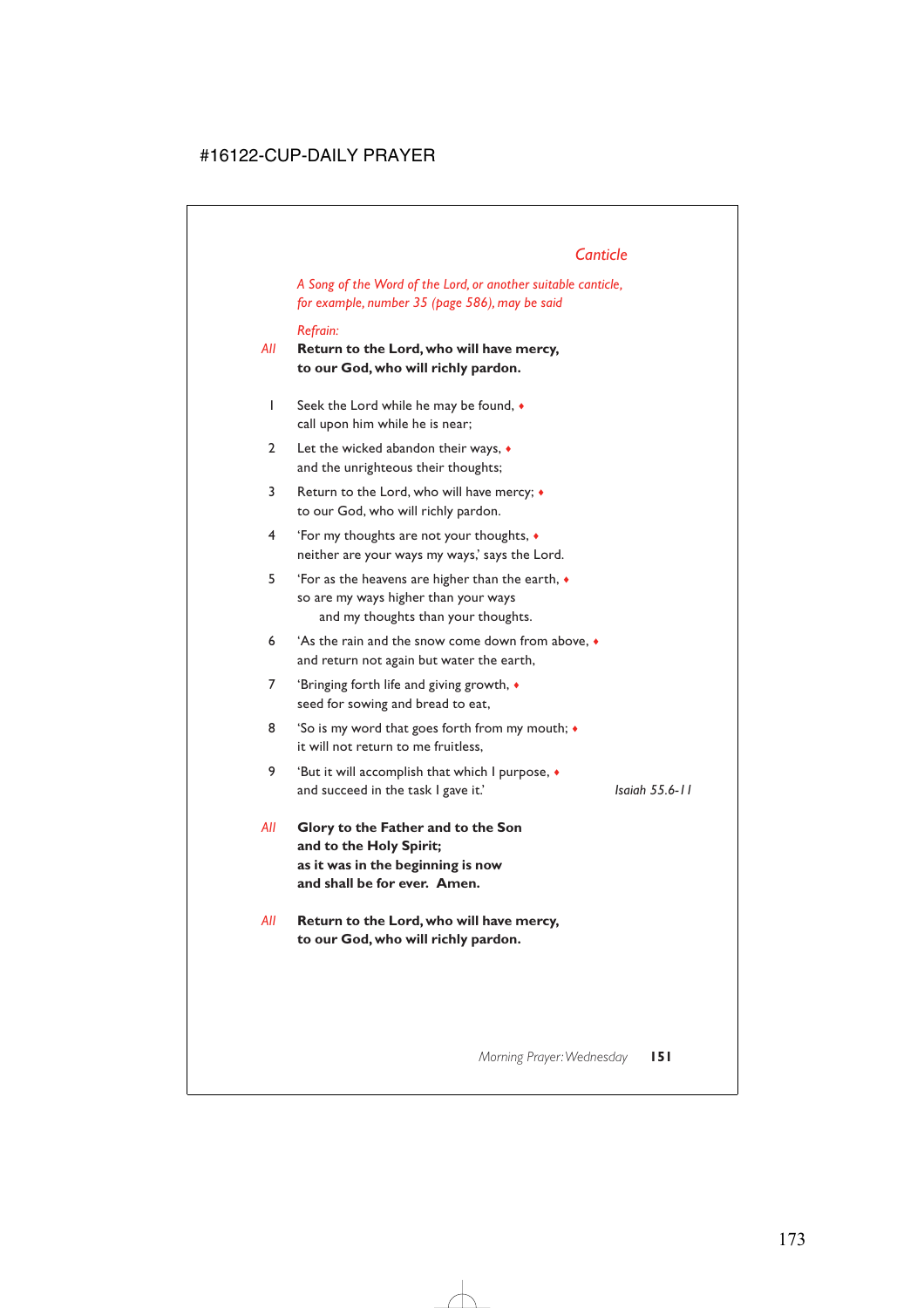# *Canticle*

*A Song of the Word of the Lord, or another suitable canticle, for example, number 35 (page 586), may be said*

### *Refrain:*

- *All* **Return to the Lord, who will have mercy, to our God, who will richly pardon.**
	- 1 Seek the Lord while he may be found, ♦ call upon him while he is near;
	- 2 Let the wicked abandon their ways,  $\bullet$ and the unrighteous their thoughts;
	- 3 Return to the Lord, who will have mercy; ♦ to our God, who will richly pardon.
	- 4 'For my thoughts are not your thoughts, ♦ neither are your ways my ways,' says the Lord.
	- 5 'For as the heavens are higher than the earth, ♦ so are my ways higher than your ways and my thoughts than your thoughts.
	- 6 'As the rain and the snow come down from above, ♦ and return not again but water the earth,
	- 7 'Bringing forth life and giving growth,  $\triangleleft$ seed for sowing and bread to eat,
	- 8 'So is my word that goes forth from my mouth;  $\bullet$ it will not return to me fruitless,
	- 9 'But it will accomplish that which I purpose, ♦ and succeed in the task I gave it.' *Isaiah 55.6-11*

- *All* **Glory to the Father and to the Son and to the Holy Spirit; as it was in the beginning is now and shall be for ever. Amen.**
- *All* **Return to the Lord, who will have mercy, to our God, who will richly pardon.**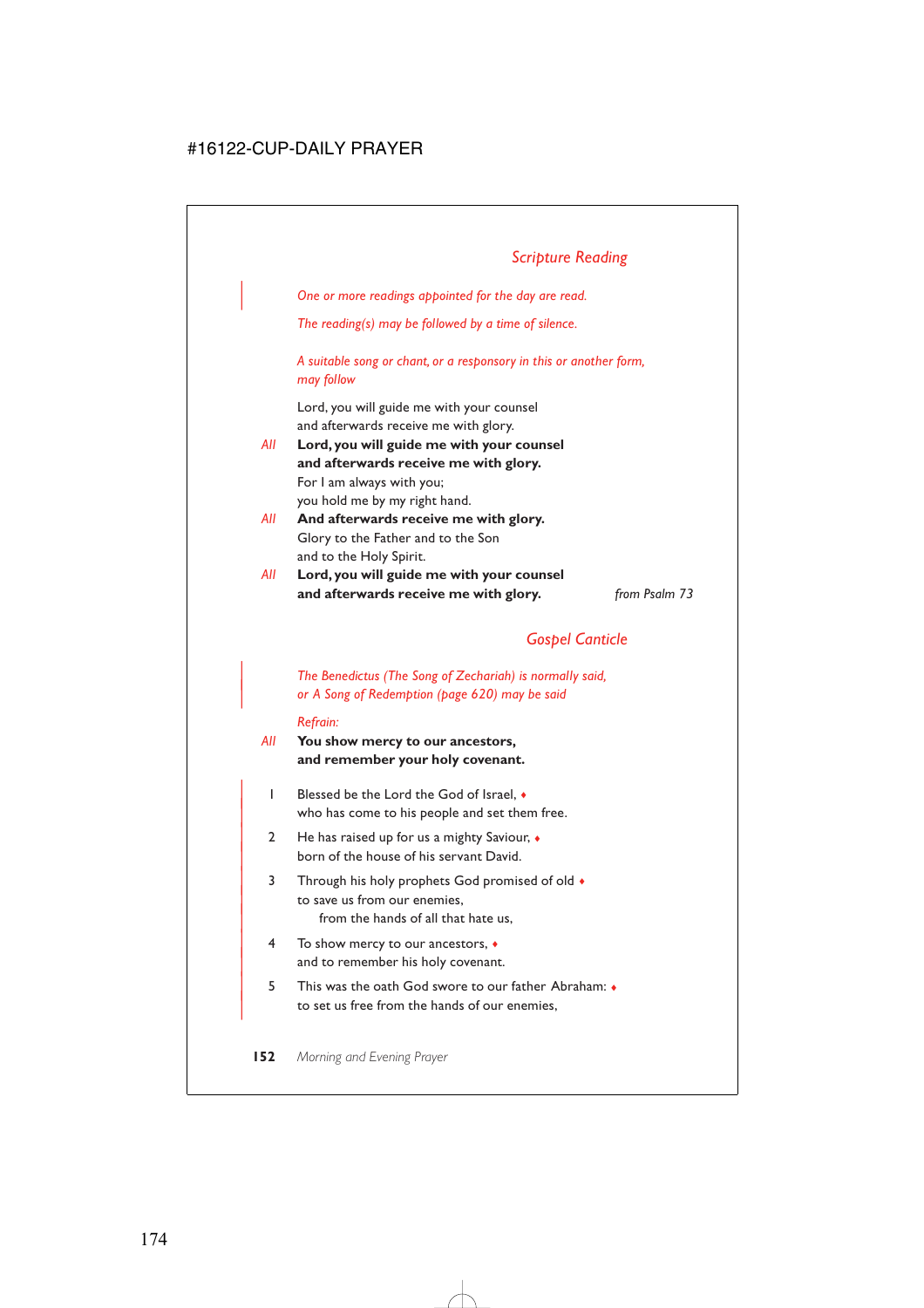| *One or more readings appointed for the day are read.*

*The reading(s) may be followed by a time of silence.*

*A suitable song or chant, or a responsory in this or another form, may follow*

Lord, you will guide me with your counsel and afterwards receive me with glory.

- *All* **Lord, you will guide me with your counsel and afterwards receive me with glory.** For I am always with you; you hold me by my right hand.
- *All* **And afterwards receive me with glory.** Glory to the Father and to the Son and to the Holy Spirit.
- *All* **Lord, you will guide me with your counsel and afterwards receive me with glory.** *from Psalm 73*

# *Gospel Canticle*

| *The Benedictus (The Song of Zechariah) is normally said,* | *or A Song of Redemption (page 620) may be said*

#### *Refrain:*

- *All* **You show mercy to our ancestors, and remember your holy covenant.**
	- | 1 Blessed be the Lord the God of Israel, ♦ who has come to his people and set them free.
	- 2 He has raised up for us a mighty Saviour,  $\bullet$ born of the house of his servant David.
	- 3 Through his holy prophets God promised of old  $\bullet$ to save us from our enemies. from the hands of all that hate us,
	- | 4 To show mercy to our ancestors, ♦ and to remember his holy covenant.
	- | 5 This was the oath God swore to our father Abraham: ♦ to set us free from the hands of our enemies,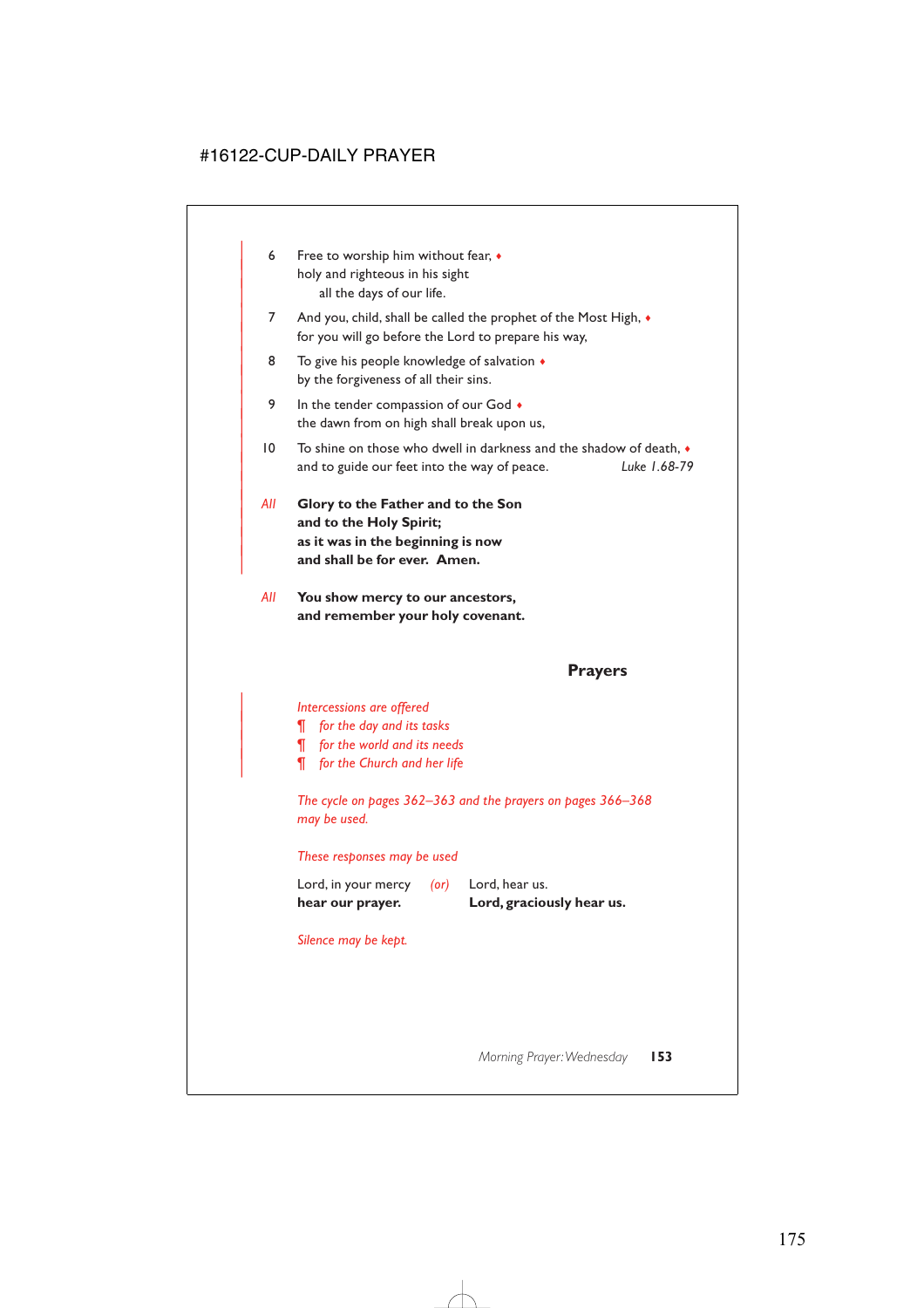- 6 Free to worship him without fear,  $\bullet$ holy and righteous in his sight all the days of our life.
- 7 And you, child, shall be called the prophet of the Most High,  $\bullet$ for you will go before the Lord to prepare his way,
- 8 To give his people knowledge of salvation  $\triangleleft$ by the forgiveness of all their sins.
- 9 In the tender compassion of our God  $\bullet$ the dawn from on high shall break upon us,
- | 10 To shine on those who dwell in darkness and the shadow of death, ♦ | and to guide our feet into the way of peace. *Luke 1.68-79*
- | *All* **Glory to the Father and to the Son** and to the Holy Spirit; | **as it was in the beginning is now** and shall be for ever. Amen.

|

*All* **You show mercy to our ancestors, and remember your holy covenant.**

**Prayers**

#### | *Intercessions are offered*

- | *¶ for the day and its tasks*
- | *¶ for the world and its needs*
- | *¶ for the Church and her life*

*The cycle on pages 362–363 and the prayers on pages 366–368 may be used.*

#### *These responses may be used*

| hear our prayer.    |      | Lord, graciously hear us. |
|---------------------|------|---------------------------|
| Lord, in your mercy | (or) | Lord, hear us.            |

*Silence may be kept.*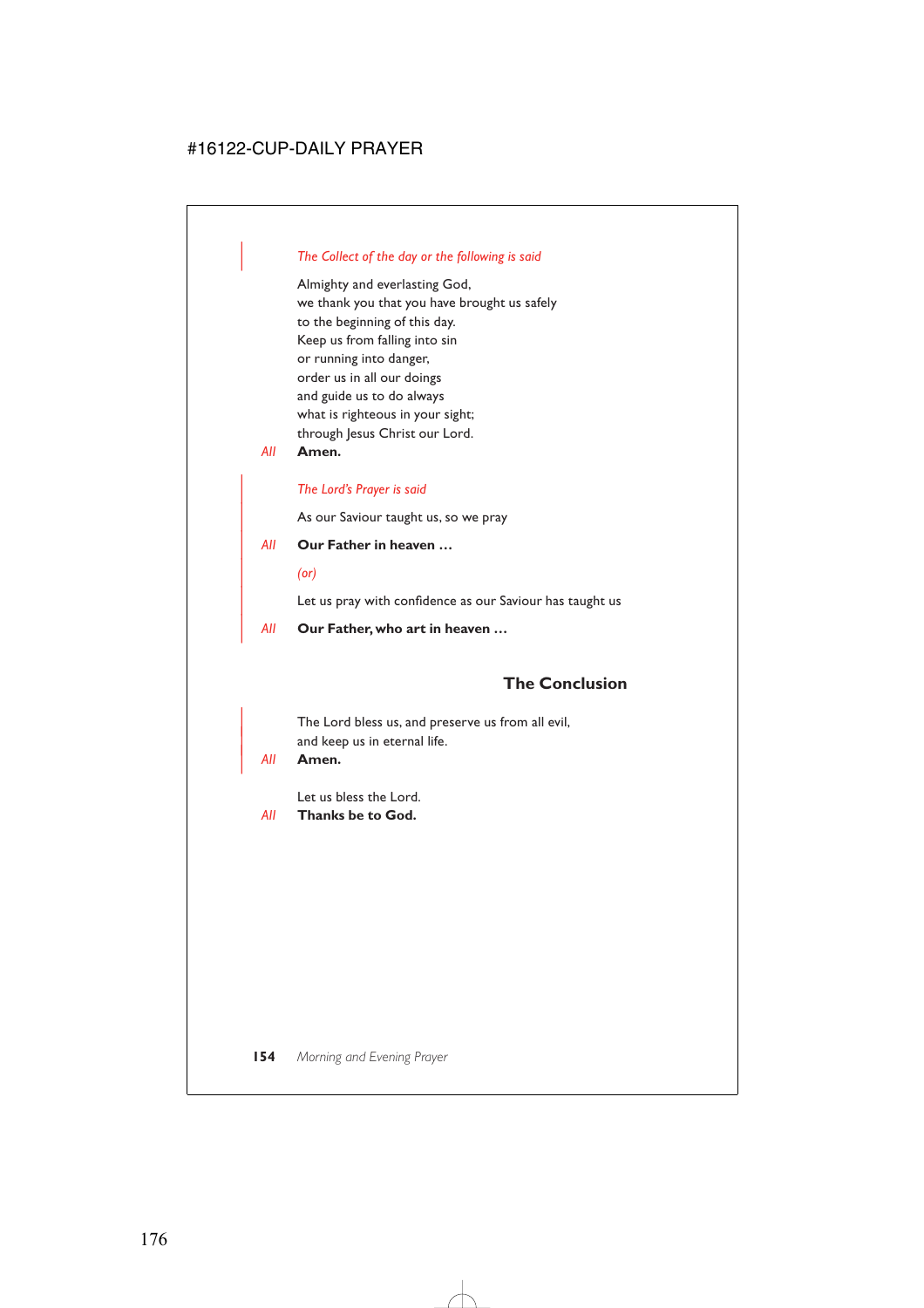### | *The Collect of the day or the following is said*

Almighty and everlasting God, we thank you that you have brought us safely to the beginning of this day. Keep us from falling into sin or running into danger, order us in all our doings and guide us to do always what is righteous in your sight; through Jesus Christ our Lord.

*All* **Amen.**

### | *The Lord's Prayer is said*

As our Saviour taught us, so we pray

- | *All* **Our Father in heaven …**
	- | *(or)*

Let us pray with confidence as our Saviour has taught us

| *All* **Our Father, who art in heaven …**

## **The Conclusion**

The Lord bless us, and preserve us from all evil, and keep us in eternal life.

#### | *All* **Amen.**

Let us bless the Lord.

*All* **Thanks be to God.**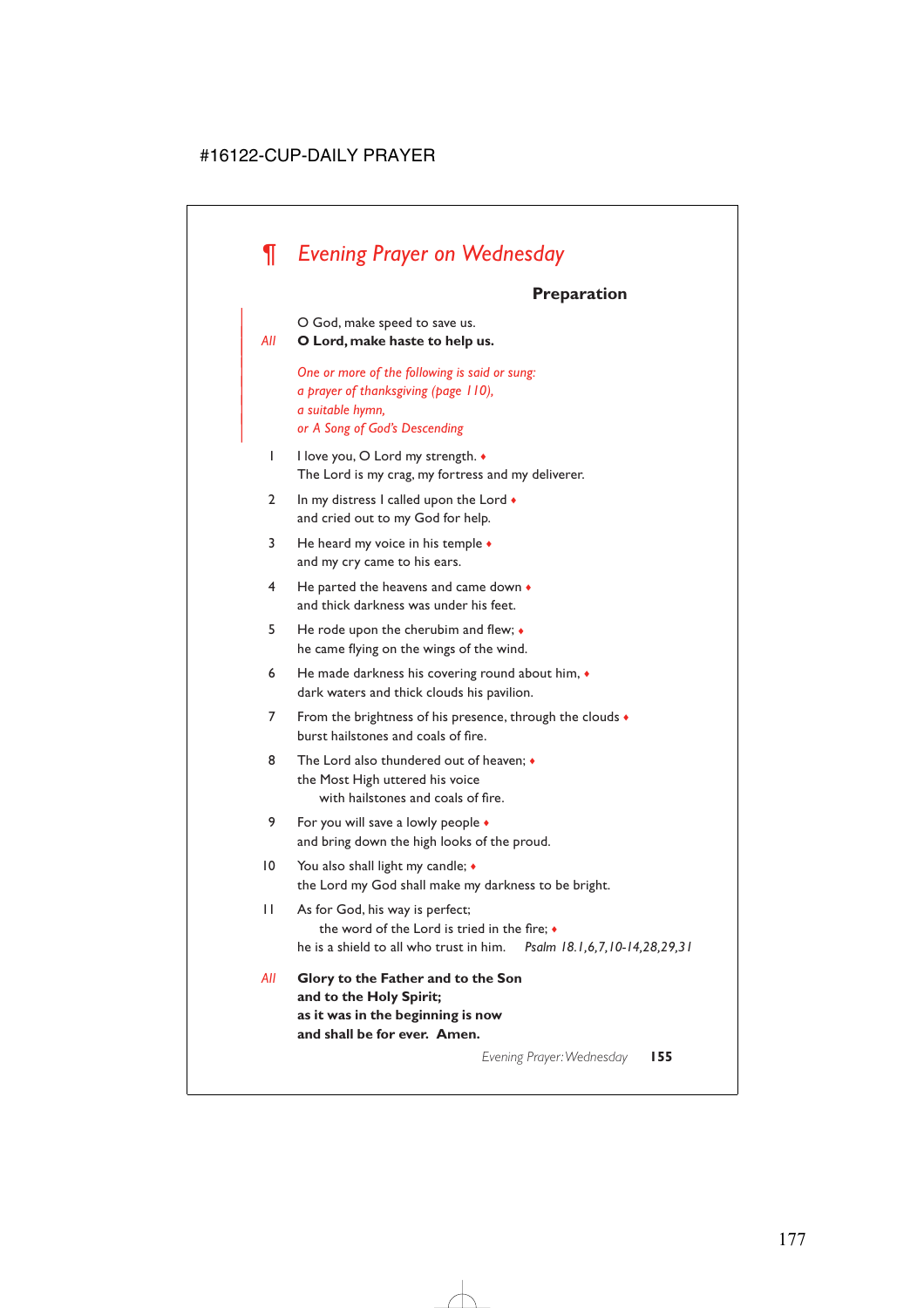# *¶ Evening Prayer on Wednesday*

## **Preparation**

| O God, make speed to save us.

<sup>|</sup> *All* **O Lord, make haste to help us.** <sup>|</sup>

| *One or more of the following is said or sung:* | *a prayer of thanksgiving (page 110),* | *a suitable hymn,* | *or A Song of God's Descending*

- 1 I love you, O Lord my strength.  $\bullet$ The Lord is my crag, my fortress and my deliverer.
- 2 In my distress I called upon the Lord  $\bullet$ and cried out to my God for help.
- 3 He heard my voice in his temple ♦ and my cry came to his ears.
- 4 He parted the heavens and came down ♦ and thick darkness was under his feet.
- 5 He rode upon the cherubim and flew; ♦ he came flying on the wings of the wind.
- 6 He made darkness his covering round about him, ♦ dark waters and thick clouds his pavilion.
- 7 From the brightness of his presence, through the clouds  $\bullet$ burst hailstones and coals of fire.
- 8 The Lord also thundered out of heaven; ♦ the Most High uttered his voice with hailstones and coals of fire.
- 9 For you will save a lowly people  $\bullet$ and bring down the high looks of the proud.
- 10 You also shall light my candle;  $\triangleleft$ the Lord my God shall make my darkness to be bright.
- 11 As for God, his way is perfect; the word of the Lord is tried in the fire; ♦ he is a shield to all who trust in him. *Psalm 18.1,6,7,10-14,28,29,31*
- *All* **Glory to the Father and to the Son and to the Holy Spirit; as it was in the beginning is now and shall be for ever. Amen.**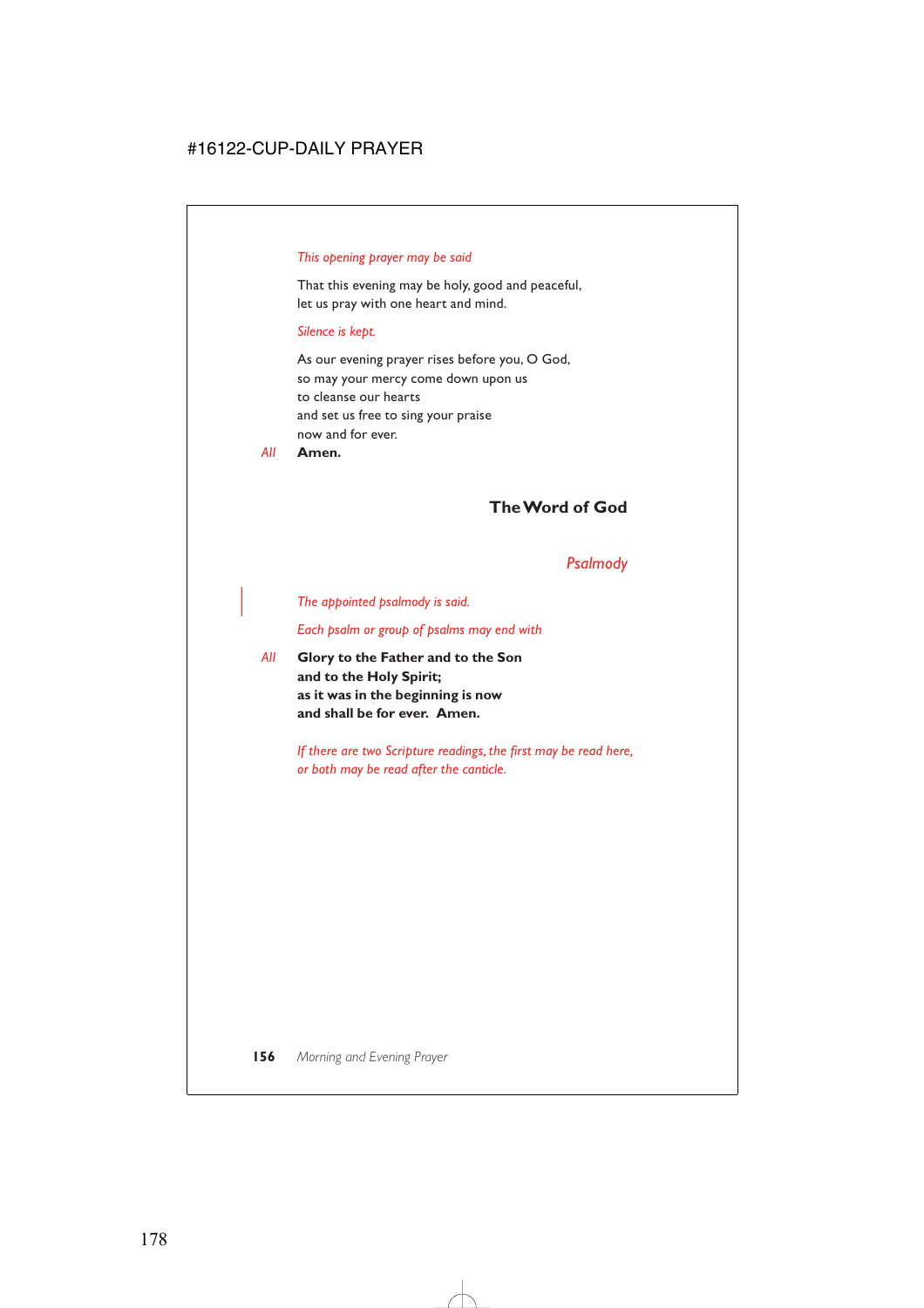### *This opening prayer may be said*

That this evening may be holy, good and peaceful, let us pray with one heart and mind.

### *Silence is kept.*

As our evening prayer rises before you, O God, so may your mercy come down upon us to cleanse our hearts and set us free to sing your praise now and for ever.

*All* **Amen.**

# **The Word of God**

### *Psalmody*

### | *The appointed psalmody is said.*

*Each psalm or group of psalms may end with*

*All* **Glory to the Father and to the Son and to the Holy Spirit; as it was in the beginning is now and shall be for ever. Amen.**

> *If there are two Scripture readings, the first may be read here, or both may be read after the canticle.*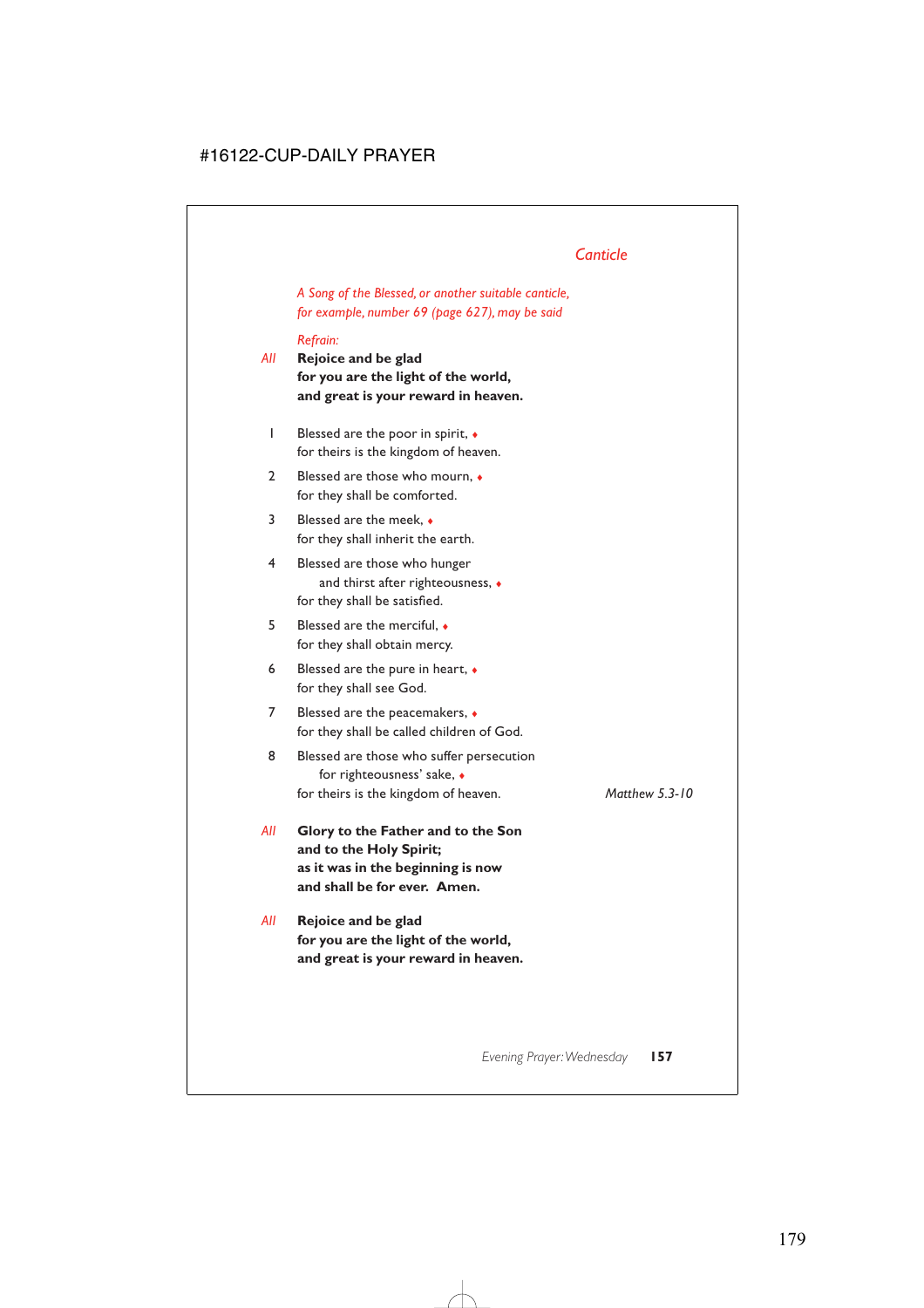# *Canticle*

*A Song of the Blessed, or another suitable canticle, for example, number 69 (page 627), may be said*

### *Refrain:*

- *All* **Rejoice and be glad for you are the light of the world, and great is your reward in heaven.**
	- 1 Blessed are the poor in spirit, ♦ for theirs is the kingdom of heaven.
	- 2 Blessed are those who mourn,  $\triangle$ for they shall be comforted.
	- 3 Blessed are the meek, ♦ for they shall inherit the earth.
	- 4 Blessed are those who hunger and thirst after righteousness, ♦ for they shall be satisfied.
	- 5 Blessed are the merciful, ♦ for they shall obtain mercy.
	- 6 Blessed are the pure in heart,  $\bullet$ for they shall see God.
	- 7 Blessed are the peacemakers,  $\triangleleft$ for they shall be called children of God.
	- 8 Blessed are those who suffer persecution for righteousness' sake, ♦ for theirs is the kingdom of heaven. *Matthew 5.3-10*
- *All* **Glory to the Father and to the Son and to the Holy Spirit; as it was in the beginning is now and shall be for ever. Amen.**
- *All* **Rejoice and be glad for you are the light of the world, and great is your reward in heaven.**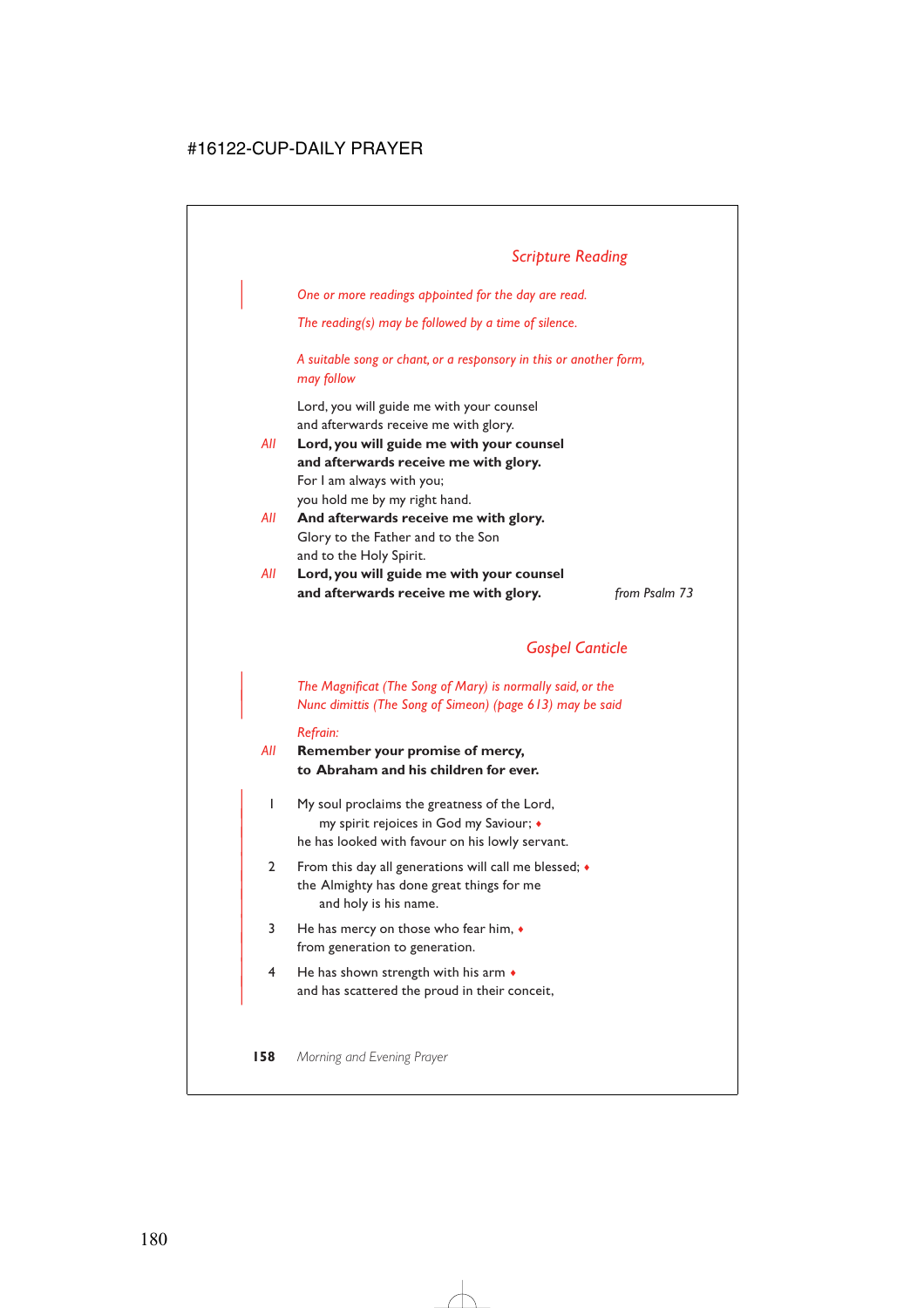# *Scripture Reading*

| *One or more readings appointed for the day are read.*

*The reading(s) may be followed by a time of silence.*

*A suitable song or chant, or a responsory in this or another form, may follow*

Lord, you will guide me with your counsel and afterwards receive me with glory.

- *All* **Lord, you will guide me with your counsel and afterwards receive me with glory.** For I am always with you; you hold me by my right hand.
- *All* **And afterwards receive me with glory.** Glory to the Father and to the Son and to the Holy Spirit.
- *All* **Lord, you will guide me with your counsel and afterwards receive me with glory.** *from Psalm 73*

## *Gospel Canticle*

| *The Magnificat (The Song of Mary) is normally said, or the* | *Nunc dimittis (The Song of Simeon) (page 613) may be said*

#### *Refrain:*

*All* **Remember your promise of mercy, to Abraham and his children for ever.**

- | 1 My soul proclaims the greatness of the Lord, | my spirit rejoices in God my Saviour; ♦ he has looked with favour on his lowly servant.
- 2 From this day all generations will call me blessed;  $\bullet$ the Almighty has done great things for me and holy is his name.
- $3$  He has mercy on those who fear him,  $\bullet$ from generation to generation.
- 4 He has shown strength with his arm  $\bullet$ and has scattered the proud in their conceit,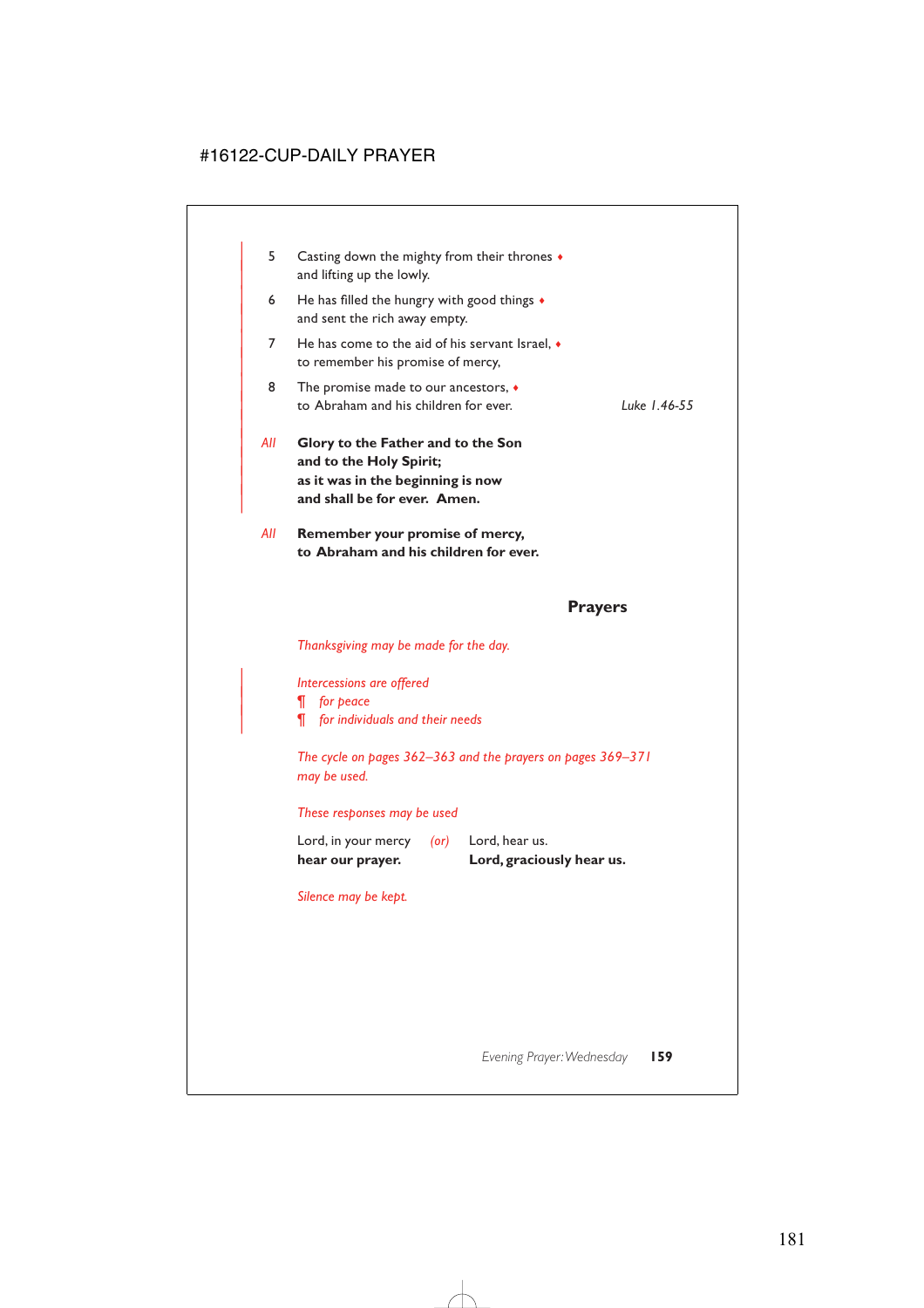| 5   | Casting down the mighty from their thrones $\bullet$<br>and lifting up the lowly.                                                  |              |
|-----|------------------------------------------------------------------------------------------------------------------------------------|--------------|
| 6   | He has filled the hungry with good things $\bullet$<br>and sent the rich away empty.                                               |              |
| 7   | He has come to the aid of his servant Israel, $\bullet$<br>to remember his promise of mercy,                                       |              |
| 8   | The promise made to our ancestors, $\bullet$<br>to Abraham and his children for ever.                                              | Luke 1.46-55 |
| All | Glory to the Father and to the Son<br>and to the Holy Spirit;<br>as it was in the beginning is now<br>and shall be for ever. Amen. |              |
| All | Remember your promise of mercy,<br>to Abraham and his children for ever.                                                           |              |
|     |                                                                                                                                    |              |

# **Prayers**

*Thanksgiving may be made for the day.*

| *Intercessions are offered*

| *¶ for peace*

| *¶ for individuals and their needs*

*The cycle on pages 362–363 and the prayers on pages 369–371 may be used.*

### *These responses may be used*

| hear our prayer.    |      | Lord, graciously hear us. |
|---------------------|------|---------------------------|
| Lord, in your mercy | (or) | Lord, hear us.            |

*Silence may be kept.*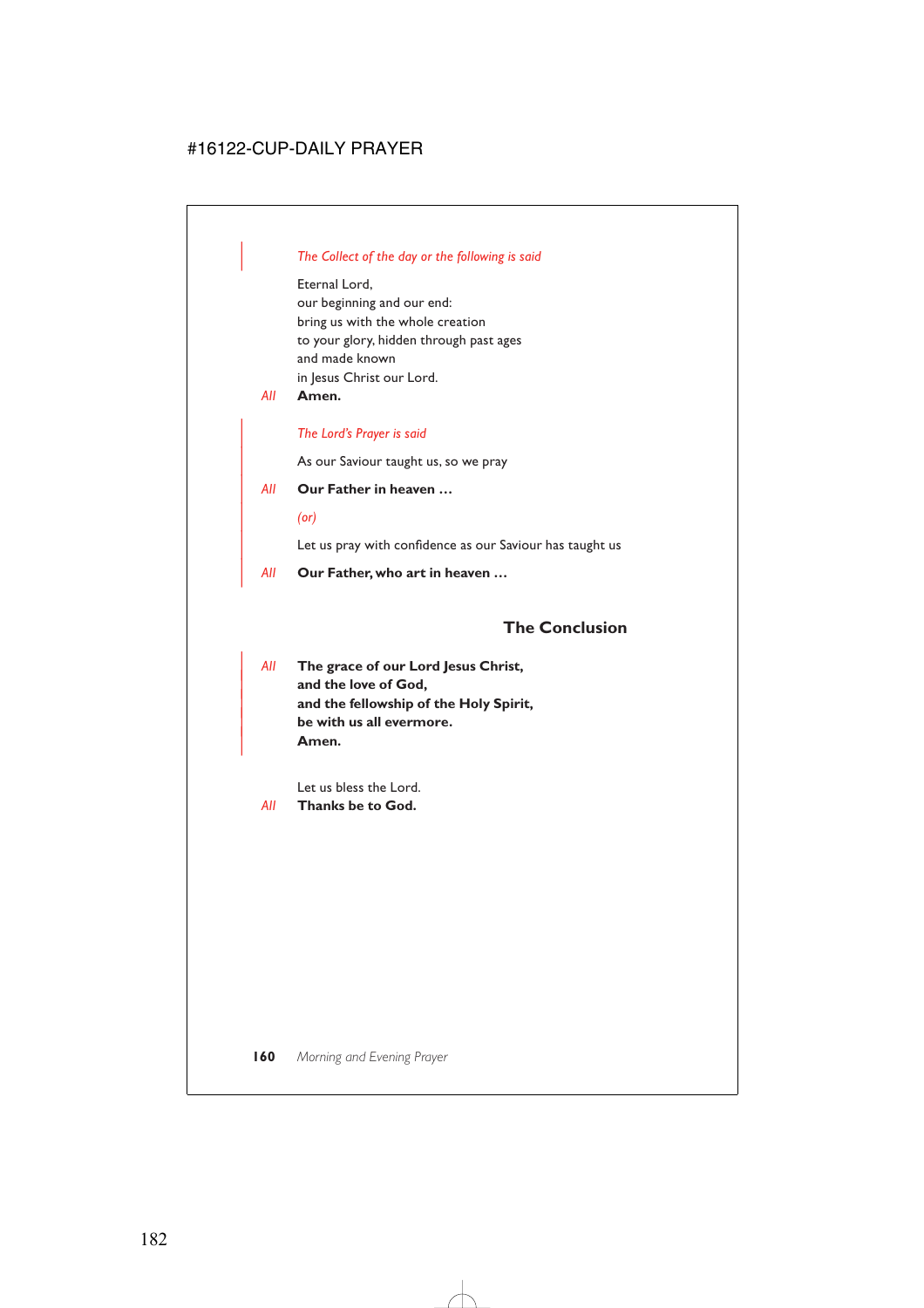### | *The Collect of the day or the following is said*

Eternal Lord, our beginning and our end: bring us with the whole creation to your glory, hidden through past ages and made known in Jesus Christ our Lord.

*All* **Amen.**

### | *The Lord's Prayer is said*

As our Saviour taught us, so we pray

### | *All* **Our Father in heaven …**

| *(or)*

Let us pray with confidence as our Saviour has taught us

| *All* **Our Father, who art in heaven …**

# **The Conclusion**

| *All* **The grace of our Lord Jesus Christ,** and the love of God, | **and the fellowship of the Holy Spirit,** | **be with us all evermore.** | **Amen.**

Let us bless the Lord.

*All* **Thanks be to God.**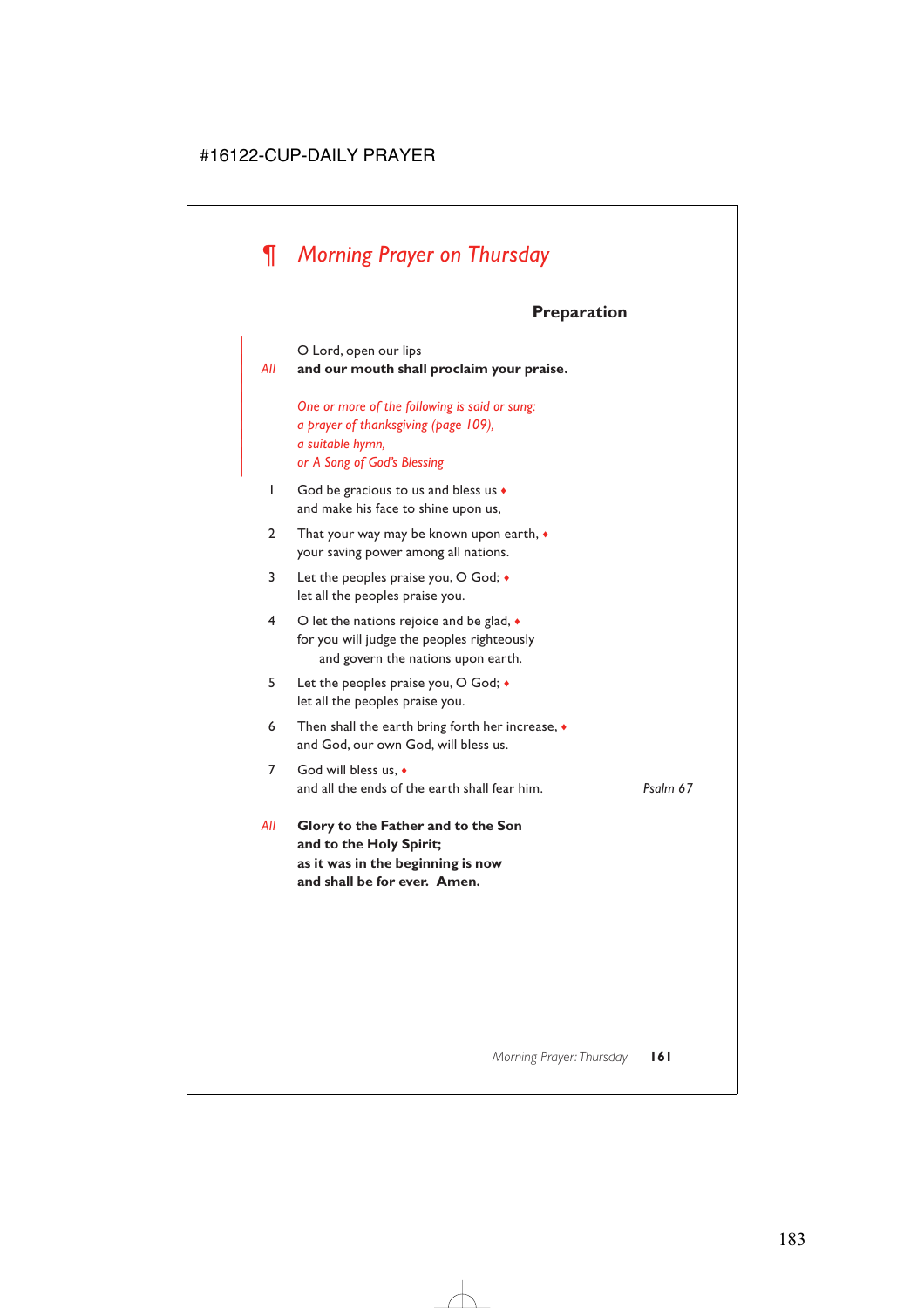# *¶ Morning Prayer on Thursday*

## **Preparation**

O Lord, open our lips

|

| *All* **and our mouth shall proclaim your praise.**

| *One or more of the following is said or sung:* | *a prayer of thanksgiving (page 109),* | *a suitable hymn,* | *or A Song of God's Blessing*

- 1 God be gracious to us and bless us ♦ and make his face to shine upon us,
- 2 That your way may be known upon earth,  $\bullet$ your saving power among all nations.
- 3 Let the peoples praise you, O God; ♦ let all the peoples praise you.
- 4 O let the nations rejoice and be glad,  $\bullet$ for you will judge the peoples righteously and govern the nations upon earth.
- 5 Let the peoples praise you, O God; ♦ let all the peoples praise you.
- 6 Then shall the earth bring forth her increase,  $\bullet$ and God, our own God, will bless us.
- 7 God will bless us, ♦ and all the ends of the earth shall fear him. *Psalm 67*
- *All* **Glory to the Father and to the Son and to the Holy Spirit; as it was in the beginning is now and shall be for ever. Amen.**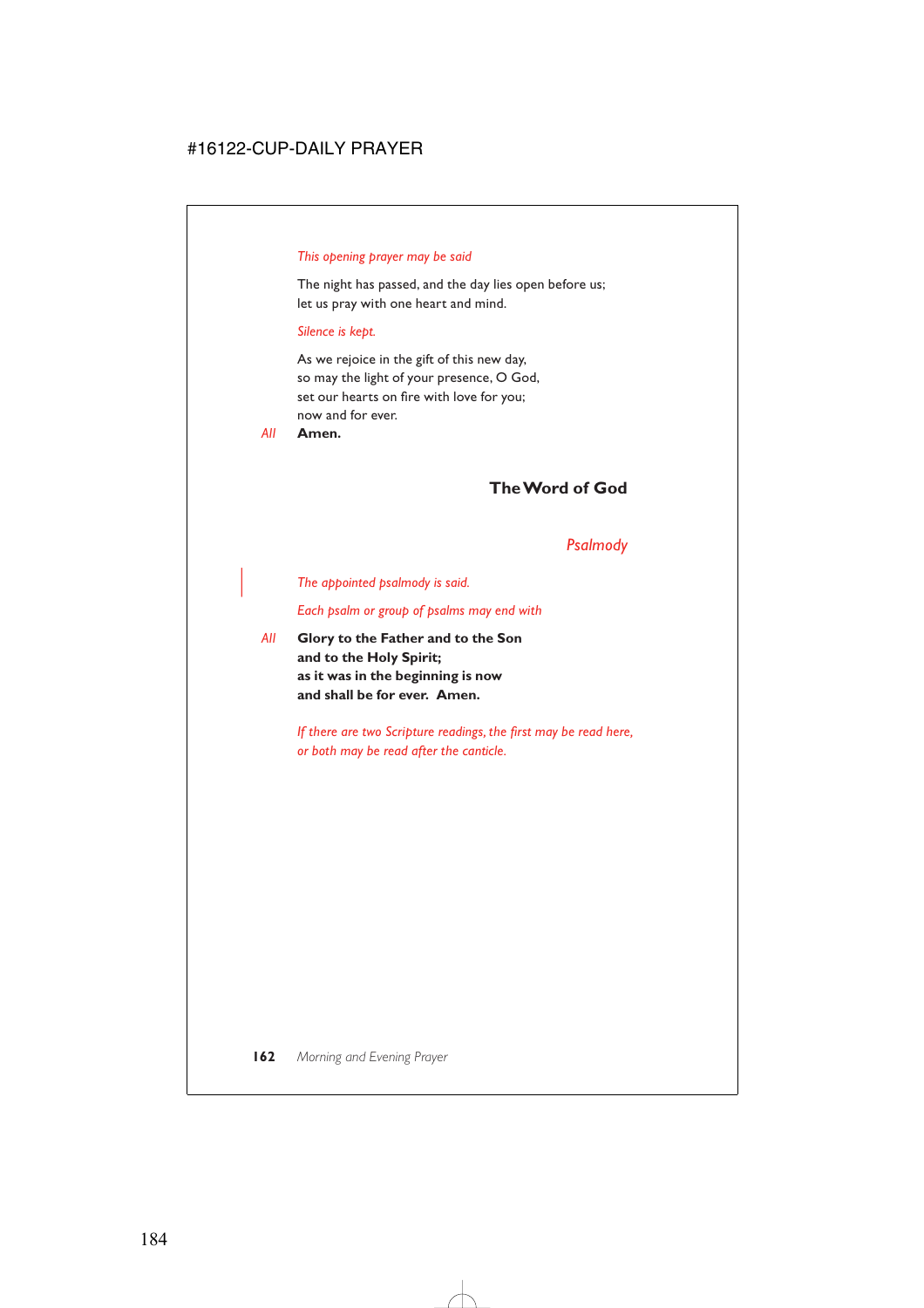### *This opening prayer may be said*

The night has passed, and the day lies open before us; let us pray with one heart and mind.

### *Silence is kept.*

As we rejoice in the gift of this new day, so may the light of your presence, O God, set our hearts on fire with love for you; now and for ever.

*All* **Amen.**

# **The Word of God**

### *Psalmody*

| *The appointed psalmody is said.*

*Each psalm or group of psalms may end with*

*All* **Glory to the Father and to the Son and to the Holy Spirit; as it was in the beginning is now and shall be for ever. Amen.**

> *If there are two Scripture readings, the first may be read here, or both may be read after the canticle.*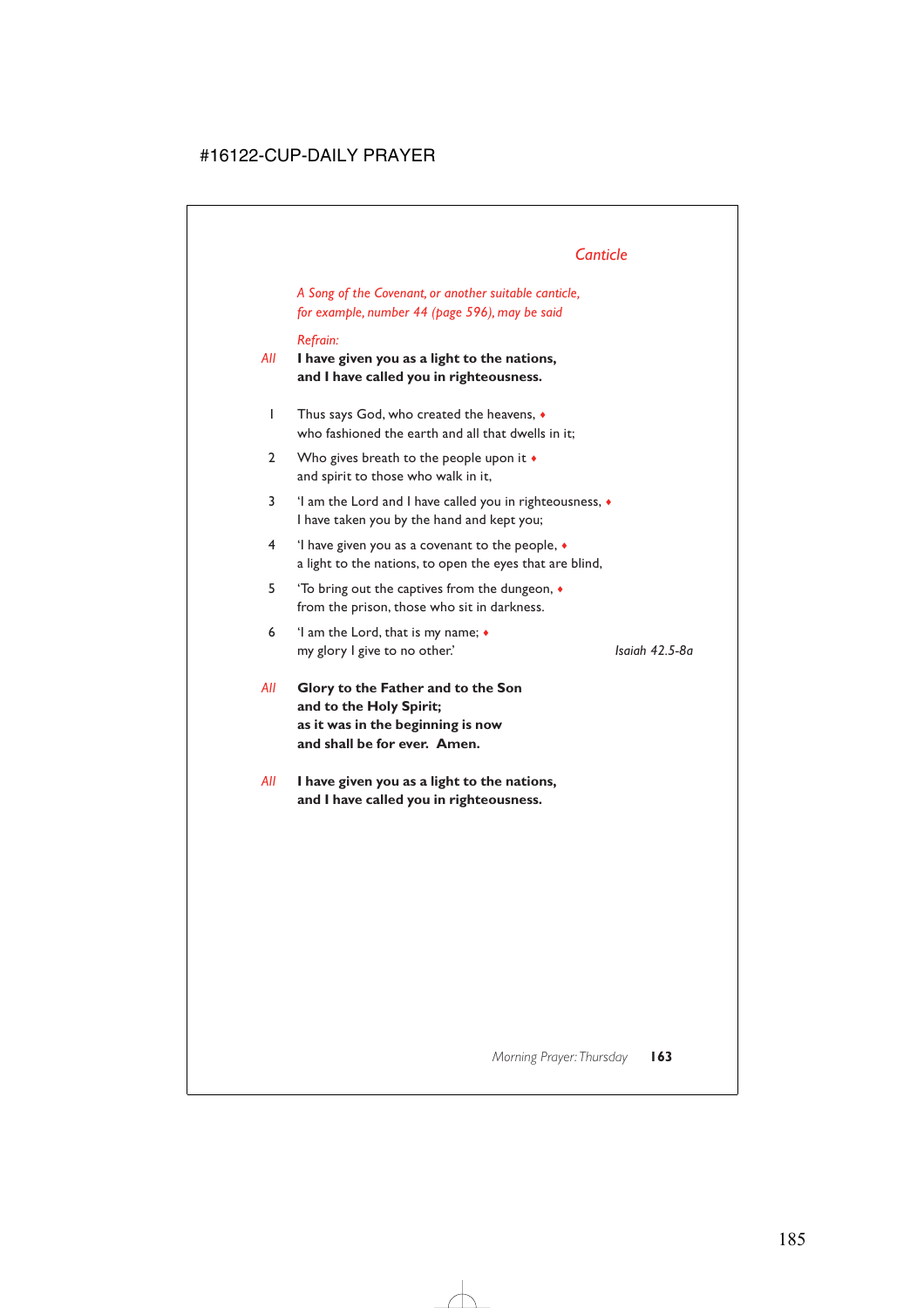# *Canticle*

*A Song of the Covenant, or another suitable canticle, for example, number 44 (page 596), may be said*

### *Refrain:*

*All* **I have given you as a light to the nations, and I have called you in righteousness.**

- 1 Thus says God, who created the heavens, ♦ who fashioned the earth and all that dwells in it;
- 2 Who gives breath to the people upon it  $\bullet$ and spirit to those who walk in it,
- 3 'I am the Lord and I have called you in righteousness, ♦ I have taken you by the hand and kept you;
- 4 'I have given you as a covenant to the people, ♦ a light to the nations, to open the eyes that are blind,
- 5 'To bring out the captives from the dungeon, ♦ from the prison, those who sit in darkness.
- 6 'I am the Lord, that is my name; ♦ my glory I give to no other.' *Isaiah 42.5-8a*

- *All* **Glory to the Father and to the Son and to the Holy Spirit; as it was in the beginning is now and shall be for ever. Amen.**
- *All* **I have given you as a light to the nations, and I have called you in righteousness.**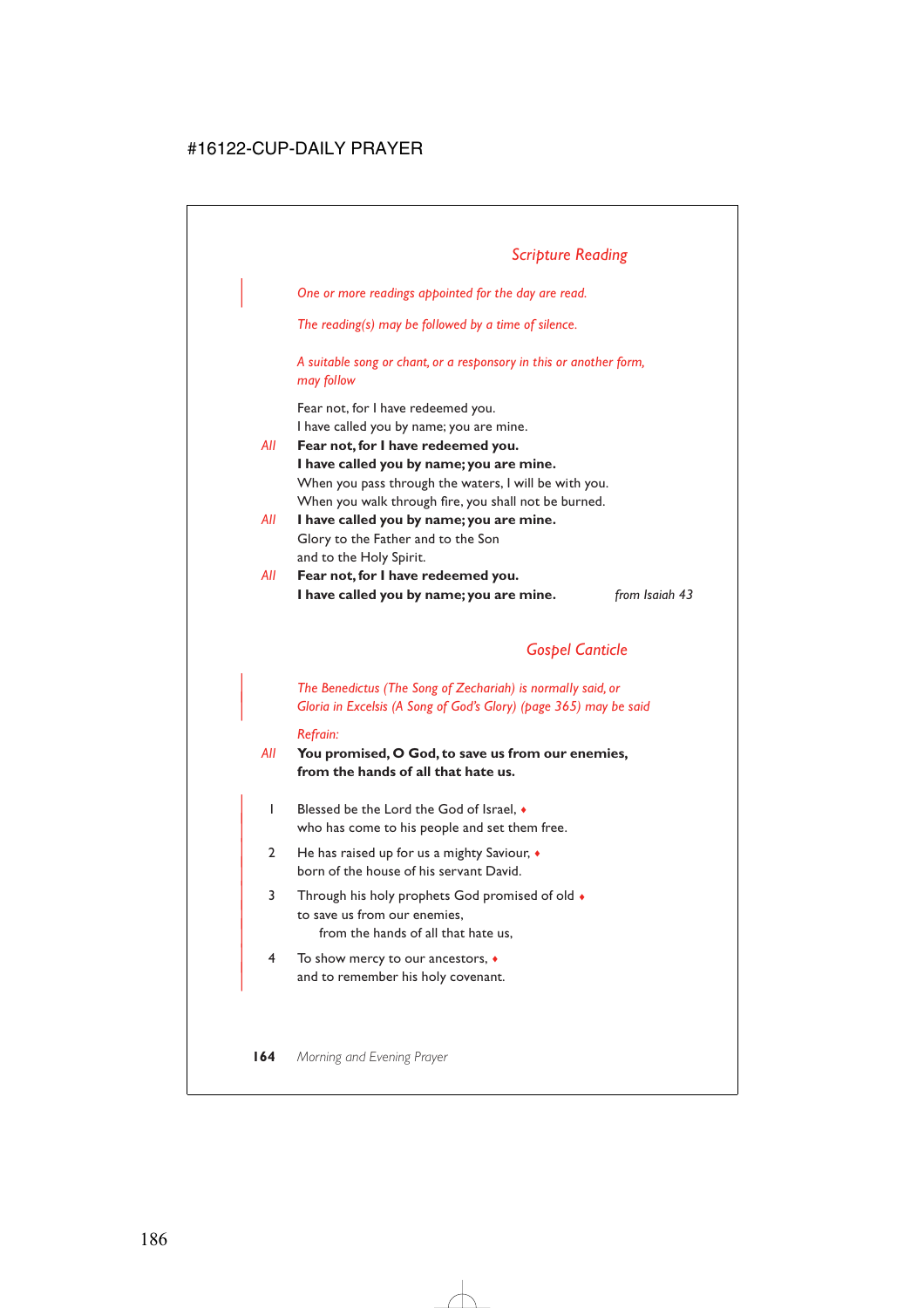| *One or more readings appointed for the day are read.*

*The reading(s) may be followed by a time of silence.*

*A suitable song or chant, or a responsory in this or another form, may follow*

Fear not, for I have redeemed you. I have called you by name; you are mine.

- *All* **Fear not, for I have redeemed you. I have called you by name; you are mine.** When you pass through the waters, I will be with you. When you walk through fire, you shall not be burned.
- *All* **I have called you by name; you are mine.** Glory to the Father and to the Son and to the Holy Spirit.
- *All* **Fear not, for I have redeemed you. I have called you by name; you are mine.** *from Isaiah 43*

# *Gospel Canticle*

| *The Benedictus (The Song of Zechariah) is normally said, or* | *Gloria in Excelsis (A Song of God's Glory) (page 365) may be said*

#### *Refrain:*

- *All* **You promised, O God, to save us from our enemies, from the hands of all that hate us.**
	- | 1 Blessed be the Lord the God of Israel, ♦ who has come to his people and set them free.
	- | 2 He has raised up for us a mighty Saviour, ♦ born of the house of his servant David.
	- 3 Through his holy prophets God promised of old  $\bullet$ to save us from our enemies, from the hands of all that hate us,
	- | 4 To show mercy to our ancestors, ♦ and to remember his holy covenant.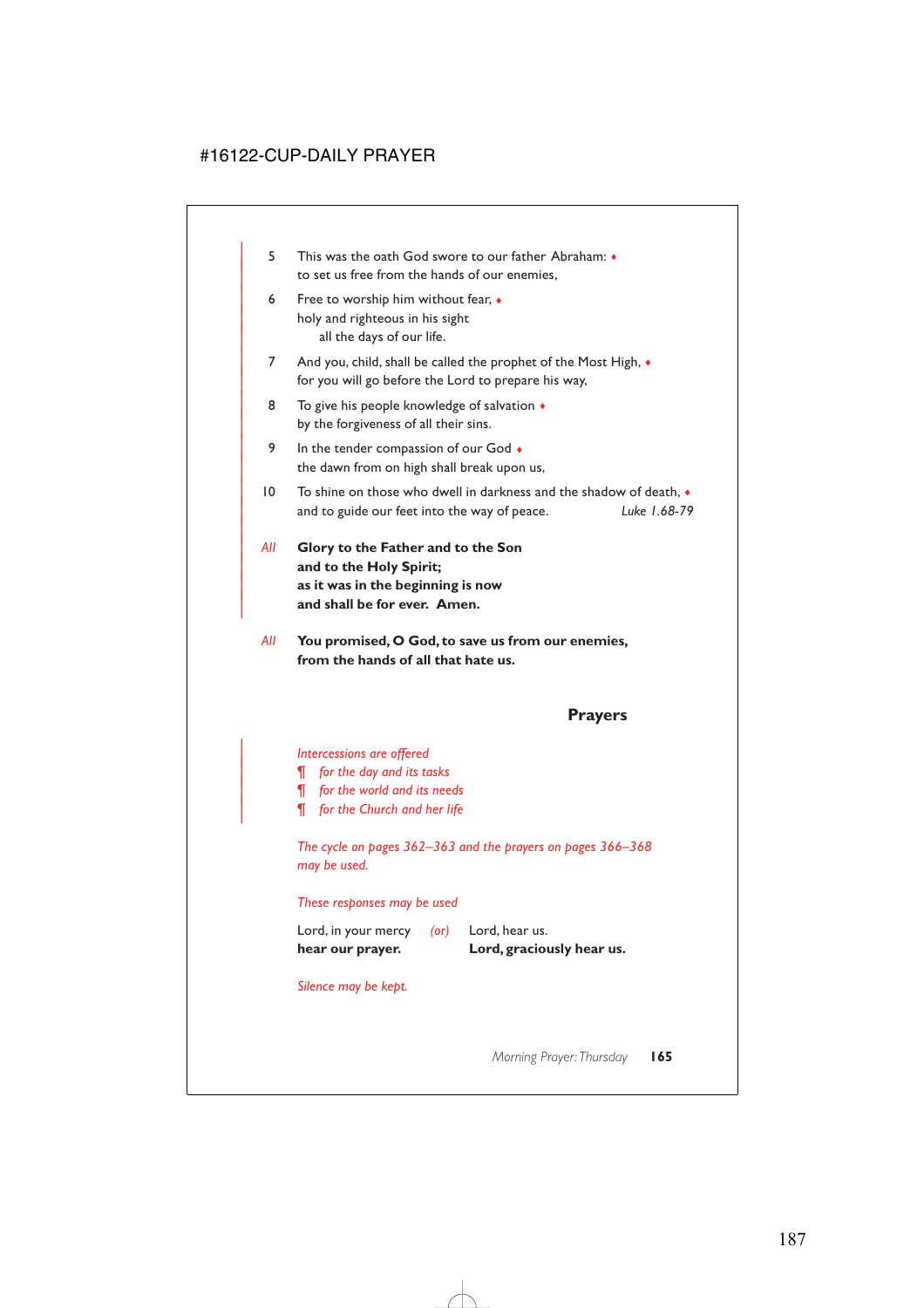- | 5 This was the oath God swore to our father Abraham: ♦ to set us free from the hands of our enemies,
- 6 Free to worship him without fear,  $\bullet$ holy and righteous in his sight all the days of our life.
- 7 And you, child, shall be called the prophet of the Most High,  $\bullet$ for you will go before the Lord to prepare his way,
- 8 To give his people knowledge of salvation  $\triangleleft$ by the forgiveness of all their sins.
- 9 In the tender compassion of our God  $\bullet$ the dawn from on high shall break upon us,
- | 10 To shine on those who dwell in darkness and the shadow of death, ♦ | and to guide our feet into the way of peace. *Luke 1.68-79*
- | *All* **Glory to the Father and to the Son** and to the Holy Spirit; | **as it was in the beginning is now** and shall be for ever. Amen.

|

*All* **You promised, O God, to save us from our enemies, from the hands of all that hate us.**

### **Prayers**

| *Intercessions are offered*

- | *¶ for the day and its tasks*
- | *¶ for the world and its needs*
- | *¶ for the Church and her life*

*The cycle on pages 362–363 and the prayers on pages 366–368 may be used.*

*These responses may be used*

| hear our prayer.    |            | Lord, graciously hear us. |
|---------------------|------------|---------------------------|
| Lord, in your mercy | $($ or $)$ | Lord, hear us.            |

*Silence may be kept.*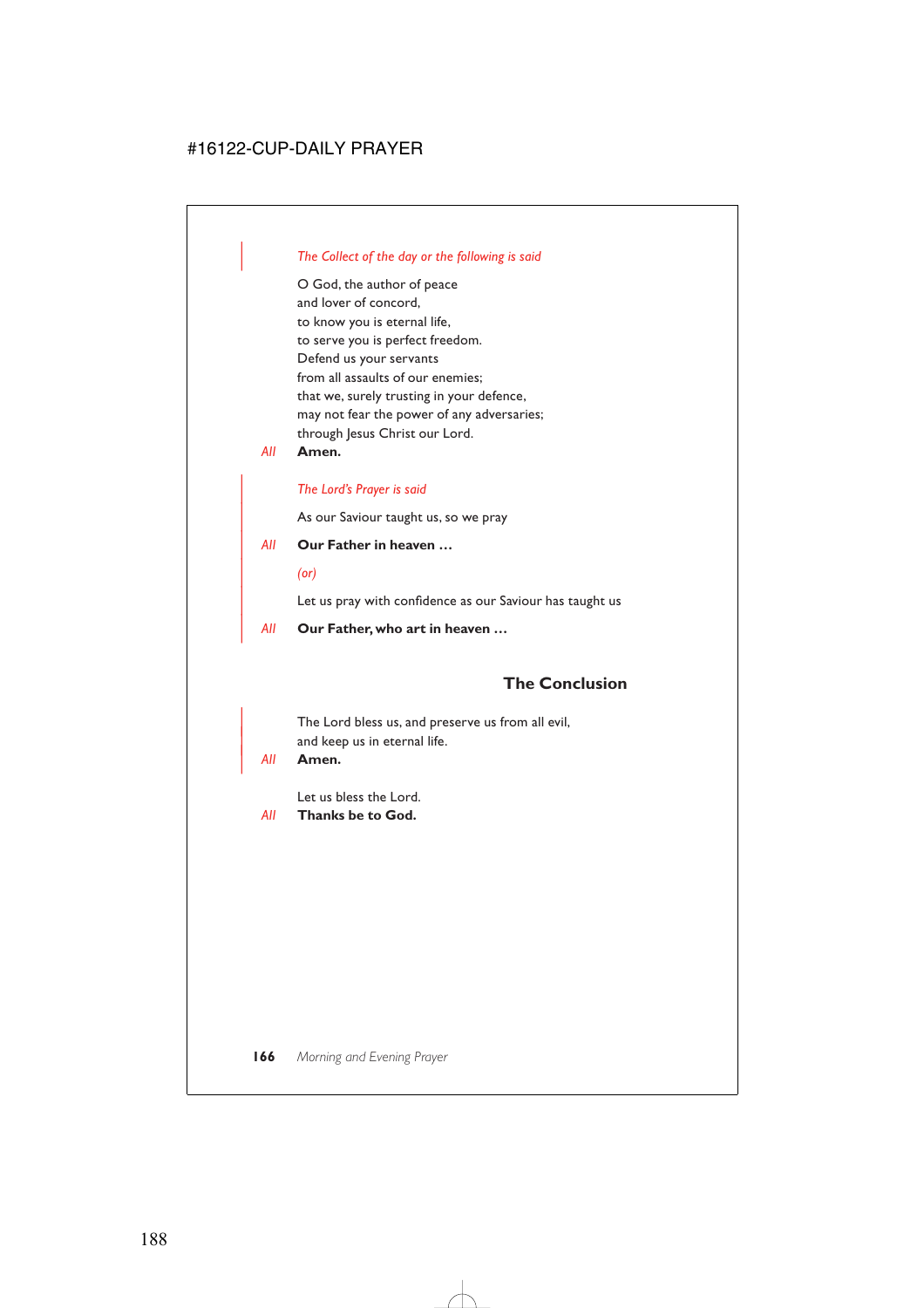### | *The Collect of the day or the following is said*

O God, the author of peace and lover of concord, to know you is eternal life, to serve you is perfect freedom. Defend us your servants from all assaults of our enemies; that we, surely trusting in your defence, may not fear the power of any adversaries; through Jesus Christ our Lord.

*All* **Amen.**

### | *The Lord's Prayer is said*

As our Saviour taught us, so we pray

- | *All* **Our Father in heaven …**
	- | *(or)*

Let us pray with confidence as our Saviour has taught us

| *All* **Our Father, who art in heaven …**

### **The Conclusion**

The Lord bless us, and preserve us from all evil, and keep us in eternal life.

#### | *All* **Amen.**

Let us bless the Lord.

*All* **Thanks be to God.**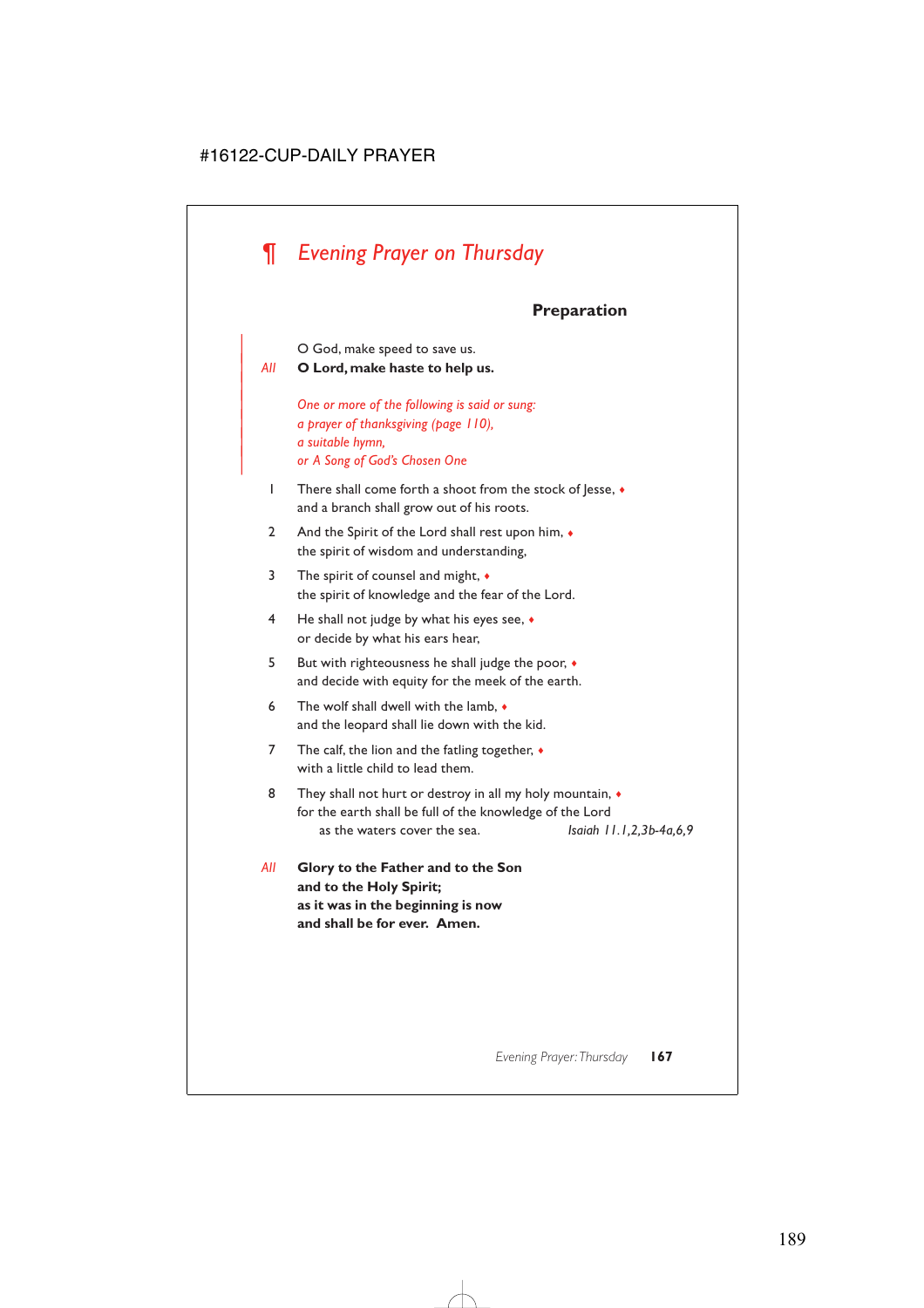# *¶ Evening Prayer on Thursday*

# **Preparation**

O God, make speed to save us.

| *All* **O Lord, make haste to help us.**

|

| *One or more of the following is said or sung:* | *a prayer of thanksgiving (page 110),* | *a suitable hymn,* | *or A Song of God's Chosen One*

- 1 There shall come forth a shoot from the stock of Jesse, ♦ and a branch shall grow out of his roots.
- 2 And the Spirit of the Lord shall rest upon him,  $\bullet$ the spirit of wisdom and understanding,
- 3 The spirit of counsel and might, ♦ the spirit of knowledge and the fear of the Lord.
- 4 He shall not judge by what his eyes see, ♦ or decide by what his ears hear,
- 5 But with righteousness he shall judge the poor, ♦ and decide with equity for the meek of the earth.
- 6 The wolf shall dwell with the lamb, ♦ and the leopard shall lie down with the kid.
- 7 The calf, the lion and the fatling together,  $\bullet$ with a little child to lead them.
- 8 They shall not hurt or destroy in all my holy mountain,  $\bullet$ for the earth shall be full of the knowledge of the Lord as the waters cover the sea. *Isaiah 11.1,2,3b-4a,6,9*
- *All* **Glory to the Father and to the Son and to the Holy Spirit; as it was in the beginning is now and shall be for ever. Amen.**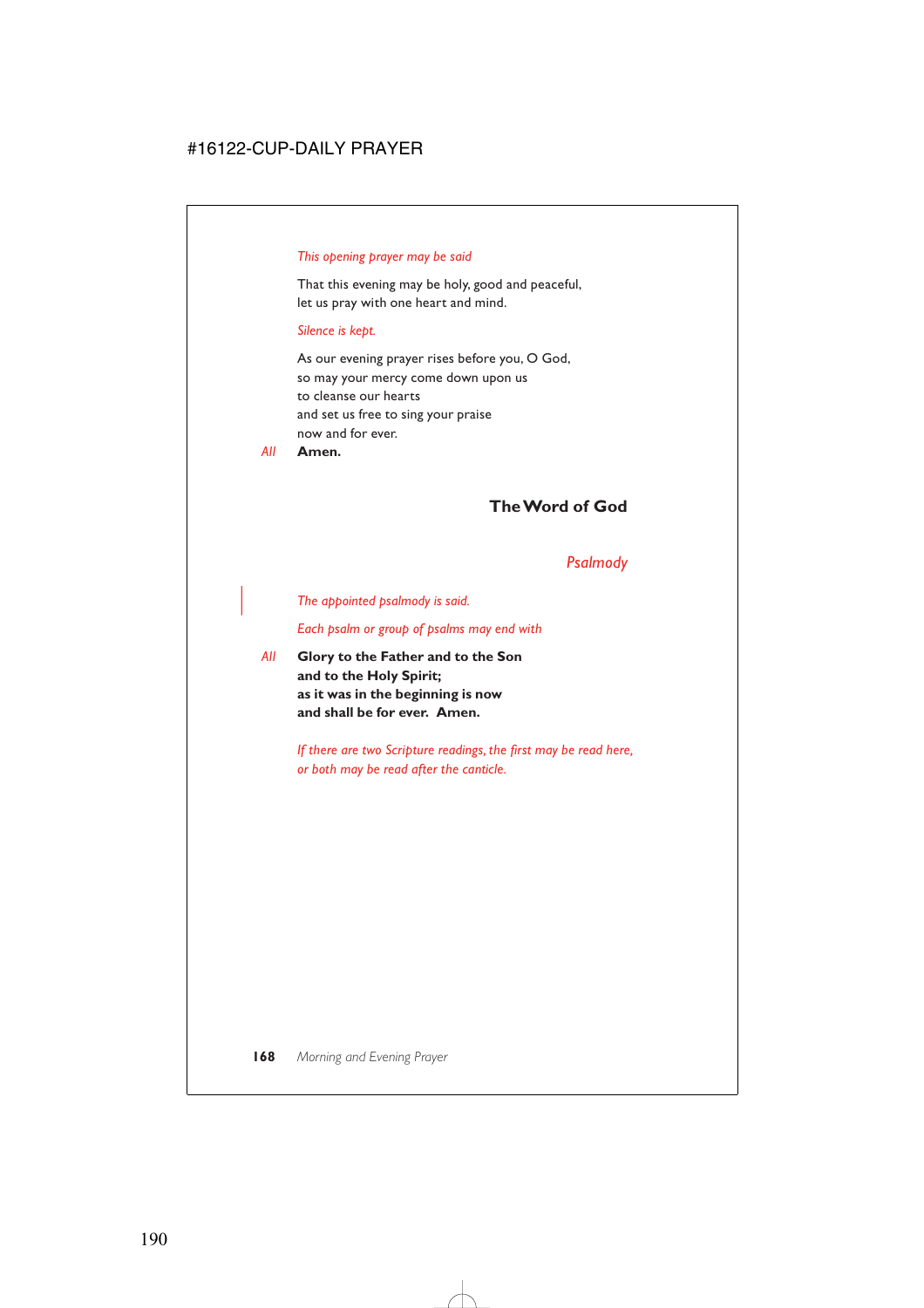### *This opening prayer may be said*

That this evening may be holy, good and peaceful, let us pray with one heart and mind.

#### *Silence is kept.*

As our evening prayer rises before you, O God, so may your mercy come down upon us to cleanse our hearts and set us free to sing your praise now and for ever.

*All* **Amen.**

## **The Word of God**

### *Psalmody*

#### | *The appointed psalmody is said.*

*Each psalm or group of psalms may end with*

*All* **Glory to the Father and to the Son and to the Holy Spirit; as it was in the beginning is now and shall be for ever. Amen.**

> *If there are two Scripture readings, the first may be read here, or both may be read after the canticle.*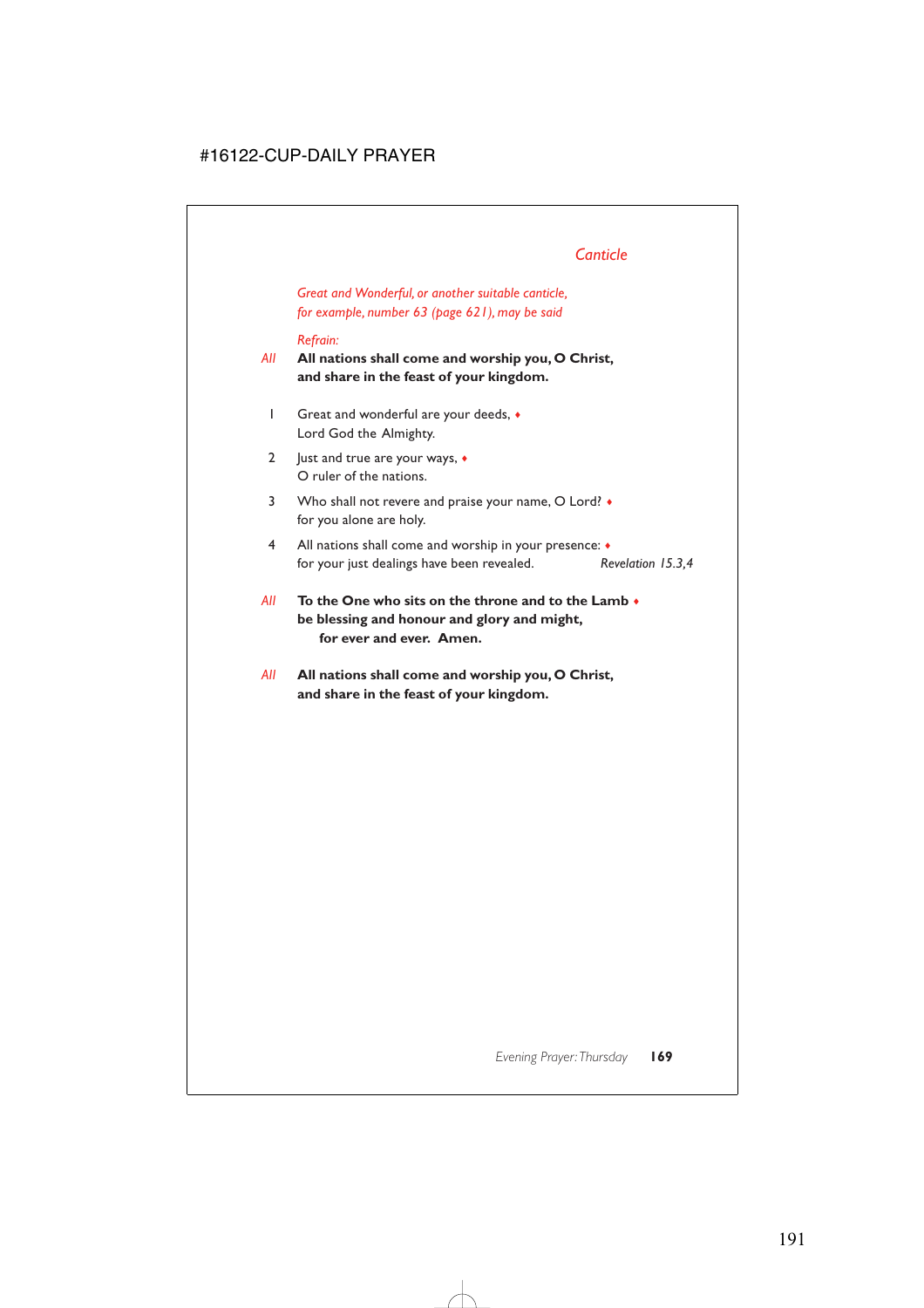# *Canticle*

*Great and Wonderful, or another suitable canticle, for example, number 63 (page 621), may be said*

### *Refrain:*

*All* **All nations shall come and worship you, O Christ, and share in the feast of your kingdom.**

- 1 Great and wonderful are your deeds, ♦ Lord God the Almighty.
- 2 Just and true are your ways,  $\triangleleft$ O ruler of the nations.
- 3 Who shall not revere and praise your name, O Lord? for you alone are holy.
- 4 All nations shall come and worship in your presence: ♦ for your just dealings have been revealed. *Revelation 15.3,4*
- *All* **To the One who sits on the throne and to the Lamb** ♦ **be blessing and honour and glory and might, for ever and ever. Amen.**
- *All* **All nations shall come and worship you, O Christ, and share in the feast of your kingdom.**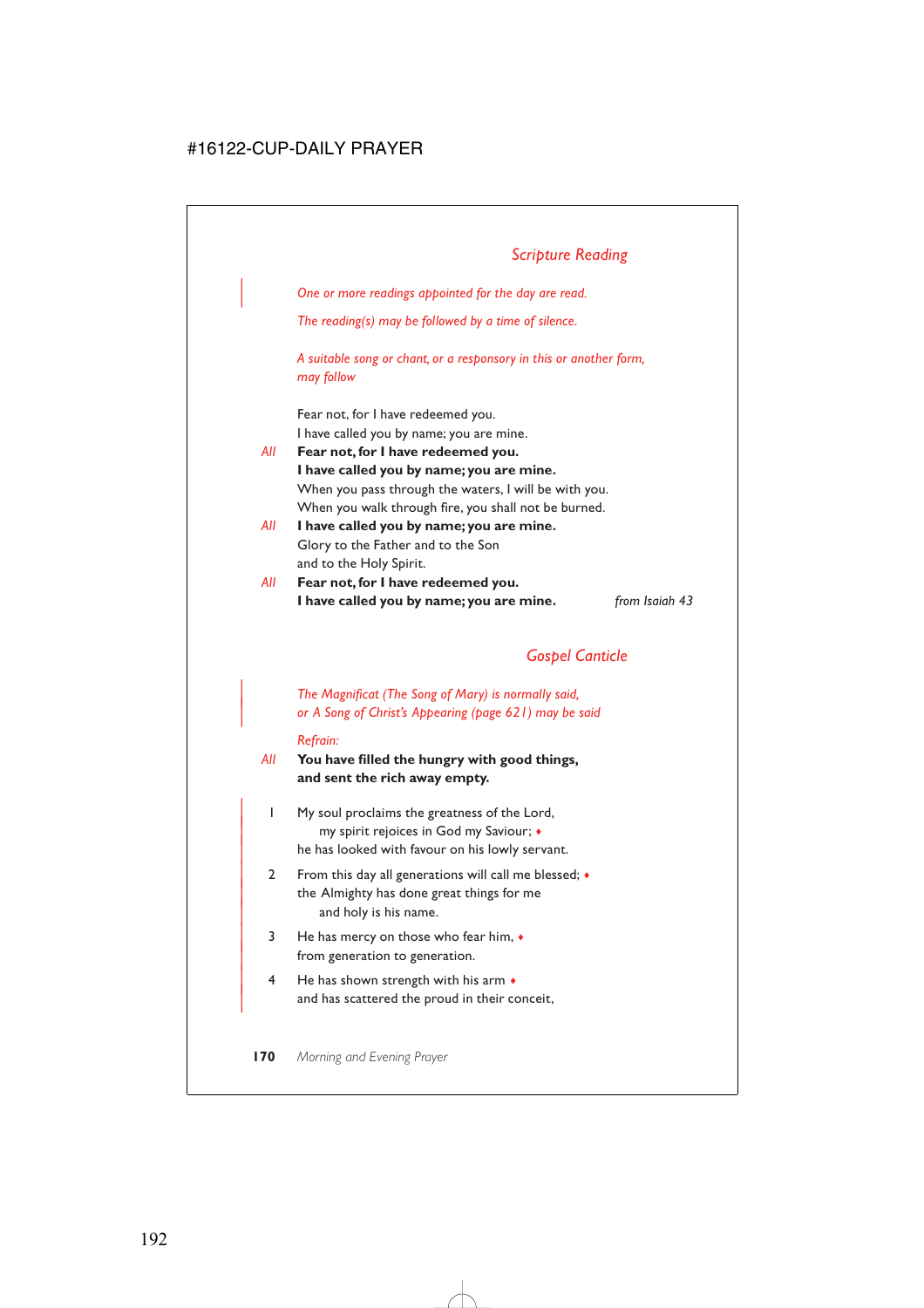# *Scripture Reading*

| *One or more readings appointed for the day are read.*

*The reading(s) may be followed by a time of silence.*

*A suitable song or chant, or a responsory in this or another form, may follow*

Fear not, for I have redeemed you. I have called you by name; you are mine.

- *All* **Fear not, for I have redeemed you. I have called you by name; you are mine.** When you pass through the waters, I will be with you. When you walk through fire, you shall not be burned.
- *All* **I have called you by name; you are mine.** Glory to the Father and to the Son and to the Holy Spirit.
- *All* **Fear not, for I have redeemed you. I have called you by name; you are mine.** *from Isaiah 43*

*Gospel Canticle*

| *The Magnificat (The Song of Mary) is normally said,* | *or A Song of Christ's Appearing (page 621) may be said*

#### *Refrain:*

- *All* **You have filled the hungry with good things, and sent the rich away empty.**
	- | 1 My soul proclaims the greatness of the Lord, | my spirit rejoices in God my Saviour; ♦ he has looked with favour on his lowly servant.
	- 2 From this day all generations will call me blessed;  $\bullet$ the Almighty has done great things for me and holy is his name.
	- | 3 He has mercy on those who fear him, ♦ from generation to generation.
	- $4$  He has shown strength with his arm  $\bullet$ and has scattered the proud in their conceit,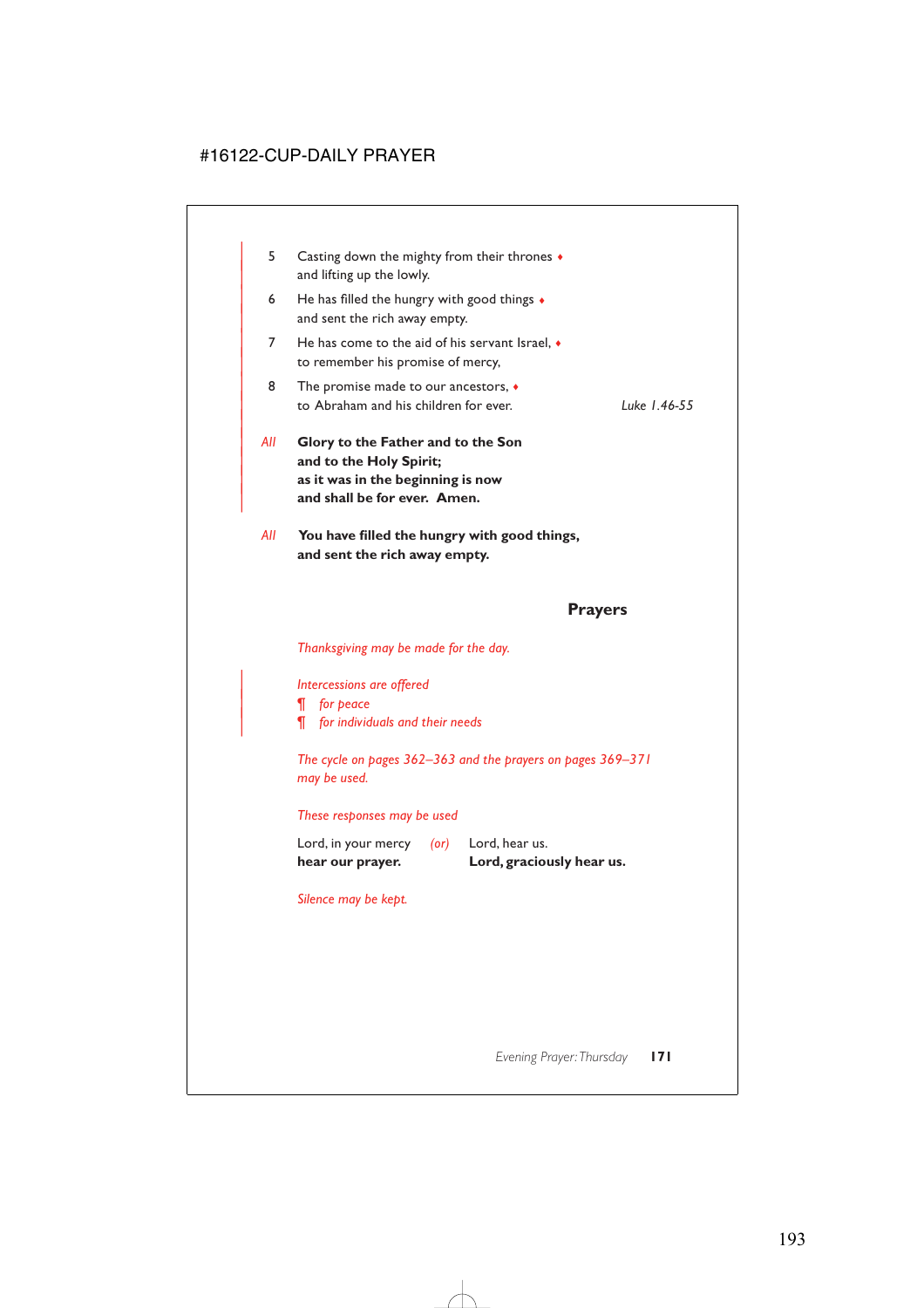| 5   | Casting down the mighty from their thrones •<br>and lifting up the lowly.                                                          |              |
|-----|------------------------------------------------------------------------------------------------------------------------------------|--------------|
| 6   | He has filled the hungry with good things $\bullet$<br>and sent the rich away empty.                                               |              |
| 7   | He has come to the aid of his servant Israel, $\bullet$<br>to remember his promise of mercy,                                       |              |
| 8   | The promise made to our ancestors, $\bullet$<br>to Abraham and his children for ever.                                              | Luke 1.46-55 |
| All | Glory to the Father and to the Son<br>and to the Holy Spirit;<br>as it was in the beginning is now<br>and shall be for ever. Amen. |              |
| All | You have filled the hungry with good things,                                                                                       |              |
|     |                                                                                                                                    |              |

**and sent the rich away empty.**

### **Prayers**

*Thanksgiving may be made for the day.*

| *Intercessions are offered*

| *¶ for peace*

| *¶ for individuals and their needs*

*The cycle on pages 362–363 and the prayers on pages 369–371 may be used.*

#### *These responses may be used*

Lord, in your mercy *(or)* Lord, hear us. **hear our prayer. Lord, graciously hear us.**

*Silence may be kept.*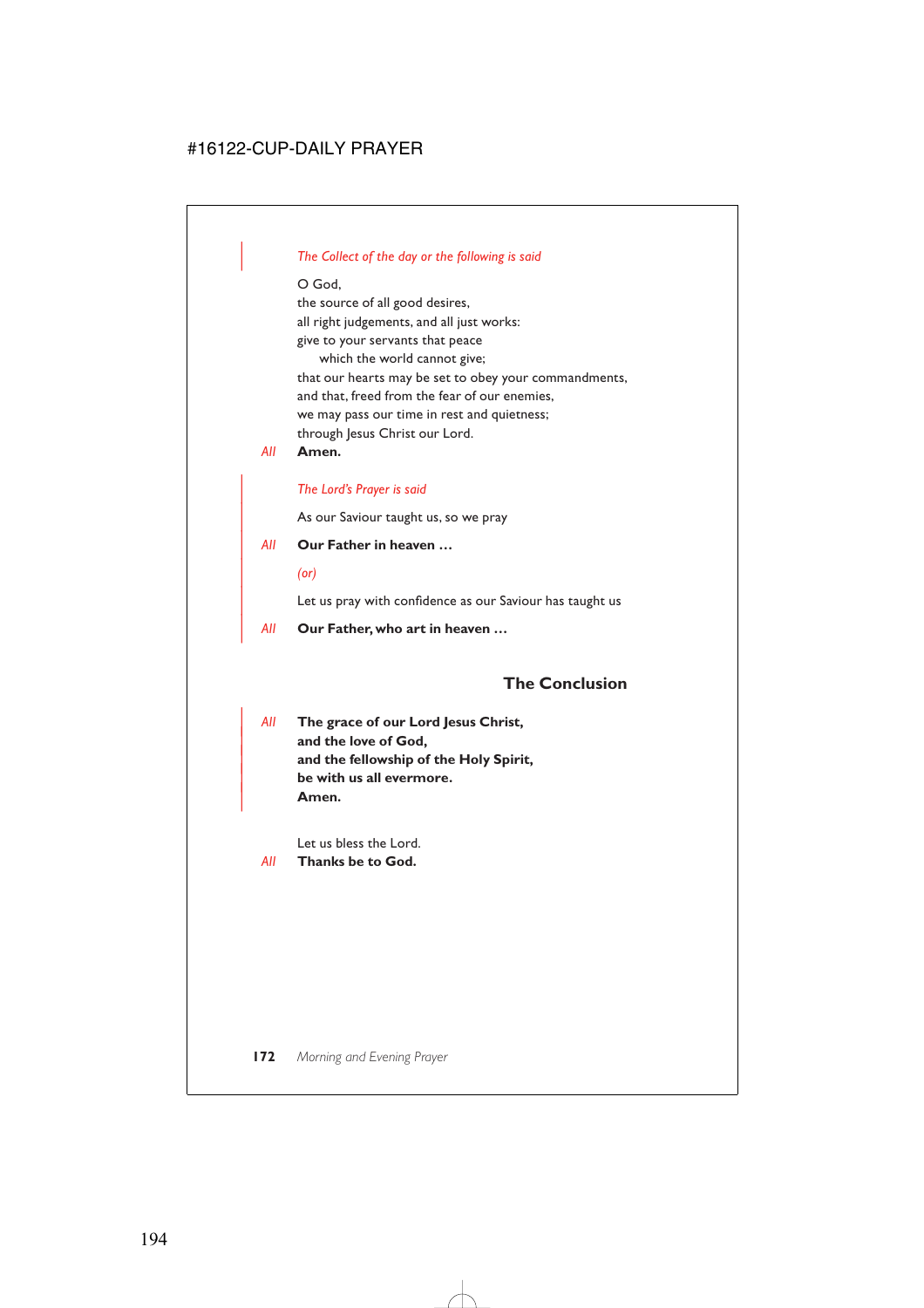### | *The Collect of the day or the following is said*

O God,

the source of all good desires, all right judgements, and all just works: give to your servants that peace which the world cannot give; that our hearts may be set to obey your commandments, and that, freed from the fear of our enemies, we may pass our time in rest and quietness; through Jesus Christ our Lord.

*All* **Amen.**

### | *The Lord's Prayer is said*

As our Saviour taught us, so we pray

- | *All* **Our Father in heaven …**
	- | *(or)*

Let us pray with confidence as our Saviour has taught us

| *All* **Our Father, who art in heaven …**

### **The Conclusion**

| *All* **The grace of our Lord Jesus Christ,** and the love of God, and the fellowship of the Holy Spirit, | **be with us all evermore.** | **Amen.**

Let us bless the Lord.

*All* **Thanks be to God.**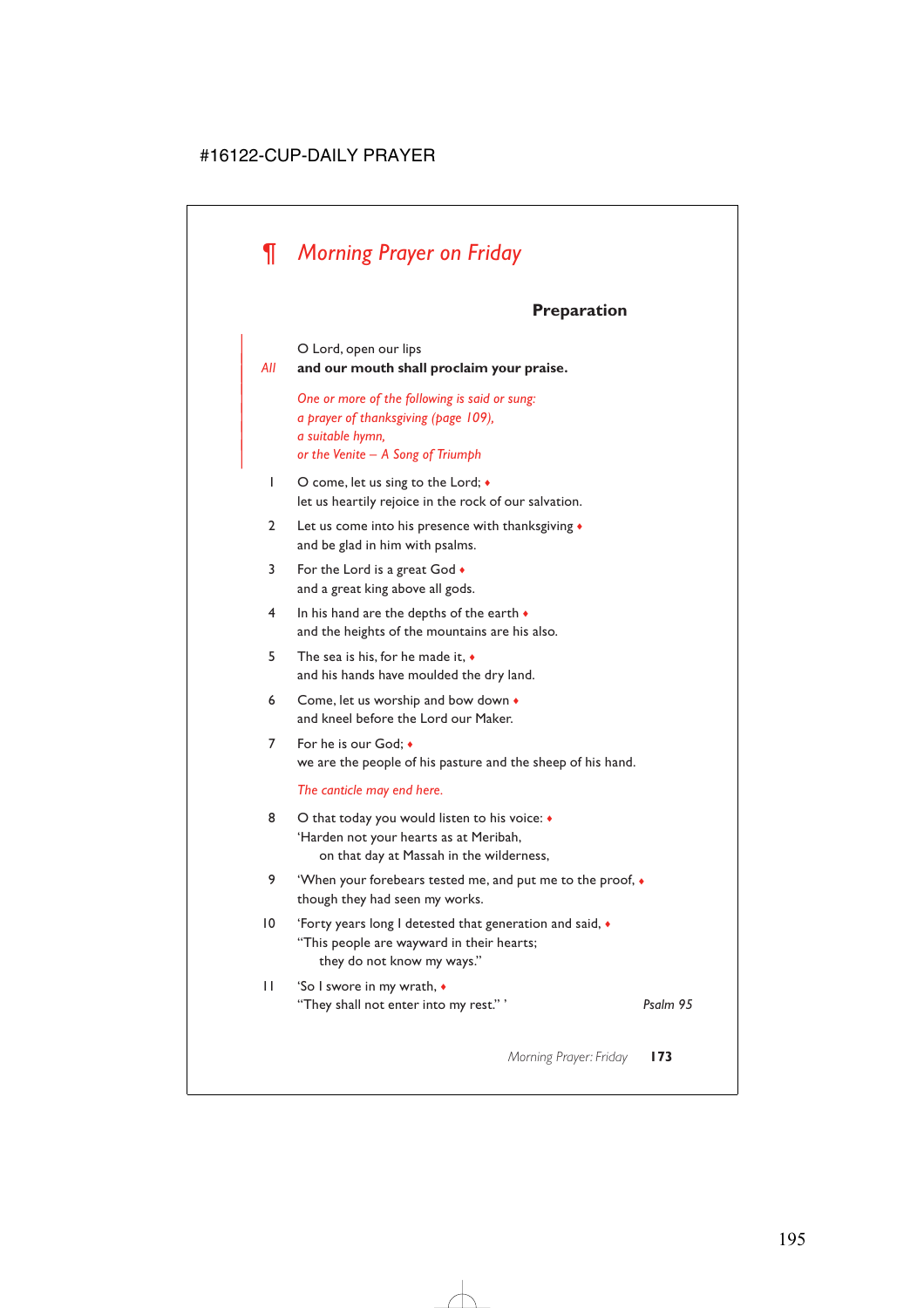# *¶ Morning Prayer on Friday*

# **Preparation**

O Lord, open our lips

### $All$  and our mouth shall proclaim your praise.

| *One or more of the following is said or sung:* | *a prayer of thanksgiving (page 109),* | *a suitable hymn,* | *or the Venite – A Song of Triumph*

- 1 O come, let us sing to the Lord;  $\bullet$ let us heartily rejoice in the rock of our salvation.
- 2 Let us come into his presence with thanksgiving ♦ and be glad in him with psalms.
- 3 For the Lord is a great God  $\bullet$ and a great king above all gods.
- 4 In his hand are the depths of the earth  $\bullet$ and the heights of the mountains are his also.
- 5 The sea is his, for he made it, ♦ and his hands have moulded the dry land.
- 6 Come, let us worship and bow down  $\bullet$ and kneel before the Lord our Maker.
- 7 For he is our God:  $\bullet$ we are the people of his pasture and the sheep of his hand.

*The canticle may end here.*

- 8 O that today you would listen to his voice:  $\triangleleft$ 'Harden not your hearts as at Meribah, on that day at Massah in the wilderness,
- 9 'When your forebears tested me, and put me to the proof,  $\bullet$ though they had seen my works.
- 10 'Forty years long I detested that generation and said, ♦ "This people are wayward in their hearts; they do not know my ways."
- 11 'So I swore in my wrath, ♦ "They shall not enter into my rest." ' *Psalm 95*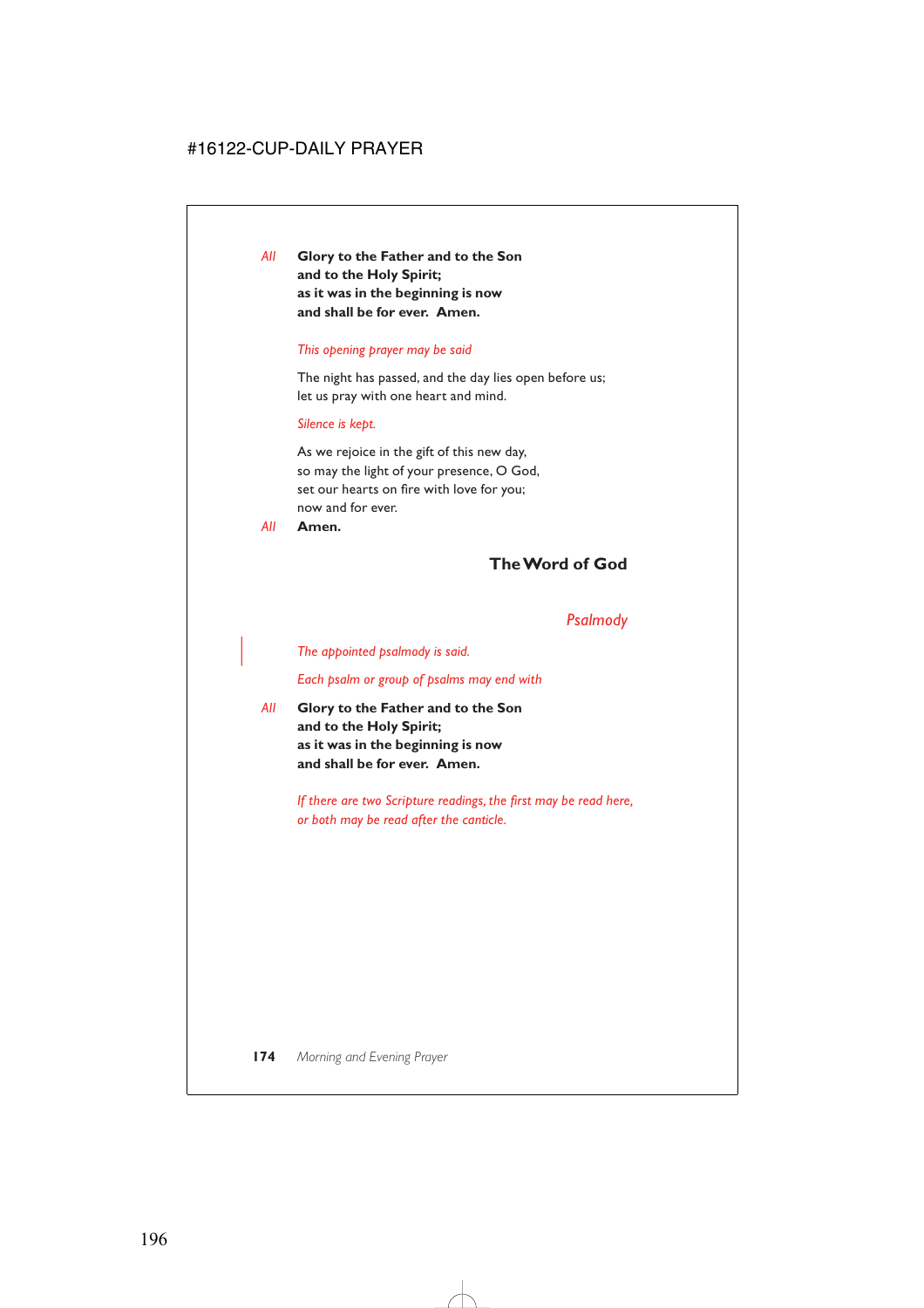*All* **Glory to the Father and to the Son and to the Holy Spirit; as it was in the beginning is now and shall be for ever. Amen.**

#### *This opening prayer may be said*

The night has passed, and the day lies open before us; let us pray with one heart and mind.

### *Silence is kept.*

As we rejoice in the gift of this new day, so may the light of your presence, O God, set our hearts on fire with love for you; now and for ever.

*All* **Amen.**

# **The Word of God**

## *Psalmody*

| *The appointed psalmody is said.*

*Each psalm or group of psalms may end with*

*All* **Glory to the Father and to the Son and to the Holy Spirit; as it was in the beginning is now and shall be for ever. Amen.**

> *If there are two Scripture readings, the first may be read here, or both may be read after the canticle.*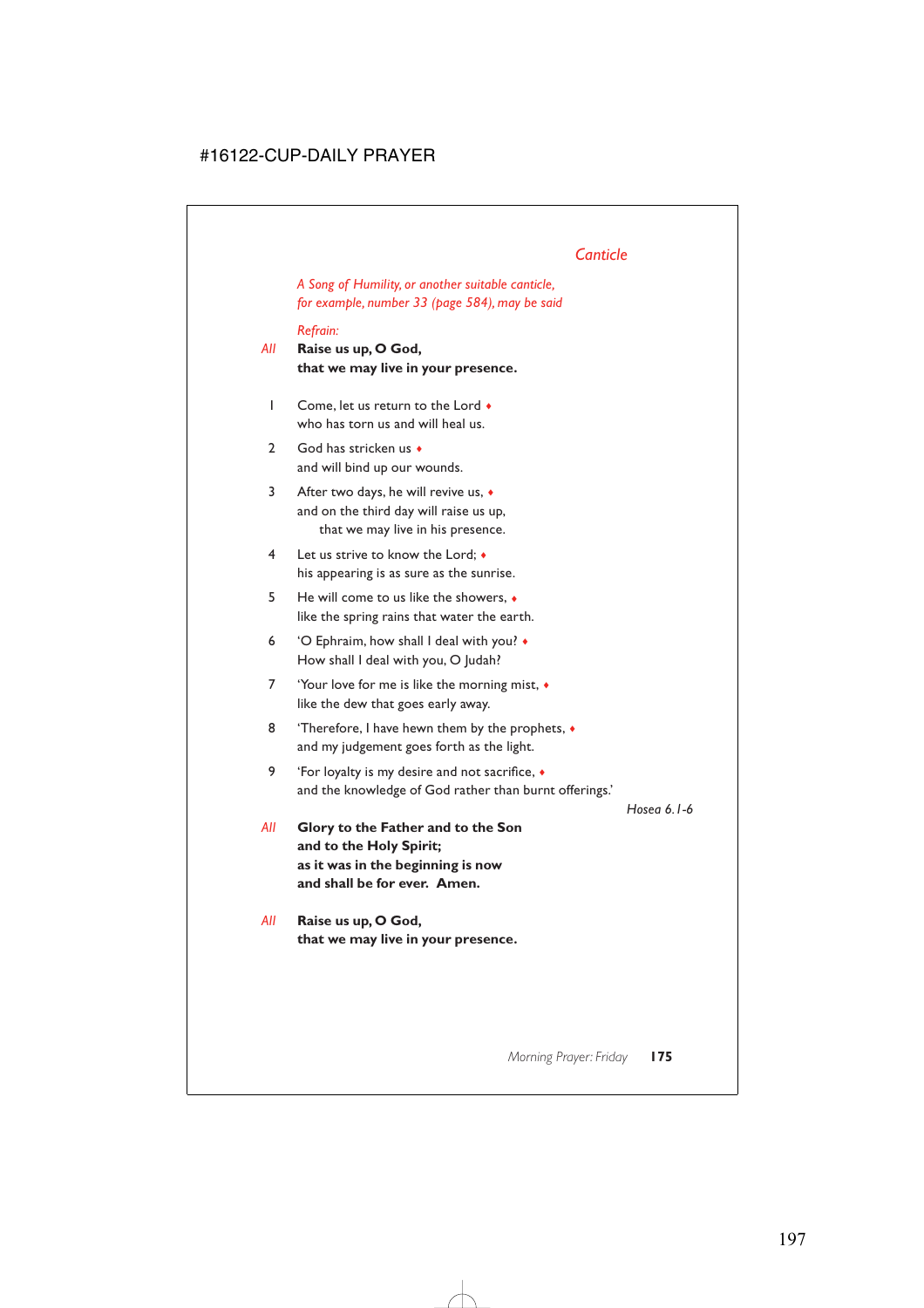# *Canticle*

*A Song of Humility, or another suitable canticle, for example, number 33 (page 584), may be said*

### *Refrain:*

- *All* **Raise us up, O God, that we may live in your presence.**
	- 1 Come, let us return to the Lord ♦ who has torn us and will heal us.
	- 2 God has stricken us ♦ and will bind up our wounds.
	- 3 After two days, he will revive us, ♦ and on the third day will raise us up, that we may live in his presence.
	- 4 Let us strive to know the Lord; ♦ his appearing is as sure as the sunrise.
	- 5 He will come to us like the showers, ♦ like the spring rains that water the earth.
	- 6 'O Ephraim, how shall I deal with you? ♦ How shall I deal with you, O Judah?
	- 7 'Your love for me is like the morning mist, ♦ like the dew that goes early away.
	- 8 'Therefore, I have hewn them by the prophets,  $\bullet$ and my judgement goes forth as the light.
	- 9 'For loyalty is my desire and not sacrifice, ♦ and the knowledge of God rather than burnt offerings.'

*Hosea 6.1-6*

- *All* **Glory to the Father and to the Son and to the Holy Spirit; as it was in the beginning is now and shall be for ever. Amen.**
- *All* **Raise us up, O God, that we may live in your presence.**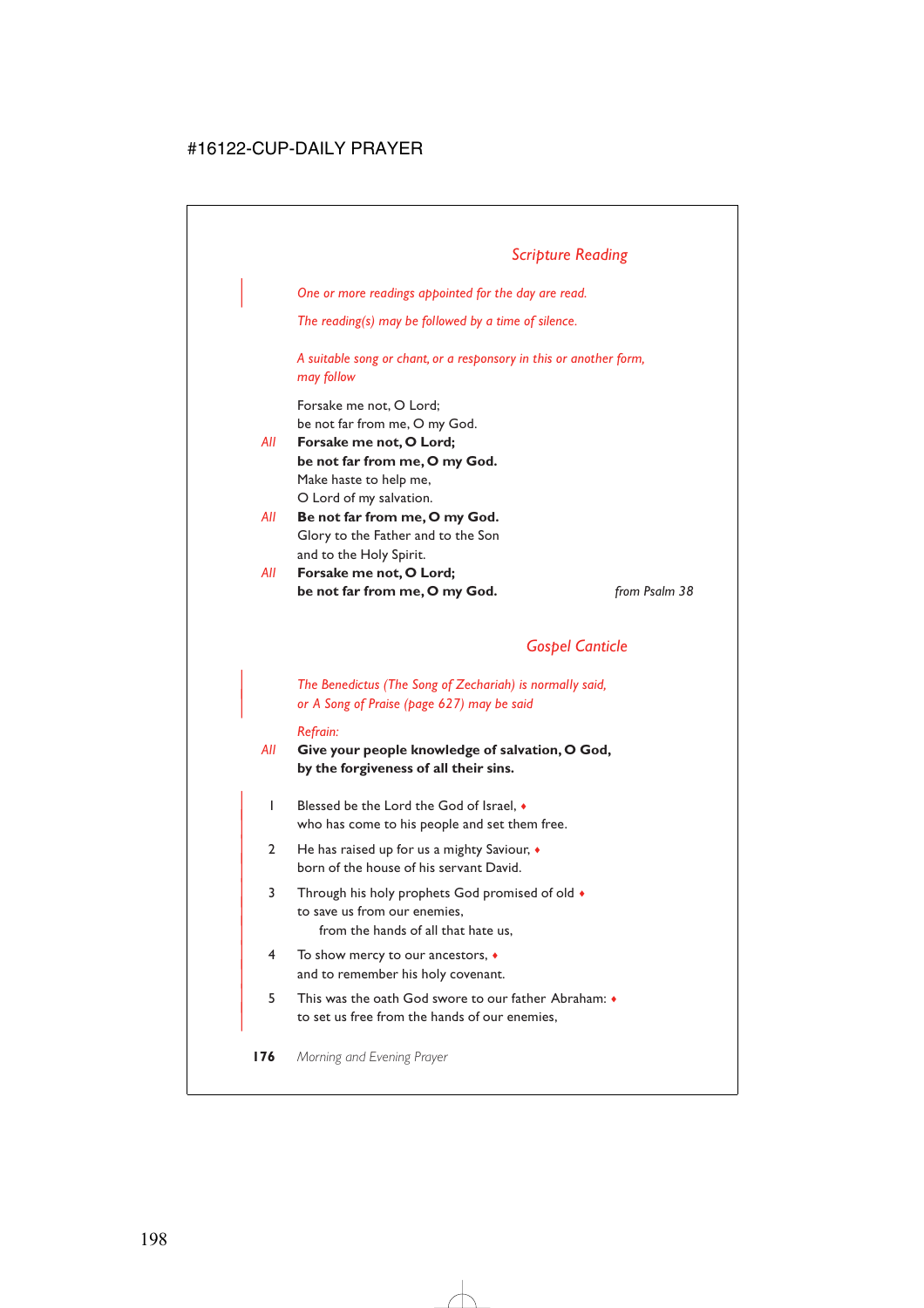| *One or more readings appointed for the day are read.*

*The reading(s) may be followed by a time of silence.*

*A suitable song or chant, or a responsory in this or another form, may follow*

Forsake me not, O Lord; be not far from me, O my God.

- *All* **Forsake me not, O Lord; be not far from me, O my God.** Make haste to help me, O Lord of my salvation.
- *All* **Be not far from me, O my God.** Glory to the Father and to the Son and to the Holy Spirit.
- *All* **Forsake me not, O Lord; be not far from me, O my God.** *from Psalm 38*

# *Gospel Canticle*

| *The Benedictus (The Song of Zechariah) is normally said,* | *or A Song of Praise (page 627) may be said*

#### *Refrain:*

*All* **Give your people knowledge of salvation, O God, by the forgiveness of all their sins.**

- | 1 Blessed be the Lord the God of Israel, ♦ who has come to his people and set them free.
- | 2 He has raised up for us a mighty Saviour, ♦ born of the house of his servant David.
- 3 Through his holy prophets God promised of old  $\bullet$ to save us from our enemies. from the hands of all that hate us,
- | 4 To show mercy to our ancestors, ♦ and to remember his holy covenant.
- | 5 This was the oath God swore to our father Abraham: ♦ to set us free from the hands of our enemies,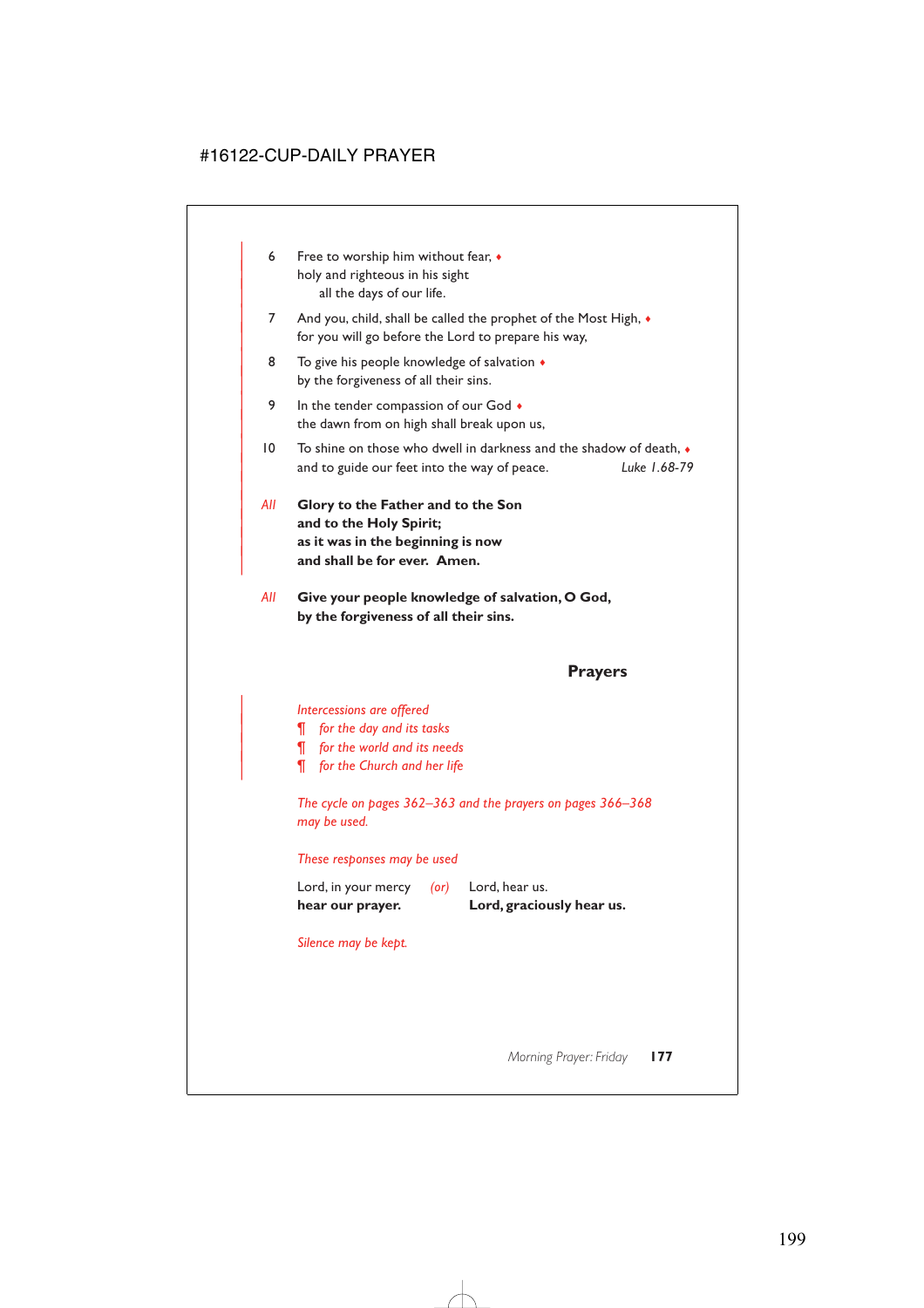- 6 Free to worship him without fear,  $\bullet$ holy and righteous in his sight all the days of our life.
- 7 And you, child, shall be called the prophet of the Most High,  $\bullet$ for you will go before the Lord to prepare his way,
- 8 To give his people knowledge of salvation  $\triangleleft$ by the forgiveness of all their sins.
- 9 In the tender compassion of our God  $\bullet$ the dawn from on high shall break upon us,
- $10$  To shine on those who dwell in darkness and the shadow of death,  $\bullet$ | and to guide our feet into the way of peace. *Luke 1.68-79*
- | *All* **Glory to the Father and to the Son** and to the Holy Spirit; | **as it was in the beginning is now** and shall be for ever. Amen.

|

*All* **Give your people knowledge of salvation, O God, by the forgiveness of all their sins.**

### **Prayers**

### | *Intercessions are offered*

- | *¶ for the day and its tasks*
- | *¶ for the world and its needs*
- | *¶ for the Church and her life*

*The cycle on pages 362–363 and the prayers on pages 366–368 may be used.*

### *These responses may be used*

| hear our prayer.    |      | Lord, graciously hear us. |
|---------------------|------|---------------------------|
| Lord, in your mercy | (or) | Lord, hear us.            |

### *Silence may be kept.*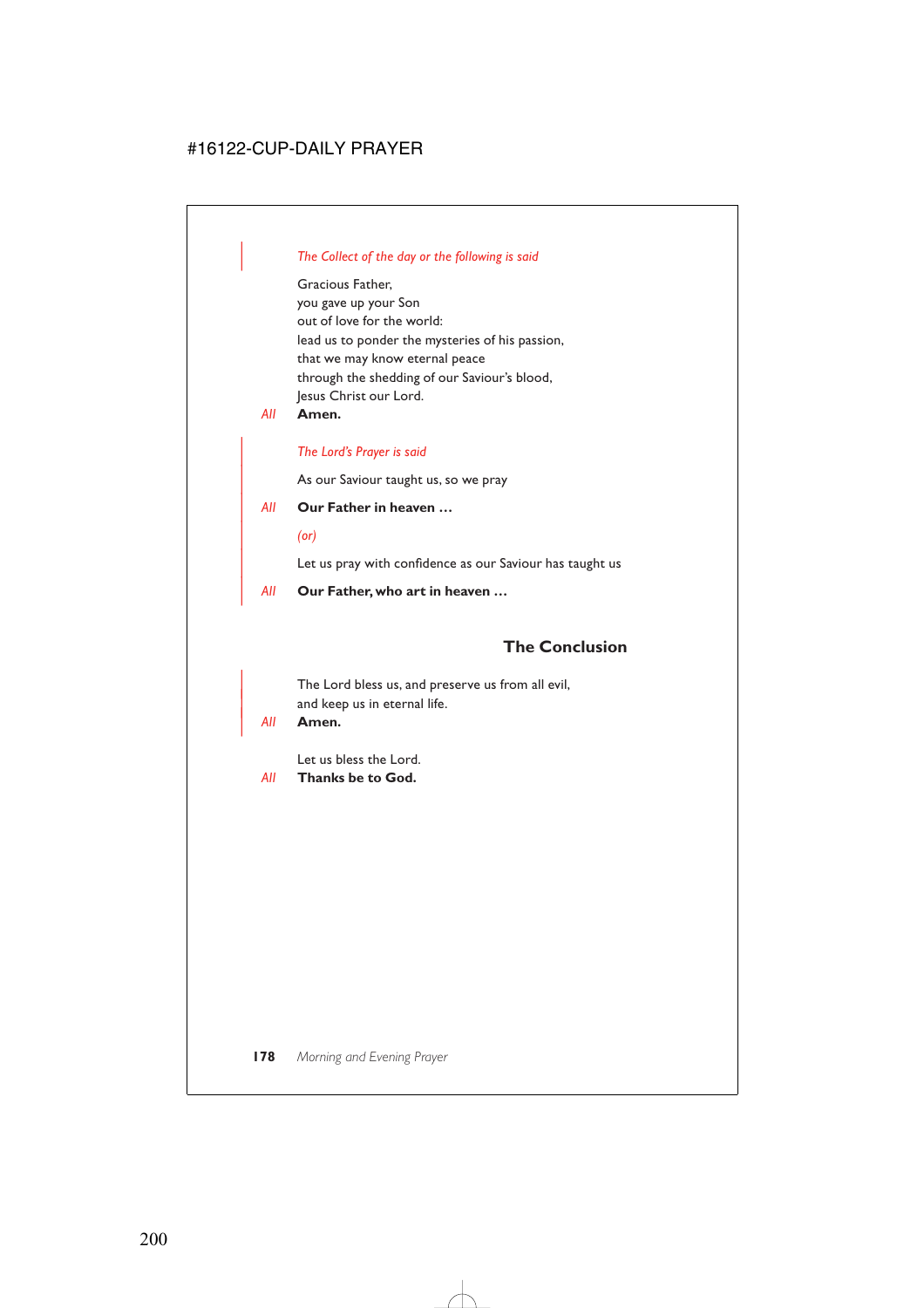### | *The Collect of the day or the following is said*

Gracious Father, you gave up your Son out of love for the world: lead us to ponder the mysteries of his passion, that we may know eternal peace through the shedding of our Saviour's blood, Jesus Christ our Lord.

*All* **Amen.**

### | *The Lord's Prayer is said*

As our Saviour taught us, so we pray

### | *All* **Our Father in heaven …**

| *(or)*

Let us pray with confidence as our Saviour has taught us

| *All* **Our Father, who art in heaven …**

# **The Conclusion**

The Lord bless us, and preserve us from all evil, and keep us in eternal life.

#### | *All* **Amen.**

Let us bless the Lord.

*All* **Thanks be to God.**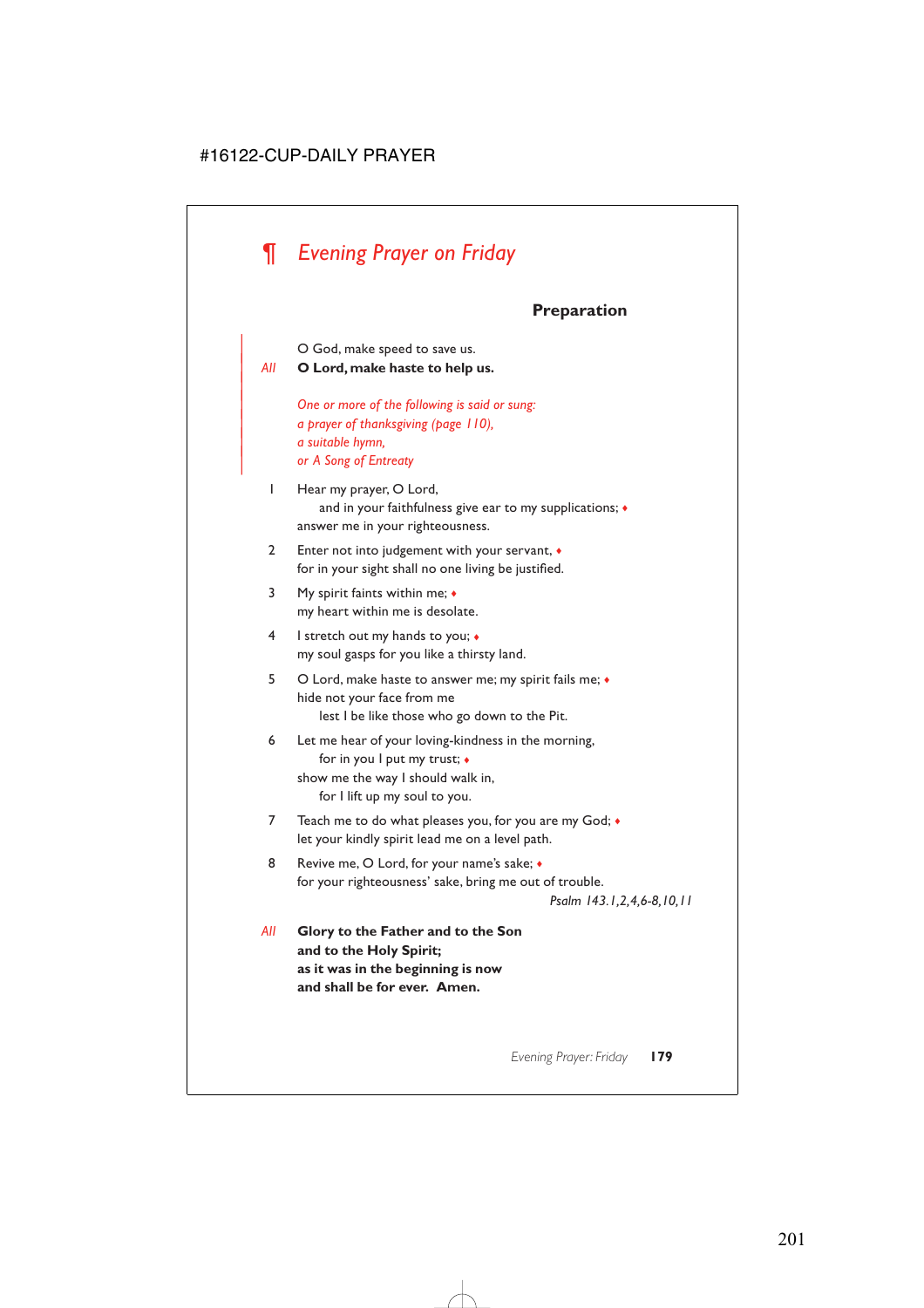# *¶ Evening Prayer on Friday*

## **Preparation**

| O God, make speed to save us.

| *All* **O Lord, make haste to help us.**

|

| *One or more of the following is said or sung:* | *a prayer of thanksgiving (page 110),* | *a suitable hymn,* | *or A Song of Entreaty*

- 1 Hear my prayer, O Lord, and in your faithfulness give ear to my supplications; ♦ answer me in your righteousness.
- 2 Enter not into judgement with your servant, ♦ for in your sight shall no one living be justified.
- 3 My spirit faints within me; ♦ my heart within me is desolate.
- 4 I stretch out my hands to you; ♦ my soul gasps for you like a thirsty land.
- 5 O Lord, make haste to answer me; my spirit fails me; ♦ hide not your face from me lest I be like those who go down to the Pit.

6 Let me hear of your loving-kindness in the morning, for in you I put my trust; ♦ show me the way I should walk in, for I lift up my soul to you.

- 7 Teach me to do what pleases you, for you are my God;  $\bullet$ let your kindly spirit lead me on a level path.
- 8 Revive me, O Lord, for your name's sake;  $\bullet$ for your righteousness' sake, bring me out of trouble.

*Psalm 143.1,2,4,6-8,10,11*

*All* **Glory to the Father and to the Son and to the Holy Spirit; as it was in the beginning is now and shall be for ever. Amen.**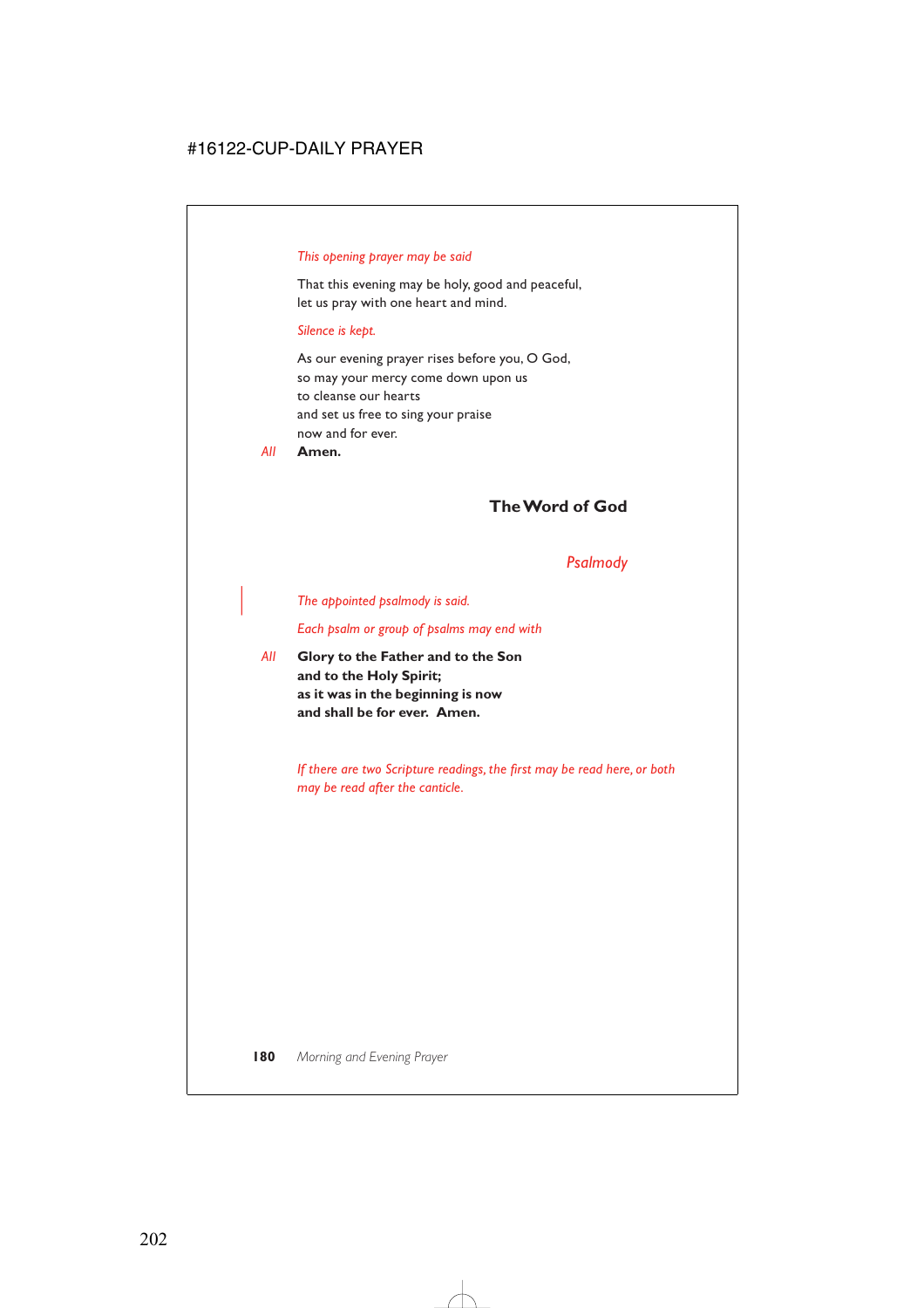### *This opening prayer may be said*

That this evening may be holy, good and peaceful, let us pray with one heart and mind.

#### *Silence is kept.*

As our evening prayer rises before you, O God, so may your mercy come down upon us to cleanse our hearts and set us free to sing your praise now and for ever.

*All* **Amen.**

### **The Word of God**

### *Psalmody*

#### | *The appointed psalmody is said.*

*Each psalm or group of psalms may end with*

*All* **Glory to the Father and to the Son and to the Holy Spirit; as it was in the beginning is now and shall be for ever. Amen.**

> *If there are two Scripture readings, the first may be read here, or both may be read after the canticle.*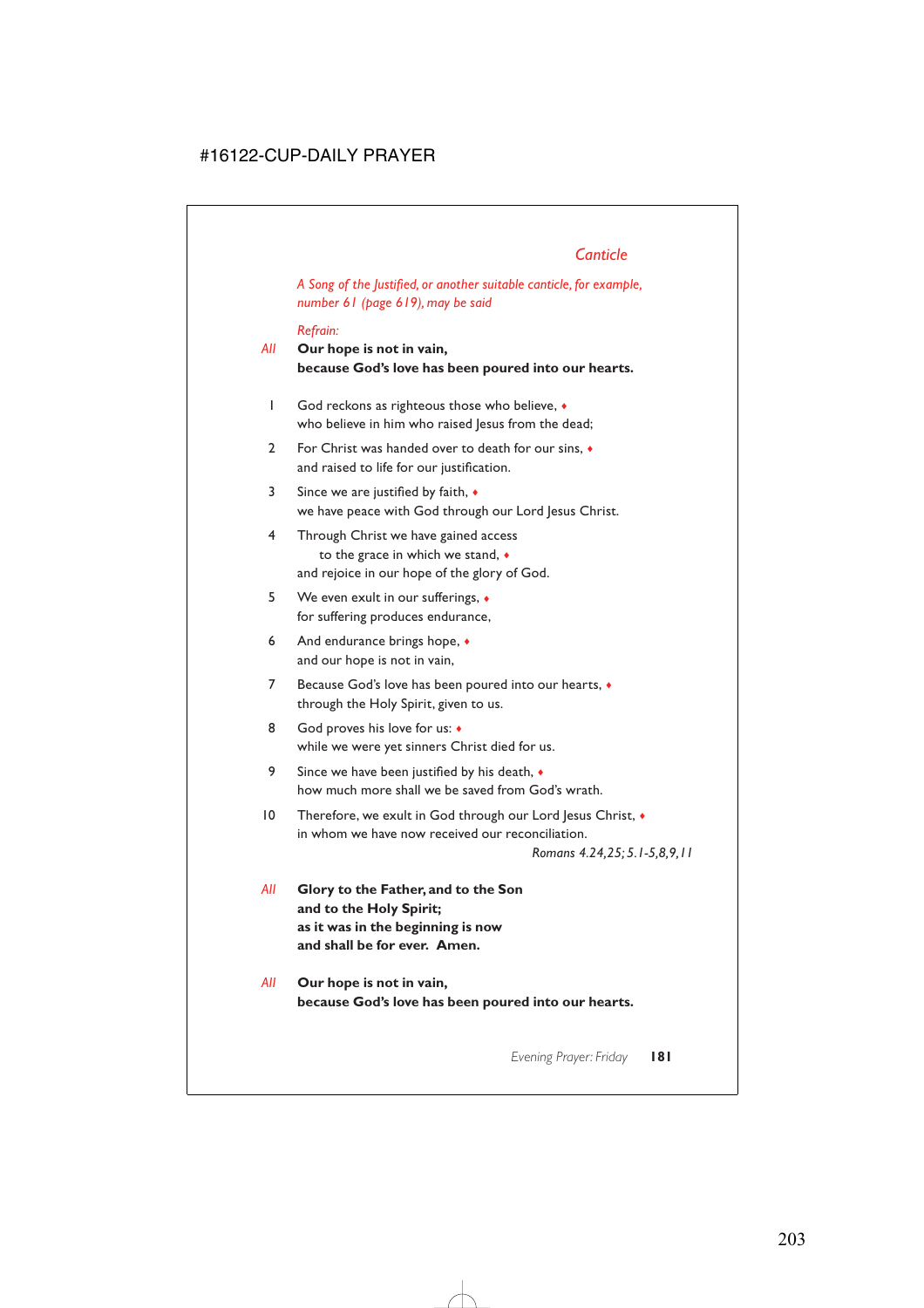# *Canticle*

*A Song of the Justified, or another suitable canticle, for example, number 61 (page 619), may be said*

### *Refrain:*

### *All* **Our hope is not in vain, because God's love has been poured into our hearts.**

- 1 God reckons as righteous those who believe, ♦ who believe in him who raised lesus from the dead;
- 2 For Christ was handed over to death for our sins, ♦ and raised to life for our justification.
- 3 Since we are justified by faith, ♦ we have peace with God through our Lord Jesus Christ.
- 4 Through Christ we have gained access to the grace in which we stand, ♦ and rejoice in our hope of the glory of God.
- 5 We even exult in our sufferings, ♦ for suffering produces endurance,
- 6 And endurance brings hope, ♦ and our hope is not in vain,
- 7 Because God's love has been poured into our hearts, ♦ through the Holy Spirit, given to us.
- 8 God proves his love for us:  $\bullet$ while we were yet sinners Christ died for us.
- 9 Since we have been justified by his death,  $\bullet$ how much more shall we be saved from God's wrath.
- 10 Therefore, we exult in God through our Lord Jesus Christ,  $\bullet$ in whom we have now received our reconciliation.

*Romans 4.24,25; 5.1-5,8,9,11*

- *All* **Glory to the Father, and to the Son and to the Holy Spirit; as it was in the beginning is now and shall be for ever. Amen.**
- *All* **Our hope is not in vain, because God's love has been poured into our hearts.**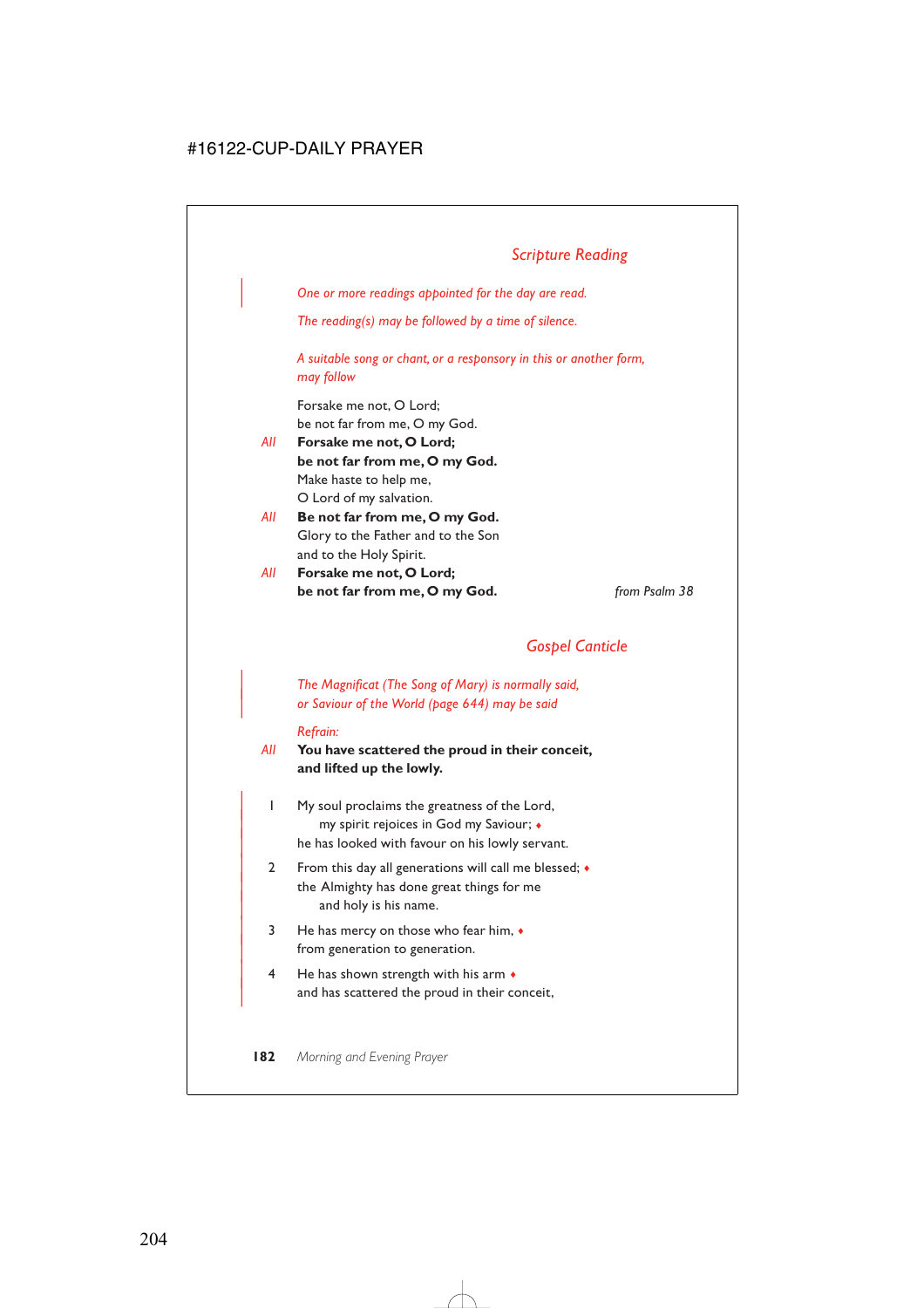| *One or more readings appointed for the day are read.*

*The reading(s) may be followed by a time of silence.*

*A suitable song or chant, or a responsory in this or another form, may follow*

Forsake me not, O Lord; be not far from me, O my God.

- *All* **Forsake me not, O Lord; be not far from me, O my God.** Make haste to help me, O Lord of my salvation.
- *All* **Be not far from me, O my God.** Glory to the Father and to the Son and to the Holy Spirit.
- *All* **Forsake me not, O Lord; be not far from me, O my God.** *from Psalm 38*

# *Gospel Canticle*

| *The Magnificat (The Song of Mary) is normally said,* | *or Saviour of the World (page 644) may be said*

#### *Refrain:*

### *All* **You have scattered the proud in their conceit, and lifted up the lowly.**

- | 1 My soul proclaims the greatness of the Lord, | my spirit rejoices in God my Saviour; ♦ he has looked with favour on his lowly servant.
- 2 From this day all generations will call me blessed;  $\bullet$ the Almighty has done great things for me and holy is his name.
- $3$  He has mercy on those who fear him,  $\bullet$ from generation to generation.
- $4$  He has shown strength with his arm  $\bullet$ and has scattered the proud in their conceit,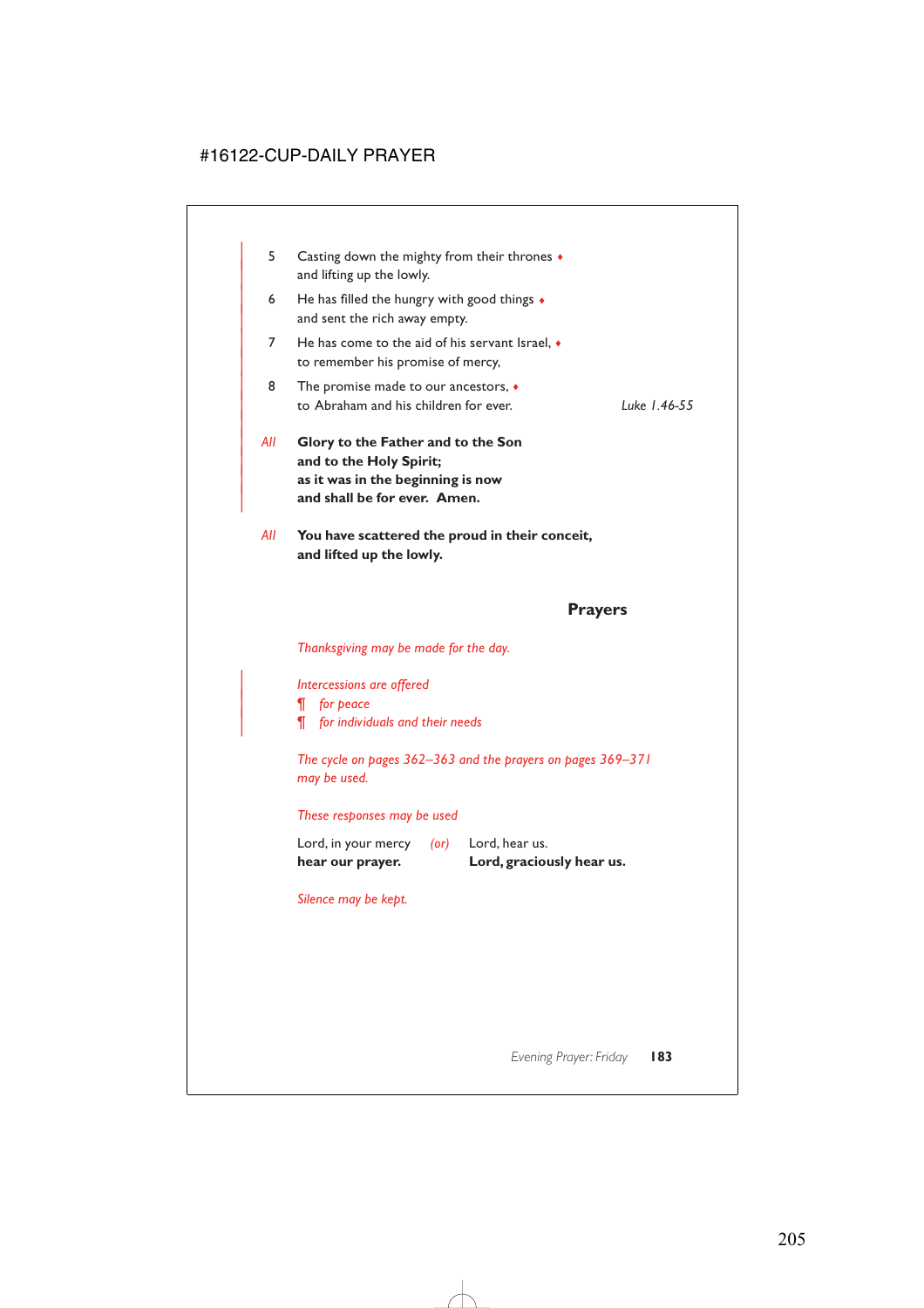| 5.  | Casting down the mighty from their thrones $\bullet$<br>and lifting up the lowly.                                                  |              |
|-----|------------------------------------------------------------------------------------------------------------------------------------|--------------|
| 6   | He has filled the hungry with good things $\bullet$<br>and sent the rich away empty.                                               |              |
| 7   | He has come to the aid of his servant Israel, $\bullet$<br>to remember his promise of mercy,                                       |              |
| 8   | The promise made to our ancestors, $\bullet$<br>to Abraham and his children for ever.                                              | Luke 1.46-55 |
| All | Glory to the Father and to the Son<br>and to the Holy Spirit;<br>as it was in the beginning is now<br>and shall be for ever. Amen. |              |

*All* **You have scattered the proud in their conceit, and lifted up the lowly.**

### **Prayers**

*Thanksgiving may be made for the day.*

| *Intercessions are offered*

| *¶ for peace*

| *¶ for individuals and their needs*

*The cycle on pages 362–363 and the prayers on pages 369–371 may be used.*

### *These responses may be used*

Lord, in your mercy *(or)* Lord, hear us. **hear our prayer. Lord, graciously hear us.**

*Silence may be kept.*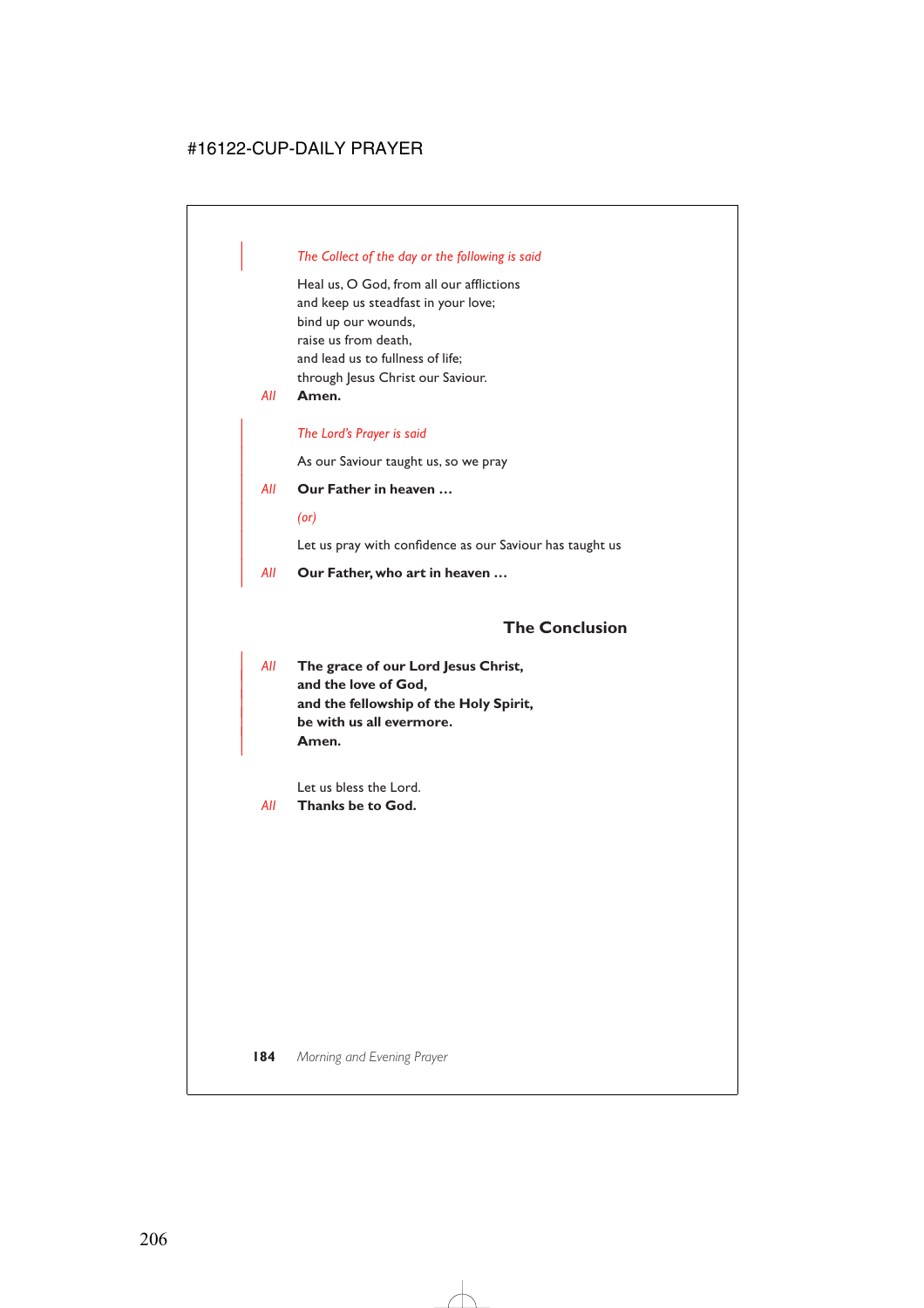### | *The Collect of the day or the following is said*

Heal us, O God, from all our afflictions and keep us steadfast in your love; bind up our wounds, raise us from death, and lead us to fullness of life; through Jesus Christ our Saviour.

*All* **Amen.**

### | *The Lord's Prayer is said*

As our Saviour taught us, so we pray

### | *All* **Our Father in heaven …**

| *(or)*

Let us pray with confidence as our Saviour has taught us

| *All* **Our Father, who art in heaven …**

## **The Conclusion**

| *All* **The grace of our Lord Jesus Christ,** and the love of God, | **and the fellowship of the Holy Spirit,** | **be with us all evermore.** | **Amen.**

Let us bless the Lord.

*All* **Thanks be to God.**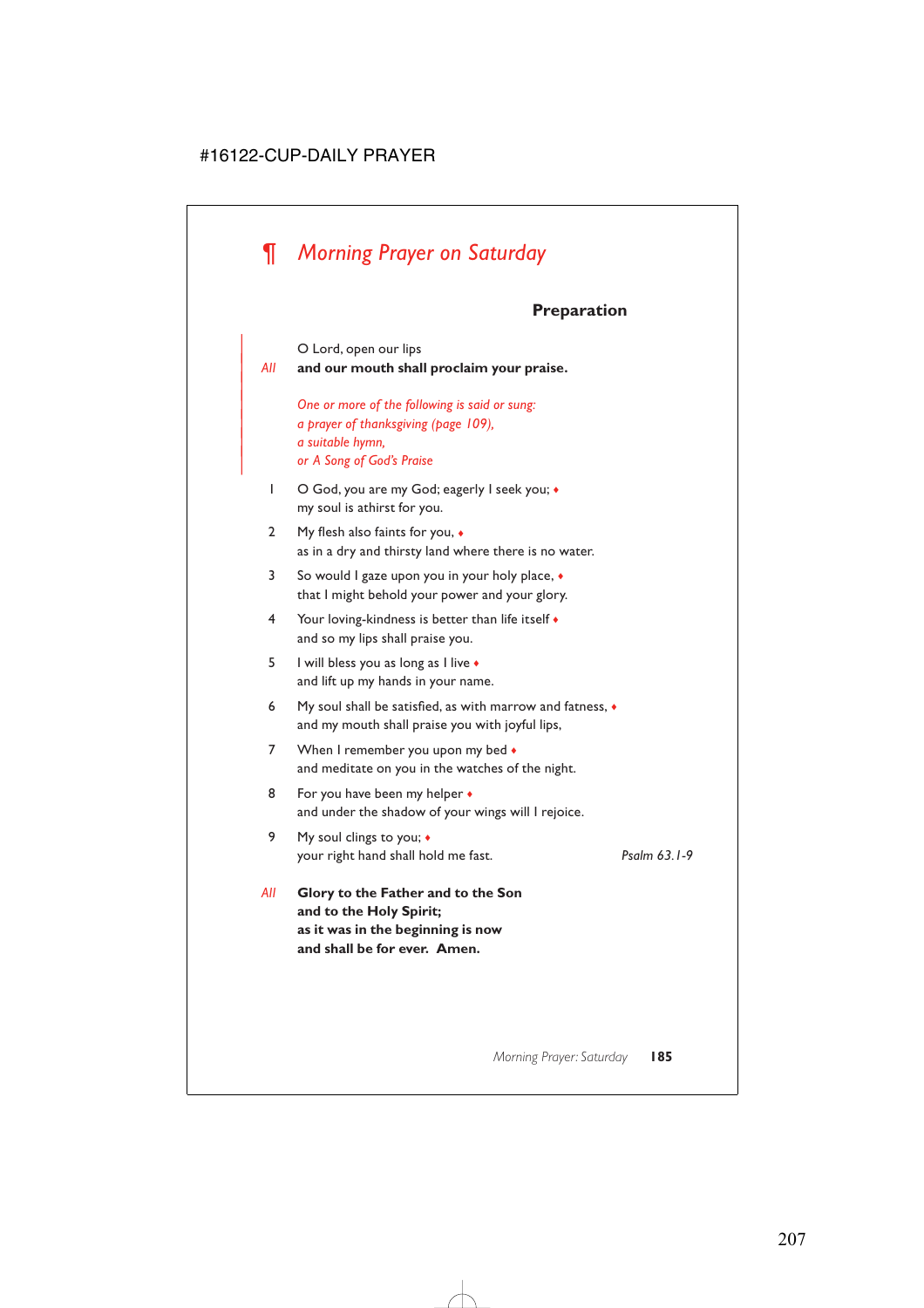# *¶ Morning Prayer on Saturday*

|

# **Preparation**

O Lord, open our lips | *All* **and our mouth shall proclaim your praise.** | *One or more of the following is said or sung:* | *a prayer of thanksgiving (page 109),* | *a suitable hymn,* | *or A Song of God's Praise* 1 O God, you are my God; eagerly I seek you;  $\bullet$ my soul is athirst for you. 2 My flesh also faints for you, ♦ as in a dry and thirsty land where there is no water. 3 So would I gaze upon you in your holy place, ♦ that I might behold your power and your glory. 4 Your loving-kindness is better than life itself ♦ and so my lips shall praise you. 5 I will bless you as long as I live ♦ and lift up my hands in your name. 6 My soul shall be satisfied, as with marrow and fatness, ♦ and my mouth shall praise you with joyful lips, 7 When I remember you upon my bed  $\bullet$ and meditate on you in the watches of the night. 8 For you have been my helper  $\bullet$ and under the shadow of your wings will I rejoice. 9 My soul clings to you;  $\bullet$ your right hand shall hold me fast. *Psalm 63.1-9 All* **Glory to the Father and to the Son**

**and to the Holy Spirit; as it was in the beginning is now and shall be for ever. Amen.**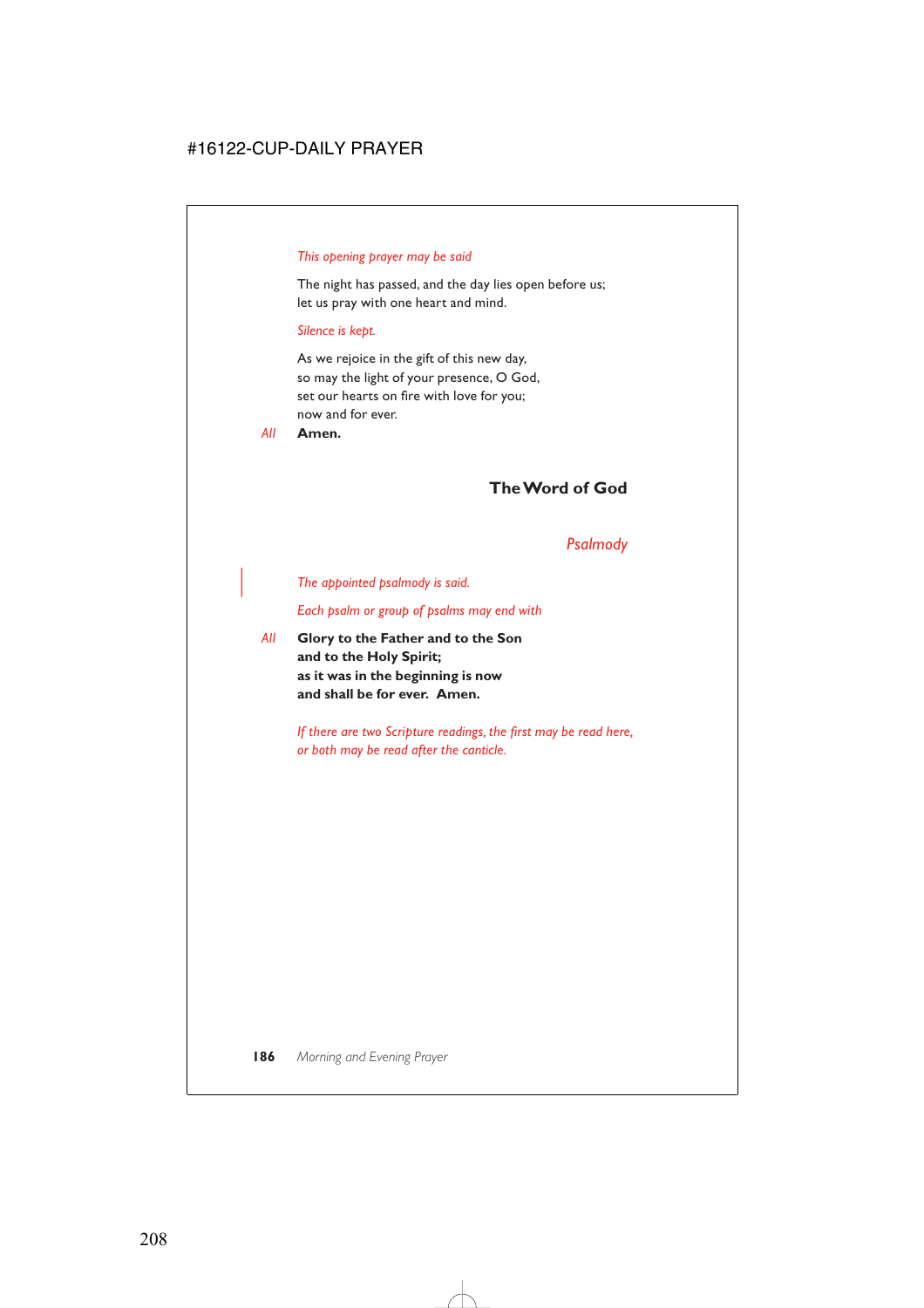### *This opening prayer may be said*

The night has passed, and the day lies open before us; let us pray with one heart and mind.

#### *Silence is kept.*

As we rejoice in the gift of this new day, so may the light of your presence, O God, set our hearts on fire with love for you; now and for ever.

*All* **Amen.**

## **The Word of God**

### *Psalmody*

| *The appointed psalmody is said.*

*Each psalm or group of psalms may end with*

*All* **Glory to the Father and to the Son and to the Holy Spirit; as it was in the beginning is now and shall be for ever. Amen.**

> *If there are two Scripture readings, the first may be read here, or both may be read after the canticle.*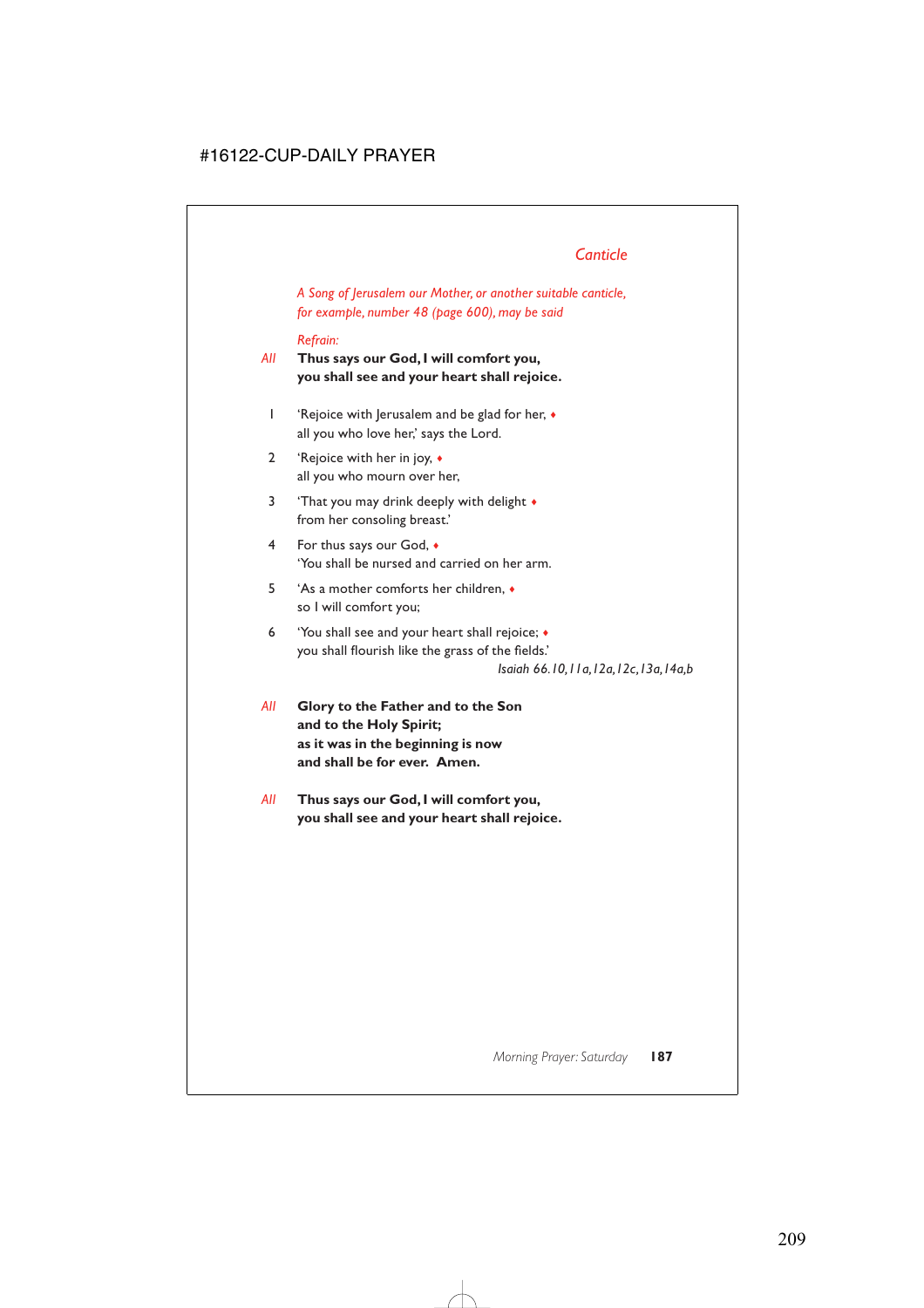# *Canticle*

*A Song of Jerusalem our Mother, or another suitable canticle, for example, number 48 (page 600), may be said*

### *Refrain:*

*All* **Thus says our God, I will comfort you, you shall see and your heart shall rejoice.**

- 1 'Rejoice with Jerusalem and be glad for her, ♦ all you who love her,' says the Lord.
- 2 'Rejoice with her in joy, ♦ all you who mourn over her,
- 3 'That you may drink deeply with delight  $\bullet$ from her consoling breast.'
- 4 For thus says our God, ♦ 'You shall be nursed and carried on her arm.
- 5 'As a mother comforts her children, ♦ so I will comfort you;
- 6 'You shall see and your heart shall rejoice; ♦ you shall flourish like the grass of the fields.'

*Isaiah 66.10,11a,12a,12c,13a,14a,b*

*All* **Glory to the Father and to the Son and to the Holy Spirit; as it was in the beginning is now and shall be for ever. Amen.**

*All* **Thus says our God, I will comfort you, you shall see and your heart shall rejoice.**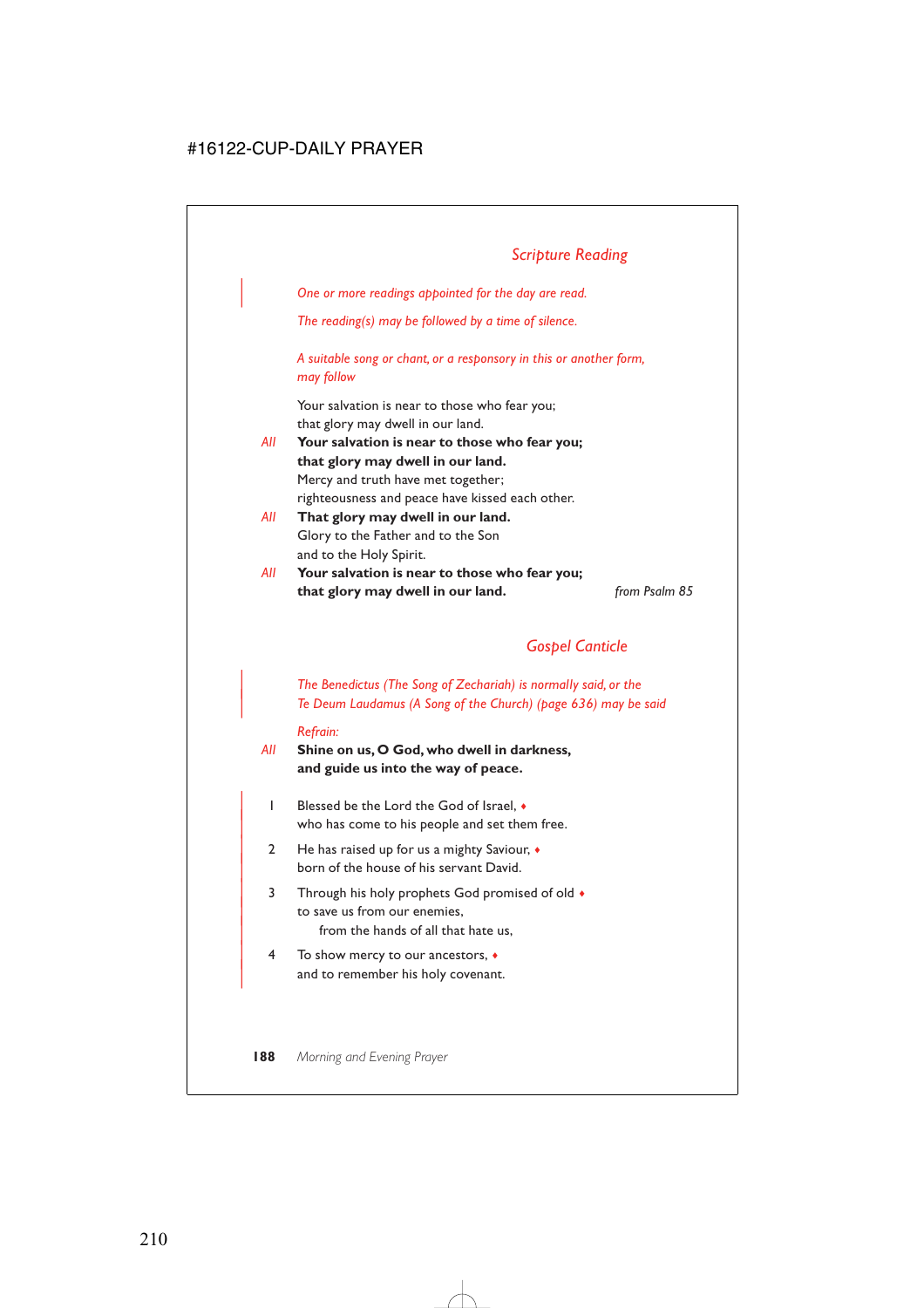# *Scripture Reading*

| *One or more readings appointed for the day are read.*

*The reading(s) may be followed by a time of silence.*

*A suitable song or chant, or a responsory in this or another form, may follow*

Your salvation is near to those who fear you; that glory may dwell in our land.

- *All* **Your salvation is near to those who fear you; that glory may dwell in our land.** Mercy and truth have met together; righteousness and peace have kissed each other.
- *All* **That glory may dwell in our land.** Glory to the Father and to the Son and to the Holy Spirit.
- *All* **Your salvation is near to those who fear you; that glory may dwell in our land.** *from Psalm 85*

### *Gospel Canticle*

| *The Benedictus (The Song of Zechariah) is normally said, or the* | *Te Deum Laudamus (A Song of the Church) (page 636) may be said*

#### *Refrain:*

- *All* **Shine on us, O God, who dwell in darkness, and guide us into the way of peace.**
	- | 1 Blessed be the Lord the God of Israel, ♦ who has come to his people and set them free.
	- | 2 He has raised up for us a mighty Saviour, ♦ born of the house of his servant David.
	- 3 Through his holy prophets God promised of old  $\bullet$ to save us from our enemies. from the hands of all that hate us,
	- | 4 To show mercy to our ancestors, ♦ and to remember his holy covenant.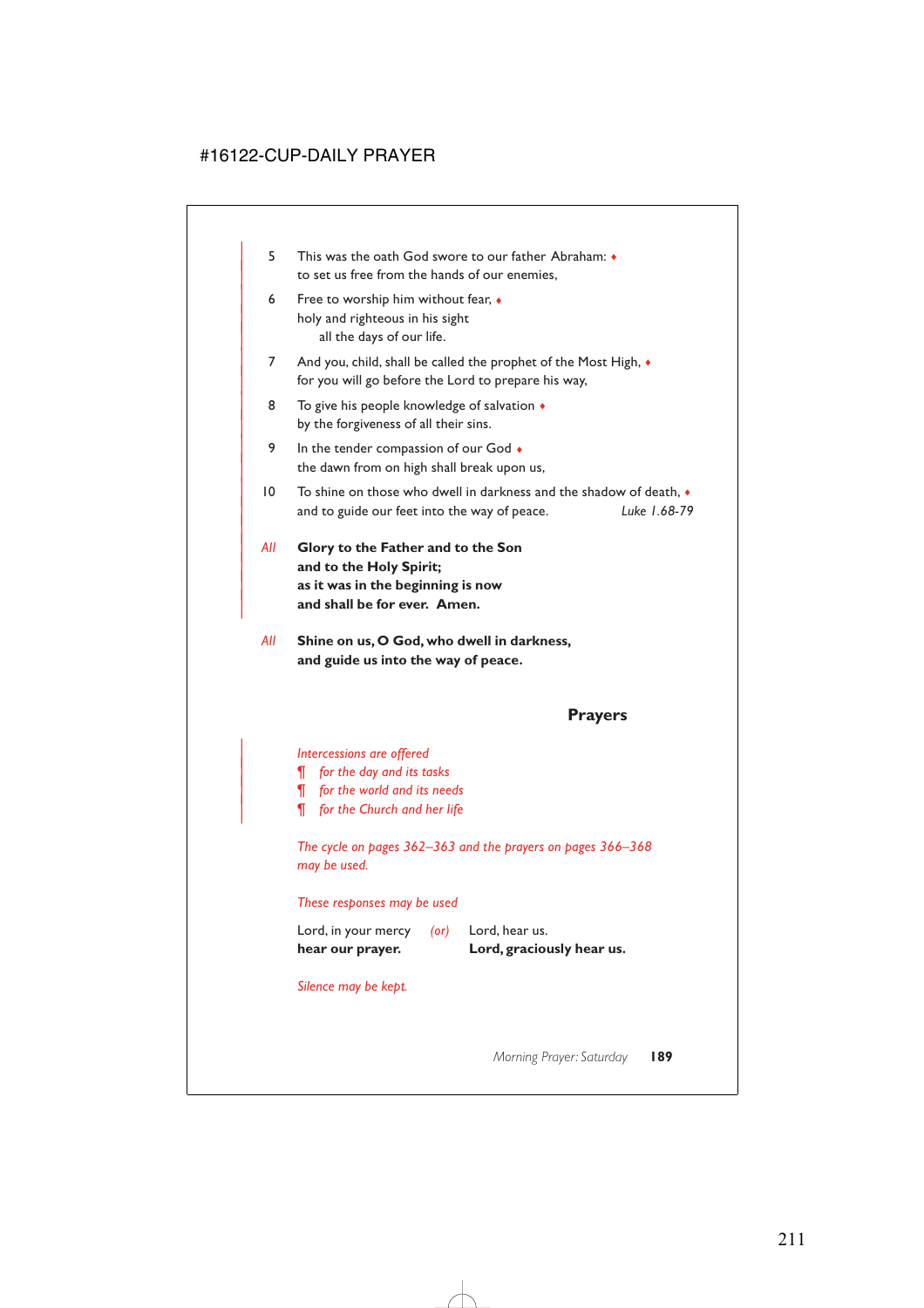- | 5 This was the oath God swore to our father Abraham: ♦ to set us free from the hands of our enemies,
- 6 Free to worship him without fear,  $\bullet$ holy and righteous in his sight all the days of our life.
- 7 And you, child, shall be called the prophet of the Most High,  $\bullet$ for you will go before the Lord to prepare his way,
- 8 To give his people knowledge of salvation  $\triangleleft$ by the forgiveness of all their sins.
- 9 In the tender compassion of our God  $\bullet$ the dawn from on high shall break upon us,
- | 10 To shine on those who dwell in darkness and the shadow of death, ♦ | and to guide our feet into the way of peace. *Luke 1.68-79*
- | *All* **Glory to the Father and to the Son** and to the Holy Spirit; | **as it was in the beginning is now** and shall be for ever. Amen.

|

*All* **Shine on us, O God, who dwell in darkness, and guide us into the way of peace.**

### **Prayers**

| *Intercessions are offered*

- | *¶ for the day and its tasks*
- | *¶ for the world and its needs*
- | *¶ for the Church and her life*

*The cycle on pages 362–363 and the prayers on pages 366–368 may be used.*

*These responses may be used*

| hear our prayer.    |            | Lord, graciously hear us. |
|---------------------|------------|---------------------------|
| Lord, in your mercy | $($ or $)$ | Lord, hear us.            |

*Silence may be kept.*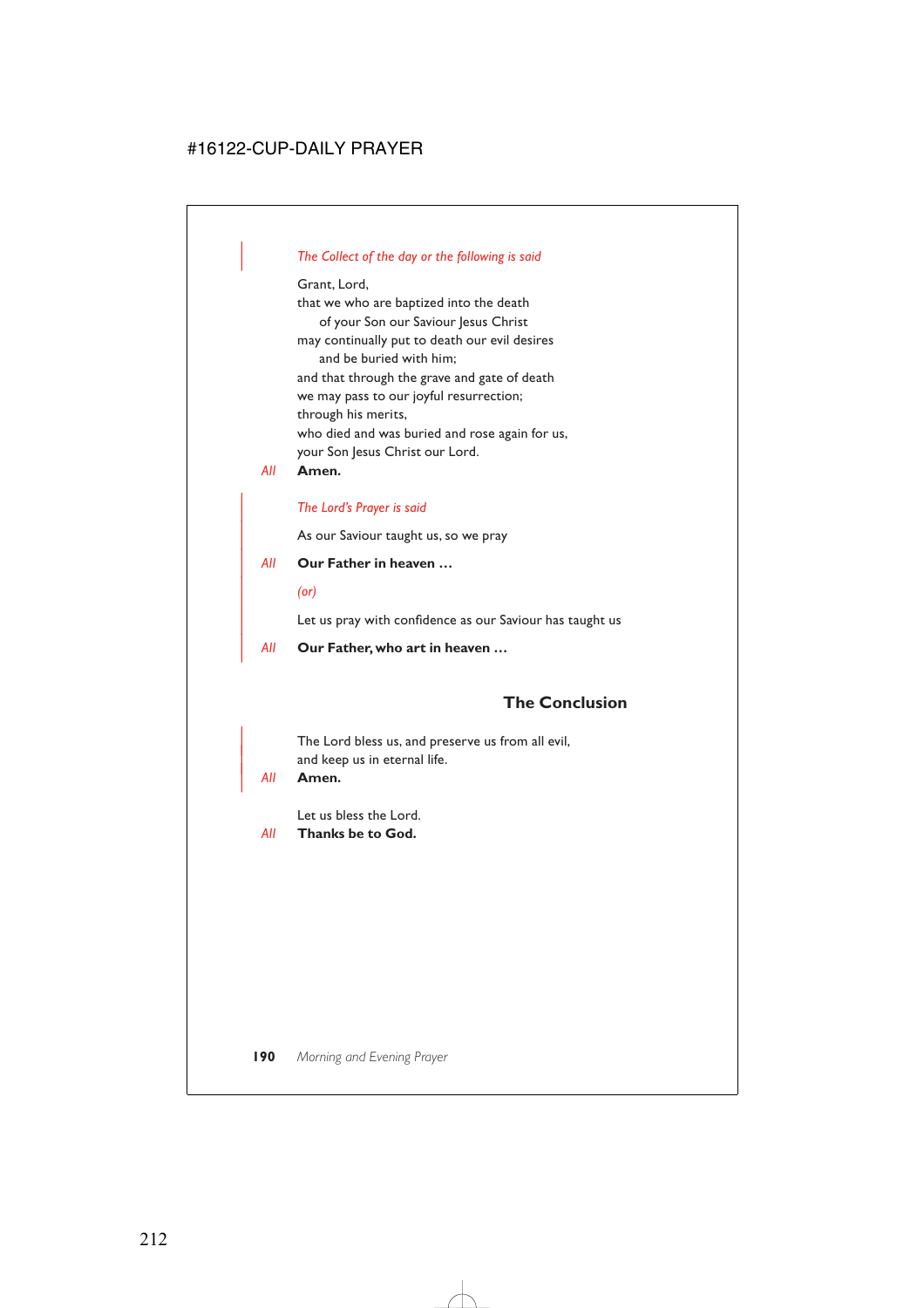### | *The Collect of the day or the following is said*

Grant, Lord, that we who are baptized into the death of your Son our Saviour Jesus Christ may continually put to death our evil desires and be buried with him; and that through the grave and gate of death we may pass to our joyful resurrection; through his merits, who died and was buried and rose again for us, your Son Jesus Christ our Lord.

### *All* **Amen.**

| *The Lord's Prayer is said*

As our Saviour taught us, so we pray

| *All* **Our Father in heaven …**

| *(or)*

Let us pray with confidence as our Saviour has taught us

| *All* **Our Father, who art in heaven …**

### **The Conclusion**

The Lord bless us, and preserve us from all evil, and keep us in eternal life.

#### | *All* **Amen.**

Let us bless the Lord.

*All* **Thanks be to God.**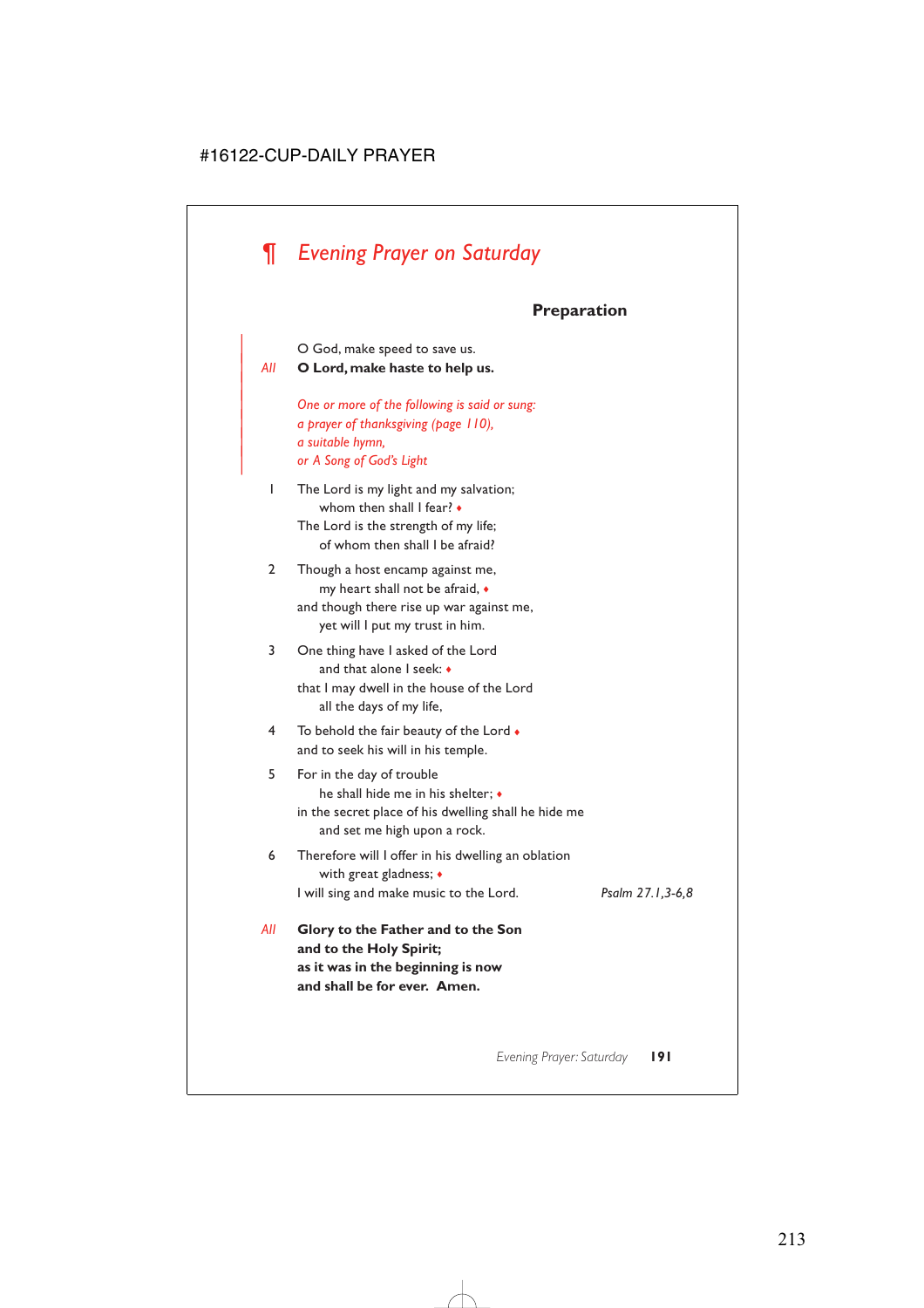# *¶ Evening Prayer on Saturday*

|

# **Preparation**

| O God, make speed to save us. | *All* **O Lord, make haste to help us.** | *One or more of the following is said or sung:* | *a prayer of thanksgiving (page 110),* | *a suitable hymn,* | *or A Song of God's Light* 1 The Lord is my light and my salvation; whom then shall I fear? • The Lord is the strength of my life; of whom then shall I be afraid? 2 Though a host encamp against me, my heart shall not be afraid, ♦ and though there rise up war against me, yet will I put my trust in him. 3 One thing have I asked of the Lord and that alone I seek: ♦ that I may dwell in the house of the Lord all the days of my life, 4 To behold the fair beauty of the Lord  $\bullet$ and to seek his will in his temple. 5 For in the day of trouble he shall hide me in his shelter; ♦ in the secret place of his dwelling shall he hide me and set me high upon a rock. 6 Therefore will I offer in his dwelling an oblation with great gladness; ♦ I will sing and make music to the Lord. *Psalm 27.1,3-6,8 All* **Glory to the Father and to the Son and to the Holy Spirit;**

**as it was in the beginning is now and shall be for ever. Amen.**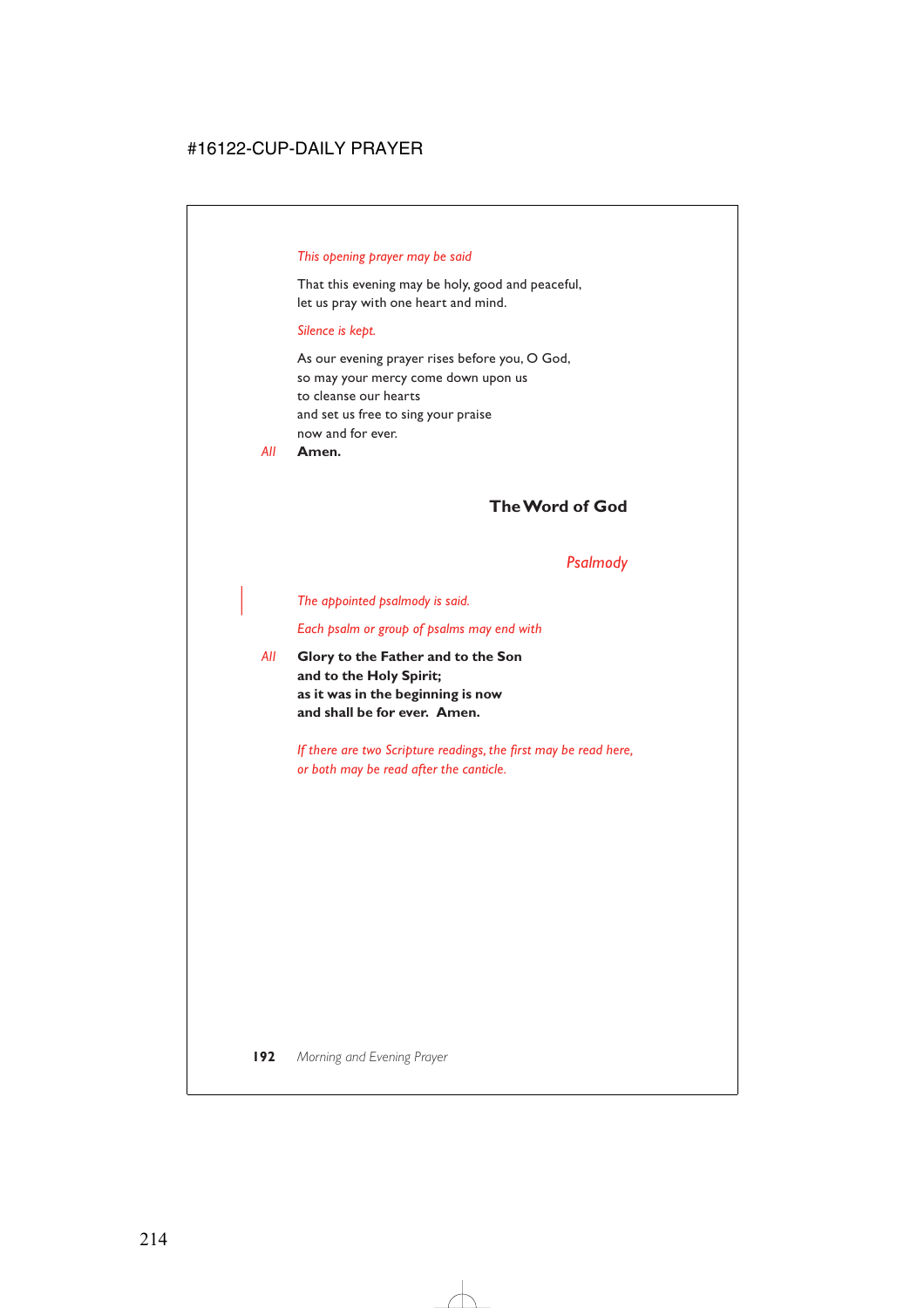### *This opening prayer may be said*

That this evening may be holy, good and peaceful, let us pray with one heart and mind.

#### *Silence is kept.*

As our evening prayer rises before you, O God, so may your mercy come down upon us to cleanse our hearts and set us free to sing your praise now and for ever.

*All* **Amen.**

### **The Word of God**

### *Psalmody*

#### | *The appointed psalmody is said.*

*Each psalm or group of psalms may end with*

*All* **Glory to the Father and to the Son and to the Holy Spirit; as it was in the beginning is now and shall be for ever. Amen.**

> *If there are two Scripture readings, the first may be read here, or both may be read after the canticle.*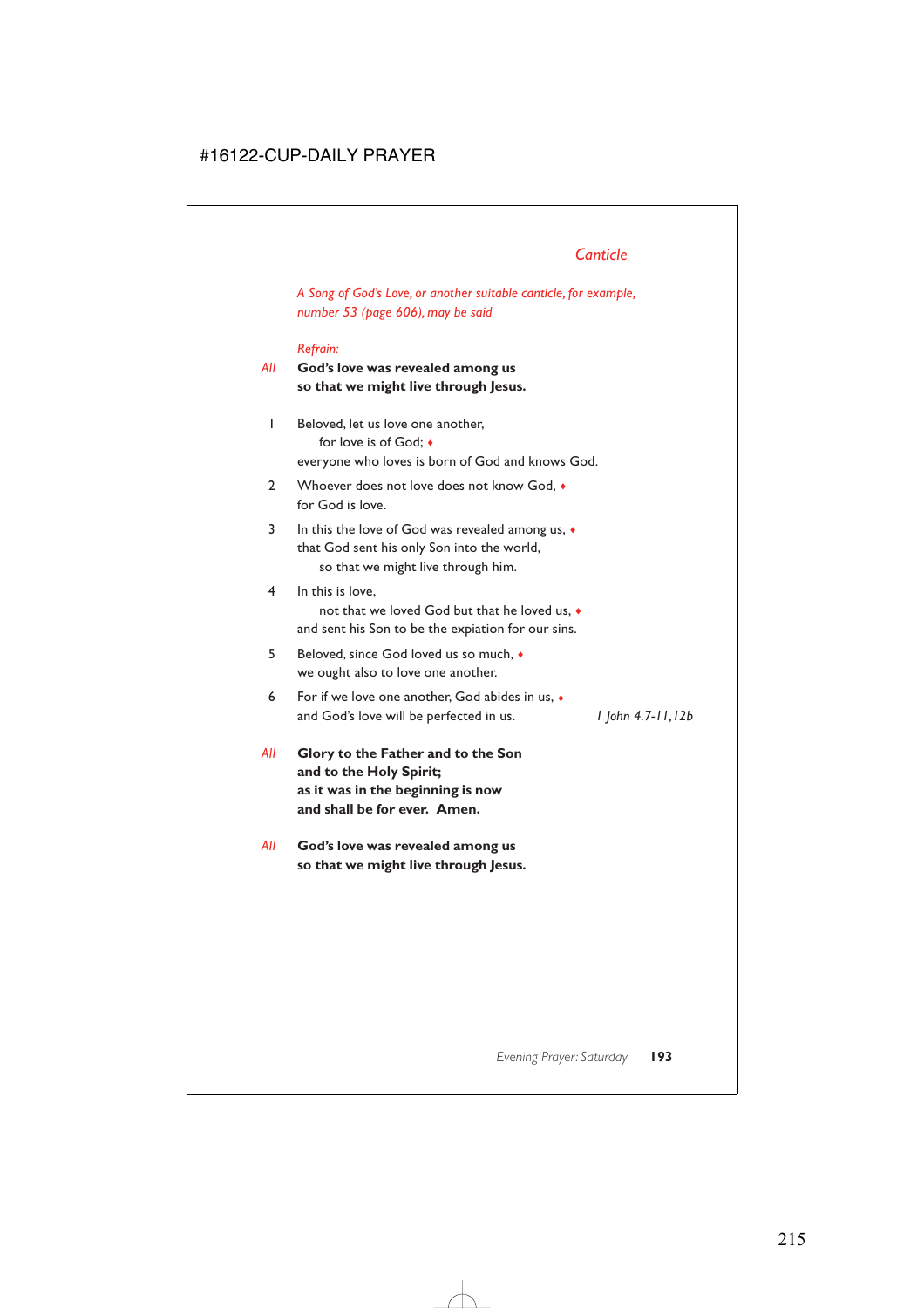*A Song of God's Love, or another suitable canticle, for example, number 53 (page 606), may be said*

### *Refrain:*

- *All* **God's love was revealed among us so that we might live through Jesus.**
	- 1 Beloved, let us love one another, for love is of God; ♦ everyone who loves is born of God and knows God.
	- 2 Whoever does not love does not know God,  $\bullet$ for God is love.
	- 3 In this the love of God was revealed among us,  $\bullet$ that God sent his only Son into the world, so that we might live through him.
	- 4 In this is love, not that we loved God but that he loved us, ♦ and sent his Son to be the expiation for our sins.
	- 5 Beloved, since God loved us so much, ♦ we ought also to love one another.
	- 6 For if we love one another, God abides in us, ♦ and God's love will be perfected in us. *1 John 4.7-11,12b*

- *All* **Glory to the Father and to the Son and to the Holy Spirit; as it was in the beginning is now and shall be for ever. Amen.**
- *All* **God's love was revealed among us so that we might live through Jesus.**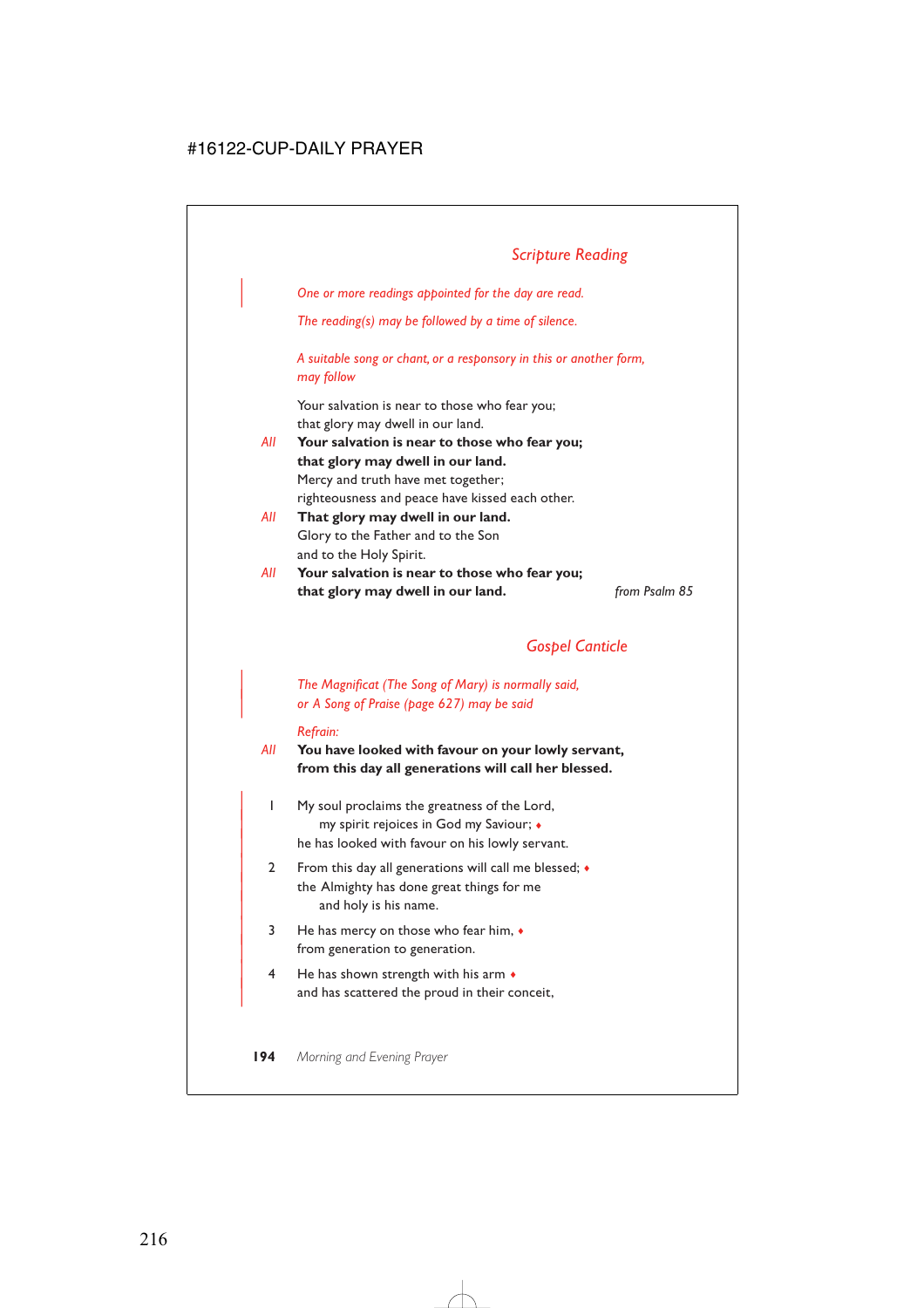# *Scripture Reading*

| *One or more readings appointed for the day are read.*

*The reading(s) may be followed by a time of silence.*

*A suitable song or chant, or a responsory in this or another form, may follow*

Your salvation is near to those who fear you; that glory may dwell in our land.

- *All* **Your salvation is near to those who fear you; that glory may dwell in our land.** Mercy and truth have met together; righteousness and peace have kissed each other.
- *All* **That glory may dwell in our land.** Glory to the Father and to the Son and to the Holy Spirit.
- *All* **Your salvation is near to those who fear you; that glory may dwell in our land.** *from Psalm 85*

### *Gospel Canticle*

| *The Magnificat (The Song of Mary) is normally said,* | *or A Song of Praise (page 627) may be said*

#### *Refrain:*

*All* **You have looked with favour on your lowly servant, from this day all generations will call her blessed.**

- | 1 My soul proclaims the greatness of the Lord, | my spirit rejoices in God my Saviour; ♦ he has looked with favour on his lowly servant.
- 2 From this day all generations will call me blessed;  $\bullet$ the Almighty has done great things for me and holy is his name.
- $3$  He has mercy on those who fear him,  $\bullet$ from generation to generation.
- $4$  He has shown strength with his arm  $\bullet$ and has scattered the proud in their conceit,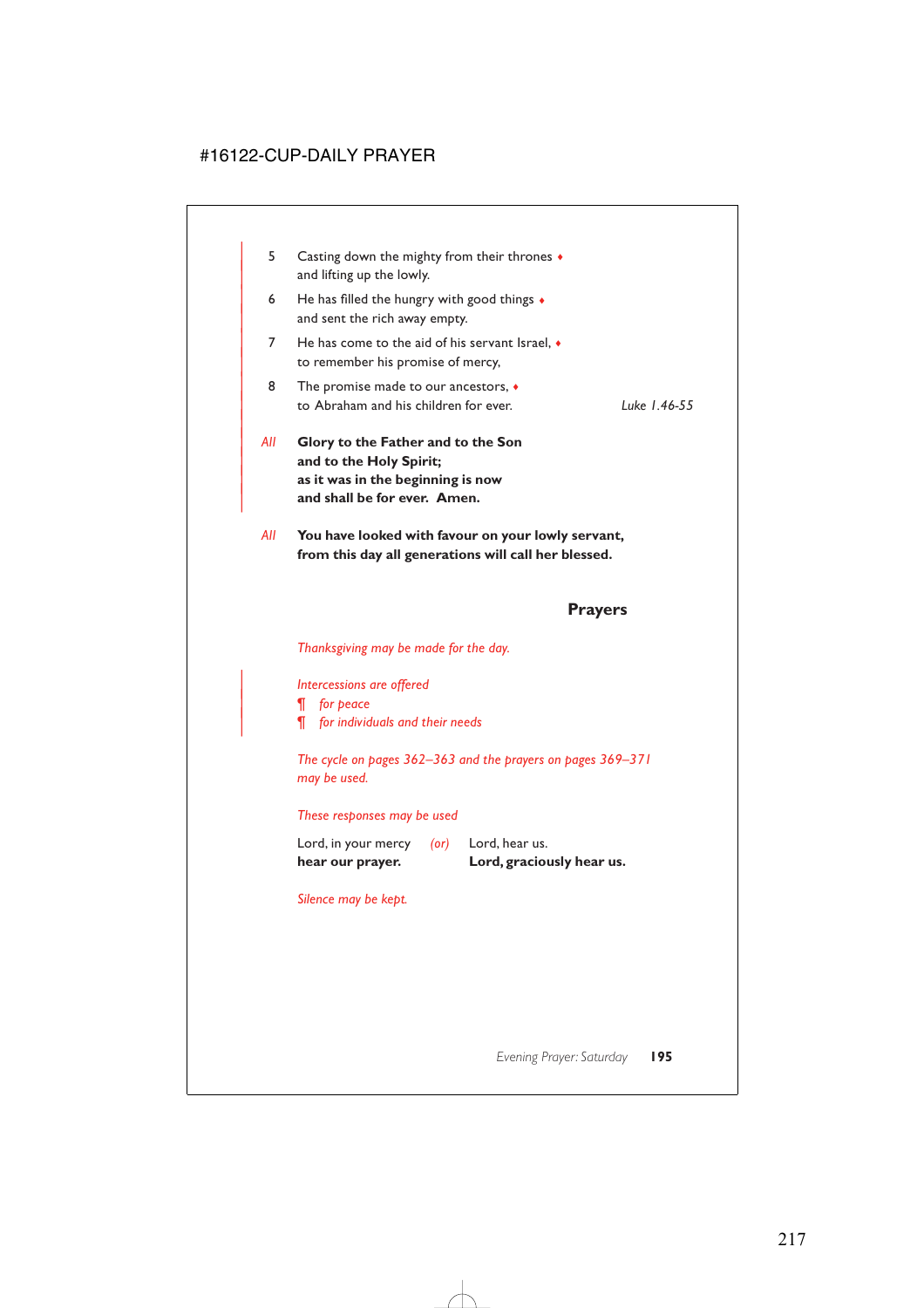- | 5 Casting down the mighty from their thrones ♦ and lifting up the lowly.
- 6 He has filled the hungry with good things  $\triangleleft$ and sent the rich away empty.
- 7 He has come to the aid of his servant Israel, ♦ to remember his promise of mercy,
- 8 The promise made to our ancestors,  $\bullet$ | to Abraham and his children for ever. *Luke 1.46-55*
- | *All* **Glory to the Father and to the Son** and to the Holy Spirit; | **as it was in the beginning is now** and shall be for ever. Amen.
- *All* **You have looked with favour on your lowly servant, from this day all generations will call her blessed.**

### **Prayers**

*Thanksgiving may be made for the day.*

| *Intercessions are offered*

| *¶ for peace*

|

| *¶ for individuals and their needs*

*The cycle on pages 362–363 and the prayers on pages 369–371 may be used.*

#### *These responses may be used*

Lord, in your mercy *(or)* Lord, hear us. **hear our prayer. Lord, graciously hear us.**

*Silence may be kept.*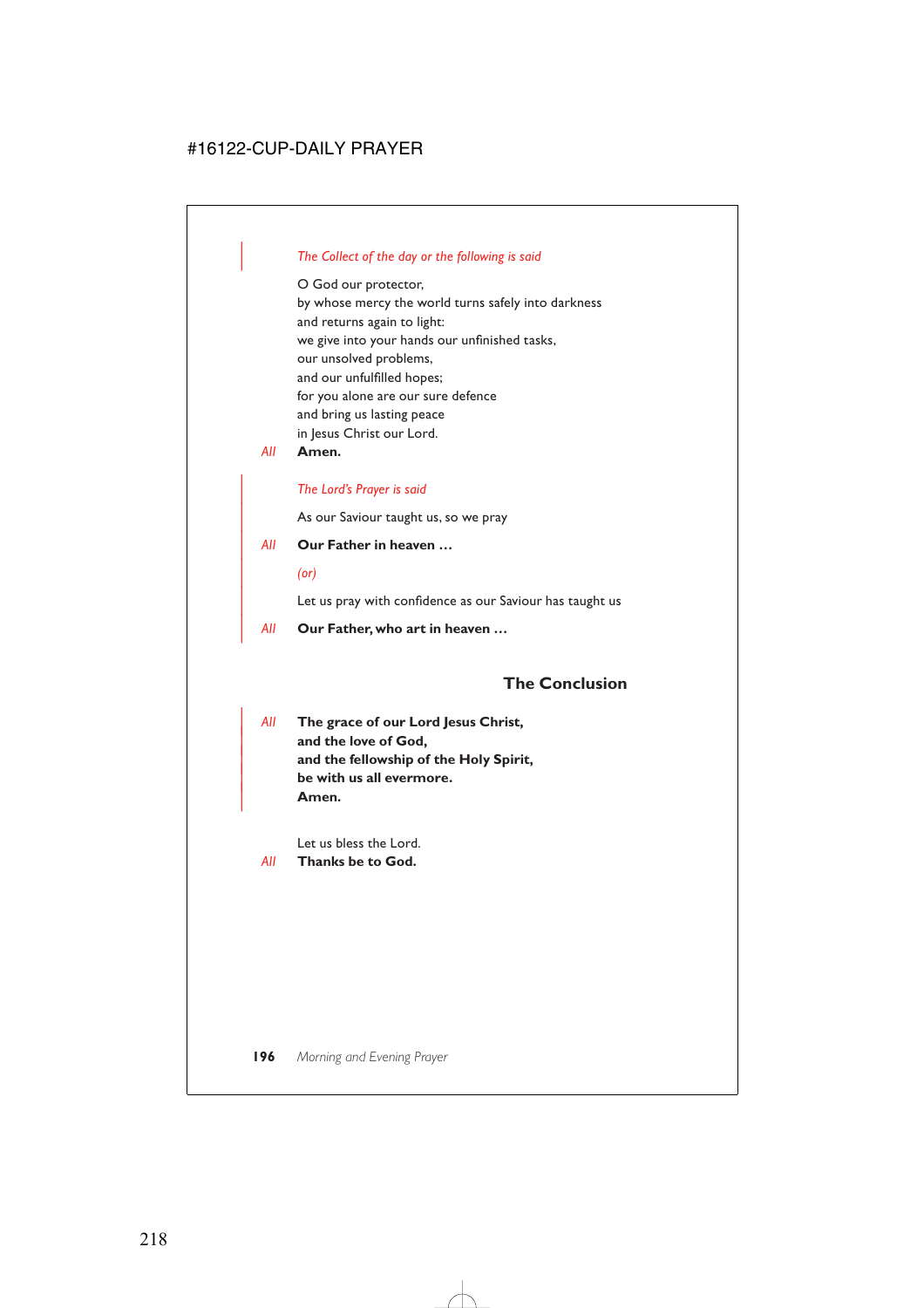### | *The Collect of the day or the following is said*

O God our protector, by whose mercy the world turns safely into darkness and returns again to light: we give into your hands our unfinished tasks, our unsolved problems, and our unfulfilled hopes; for you alone are our sure defence and bring us lasting peace in Jesus Christ our Lord.

*All* **Amen.**

### | *The Lord's Prayer is said*

As our Saviour taught us, so we pray

- | *All* **Our Father in heaven …**
	- | *(or)*

Let us pray with confidence as our Saviour has taught us

| *All* **Our Father, who art in heaven …**

### **The Conclusion**

| *All* **The grace of our Lord Jesus Christ,** and the love of God, and the fellowship of the Holy Spirit, | **be with us all evermore.** | **Amen.**

Let us bless the Lord.

*All* **Thanks be to God.**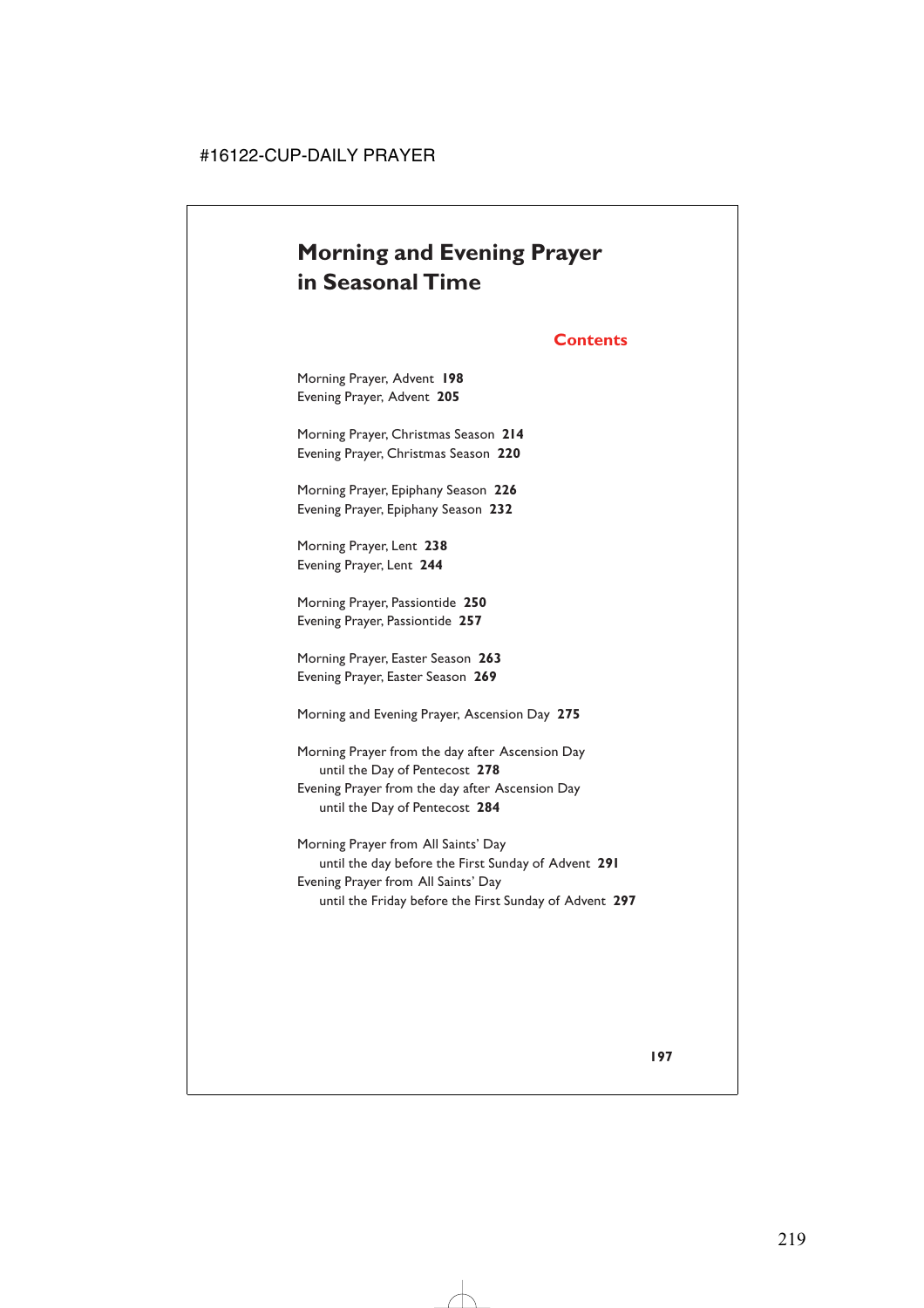# **Morning and Evening Prayer in Seasonal Time**

### **Contents**

Morning Prayer, Advent **198** Evening Prayer, Advent **205**

Morning Prayer, Christmas Season **214** Evening Prayer, Christmas Season **220**

Morning Prayer, Epiphany Season **226** Evening Prayer, Epiphany Season **232**

Morning Prayer, Lent **238** Evening Prayer, Lent **244**

Morning Prayer, Passiontide **250** Evening Prayer, Passiontide **257**

Morning Prayer, Easter Season **263** Evening Prayer, Easter Season **269**

Morning and Evening Prayer, Ascension Day **275**

Morning Prayer from the day after Ascension Day until the Day of Pentecost **278** Evening Prayer from the day after Ascension Day until the Day of Pentecost **284**

Morning Prayer from All Saints' Day until the day before the First Sunday of Advent **291** Evening Prayer from All Saints' Day until the Friday before the First Sunday of Advent **297**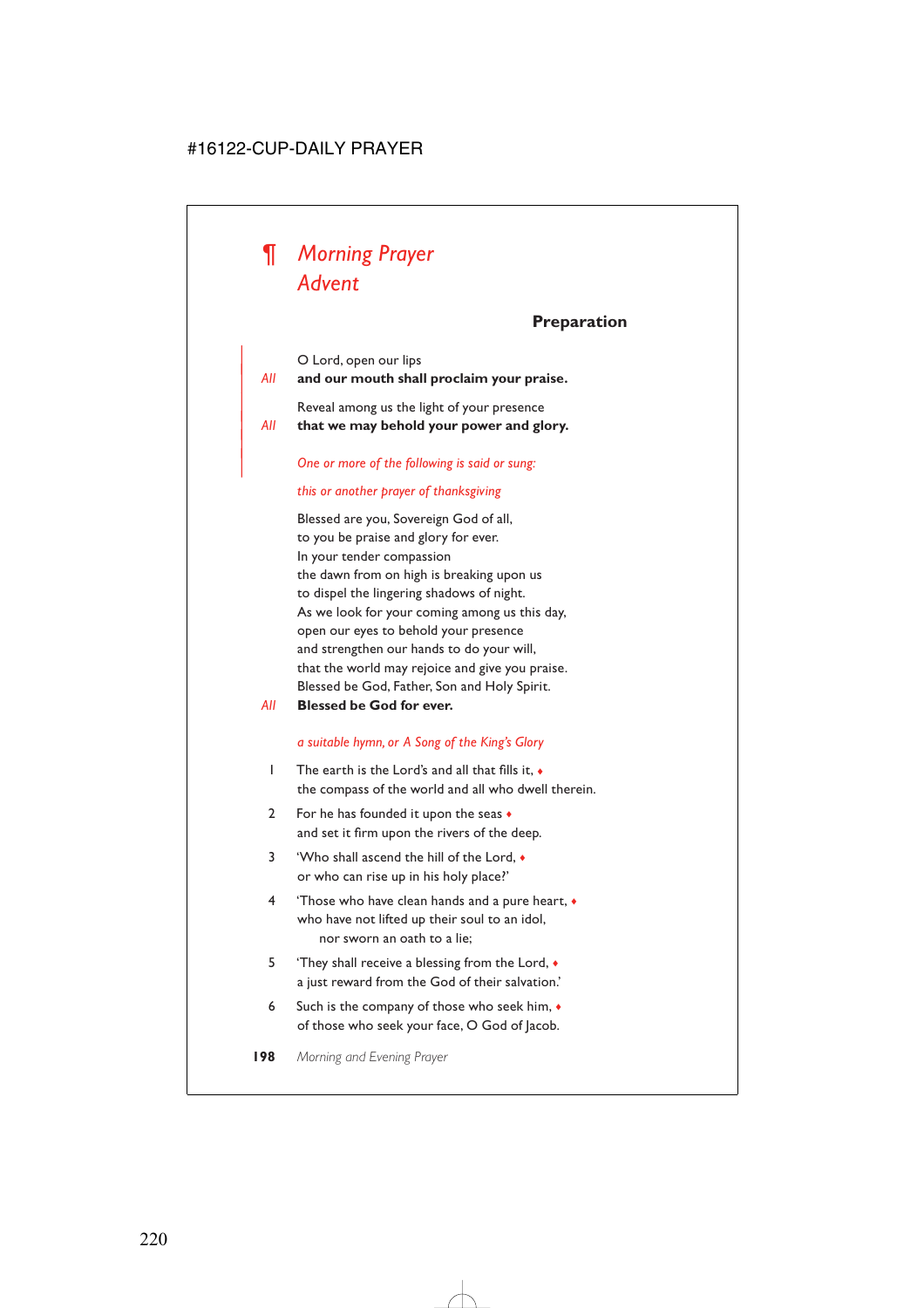

### **Preparation**

| O Lord, open our lips

|

| *All* **and our mouth shall proclaim your praise.**

Reveal among us the light of your presence | *All* **that we may behold your power and glory.**

| *One or more of the following is said or sung:*

#### *this or another prayer of thanksgiving*

Blessed are you, Sovereign God of all, to you be praise and glory for ever. In your tender compassion the dawn from on high is breaking upon us to dispel the lingering shadows of night. As we look for your coming among us this day, open our eyes to behold your presence and strengthen our hands to do your will, that the world may rejoice and give you praise. Blessed be God, Father, Son and Holy Spirit.

*All* **Blessed be God for ever.**

#### *a suitable hymn, or A Song of the King's Glory*

- 1 The earth is the Lord's and all that fills it, ♦ the compass of the world and all who dwell therein.
- 2 For he has founded it upon the seas  $\bullet$ and set it firm upon the rivers of the deep.
- 3 'Who shall ascend the hill of the Lord, ♦ or who can rise up in his holy place?'
- 4 'Those who have clean hands and a pure heart, ♦ who have not lifted up their soul to an idol, nor sworn an oath to a lie;
- 5 They shall receive a blessing from the Lord,  $\bullet$ a just reward from the God of their salvation.'
- 6 Such is the company of those who seek him, ♦ of those who seek your face, O God of Jacob.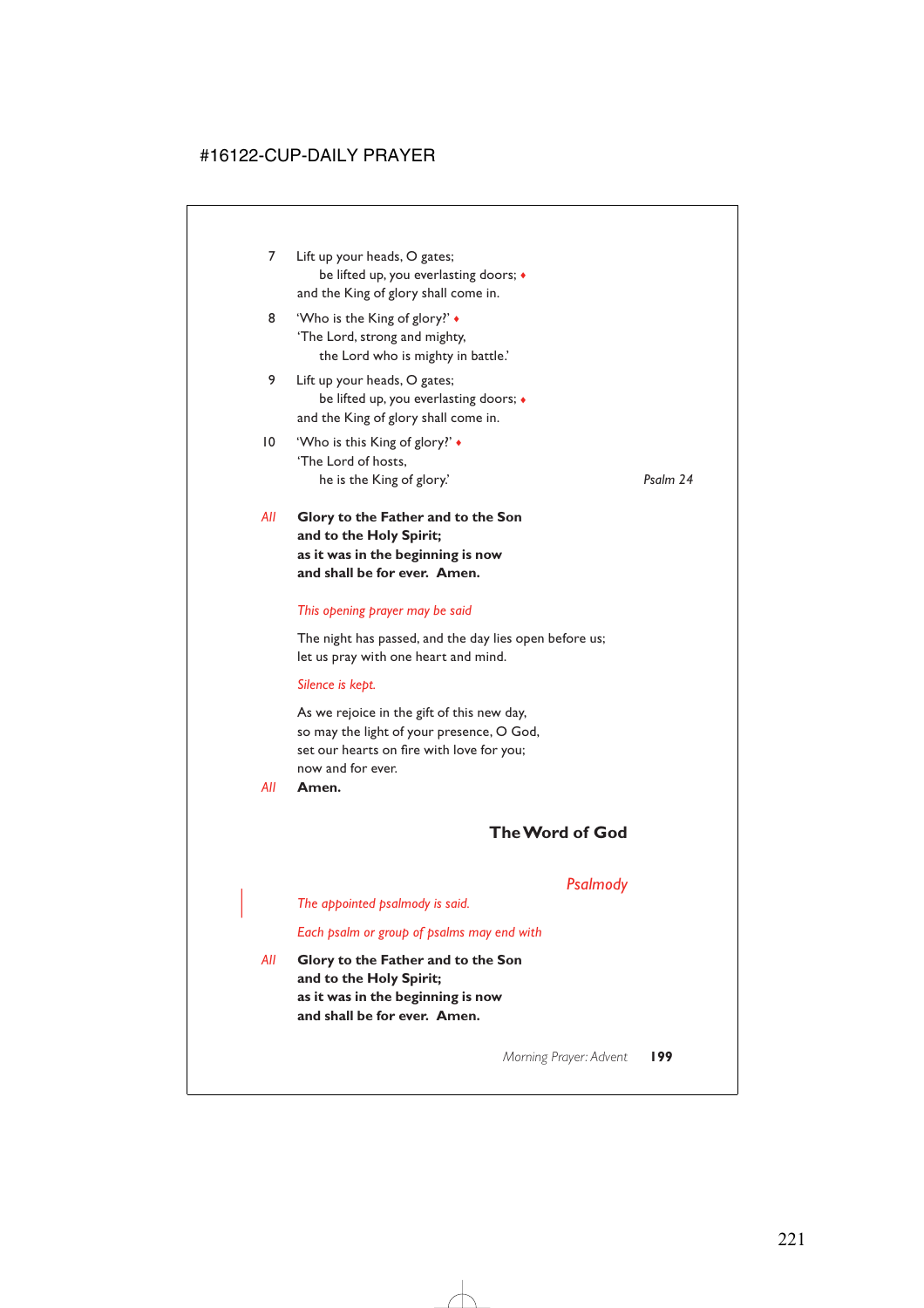- 7 Lift up your heads, O gates; be lifted up, you everlasting doors; ♦ and the King of glory shall come in.
- 8 **Who is the King of glory?'** 'The Lord, strong and mighty, the Lord who is mighty in battle.'
- 9 Lift up your heads, O gates; be lifted up, you everlasting doors; ♦ and the King of glory shall come in.
- 10 'Who is this King of glory?' ♦ 'The Lord of hosts, he is the King of glory.' *Psalm 24*

*All* **Glory to the Father and to the Son and to the Holy Spirit; as it was in the beginning is now and shall be for ever. Amen.**

### *This opening prayer may be said*

The night has passed, and the day lies open before us; let us pray with one heart and mind.

#### *Silence is kept.*

As we rejoice in the gift of this new day, so may the light of your presence, O God, set our hearts on fire with love for you; now and for ever.

*All* **Amen.**

# **The Word of God**

# *Psalmody*

| *The appointed psalmody is said.*

*Each psalm or group of psalms may end with*

*All* **Glory to the Father and to the Son and to the Holy Spirit; as it was in the beginning is now and shall be for ever. Amen.**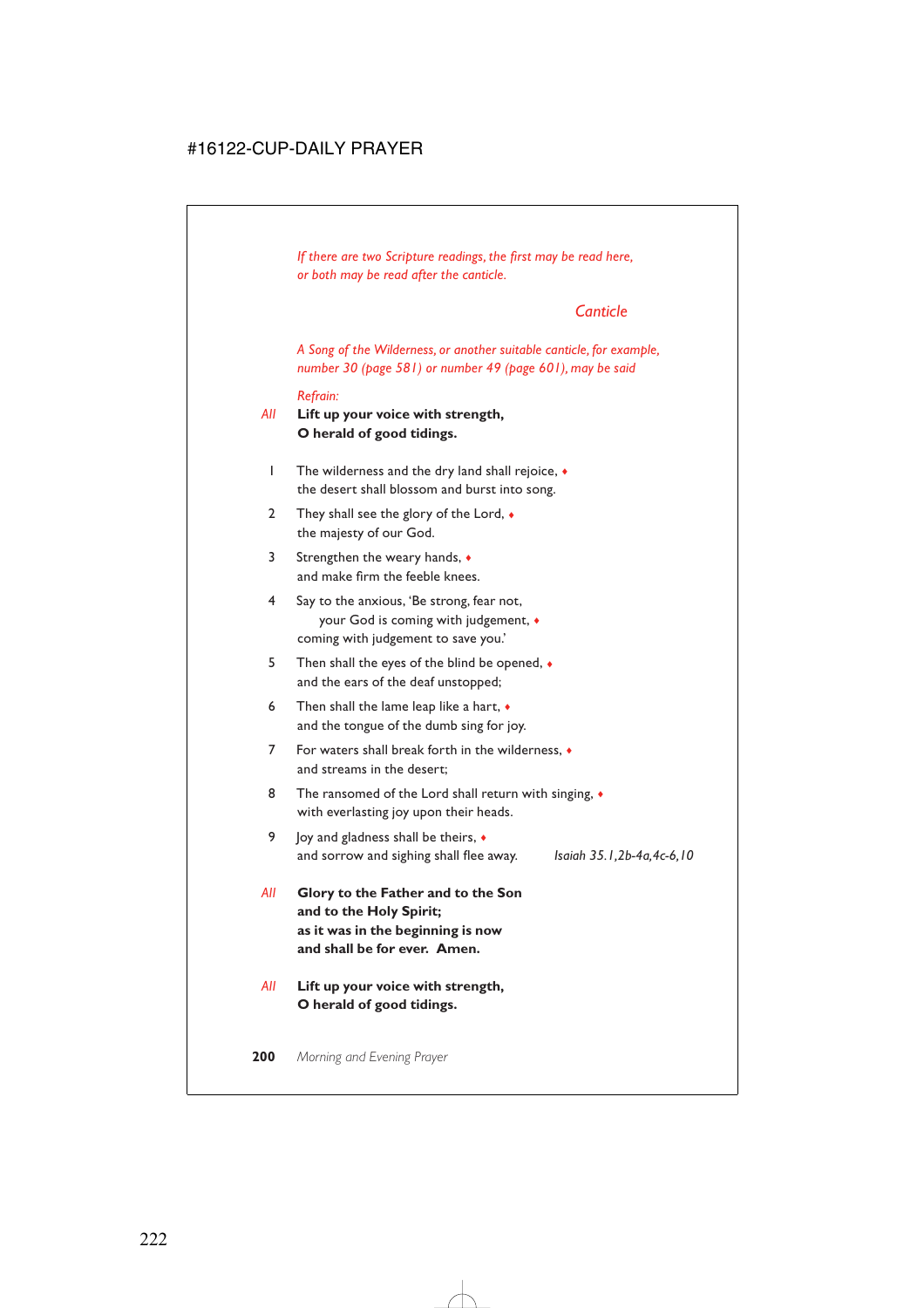*If there are two Scripture readings, the first may be read here, or both may be read after the canticle.*

# *Canticle*

*A Song of the Wilderness, or another suitable canticle, for example, number 30 (page 581) or number 49 (page 601), may be said*

*Refrain:*

*All* **Lift up your voice with strength, O herald of good tidings.**

- 1 The wilderness and the dry land shall rejoice, ♦ the desert shall blossom and burst into song.
- 2 They shall see the glory of the Lord,  $\bullet$ the majesty of our God.
- 3 Strengthen the weary hands, ♦ and make firm the feeble knees.
- 4 Say to the anxious, 'Be strong, fear not, your God is coming with judgement, ♦ coming with judgement to save you.'
- 5 Then shall the eyes of the blind be opened, ♦ and the ears of the deaf unstopped;
- 6 Then shall the lame leap like a hart,  $\bullet$ and the tongue of the dumb sing for joy.
- 7 For waters shall break forth in the wilderness, ♦ and streams in the desert;
- 8 The ransomed of the Lord shall return with singing,  $\bullet$ with everlasting joy upon their heads.
- 9 Joy and gladness shall be theirs,  $\triangleleft$ and sorrow and sighing shall flee away. *Isaiah 35.1,2b-4a,4c-6,10*
- *All* **Glory to the Father and to the Son and to the Holy Spirit; as it was in the beginning is now and shall be for ever. Amen.**
- *All* **Lift up your voice with strength, O herald of good tidings.**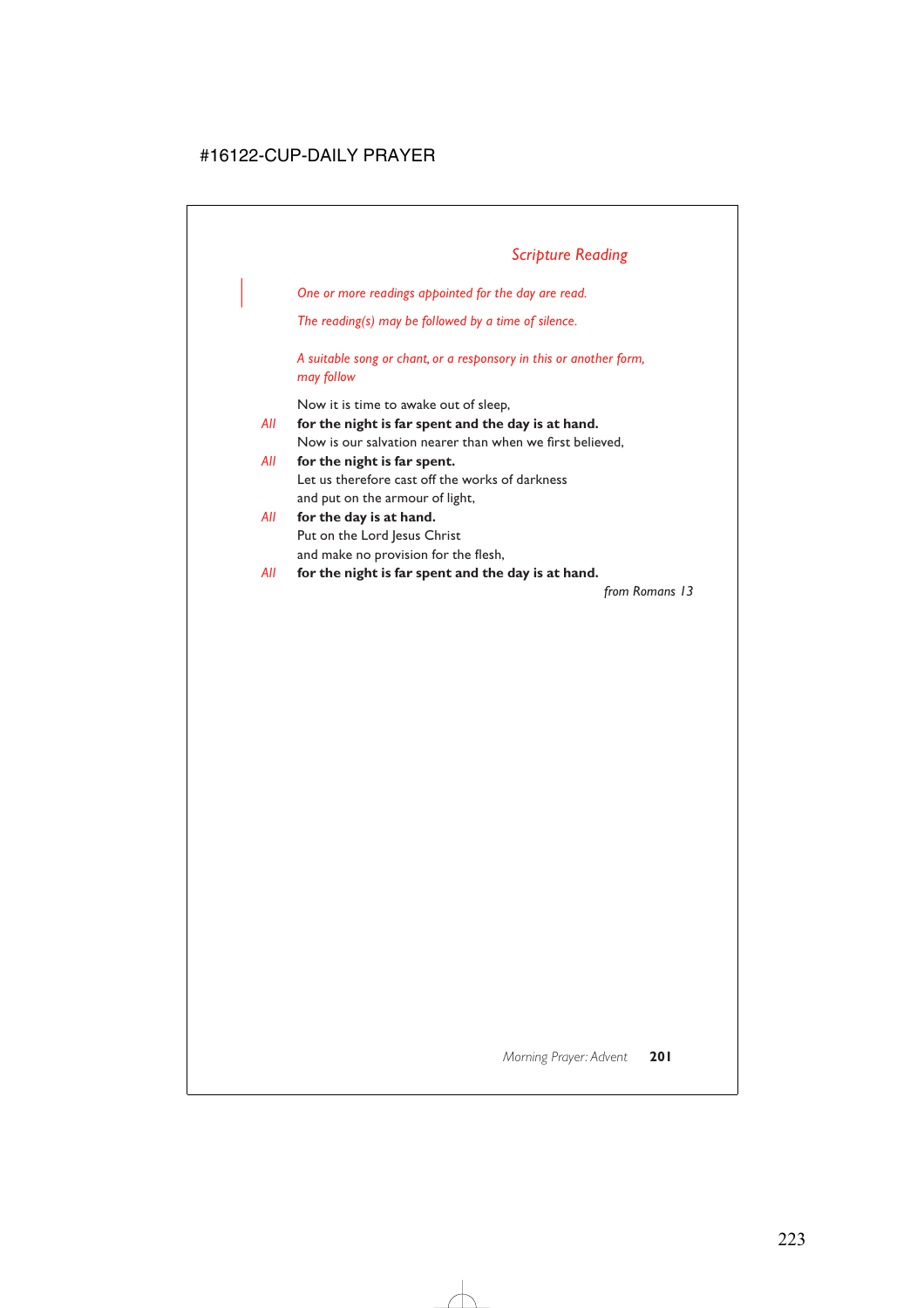| *One or more readings appointed for the day are read.*

*The reading(s) may be followed by a time of silence.*

*A suitable song or chant, or a responsory in this or another form, may follow*

Now it is time to awake out of sleep,

- *All* **for the night is far spent and the day is at hand.** Now is our salvation nearer than when we first believed,
- *All* **for the night is far spent.** Let us therefore cast off the works of darkness and put on the armour of light,
- *All* **for the day is at hand.** Put on the Lord Jesus Christ and make no provision for the flesh,
- *All* **for the night is far spent and the day is at hand.**

*from Romans 13*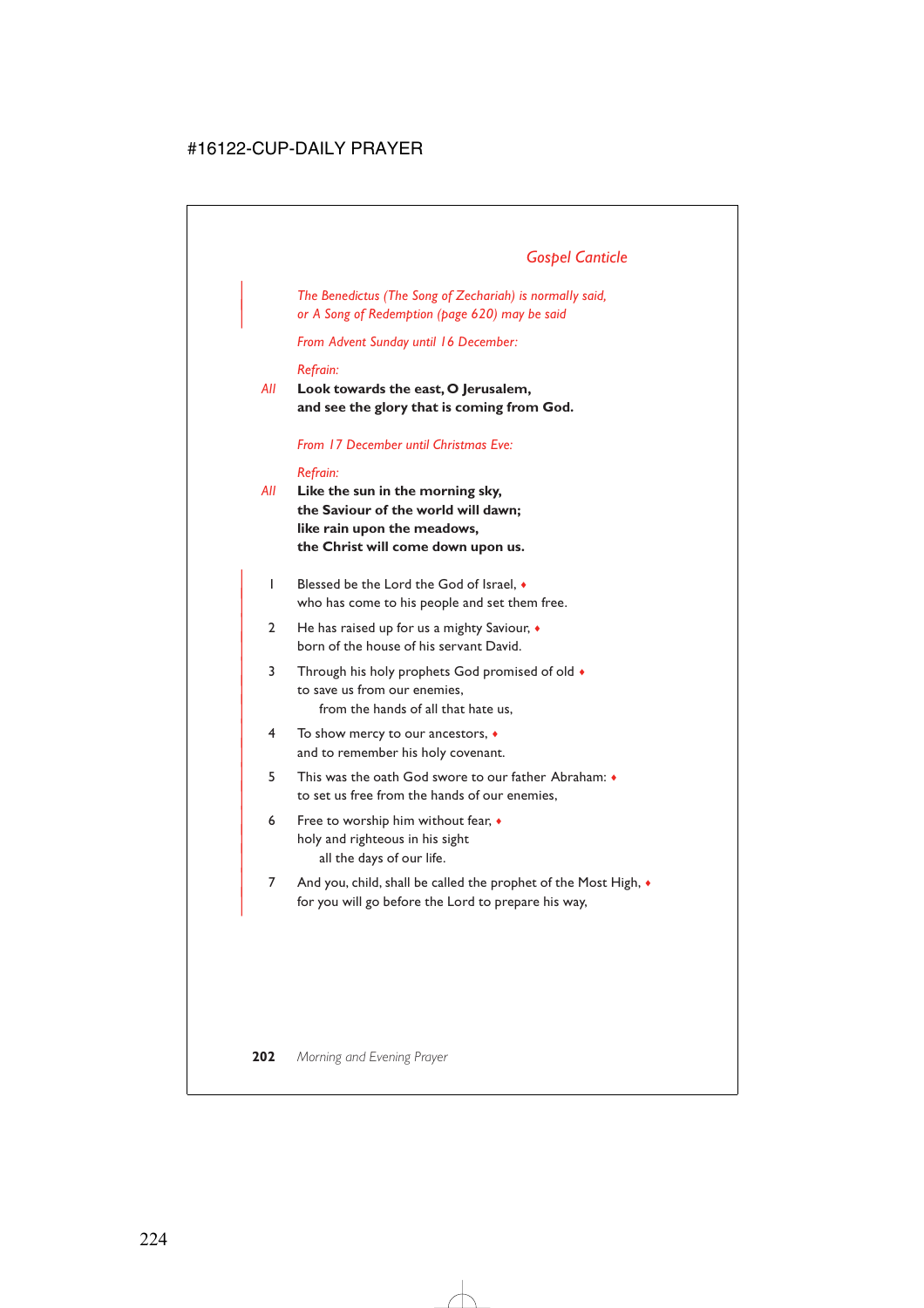# *Gospel Canticle*

| *The Benedictus (The Song of Zechariah) is normally said,* | *or A Song of Redemption (page 620) may be said*

*From Advent Sunday until 16 December:*

#### *Refrain:*

*All* **Look towards the east, O Jerusalem, and see the glory that is coming from God.**

#### *From 17 December until Christmas Eve:*

#### *Refrain:*

- *All* **Like the sun in the morning sky, the Saviour of the world will dawn; like rain upon the meadows, the Christ will come down upon us.**
	- | 1 Blessed be the Lord the God of Israel, ♦ who has come to his people and set them free.
	- | 2 He has raised up for us a mighty Saviour, ♦ born of the house of his servant David.
	- 3 Through his holy prophets God promised of old  $\bullet$ to save us from our enemies. from the hands of all that hate us,
	- | 4 To show mercy to our ancestors, ♦ and to remember his holy covenant.
	- | 5 This was the oath God swore to our father Abraham: ♦ to set us free from the hands of our enemies,
	- 6 Free to worship him without fear,  $\bullet$ holy and righteous in his sight all the days of our life.
	- 7 And you, child, shall be called the prophet of the Most High,  $\bullet$ for you will go before the Lord to prepare his way,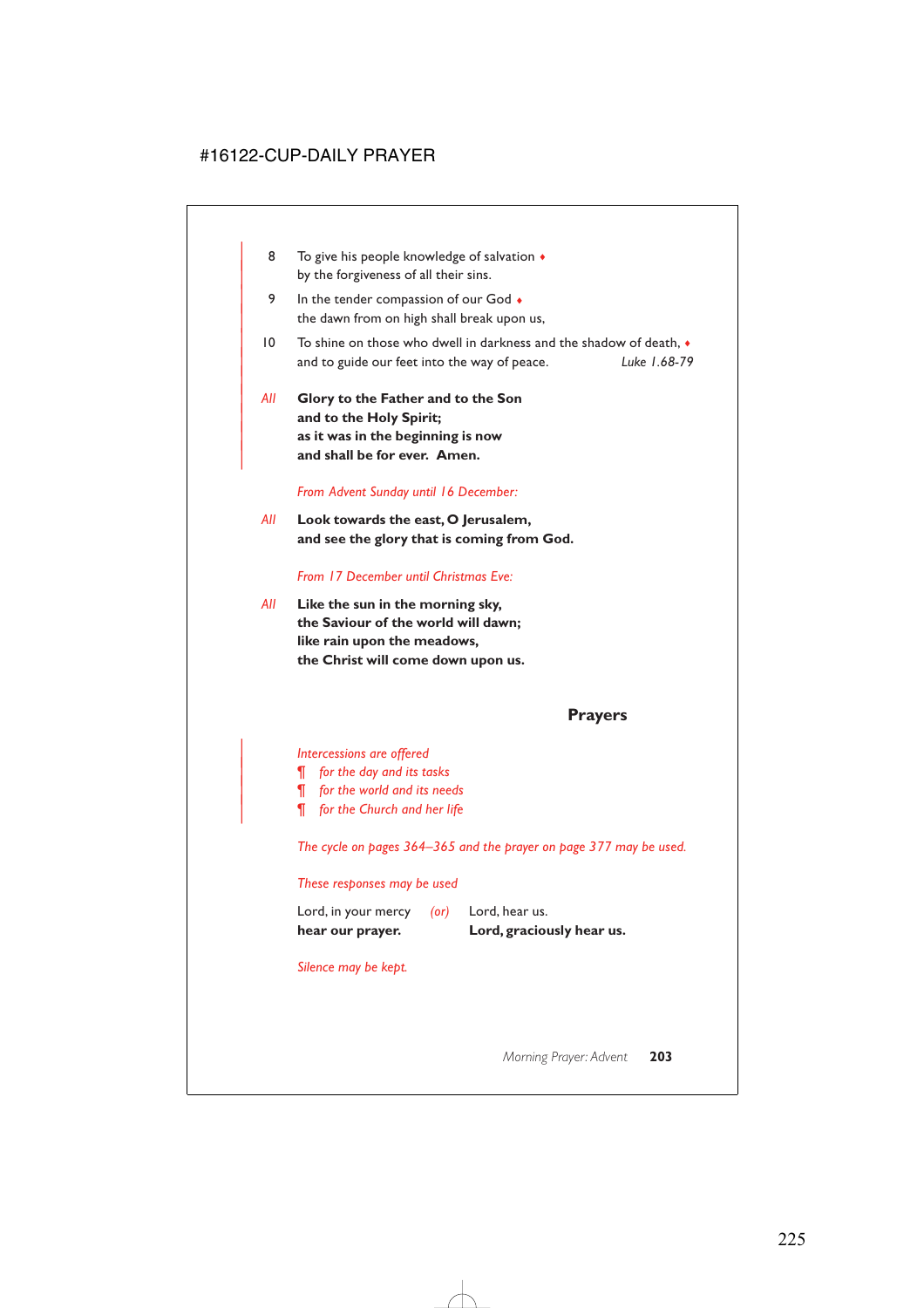- 8 To give his people knowledge of salvation  $\triangleleft$ by the forgiveness of all their sins.
- 9 In the tender compassion of our God  $\bullet$ the dawn from on high shall break upon us,
- | 10 To shine on those who dwell in darkness and the shadow of death, ♦ | and to guide our feet into the way of peace. *Luke 1.68-79*
- | *All* **Glory to the Father and to the Son** and to the Holy Spirit; | **as it was in the beginning is now** and shall be for ever. Amen.

|

#### *From Advent Sunday until 16 December:*

*All* **Look towards the east, O Jerusalem, and see the glory that is coming from God.**

#### *From 17 December until Christmas Eve:*

*All* **Like the sun in the morning sky, the Saviour of the world will dawn; like rain upon the meadows, the Christ will come down upon us.**

### **Prayers**

| *Intercessions are offered*

- | *¶ for the day and its tasks*
- | *¶ for the world and its needs*
- | *¶ for the Church and her life*

*The cycle on pages 364–365 and the prayer on page 377 may be used.*

#### *These responses may be used*

| hear our prayer.    |            | Lord, graciously hear us. |
|---------------------|------------|---------------------------|
| Lord, in your mercy | $($ or $)$ | Lord, hear us.            |

*Silence may be kept.*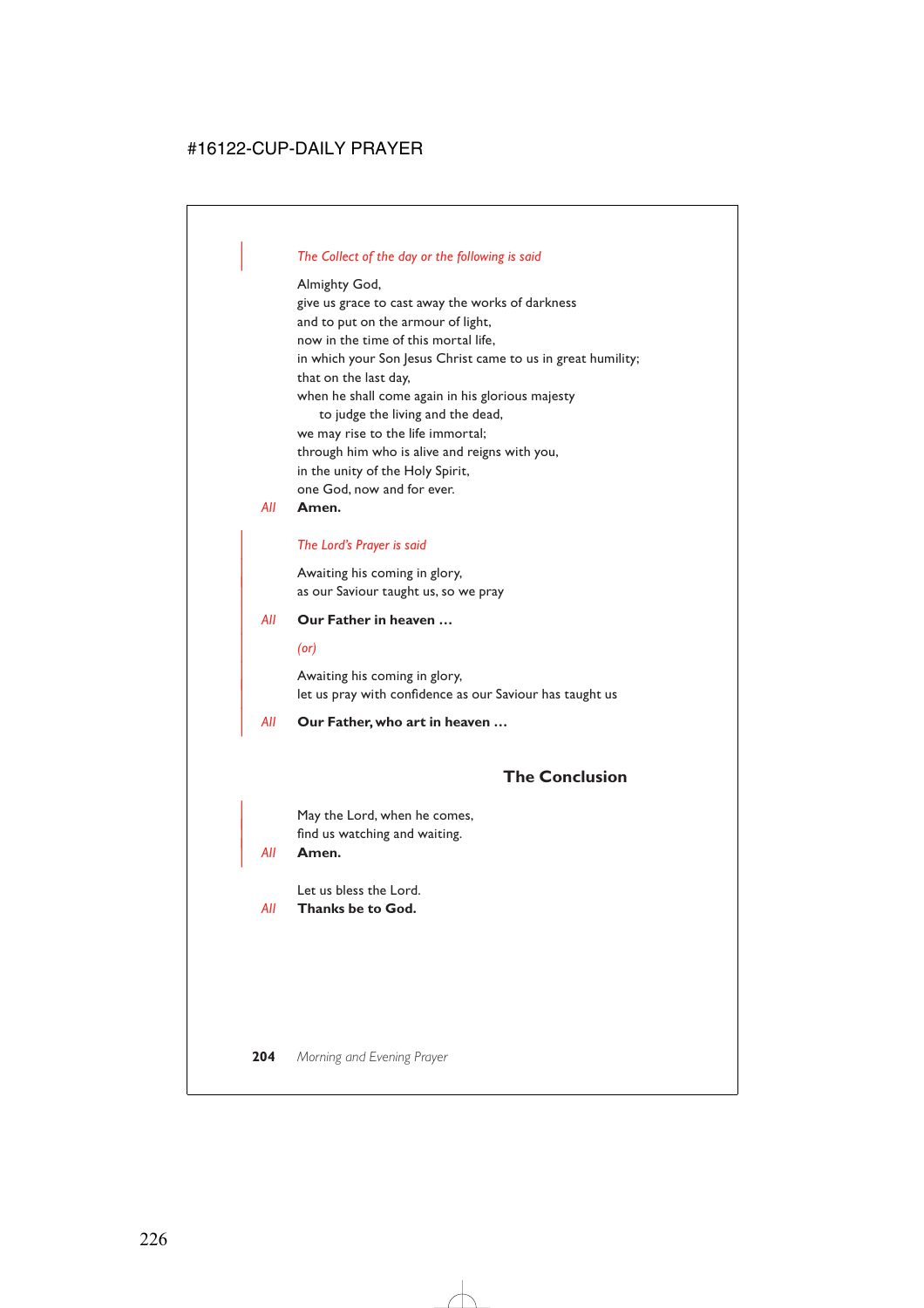# | *The Collect of the day or the following is said*

Almighty God, give us grace to cast away the works of darkness and to put on the armour of light, now in the time of this mortal life, in which your Son Jesus Christ came to us in great humility; that on the last day, when he shall come again in his glorious majesty to judge the living and the dead, we may rise to the life immortal; through him who is alive and reigns with you, in the unity of the Holy Spirit, one God, now and for ever.

#### *All* **Amen.**

### | *The Lord's Prayer is said*

Awaiting his coming in glory, as our Saviour taught us, so we pray

#### | *All* **Our Father in heaven …**

#### | *(or)*

Awaiting his coming in glory, let us pray with confidence as our Saviour has taught us

#### | *All* **Our Father, who art in heaven …**

# **The Conclusion**

May the Lord, when he comes, find us watching and waiting.

| *All* **Amen.**

Let us bless the Lord.

*All* **Thanks be to God.**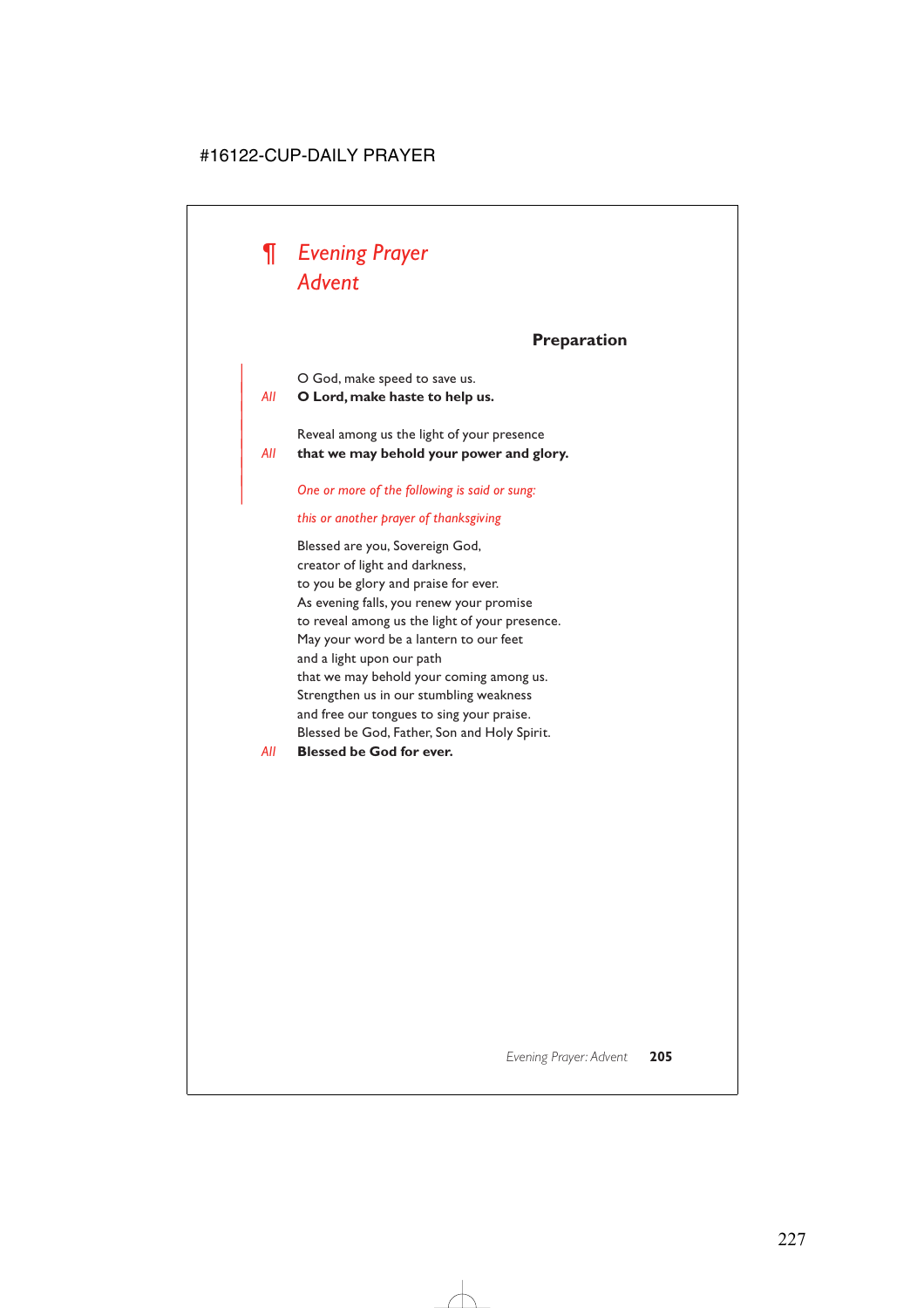

|

|

# **Preparation**

| O God, make speed to save us.

| *All* **O Lord, make haste to help us.**

Reveal among us the light of your presence | *All* **that we may behold your power and glory.**

| *One or more of the following is said or sung:*

#### *this or another prayer of thanksgiving*

Blessed are you, Sovereign God, creator of light and darkness, to you be glory and praise for ever. As evening falls, you renew your promise to reveal among us the light of your presence. May your word be a lantern to our feet and a light upon our path that we may behold your coming among us. Strengthen us in our stumbling weakness and free our tongues to sing your praise. Blessed be God, Father, Son and Holy Spirit.

### *All* **Blessed be God for ever.**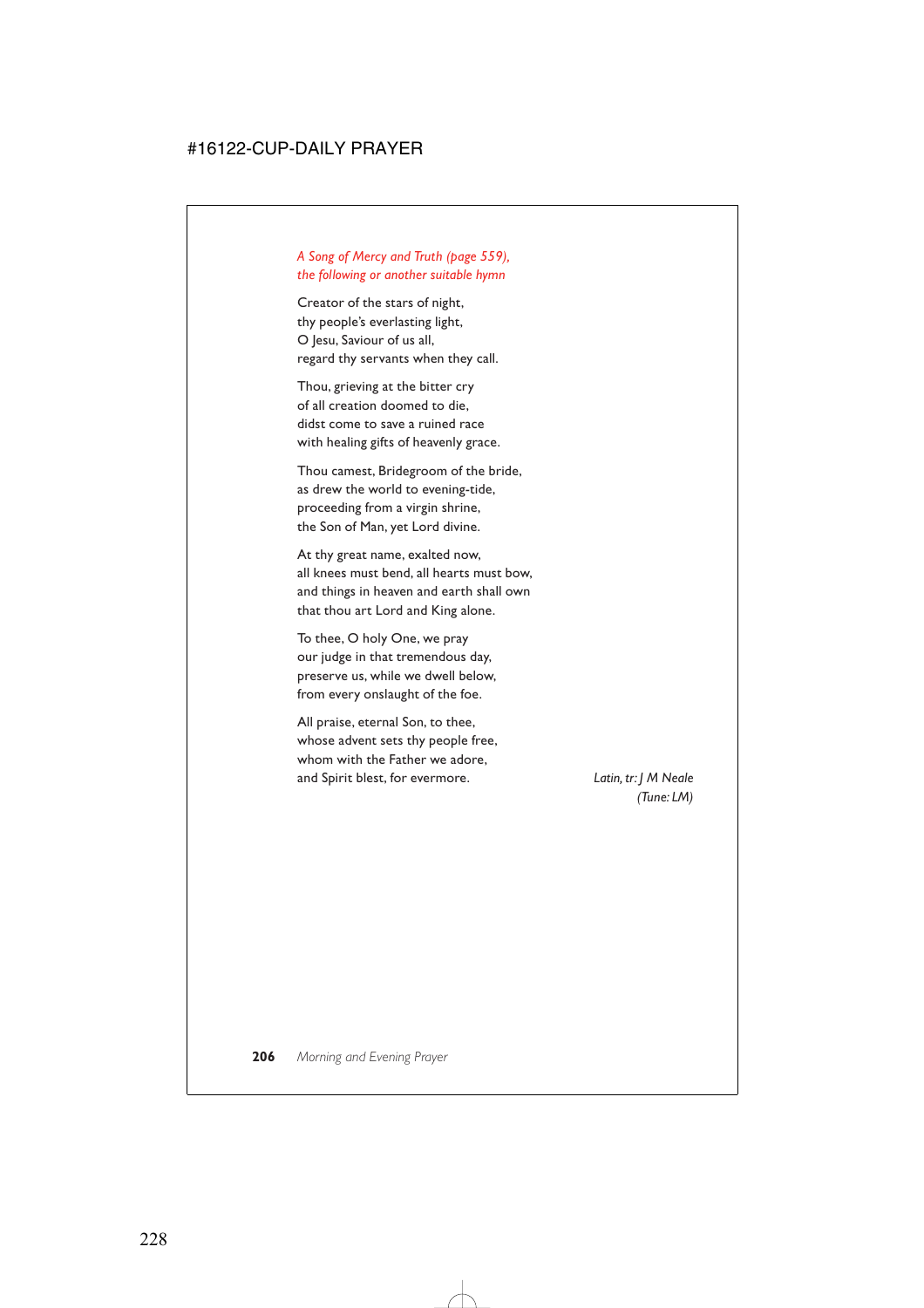# *A Song of Mercy and Truth (page 559), the following or another suitable hymn*

Creator of the stars of night, thy people's everlasting light, O Jesu, Saviour of us all, regard thy servants when they call.

Thou, grieving at the bitter cry of all creation doomed to die, didst come to save a ruined race with healing gifts of heavenly grace.

Thou camest, Bridegroom of the bride, as drew the world to evening-tide, proceeding from a virgin shrine, the Son of Man, yet Lord divine.

At thy great name, exalted now, all knees must bend, all hearts must bow, and things in heaven and earth shall own that thou art Lord and King alone.

To thee, O holy One, we pray our judge in that tremendous day, preserve us, while we dwell below, from every onslaught of the foe.

All praise, eternal Son, to thee, whose advent sets thy people free, whom with the Father we adore, and Spirit blest, for evermore. *Latin, tr: J M Neale* 

*(Tune: LM)*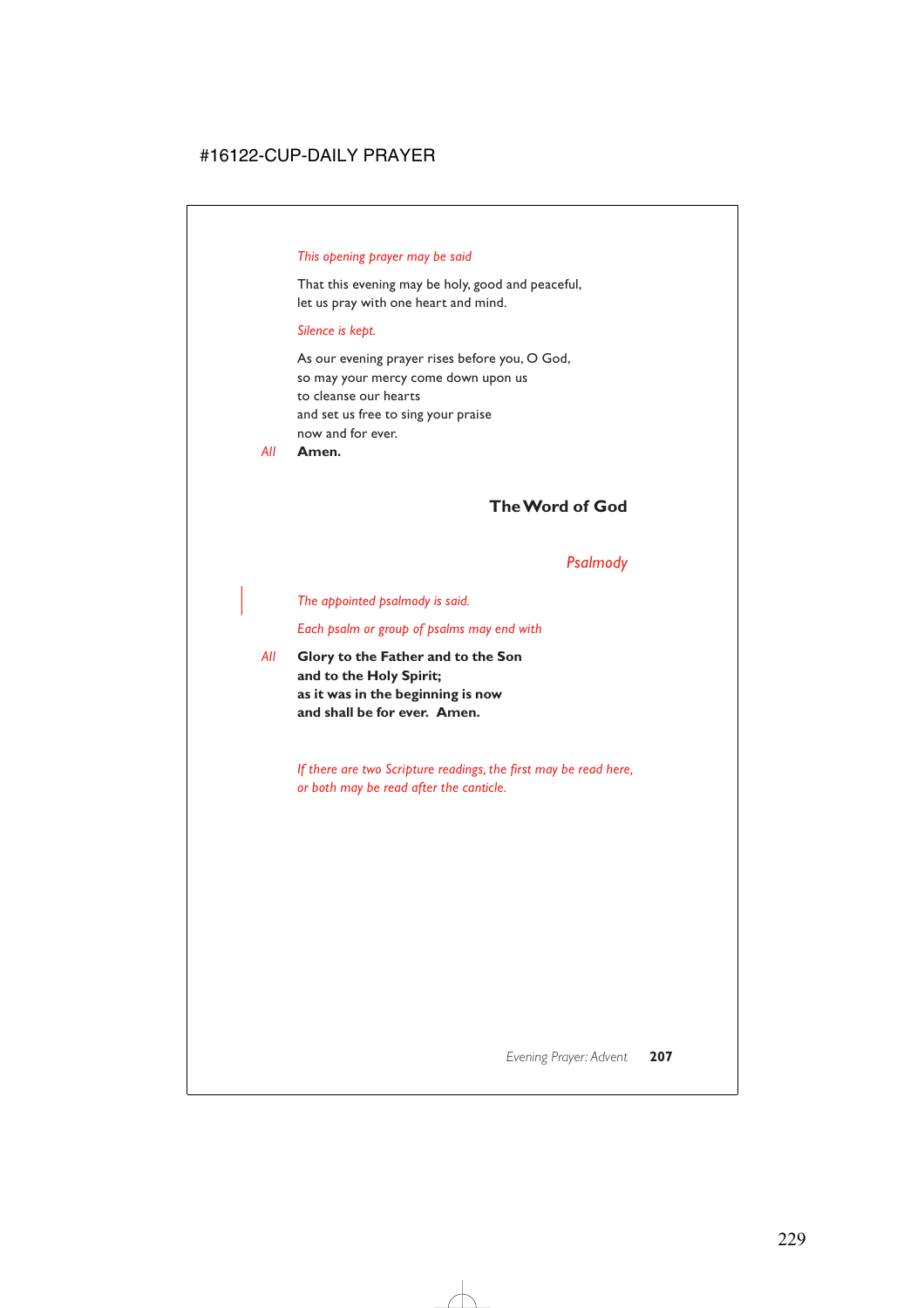### *This opening prayer may be said*

That this evening may be holy, good and peaceful, let us pray with one heart and mind.

#### *Silence is kept.*

As our evening prayer rises before you, O God, so may your mercy come down upon us to cleanse our hearts and set us free to sing your praise now and for ever.

*All* **Amen.**

# **The Word of God**

# *Psalmody*

### | *The appointed psalmody is said.*

*Each psalm or group of psalms may end with*

*All* **Glory to the Father and to the Son and to the Holy Spirit; as it was in the beginning is now and shall be for ever. Amen.**

> *If there are two Scripture readings, the first may be read here, or both may be read after the canticle.*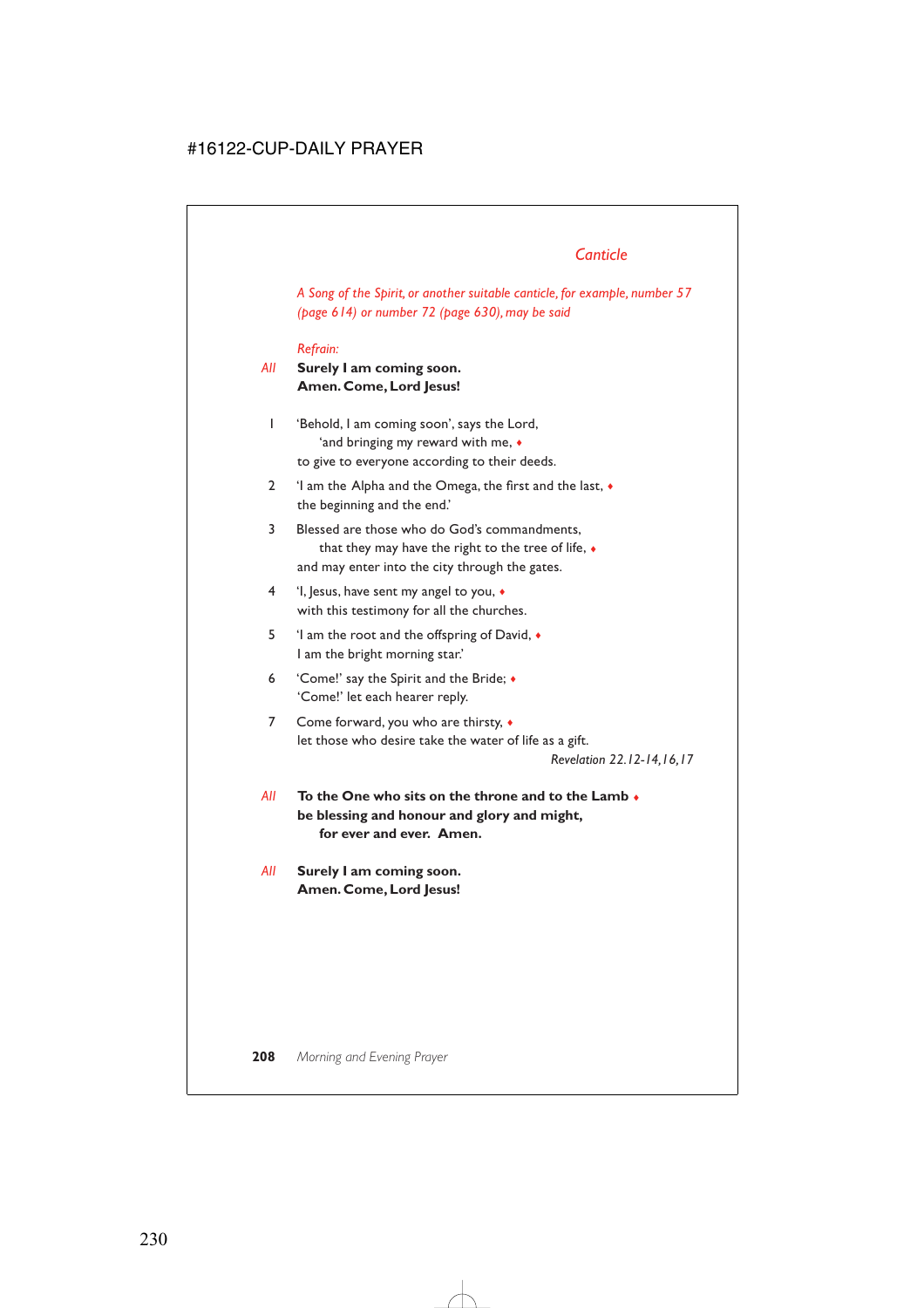# *Canticle*

*A Song of the Spirit, or another suitable canticle, for example, number 57 (page 614) or number 72 (page 630), may be said*

### *Refrain:*

# *All* **Surely I am coming soon. Amen. Come, Lord Jesus!**

- 1 'Behold, I am coming soon', says the Lord, 'and bringing my reward with me, ♦ to give to everyone according to their deeds.
- 2 'I am the Alpha and the Omega, the first and the last, ♦ the beginning and the end.'
- 3 Blessed are those who do God's commandments, that they may have the right to the tree of life, ♦ and may enter into the city through the gates.
- 4 'I, Jesus, have sent my angel to you, ♦ with this testimony for all the churches.
- 5 'I am the root and the offspring of David, ♦ I am the bright morning star.'
- 6 'Come!' say the Spirit and the Bride; ♦ 'Come!' let each hearer reply.
- 7 Come forward, you who are thirsty,  $\triangleleft$ let those who desire take the water of life as a gift.

*Revelation 22.12-14,16,17*

- *All* **To the One who sits on the throne and to the Lamb** ♦ **be blessing and honour and glory and might, for ever and ever. Amen.**
- *All* **Surely I am coming soon. Amen. Come, Lord Jesus!**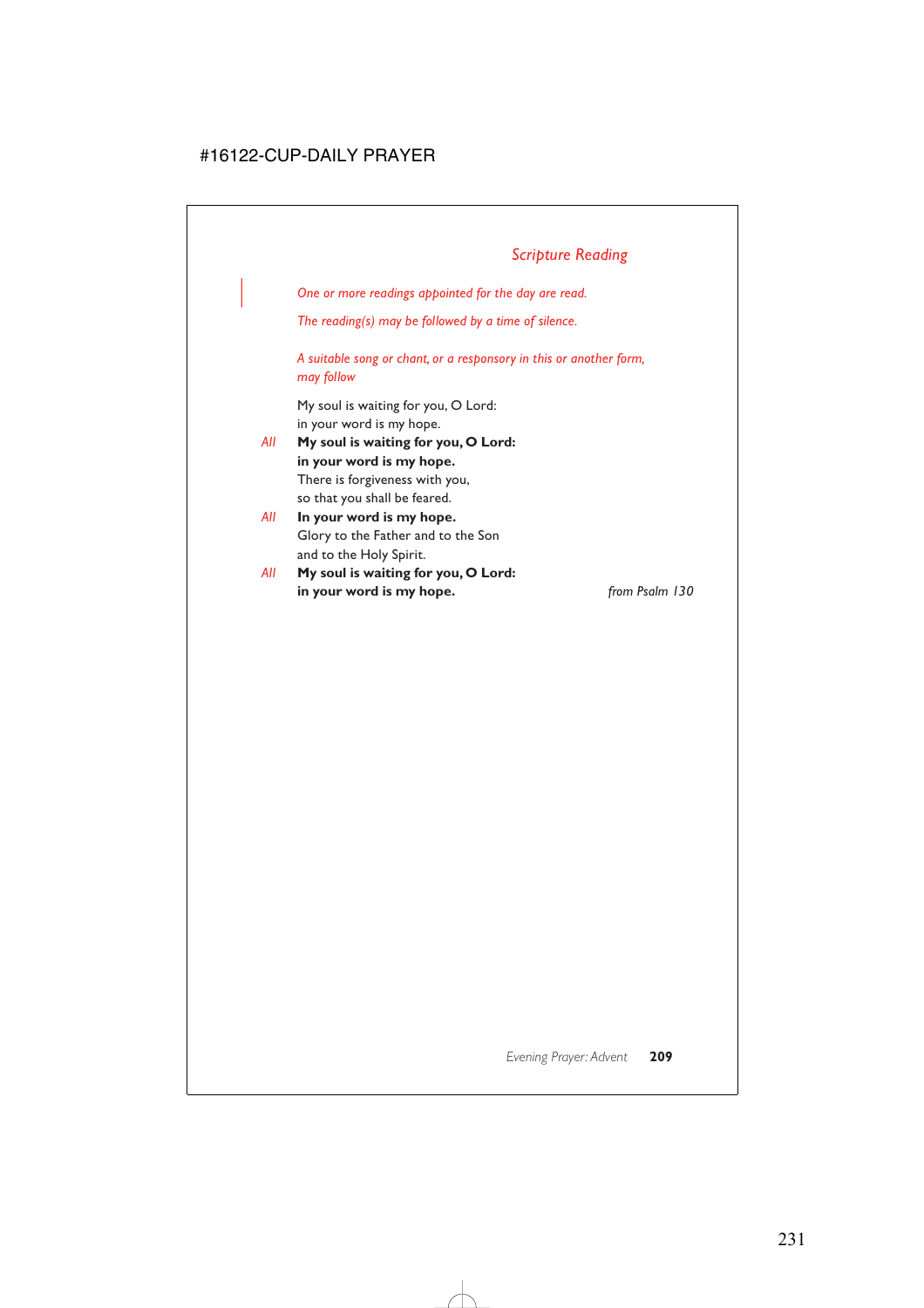| *One or more readings appointed for the day are read.*

*The reading(s) may be followed by a time of silence.*

*A suitable song or chant, or a responsory in this or another form, may follow*

My soul is waiting for you, O Lord: in your word is my hope.

- *All* **My soul is waiting for you, O Lord: in your word is my hope.** There is forgiveness with you, so that you shall be feared.
- *All* **In your word is my hope.** Glory to the Father and to the Son and to the Holy Spirit.
- *All* **My soul is waiting for you, O Lord: in your word is my hope.** *from Psalm 130*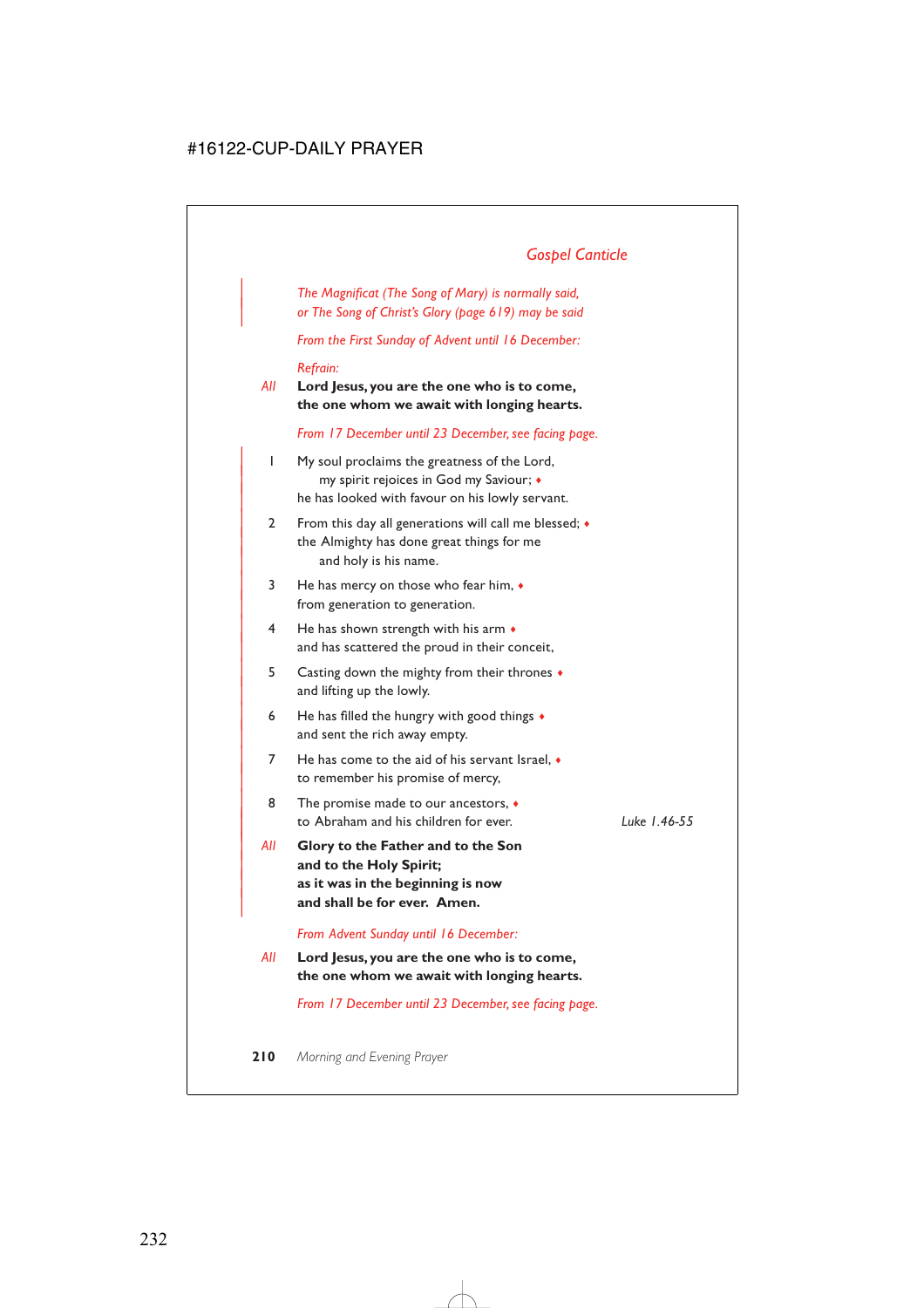# *Gospel Canticle*

| *The Magnificat (The Song of Mary) is normally said,* | *or The Song of Christ's Glory (page 619) may be said*

*From the First Sunday of Advent until 16 December:*

#### *Refrain:*

*All* **Lord Jesus, you are the one who is to come, the one whom we await with longing hearts.**

*From 17 December until 23 December, see facing page.*

- | 1 My soul proclaims the greatness of the Lord, | my spirit rejoices in God my Saviour; ♦ he has looked with favour on his lowly servant.
- 2 From this day all generations will call me blessed;  $\bullet$ the Almighty has done great things for me and holy is his name.
- $3$  He has mercy on those who fear him,  $\bullet$ from generation to generation.
- $4$  He has shown strength with his arm  $\bullet$ and has scattered the proud in their conceit,
- | 5 Casting down the mighty from their thrones ♦ and lifting up the lowly.
- 6 He has filled the hungry with good things  $\bullet$ and sent the rich away empty.
- $7$  He has come to the aid of his servant Israel,  $\bullet$ to remember his promise of mercy,
- 8 The promise made to our ancestors,  $\bullet$ to Abraham and his children for ever. **Luke 1.46-55**
- | *All* **Glory to the Father and to the Son** and to the Holy Spirit; | **as it was in the beginning is now** and shall be for ever. Amen.

#### *From Advent Sunday until 16 December:*

*All* **Lord Jesus, you are the one who is to come, the one whom we await with longing hearts.**

*From 17 December until 23 December, see facing page.*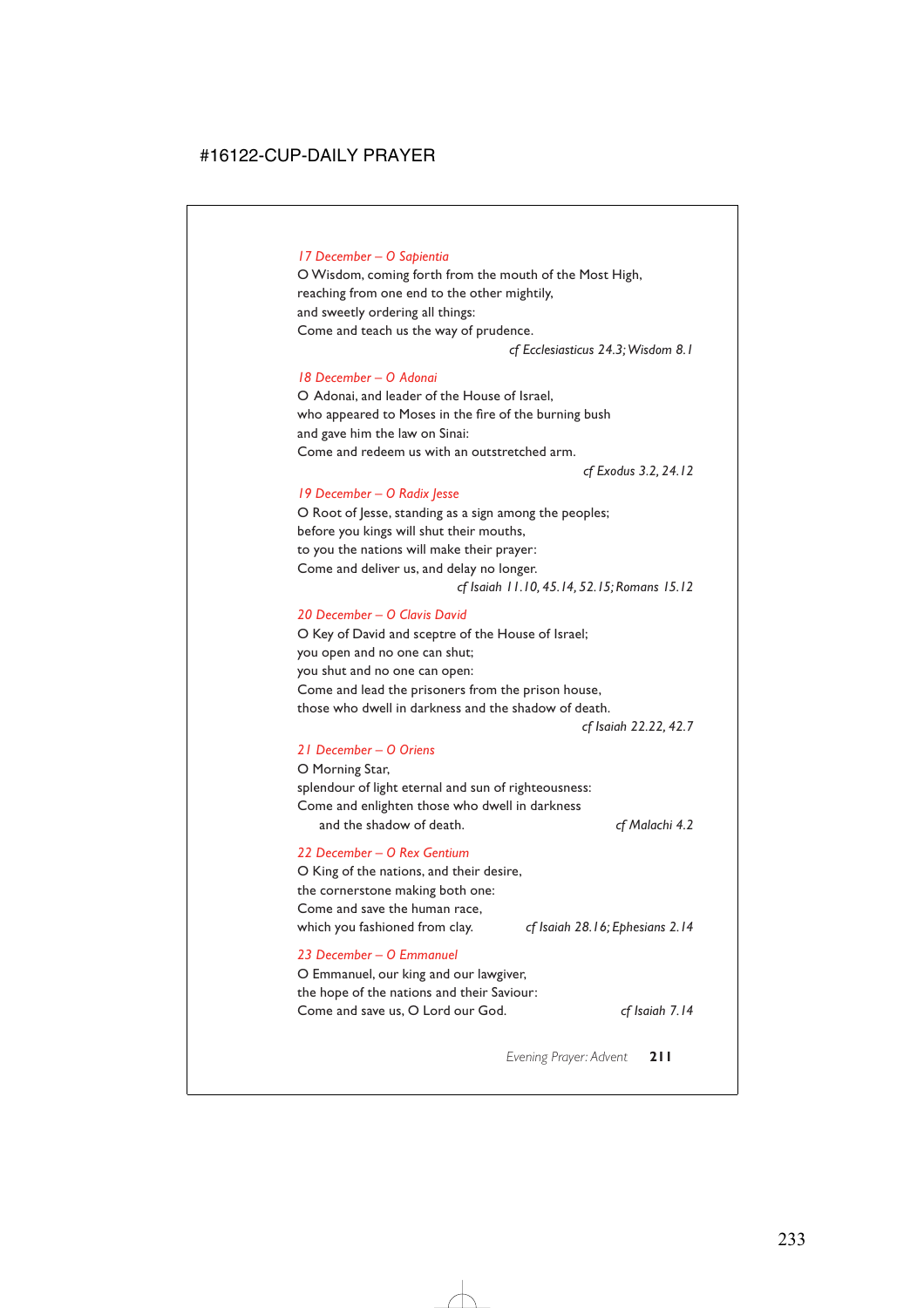# *17 December – O Sapientia*

O Wisdom, coming forth from the mouth of the Most High, reaching from one end to the other mightily, and sweetly ordering all things: Come and teach us the way of prudence.

*cf Ecclesiasticus 24.3;Wisdom 8.1*

#### *18 December – O Adonai*

O Adonai, and leader of the House of Israel, who appeared to Moses in the fire of the burning bush and gave him the law on Sinai: Come and redeem us with an outstretched arm.

*cf Exodus 3.2, 24.12*

### *19 December – O Radix Jesse*

O Root of Jesse, standing as a sign among the peoples; before you kings will shut their mouths, to you the nations will make their prayer: Come and deliver us, and delay no longer. *cf Isaiah 11.10, 45.14, 52.15; Romans 15.12*

### *20 December – O Clavis David*

O Key of David and sceptre of the House of Israel; you open and no one can shut; you shut and no one can open: Come and lead the prisoners from the prison house, those who dwell in darkness and the shadow of death.

*cf Isaiah 22.22, 42.7*

#### *21 December – O Oriens*

O Morning Star, splendour of light eternal and sun of righteousness: Come and enlighten those who dwell in darkness and the shadow of death. *cf Malachi 4.2*

# *22 December – O Rex Gentium*

O King of the nations, and their desire, the cornerstone making both one: Come and save the human race, which you fashioned from clay. *cf Isaiah 28.16; Ephesians 2.14*

### *23 December – O Emmanuel*

O Emmanuel, our king and our lawgiver, the hope of the nations and their Saviour: Come and save us, O Lord our God. *cf Isaiah 7.14*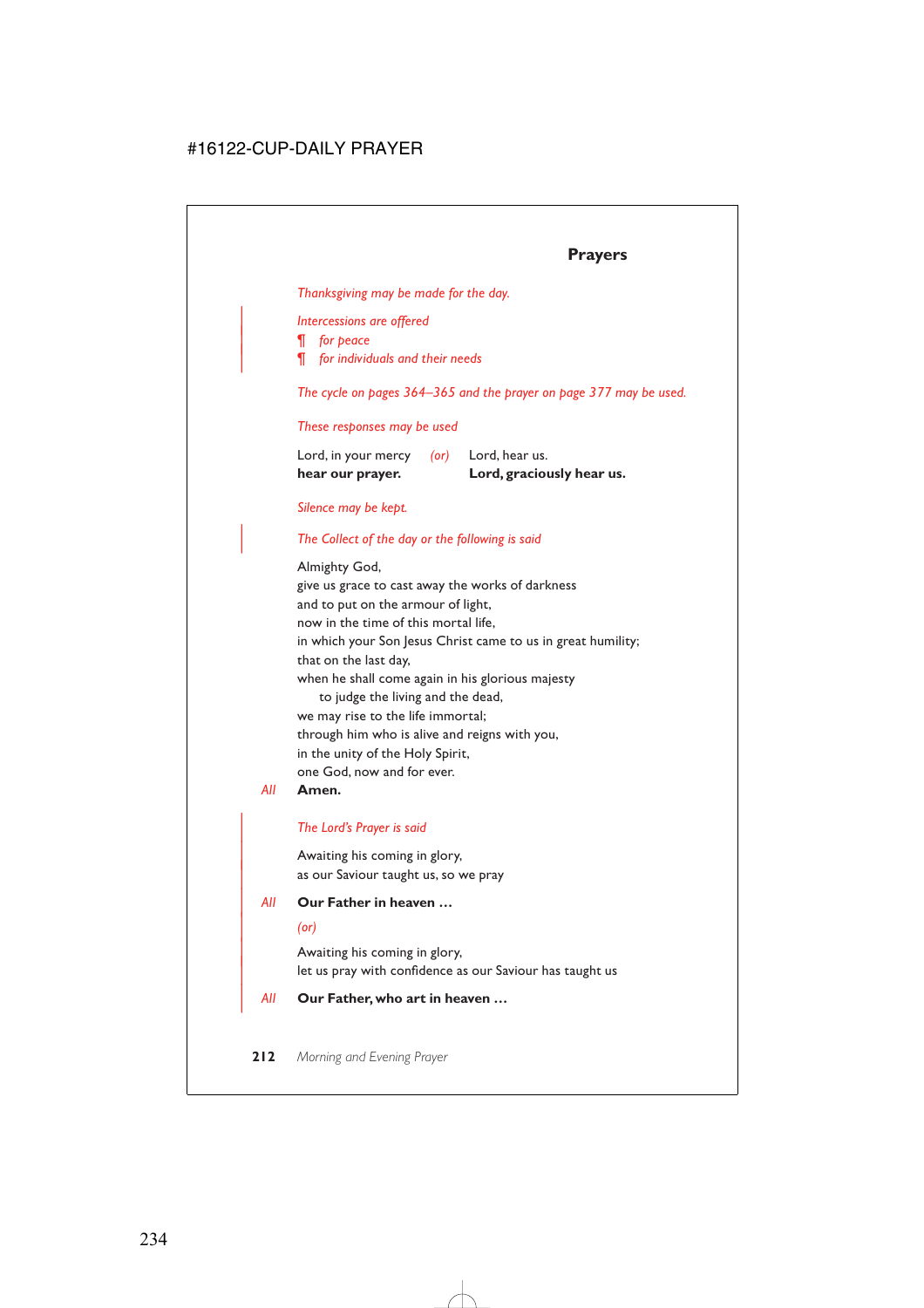# **Prayers**

*Thanksgiving may be made for the day.*

| *Intercessions are offered*

| *¶ for peace*

| *¶ for individuals and their needs*

*The cycle on pages 364–365 and the prayer on page 377 may be used.*

### *These responses may be used*

| hear our prayer.    |            | Lord, graciously hear us. |
|---------------------|------------|---------------------------|
| Lord, in your mercy | $($ or $)$ | Lord, hear us.            |

### *Silence may be kept.*

# | *The Collect of the day or the following is said*

Almighty God, give us grace to cast away the works of darkness and to put on the armour of light, now in the time of this mortal life, in which your Son Jesus Christ came to us in great humility; that on the last day, when he shall come again in his glorious majesty to judge the living and the dead, we may rise to the life immortal; through him who is alive and reigns with you, in the unity of the Holy Spirit, one God, now and for ever.

### *All* **Amen.**

### | *The Lord's Prayer is said*

Awaiting his coming in glory, as our Saviour taught us, so we pray

### | *All* **Our Father in heaven …**

| *(or)*

Awaiting his coming in glory, let us pray with confidence as our Saviour has taught us

# | *All* **Our Father, who art in heaven …**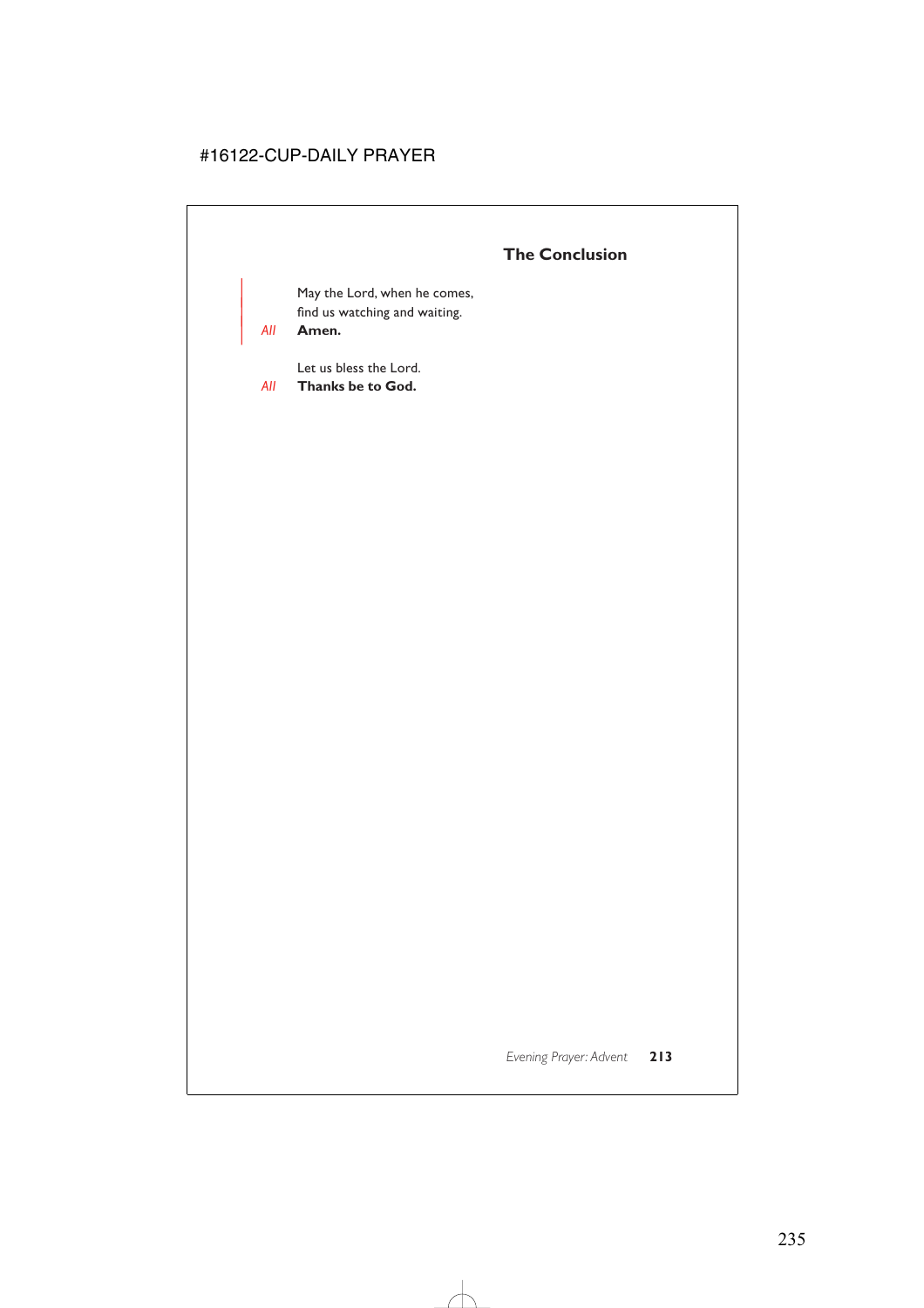# **The Conclusion**

May the Lord, when he comes, find us watching and waiting.

| *All* **Amen.**

Let us bless the Lord.

*All* **Thanks be to God.**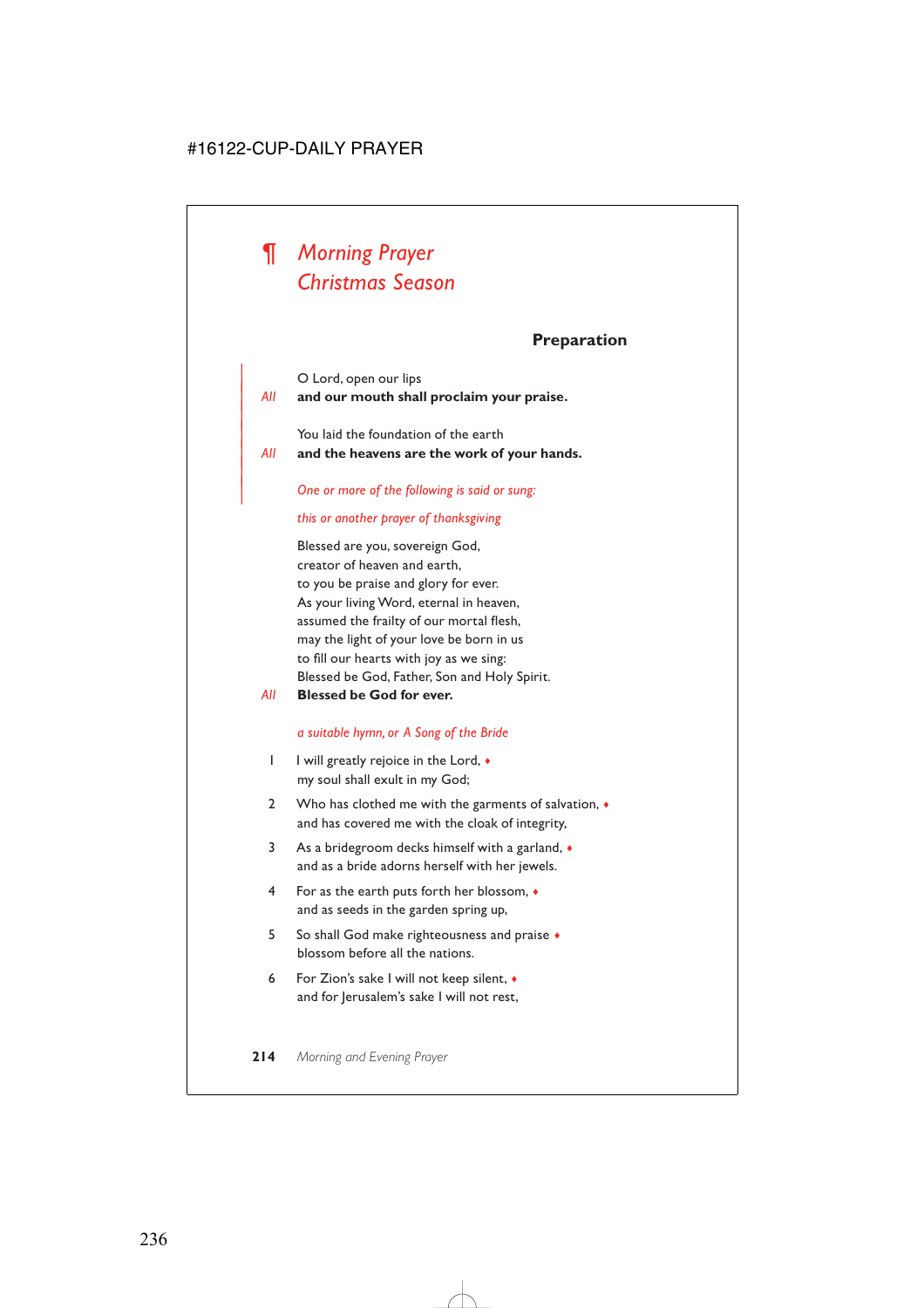# *¶ Morning Prayer Christmas Season*

# **Preparation**

| O Lord, open our lips

|

|

| *All* **and our mouth shall proclaim your praise.**

You laid the foundation of the earth

| *All* **and the heavens are the work of your hands.**

# | *One or more of the following is said or sung:*

# *this or another prayer of thanksgiving*

Blessed are you, sovereign God, creator of heaven and earth, to you be praise and glory for ever. As your living Word, eternal in heaven, assumed the frailty of our mortal flesh, may the light of your love be born in us to fill our hearts with joy as we sing: Blessed be God, Father, Son and Holy Spirit.

*All* **Blessed be God for ever.**

# *a suitable hymn, or A Song of the Bride*

- 1 I will greatly rejoice in the Lord,  $\bullet$ my soul shall exult in my God;
- 2 Who has clothed me with the garments of salvation,  $\bullet$ and has covered me with the cloak of integrity,
- 3 As a bridegroom decks himself with a garland, ♦ and as a bride adorns herself with her jewels.
- 4 For as the earth puts forth her blossom, ♦ and as seeds in the garden spring up,
- 5 So shall God make righteousness and praise ♦ blossom before all the nations.
- 6 For Zion's sake I will not keep silent, ♦ and for Jerusalem's sake I will not rest,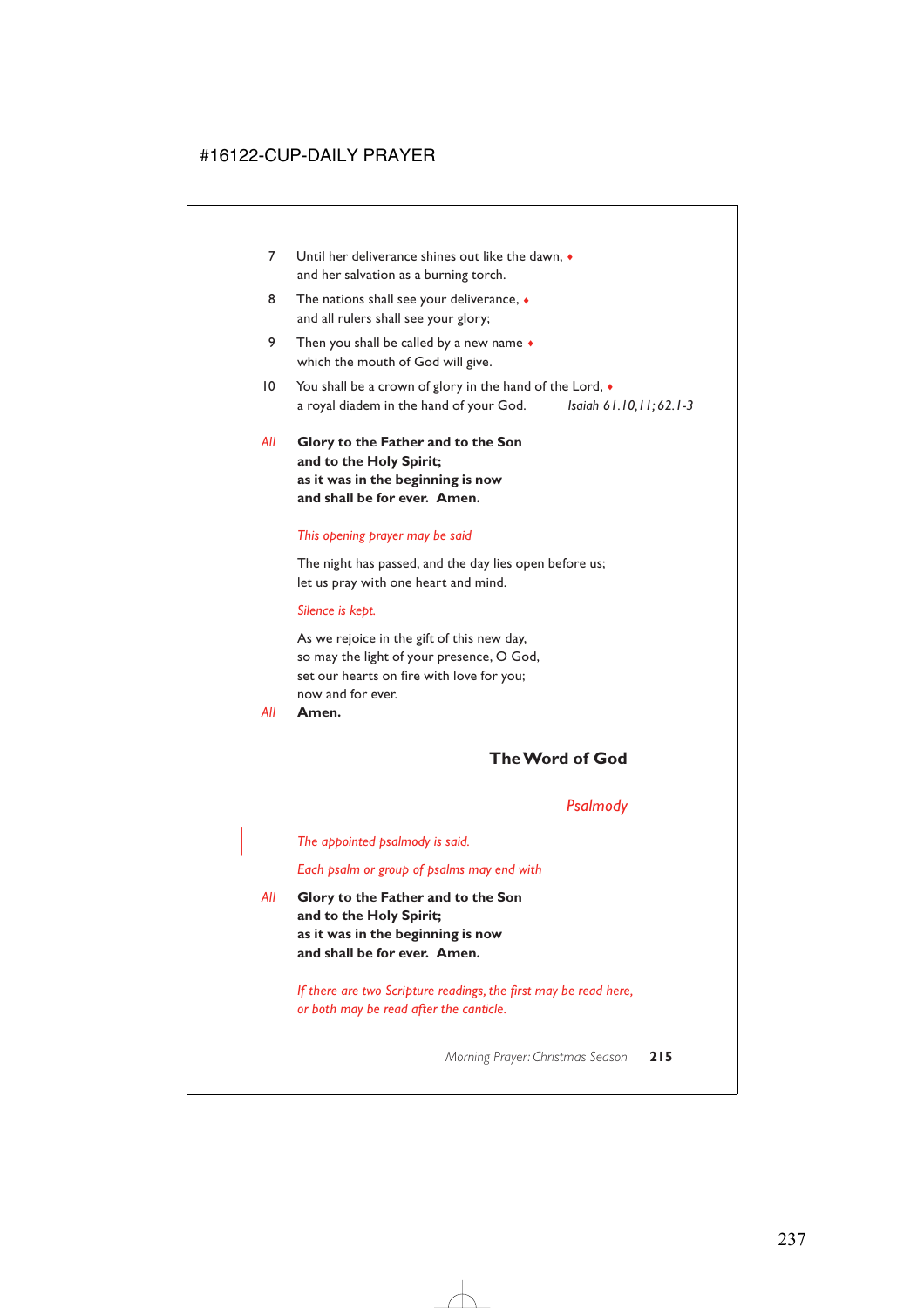- 7 Until her deliverance shines out like the dawn,  $\bullet$ and her salvation as a burning torch.
- 8 The nations shall see your deliverance,  $\bullet$ and all rulers shall see your glory;
- 9 Then you shall be called by a new name  $\bullet$ which the mouth of God will give.
- 10 You shall be a crown of glory in the hand of the Lord,  $\bullet$ a royal diadem in the hand of your God. *Isaiah 61.10,11; 62.1-3*
- *All* **Glory to the Father and to the Son and to the Holy Spirit; as it was in the beginning is now and shall be for ever. Amen.**

### *This opening prayer may be said*

The night has passed, and the day lies open before us; let us pray with one heart and mind.

#### *Silence is kept.*

As we rejoice in the gift of this new day, so may the light of your presence, O God, set our hearts on fire with love for you; now and for ever.

*All* **Amen.**

# **The Word of God**

# *Psalmody*

| *The appointed psalmody is said.*

*Each psalm or group of psalms may end with*

*All* **Glory to the Father and to the Son and to the Holy Spirit; as it was in the beginning is now and shall be for ever. Amen.**

> *If there are two Scripture readings, the first may be read here, or both may be read after the canticle.*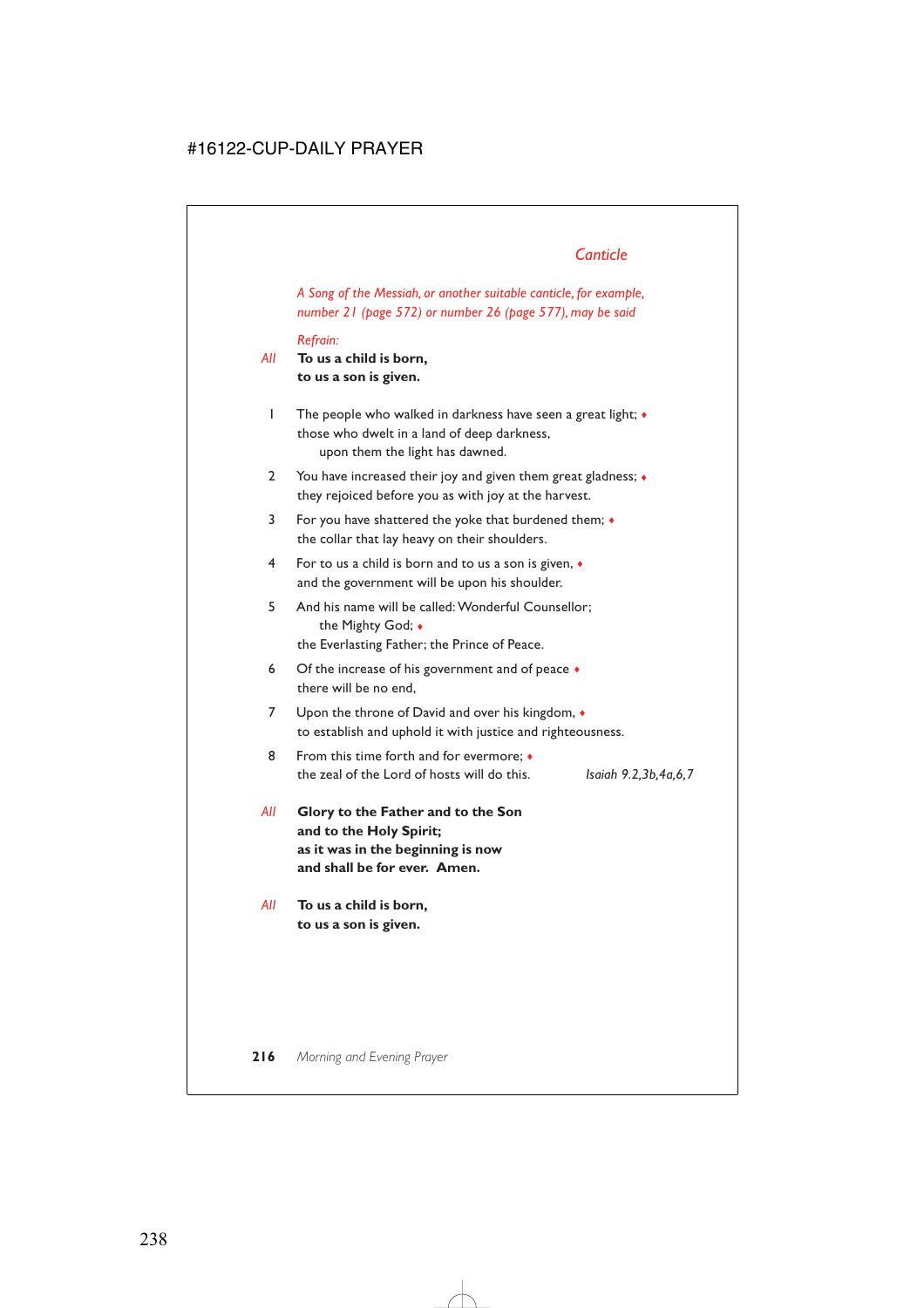*A Song of the Messiah, or another suitable canticle, for example, number 21 (page 572) or number 26 (page 577), may be said*

*Refrain:*

- *All* **To us a child is born, to us a son is given.**
	- 1 The people who walked in darkness have seen a great light; ♦ those who dwelt in a land of deep darkness, upon them the light has dawned.
	- 2 You have increased their joy and given them great gladness;  $\bullet$ they rejoiced before you as with joy at the harvest.
	- 3 For you have shattered the yoke that burdened them; ♦ the collar that lay heavy on their shoulders.
	- 4 For to us a child is born and to us a son is given, ♦ and the government will be upon his shoulder.
	- 5 And his name will be called: Wonderful Counsellor; the Mighty God; ♦ the Everlasting Father; the Prince of Peace.
	- 6 Of the increase of his government and of peace  $\bullet$ there will be no end,
	- 7 Upon the throne of David and over his kingdom,  $\bullet$ to establish and uphold it with justice and righteousness.
	- 8 From this time forth and for evermore;  $\triangleleft$ the zeal of the Lord of hosts will do this. *Isaiah 9.2,3b,4a,6,7*

- *All* **Glory to the Father and to the Son and to the Holy Spirit; as it was in the beginning is now and shall be for ever. Amen.**
- *All* **To us a child is born, to us a son is given.**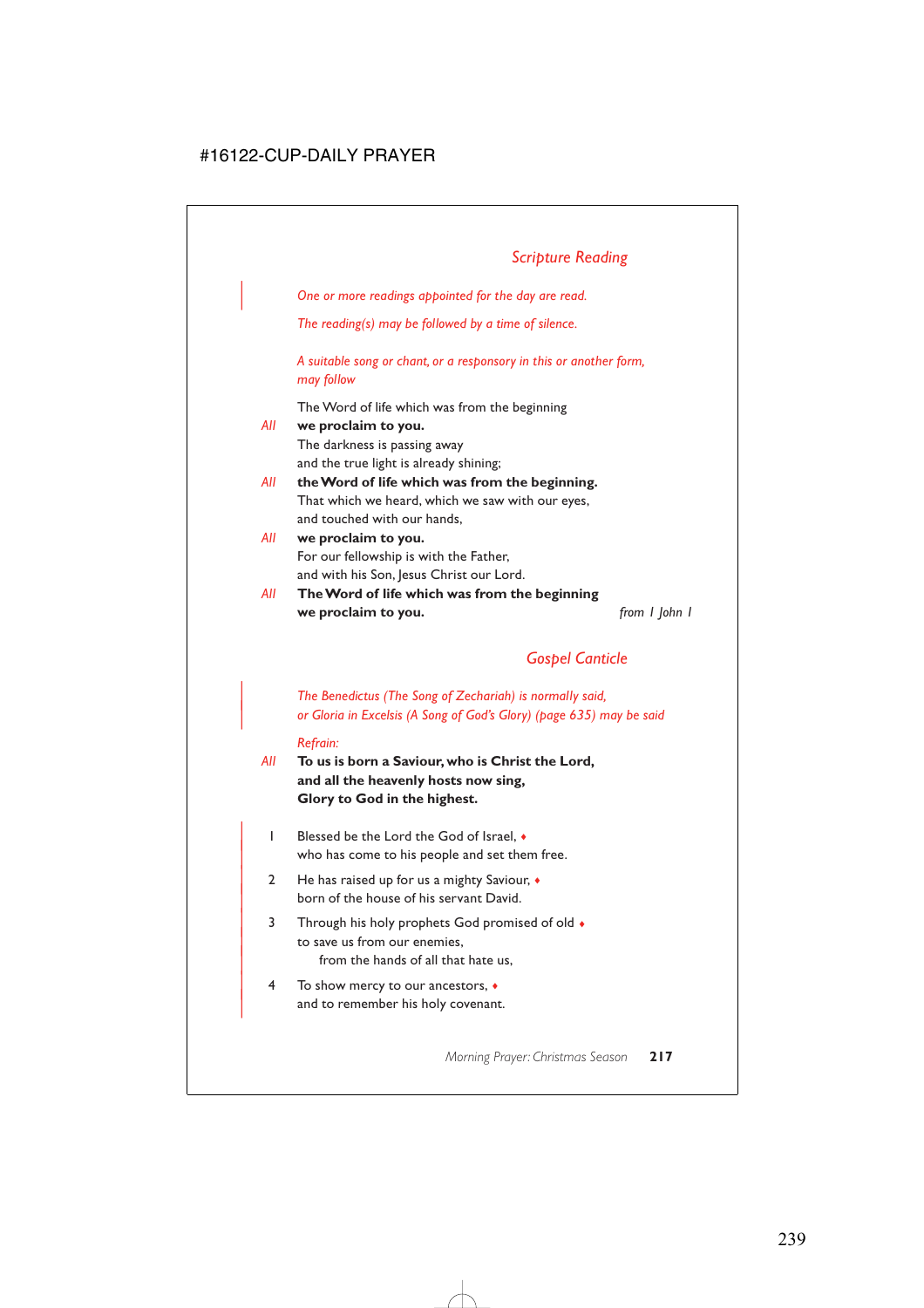| *One or more readings appointed for the day are read.*

*The reading(s) may be followed by a time of silence.*

*A suitable song or chant, or a responsory in this or another form, may follow*

The Word of life which was from the beginning

| AII | we proclaim to you.                              |
|-----|--------------------------------------------------|
|     | The darkness is passing away                     |
|     | and the true light is already shining;           |
| AII | the Word of life which was from the beginning.   |
|     | That which we heard, which we saw with our eyes, |
|     | and touched with our hands,                      |
| AII | we proclaim to you.                              |
|     | For our fellowship is with the Father,           |
|     | and with his Son, Jesus Christ our Lord.         |
| AII | The Word of life which was from the beginning    |
|     |                                                  |

**we proclaim to you.** *from 1 John 1*

# *Gospel Canticle*

| *The Benedictus (The Song of Zechariah) is normally said,* | *or Gloria in Excelsis (A Song of God's Glory) (page 635) may be said*

#### *Refrain:*

- *All* **To us is born a Saviour, who is Christ the Lord, and all the heavenly hosts now sing, Glory to God in the highest.**
	- | 1 Blessed be the Lord the God of Israel, ♦ who has come to his people and set them free.
	- 2 He has raised up for us a mighty Saviour,  $\bullet$ born of the house of his servant David.
	- | 3 Through his holy prophets God promised of old ♦ to save us from our enemies. from the hands of all that hate us,
	- | 4 To show mercy to our ancestors, ♦ and to remember his holy covenant.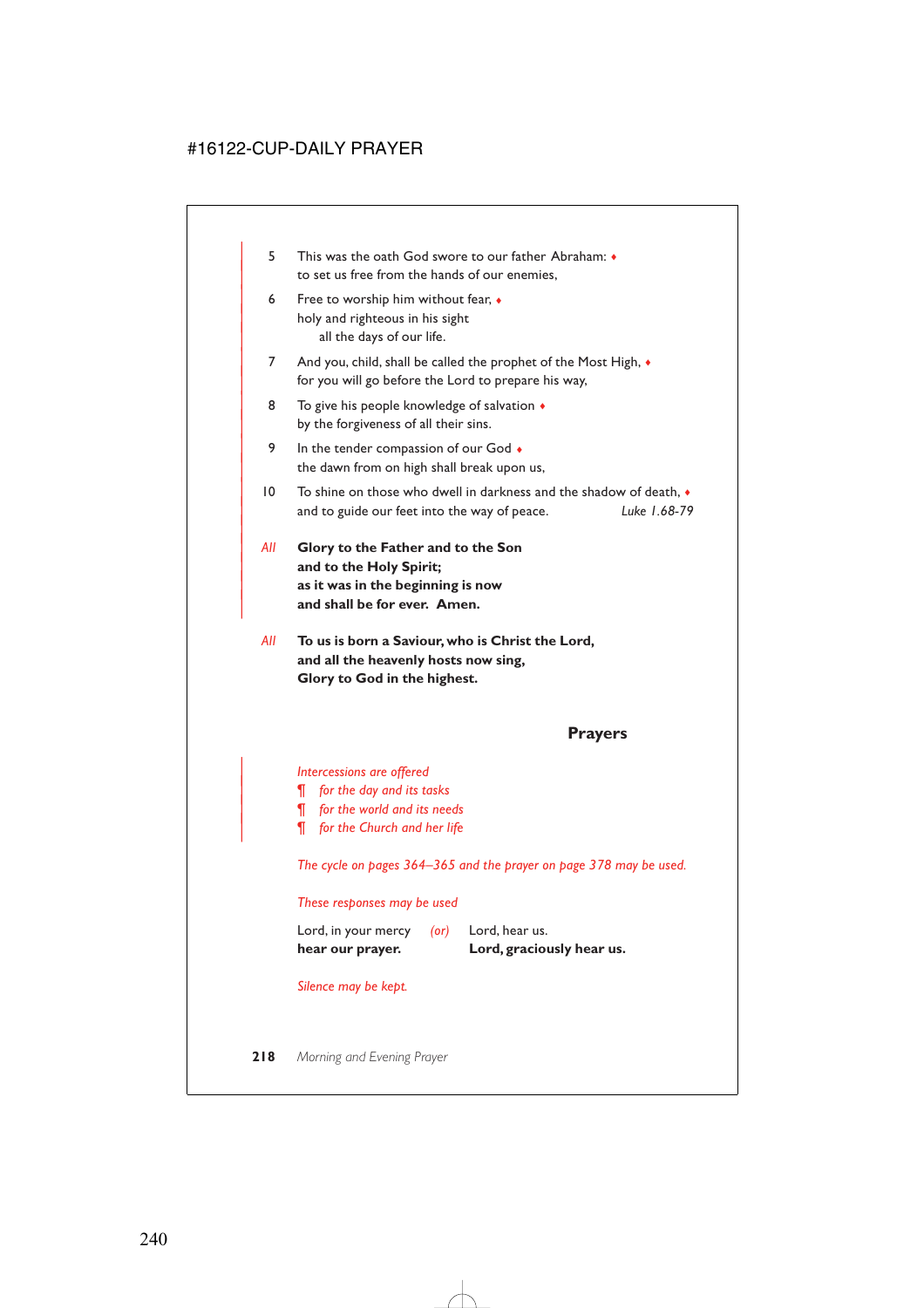- | 5 This was the oath God swore to our father Abraham: ♦ to set us free from the hands of our enemies,
- 6 Free to worship him without fear,  $\bullet$ holy and righteous in his sight all the days of our life.
- 7 And you, child, shall be called the prophet of the Most High,  $\bullet$ for you will go before the Lord to prepare his way,
- 8 To give his people knowledge of salvation  $\triangleleft$ by the forgiveness of all their sins.
- 9 In the tender compassion of our God  $\bullet$ the dawn from on high shall break upon us,
- | 10 To shine on those who dwell in darkness and the shadow of death, ♦ | and to guide our feet into the way of peace. *Luke 1.68-79*
- | *All* **Glory to the Father and to the Son** and to the Holy Spirit; | **as it was in the beginning is now** and shall be for ever. Amen.

|

*All* **To us is born a Saviour, who is Christ the Lord, and all the heavenly hosts now sing, Glory to God in the highest.**

### **Prayers**

| *Intercessions are offered*

- | *¶ for the day and its tasks*
- | *¶ for the world and its needs*
- | *¶ for the Church and her life*

*The cycle on pages 364–365 and the prayer on page 378 may be used.*

*These responses may be used*

| hear our prayer.    |            | Lord, graciously hear us. |
|---------------------|------------|---------------------------|
| Lord, in your mercy | $($ or $)$ | Lord, hear us.            |

*Silence may be kept.*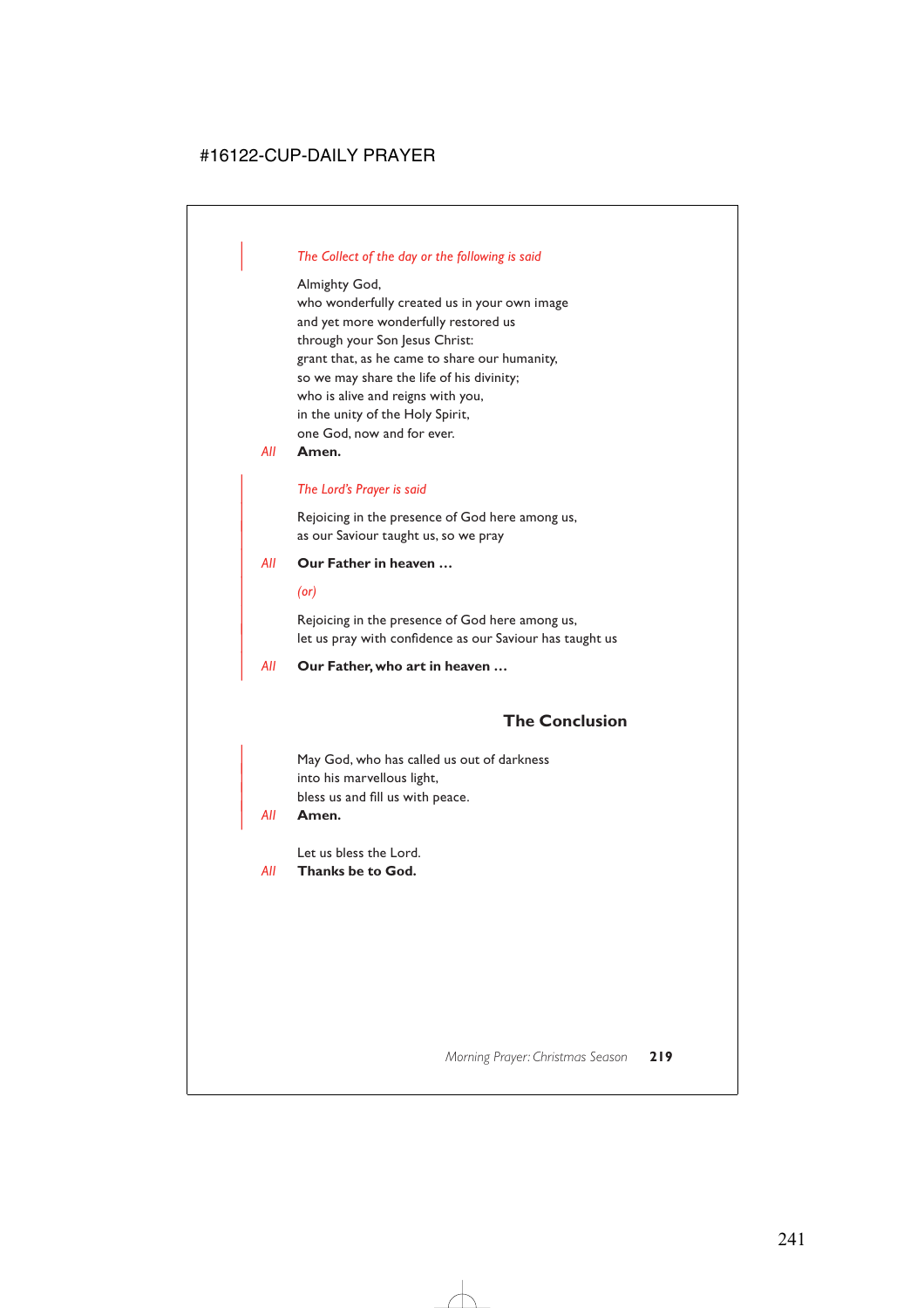# | *The Collect of the day or the following is said*

Almighty God,

who wonderfully created us in your own image and yet more wonderfully restored us through your Son Jesus Christ: grant that, as he came to share our humanity, so we may share the life of his divinity; who is alive and reigns with you, in the unity of the Holy Spirit, one God, now and for ever.

*All* **Amen.**

# | *The Lord's Prayer is said*

Rejoicing in the presence of God here among us, as our Saviour taught us, so we pray

# | *All* **Our Father in heaven …**

| *(or)*

Rejoicing in the presence of God here among us, let us pray with confidence as our Saviour has taught us

| *All* **Our Father, who art in heaven …**

# **The Conclusion**

May God, who has called us out of darkness into his marvellous light, bless us and fill us with peace.

| *All* **Amen.**

Let us bless the Lord.

*All* **Thanks be to God.**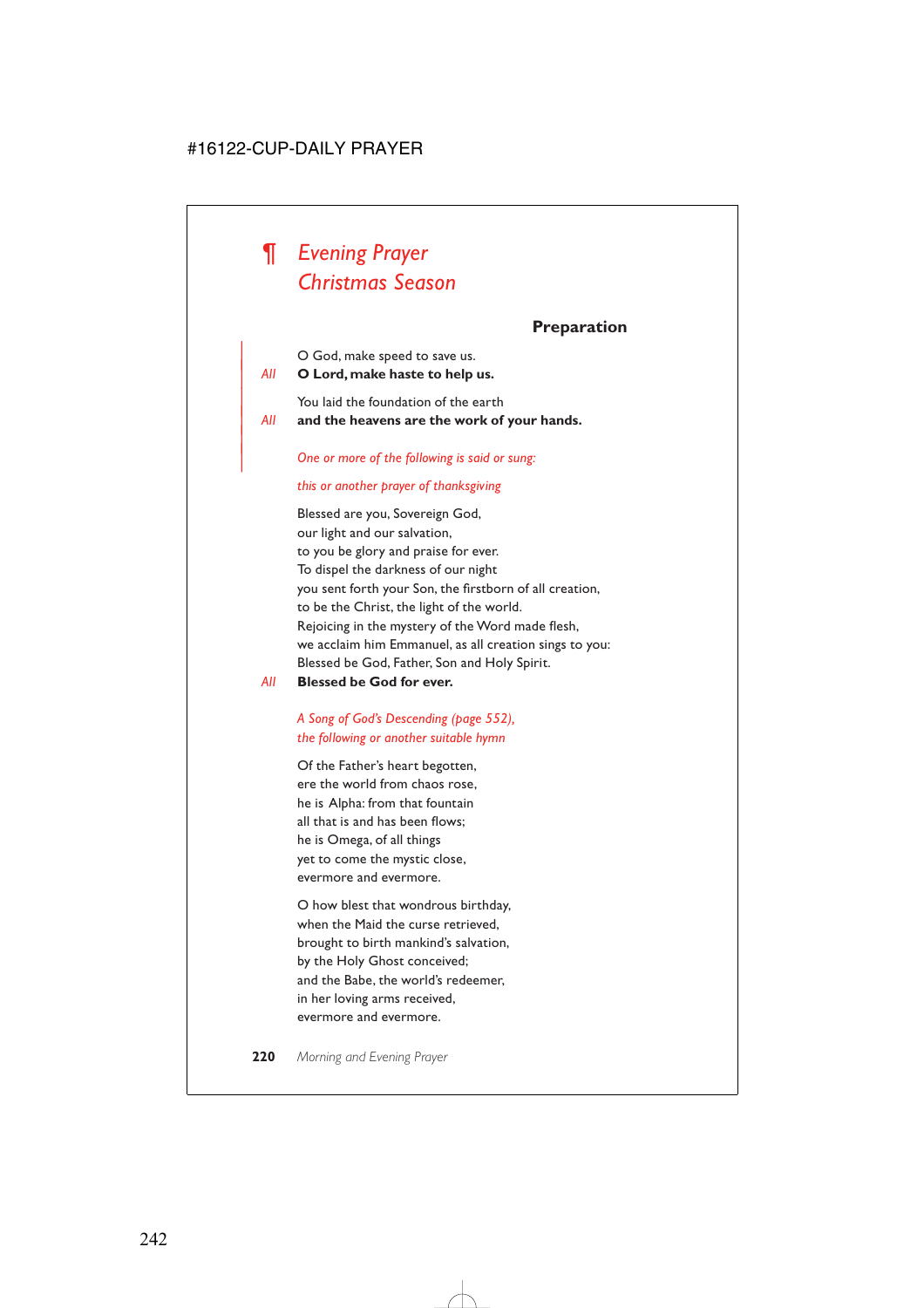# *¶ Evening Prayer Christmas Season*

# **Preparation**

| O God, make speed to save us.

| *All* **O Lord, make haste to help us.**

|

You laid the foundation of the earth

| *All* **and the heavens are the work of your hands.**

### | *One or more of the following is said or sung:*

### *this or another prayer of thanksgiving*

Blessed are you, Sovereign God, our light and our salvation, to you be glory and praise for ever. To dispel the darkness of our night you sent forth your Son, the firstborn of all creation, to be the Christ, the light of the world. Rejoicing in the mystery of the Word made flesh, we acclaim him Emmanuel, as all creation sings to you: Blessed be God, Father, Son and Holy Spirit.

*All* **Blessed be God for ever.**

# *A Song of God's Descending (page 552), the following or another suitable hymn*

Of the Father's heart begotten, ere the world from chaos rose, he is Alpha: from that fountain all that is and has been flows; he is Omega, of all things yet to come the mystic close, evermore and evermore.

O how blest that wondrous birthday, when the Maid the curse retrieved, brought to birth mankind's salvation, by the Holy Ghost conceived; and the Babe, the world's redeemer, in her loving arms received, evermore and evermore.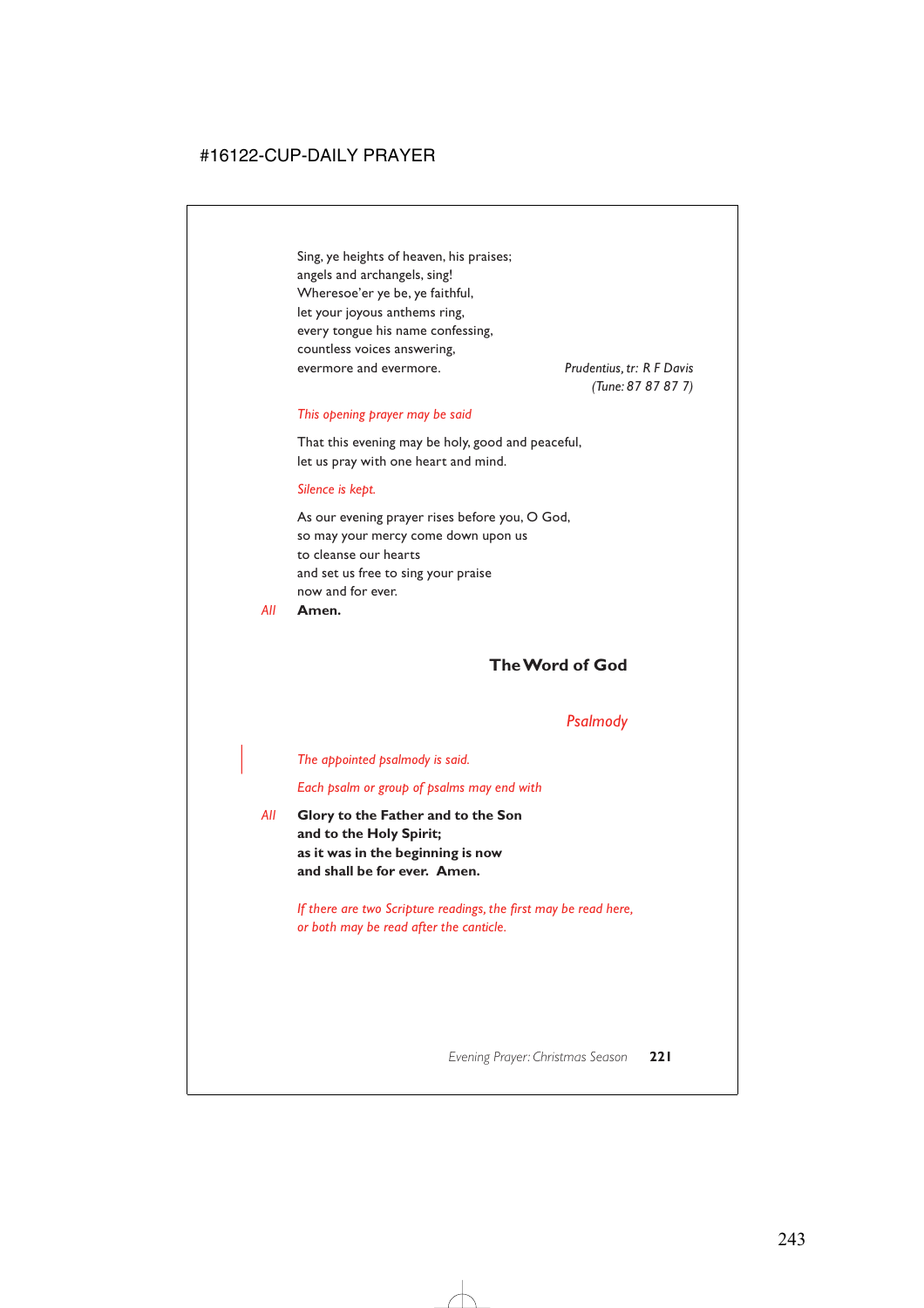Sing, ye heights of heaven, his praises; angels and archangels, sing! Wheresoe'er ye be, ye faithful, let your joyous anthems ring, every tongue his name confessing, countless voices answering, evermore and evermore. *Prudentius, tr: R F Davis*

*(Tune: 87 87 87 7)*

#### *This opening prayer may be said*

That this evening may be holy, good and peaceful, let us pray with one heart and mind.

#### *Silence is kept.*

As our evening prayer rises before you, O God, so may your mercy come down upon us to cleanse our hearts and set us free to sing your praise now and for ever.

*All* **Amen.**

# **The Word of God**

# *Psalmody*

| *The appointed psalmody is said.*

*Each psalm or group of psalms may end with*

*All* **Glory to the Father and to the Son and to the Holy Spirit; as it was in the beginning is now and shall be for ever. Amen.**

> *If there are two Scripture readings, the first may be read here, or both may be read after the canticle.*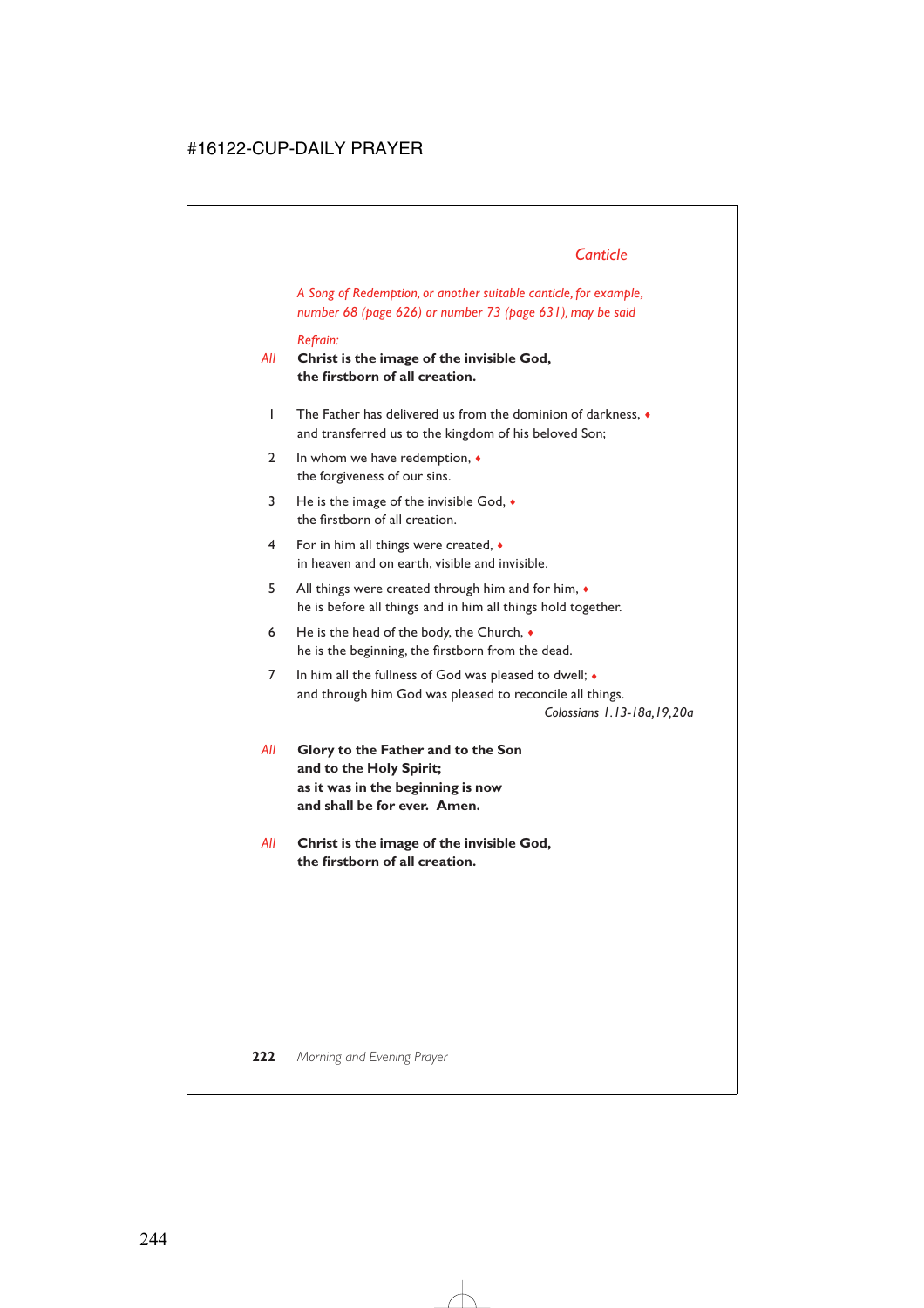*A Song of Redemption, or another suitable canticle, for example, number 68 (page 626) or number 73 (page 631), may be said*

### *Refrain:*

*All* **Christ is the image of the invisible God, the firstborn of all creation.**

- 1 The Father has delivered us from the dominion of darkness, ♦ and transferred us to the kingdom of his beloved Son;
- 2 In whom we have redemption,  $\triangleleft$ the forgiveness of our sins.
- 3 He is the image of the invisible God, ♦ the firstborn of all creation.
- 4 For in him all things were created, ♦ in heaven and on earth, visible and invisible.
- 5 All things were created through him and for him,  $\bullet$ he is before all things and in him all things hold together.
- 6 He is the head of the body, the Church,  $\bullet$ he is the beginning, the firstborn from the dead.
- 7 In him all the fullness of God was pleased to dwell; ♦ and through him God was pleased to reconcile all things.

*Colossians 1.13-18a,19,20a*

- *All* **Glory to the Father and to the Son and to the Holy Spirit; as it was in the beginning is now and shall be for ever. Amen.**
- *All* **Christ is the image of the invisible God, the firstborn of all creation.**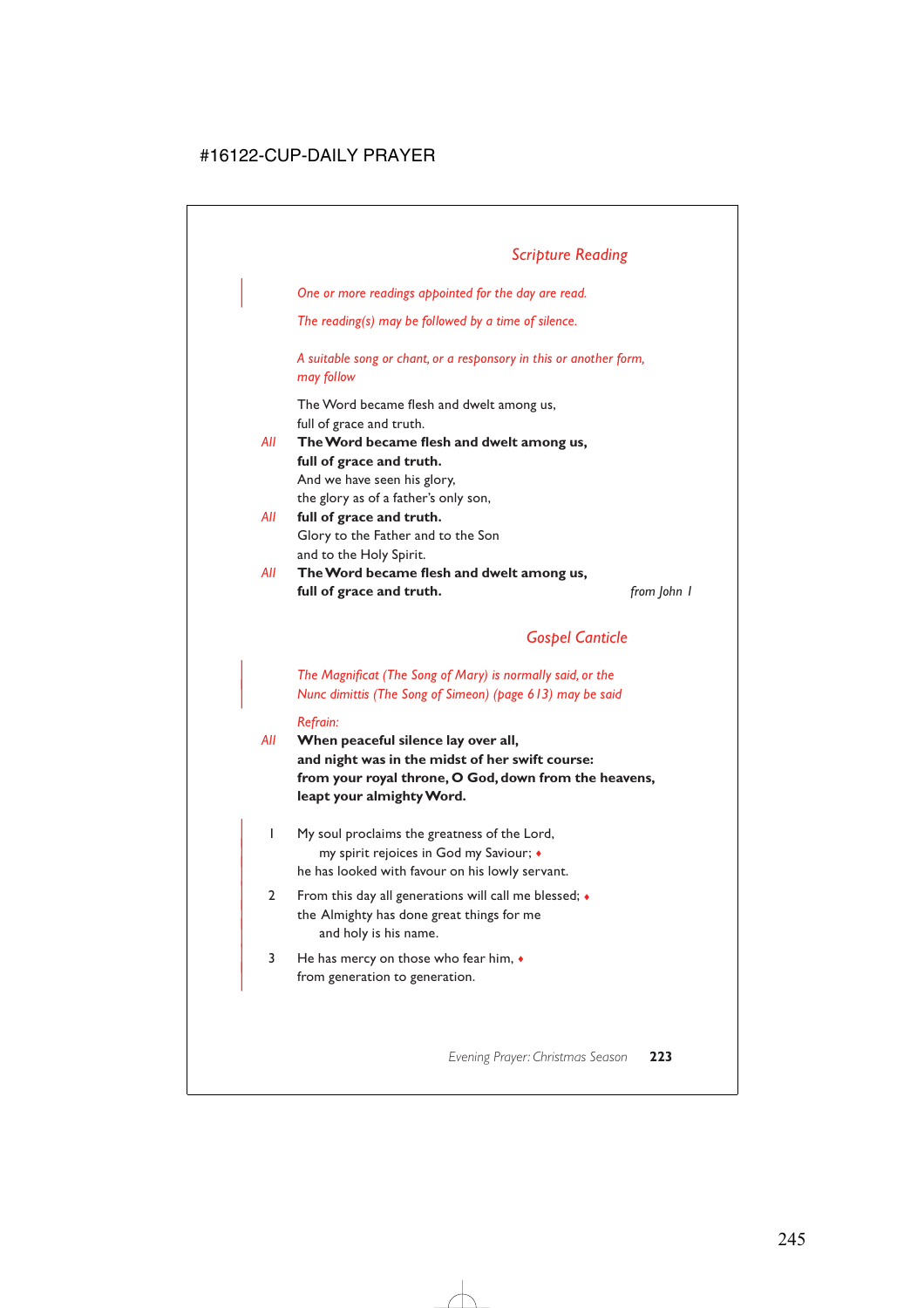| *One or more readings appointed for the day are read.*

*The reading(s) may be followed by a time of silence.*

*A suitable song or chant, or a responsory in this or another form, may follow*

The Word became flesh and dwelt among us, full of grace and truth.

*All* **The Word became flesh and dwelt among us, full of grace and truth.** And we have seen his glory, the glory as of a father's only son,

- *All* **full of grace and truth.** Glory to the Father and to the Son and to the Holy Spirit.
- *All* **The Word became flesh and dwelt among us, full of grace and truth.** *from John 1*

# *Gospel Canticle*

| *The Magnificat (The Song of Mary) is normally said, or the* | *Nunc dimittis (The Song of Simeon) (page 613) may be said*

#### *Refrain:*

- *All* **When peaceful silence lay over all, and night was in the midst of her swift course: from your royal throne, O God, down from the heavens, leapt your almighty Word.**
	- | 1 My soul proclaims the greatness of the Lord, | my spirit rejoices in God my Saviour; ♦ he has looked with favour on his lowly servant.
	- 2 From this day all generations will call me blessed;  $\bullet$ the Almighty has done great things for me and holy is his name.
	- $3$  He has mercy on those who fear him,  $\bullet$ from generation to generation.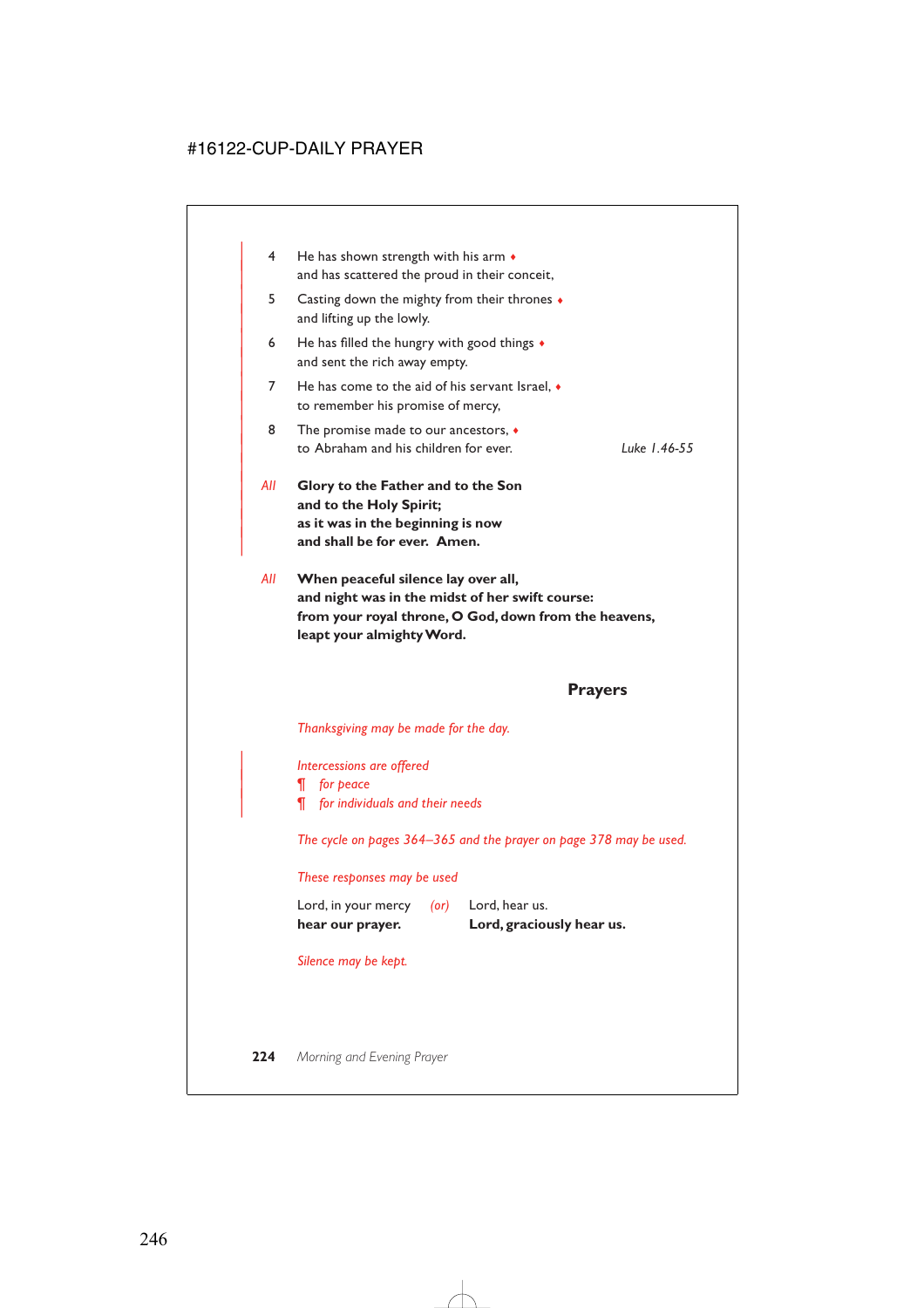| 4   | He has shown strength with his arm $\bullet$<br>and has scattered the proud in their conceit,                                      |             |
|-----|------------------------------------------------------------------------------------------------------------------------------------|-------------|
| 5.  | Casting down the mighty from their thrones $\bullet$<br>and lifting up the lowly.                                                  |             |
| 6   | He has filled the hungry with good things $\bullet$<br>and sent the rich away empty.                                               |             |
| 7   | He has come to the aid of his servant Israel, $\bullet$<br>to remember his promise of mercy,                                       |             |
| 8   | The promise made to our ancestors, $\bullet$<br>to Abraham and his children for ever.                                              | Luke L46-55 |
| All | Glory to the Father and to the Son<br>and to the Holy Spirit;<br>as it was in the beginning is now<br>and shall be for ever. Amen. |             |

*All* **When peaceful silence lay over all, and night was in the midst of her swift course: from your royal throne, O God, down from the heavens, leapt your almighty Word.**

# **Prayers**

*Thanksgiving may be made for the day.*

| *Intercessions are offered* | *¶ for peace* | *¶ for individuals and their needs*

*The cycle on pages 364–365 and the prayer on page 378 may be used.*

#### *These responses may be used*

| hear our prayer.    |         | Lord, graciously hear us. |
|---------------------|---------|---------------------------|
| Lord, in your mercy | $($ or) | Lord, hear us.            |

*Silence may be kept.*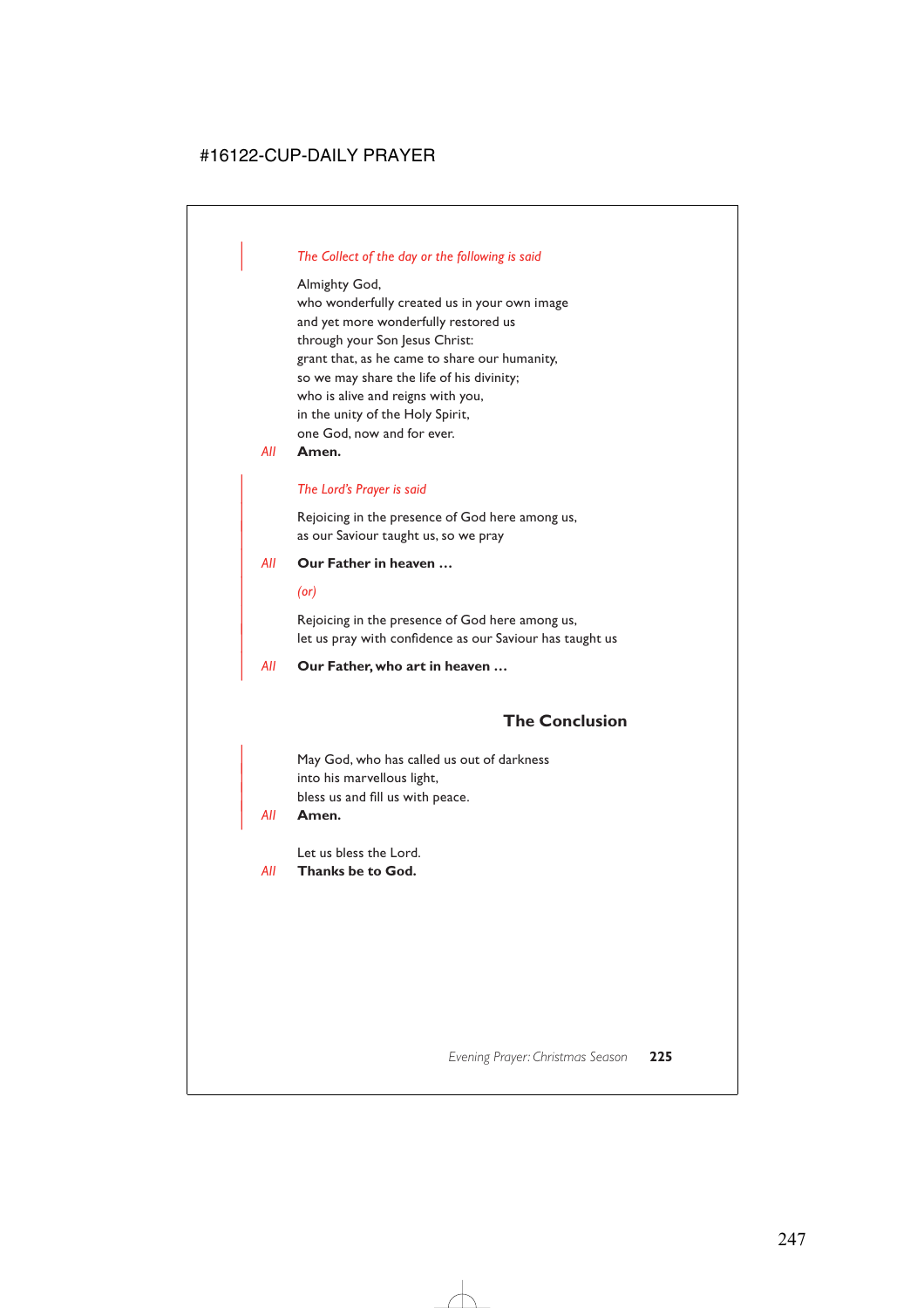# | *The Collect of the day or the following is said*

Almighty God,

who wonderfully created us in your own image and yet more wonderfully restored us through your Son Jesus Christ: grant that, as he came to share our humanity, so we may share the life of his divinity; who is alive and reigns with you, in the unity of the Holy Spirit, one God, now and for ever.

*All* **Amen.**

# | *The Lord's Prayer is said*

Rejoicing in the presence of God here among us, as our Saviour taught us, so we pray

# | *All* **Our Father in heaven …**

| *(or)*

Rejoicing in the presence of God here among us, let us pray with confidence as our Saviour has taught us

| *All* **Our Father, who art in heaven …**

# **The Conclusion**

May God, who has called us out of darkness into his marvellous light, bless us and fill us with peace.

| *All* **Amen.**

Let us bless the Lord.

*All* **Thanks be to God.**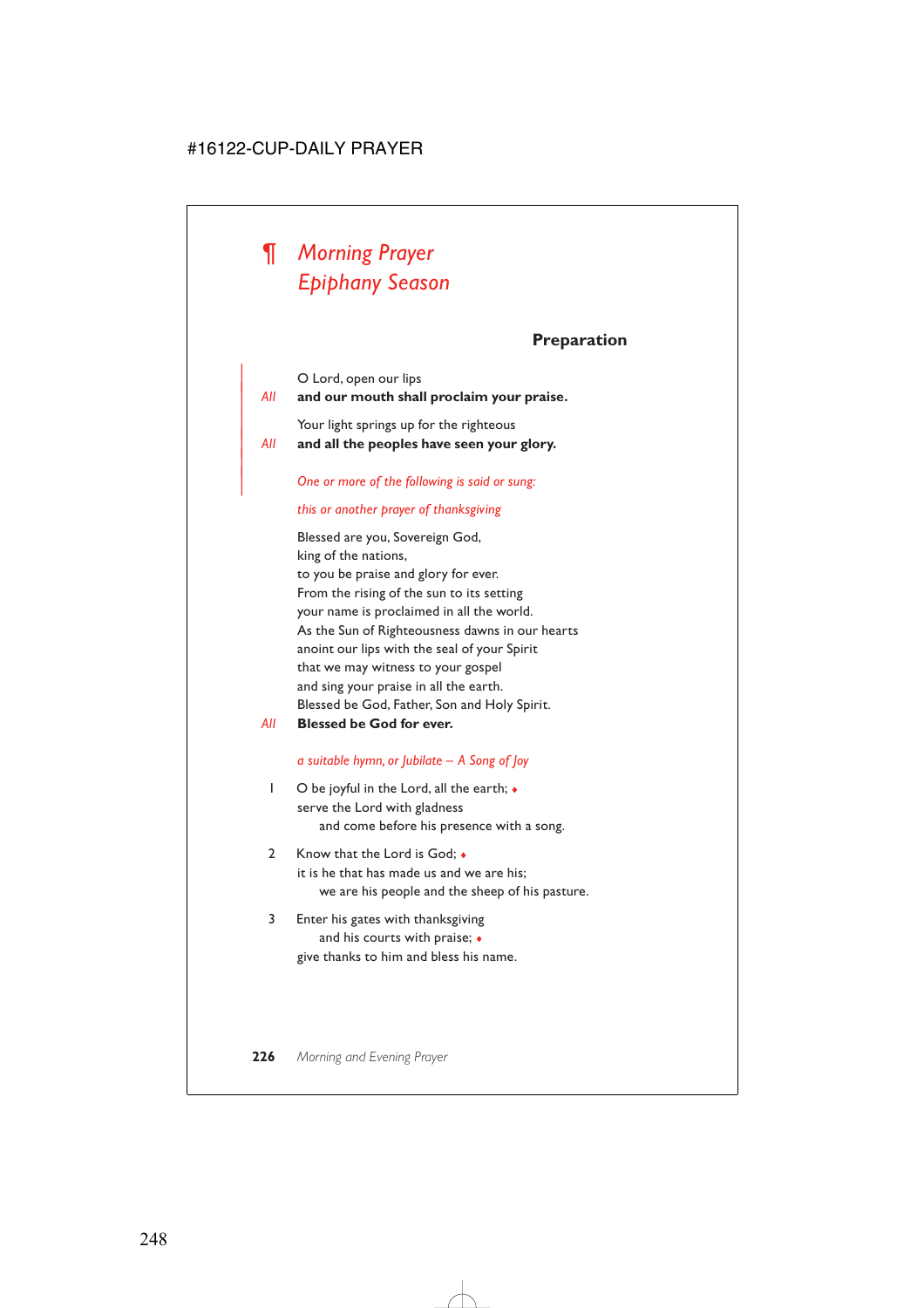# *¶ Morning Prayer Epiphany Season*

|

# **Preparation**

O Lord, open our lips | *All* **and our mouth shall proclaim your praise.** Your light springs up for the righteous | *All* **and all the peoples have seen your glory.**

#### | *One or more of the following is said or sung:*

### *this or another prayer of thanksgiving*

Blessed are you, Sovereign God, king of the nations, to you be praise and glory for ever. From the rising of the sun to its setting your name is proclaimed in all the world. As the Sun of Righteousness dawns in our hearts anoint our lips with the seal of your Spirit that we may witness to your gospel and sing your praise in all the earth. Blessed be God, Father, Son and Holy Spirit.

*All* **Blessed be God for ever.**

#### *a suitable hymn, or Jubilate – A Song of Joy*

- 1 O be joyful in the Lord, all the earth; ♦ serve the Lord with gladness and come before his presence with a song.
- 2 Know that the Lord is God;  $\bullet$ it is he that has made us and we are his; we are his people and the sheep of his pasture.
- 3 Enter his gates with thanksgiving and his courts with praise;  $\bullet$ give thanks to him and bless his name.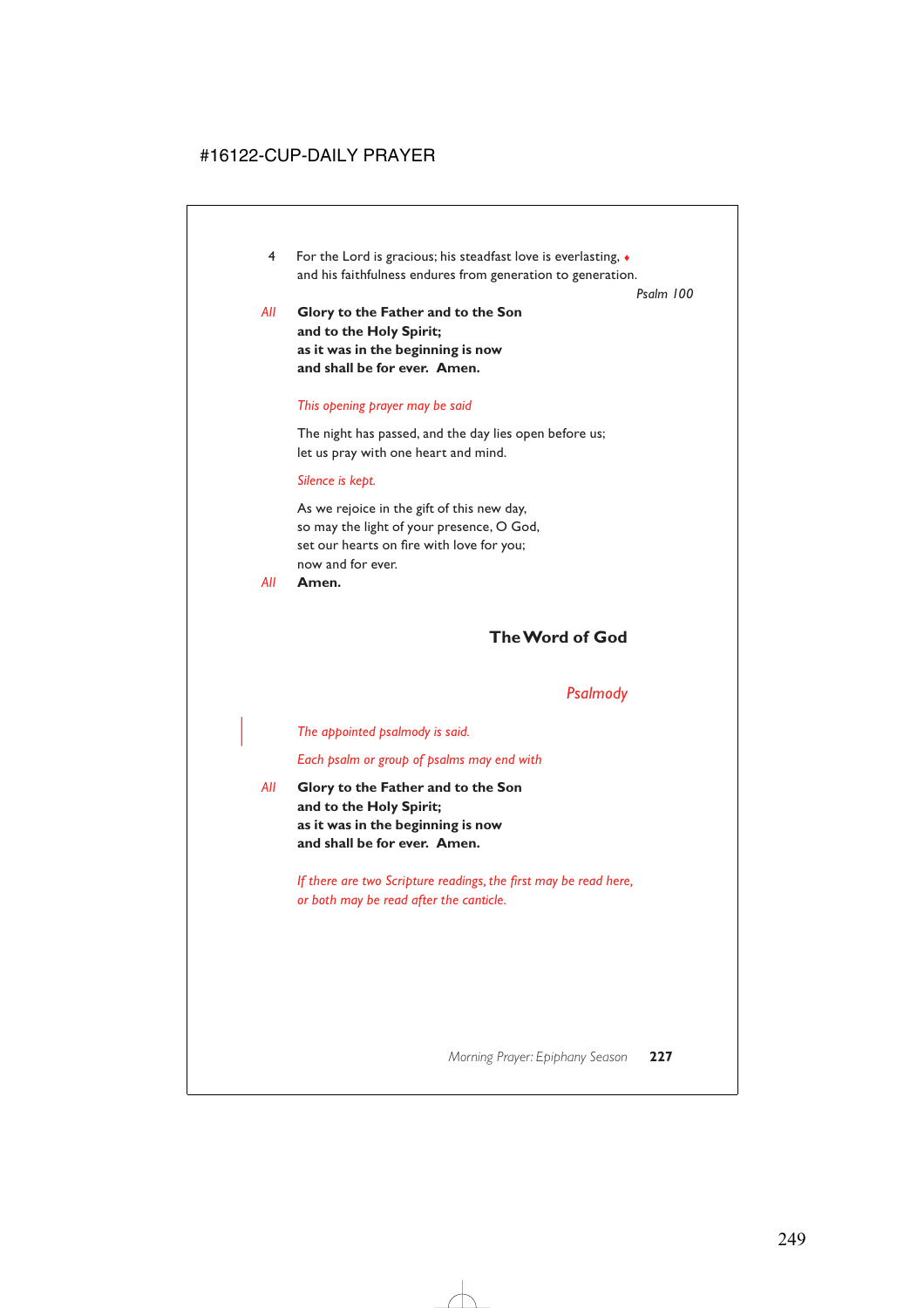4 For the Lord is gracious; his steadfast love is everlasting, ♦ and his faithfulness endures from generation to generation.

*Psalm 100*

*All* **Glory to the Father and to the Son and to the Holy Spirit; as it was in the beginning is now and shall be for ever. Amen.**

### *This opening prayer may be said*

The night has passed, and the day lies open before us; let us pray with one heart and mind.

### *Silence is kept.*

As we rejoice in the gift of this new day, so may the light of your presence, O God, set our hearts on fire with love for you; now and for ever.

*All* **Amen.**

# **The Word of God**

# *Psalmody*

| *The appointed psalmody is said.*

*Each psalm or group of psalms may end with*

*All* **Glory to the Father and to the Son and to the Holy Spirit; as it was in the beginning is now and shall be for ever. Amen.**

> *If there are two Scripture readings, the first may be read here, or both may be read after the canticle.*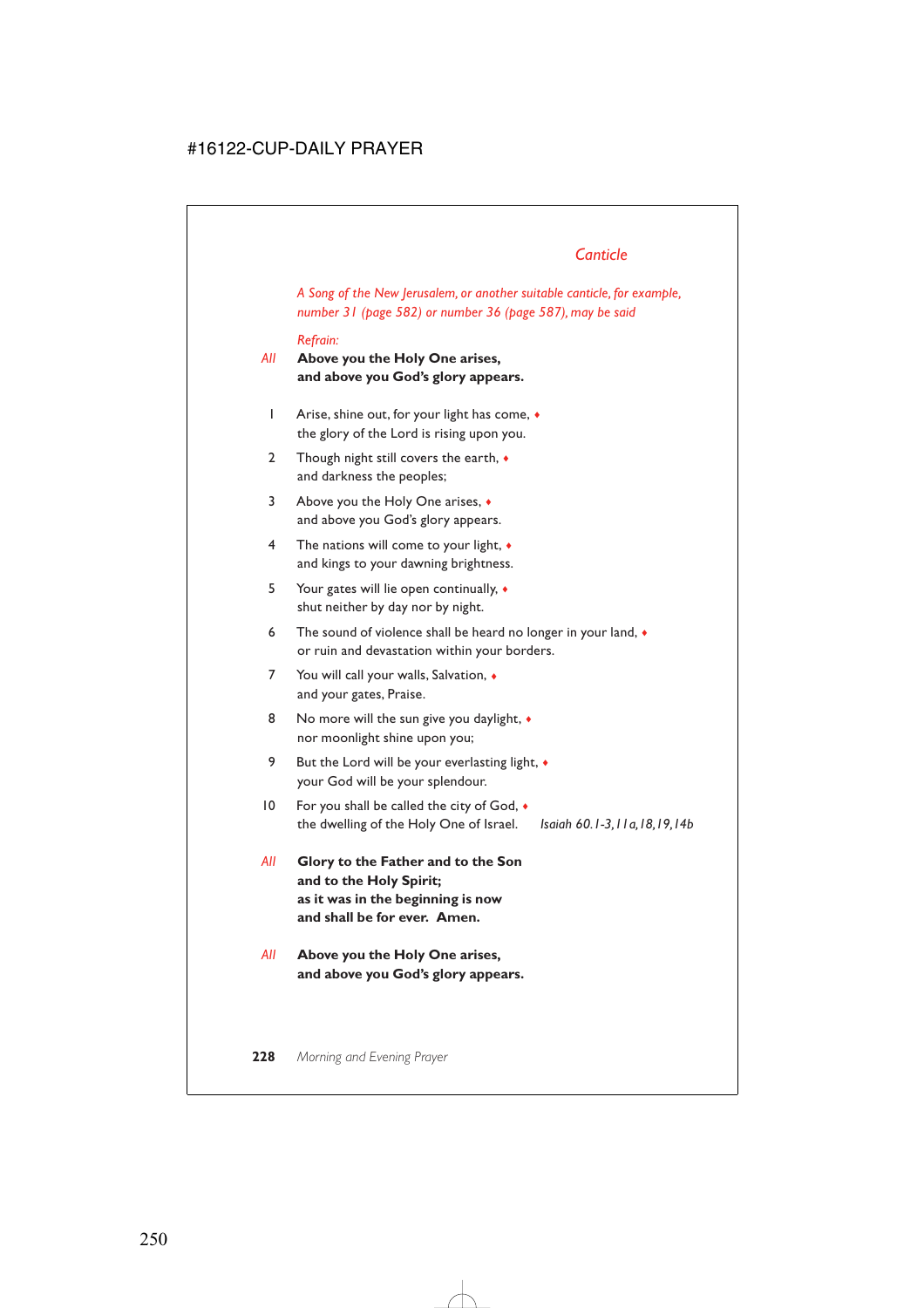# *Canticle*

*A Song of the New Jerusalem, or another suitable canticle, for example, number 31 (page 582) or number 36 (page 587), may be said*

#### *Refrain:*

- *All* **Above you the Holy One arises, and above you God's glory appears.**
	- 1 Arise, shine out, for your light has come, ♦ the glory of the Lord is rising upon you.
	- 2 Though night still covers the earth,  $\bullet$ and darkness the peoples;
	- 3 Above you the Holy One arises, ♦ and above you God's glory appears.
	- 4 The nations will come to your light, ♦ and kings to your dawning brightness.
	- 5 Your gates will lie open continually, ♦ shut neither by day nor by night.
	- 6 The sound of violence shall be heard no longer in your land,  $\bullet$ or ruin and devastation within your borders.
	- 7 You will call your walls, Salvation,  $\bullet$ and your gates, Praise.
	- 8 No more will the sun give you daylight,  $\bullet$ nor moonlight shine upon you;
	- 9 But the Lord will be your everlasting light,  $\bullet$ your God will be your splendour.
- 10 For you shall be called the city of God, ♦ the dwelling of the Holy One of Israel. *Isaiah 60.1-3,11a,18,19,14b*
- *All* **Glory to the Father and to the Son and to the Holy Spirit; as it was in the beginning is now and shall be for ever. Amen.**
- *All* **Above you the Holy One arises, and above you God's glory appears.**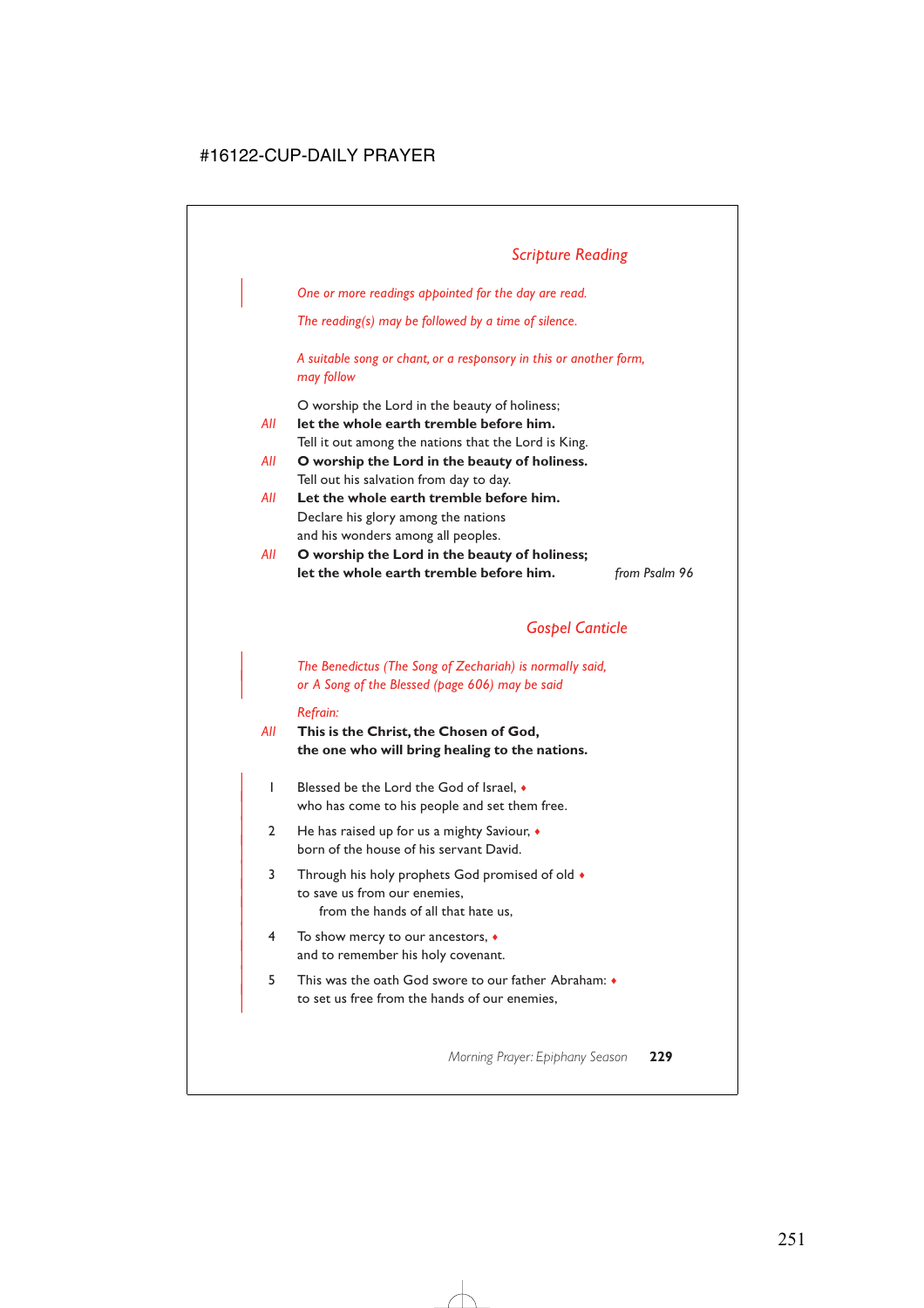# *Scripture Reading*

| *One or more readings appointed for the day are read.*

*The reading(s) may be followed by a time of silence.*

*A suitable song or chant, or a responsory in this or another form, may follow*

O worship the Lord in the beauty of holiness;

- *All* **let the whole earth tremble before him.** Tell it out among the nations that the Lord is King.
- *All* **O worship the Lord in the beauty of holiness.** Tell out his salvation from day to day.
- *All* **Let the whole earth tremble before him.** Declare his glory among the nations and his wonders among all peoples.
- *All* **O worship the Lord in the beauty of holiness; let the whole earth tremble before him.** *from Psalm 96*

# *Gospel Canticle*

| *The Benedictus (The Song of Zechariah) is normally said,* | *or A Song of the Blessed (page 606) may be said*

#### *Refrain:*

- *All* **This is the Christ, the Chosen of God, the one who will bring healing to the nations.**
	- | 1 Blessed be the Lord the God of Israel, ♦ who has come to his people and set them free.
	- 2 He has raised up for us a mighty Saviour,  $\bullet$ born of the house of his servant David.
	- 3 Through his holy prophets God promised of old  $\bullet$ to save us from our enemies. from the hands of all that hate us,
	- | 4 To show mercy to our ancestors, ♦ and to remember his holy covenant.
	- | 5 This was the oath God swore to our father Abraham: ♦ to set us free from the hands of our enemies,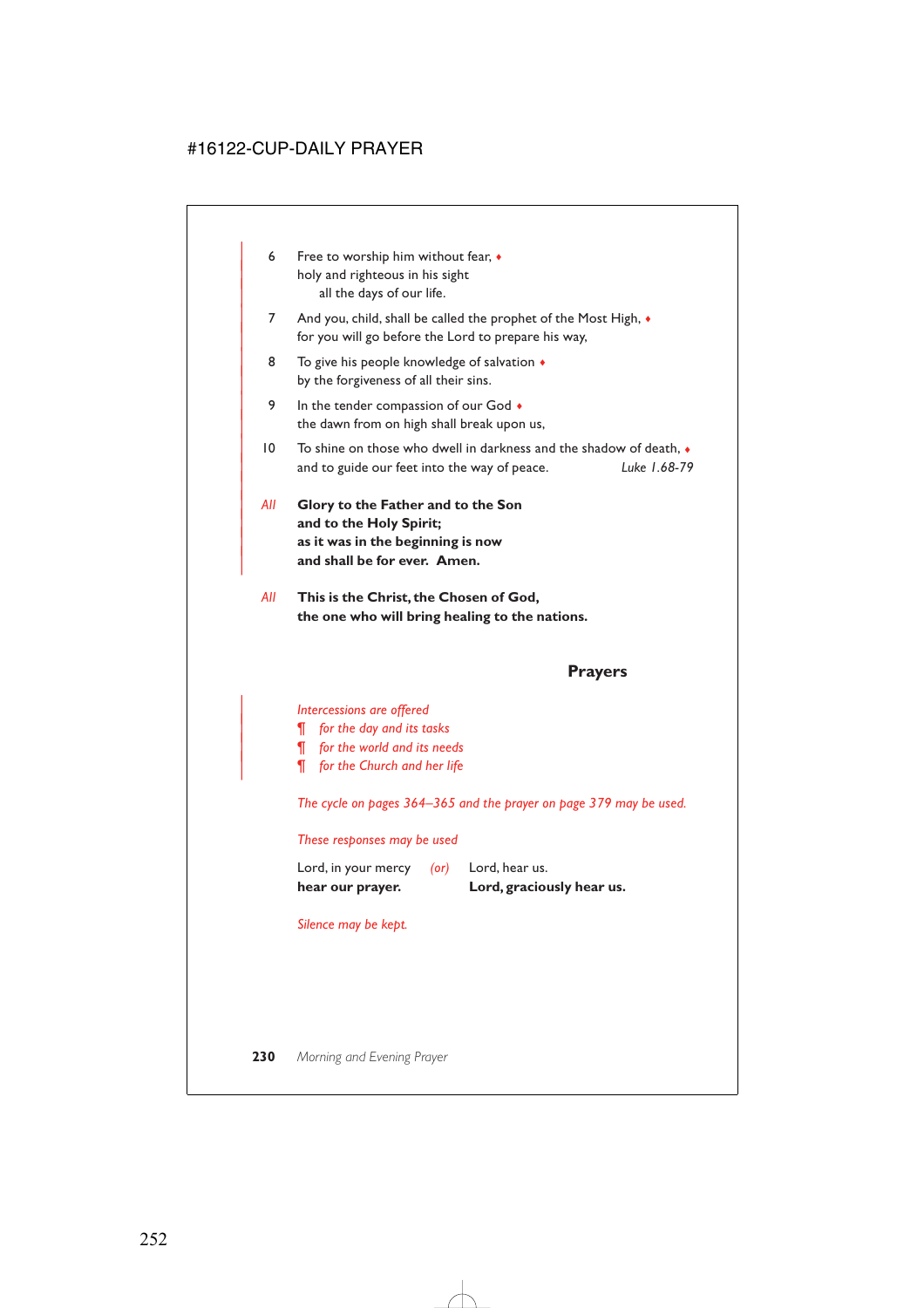- 6 Free to worship him without fear,  $\bullet$ holy and righteous in his sight all the days of our life.
- 7 And you, child, shall be called the prophet of the Most High,  $\bullet$ for you will go before the Lord to prepare his way,
- 8 To give his people knowledge of salvation  $\triangleleft$ by the forgiveness of all their sins.
- 9 In the tender compassion of our God  $\bullet$ the dawn from on high shall break upon us,
- $10$  To shine on those who dwell in darkness and the shadow of death,  $\bullet$ | and to guide our feet into the way of peace. *Luke 1.68-79*
- | *All* **Glory to the Father and to the Son** and to the Holy Spirit; | **as it was in the beginning is now** and shall be for ever. Amen.

|

*All* **This is the Christ, the Chosen of God, the one who will bring healing to the nations.**

# **Prayers**

### | *Intercessions are offered*

- | *¶ for the day and its tasks*
- | *¶ for the world and its needs*
- | *¶ for the Church and her life*

*The cycle on pages 364–365 and the prayer on page 379 may be used.*

### *These responses may be used*

| hear our prayer.    |            | Lord, graciously hear us. |
|---------------------|------------|---------------------------|
| Lord, in your mercy | $($ or $)$ | Lord, hear us.            |

### *Silence may be kept.*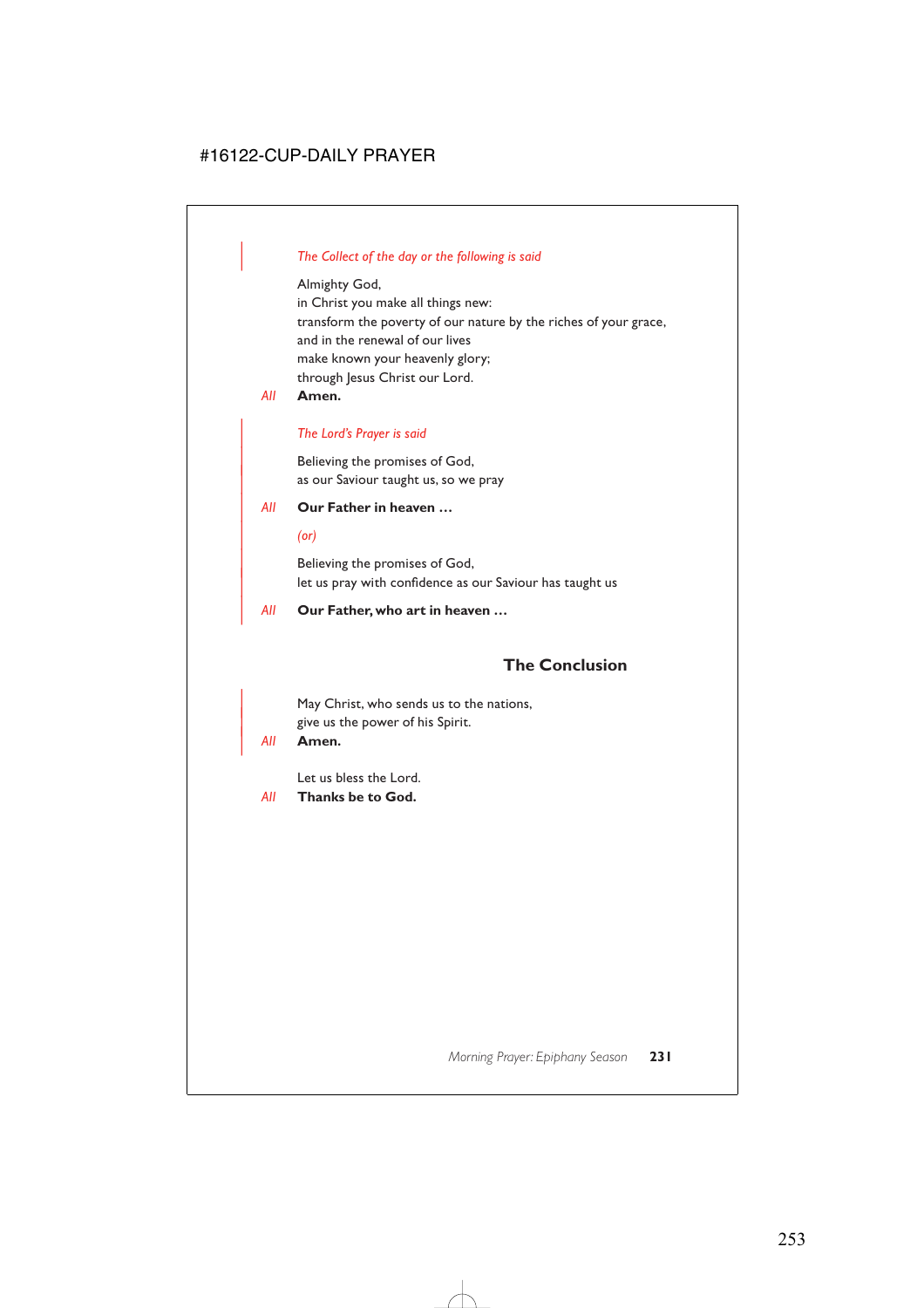# | *The Collect of the day or the following is said*

### Almighty God,

in Christ you make all things new: transform the poverty of our nature by the riches of your grace, and in the renewal of our lives make known your heavenly glory; through Jesus Christ our Lord.

*All* **Amen.**

# | *The Lord's Prayer is said*

Believing the promises of God, as our Saviour taught us, so we pray

# | *All* **Our Father in heaven …**

### | *(or)*

Believing the promises of God, let us pray with confidence as our Saviour has taught us

# | *All* **Our Father, who art in heaven …**

# **The Conclusion**

May Christ, who sends us to the nations, give us the power of his Spirit.

### | *All* **Amen.**

Let us bless the Lord.

### *All* **Thanks be to God.**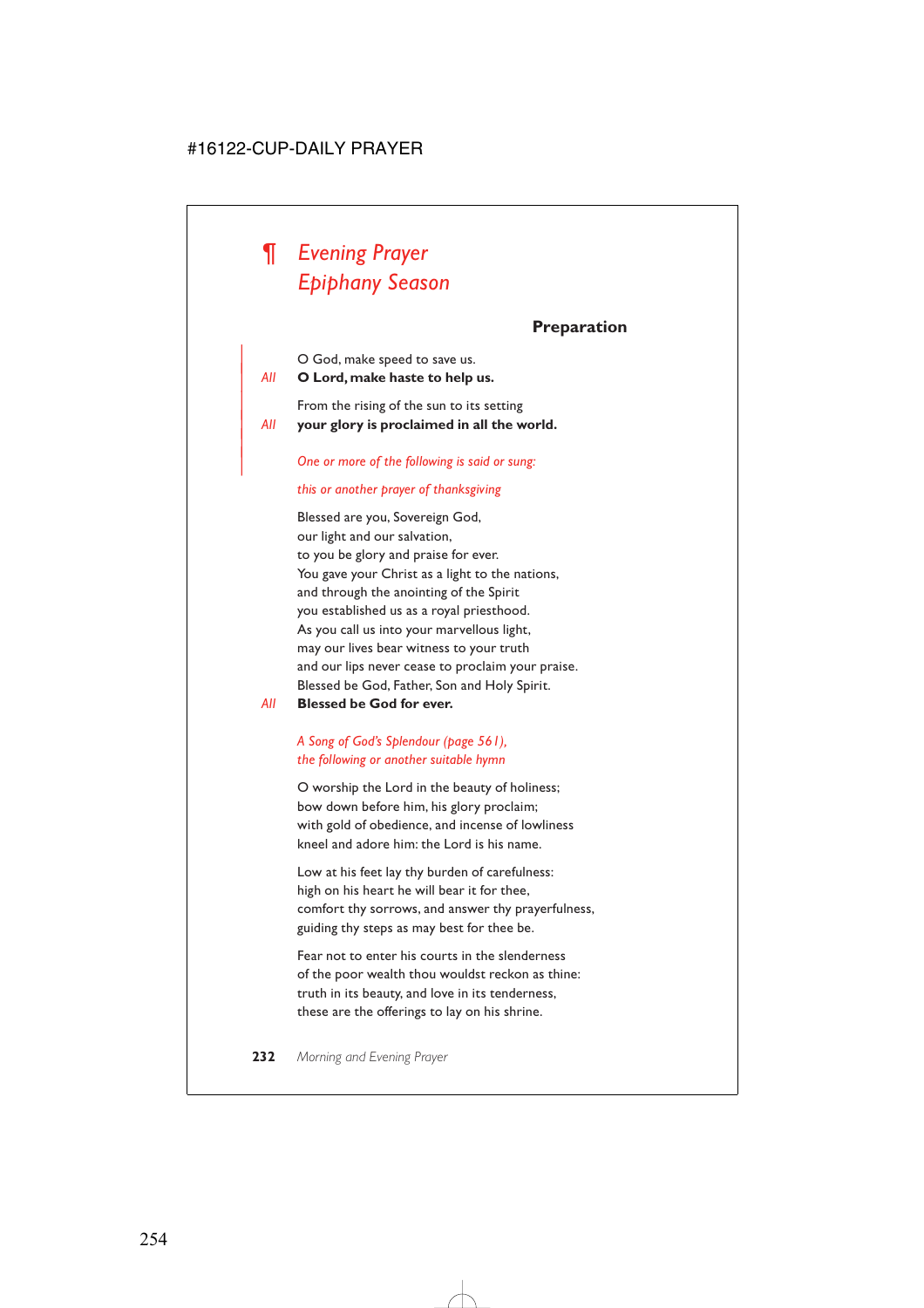# *¶ Evening Prayer Epiphany Season*

# **Preparation**

| O God, make speed to save us.

| *All* **O Lord, make haste to help us.**

|

From the rising of the sun to its setting | *All* **your glory is proclaimed in all the world.**

| *One or more of the following is said or sung:*

### *this or another prayer of thanksgiving*

Blessed are you, Sovereign God, our light and our salvation, to you be glory and praise for ever. You gave your Christ as a light to the nations, and through the anointing of the Spirit you established us as a royal priesthood. As you call us into your marvellous light, may our lives bear witness to your truth and our lips never cease to proclaim your praise. Blessed be God, Father, Son and Holy Spirit.

*All* **Blessed be God for ever.**

# *A Song of God's Splendour (page 561), the following or another suitable hymn*

O worship the Lord in the beauty of holiness; bow down before him, his glory proclaim; with gold of obedience, and incense of lowliness kneel and adore him: the Lord is his name.

Low at his feet lay thy burden of carefulness: high on his heart he will bear it for thee, comfort thy sorrows, and answer thy prayerfulness, guiding thy steps as may best for thee be.

Fear not to enter his courts in the slenderness of the poor wealth thou wouldst reckon as thine: truth in its beauty, and love in its tenderness, these are the offerings to lay on his shrine.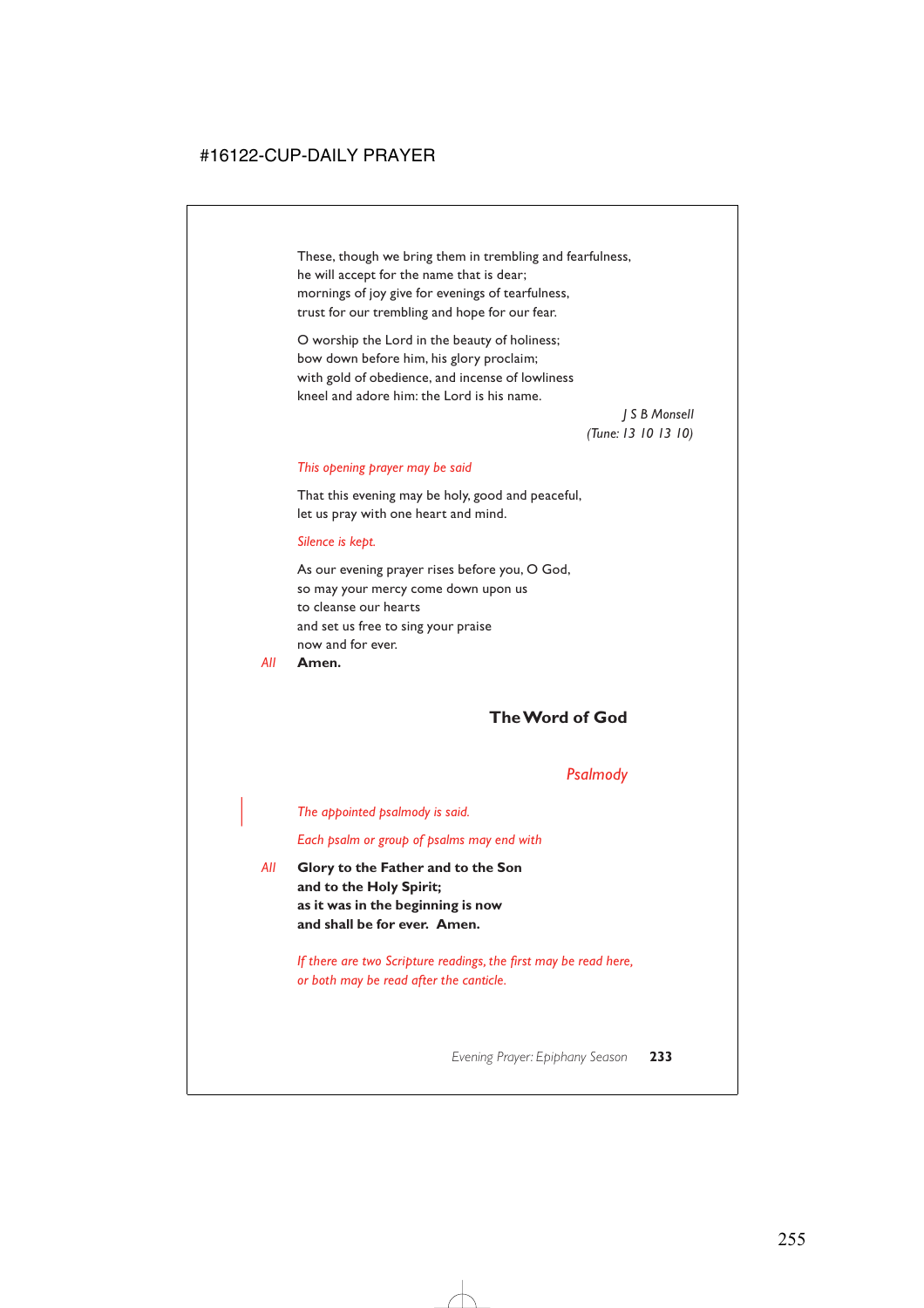These, though we bring them in trembling and fearfulness, he will accept for the name that is dear; mornings of joy give for evenings of tearfulness, trust for our trembling and hope for our fear.

O worship the Lord in the beauty of holiness; bow down before him, his glory proclaim; with gold of obedience, and incense of lowliness kneel and adore him: the Lord is his name.

> *J S B Monsell (Tune: 13 10 13 10)*

#### *This opening prayer may be said*

That this evening may be holy, good and peaceful, let us pray with one heart and mind.

#### *Silence is kept.*

As our evening prayer rises before you, O God, so may your mercy come down upon us to cleanse our hearts and set us free to sing your praise now and for ever.

#### *All* **Amen.**

# **The Word of God**

### *Psalmody*

#### | *The appointed psalmody is said.*

*Each psalm or group of psalms may end with*

*All* **Glory to the Father and to the Son and to the Holy Spirit; as it was in the beginning is now and shall be for ever. Amen.**

> *If there are two Scripture readings, the first may be read here, or both may be read after the canticle.*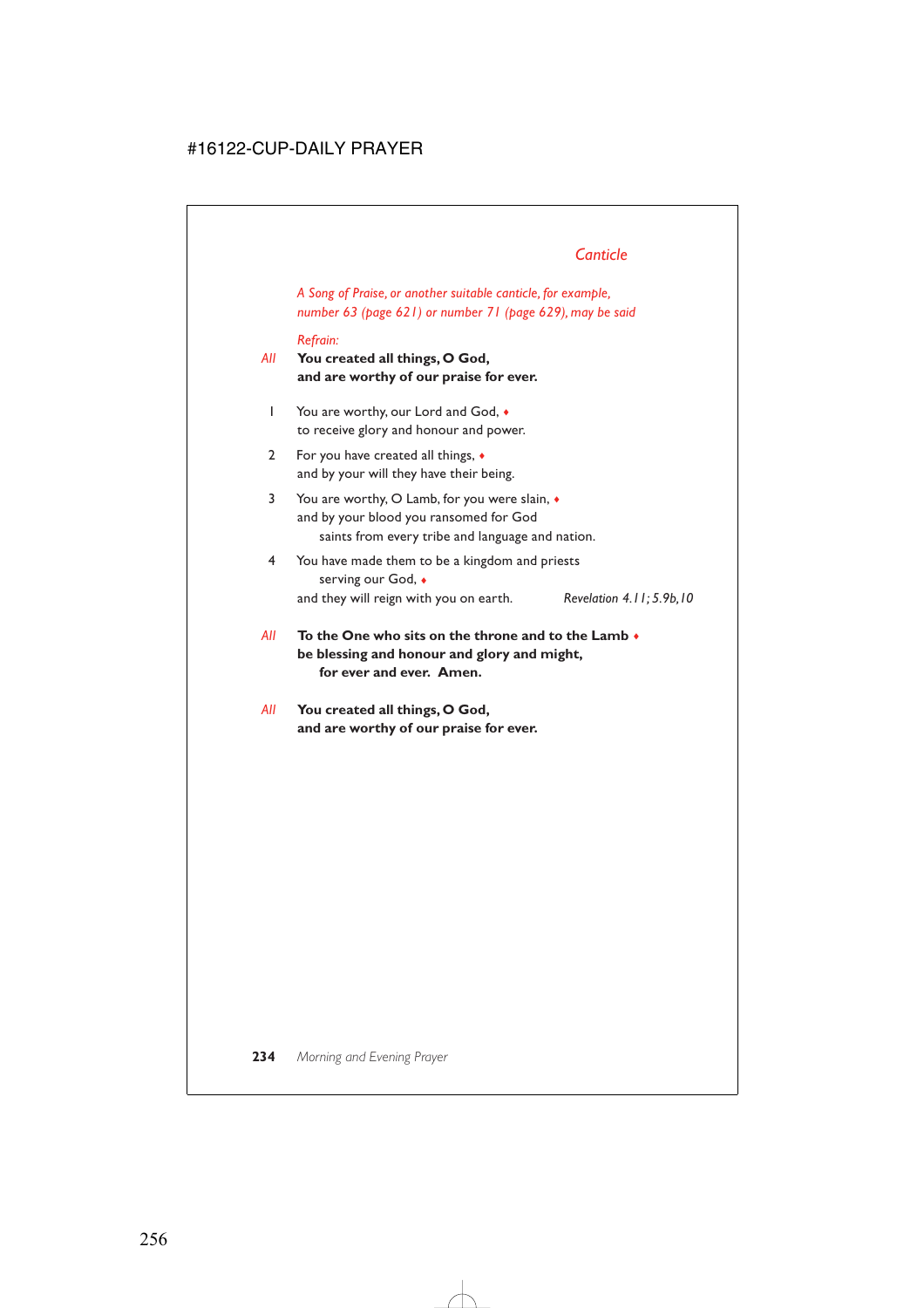# *Canticle*

*A Song of Praise, or another suitable canticle, for example, number 63 (page 621) or number 71 (page 629), may be said*

#### *Refrain:*

*All* **You created all things, O God, and are worthy of our praise for ever.**

- 1 You are worthy, our Lord and God,  $\bullet$ to receive glory and honour and power.
- 2 For you have created all things, ♦ and by your will they have their being.
- 3 You are worthy, O Lamb, for you were slain, ♦ and by your blood you ransomed for God saints from every tribe and language and nation.
- 4 You have made them to be a kingdom and priests serving our God, ♦ and they will reign with you on earth. *Revelation 4.11; 5.9b,10*
- *All* **To the One who sits on the throne and to the Lamb** ♦ **be blessing and honour and glory and might, for ever and ever. Amen.**
- *All* **You created all things, O God, and are worthy of our praise for ever.**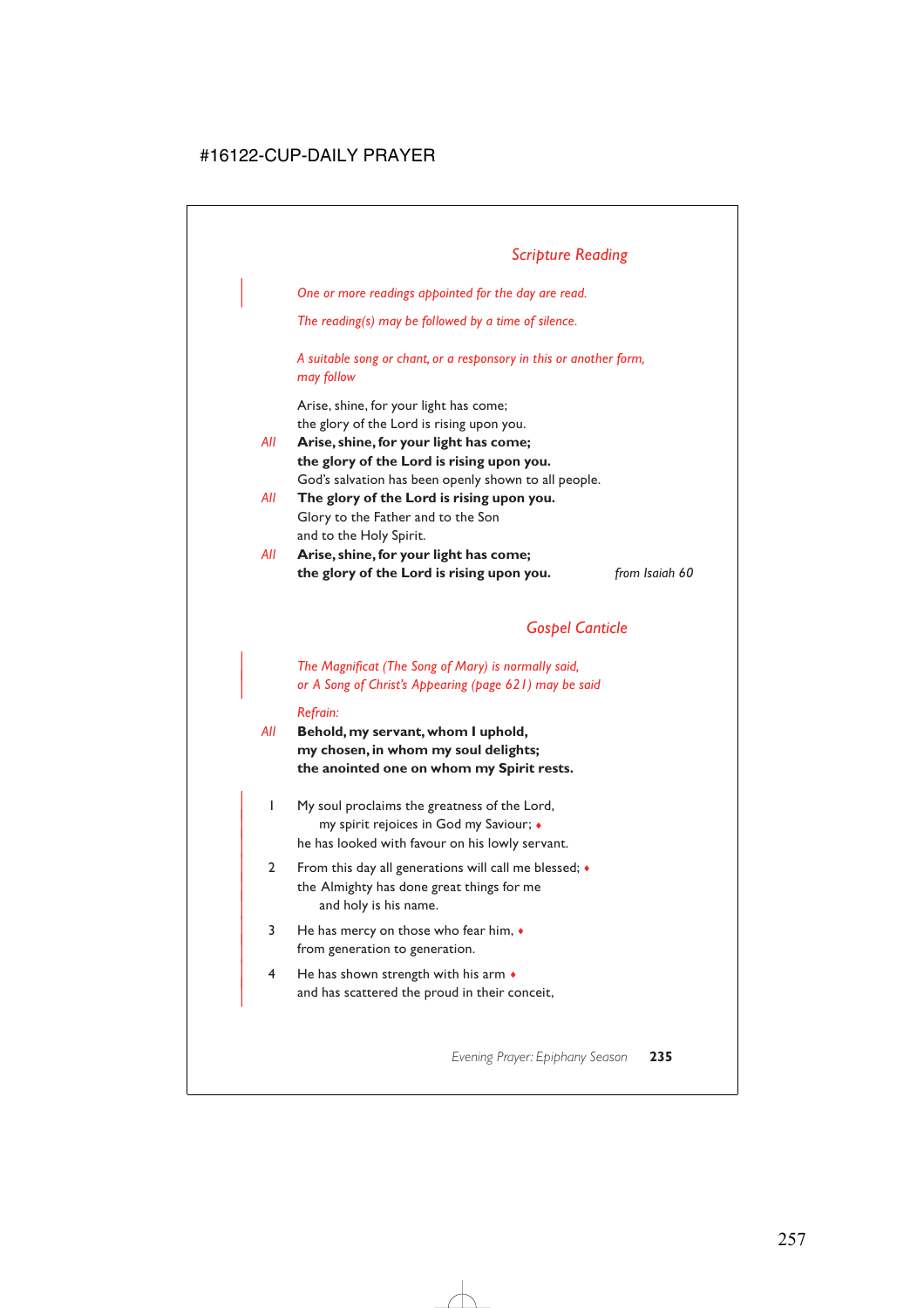## *Scripture Reading*

| *One or more readings appointed for the day are read.*

*The reading(s) may be followed by a time of silence.*

*A suitable song or chant, or a responsory in this or another form, may follow*

Arise, shine, for your light has come; the glory of the Lord is rising upon you.

- *All* **Arise, shine, for your light has come; the glory of the Lord is rising upon you.** God's salvation has been openly shown to all people.
- *All* **The glory of the Lord is rising upon you.** Glory to the Father and to the Son and to the Holy Spirit.
- *All* **Arise, shine, for your light has come; the glory of the Lord is rising upon you.** *from Isaiah 60*

## *Gospel Canticle*

### | *The Magnificat (The Song of Mary) is normally said,* | *or A Song of Christ's Appearing (page 621) may be said*

#### *Refrain:*

- *All* **Behold, my servant, whom I uphold, my chosen, in whom my soul delights; the anointed one on whom my Spirit rests.**
	- | 1 My soul proclaims the greatness of the Lord, | my spirit rejoices in God my Saviour; ♦ he has looked with favour on his lowly servant.
	- 2 From this day all generations will call me blessed;  $\bullet$ the Almighty has done great things for me and holy is his name.
	- $3$  He has mercy on those who fear him,  $\bullet$ from generation to generation.
	- $4$  He has shown strength with his arm  $\bullet$ and has scattered the proud in their conceit,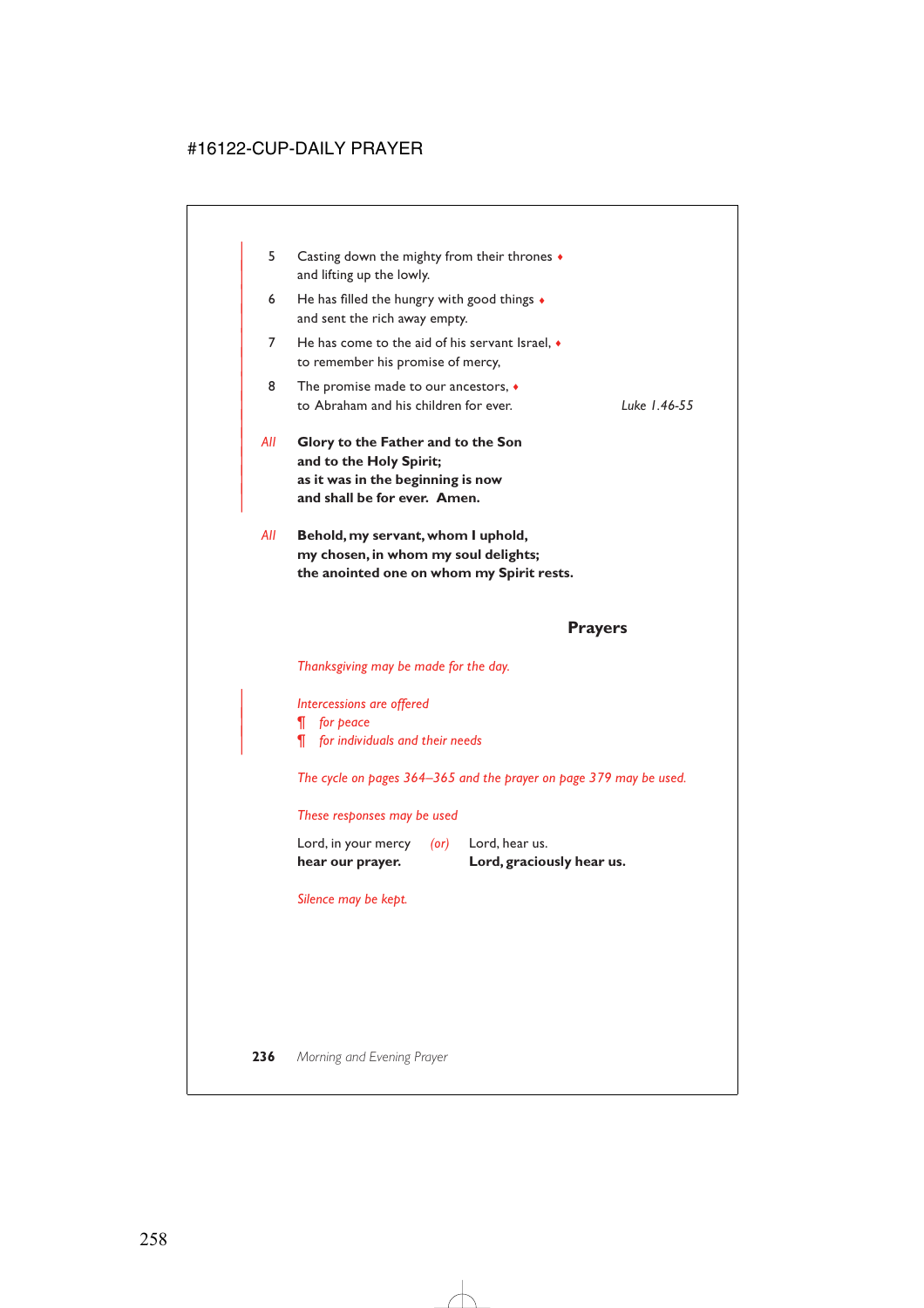| 5   | Casting down the mighty from their thrones $\bullet$<br>and lifting up the lowly.                                                  |              |
|-----|------------------------------------------------------------------------------------------------------------------------------------|--------------|
| 6   | He has filled the hungry with good things $\bullet$<br>and sent the rich away empty.                                               |              |
| 7   | He has come to the aid of his servant Israel, $\bullet$<br>to remember his promise of mercy,                                       |              |
| 8   | The promise made to our ancestors, $\bullet$<br>to Abraham and his children for ever.                                              | Luke 1.46-55 |
| All | Glory to the Father and to the Son<br>and to the Holy Spirit;<br>as it was in the beginning is now<br>and shall be for ever. Amen. |              |
| All | Behold, my servant, whom I uphold,<br>my chosen, in whom my soul delights;                                                         |              |

**the anointed one on whom my Spirit rests.**

### **Prayers**

*Thanksgiving may be made for the day.*

| *Intercessions are offered*

| *¶ for peace*

| *¶ for individuals and their needs*

*The cycle on pages 364–365 and the prayer on page 379 may be used.*

### *These responses may be used*

| hear our prayer.    |            | Lord, graciously hear us. |
|---------------------|------------|---------------------------|
| Lord, in your mercy | $($ or $)$ | Lord, hear us.            |

*Silence may be kept.*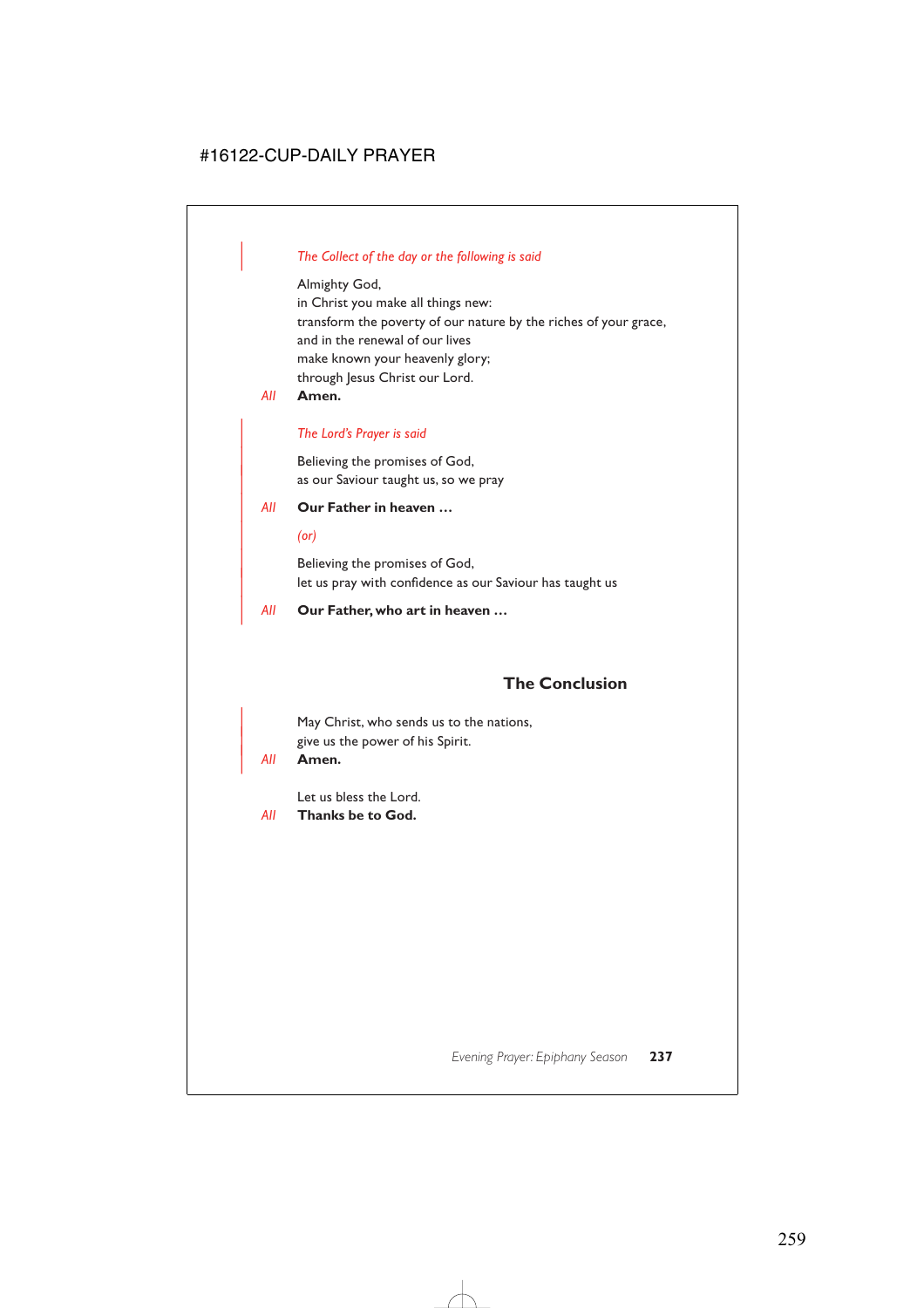### | *The Collect of the day or the following is said*

Almighty God,

in Christ you make all things new: transform the poverty of our nature by the riches of your grace, and in the renewal of our lives make known your heavenly glory; through Jesus Christ our Lord.

*All* **Amen.**

### | *The Lord's Prayer is said*

Believing the promises of God, as our Saviour taught us, so we pray

### | *All* **Our Father in heaven …**

#### | *(or)*

Believing the promises of God, let us pray with confidence as our Saviour has taught us

### | *All* **Our Father, who art in heaven …**

## **The Conclusion**

May Christ, who sends us to the nations, give us the power of his Spirit.

### | *All* **Amen.**

Let us bless the Lord.

*All* **Thanks be to God.**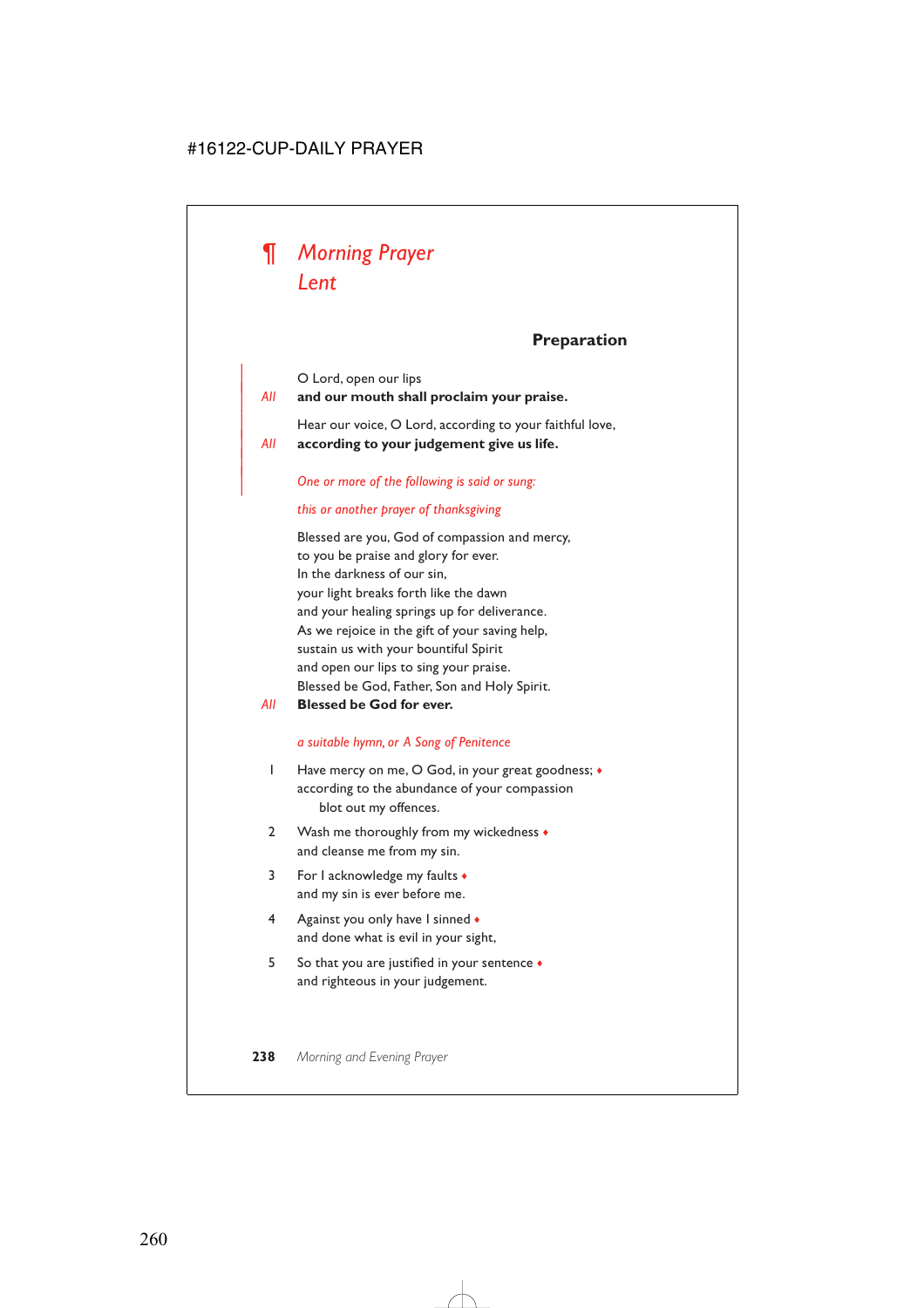

## **Preparation**

O Lord, open our lips

|

| *All* **and our mouth shall proclaim your praise.**

Hear our voice, O Lord, according to your faithful love, | *All* **according to your judgement give us life.**

| *One or more of the following is said or sung:*

#### *this or another prayer of thanksgiving*

Blessed are you, God of compassion and mercy, to you be praise and glory for ever. In the darkness of our sin, your light breaks forth like the dawn and your healing springs up for deliverance. As we rejoice in the gift of your saving help, sustain us with your bountiful Spirit and open our lips to sing your praise. Blessed be God, Father, Son and Holy Spirit.

*All* **Blessed be God for ever.**

#### *a suitable hymn, or A Song of Penitence*

- 1 Have mercy on me, O God, in your great goodness; ♦ according to the abundance of your compassion blot out my offences.
- 2 Wash me thoroughly from my wickedness  $\triangle$ and cleanse me from my sin.
- 3 For I acknowledge my faults ♦ and my sin is ever before me.
- 4 Against you only have I sinned  $\bullet$ and done what is evil in your sight,
- 5 So that you are justified in your sentence ♦ and righteous in your judgement.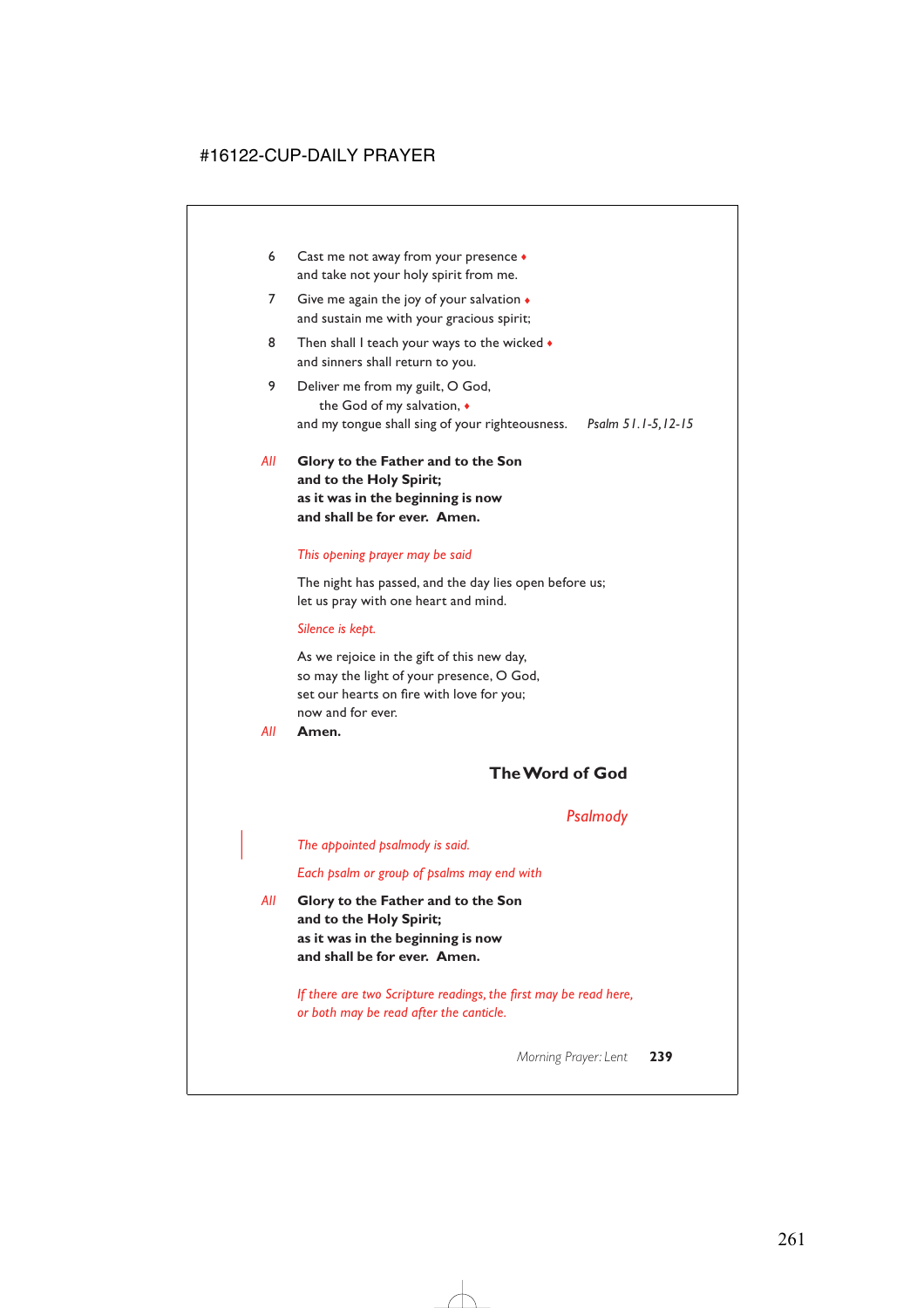- 6 Cast me not away from your presence  $\bullet$ and take not your holy spirit from me.
- 7 Give me again the joy of your salvation  $\bullet$ and sustain me with your gracious spirit;
- 8 Then shall I teach your ways to the wicked  $\bullet$ and sinners shall return to you.
- 9 Deliver me from my guilt, O God, the God of my salvation, ♦ and my tongue shall sing of your righteousness. *Psalm 51.1-5,12-15*
- *All* **Glory to the Father and to the Son and to the Holy Spirit; as it was in the beginning is now and shall be for ever. Amen.**

#### *This opening prayer may be said*

The night has passed, and the day lies open before us; let us pray with one heart and mind.

#### *Silence is kept.*

As we rejoice in the gift of this new day, so may the light of your presence, O God, set our hearts on fire with love for you; now and for ever.

*All* **Amen.**

## **The Word of God**

### *Psalmody*

| *The appointed psalmody is said.*

#### *Each psalm or group of psalms may end with*

*All* **Glory to the Father and to the Son and to the Holy Spirit; as it was in the beginning is now and shall be for ever. Amen.**

> *If there are two Scripture readings, the first may be read here, or both may be read after the canticle.*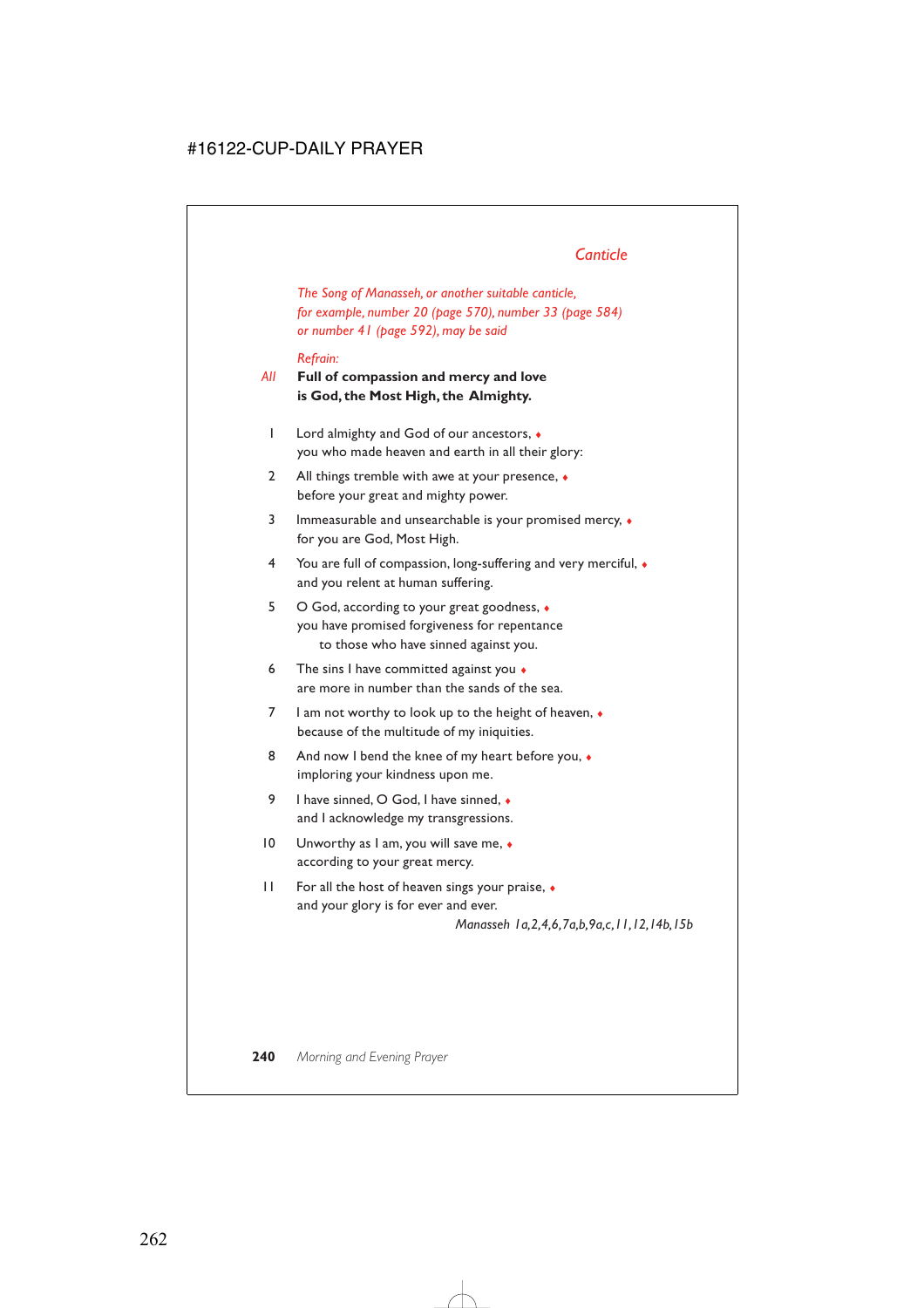## *Canticle*

*The Song of Manasseh, or another suitable canticle, for example, number 20 (page 570), number 33 (page 584) or number 41 (page 592), may be said*

#### *Refrain:*

### *All* **Full of compassion and mercy and love is God, the Most High, the Almighty.**

- 1 Lord almighty and God of our ancestors, ♦ you who made heaven and earth in all their glory:
- 2 All things tremble with awe at your presence,  $\bullet$ before your great and mighty power.
- 3 Immeasurable and unsearchable is your promised mercy, ♦ for you are God, Most High.
- 4 You are full of compassion, long-suffering and very merciful, ♦ and you relent at human suffering.
- 5 O God, according to your great goodness, ♦ you have promised forgiveness for repentance to those who have sinned against you.
- 6 The sins I have committed against you  $\bullet$ are more in number than the sands of the sea.
- 7 I am not worthy to look up to the height of heaven, ♦ because of the multitude of my iniquities.
- 8 And now I bend the knee of my heart before you,  $\bullet$ imploring your kindness upon me.
- 9 I have sinned, O God, I have sinned, ◆ and I acknowledge my transgressions.
- 10 Unworthy as I am, you will save me, ♦ according to your great mercy.
- 11 For all the host of heaven sings your praise,  $\bullet$ and your glory is for ever and ever. *Manasseh 1a,2,4,6,7a,b,9a,c,11,12,14b,15b*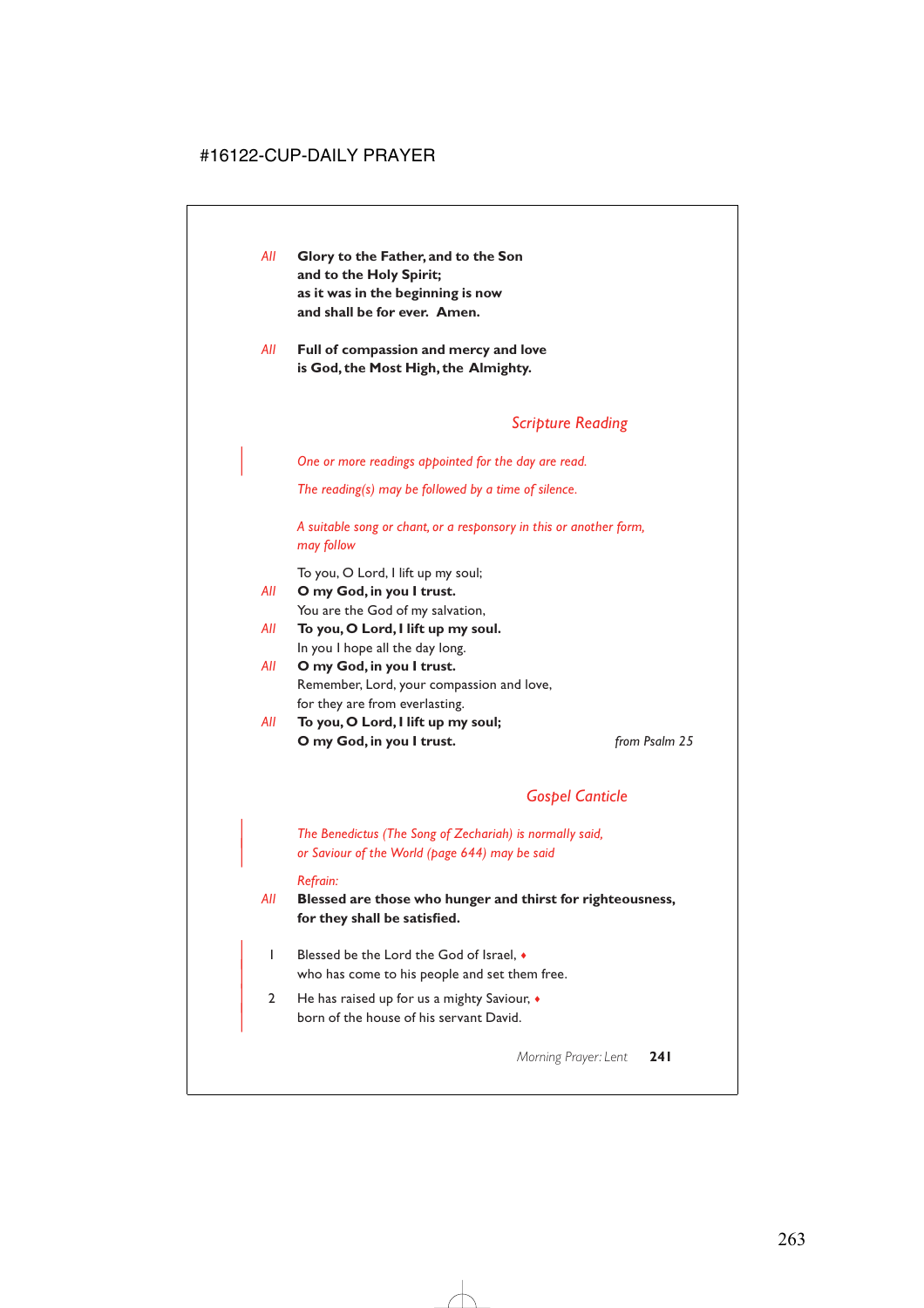- *All* **Glory to the Father, and to the Son and to the Holy Spirit; as it was in the beginning is now and shall be for ever. Amen.**
- *All* **Full of compassion and mercy and love is God, the Most High, the Almighty.**

## *Scripture Reading*

| *One or more readings appointed for the day are read.*

*The reading(s) may be followed by a time of silence.*

*A suitable song or chant, or a responsory in this or another form, may follow*

To you, O Lord, I lift up my soul;

- *All* **O my God, in you I trust.** You are the God of my salvation,
- *All* **To you, O Lord, I lift up my soul.** In you I hope all the day long.
- *All* **O my God, in you I trust.** Remember, Lord, your compassion and love, for they are from everlasting.
- *All* **To you, O Lord, I lift up my soul; O my God, in you I trust.** *from Psalm 25*

## *Gospel Canticle*

| *The Benedictus (The Song of Zechariah) is normally said,* | *or Saviour of the World (page 644) may be said*

#### *Refrain:*

*All* **Blessed are those who hunger and thirst for righteousness, for they shall be satisfied.**

- | 1 Blessed be the Lord the God of Israel, ♦ who has come to his people and set them free.
- | 2 He has raised up for us a mighty Saviour, ♦ born of the house of his servant David.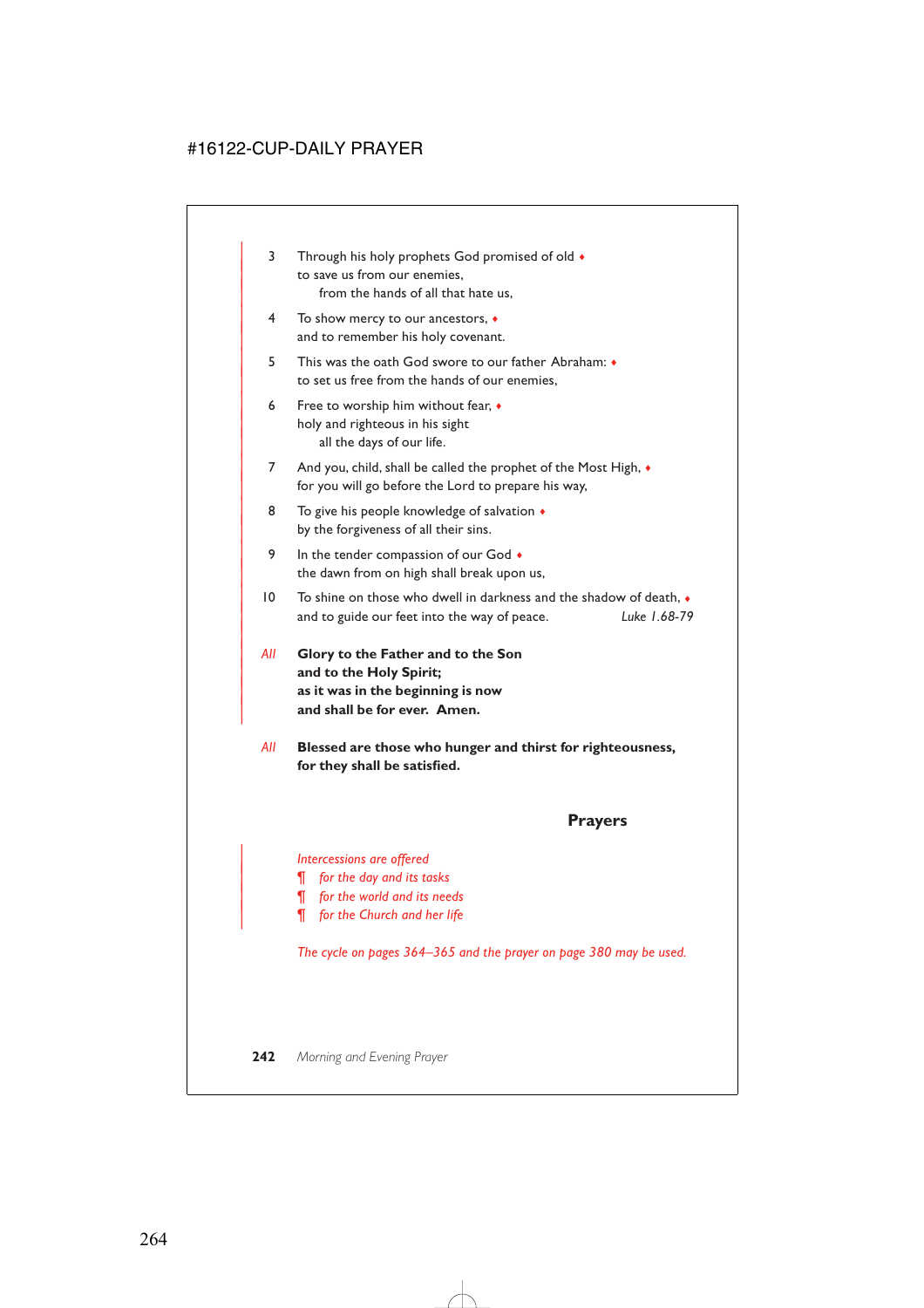- 3 Through his holy prophets God promised of old  $\bullet$ to save us from our enemies. from the hands of all that hate us,
- | 4 To show mercy to our ancestors, ♦ and to remember his holy covenant.
- | 5 This was the oath God swore to our father Abraham: ♦ to set us free from the hands of our enemies.
- 6 Free to worship him without fear,  $\bullet$ holy and righteous in his sight all the days of our life.
- 7 And you, child, shall be called the prophet of the Most High,  $\bullet$ for you will go before the Lord to prepare his way,
- 8 To give his people knowledge of salvation  $\triangleleft$ by the forgiveness of all their sins.
- 9 In the tender compassion of our God  $\bullet$ the dawn from on high shall break upon us,
- | 10 To shine on those who dwell in darkness and the shadow of death, ♦ | and to guide our feet into the way of peace. *Luke 1.68-79*
- | *All* **Glory to the Father and to the Son** and to the Holy Spirit; | **as it was in the beginning is now** and shall be for ever. Amen.

|

*All* **Blessed are those who hunger and thirst for righteousness, for they shall be satisfied.**

### **Prayers**

#### | *Intercessions are offered*

- | *¶ for the day and its tasks*
- | *¶ for the world and its needs*
- | *¶ for the Church and her life*

*The cycle on pages 364–365 and the prayer on page 380 may be used.*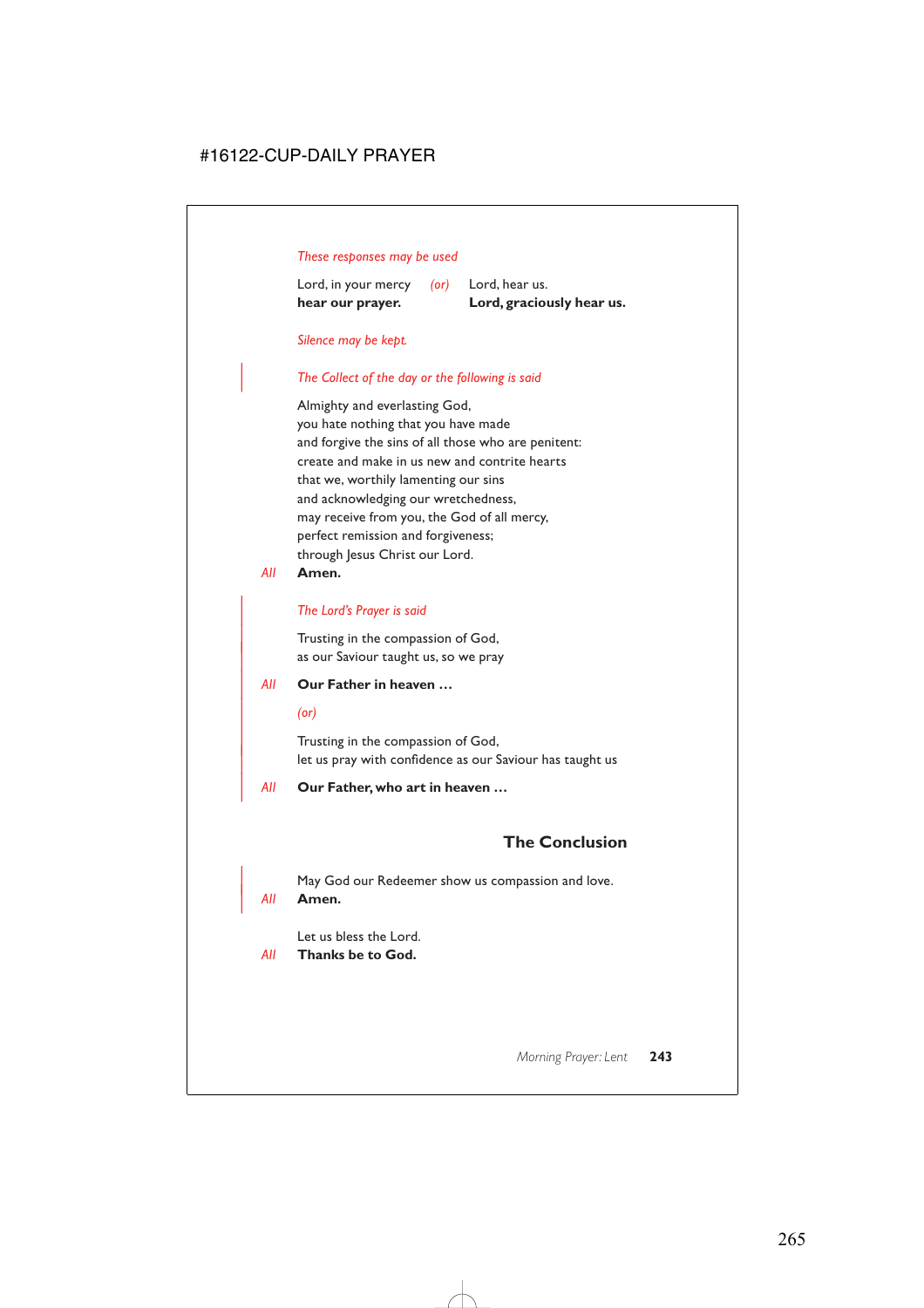#### *These responses may be used*

Lord, in your mercy *(or)* Lord, hear us. **hear our prayer. Lord, graciously hear us.**

#### *Silence may be kept.*

#### | *The Collect of the day or the following is said*

Almighty and everlasting God, you hate nothing that you have made and forgive the sins of all those who are penitent: create and make in us new and contrite hearts that we, worthily lamenting our sins and acknowledging our wretchedness, may receive from you, the God of all mercy, perfect remission and forgiveness; through Jesus Christ our Lord.

*All* **Amen.**

#### | *The Lord's Prayer is said*

Trusting in the compassion of God, as our Saviour taught us, so we pray

### | *All* **Our Father in heaven …**

| *(or)*

Trusting in the compassion of God, let us pray with confidence as our Saviour has taught us

#### | *All* **Our Father, who art in heaven …**

## **The Conclusion**

May God our Redeemer show us compassion and love.

#### | *All* **Amen.**

Let us bless the Lord.

*All* **Thanks be to God.**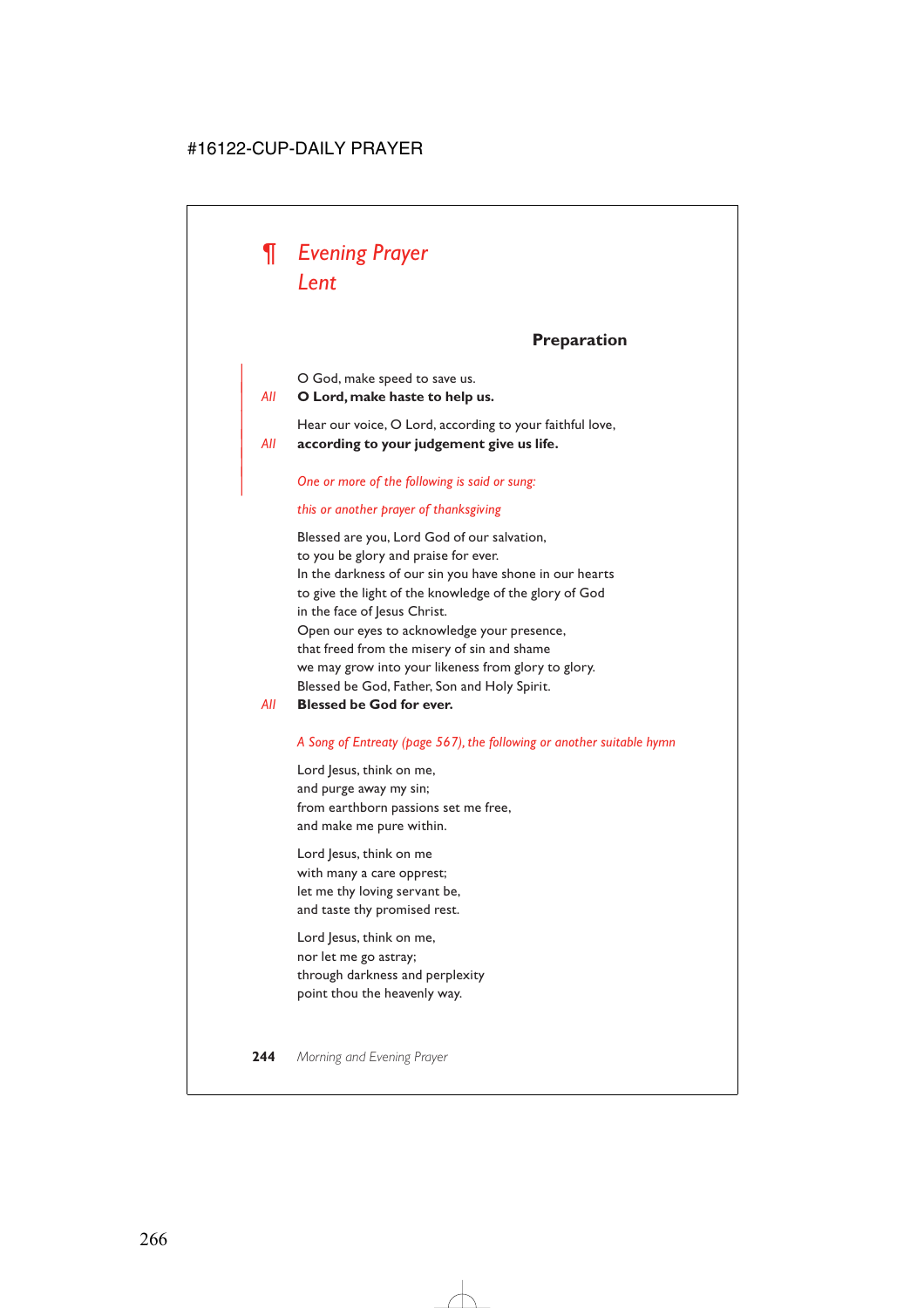

|

## **Preparation**

| O God, make speed to save us.

| *All* **O Lord, make haste to help us.**

Hear our voice, O Lord, according to your faithful love, | *All* **according to your judgement give us life.**

| *One or more of the following is said or sung:*

#### *this or another prayer of thanksgiving*

Blessed are you, Lord God of our salvation, to you be glory and praise for ever. In the darkness of our sin you have shone in our hearts to give the light of the knowledge of the glory of God in the face of lesus Christ. Open our eyes to acknowledge your presence, that freed from the misery of sin and shame we may grow into your likeness from glory to glory. Blessed be God, Father, Son and Holy Spirit.

*All* **Blessed be God for ever.**

#### *A Song of Entreaty (page 567), the following or another suitable hymn*

Lord Jesus, think on me, and purge away my sin; from earthborn passions set me free, and make me pure within.

Lord Jesus, think on me with many a care opprest; let me thy loving servant be, and taste thy promised rest.

Lord Jesus, think on me, nor let me go astray; through darkness and perplexity point thou the heavenly way.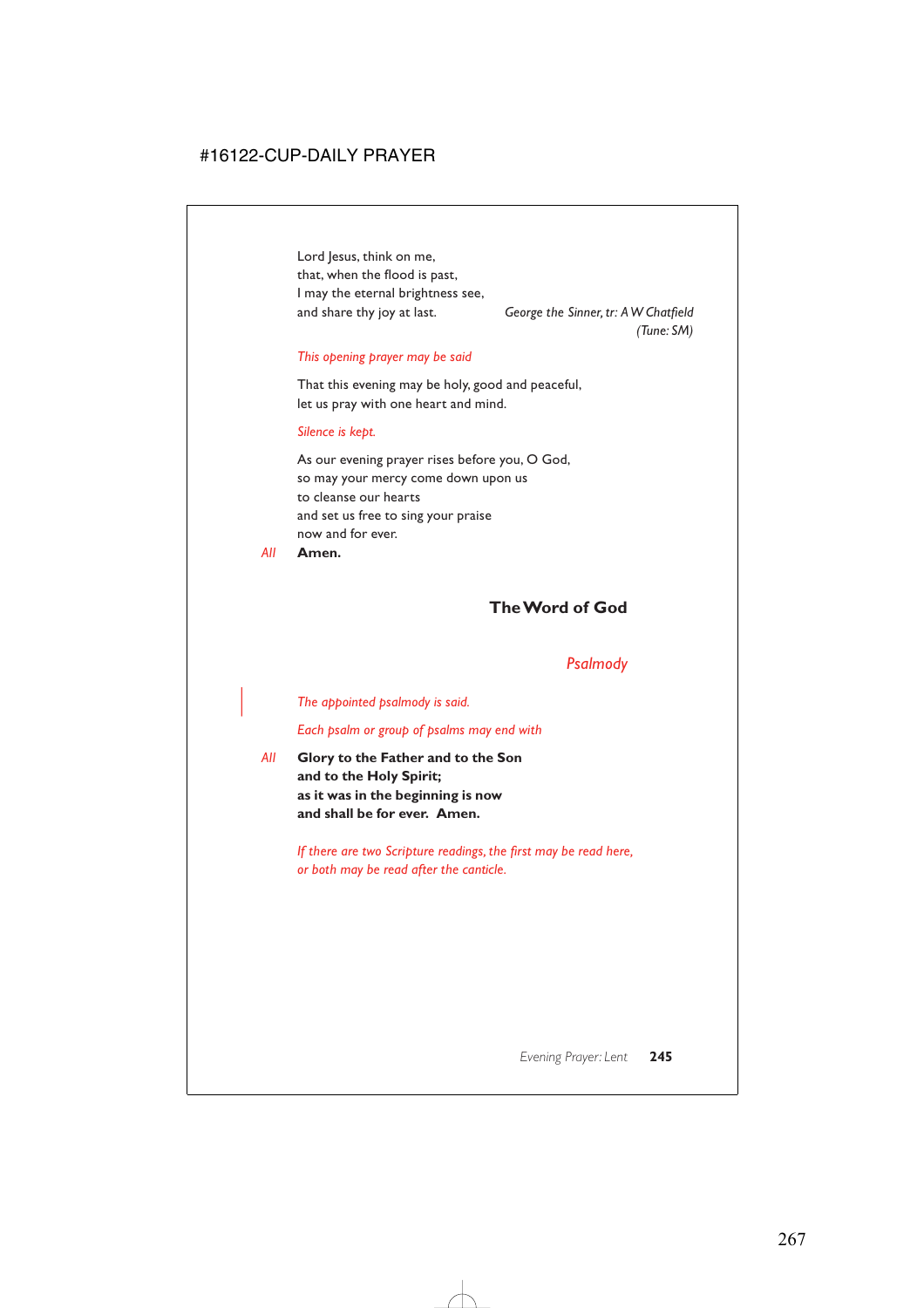Lord Jesus, think on me, that, when the flood is past, I may the eternal brightness see, and share thy joy at last. *George the Sinner, tr: A W Chatfield*

*(Tune: SM)*

#### *This opening prayer may be said*

That this evening may be holy, good and peaceful, let us pray with one heart and mind.

#### *Silence is kept.*

As our evening prayer rises before you, O God, so may your mercy come down upon us to cleanse our hearts and set us free to sing your praise now and for ever.

*All* **Amen.**

## **The Word of God**

## *Psalmody*

#### | *The appointed psalmody is said.*

*Each psalm or group of psalms may end with*

*All* **Glory to the Father and to the Son and to the Holy Spirit; as it was in the beginning is now and shall be for ever. Amen.**

> *If there are two Scripture readings, the first may be read here, or both may be read after the canticle.*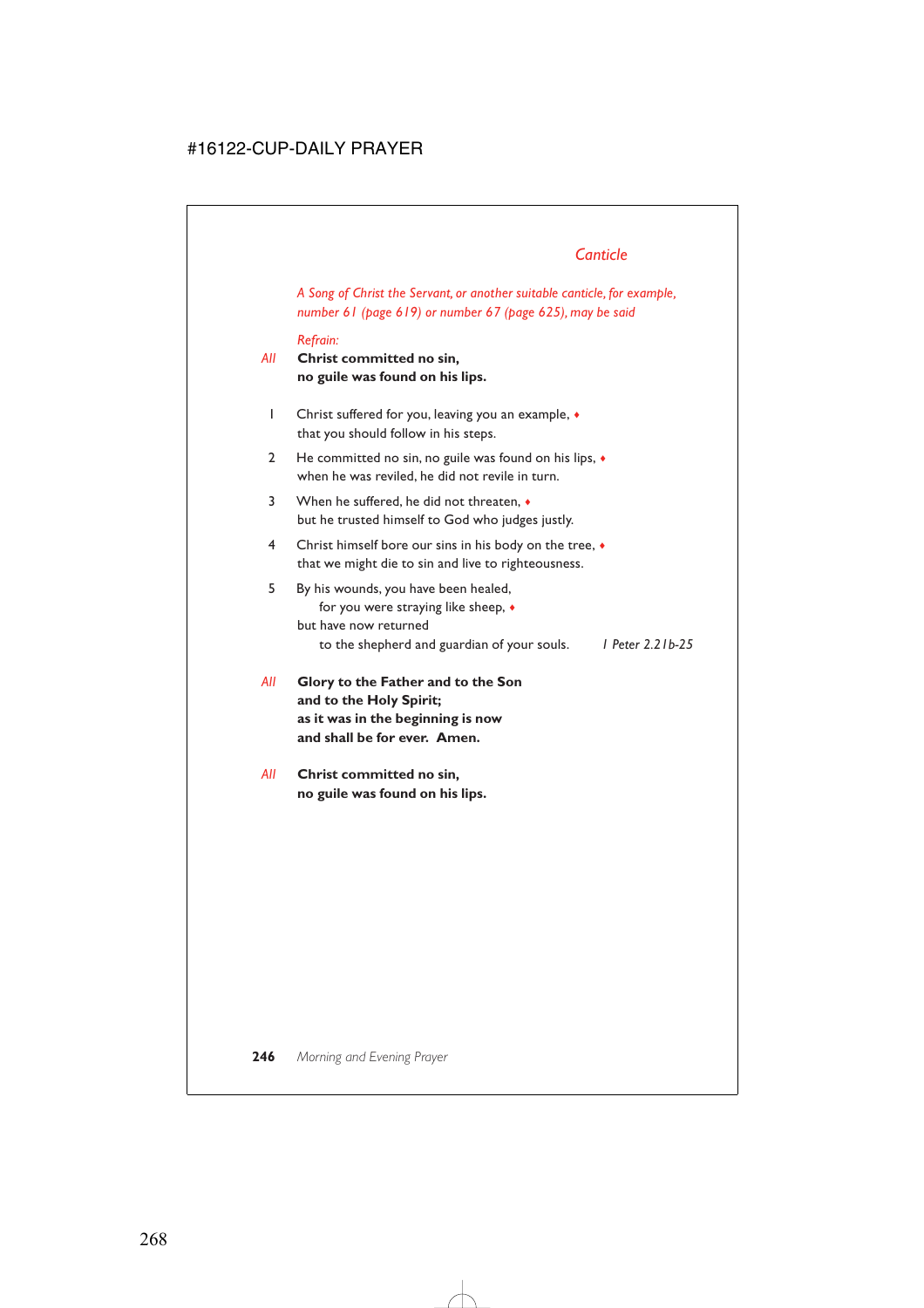## *Canticle*

*A Song of Christ the Servant, or another suitable canticle, for example, number 61 (page 619) or number 67 (page 625), may be said*

#### *Refrain:*

### *All* **Christ committed no sin, no guile was found on his lips.**

- 1 Christ suffered for you, leaving you an example, ♦ that you should follow in his steps.
- 2 He committed no sin, no guile was found on his lips,  $\bullet$ when he was reviled, he did not revile in turn.
- 3 When he suffered, he did not threaten, ♦ but he trusted himself to God who judges justly.
- 4 Christ himself bore our sins in his body on the tree, ♦ that we might die to sin and live to righteousness.

### 5 By his wounds, you have been healed, for you were straying like sheep, ♦ but have now returned to the shepherd and guardian of your souls. *1 Peter 2.21b-25*

- *All* **Glory to the Father and to the Son and to the Holy Spirit; as it was in the beginning is now and shall be for ever. Amen.**
- *All* **Christ committed no sin, no guile was found on his lips.**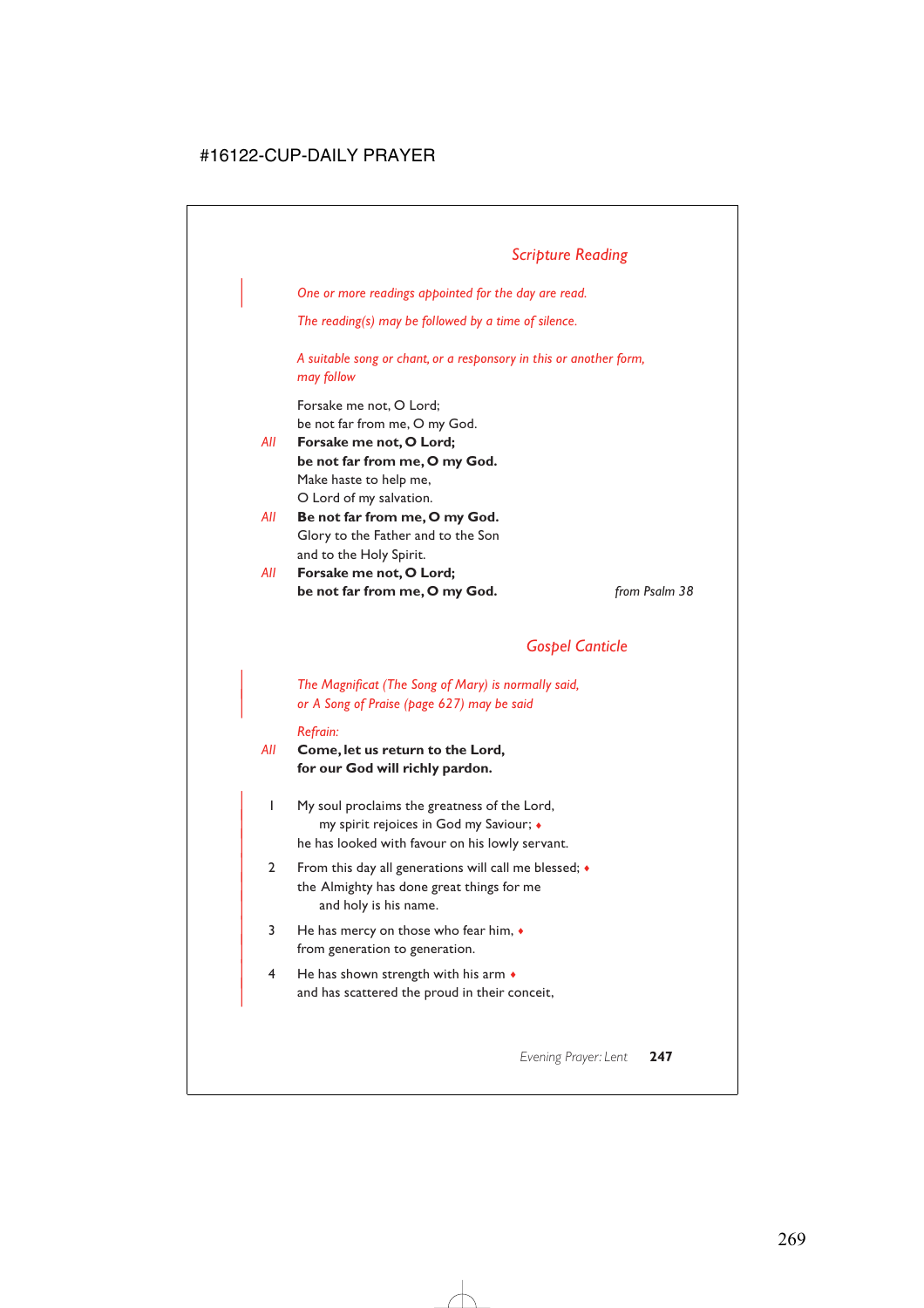| *One or more readings appointed for the day are read.*

*The reading(s) may be followed by a time of silence.*

*A suitable song or chant, or a responsory in this or another form, may follow*

Forsake me not, O Lord; be not far from me, O my God.

- *All* **Forsake me not, O Lord; be not far from me, O my God.** Make haste to help me, O Lord of my salvation.
- *All* **Be not far from me, O my God.** Glory to the Father and to the Son and to the Holy Spirit.
- *All* **Forsake me not, O Lord; be not far from me, O my God.** *from Psalm 38*

## *Gospel Canticle*

| *The Magnificat (The Song of Mary) is normally said,* | *or A Song of Praise (page 627) may be said*

#### *Refrain:*

*All* **Come, let us return to the Lord, for our God will richly pardon.**

- | 1 My soul proclaims the greatness of the Lord, | my spirit rejoices in God my Saviour; ♦ he has looked with favour on his lowly servant.
- 2 From this day all generations will call me blessed;  $\bullet$ the Almighty has done great things for me and holy is his name.
- $3$  He has mercy on those who fear him,  $\bullet$ from generation to generation.
- $4$  He has shown strength with his arm  $\bullet$ and has scattered the proud in their conceit,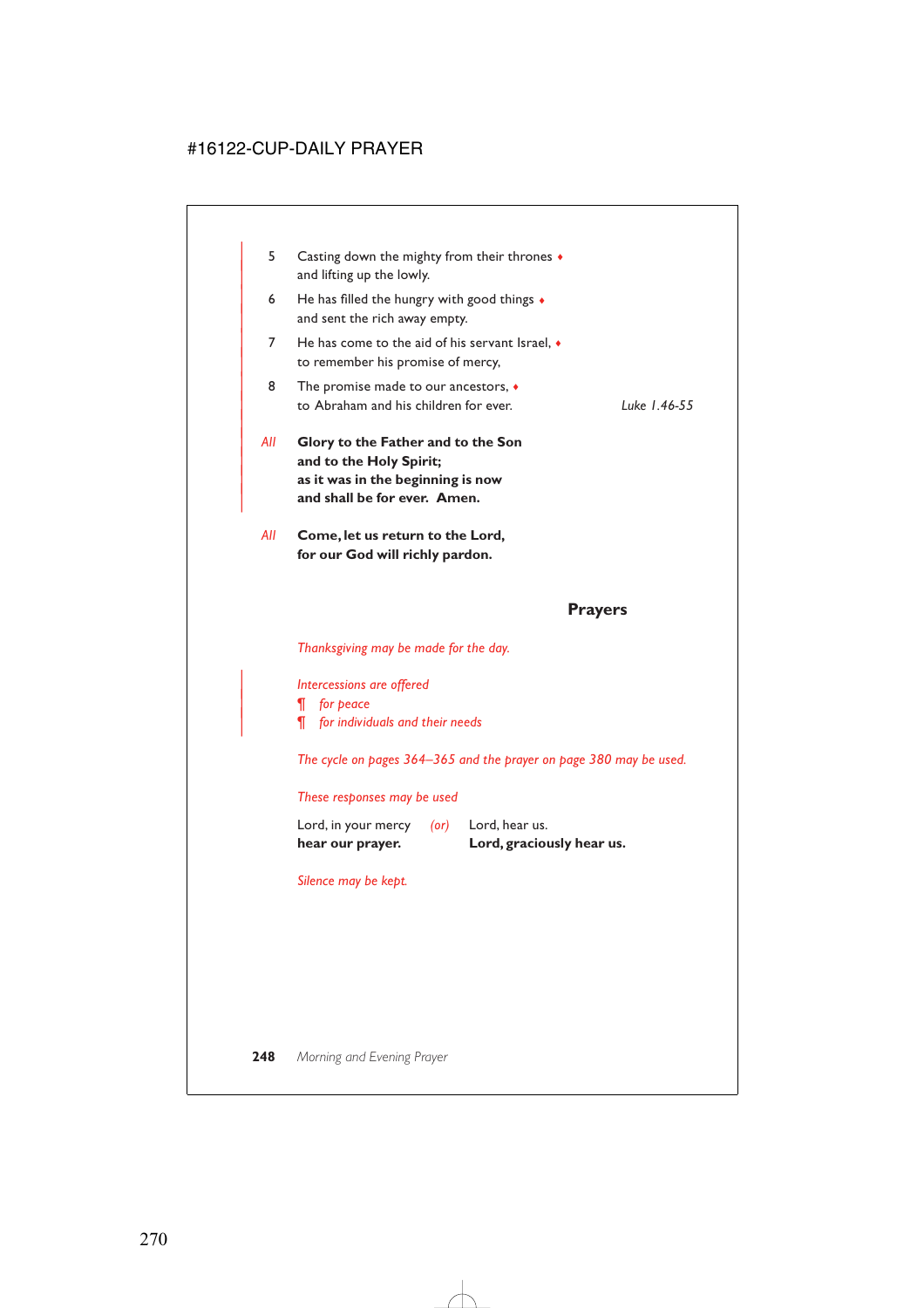| 5   | Casting down the mighty from their thrones $\bullet$<br>and lifting up the lowly.                                                  |              |
|-----|------------------------------------------------------------------------------------------------------------------------------------|--------------|
| 6   | He has filled the hungry with good things $\bullet$<br>and sent the rich away empty.                                               |              |
| 7   | He has come to the aid of his servant Israel. $\bullet$<br>to remember his promise of mercy,                                       |              |
| 8   | The promise made to our ancestors, $\bullet$<br>to Abraham and his children for ever.                                              | Luke 1.46-55 |
| All | Glory to the Father and to the Son<br>and to the Holy Spirit;<br>as it was in the beginning is now<br>and shall be for ever. Amen. |              |
| All | Come, let us return to the Lord,<br>for our God will richly pardon.                                                                |              |

### **Prayers**

*Thanksgiving may be made for the day.*

| *Intercessions are offered*

| *¶ for peace*

| *¶ for individuals and their needs*

*The cycle on pages 364–365 and the prayer on page 380 may be used.*

### *These responses may be used*

| hear our prayer.    |      | Lord, graciously hear us. |
|---------------------|------|---------------------------|
| Lord, in your mercy | (or) | Lord, hear us.            |

*Silence may be kept.*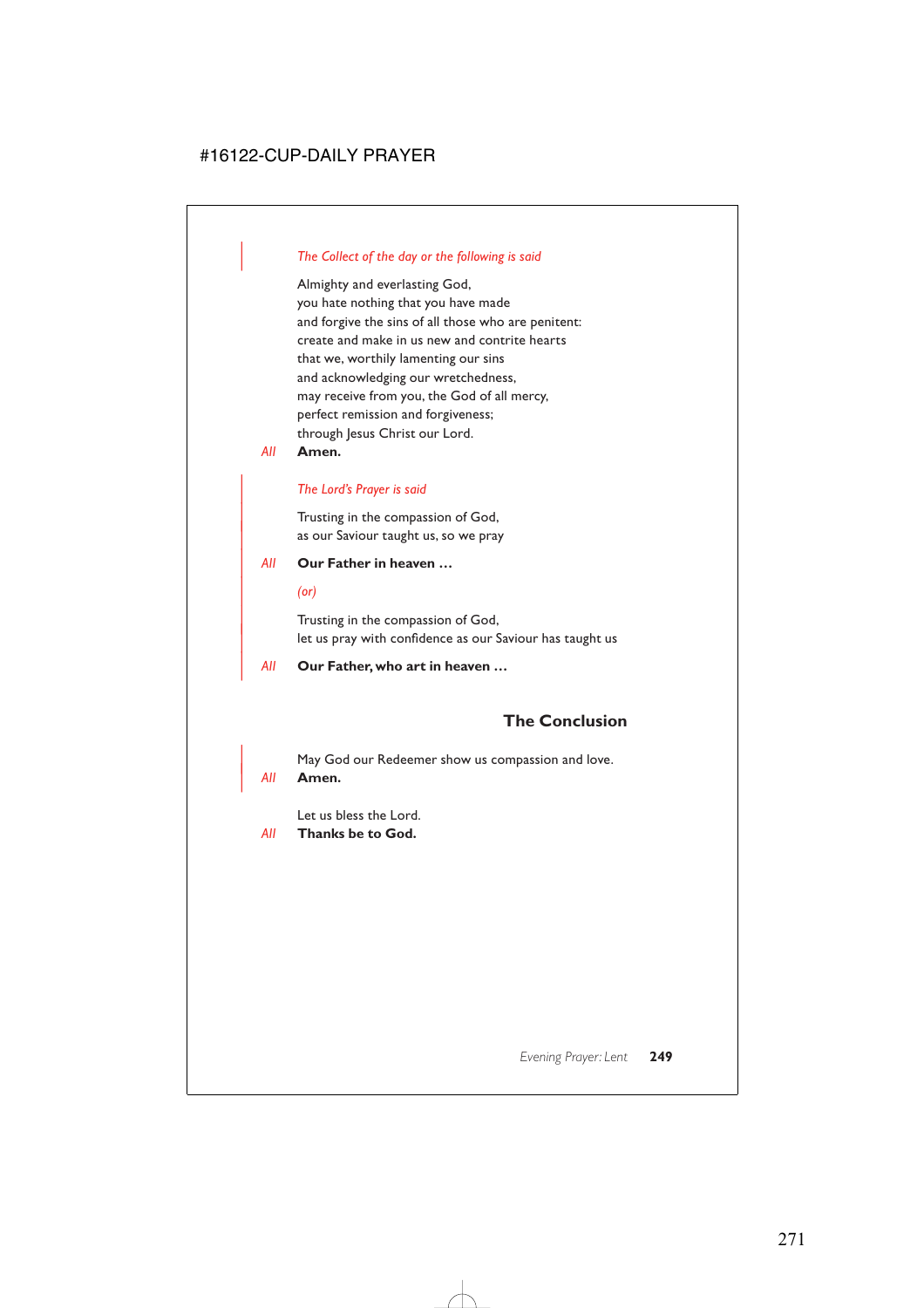### | *The Collect of the day or the following is said*

Almighty and everlasting God, you hate nothing that you have made and forgive the sins of all those who are penitent: create and make in us new and contrite hearts that we, worthily lamenting our sins and acknowledging our wretchedness, may receive from you, the God of all mercy, perfect remission and forgiveness; through Jesus Christ our Lord.

*All* **Amen.**

#### | *The Lord's Prayer is said*

Trusting in the compassion of God, as our Saviour taught us, so we pray

#### | *All* **Our Father in heaven …**

| *(or)*

Trusting in the compassion of God, let us pray with confidence as our Saviour has taught us

| *All* **Our Father, who art in heaven …**

## **The Conclusion**

May God our Redeemer show us compassion and love.

| *All* **Amen.**

Let us bless the Lord.

*All* **Thanks be to God.**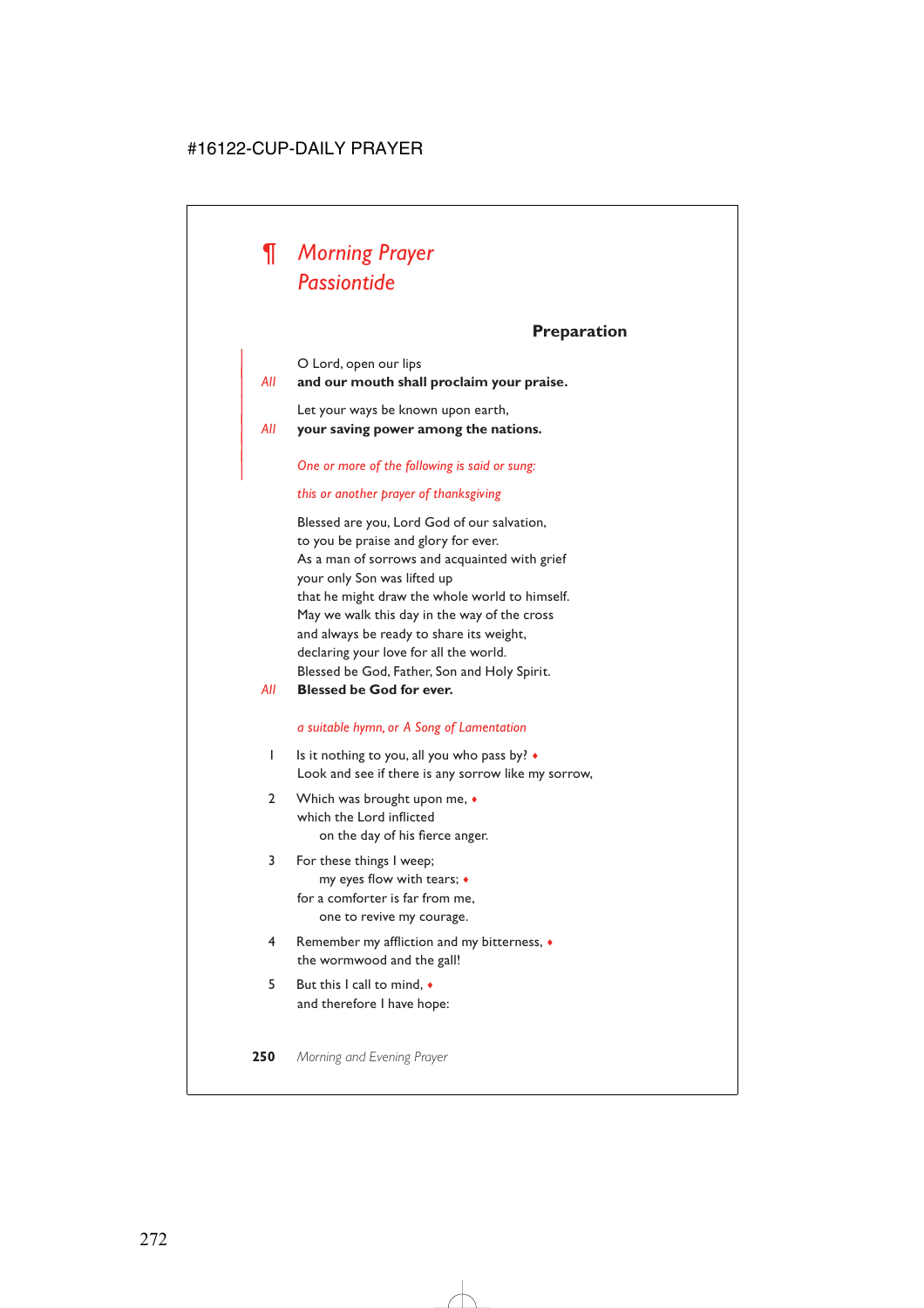

## **Preparation**

O Lord, open our lips

|

### | *All* **and our mouth shall proclaim your praise.**

Let your ways be known upon earth,

| *All* **your saving power among the nations.**

#### | *One or more of the following is said or sung:*

#### *this or another prayer of thanksgiving*

Blessed are you, Lord God of our salvation, to you be praise and glory for ever. As a man of sorrows and acquainted with grief your only Son was lifted up that he might draw the whole world to himself. May we walk this day in the way of the cross and always be ready to share its weight, declaring your love for all the world. Blessed be God, Father, Son and Holy Spirit.

*All* **Blessed be God for ever.**

#### *a suitable hymn, or A Song of Lamentation*

- 1 Is it nothing to you, all you who pass by?  $\bullet$ Look and see if there is any sorrow like my sorrow,
- 2 Which was brought upon me,  $\bullet$ which the Lord inflicted on the day of his fierce anger.
- 3 For these things I weep; my eyes flow with tears; ♦ for a comforter is far from me, one to revive my courage.
- 4 Remember my affliction and my bitterness, ♦ the wormwood and the gall!
- 5 But this I call to mind, ♦ and therefore I have hope: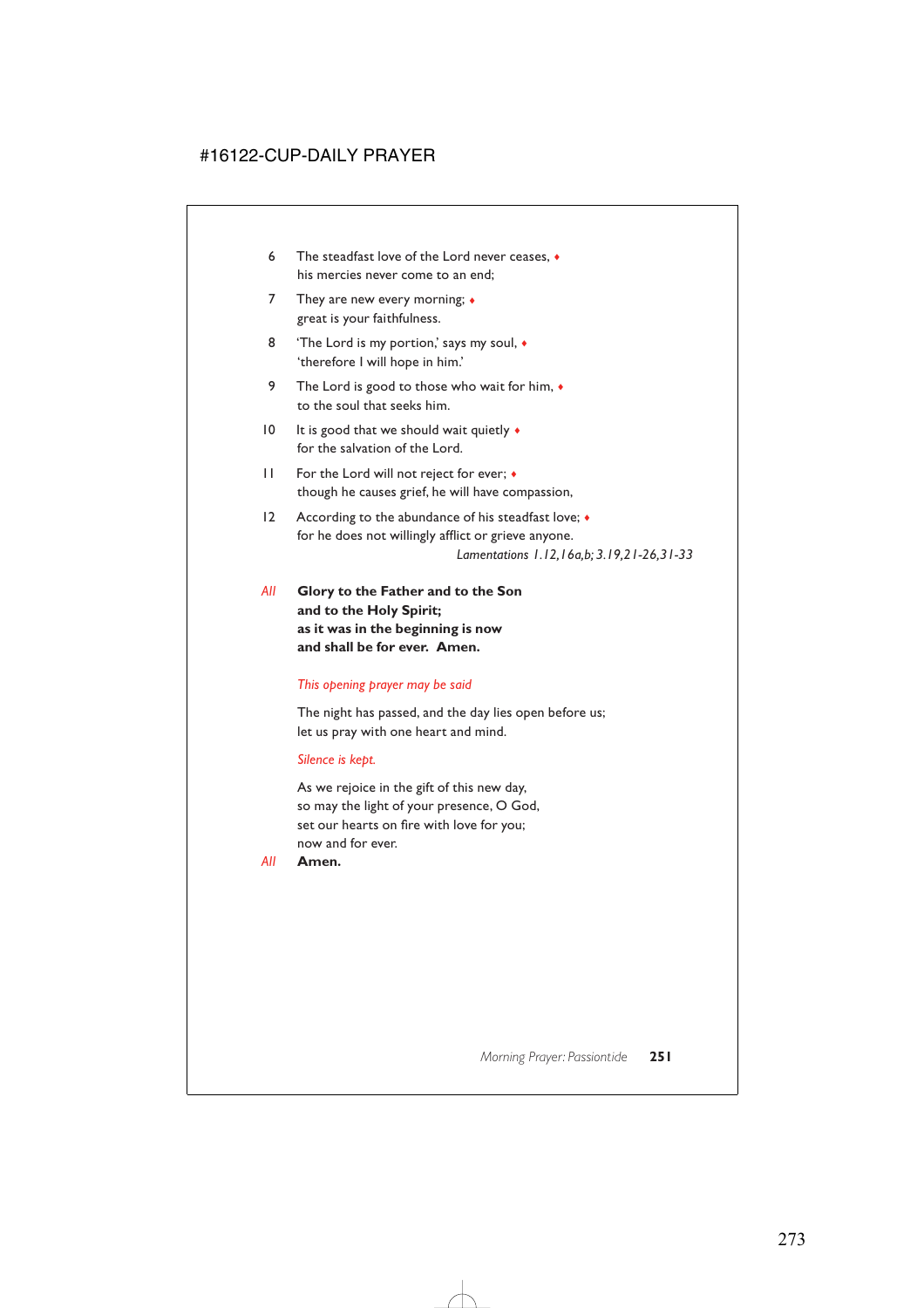- 6 The steadfast love of the Lord never ceases, ♦ his mercies never come to an end;
- 7 They are new every morning;  $\triangleleft$ great is your faithfulness.
- 8 'The Lord is my portion,' says my soul,  $\bullet$ 'therefore I will hope in him.'
- 9 The Lord is good to those who wait for him,  $\bullet$ to the soul that seeks him.
- 10 It is good that we should wait quietly  $\bullet$ for the salvation of the Lord.
- 11 For the Lord will not reject for ever; ♦ though he causes grief, he will have compassion,
- 12 According to the abundance of his steadfast love;  $\bullet$ for he does not willingly afflict or grieve anyone. *Lamentations 1.12,16a,b; 3.19,21-26,31-33*
- *All* **Glory to the Father and to the Son and to the Holy Spirit; as it was in the beginning is now and shall be for ever. Amen.**

### *This opening prayer may be said*

The night has passed, and the day lies open before us; let us pray with one heart and mind.

*Silence is kept.*

As we rejoice in the gift of this new day, so may the light of your presence, O God, set our hearts on fire with love for you; now and for ever.

*All* **Amen.**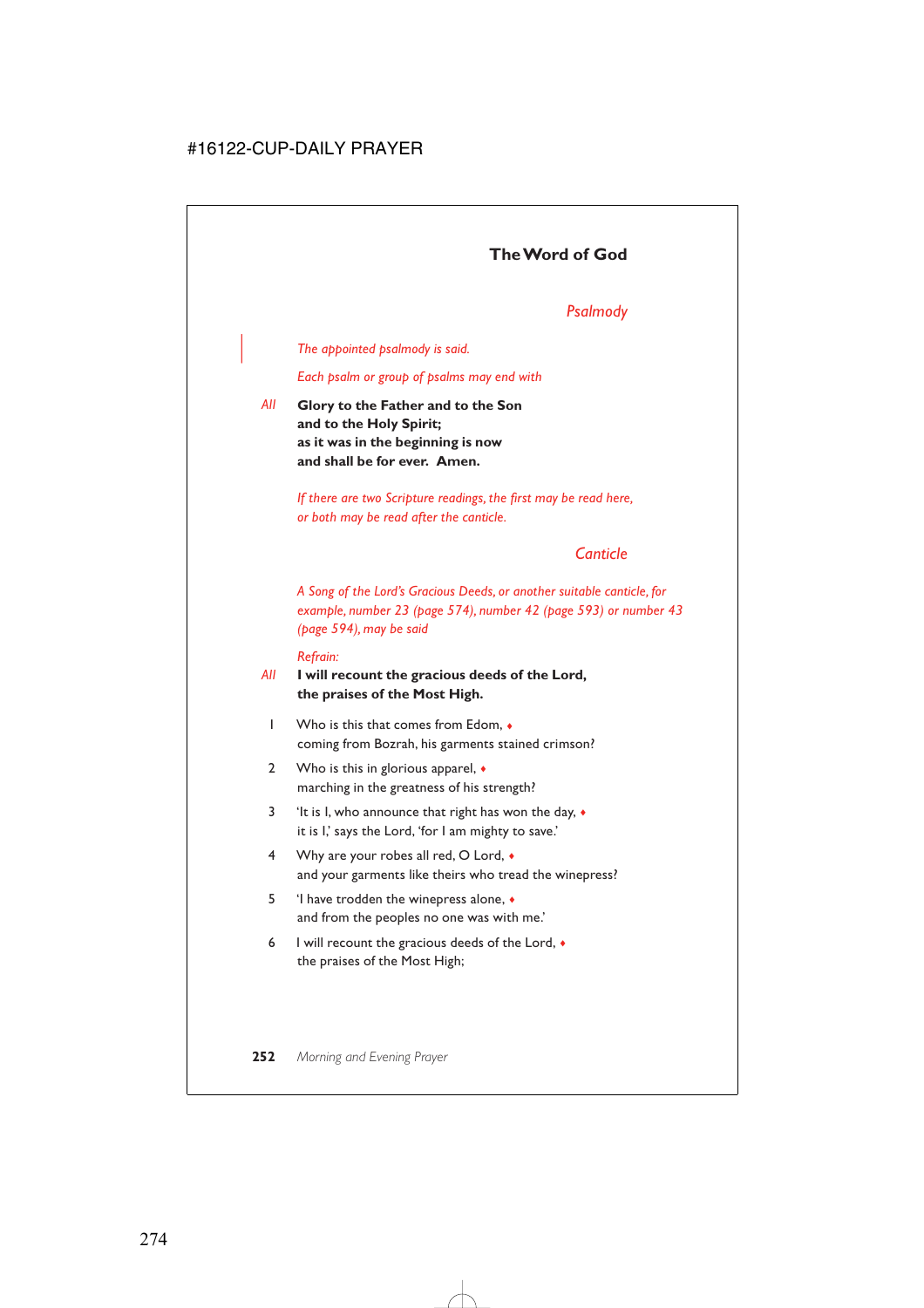## *Psalmody*

### | *The appointed psalmody is said.*

*Each psalm or group of psalms may end with*

*All* **Glory to the Father and to the Son and to the Holy Spirit; as it was in the beginning is now and shall be for ever. Amen.**

> *If there are two Scripture readings, the first may be read here, or both may be read after the canticle.*

## *Canticle*

*A Song of the Lord's Gracious Deeds, or another suitable canticle, for example, number 23 (page 574), number 42 (page 593) or number 43 (page 594), may be said*

#### *Refrain:*

### *All* **I will recount the gracious deeds of the Lord, the praises of the Most High.**

- 1 Who is this that comes from Edom, ♦ coming from Bozrah, his garments stained crimson?
- 2 Who is this in glorious apparel,  $\bullet$ marching in the greatness of his strength?
- 3 'It is I, who announce that right has won the day, ♦ it is I,' says the Lord, 'for I am mighty to save.'
- 4 Why are your robes all red, O Lord,  $\bullet$ and your garments like theirs who tread the winepress?
- 5 'I have trodden the winepress alone, ♦ and from the peoples no one was with me.'
- 6 I will recount the gracious deeds of the Lord,  $\bullet$ the praises of the Most High;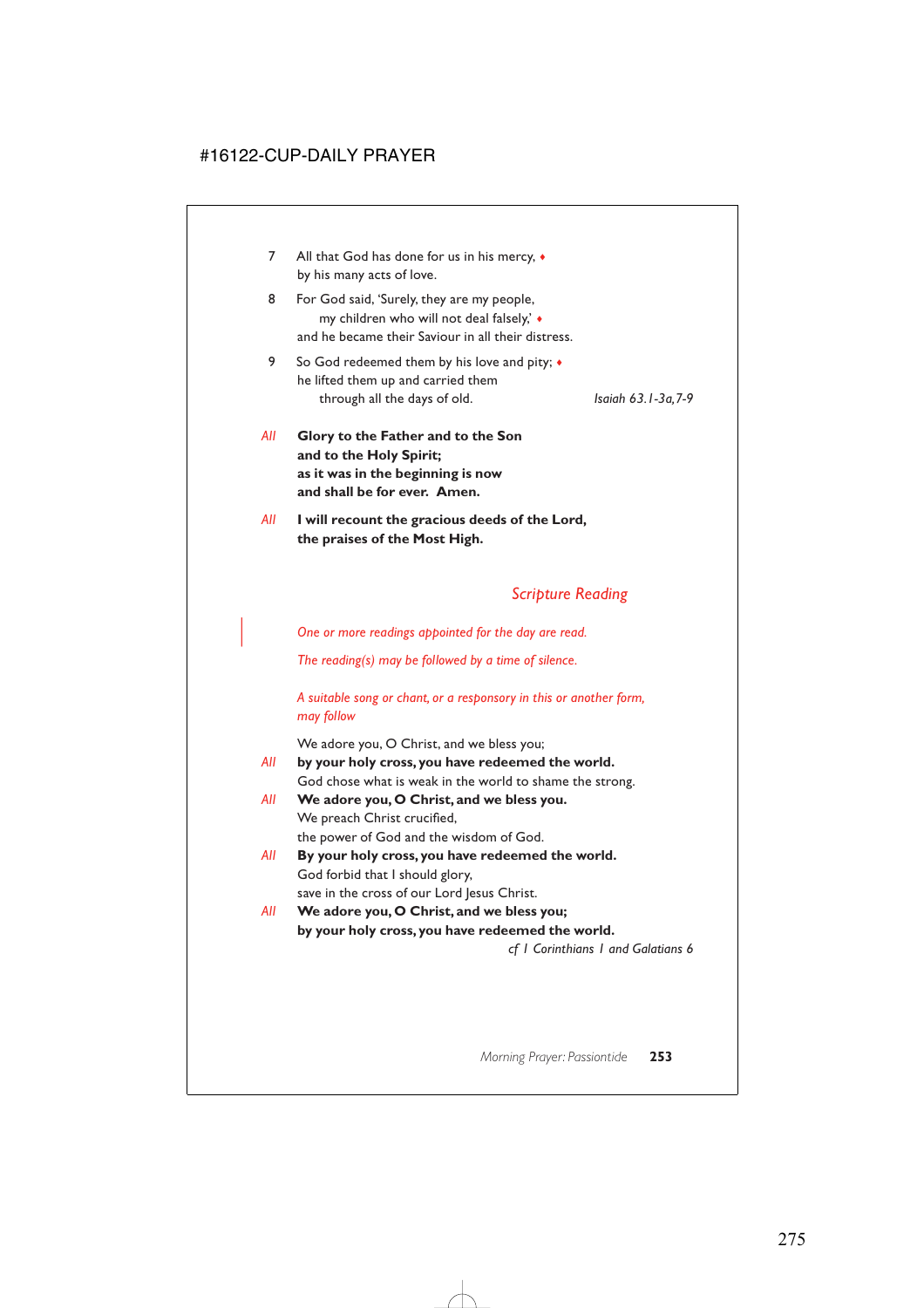- 7 All that God has done for us in his mercy,  $\bullet$ by his many acts of love.
- 8 For God said, 'Surely, they are my people, my children who will not deal falsely,' ♦ and he became their Saviour in all their distress.
- 9 So God redeemed them by his love and pity;  $\triangleleft$ he lifted them up and carried them through all the days of old. *Isaiah 63.1-3a,7-9*

- *All* **Glory to the Father and to the Son and to the Holy Spirit; as it was in the beginning is now and shall be for ever. Amen.**
- *All* **I will recount the gracious deeds of the Lord, the praises of the Most High.**

## *Scripture Reading*

| *One or more readings appointed for the day are read.*

*The reading(s) may be followed by a time of silence.*

*A suitable song or chant, or a responsory in this or another form, may follow*

We adore you, O Christ, and we bless you;

- *All* **by your holy cross, you have redeemed the world.** God chose what is weak in the world to shame the strong.
- *All* **We adore you, O Christ, and we bless you.** We preach Christ crucified, the power of God and the wisdom of God.
- *All* **By your holy cross, you have redeemed the world.** God forbid that I should glory, save in the cross of our Lord Jesus Christ.
- *All* **We adore you, O Christ, and we bless you; by your holy cross, you have redeemed the world.**

*cf 1 Corinthians 1 and Galatians 6*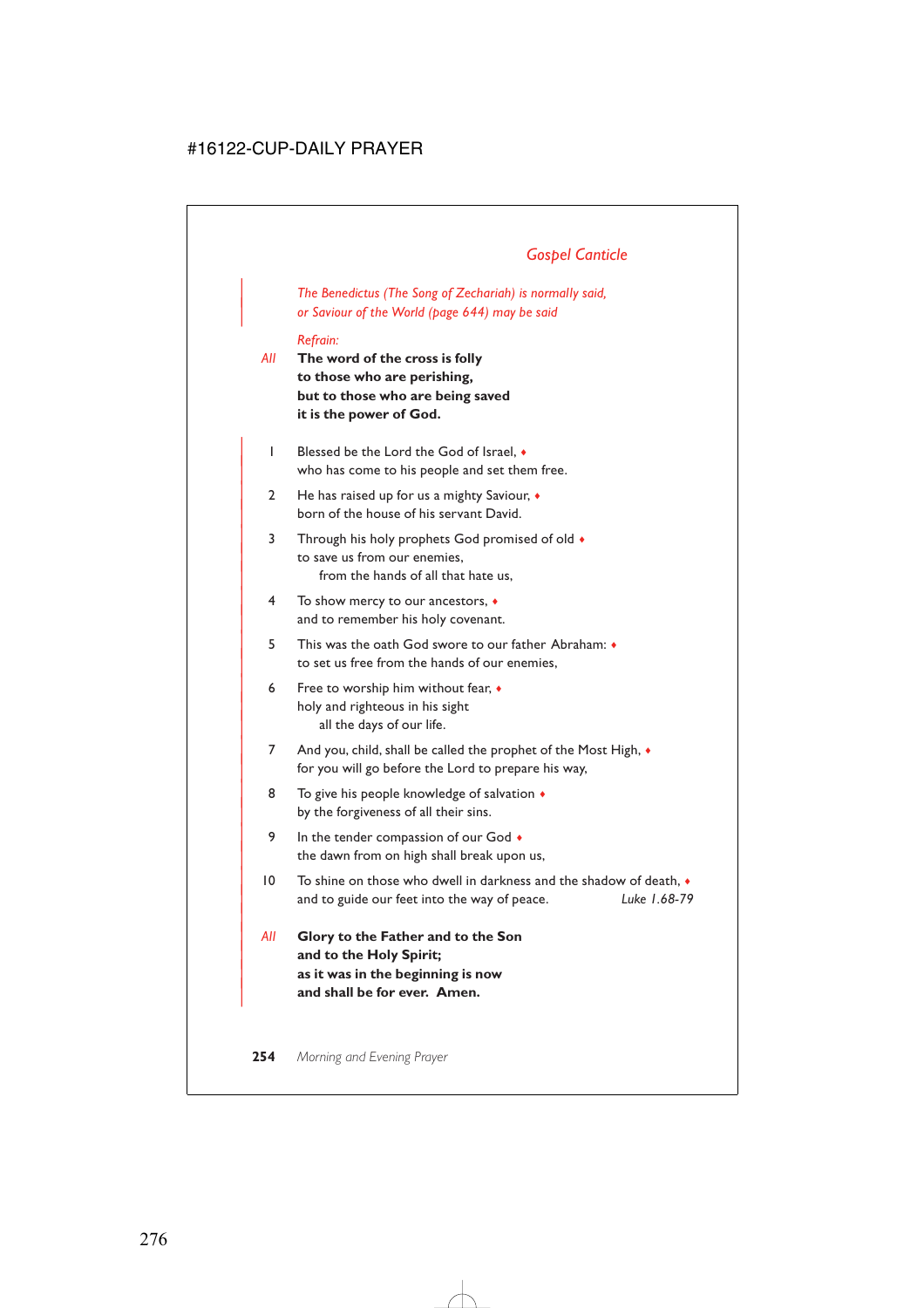## *Gospel Canticle*

| *The Benedictus (The Song of Zechariah) is normally said,* | *or Saviour of the World (page 644) may be said*

#### *Refrain:*

- *All* **The word of the cross is folly to those who are perishing, but to those who are being saved it is the power of God.**
	- | 1 Blessed be the Lord the God of Israel, ♦ who has come to his people and set them free.
	- | 2 He has raised up for us a mighty Saviour, ♦ born of the house of his servant David.
	- 3 Through his holy prophets God promised of old  $\bullet$ to save us from our enemies. from the hands of all that hate us,
	- | 4 To show mercy to our ancestors, ♦ and to remember his holy covenant.
	- | 5 This was the oath God swore to our father Abraham: ♦ to set us free from the hands of our enemies.
	- 6 Free to worship him without fear,  $\bullet$ holy and righteous in his sight all the days of our life.
	- 7 And you, child, shall be called the prophet of the Most High,  $\bullet$ for you will go before the Lord to prepare his way,
	- 8 To give his people knowledge of salvation  $\triangleleft$ by the forgiveness of all their sins.
	- 9 In the tender compassion of our God  $\bullet$ the dawn from on high shall break upon us,
- | 10 To shine on those who dwell in darkness and the shadow of death, ♦ | and to guide our feet into the way of peace. *Luke 1.68-79*
- | *All* **Glory to the Father and to the Son** and to the Holy Spirit; | **as it was in the beginning is now** | **and shall be for ever. Amen.**

|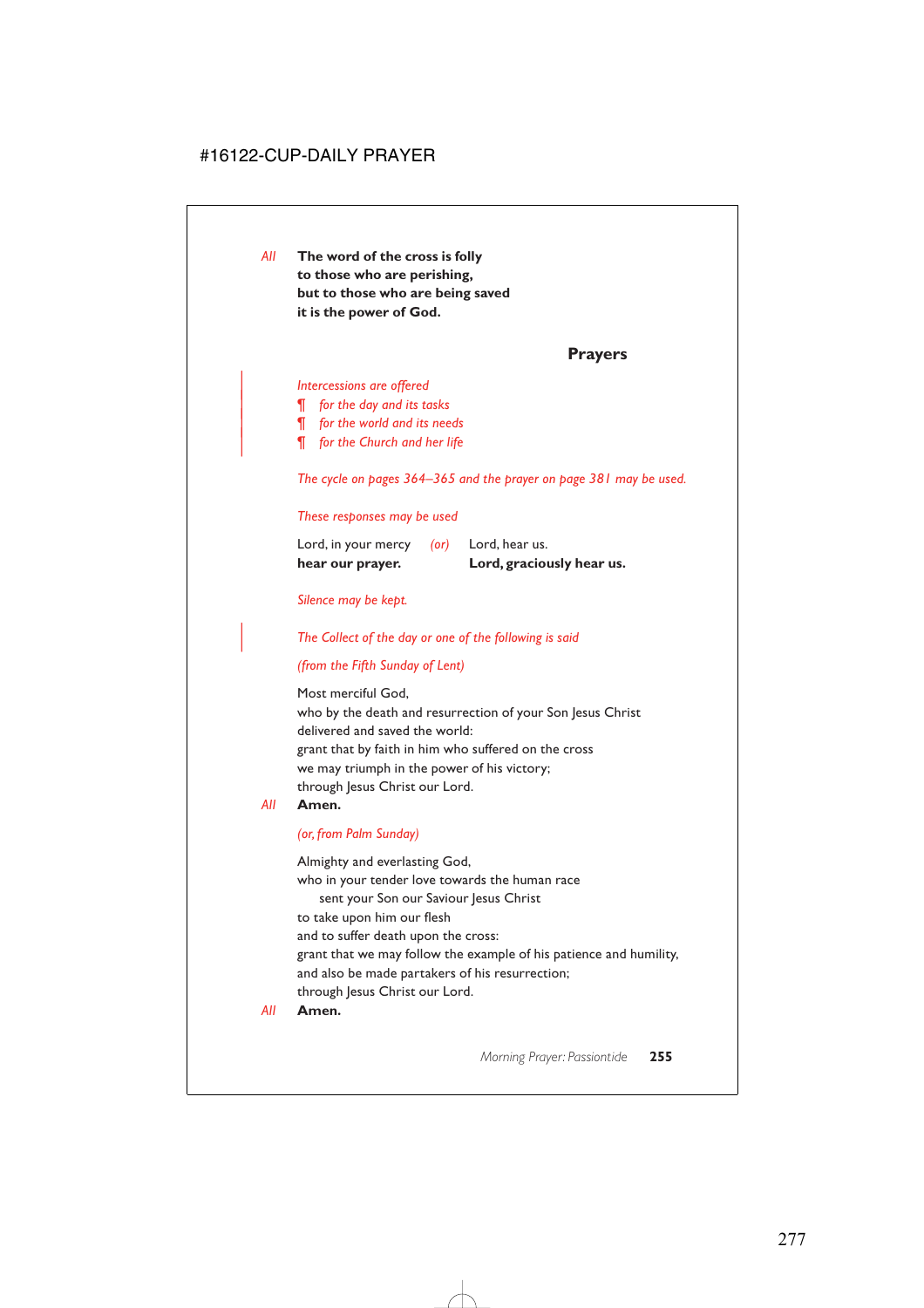*All* **The word of the cross is folly to those who are perishing, but to those who are being saved it is the power of God.**

### **Prayers**

#### | *Intercessions are offered*

- | *¶ for the day and its tasks*
- | *¶ for the world and its needs*
- | *¶ for the Church and her life*

*The cycle on pages 364–365 and the prayer on page 381 may be used.*

#### *These responses may be used*

| hear our prayer.    |            | Lord, graciously hear us. |
|---------------------|------------|---------------------------|
| Lord, in your mercy | $($ or $)$ | Lord, hear us.            |

#### *Silence may be kept.*

| *The Collect of the day or one of the following is said*

### *(from the Fifth Sunday of Lent)*

Most merciful God, who by the death and resurrection of your Son Jesus Christ delivered and saved the world: grant that by faith in him who suffered on the cross we may triumph in the power of his victory; through Jesus Christ our Lord.

#### *All* **Amen.**

#### *(or, from Palm Sunday)*

Almighty and everlasting God, who in your tender love towards the human race sent your Son our Saviour Jesus Christ to take upon him our flesh and to suffer death upon the cross: grant that we may follow the example of his patience and humility, and also be made partakers of his resurrection; through Jesus Christ our Lord.

*All* **Amen.**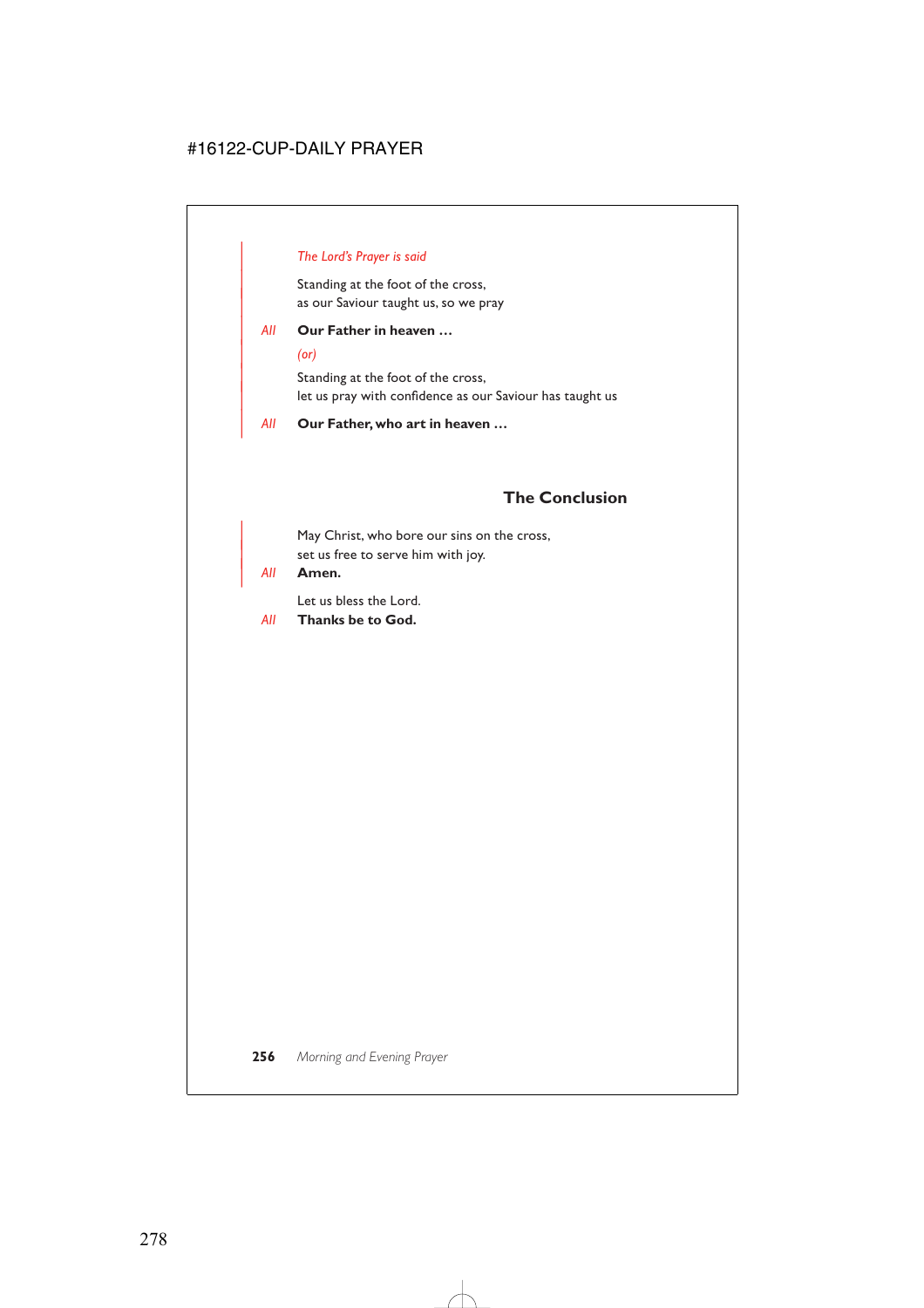### | *The Lord's Prayer is said*

Standing at the foot of the cross, as our Saviour taught us, so we pray

### | *All* **Our Father in heaven …**

#### | *(or)*

Standing at the foot of the cross, let us pray with confidence as our Saviour has taught us

#### | *All* **Our Father, who art in heaven …**

## **The Conclusion**

May Christ, who bore our sins on the cross, set us free to serve him with joy.

### | *All* **Amen.**

Let us bless the Lord.

*All* **Thanks be to God.**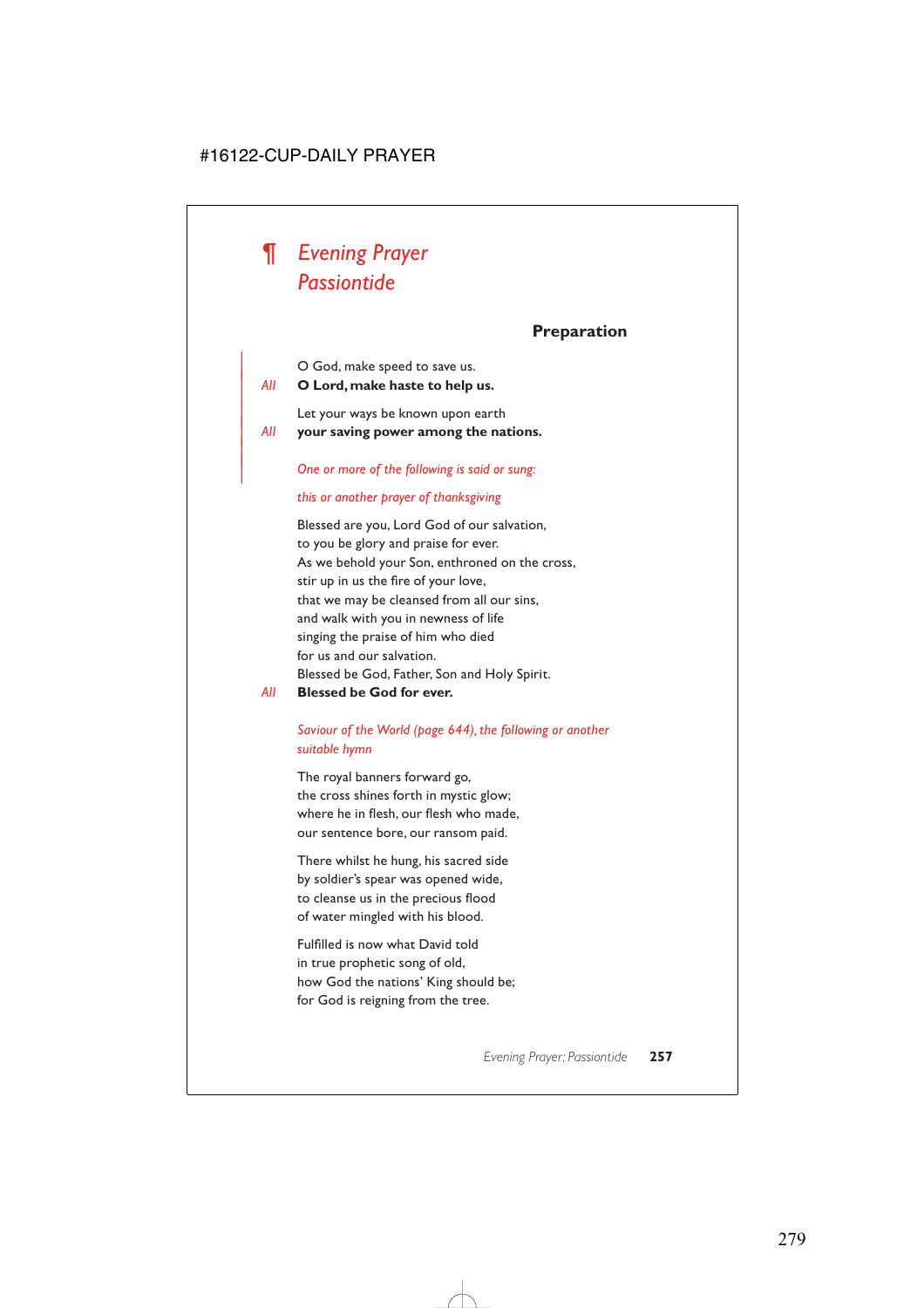

|

## **Preparation**

| O God, make speed to save us.

| *All* **O Lord, make haste to help us.**

Let your ways be known upon earth | *All* **your saving power among the nations.**

| *One or more of the following is said or sung:*

#### *this or another prayer of thanksgiving*

Blessed are you, Lord God of our salvation, to you be glory and praise for ever. As we behold your Son, enthroned on the cross, stir up in us the fire of your love, that we may be cleansed from all our sins, and walk with you in newness of life singing the praise of him who died for us and our salvation. Blessed be God, Father, Son and Holy Spirit.

*All* **Blessed be God for ever.**

### *Saviour of the World (page 644), the following or another suitable hymn*

The royal banners forward go, the cross shines forth in mystic glow; where he in flesh, our flesh who made, our sentence bore, our ransom paid.

There whilst he hung, his sacred side by soldier's spear was opened wide, to cleanse us in the precious flood of water mingled with his blood.

Fulfilled is now what David told in true prophetic song of old, how God the nations' King should be; for God is reigning from the tree.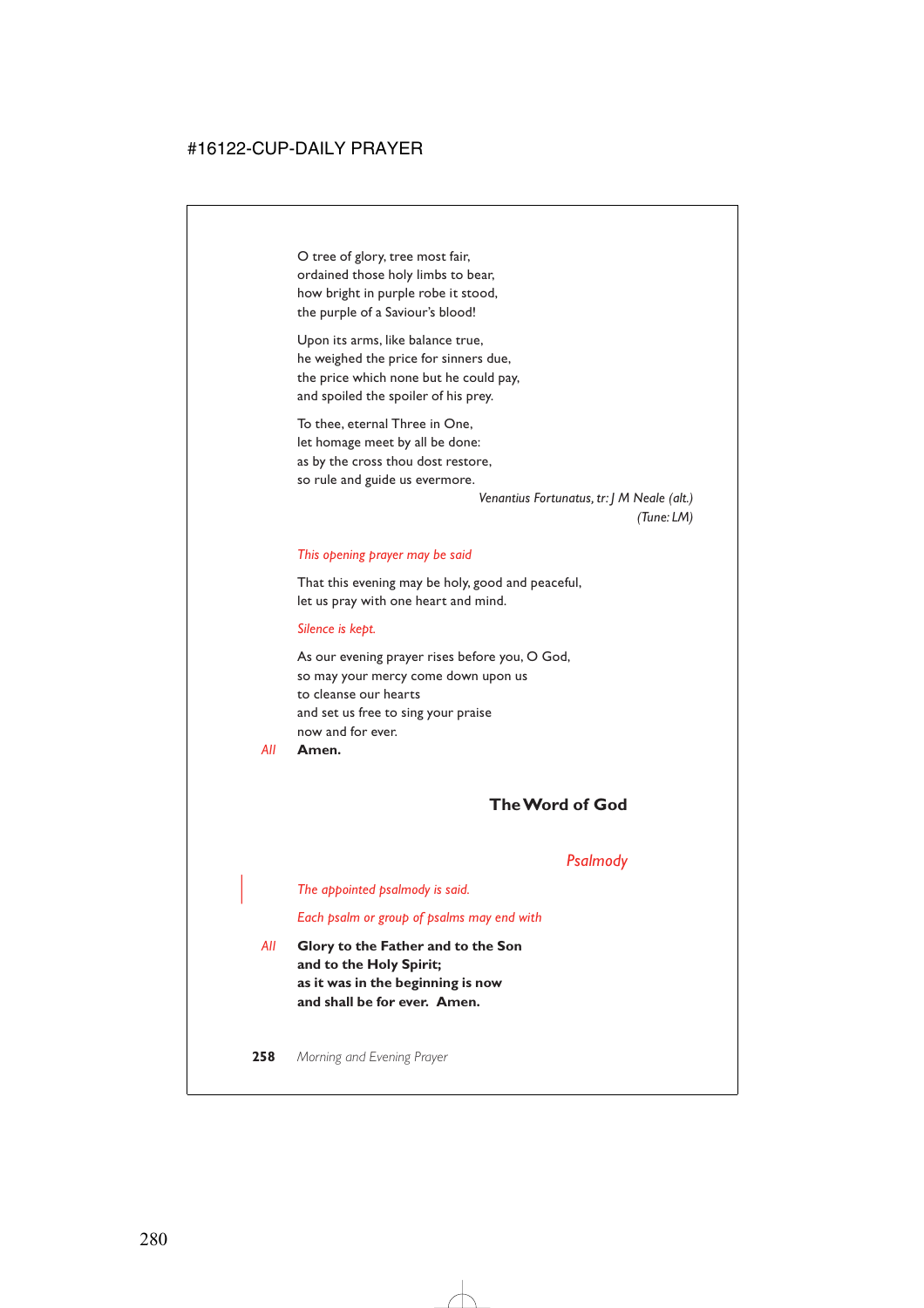O tree of glory, tree most fair, ordained those holy limbs to bear, how bright in purple robe it stood, the purple of a Saviour's blood!

Upon its arms, like balance true, he weighed the price for sinners due, the price which none but he could pay, and spoiled the spoiler of his prey.

To thee, eternal Three in One, let homage meet by all be done: as by the cross thou dost restore, so rule and guide us evermore.

> *Venantius Fortunatus, tr: J M Neale (alt.) (Tune: LM)*

#### *This opening prayer may be said*

That this evening may be holy, good and peaceful, let us pray with one heart and mind.

#### *Silence is kept.*

As our evening prayer rises before you, O God, so may your mercy come down upon us to cleanse our hearts and set us free to sing your praise now and for ever.

*All* **Amen.**

### **The Word of God**

#### *Psalmody*

| *The appointed psalmody is said.*

*Each psalm or group of psalms may end with*

*All* **Glory to the Father and to the Son and to the Holy Spirit; as it was in the beginning is now and shall be for ever. Amen.**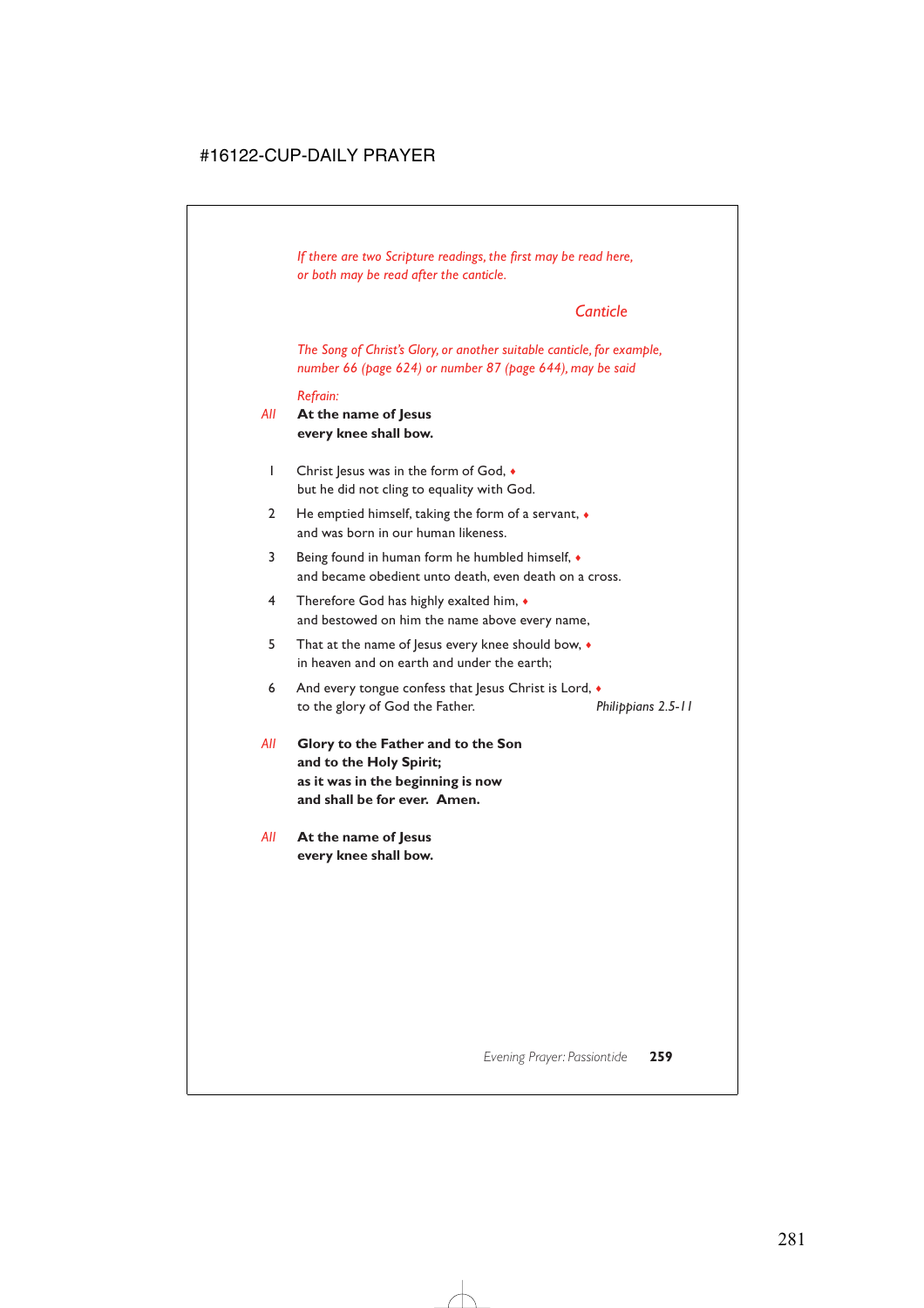*If there are two Scripture readings, the first may be read here, or both may be read after the canticle.*

## *Canticle*

*The Song of Christ's Glory, or another suitable canticle, for example, number 66 (page 624) or number 87 (page 644), may be said*

#### *Refrain:*

### *All* **At the name of Jesus every knee shall bow.**

- 1 Christ Jesus was in the form of God,  $\bullet$ but he did not cling to equality with God.
- 2 He emptied himself, taking the form of a servant,  $\bullet$ and was born in our human likeness.
- 3 Being found in human form he humbled himself, ♦ and became obedient unto death, even death on a cross.
- 4 Therefore God has highly exalted him, ♦ and bestowed on him the name above every name,
- 5 That at the name of Jesus every knee should bow,  $\bullet$ in heaven and on earth and under the earth;
- 6 And every tongue confess that Jesus Christ is Lord,  $\bullet$ to the glory of God the Father. *Philippians 2.5-11*
- *All* **Glory to the Father and to the Son and to the Holy Spirit; as it was in the beginning is now and shall be for ever. Amen.**
- *All* **At the name of Jesus every knee shall bow.**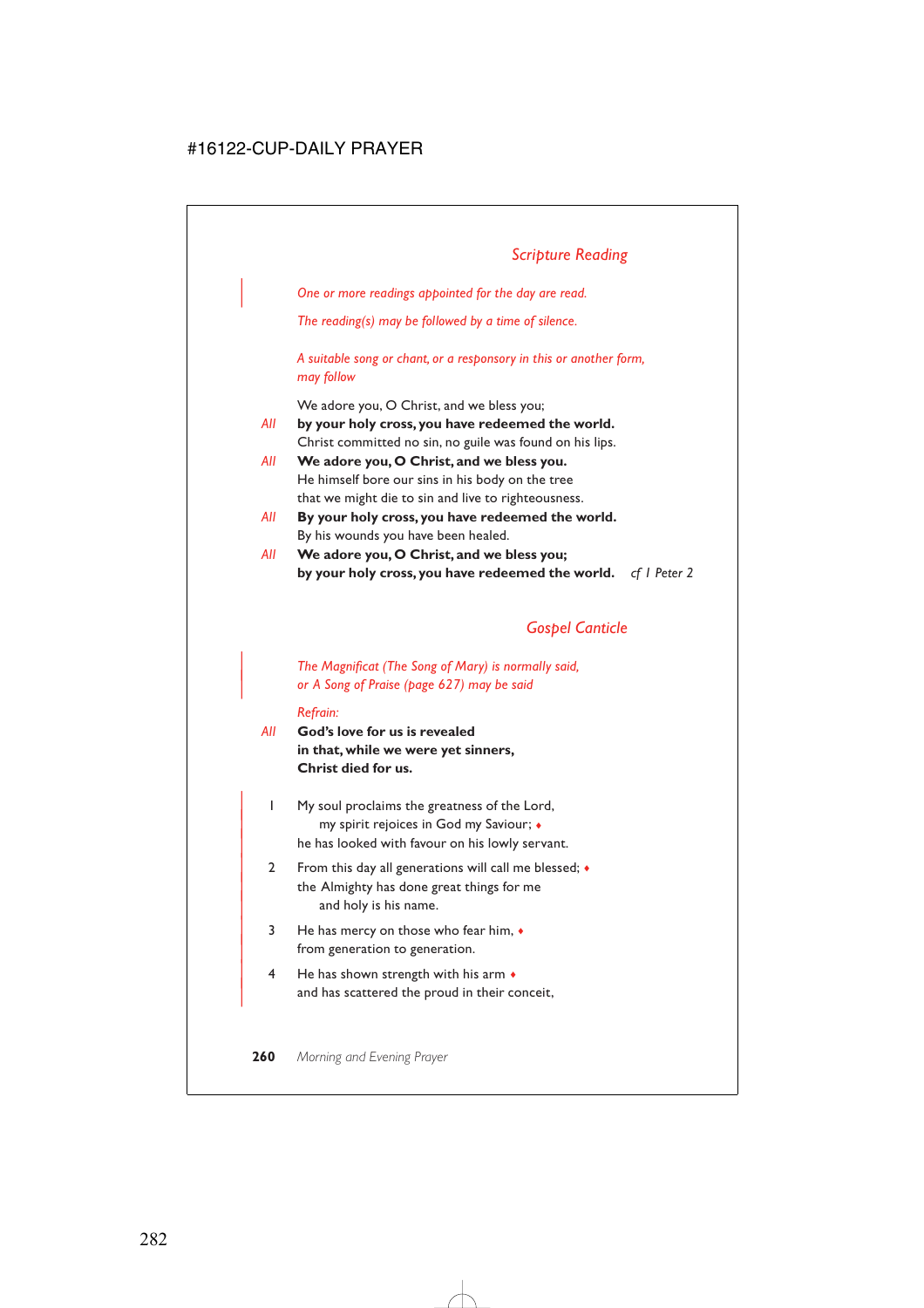| *One or more readings appointed for the day are read.*

*The reading(s) may be followed by a time of silence.*

*A suitable song or chant, or a responsory in this or another form, may follow*

We adore you, O Christ, and we bless you;

- *All* **by your holy cross, you have redeemed the world.** Christ committed no sin, no guile was found on his lips.
- *All* **We adore you, O Christ, and we bless you.** He himself bore our sins in his body on the tree that we might die to sin and live to righteousness.
- *All* **By your holy cross, you have redeemed the world.** By his wounds you have been healed.
- *All* **We adore you, O Christ, and we bless you; by your holy cross, you have redeemed the world.** *cf 1 Peter 2*

## *Gospel Canticle*

### | *The Magnificat (The Song of Mary) is normally said,* | *or A Song of Praise (page 627) may be said*

#### *Refrain:*

- *All* **God's love for us is revealed in that, while we were yet sinners, Christ died for us.**
	- | 1 My soul proclaims the greatness of the Lord, | my spirit rejoices in God my Saviour; ♦ he has looked with favour on his lowly servant.
	- 2 From this day all generations will call me blessed;  $\bullet$ the Almighty has done great things for me and holy is his name.
	- $3$  He has mercy on those who fear him,  $\bullet$ from generation to generation.
	- $4$  He has shown strength with his arm  $\bullet$ and has scattered the proud in their conceit,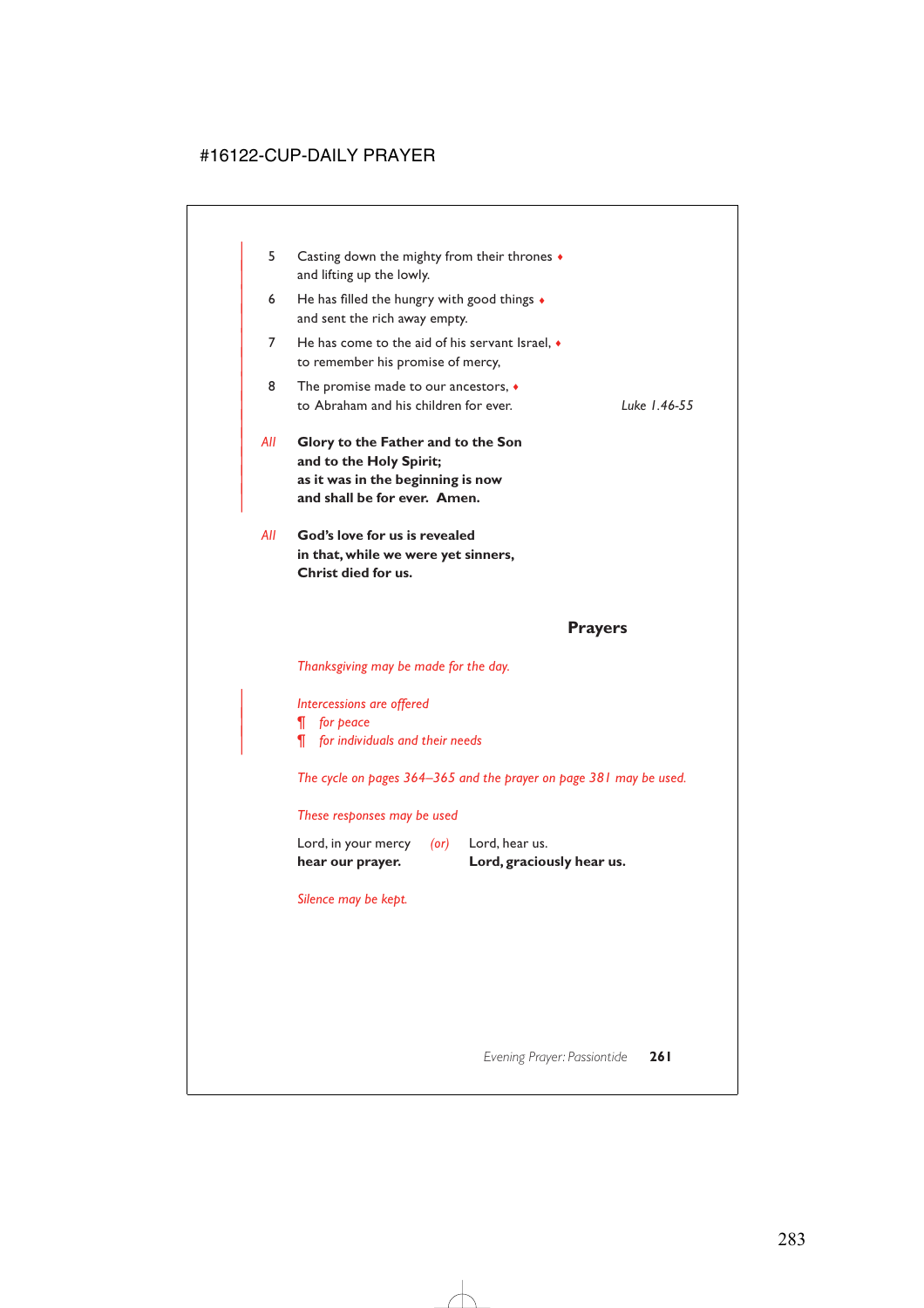| 5.  | Casting down the mighty from their thrones $\bullet$<br>and lifting up the lowly.                                                  |                |
|-----|------------------------------------------------------------------------------------------------------------------------------------|----------------|
| 6   | He has filled the hungry with good things $\bullet$<br>and sent the rich away empty.                                               |                |
| 7   | He has come to the aid of his servant Israel, $\bullet$<br>to remember his promise of mercy,                                       |                |
| 8   | The promise made to our ancestors, $\bullet$<br>to Abraham and his children for ever.                                              | Luke 1.46-55   |
| All | Glory to the Father and to the Son<br>and to the Holy Spirit;<br>as it was in the beginning is now<br>and shall be for ever. Amen. |                |
| All | God's love for us is revealed<br>in that, while we were yet sinners,<br>Christ died for us.                                        |                |
|     |                                                                                                                                    | <b>Prayers</b> |

### *Thanksgiving may be made for the day.*

| *Intercessions are offered* | *¶ for peace* | *¶ for individuals and their needs*

*The cycle on pages 364–365 and the prayer on page 381 may be used.*

#### *These responses may be used*

| hear our prayer.    |      | Lord, graciously hear us. |
|---------------------|------|---------------------------|
| Lord, in your mercy | (or) | Lord, hear us.            |

*Silence may be kept.*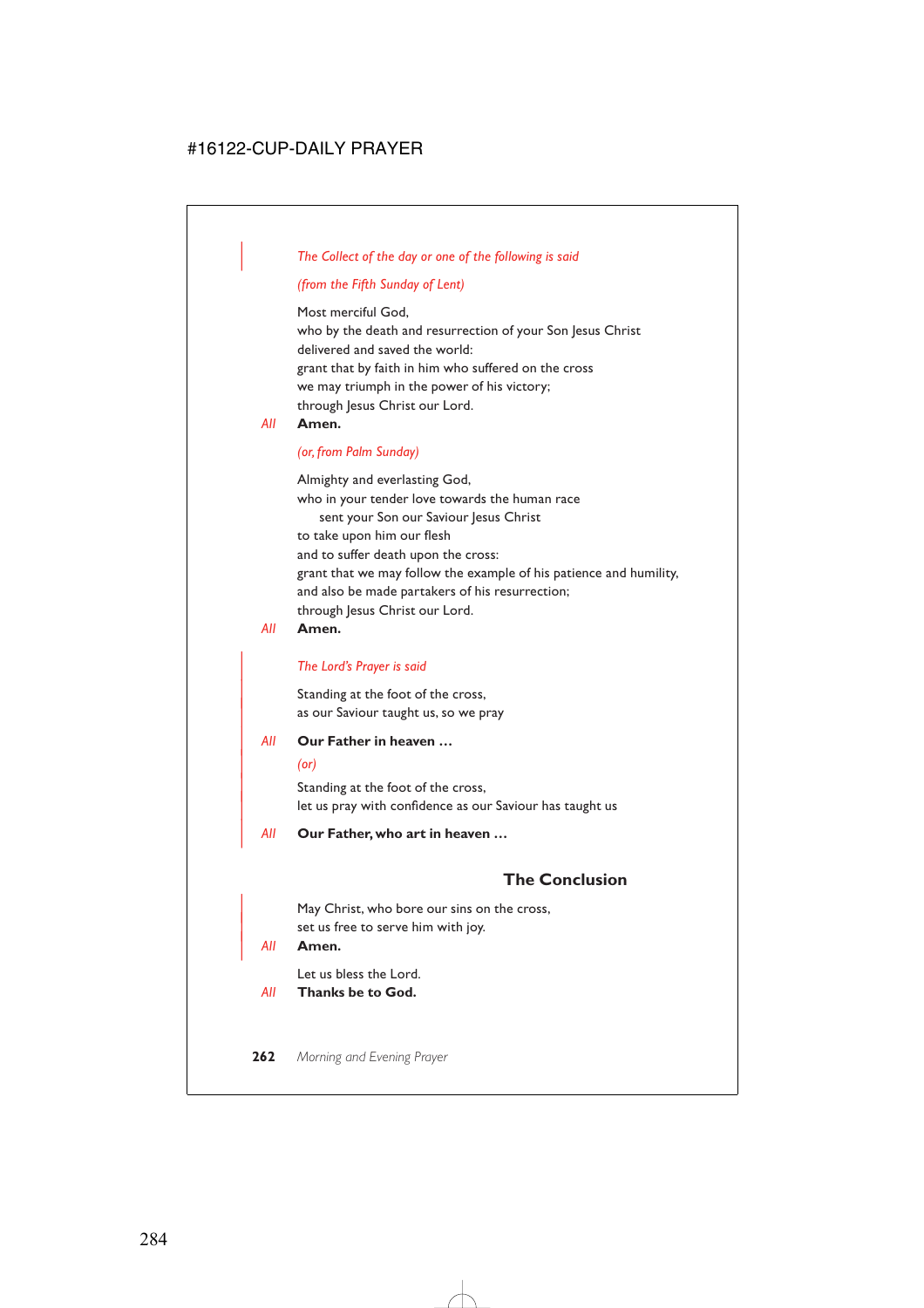### | *The Collect of the day or one of the following is said*

### *(from the Fifth Sunday of Lent)*

Most merciful God, who by the death and resurrection of your Son Jesus Christ delivered and saved the world: grant that by faith in him who suffered on the cross we may triumph in the power of his victory; through Jesus Christ our Lord.

### *All* **Amen.**

#### *(or, from Palm Sunday)*

Almighty and everlasting God, who in your tender love towards the human race sent your Son our Saviour Jesus Christ to take upon him our flesh and to suffer death upon the cross: grant that we may follow the example of his patience and humility, and also be made partakers of his resurrection; through Jesus Christ our Lord.

#### *All* **Amen.**

#### | *The Lord's Prayer is said*

Standing at the foot of the cross, as our Saviour taught us, so we pray

#### | *All* **Our Father in heaven …**

#### | *(or)*

Standing at the foot of the cross, let us pray with confidence as our Saviour has taught us

| *All* **Our Father, who art in heaven …**

## **The Conclusion**

May Christ, who bore our sins on the cross, set us free to serve him with joy.

#### | *All* **Amen.**

Let us bless the Lord.

*All* **Thanks be to God.**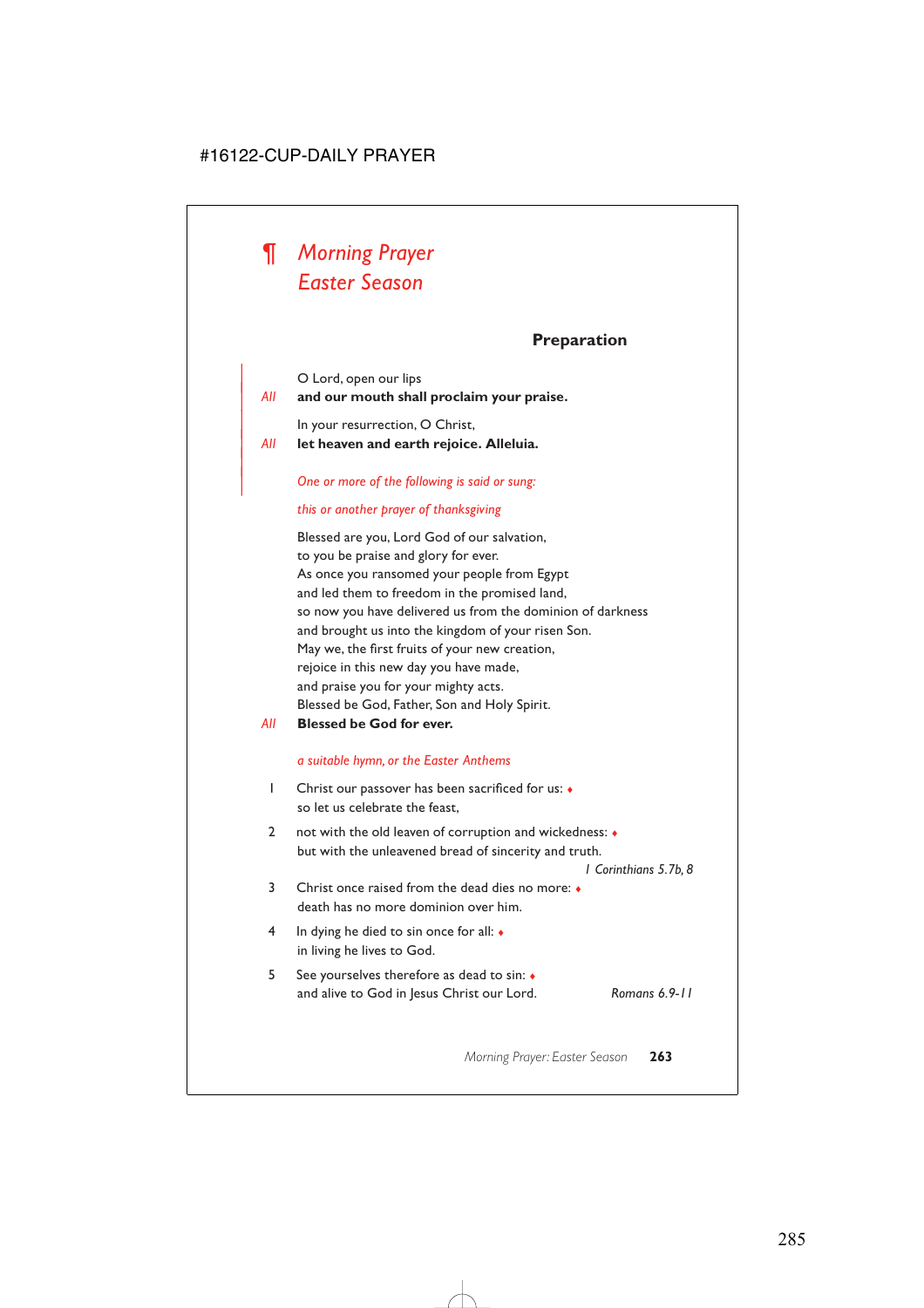# *¶ Morning Prayer Easter Season*

## **Preparation**

| O Lord, open our lips

|

### | *All* **and our mouth shall proclaim your praise.**

In your resurrection, O Christ,

| *All* **let heaven and earth rejoice. Alleluia.**

#### | *One or more of the following is said or sung:*

#### *this or another prayer of thanksgiving*

Blessed are you, Lord God of our salvation, to you be praise and glory for ever. As once you ransomed your people from Egypt and led them to freedom in the promised land, so now you have delivered us from the dominion of darkness and brought us into the kingdom of your risen Son. May we, the first fruits of your new creation, rejoice in this new day you have made, and praise you for your mighty acts. Blessed be God, Father, Son and Holy Spirit.

*All* **Blessed be God for ever.**

#### *a suitable hymn, or the Easter Anthems*

- 1 Christ our passover has been sacrificed for us: ♦ so let us celebrate the feast,
- 2 not with the old leaven of corruption and wickedness: ♦ but with the unleavened bread of sincerity and truth.

*1 Corinthians 5.7b, 8*

- 3 Christ once raised from the dead dies no more: ♦ death has no more dominion over him.
- 4 In dying he died to sin once for all: ♦ in living he lives to God.
- 5 See yourselves therefore as dead to sin: ♦ and alive to God in Jesus Christ our Lord. *Romans 6.9-11*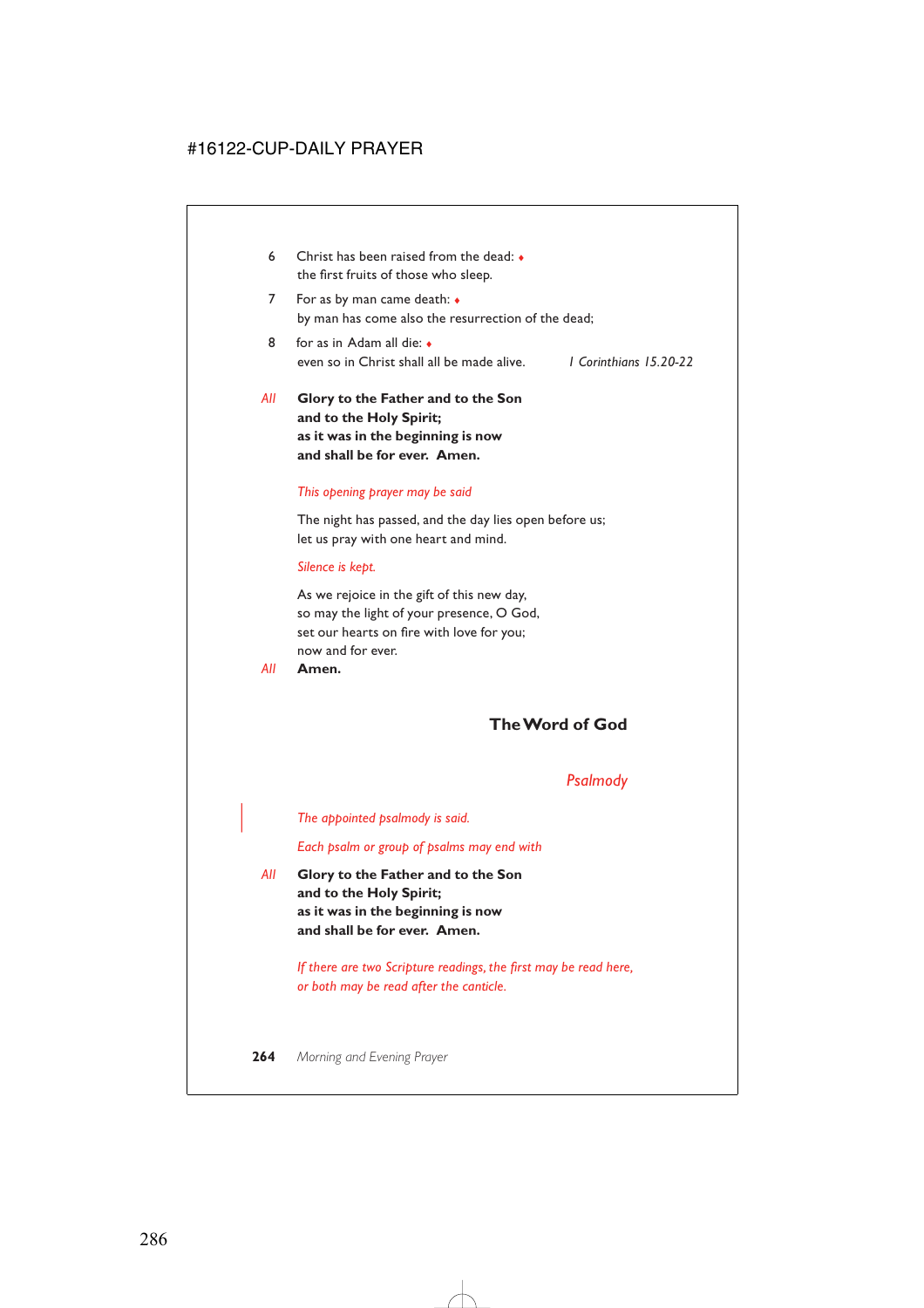- 6 Christ has been raised from the dead: ♦ the first fruits of those who sleep.
- 7 For as by man came death: ♦ by man has come also the resurrection of the dead;
- 8 for as in Adam all die: ♦ even so in Christ shall all be made alive. *1 Corinthians 15.20-22*
- *All* **Glory to the Father and to the Son and to the Holy Spirit; as it was in the beginning is now and shall be for ever. Amen.**

#### *This opening prayer may be said*

The night has passed, and the day lies open before us; let us pray with one heart and mind.

#### *Silence is kept.*

As we rejoice in the gift of this new day, so may the light of your presence, O God, set our hearts on fire with love for you; now and for ever.

*All* **Amen.**

## **The Word of God**

### *Psalmody*

| *The appointed psalmody is said.*

*Each psalm or group of psalms may end with*

*All* **Glory to the Father and to the Son and to the Holy Spirit; as it was in the beginning is now and shall be for ever. Amen.**

> *If there are two Scripture readings, the first may be read here, or both may be read after the canticle.*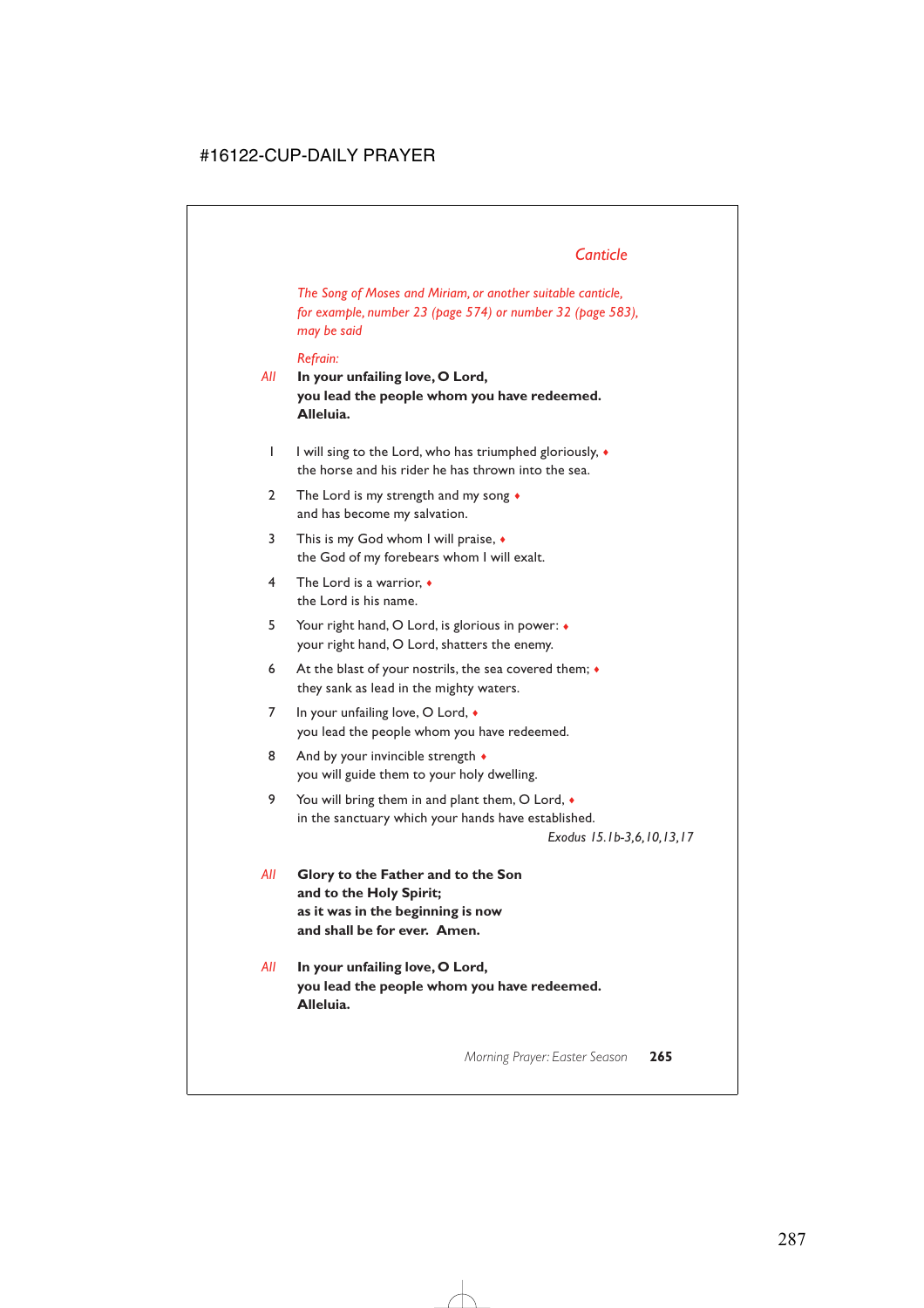*The Song of Moses and Miriam, or another suitable canticle, for example, number 23 (page 574) or number 32 (page 583), may be said*

#### *Refrain:*

- *All* **In your unfailing love, O Lord, you lead the people whom you have redeemed. Alleluia.**
	- 1 I will sing to the Lord, who has triumphed gloriously, ♦ the horse and his rider he has thrown into the sea.
	- 2 The Lord is my strength and my song  $\bullet$ and has become my salvation.
	- 3 This is my God whom I will praise,  $\bullet$ the God of my forebears whom I will exalt.
	- 4 The Lord is a warrior, ♦ the Lord is his name.
	- 5 Your right hand, O Lord, is glorious in power: ♦ your right hand, O Lord, shatters the enemy.
	- 6 At the blast of your nostrils, the sea covered them;  $\bullet$ they sank as lead in the mighty waters.
	- 7 In your unfailing love, O Lord,  $\triangleleft$ you lead the people whom you have redeemed.
	- 8 And by your invincible strength  $\bullet$ you will guide them to your holy dwelling.
	- 9 You will bring them in and plant them, O Lord,  $\bullet$ in the sanctuary which your hands have established.

*Exodus 15.1b-3,6,10,13,17*

- *All* **Glory to the Father and to the Son and to the Holy Spirit; as it was in the beginning is now and shall be for ever. Amen.**
- *All* **In your unfailing love, O Lord, you lead the people whom you have redeemed. Alleluia.**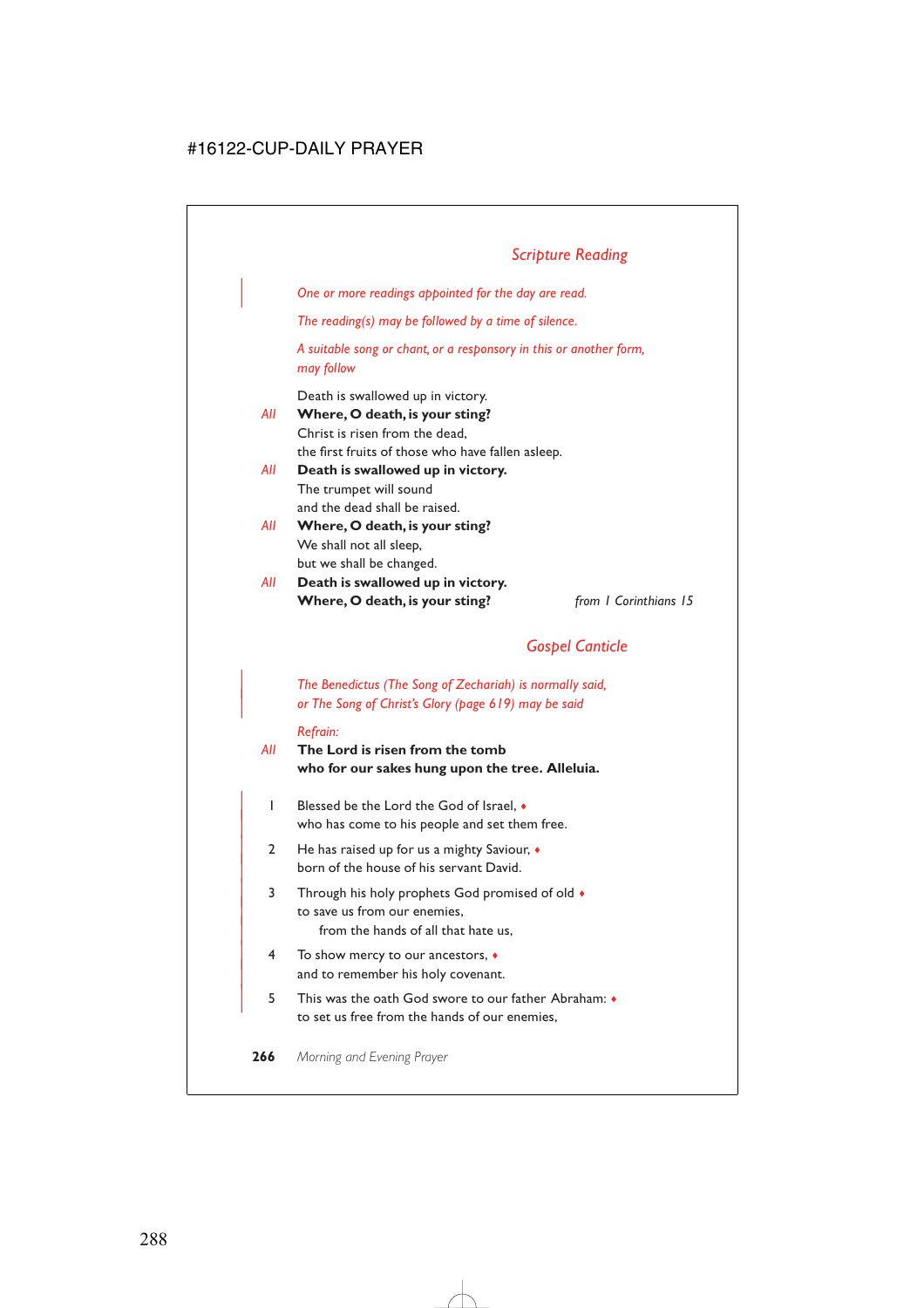## *Scripture Reading*

| *One or more readings appointed for the day are read.*

*The reading(s) may be followed by a time of silence.*

*A suitable song or chant, or a responsory in this or another form, may follow*

Death is swallowed up in victory.

*All* **Where, O death, is your sting?** Christ is risen from the dead, the first fruits of those who have fallen asleep.

- *All* **Death is swallowed up in victory.** The trumpet will sound and the dead shall be raised.
- *All* **Where, O death, is your sting?** We shall not all sleep, but we shall be changed.
- *All* **Death is swallowed up in victory. Where, O death, is your sting?** *from 1 Corinthians 15*

## *Gospel Canticle*

| *The Benedictus (The Song of Zechariah) is normally said,* | *or The Song of Christ's Glory (page 619) may be said*

#### *Refrain:*

- *All* **The Lord is risen from the tomb who for our sakes hung upon the tree. Alleluia.**
	- | 1 Blessed be the Lord the God of Israel, ♦ who has come to his people and set them free.
	- | 2 He has raised up for us a mighty Saviour, ♦ born of the house of his servant David.
	- | 3 Through his holy prophets God promised of old ♦ to save us from our enemies. from the hands of all that hate us,
	- | 4 To show mercy to our ancestors, ♦ and to remember his holy covenant.
	- | 5 This was the oath God swore to our father Abraham: ♦ to set us free from the hands of our enemies,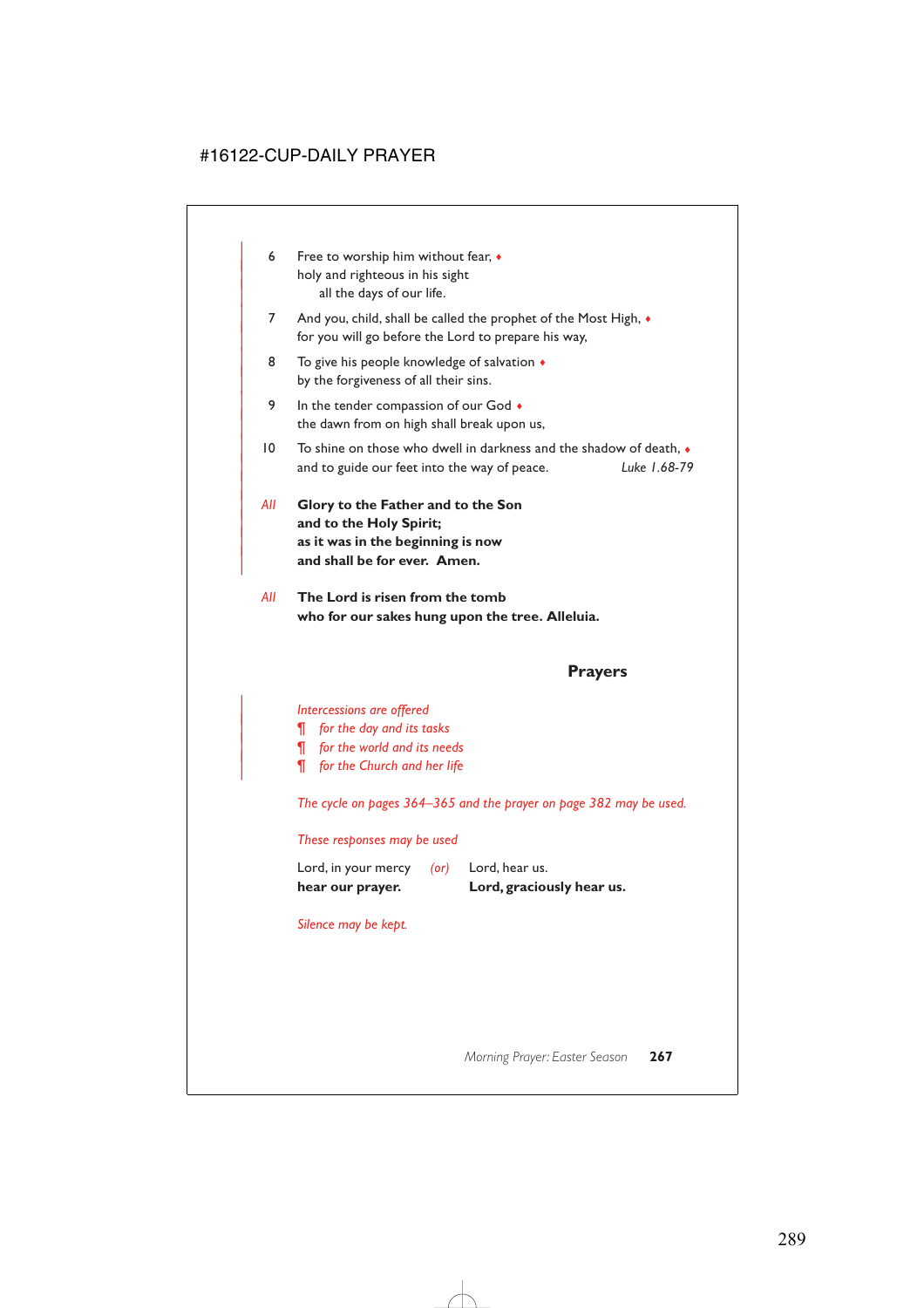- 6 Free to worship him without fear,  $\bullet$ holy and righteous in his sight all the days of our life.
- 7 And you, child, shall be called the prophet of the Most High,  $\bullet$ for you will go before the Lord to prepare his way,
- 8 To give his people knowledge of salvation  $\triangleleft$ by the forgiveness of all their sins.
- 9 In the tender compassion of our God  $\bullet$ the dawn from on high shall break upon us,
- $10$  To shine on those who dwell in darkness and the shadow of death,  $\bullet$ | and to guide our feet into the way of peace. *Luke 1.68-79*
- | *All* **Glory to the Father and to the Son** and to the Holy Spirit; | **as it was in the beginning is now** and shall be for ever. Amen.

|

*All* **The Lord is risen from the tomb who for our sakes hung upon the tree. Alleluia.**

## **Prayers**

#### | *Intercessions are offered*

- | *¶ for the day and its tasks*
- | *¶ for the world and its needs*
- | *¶ for the Church and her life*

*The cycle on pages 364–365 and the prayer on page 382 may be used.*

#### *These responses may be used*

| hear our prayer.    |            | Lord, graciously hear us. |
|---------------------|------------|---------------------------|
| Lord, in your mercy | $($ or $)$ | Lord, hear us.            |

*Silence may be kept.*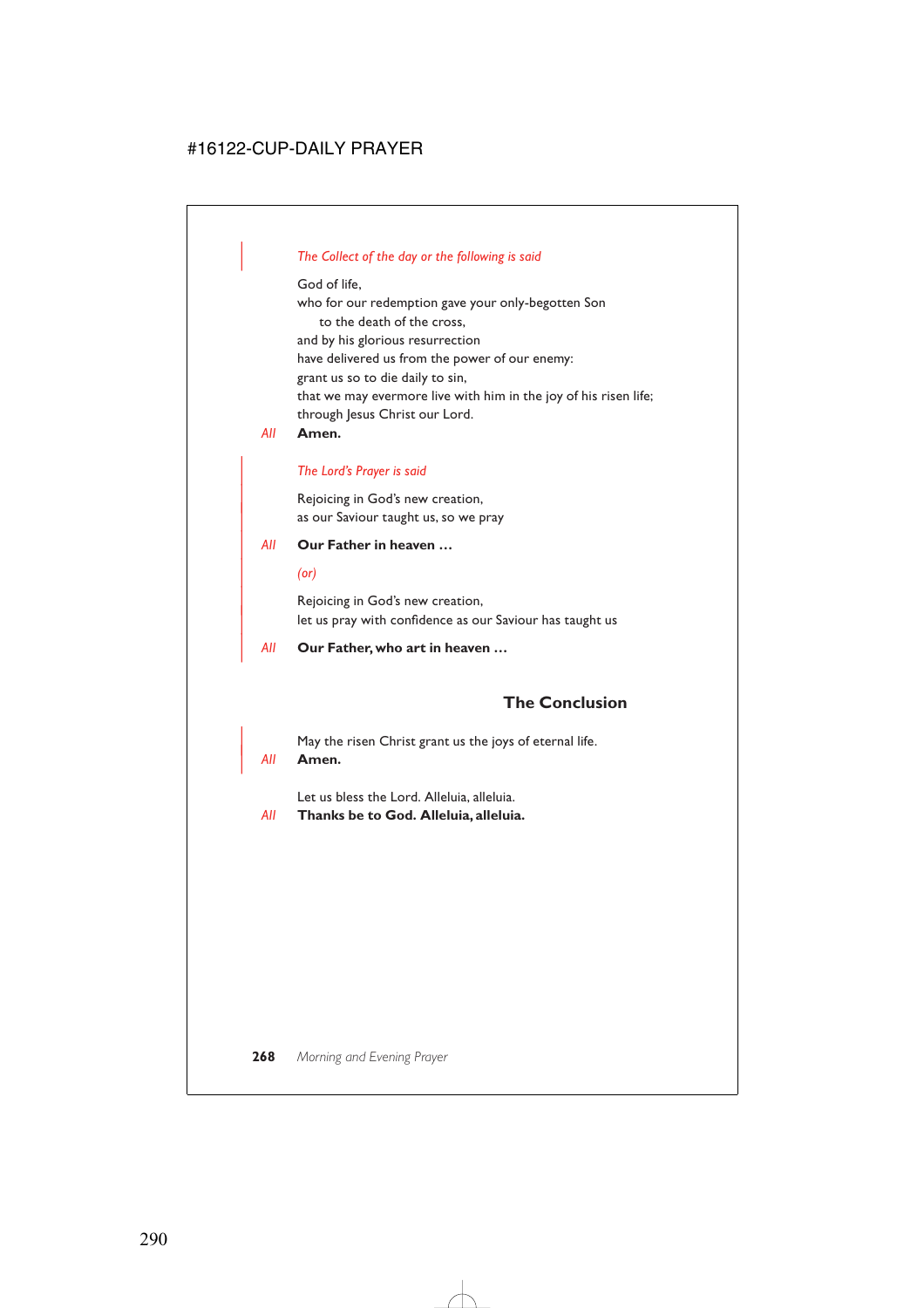### | *The Collect of the day or the following is said*

God of life,

who for our redemption gave your only-begotten Son to the death of the cross, and by his glorious resurrection have delivered us from the power of our enemy: grant us so to die daily to sin, that we may evermore live with him in the joy of his risen life; through Jesus Christ our Lord.

*All* **Amen.**

#### | *The Lord's Prayer is said*

Rejoicing in God's new creation, as our Saviour taught us, so we pray

#### | *All* **Our Father in heaven …**

| *(or)*

Rejoicing in God's new creation, let us pray with confidence as our Saviour has taught us

| *All* **Our Father, who art in heaven …**

## **The Conclusion**

May the risen Christ grant us the joys of eternal life.

#### | *All* **Amen.**

Let us bless the Lord. Alleluia, alleluia.

*All* **Thanks be to God. Alleluia, alleluia.**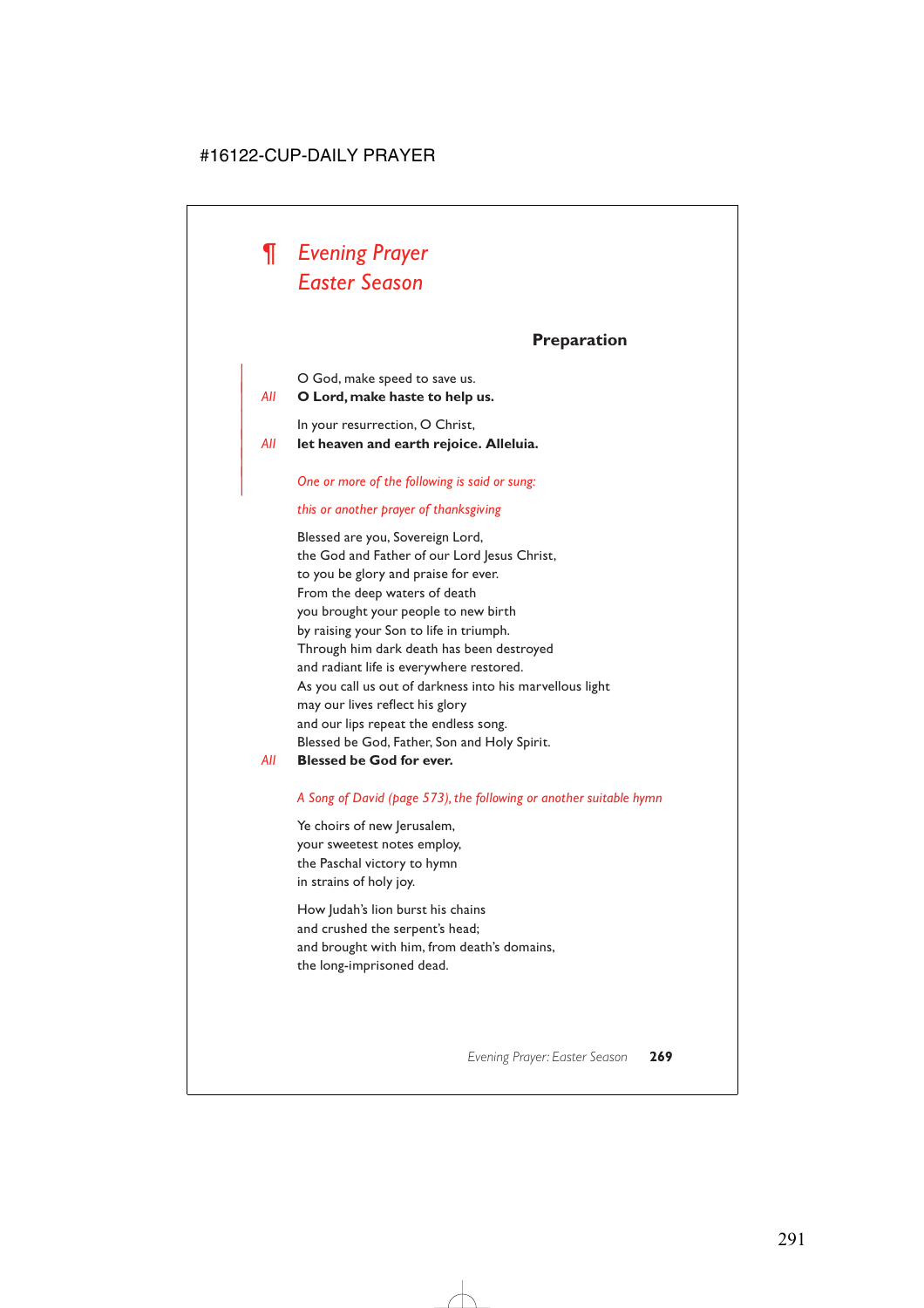

|

### **Preparation**

| O God, make speed to save us.

| *All* **O Lord, make haste to help us.**

In your resurrection, O Christ,

| *All* **let heaven and earth rejoice. Alleluia.**

#### | *One or more of the following is said or sung:*

#### *this or another prayer of thanksgiving*

Blessed are you, Sovereign Lord, the God and Father of our Lord Jesus Christ, to you be glory and praise for ever. From the deep waters of death you brought your people to new birth by raising your Son to life in triumph. Through him dark death has been destroyed and radiant life is everywhere restored. As you call us out of darkness into his marvellous light may our lives reflect his glory and our lips repeat the endless song. Blessed be God, Father, Son and Holy Spirit.

#### *All* **Blessed be God for ever.**

#### *A Song of David (page 573), the following or another suitable hymn*

Ye choirs of new Jerusalem, your sweetest notes employ, the Paschal victory to hymn in strains of holy joy.

How Judah's lion burst his chains and crushed the serpent's head; and brought with him, from death's domains, the long-imprisoned dead.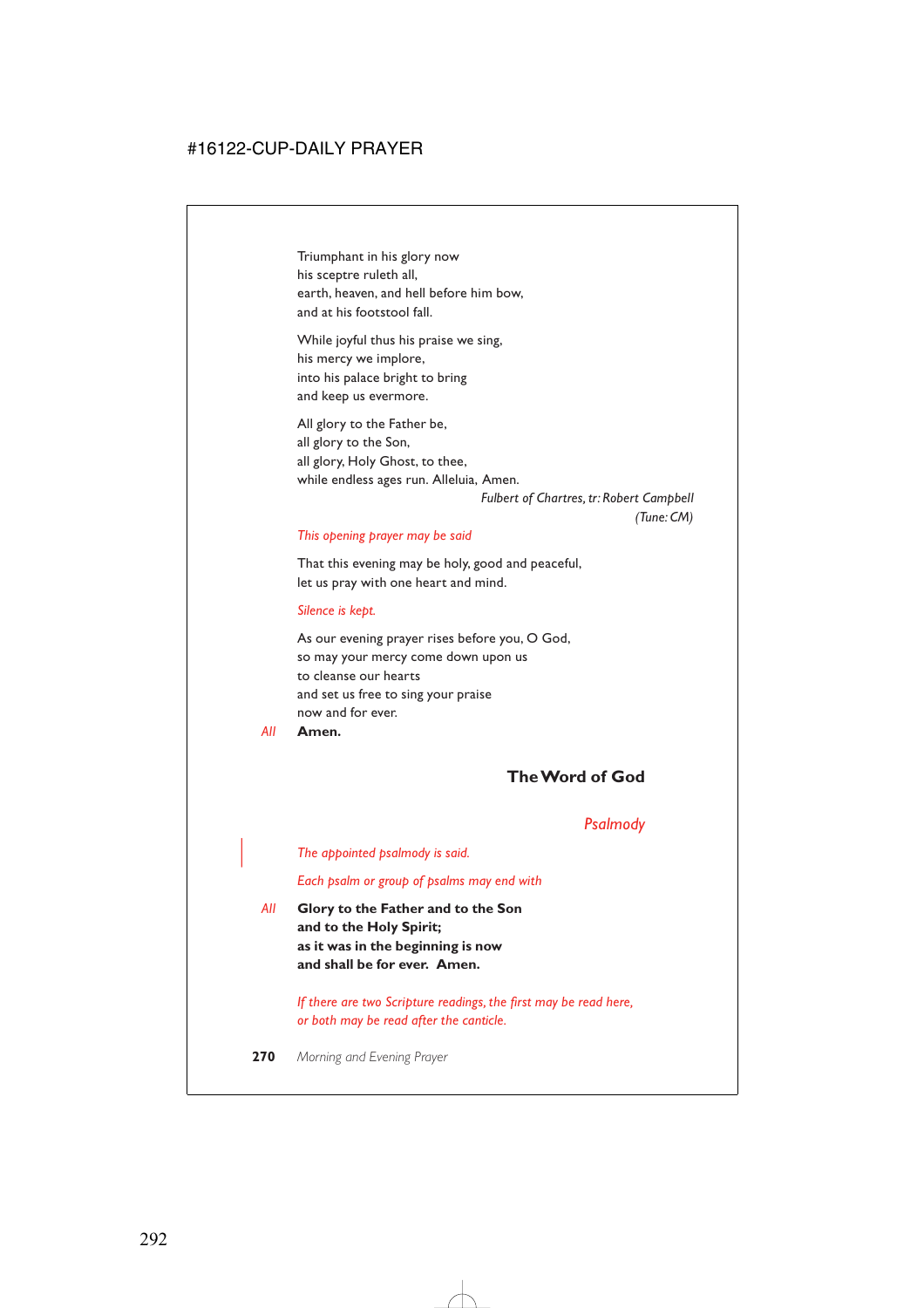Triumphant in his glory now his sceptre ruleth all, earth, heaven, and hell before him bow, and at his footstool fall.

While joyful thus his praise we sing, his mercy we implore, into his palace bright to bring and keep us evermore.

All glory to the Father be, all glory to the Son, all glory, Holy Ghost, to thee, while endless ages run. Alleluia, Amen.

> *Fulbert of Chartres, tr: Robert Campbell (Tune: CM)*

#### *This opening prayer may be said*

That this evening may be holy, good and peaceful, let us pray with one heart and mind.

#### *Silence is kept.*

As our evening prayer rises before you, O God, so may your mercy come down upon us to cleanse our hearts and set us free to sing your praise now and for ever.

*All* **Amen.**

## **The Word of God**

### *Psalmody*

| *The appointed psalmody is said.*

*Each psalm or group of psalms may end with*

*All* **Glory to the Father and to the Son and to the Holy Spirit; as it was in the beginning is now and shall be for ever. Amen.**

> *If there are two Scripture readings, the first may be read here, or both may be read after the canticle.*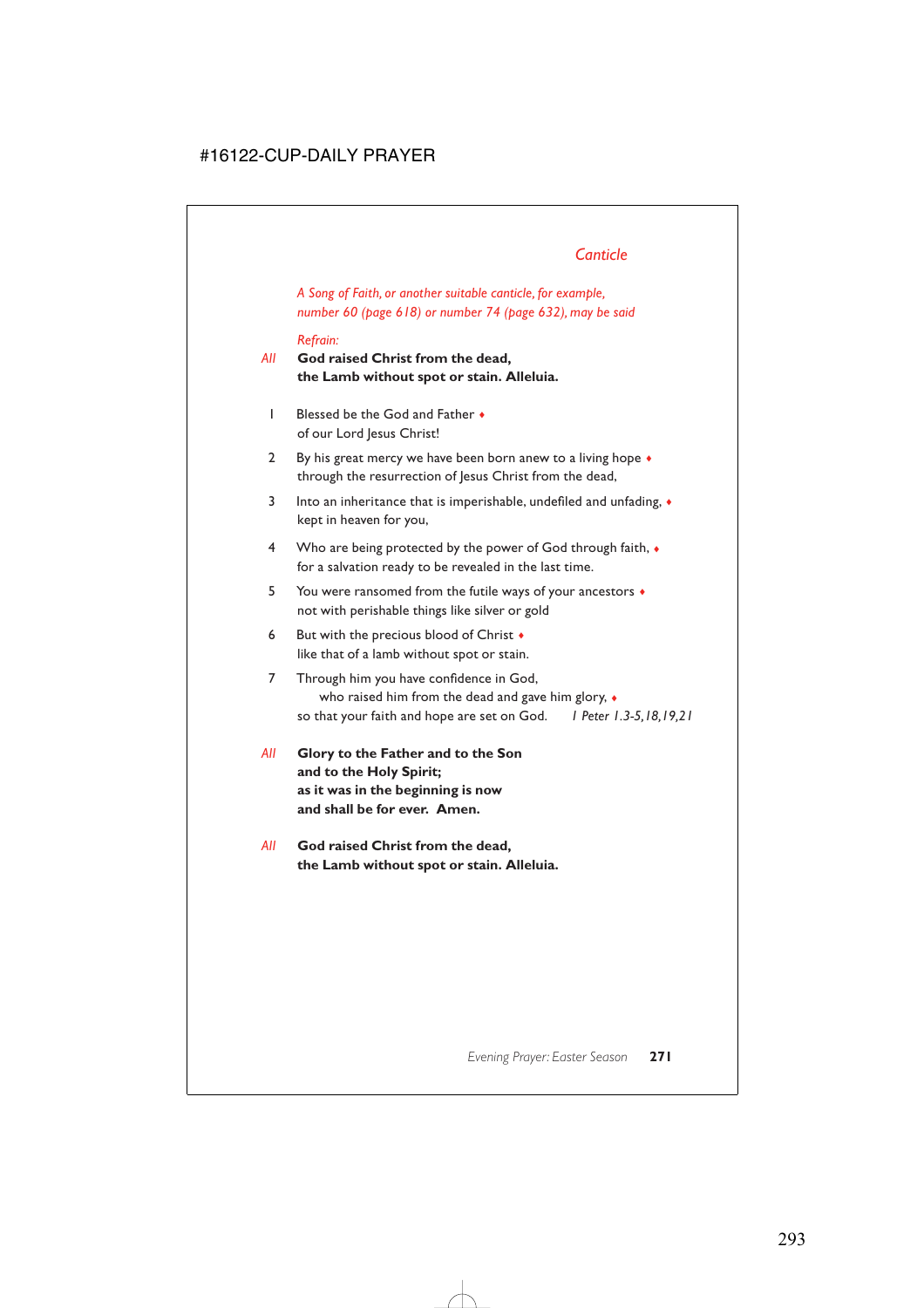*A Song of Faith, or another suitable canticle, for example, number 60 (page 618) or number 74 (page 632), may be said*

#### *Refrain:*

# *All* **God raised Christ from the dead, the Lamb without spot or stain. Alleluia.**

- 1 Blessed be the God and Father ♦ of our Lord Jesus Christ!
- 2 By his great mercy we have been born anew to a living hope  $\bullet$ through the resurrection of Jesus Christ from the dead,
- 3 Into an inheritance that is imperishable, undefiled and unfading,  $\bullet$ kept in heaven for you,
- 4 Who are being protected by the power of God through faith,  $\bullet$ for a salvation ready to be revealed in the last time.
- 5 You were ransomed from the futile ways of your ancestors ♦ not with perishable things like silver or gold
- 6 But with the precious blood of Christ  $\bullet$ like that of a lamb without spot or stain.
- 7 Through him you have confidence in God, who raised him from the dead and gave him glory, ♦ so that your faith and hope are set on God. *1 Peter 1.3-5,18,19,21*
- *All* **Glory to the Father and to the Son and to the Holy Spirit; as it was in the beginning is now and shall be for ever. Amen.**
- *All* **God raised Christ from the dead, the Lamb without spot or stain. Alleluia.**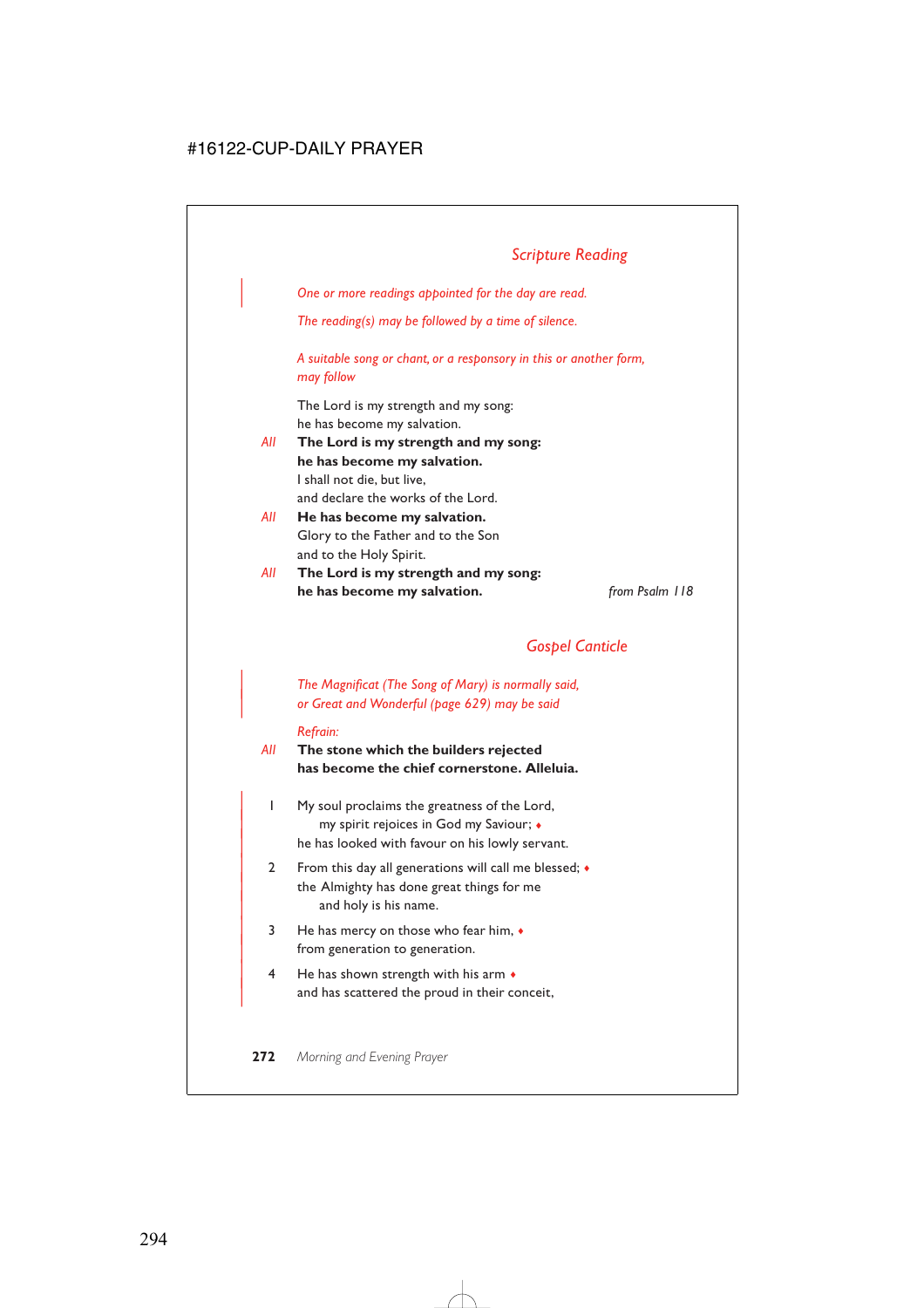| *One or more readings appointed for the day are read.*

*The reading(s) may be followed by a time of silence.*

*A suitable song or chant, or a responsory in this or another form, may follow*

The Lord is my strength and my song: he has become my salvation.

- *All* **The Lord is my strength and my song: he has become my salvation.** I shall not die, but live, and declare the works of the Lord.
- *All* **He has become my salvation.** Glory to the Father and to the Son and to the Holy Spirit.
- *All* **The Lord is my strength and my song: he has become my salvation.** *from Psalm 118*

# *Gospel Canticle*

| *The Magnificat (The Song of Mary) is normally said,* | *or Great and Wonderful (page 629) may be said*

#### *Refrain:*

## *All* **The stone which the builders rejected has become the chief cornerstone. Alleluia.**

- | 1 My soul proclaims the greatness of the Lord, | my spirit rejoices in God my Saviour; ♦ he has looked with favour on his lowly servant.
- 2 From this day all generations will call me blessed;  $\bullet$ the Almighty has done great things for me and holy is his name.
- $3$  He has mercy on those who fear him,  $\bullet$ from generation to generation.
- $4$  He has shown strength with his arm  $\bullet$ and has scattered the proud in their conceit,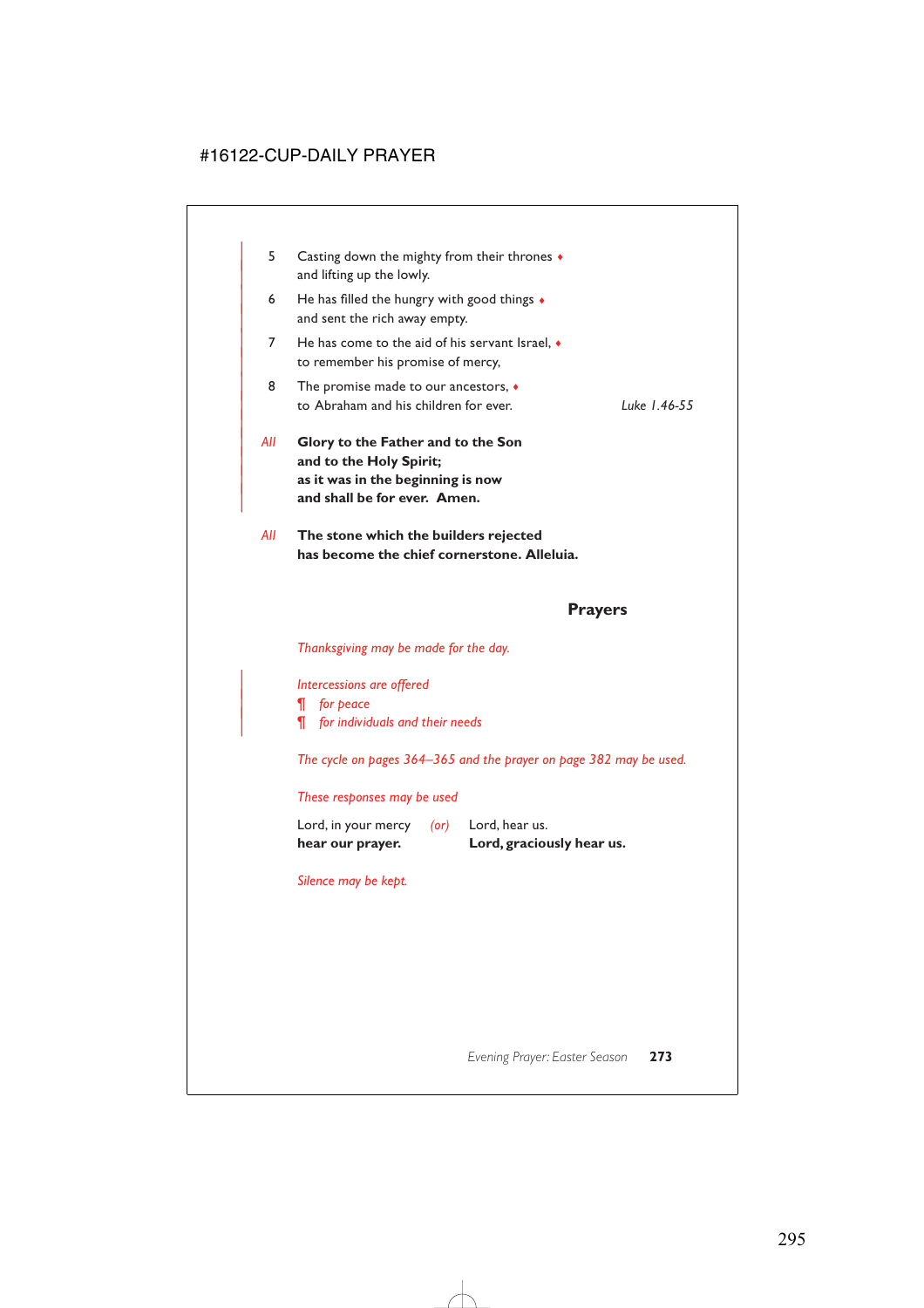| 5.  | Casting down the mighty from their thrones •<br>and lifting up the lowly.                                                          |              |
|-----|------------------------------------------------------------------------------------------------------------------------------------|--------------|
| 6   | He has filled the hungry with good things $\bullet$<br>and sent the rich away empty.                                               |              |
| 7   | He has come to the aid of his servant Israel, $\bullet$<br>to remember his promise of mercy,                                       |              |
| 8   | The promise made to our ancestors, $\bullet$<br>to Abraham and his children for ever.                                              | Luke 1.46-55 |
| All | Glory to the Father and to the Son<br>and to the Holy Spirit;<br>as it was in the beginning is now<br>and shall be for ever. Amen. |              |
|     | ラブレー・フィー スーパー・エストリー しょうしん こうしんしゅう こうしん こうしんしょう                                                                                     |              |

*All* **The stone which the builders rejected has become the chief cornerstone. Alleluia.**

## **Prayers**

*Thanksgiving may be made for the day.*

| *Intercessions are offered*

| *¶ for peace*

| *¶ for individuals and their needs*

*The cycle on pages 364–365 and the prayer on page 382 may be used.*

#### *These responses may be used*

| Lord, hear us. |
|----------------|
|                |
|                |

*Silence may be kept.*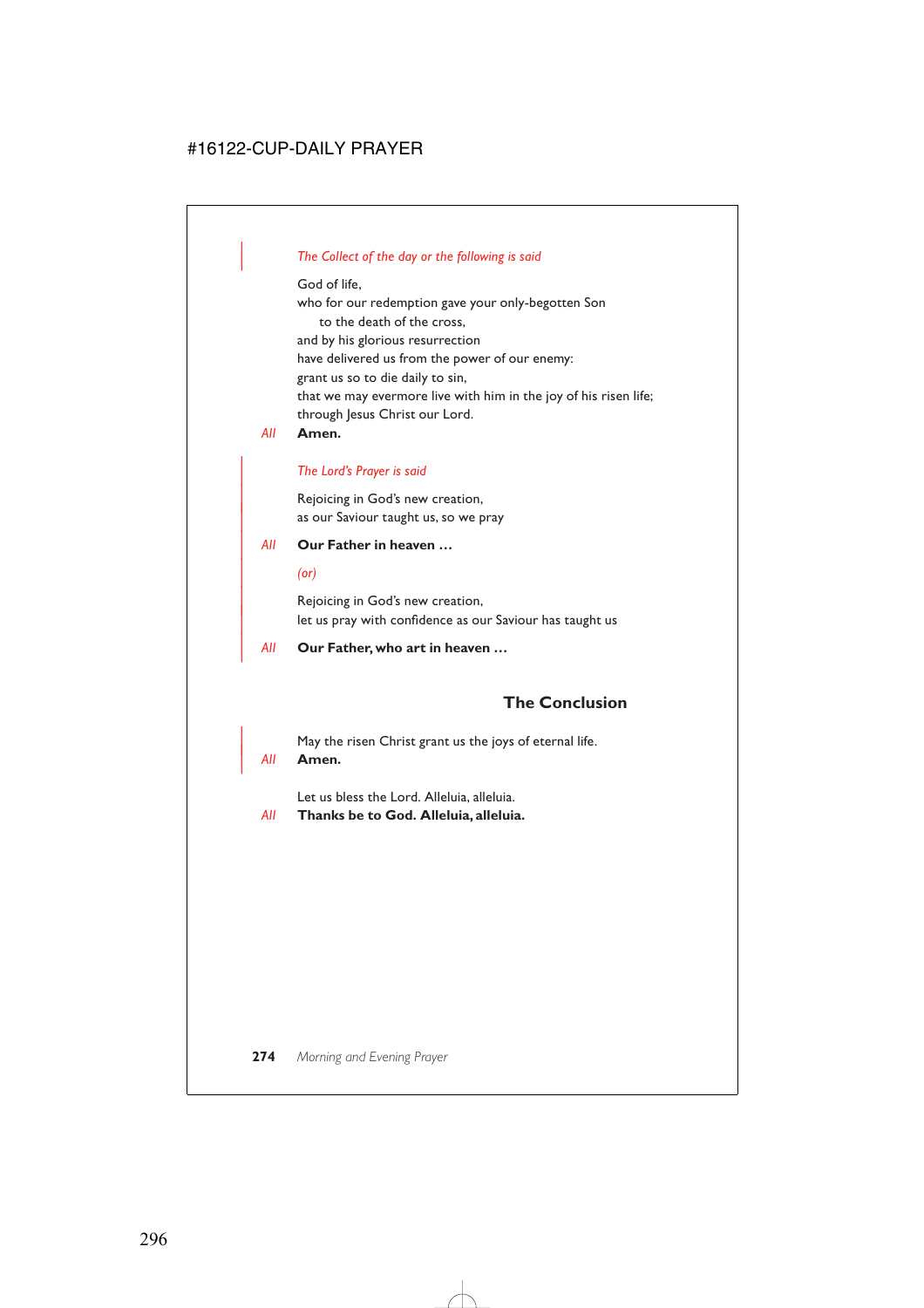## | *The Collect of the day or the following is said*

God of life,

who for our redemption gave your only-begotten Son to the death of the cross, and by his glorious resurrection have delivered us from the power of our enemy: grant us so to die daily to sin, that we may evermore live with him in the joy of his risen life; through Jesus Christ our Lord.

*All* **Amen.**

#### | *The Lord's Prayer is said*

Rejoicing in God's new creation, as our Saviour taught us, so we pray

#### | *All* **Our Father in heaven …**

| *(or)*

Rejoicing in God's new creation, let us pray with confidence as our Saviour has taught us

| *All* **Our Father, who art in heaven …**

# **The Conclusion**

May the risen Christ grant us the joys of eternal life.

#### | *All* **Amen.**

Let us bless the Lord. Alleluia, alleluia.

*All* **Thanks be to God. Alleluia, alleluia.**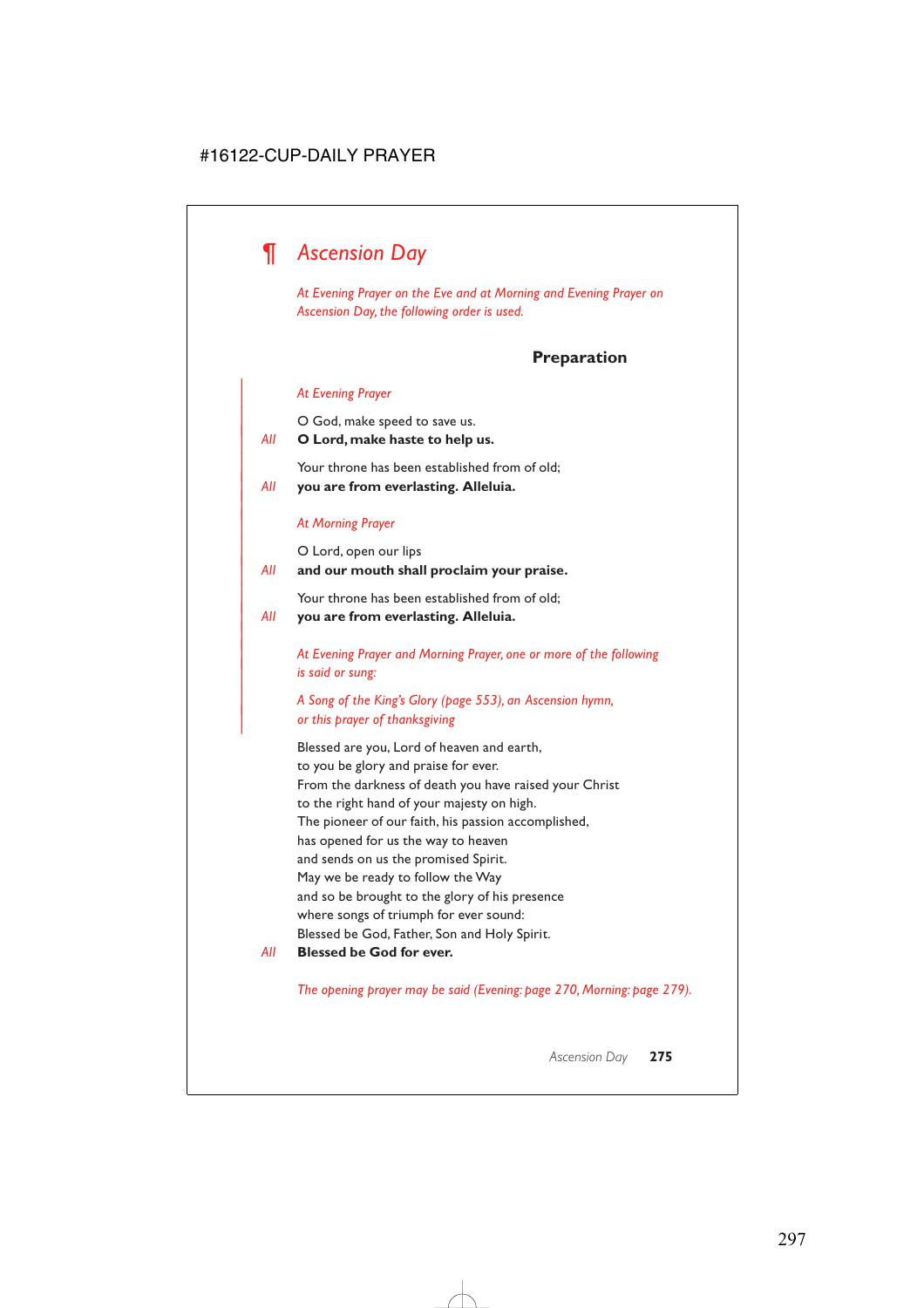# *¶ Ascension Day*

*At Evening Prayer on the Eve and at Morning and Evening Prayer on Ascension Day, the following order is used.*

# **Preparation**

#### | *At Evening Prayer*

| O God, make speed to save us.

#### | *All* **O Lord, make haste to help us.**

Your throne has been established from of old;

| *All* **you are from everlasting. Alleluia.**

#### | *At Morning Prayer*

|

|

O Lord, open our lips

## | *All* **and our mouth shall proclaim your praise.**

Your throne has been established from of old;

#### | *All* **you are from everlasting. Alleluia.**

| *At Evening Prayer and Morning Prayer, one or more of the following*  $is$  said or sung:

## | *A Song of the King's Glory (page 553), an Ascension hymn,* | *or this prayer of thanksgiving*

Blessed are you, Lord of heaven and earth, to you be glory and praise for ever. From the darkness of death you have raised your Christ to the right hand of your majesty on high. The pioneer of our faith, his passion accomplished, has opened for us the way to heaven and sends on us the promised Spirit. May we be ready to follow the Way and so be brought to the glory of his presence where songs of triumph for ever sound: Blessed be God, Father, Son and Holy Spirit.

#### *All* **Blessed be God for ever.**

*The opening prayer may be said (Evening: page 270, Morning: page 279).*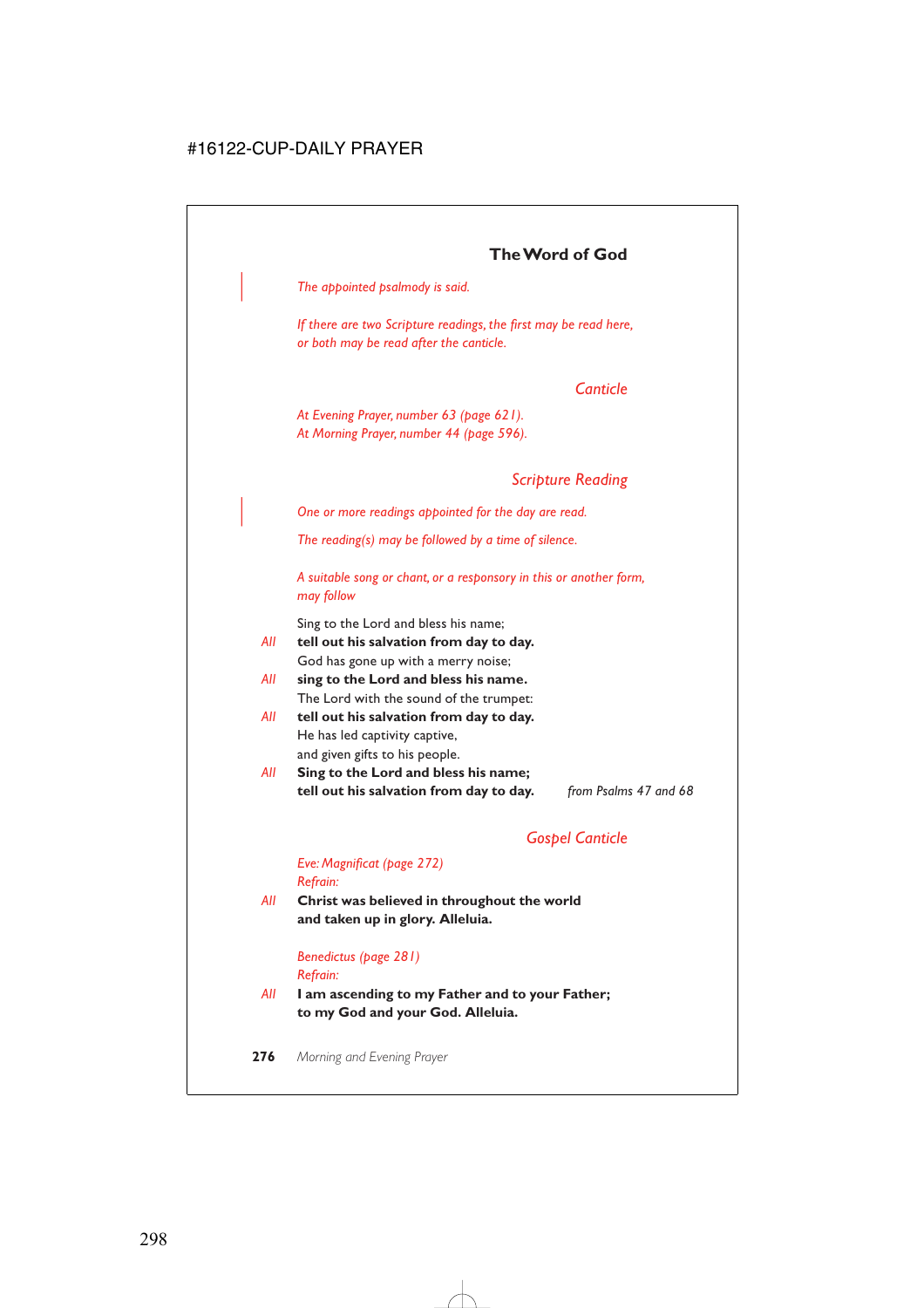| *The appointed psalmody is said.*

*If there are two Scripture readings, the first may be read here, or both may be read after the canticle.*

# *Canticle*

*At Evening Prayer, number 63 (page 621). At Morning Prayer, number 44 (page 596).*

# *Scripture Reading*

| *One or more readings appointed for the day are read.*

*The reading(s) may be followed by a time of silence.*

*A suitable song or chant, or a responsory in this or another form, may follow*

Sing to the Lord and bless his name;

- *All* **tell out his salvation from day to day.** God has gone up with a merry noise;
- *All* **sing to the Lord and bless his name.** The Lord with the sound of the trumpet:
- *All* **tell out his salvation from day to day.** He has led captivity captive, and given gifts to his people.
- *All* **Sing to the Lord and bless his name; tell out his salvation from day to day.** *from Psalms 47 and 68*

# *Gospel Canticle*

## *Eve: Magnificat (page 272) Refrain:*

*All* **Christ was believed in throughout the world and taken up in glory. Alleluia.**

> *Benedictus (page 281) Refrain:*

*All* **I am ascending to my Father and to your Father; to my God and your God. Alleluia.**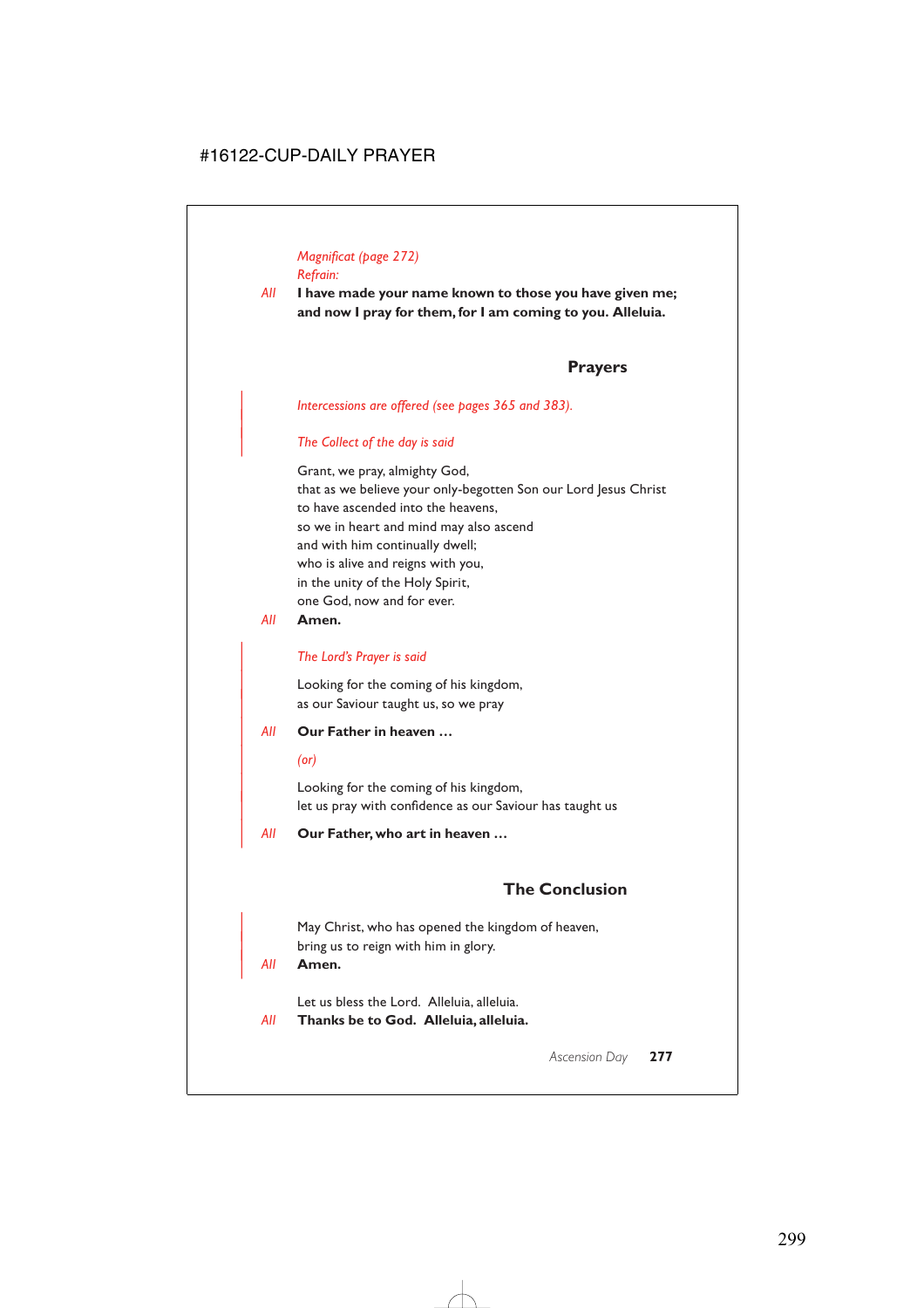# *Magnificat (page 272) Refrain:*

*All* **I have made your name known to those you have given me; and now I pray for them, for I am coming to you. Alleluia.**

# **Prayers**

#### | *Intercessions are offered (see pages 365 and 383).*

#### | *The Collect of the day is said*

Grant, we pray, almighty God, that as we believe your only-begotten Son our Lord Jesus Christ to have ascended into the heavens, so we in heart and mind may also ascend and with him continually dwell; who is alive and reigns with you, in the unity of the Holy Spirit, one God, now and for ever.

## *All* **Amen.**

|

#### | *The Lord's Prayer is said*

Looking for the coming of his kingdom, as our Saviour taught us, so we pray

#### | *All* **Our Father in heaven …**

#### | *(or)*

Looking for the coming of his kingdom, let us pray with confidence as our Saviour has taught us

| *All* **Our Father, who art in heaven …**

# **The Conclusion**

May Christ, who has opened the kingdom of heaven, bring us to reign with him in glory.

#### | *All* **Amen.**

Let us bless the Lord. Alleluia, alleluia.

*All* **Thanks be to God. Alleluia, alleluia.**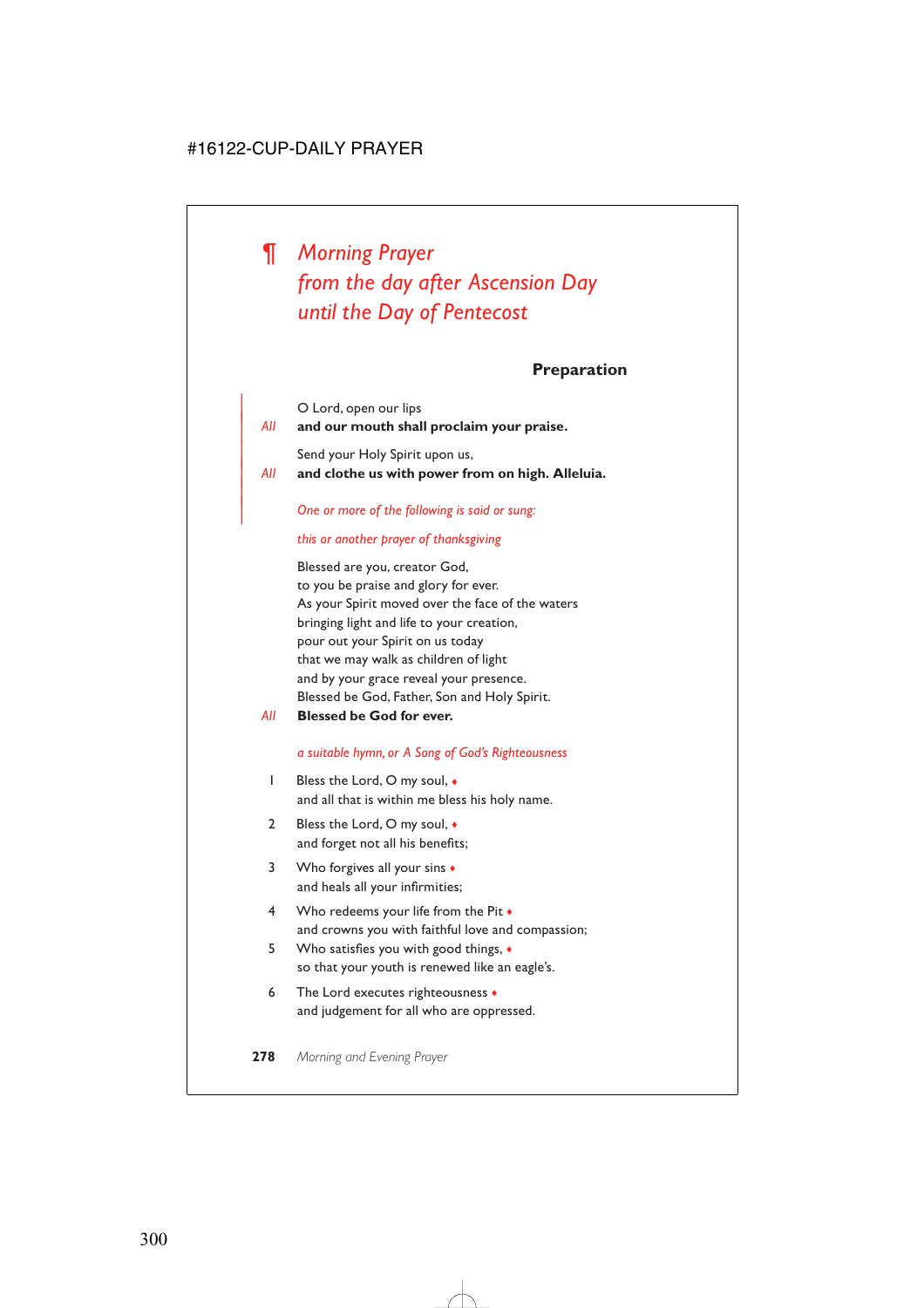*¶ Morning Prayer from the day after Ascension Day until the Day of Pentecost*

**Preparation**

|     | O Lord, open our lips                            |
|-----|--------------------------------------------------|
| AII | and our mouth shall proclaim your praise.        |
|     | Send your Holy Spirit upon us,                   |
| AII | and clothe us with power from on high. Alleluia. |

| *One or more of the following is said or sung:*

#### *this or another prayer of thanksgiving*

Blessed are you, creator God, to you be praise and glory for ever. As your Spirit moved over the face of the waters bringing light and life to your creation, pour out your Spirit on us today that we may walk as children of light and by your grace reveal your presence. Blessed be God, Father, Son and Holy Spirit.

*All* **Blessed be God for ever.**

|

#### *a suitable hymn, or A Song of God's Righteousness*

- 1 Bless the Lord, O my soul,  $\bullet$ and all that is within me bless his holy name.
- 2 Bless the Lord, O my soul,  $\bullet$ and forget not all his benefits;
- 3 Who forgives all your sins  $\bullet$ and heals all your infirmities;
- 4 Who redeems your life from the Pit ♦ and crowns you with faithful love and compassion;
- 5 Who satisfies you with good things, ♦ so that your youth is renewed like an eagle's.
- 6 The Lord executes righteousness ♦ and judgement for all who are oppressed.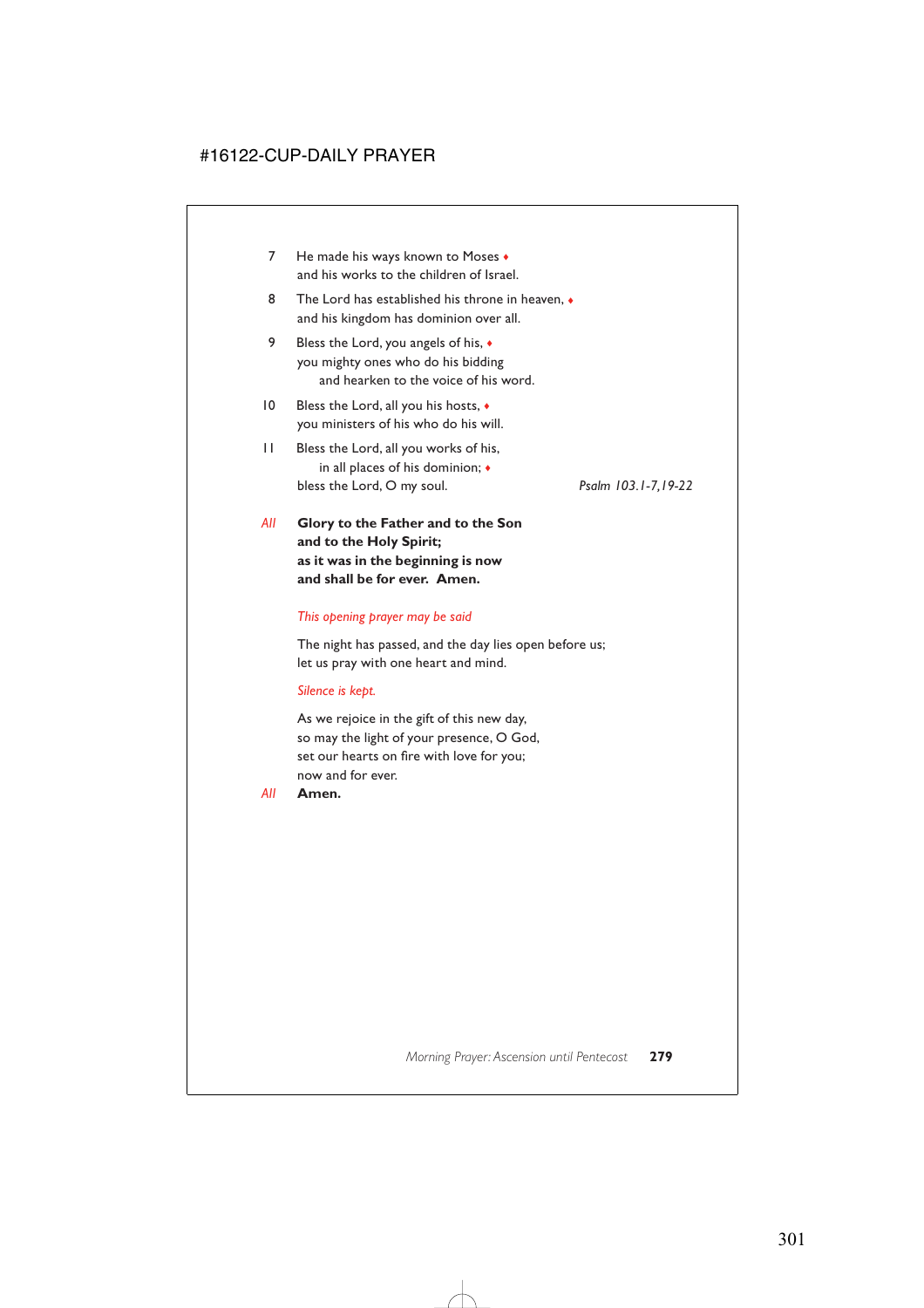- 7 He made his ways known to Moses  $\bullet$ and his works to the children of Israel.
- 8 The Lord has established his throne in heaven,  $\bullet$ and his kingdom has dominion over all.
- 9 Bless the Lord, you angels of his,  $\triangleleft$ you mighty ones who do his bidding and hearken to the voice of his word.
- 10 Bless the Lord, all you his hosts,  $\triangleleft$ you ministers of his who do his will.
- 11 Bless the Lord, all you works of his, in all places of his dominion; ♦ bless the Lord, O my soul. *Psalm 103.1-7,19-22*

*All* **Glory to the Father and to the Son and to the Holy Spirit; as it was in the beginning is now and shall be for ever. Amen.**

#### *This opening prayer may be said*

The night has passed, and the day lies open before us; let us pray with one heart and mind.

#### *Silence is kept.*

As we rejoice in the gift of this new day, so may the light of your presence, O God, set our hearts on fire with love for you; now and for ever.

*All* **Amen.**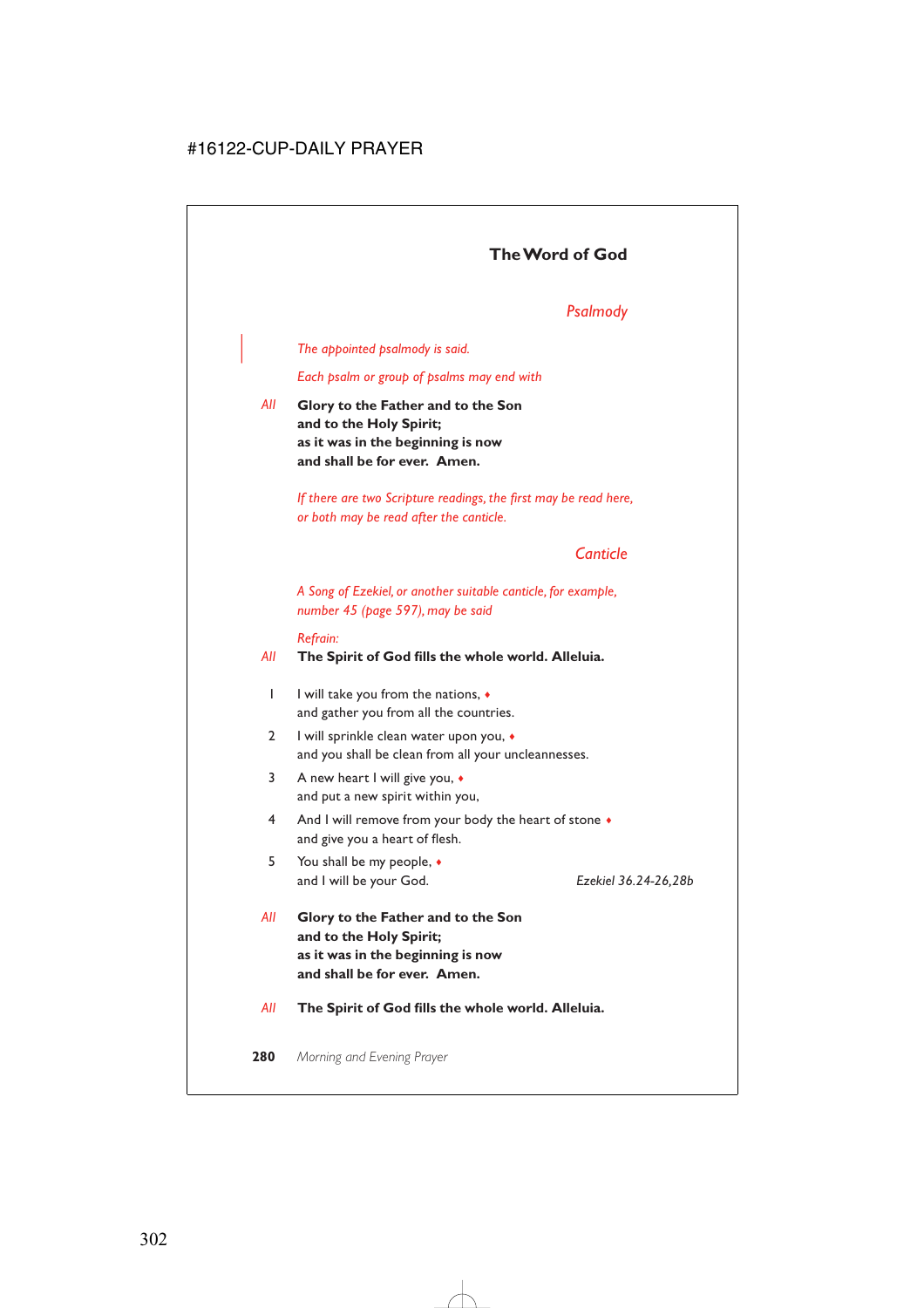# **The Word of God**

# *Psalmody*

#### | *The appointed psalmody is said.*

*Each psalm or group of psalms may end with*

*All* **Glory to the Father and to the Son and to the Holy Spirit; as it was in the beginning is now and shall be for ever. Amen.**

> *If there are two Scripture readings, the first may be read here, or both may be read after the canticle.*

# *Canticle*

*A Song of Ezekiel, or another suitable canticle, for example, number 45 (page 597), may be said*

#### *Refrain:*

#### *All* **The Spirit of God fills the whole world. Alleluia.**

- 1 I will take you from the nations, ♦ and gather you from all the countries.
- 2 I will sprinkle clean water upon you, ♦ and you shall be clean from all your uncleannesses.
- 3 A new heart I will give you, ♦ and put a new spirit within you,
- 4 And I will remove from your body the heart of stone  $\bullet$ and give you a heart of flesh.
- 5 You shall be my people, ♦ and I will be your God. *Ezekiel 36.24-26,28b*

- *All* **Glory to the Father and to the Son and to the Holy Spirit; as it was in the beginning is now and shall be for ever. Amen.**
- *All* **The Spirit of God fills the whole world. Alleluia.**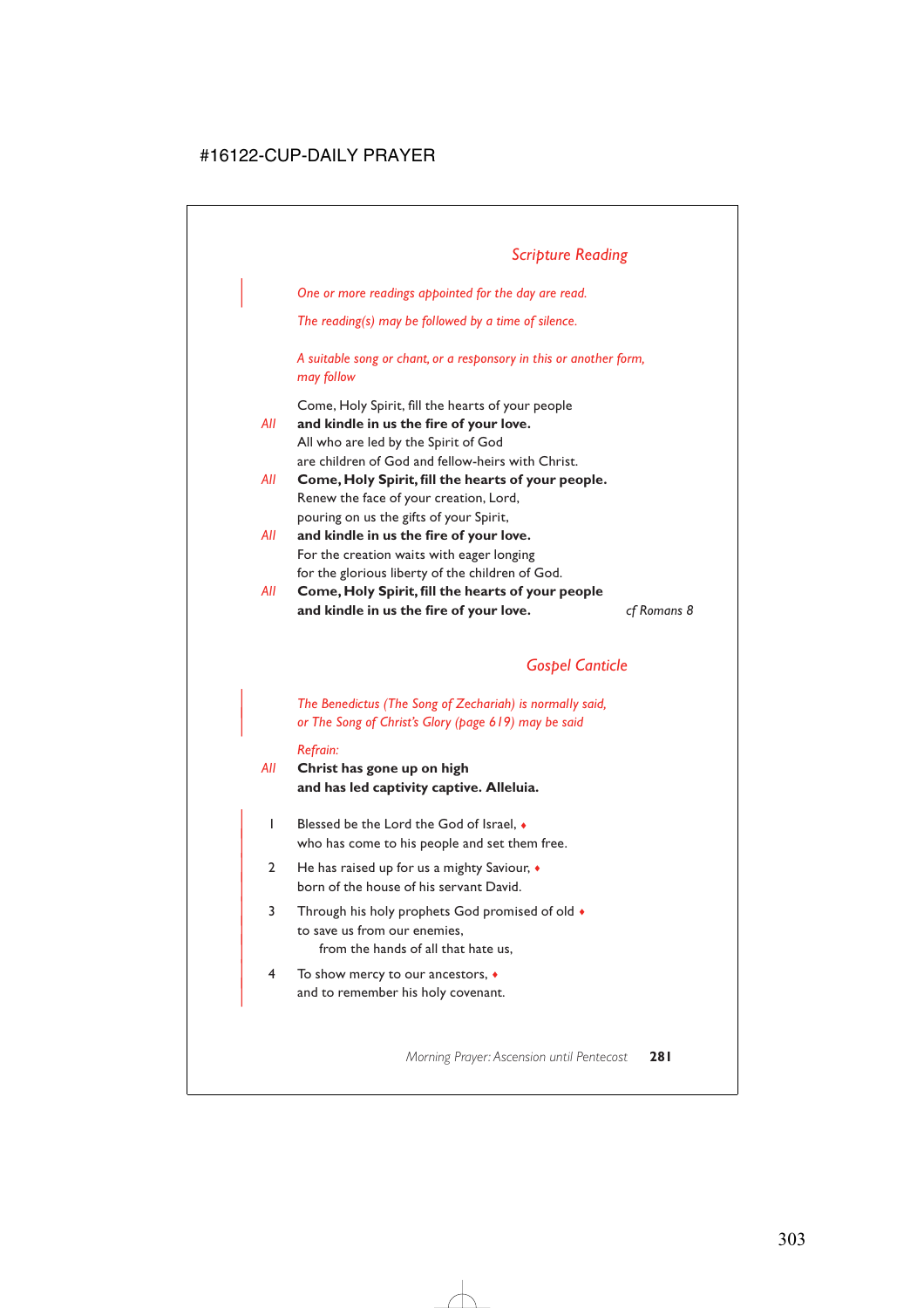# *Scripture Reading*

| *One or more readings appointed for the day are read.*

*The reading(s) may be followed by a time of silence.*

*A suitable song or chant, or a responsory in this or another form, may follow*

Come, Holy Spirit, fill the hearts of your people

- *All* **and kindle in us the fire of your love.** All who are led by the Spirit of God are children of God and fellow-heirs with Christ.
- *All* **Come, Holy Spirit, fill the hearts of your people.** Renew the face of your creation, Lord, pouring on us the gifts of your Spirit,
- *All* **and kindle in us the fire of your love.** For the creation waits with eager longing for the glorious liberty of the children of God.
- *All* **Come, Holy Spirit, fill the hearts of your people and kindle in us the fire of your love.** *cf Romans 8*

# *Gospel Canticle*

| *The Benedictus (The Song of Zechariah) is normally said,* | *or The Song of Christ's Glory (page 619) may be said*

#### *Refrain:*

*All* **Christ has gone up on high and has led captivity captive. Alleluia.**

- | 1 Blessed be the Lord the God of Israel, ♦ who has come to his people and set them free.
- | 2 He has raised up for us a mighty Saviour, ♦ born of the house of his servant David.
- 3 Through his holy prophets God promised of old  $\bullet$ to save us from our enemies, from the hands of all that hate us,
- | 4 To show mercy to our ancestors, ♦ and to remember his holy covenant.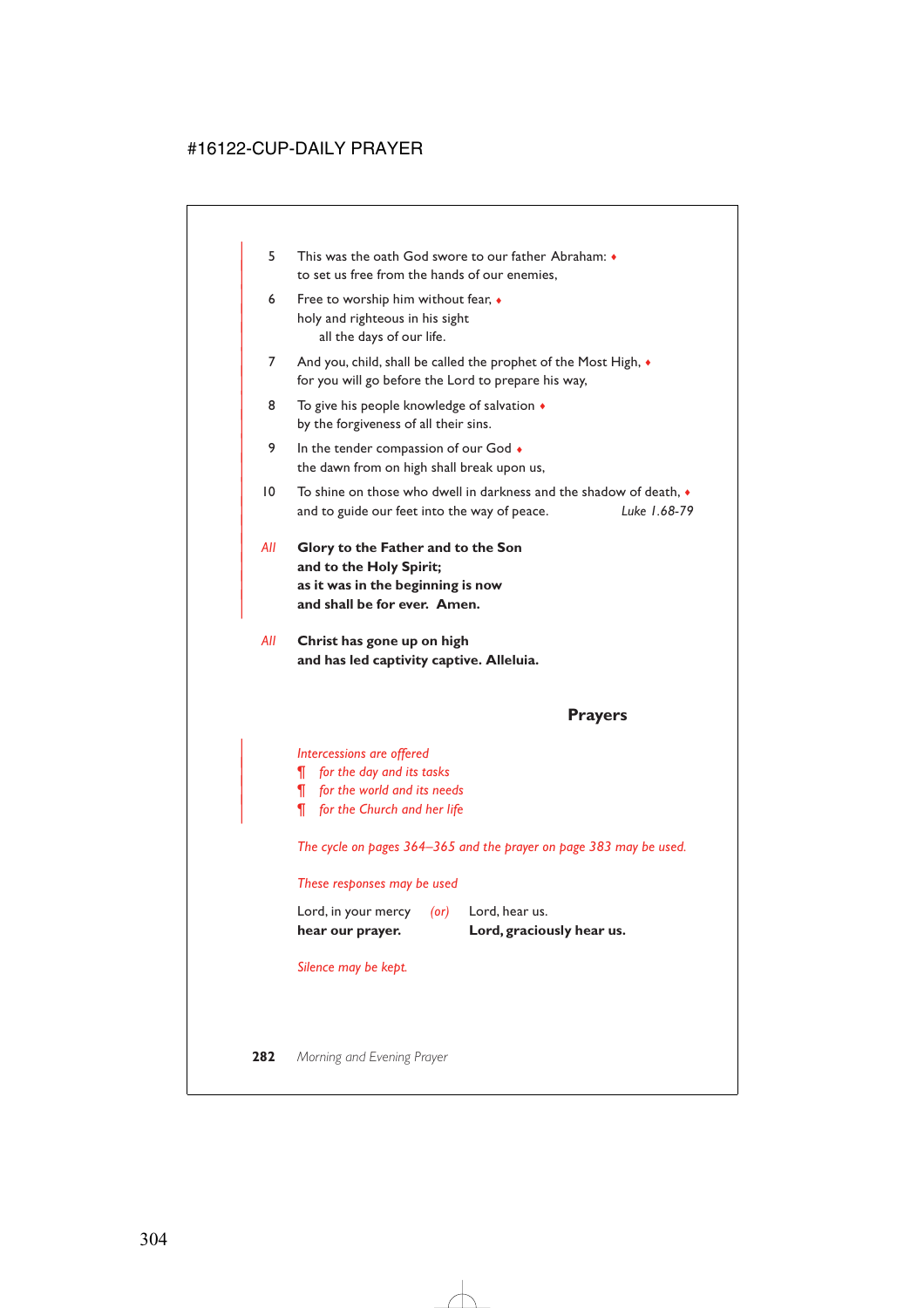- | 5 This was the oath God swore to our father Abraham: ♦ to set us free from the hands of our enemies,
- 6 Free to worship him without fear,  $\bullet$ holy and righteous in his sight all the days of our life.
- 7 And you, child, shall be called the prophet of the Most High,  $\bullet$ for you will go before the Lord to prepare his way,
- 8 To give his people knowledge of salvation  $\triangleleft$ by the forgiveness of all their sins.
- 9 In the tender compassion of our God  $\bullet$ the dawn from on high shall break upon us,
- | 10 To shine on those who dwell in darkness and the shadow of death, ♦ | and to guide our feet into the way of peace. *Luke 1.68-79*
- | *All* **Glory to the Father and to the Son** and to the Holy Spirit; | **as it was in the beginning is now** and shall be for ever. Amen.

|

*All* **Christ has gone up on high and has led captivity captive. Alleluia.**

## **Prayers**

| *Intercessions are offered*

- | *¶ for the day and its tasks*
- | *¶ for the world and its needs*
- | *¶ for the Church and her life*

*The cycle on pages 364–365 and the prayer on page 383 may be used.*

#### *These responses may be used*

| hear our prayer.    |      | Lord, graciously hear us. |
|---------------------|------|---------------------------|
| Lord, in your mercy | (or) | Lord, hear us.            |

*Silence may be kept.*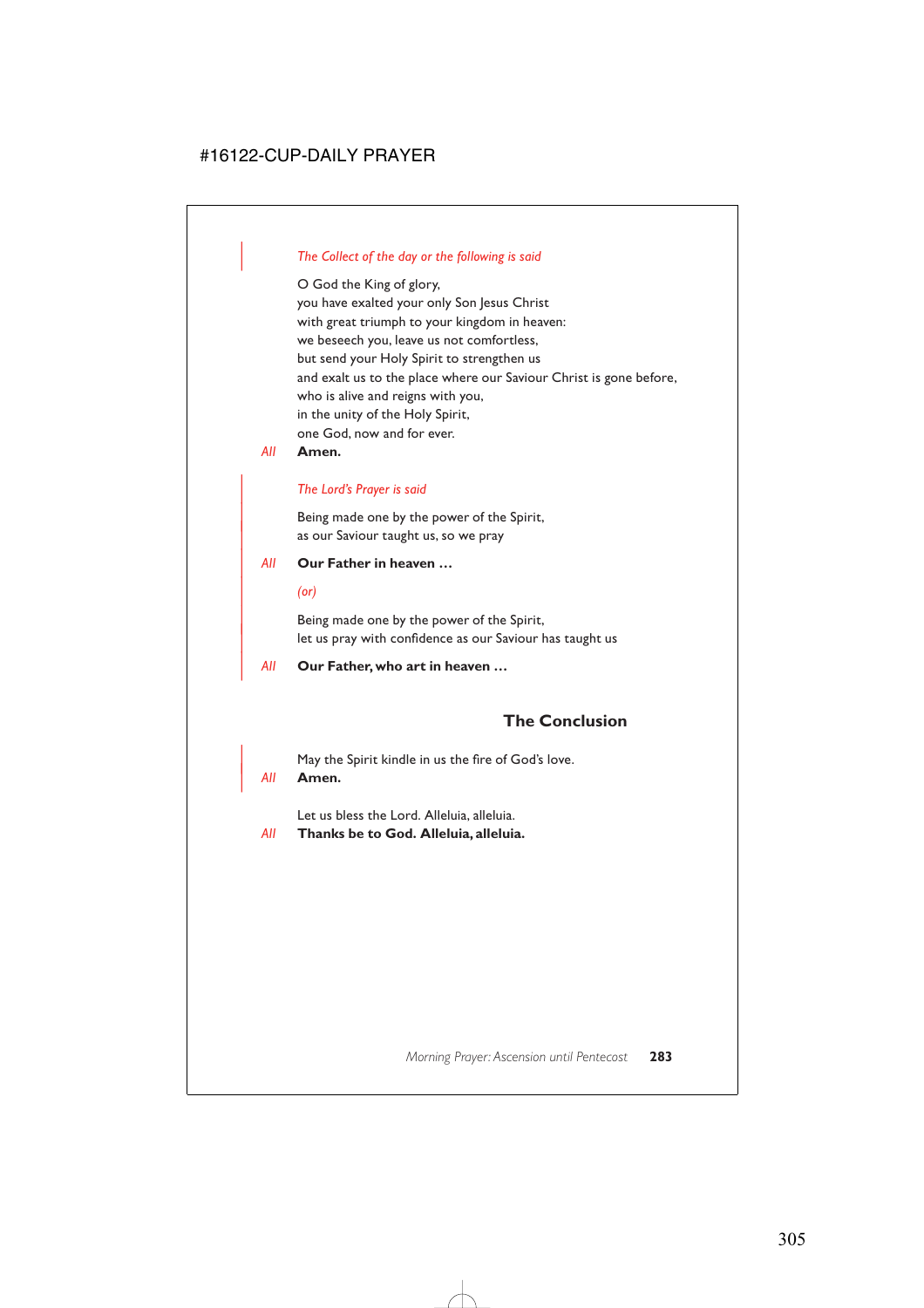## | *The Collect of the day or the following is said*

O God the King of glory, you have exalted your only Son Jesus Christ with great triumph to your kingdom in heaven: we beseech you, leave us not comfortless, but send your Holy Spirit to strengthen us and exalt us to the place where our Saviour Christ is gone before, who is alive and reigns with you, in the unity of the Holy Spirit, one God, now and for ever.

*All* **Amen.**

#### | *The Lord's Prayer is said*

Being made one by the power of the Spirit, as our Saviour taught us, so we pray

#### | *All* **Our Father in heaven …**

| *(or)*

Being made one by the power of the Spirit, let us pray with confidence as our Saviour has taught us

| *All* **Our Father, who art in heaven …**

# **The Conclusion**

May the Spirit kindle in us the fire of God's love.

| *All* **Amen.**

Let us bless the Lord. Alleluia, alleluia.

*All* **Thanks be to God. Alleluia, alleluia.**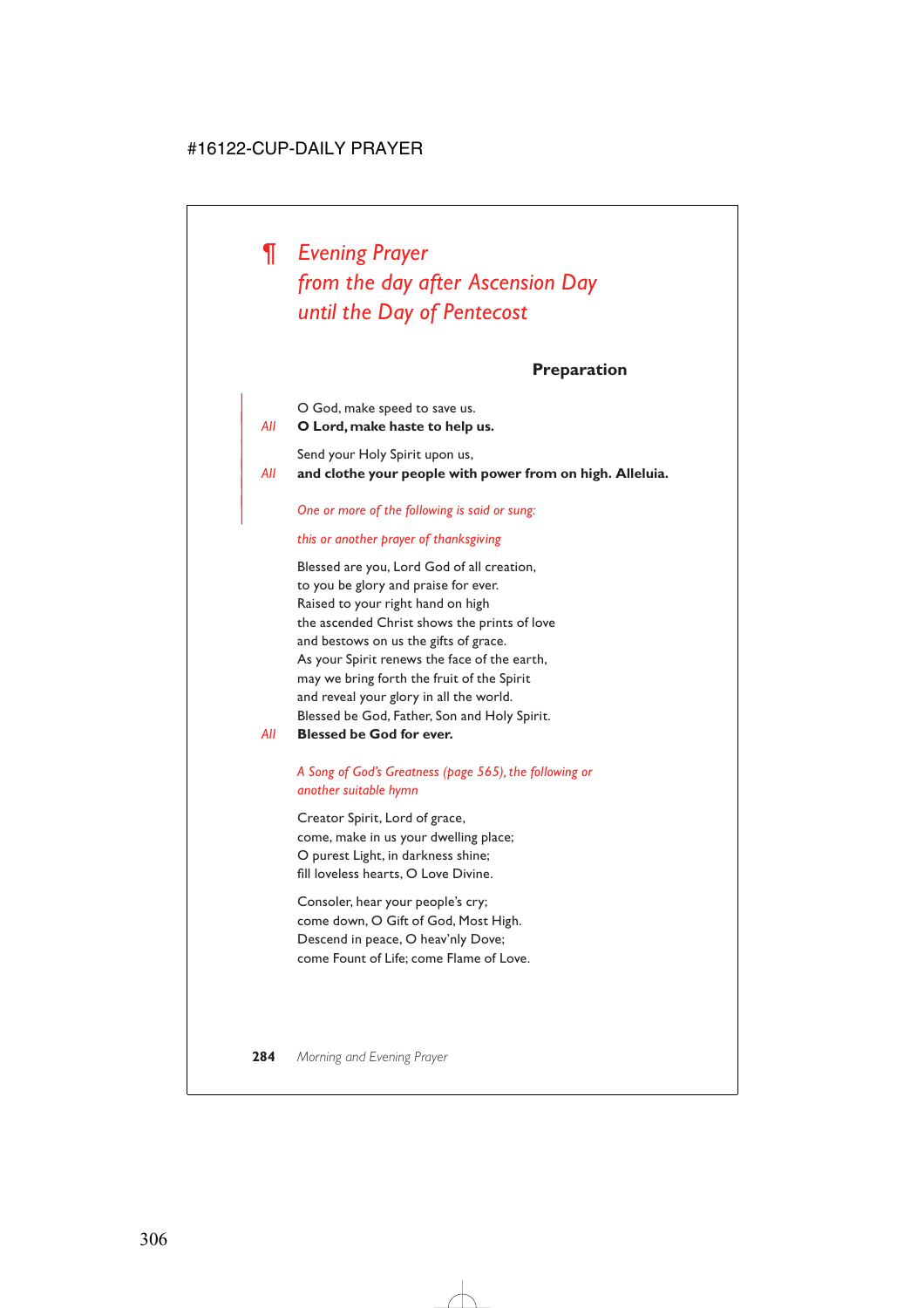*¶ Evening Prayer from the day after Ascension Day until the Day of Pentecost*

**Preparation**

O God, make speed to save us. | *All* **O Lord, make haste to help us.**

Send your Holy Spirit upon us,

|

| *All* **and clothe your people with power from on high. Alleluia.**

#### | *One or more of the following is said or sung:*

#### *this or another prayer of thanksgiving*

Blessed are you, Lord God of all creation, to you be glory and praise for ever. Raised to your right hand on high the ascended Christ shows the prints of love and bestows on us the gifts of grace. As your Spirit renews the face of the earth, may we bring forth the fruit of the Spirit and reveal your glory in all the world. Blessed be God, Father, Son and Holy Spirit.

#### *All* **Blessed be God for ever.**

## *A Song of God's Greatness (page 565), the following or another suitable hymn*

Creator Spirit, Lord of grace, come, make in us your dwelling place; O purest Light, in darkness shine; fill loveless hearts, O Love Divine.

Consoler, hear your people's cry; come down, O Gift of God, Most High. Descend in peace, O heav'nly Dove; come Fount of Life; come Flame of Love.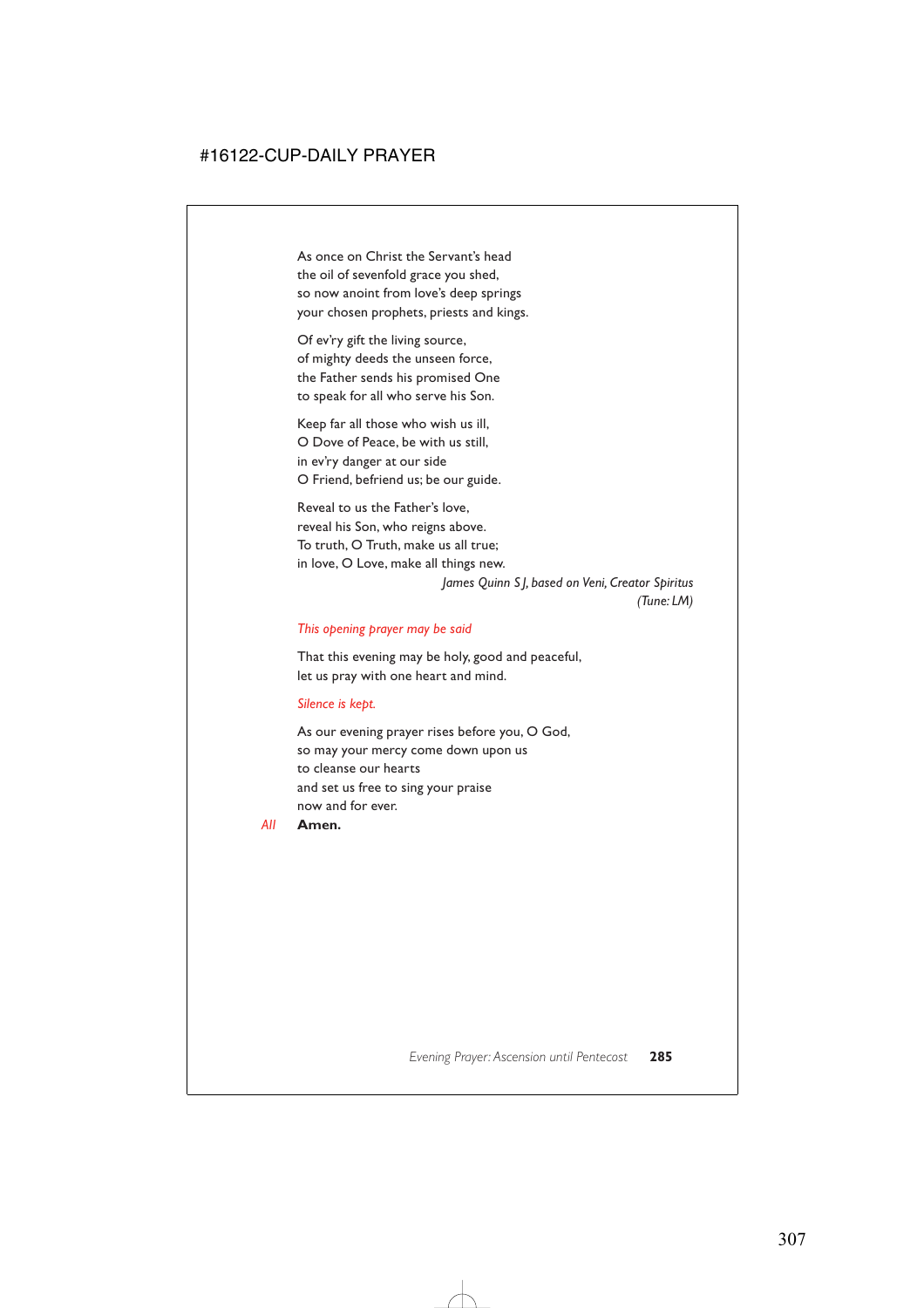As once on Christ the Servant's head the oil of sevenfold grace you shed, so now anoint from love's deep springs your chosen prophets, priests and kings.

Of ev'ry gift the living source, of mighty deeds the unseen force, the Father sends his promised One to speak for all who serve his Son.

Keep far all those who wish us ill, O Dove of Peace, be with us still, in ev'ry danger at our side O Friend, befriend us; be our guide.

Reveal to us the Father's love, reveal his Son, who reigns above. To truth, O Truth, make us all true; in love, O Love, make all things new.

> *James Quinn S J, based on Veni, Creator Spiritus (Tune: LM)*

#### *This opening prayer may be said*

That this evening may be holy, good and peaceful, let us pray with one heart and mind.

#### *Silence is kept.*

As our evening prayer rises before you, O God, so may your mercy come down upon us to cleanse our hearts and set us free to sing your praise now and for ever.

*All* **Amen.**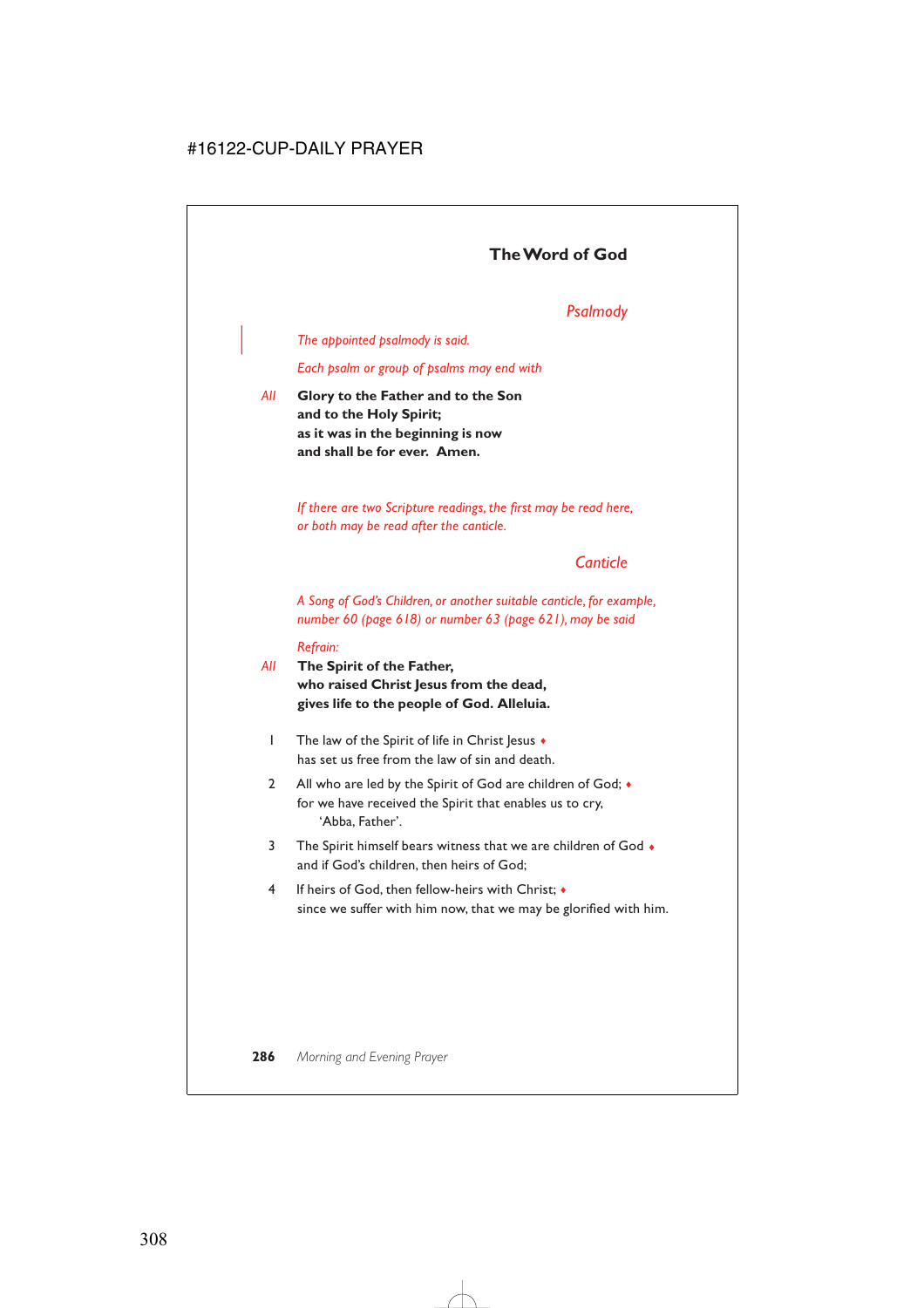# **The Word of God**

# *Psalmody*

| *The appointed psalmody is said.*

*Each psalm or group of psalms may end with*

*All* **Glory to the Father and to the Son and to the Holy Spirit; as it was in the beginning is now and shall be for ever. Amen.**

> *If there are two Scripture readings, the first may be read here, or both may be read after the canticle.*

# *Canticle*

*A Song of God's Children, or another suitable canticle, for example, number 60 (page 618) or number 63 (page 621), may be said*

#### *Refrain:*

- *All* **The Spirit of the Father, who raised Christ Jesus from the dead, gives life to the people of God. Alleluia.**
	- 1 The law of the Spirit of life in Christ Jesus  $\bullet$ has set us free from the law of sin and death.
	- 2 All who are led by the Spirit of God are children of God;  $\bullet$ for we have received the Spirit that enables us to cry, 'Abba, Father'.
	- 3 The Spirit himself bears witness that we are children of God  $\bullet$ and if God's children, then heirs of God;
	- 4 If heirs of God, then fellow-heirs with Christ; ♦ since we suffer with him now, that we may be glorified with him.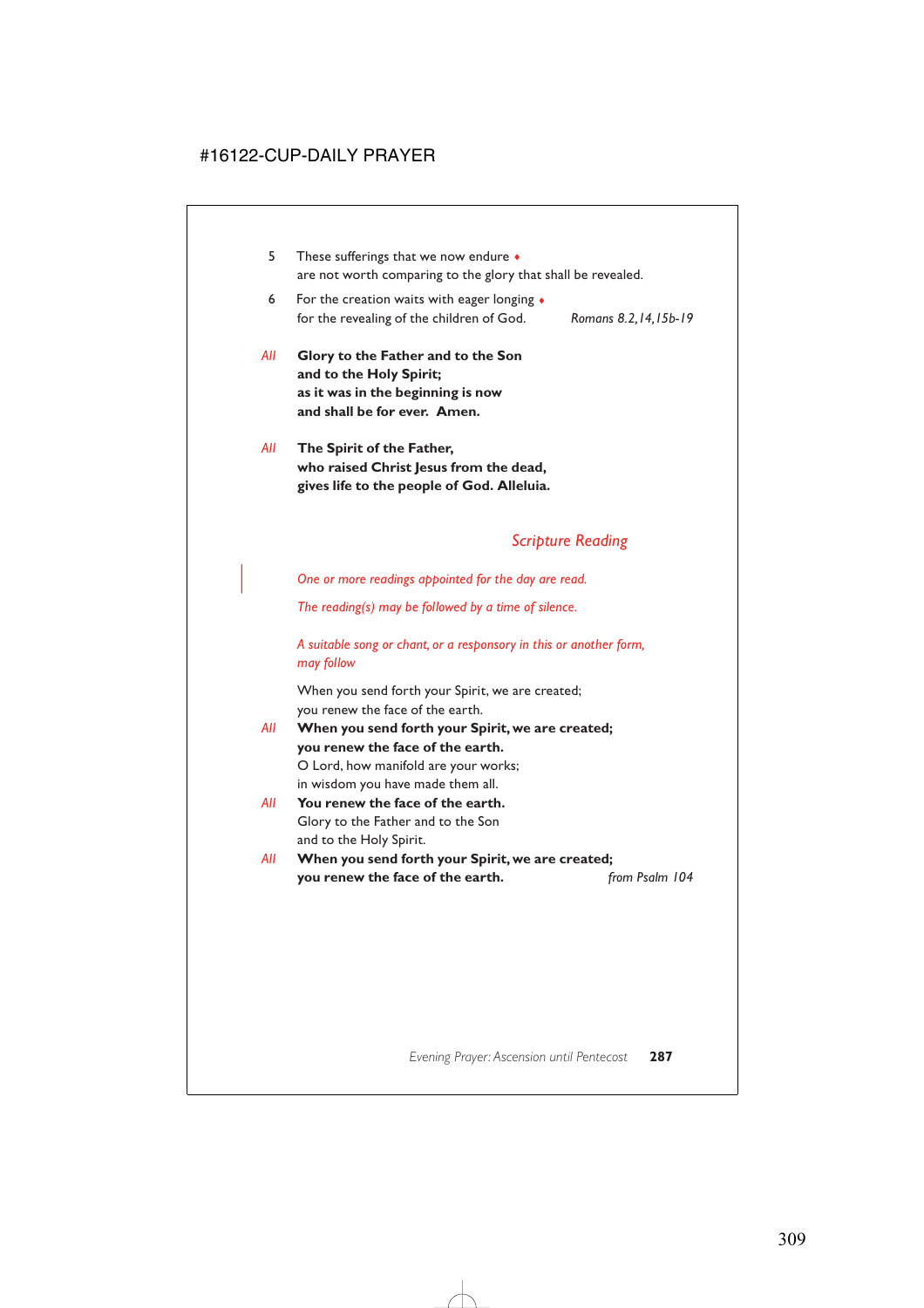- 5 These sufferings that we now endure ♦ are not worth comparing to the glory that shall be revealed.
- 6 For the creation waits with eager longing  $\triangleleft$ for the revealing of the children of God. *Romans 8.2,14,15b-19*
	-
- *All* **Glory to the Father and to the Son and to the Holy Spirit; as it was in the beginning is now and shall be for ever. Amen.**
- *All* **The Spirit of the Father, who raised Christ Jesus from the dead, gives life to the people of God. Alleluia.**

# *Scripture Reading*

| *One or more readings appointed for the day are read.*

*The reading(s) may be followed by a time of silence.*

*A suitable song or chant, or a responsory in this or another form, may follow*

When you send forth your Spirit, we are created; you renew the face of the earth.

- *All* **When you send forth your Spirit, we are created; you renew the face of the earth.** O Lord, how manifold are your works; in wisdom you have made them all.
- *All* **You renew the face of the earth.** Glory to the Father and to the Son and to the Holy Spirit.
- *All* **When you send forth your Spirit, we are created; you renew the face of the earth.** *from Psalm 104*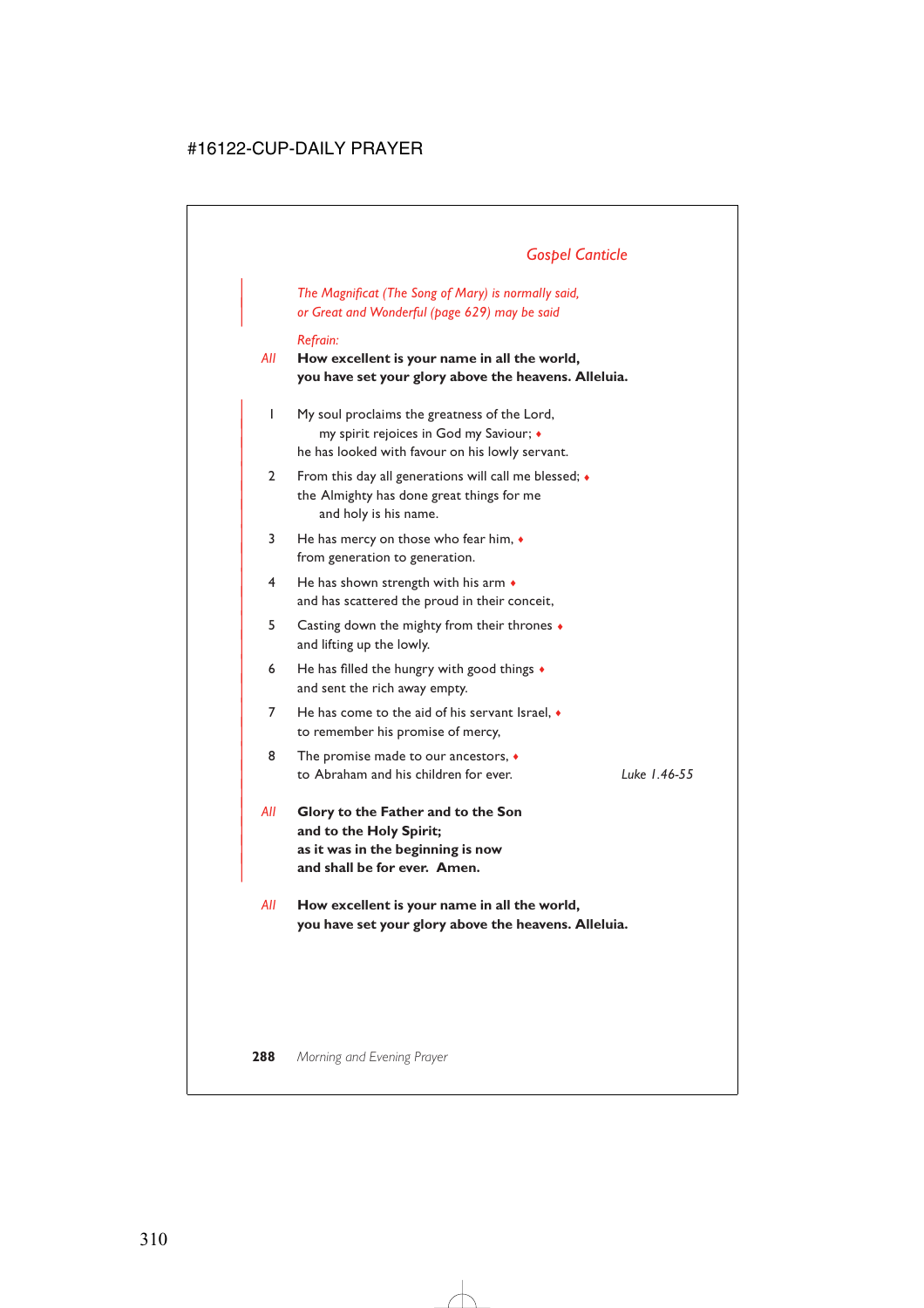# *Gospel Canticle*

| *The Magnificat (The Song of Mary) is normally said,* | *or Great and Wonderful (page 629) may be said*

#### *Refrain:*

*All* **How excellent is your name in all the world, you have set your glory above the heavens. Alleluia.**

- | 1 My soul proclaims the greatness of the Lord, | my spirit rejoices in God my Saviour; ♦ he has looked with favour on his lowly servant.
- 2 From this day all generations will call me blessed;  $\bullet$ the Almighty has done great things for me and holy is his name.
- | 3 He has mercy on those who fear him, ♦ from generation to generation.
- $4$  He has shown strength with his arm  $\bullet$ and has scattered the proud in their conceit,
- | 5 Casting down the mighty from their thrones ♦ and lifting up the lowly.
- 6 He has filled the hungry with good things  $\bullet$ and sent the rich away empty.
- $7$  He has come to the aid of his servant Israel,  $\bullet$ to remember his promise of mercy,
- 8 The promise made to our ancestors,  $\bullet$ | to Abraham and his children for ever. *Luke 1.46-55*

|

- | *All* **Glory to the Father and to the Son** and to the Holy Spirit; | **as it was in the beginning is now** and shall be for ever. Amen.
- *All* **How excellent is your name in all the world, you have set your glory above the heavens. Alleluia.**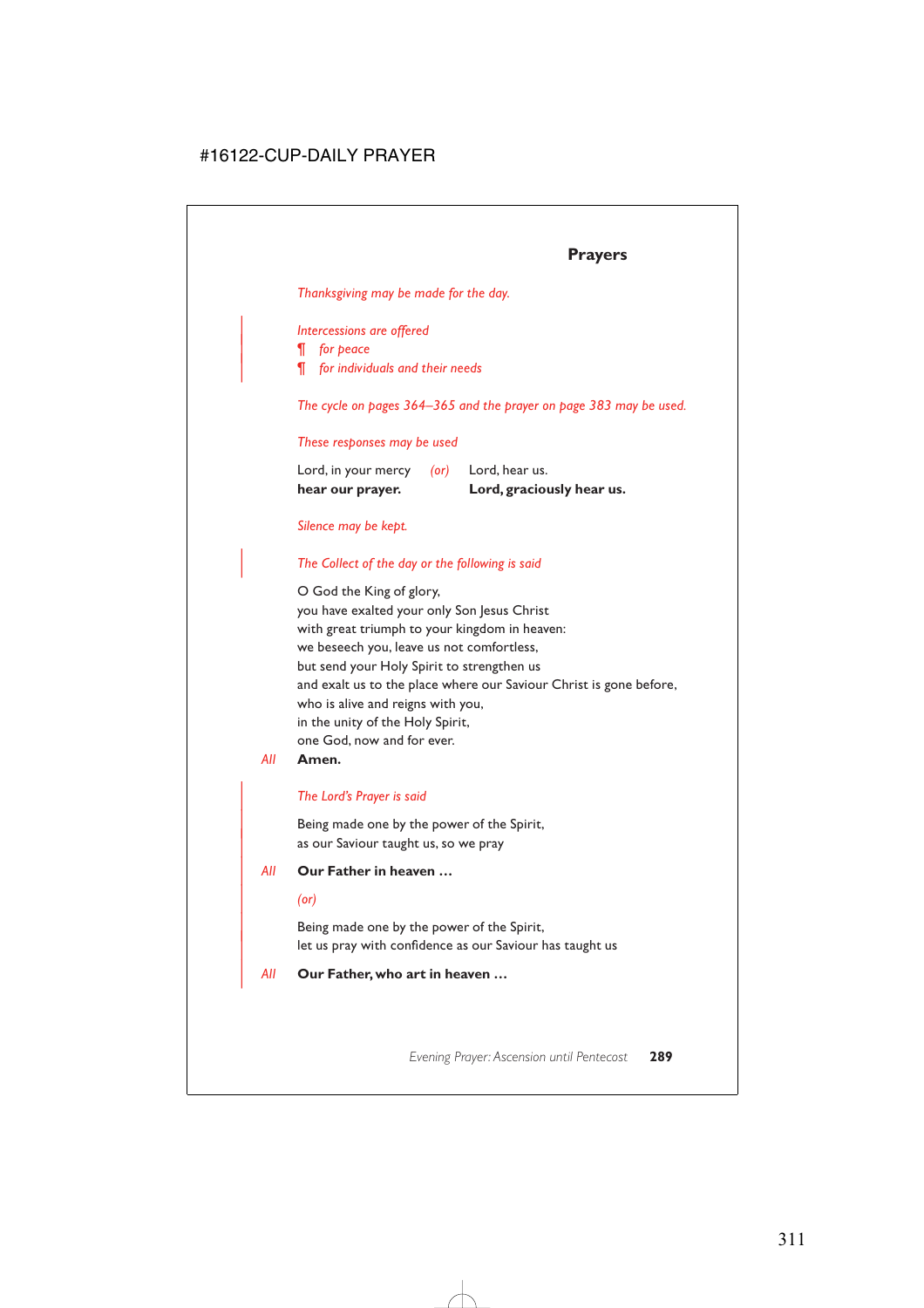# **Prayers**

*Thanksgiving may be made for the day.*

# | *Intercessions are offered*

| *¶ for peace*

| *¶ for individuals and their needs*

*The cycle on pages 364–365 and the prayer on page 383 may be used.*

#### *These responses may be used*

| hear our prayer.    |            | Lord, graciously hear us. |
|---------------------|------------|---------------------------|
| Lord, in your mercy | $($ or $)$ | Lord, hear us.            |

#### *Silence may be kept.*

#### | *The Collect of the day or the following is said*

O God the King of glory, you have exalted your only Son Jesus Christ with great triumph to your kingdom in heaven: we beseech you, leave us not comfortless, but send your Holy Spirit to strengthen us and exalt us to the place where our Saviour Christ is gone before, who is alive and reigns with you, in the unity of the Holy Spirit, one God, now and for ever.

#### *All* **Amen.**

#### | *The Lord's Prayer is said*

Being made one by the power of the Spirit, as our Saviour taught us, so we pray

#### | *All* **Our Father in heaven …**

| *(or)*

Being made one by the power of the Spirit, let us pray with confidence as our Saviour has taught us

#### | *All* **Our Father, who art in heaven …**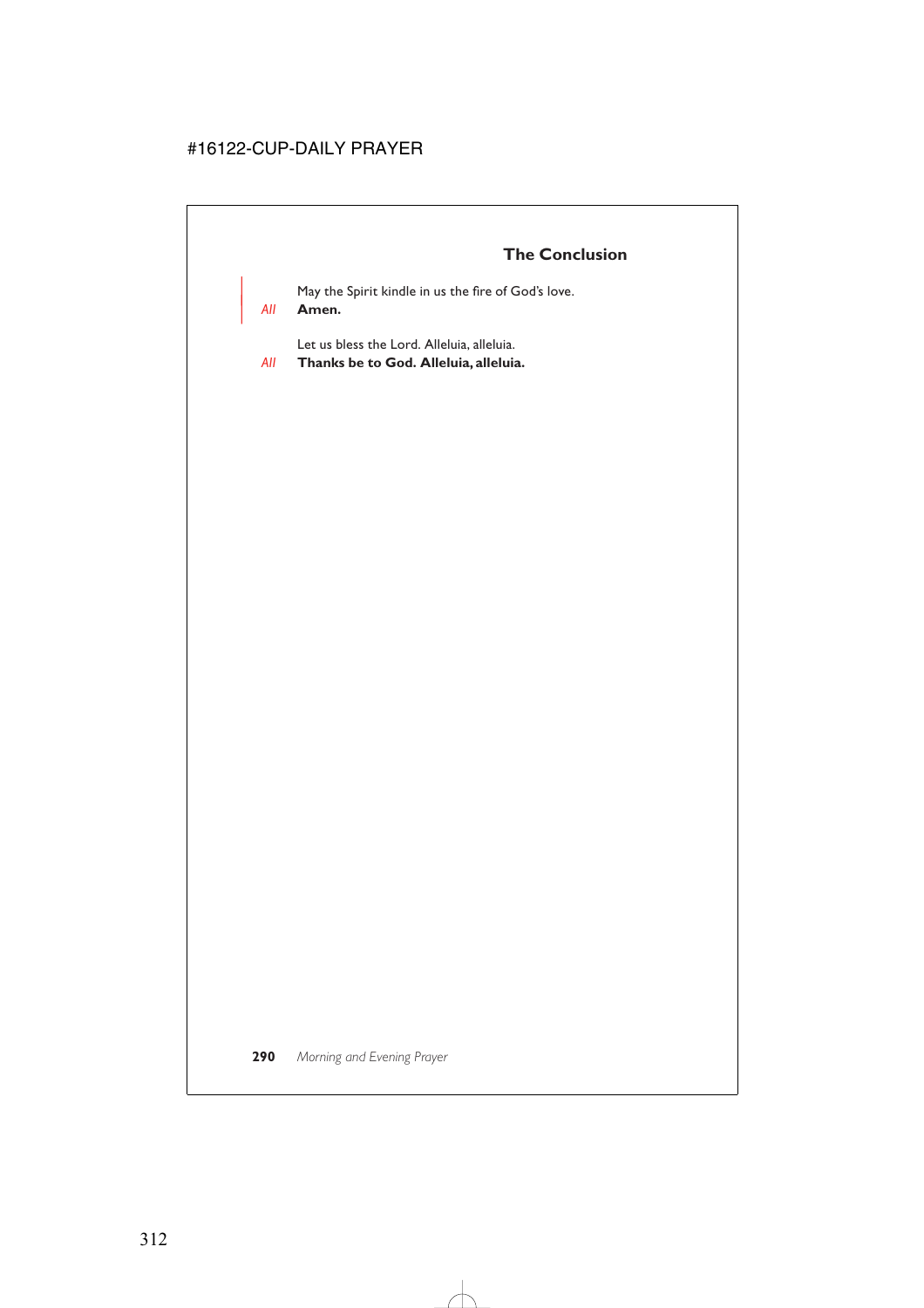May the Spirit kindle in us the fire of God's love.

# | *All* **Amen.**

Let us bless the Lord. Alleluia, alleluia.

*All* **Thanks be to God. Alleluia, alleluia.**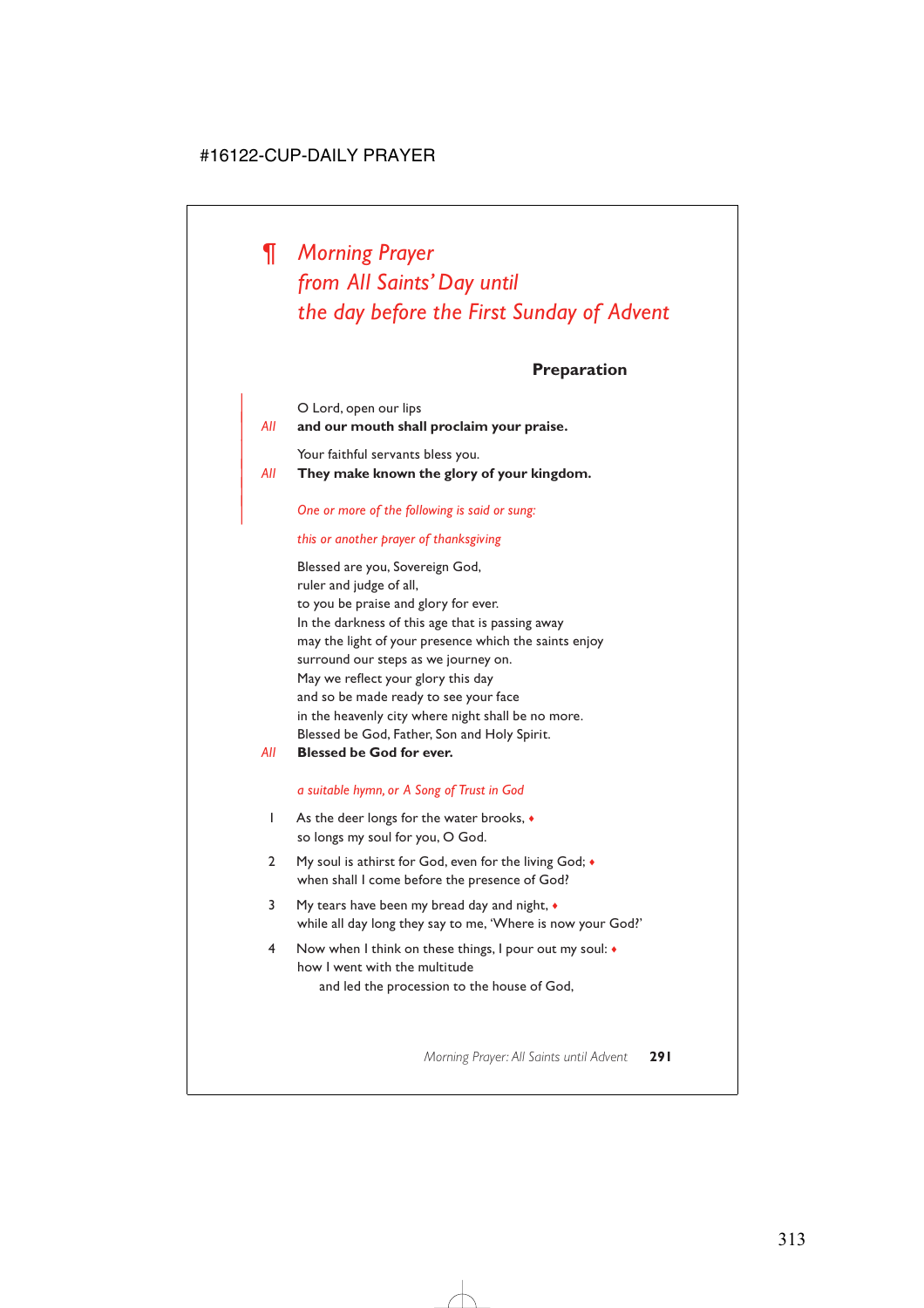# *¶ Morning Prayer from All Saints' Day until the day before the First Sunday of Advent*

**Preparation**

|     | O Lord, open our lips                     |  |  |
|-----|-------------------------------------------|--|--|
| All | and our mouth shall proclaim your praise. |  |  |
|     | Your faithful servants bless you.         |  |  |
|     |                                           |  |  |

| *All* **They make known the glory of your kingdom.**

#### | *One or more of the following is said or sung:*

#### *this or another prayer of thanksgiving*

|

Blessed are you, Sovereign God, ruler and judge of all, to you be praise and glory for ever. In the darkness of this age that is passing away may the light of your presence which the saints enjoy surround our steps as we journey on. May we reflect your glory this day and so be made ready to see your face in the heavenly city where night shall be no more. Blessed be God, Father, Son and Holy Spirit.

*All* **Blessed be God for ever.**

#### *a suitable hymn, or A Song of Trust in God*

- 1 As the deer longs for the water brooks, ♦ so longs my soul for you, O God.
- 2 My soul is athirst for God, even for the living God;  $\bullet$ when shall I come before the presence of God?
- 3 My tears have been my bread day and night, ♦ while all day long they say to me, 'Where is now your God?'
- 4 Now when I think on these things, I pour out my soul: ♦ how I went with the multitude and led the procession to the house of God,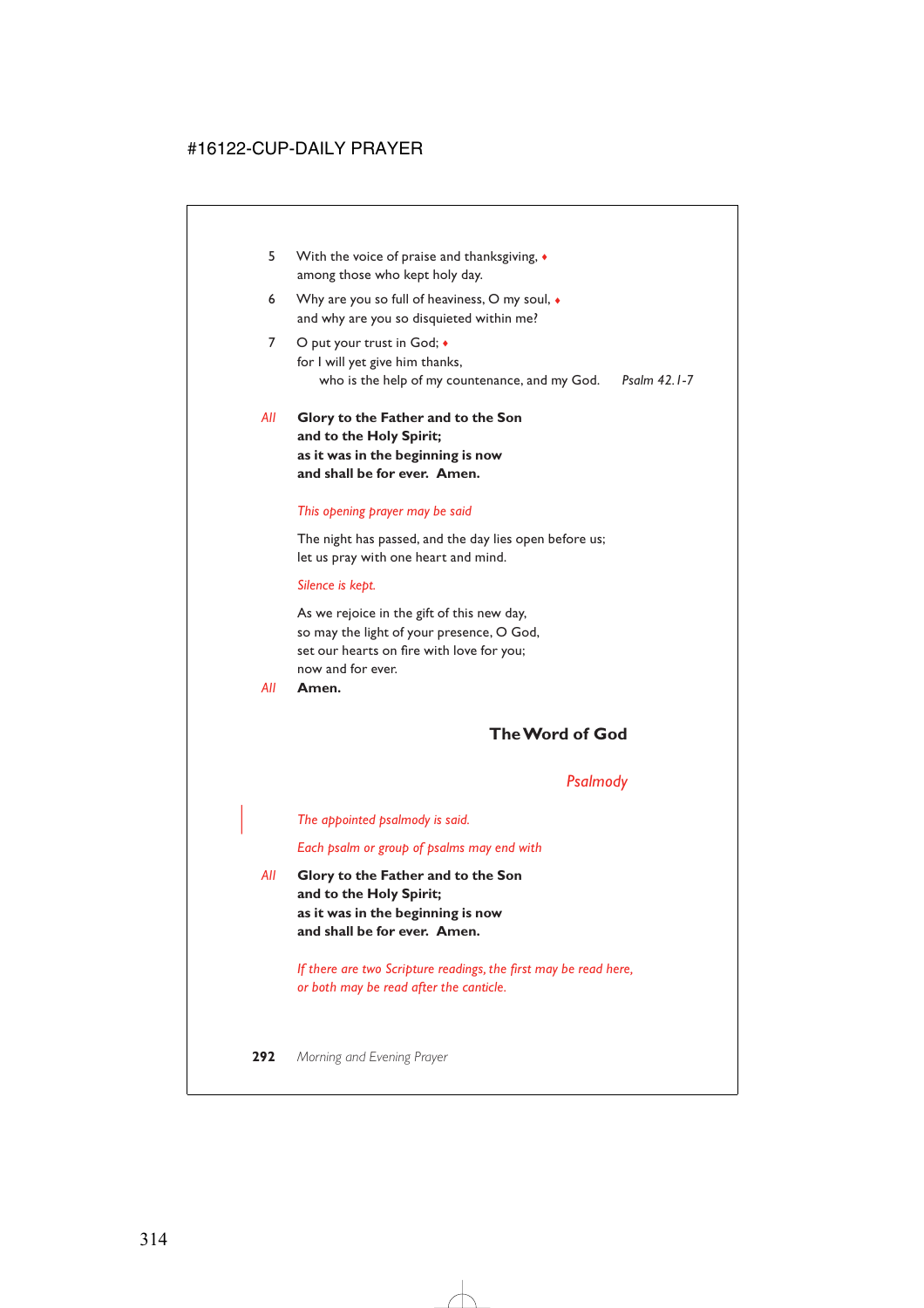- 5 With the voice of praise and thanksgiving, ♦ among those who kept holy day.
- 6 Why are you so full of heaviness, O my soul, ♦ and why are you so disquieted within me?
- 7 O put your trust in God;  $\bullet$ for I will yet give him thanks, who is the help of my countenance, and my God. *Psalm 42.1-7*
- *All* **Glory to the Father and to the Son and to the Holy Spirit; as it was in the beginning is now and shall be for ever. Amen.**

#### *This opening prayer may be said*

The night has passed, and the day lies open before us; let us pray with one heart and mind.

#### *Silence is kept.*

As we rejoice in the gift of this new day, so may the light of your presence, O God, set our hearts on fire with love for you; now and for ever.

*All* **Amen.**

# **The Word of God**

# *Psalmody*

| *The appointed psalmody is said.*

*Each psalm or group of psalms may end with*

*All* **Glory to the Father and to the Son and to the Holy Spirit; as it was in the beginning is now and shall be for ever. Amen.**

> *If there are two Scripture readings, the first may be read here, or both may be read after the canticle.*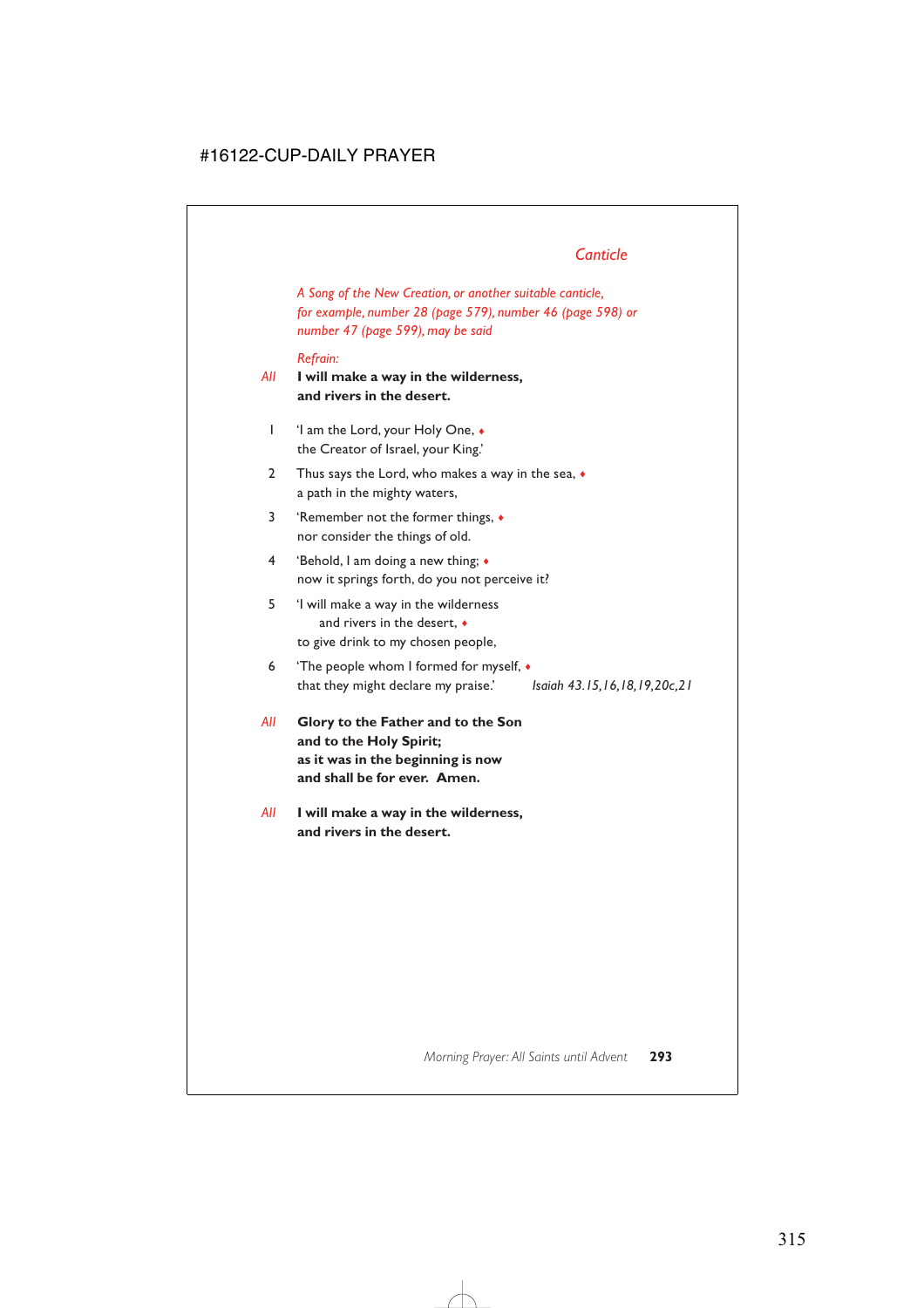# *Canticle*

*A Song of the New Creation, or another suitable canticle, for example, number 28 (page 579), number 46 (page 598) or number 47 (page 599), may be said*

#### *Refrain:*

- *All* **I will make a way in the wilderness, and rivers in the desert.**
	- 1 'I am the Lord, your Holy One, ♦ the Creator of Israel, your King.'
	- 2 Thus says the Lord, who makes a way in the sea,  $\bullet$ a path in the mighty waters,
	- 3 'Remember not the former things, ♦ nor consider the things of old.
	- 4 'Behold, I am doing a new thing; ♦ now it springs forth, do you not perceive it?
	- 5 'I will make a way in the wilderness and rivers in the desert, ♦ to give drink to my chosen people,
	- 6 'The people whom I formed for myself, ♦ that they might declare my praise.' *Isaiah 43.15,16,18,19,20c,21*
- *All* **Glory to the Father and to the Son and to the Holy Spirit; as it was in the beginning is now and shall be for ever. Amen.**
- *All* **I will make a way in the wilderness, and rivers in the desert.**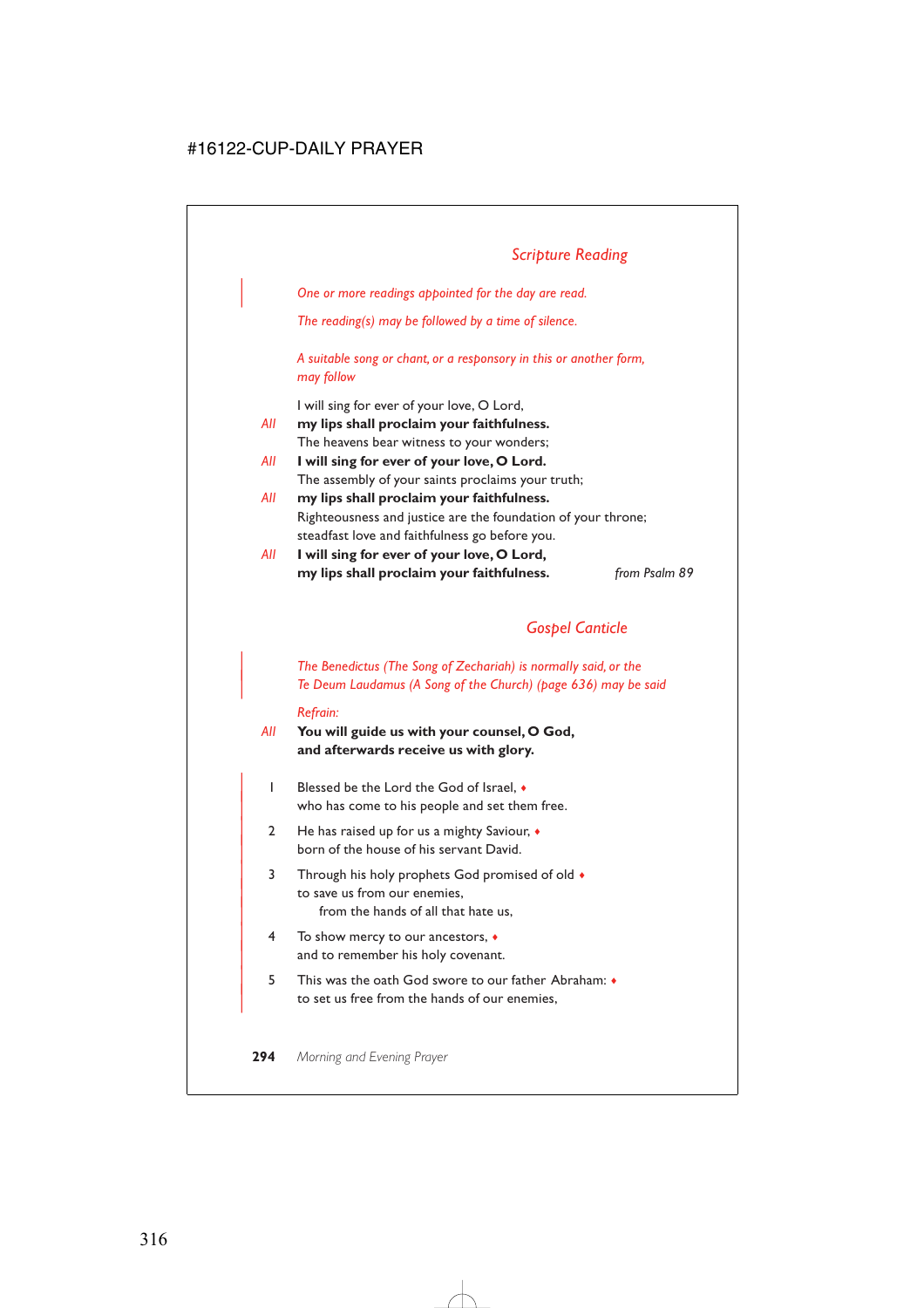| *One or more readings appointed for the day are read.*

*The reading(s) may be followed by a time of silence.*

*A suitable song or chant, or a responsory in this or another form, may follow*

I will sing for ever of your love, O Lord,

- *All* **my lips shall proclaim your faithfulness.** The heavens bear witness to your wonders;
- *All* **I will sing for ever of your love, O Lord.** The assembly of your saints proclaims your truth;
- *All* **my lips shall proclaim your faithfulness.** Righteousness and justice are the foundation of your throne; steadfast love and faithfulness go before you.
- *All* **I will sing for ever of your love, O Lord, my lips shall proclaim your faithfulness.** *from Psalm 89*

# *Gospel Canticle*

# | *The Benedictus (The Song of Zechariah) is normally said, or the* | *Te Deum Laudamus (A Song of the Church) (page 636) may be said*

#### *Refrain:*

- *All* **You will guide us with your counsel, O God, and afterwards receive us with glory.**
	- | 1 Blessed be the Lord the God of Israel, ♦ who has come to his people and set them free.
	- | 2 He has raised up for us a mighty Saviour, ♦ born of the house of his servant David.
	- 3 Through his holy prophets God promised of old  $\bullet$ to save us from our enemies. from the hands of all that hate us,
	- | 4 To show mercy to our ancestors, ♦ and to remember his holy covenant.
	- | 5 This was the oath God swore to our father Abraham: ♦ to set us free from the hands of our enemies,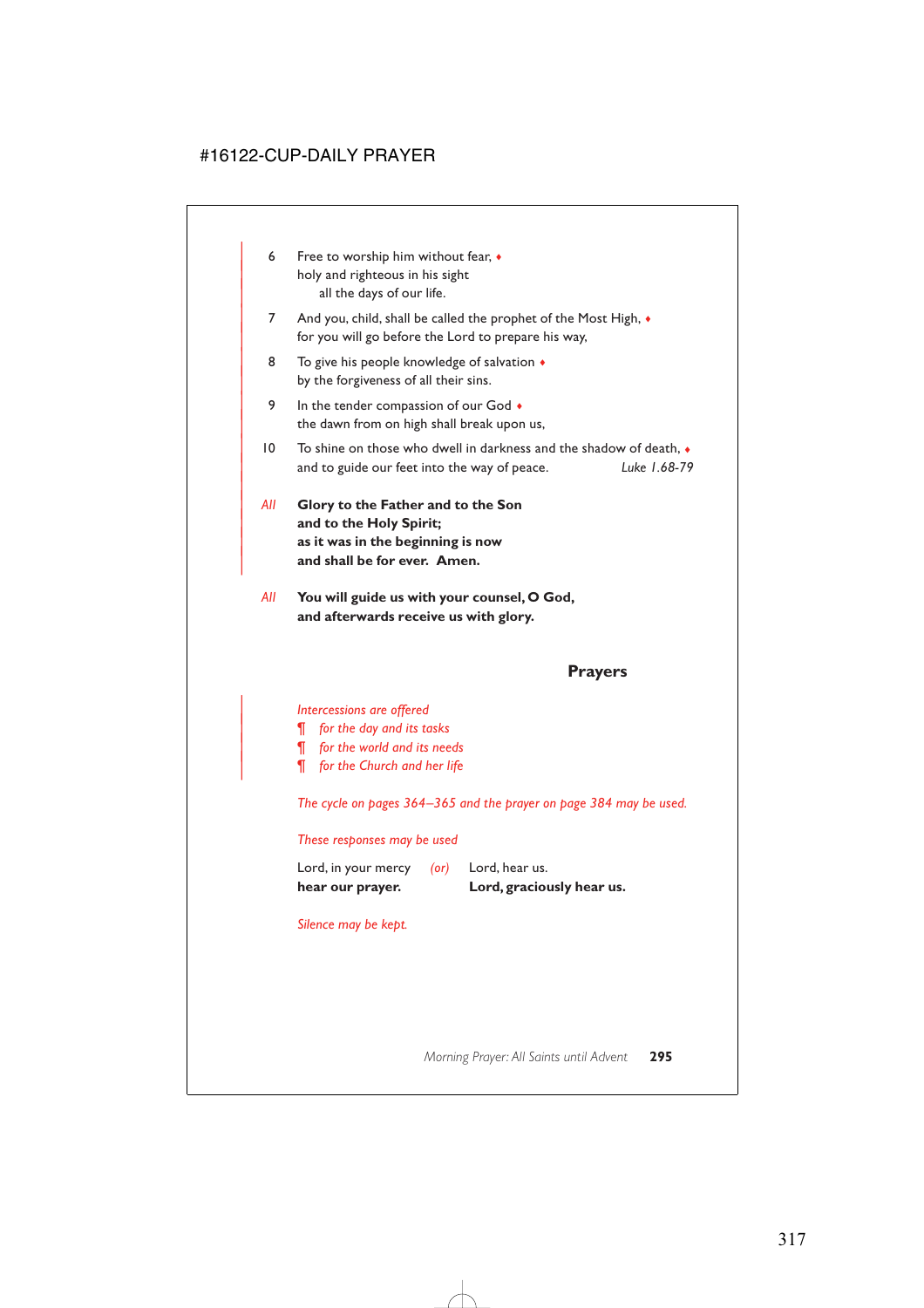- 6 Free to worship him without fear,  $\bullet$ holy and righteous in his sight all the days of our life.
- 7 And you, child, shall be called the prophet of the Most High,  $\bullet$ for you will go before the Lord to prepare his way,
- 8 To give his people knowledge of salvation  $\triangleleft$ by the forgiveness of all their sins.
- 9 In the tender compassion of our God  $\bullet$ the dawn from on high shall break upon us,
- $10$  To shine on those who dwell in darkness and the shadow of death,  $\bullet$ | and to guide our feet into the way of peace. *Luke 1.68-79*
- | *All* **Glory to the Father and to the Son** and to the Holy Spirit; | **as it was in the beginning is now** and shall be for ever. Amen.

|

*All* **You will guide us with your counsel, O God, and afterwards receive us with glory.**

# **Prayers**

#### | *Intercessions are offered*

- | *¶ for the day and its tasks*
- | *¶ for the world and its needs*
- | *¶ for the Church and her life*

*The cycle on pages 364–365 and the prayer on page 384 may be used.*

#### *These responses may be used*

| hear our prayer.    |      | Lord, graciously hear us. |
|---------------------|------|---------------------------|
| Lord, in your mercy | (or) | Lord, hear us.            |

*Silence may be kept.*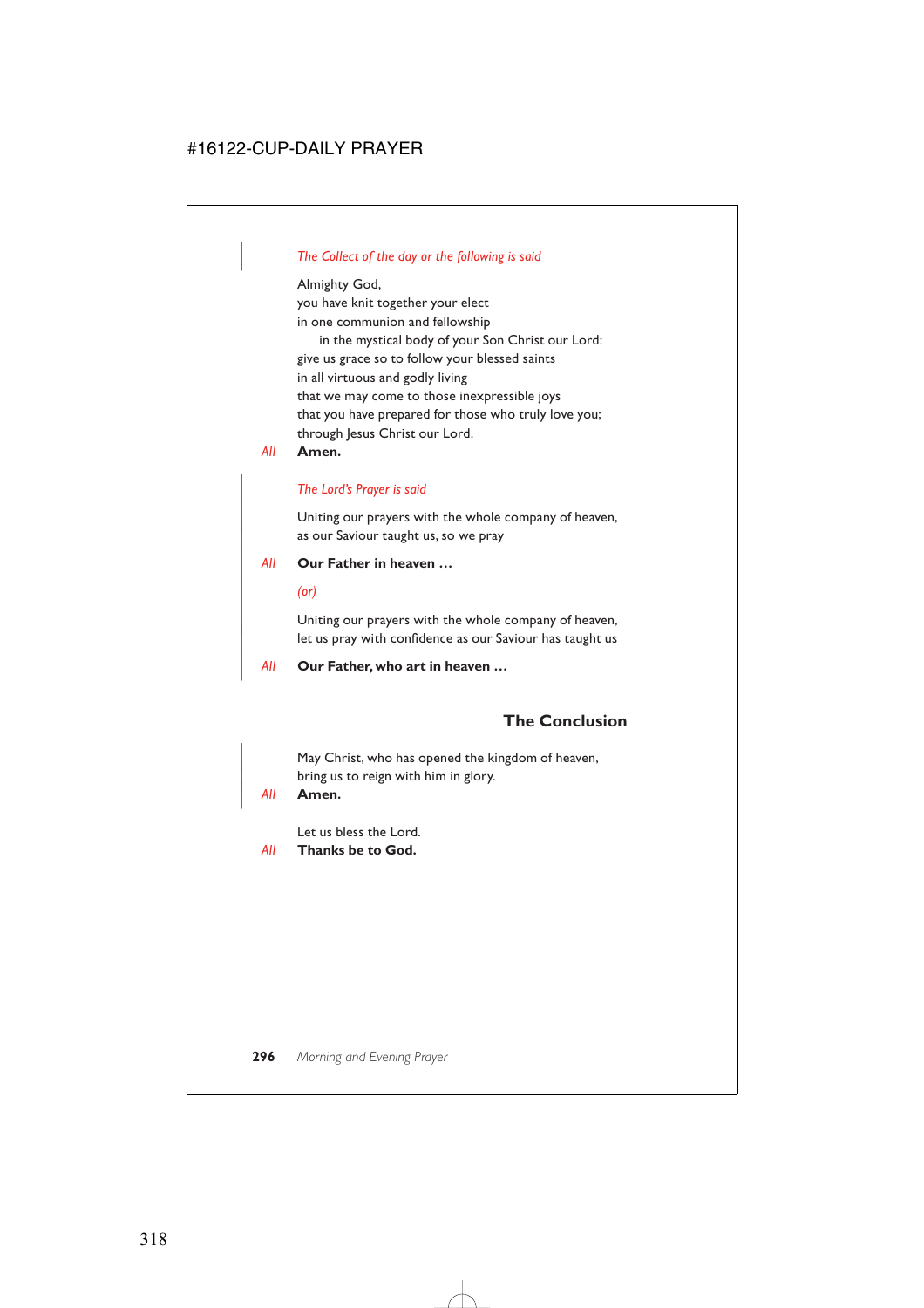## | *The Collect of the day or the following is said*

Almighty God, you have knit together your elect in one communion and fellowship in the mystical body of your Son Christ our Lord: give us grace so to follow your blessed saints in all virtuous and godly living that we may come to those inexpressible joys that you have prepared for those who truly love you; through Jesus Christ our Lord.

*All* **Amen.**

#### | *The Lord's Prayer is said*

Uniting our prayers with the whole company of heaven, as our Saviour taught us, so we pray

#### | *All* **Our Father in heaven …**

| *(or)*

Uniting our prayers with the whole company of heaven, let us pray with confidence as our Saviour has taught us

| *All* **Our Father, who art in heaven …**

# **The Conclusion**

May Christ, who has opened the kingdom of heaven, bring us to reign with him in glory.

#### | *All* **Amen.**

Let us bless the Lord.

*All* **Thanks be to God.**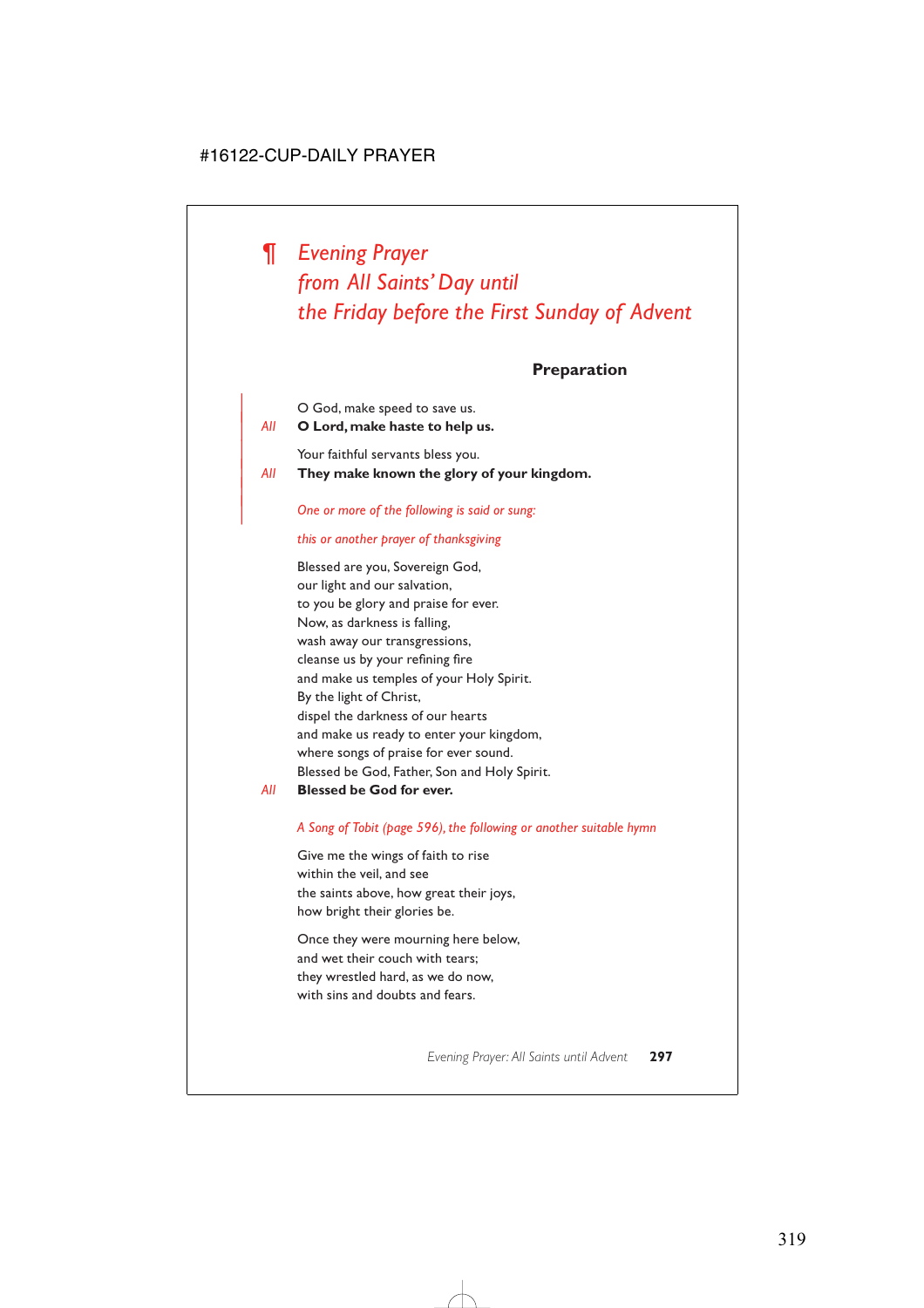# *¶ Evening Prayer from All Saints' Day until the Friday before the First Sunday of Advent*

# **Preparation**

O God, make speed to save us. | *All* **O Lord, make haste to help us.**

|

Your faithful servants bless you.

| *All* **They make known the glory of your kingdom.**

#### | *One or more of the following is said or sung:*

#### *this or another prayer of thanksgiving*

Blessed are you, Sovereign God, our light and our salvation, to you be glory and praise for ever. Now, as darkness is falling, wash away our transgressions, cleanse us by your refining fire and make us temples of your Holy Spirit. By the light of Christ, dispel the darkness of our hearts and make us ready to enter your kingdom, where songs of praise for ever sound. Blessed be God, Father, Son and Holy Spirit.

#### *All* **Blessed be God for ever.**

#### *A Song of Tobit (page 596), the following or another suitable hymn*

Give me the wings of faith to rise within the veil, and see the saints above, how great their joys, how bright their glories be.

Once they were mourning here below, and wet their couch with tears; they wrestled hard, as we do now, with sins and doubts and fears.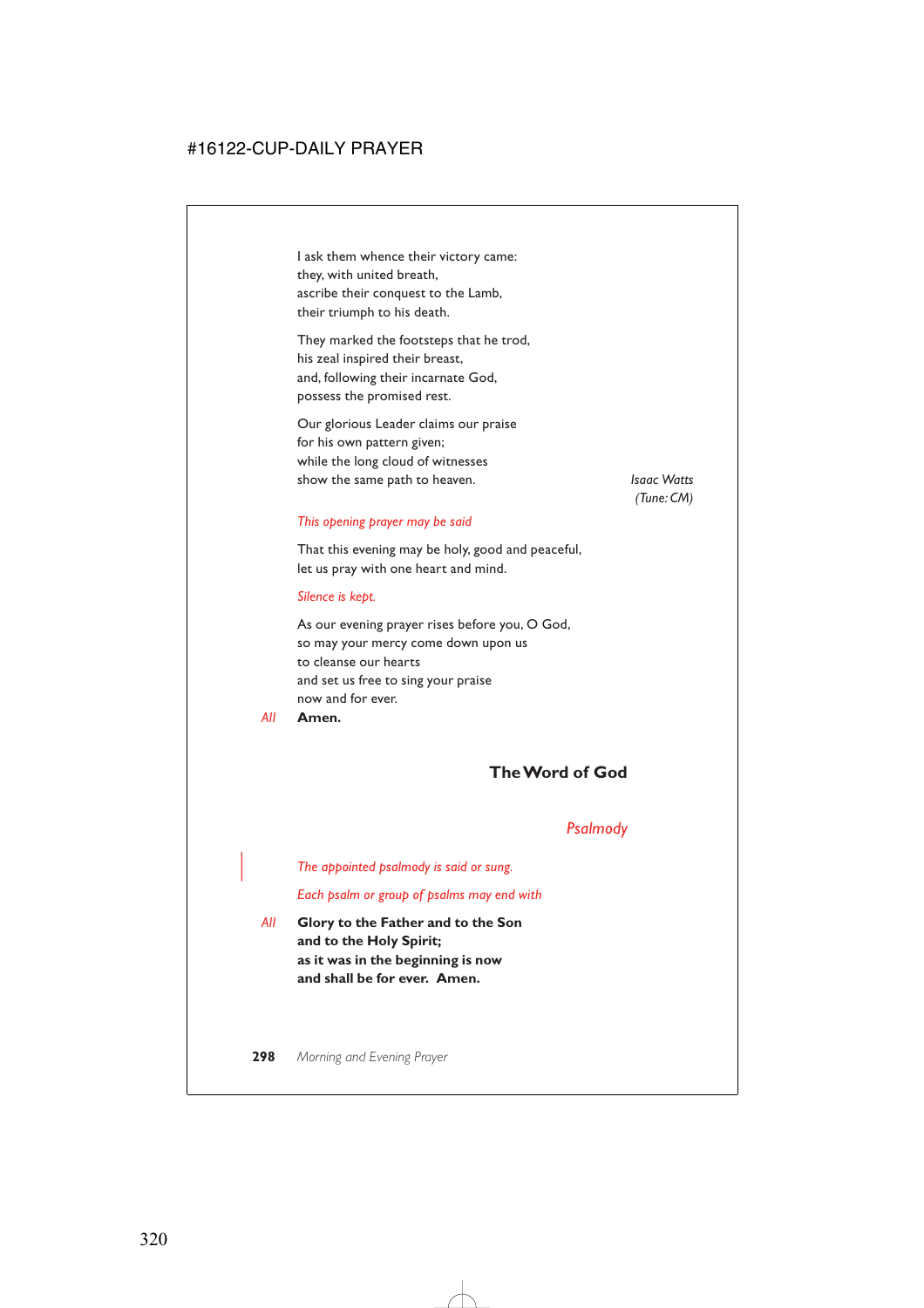I ask them whence their victory came: they, with united breath, ascribe their conquest to the Lamb, their triumph to his death.

They marked the footsteps that he trod, his zeal inspired their breast, and, following their incarnate God, possess the promised rest.

Our glorious Leader claims our praise for his own pattern given; while the long cloud of witnesses show the same path to heaven. *Isaac Watts*

*(Tune: CM)*

#### *This opening prayer may be said*

That this evening may be holy, good and peaceful, let us pray with one heart and mind.

#### *Silence is kept.*

As our evening prayer rises before you, O God, so may your mercy come down upon us to cleanse our hearts and set us free to sing your praise now and for ever.

*All* **Amen.**

# **The Word of God**

## *Psalmody*

| *The appointed psalmody is said or sung.*

*Each psalm or group of psalms may end with*

*All* **Glory to the Father and to the Son and to the Holy Spirit; as it was in the beginning is now and shall be for ever. Amen.**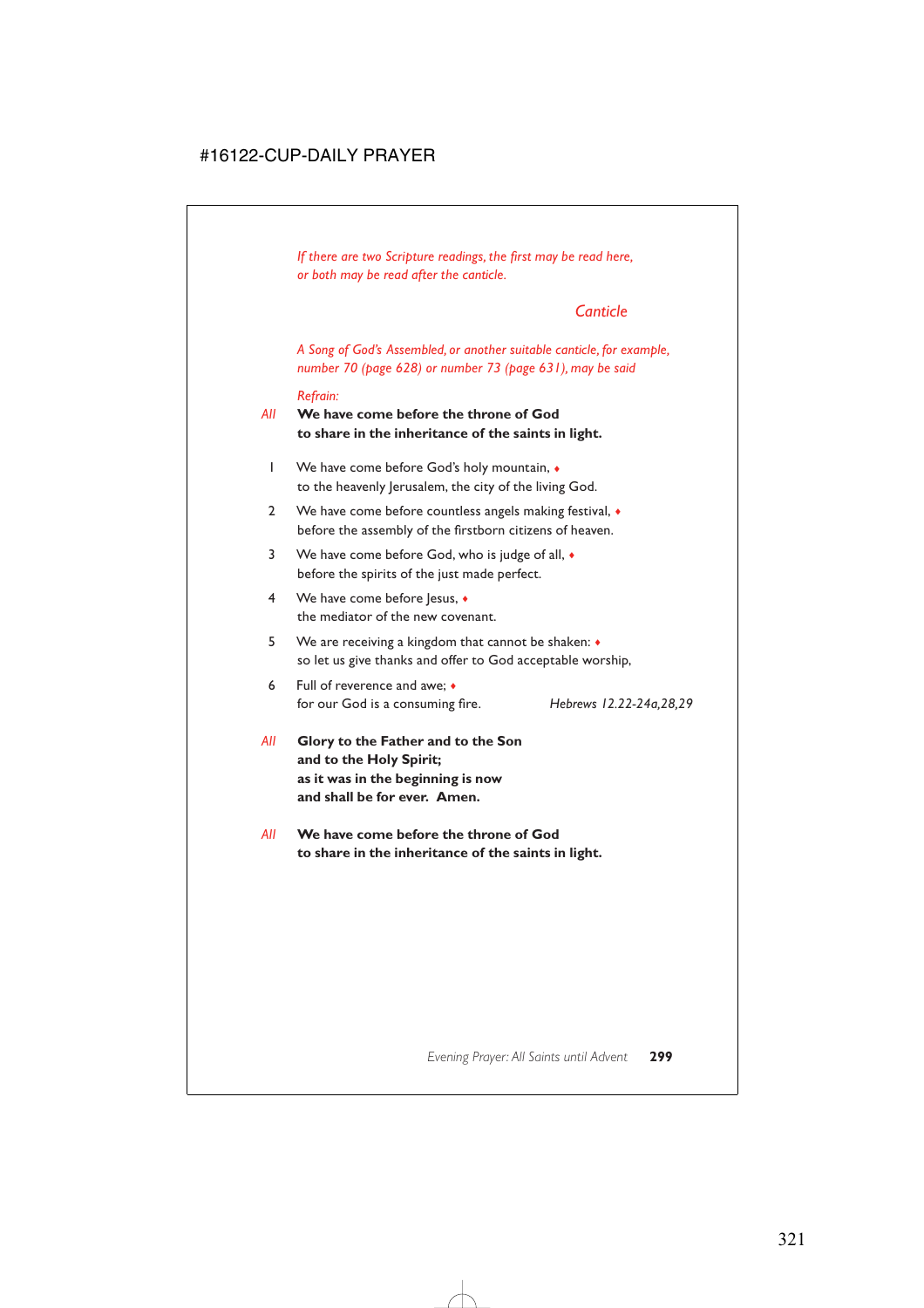*If there are two Scripture readings, the first may be read here, or both may be read after the canticle.*

# *Canticle*

*A Song of God's Assembled, or another suitable canticle, for example, number 70 (page 628) or number 73 (page 631), may be said*

#### *Refrain:*

*All* **We have come before the throne of God to share in the inheritance of the saints in light.**

- 1 We have come before God's holy mountain,  $\bullet$ to the heavenly Jerusalem, the city of the living God.
- 2 We have come before countless angels making festival,  $\bullet$ before the assembly of the firstborn citizens of heaven.
- 3 We have come before God, who is judge of all, ♦ before the spirits of the just made perfect.
- 4 We have come before lesus. ◆ the mediator of the new covenant.
- 5 We are receiving a kingdom that cannot be shaken: ♦ so let us give thanks and offer to God acceptable worship,
- 6 Full of reverence and awe; ♦ for our God is a consuming fire. *Hebrews 12.22-24a,28,29*
- *All* **Glory to the Father and to the Son and to the Holy Spirit; as it was in the beginning is now and shall be for ever. Amen.**
- *All* **We have come before the throne of God to share in the inheritance of the saints in light.**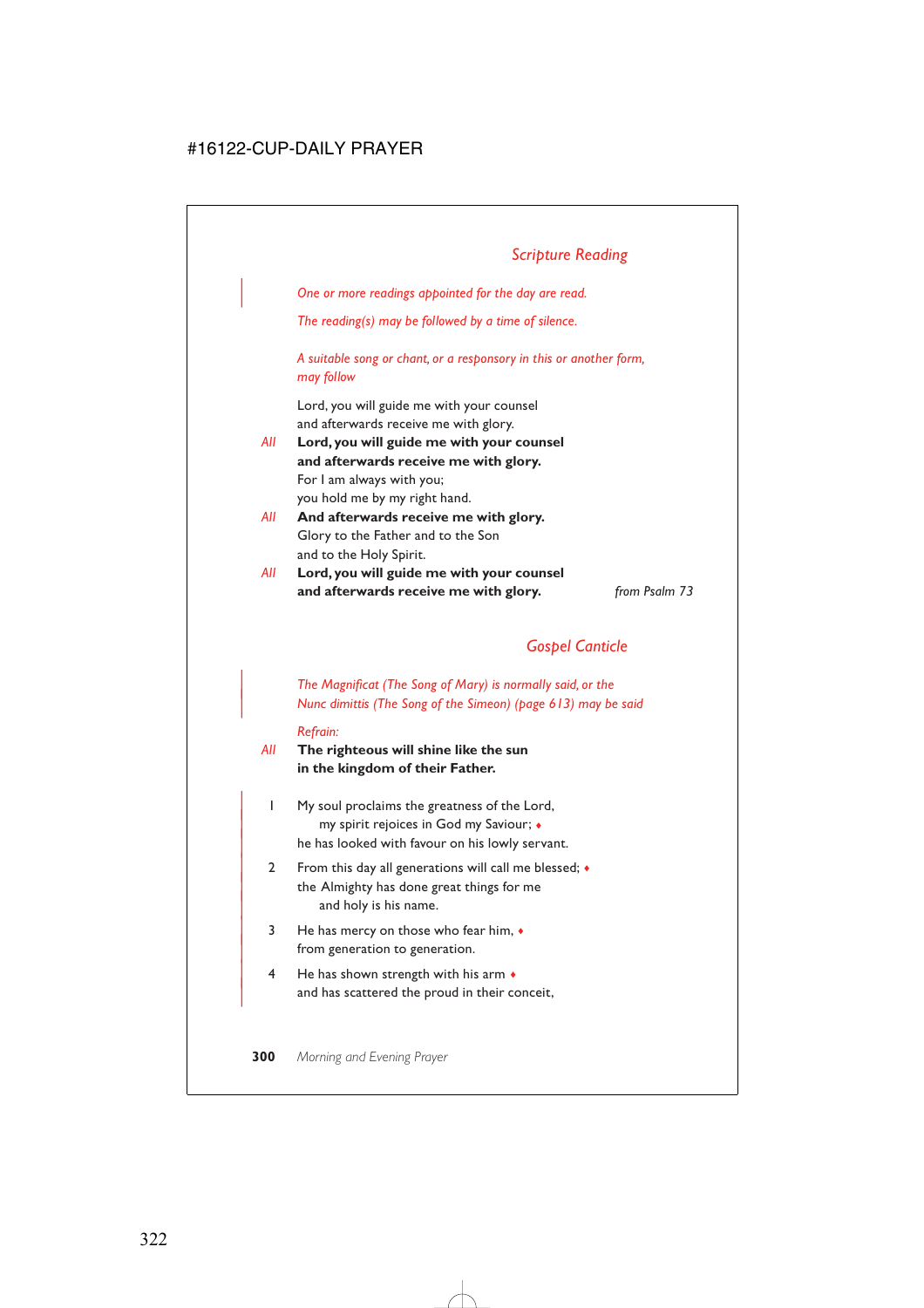| *One or more readings appointed for the day are read.*

*The reading(s) may be followed by a time of silence.*

*A suitable song or chant, or a responsory in this or another form, may follow*

Lord, you will guide me with your counsel and afterwards receive me with glory.

- *All* **Lord, you will guide me with your counsel and afterwards receive me with glory.** For I am always with you; you hold me by my right hand.
- *All* **And afterwards receive me with glory.** Glory to the Father and to the Son and to the Holy Spirit.
- *All* **Lord, you will guide me with your counsel and afterwards receive me with glory.** *from Psalm 73*

# *Gospel Canticle*

| *The Magnificat (The Song of Mary) is normally said, or the* | *Nunc dimittis (The Song of the Simeon) (page 613) may be said*

#### *Refrain:*

## *All* **The righteous will shine like the sun in the kingdom of their Father.**

- | 1 My soul proclaims the greatness of the Lord, | my spirit rejoices in God my Saviour; ♦ he has looked with favour on his lowly servant.
- 2 From this day all generations will call me blessed;  $\bullet$ the Almighty has done great things for me and holy is his name.
- $3$  He has mercy on those who fear him,  $\bullet$ from generation to generation.
- $4$  He has shown strength with his arm  $\bullet$ and has scattered the proud in their conceit,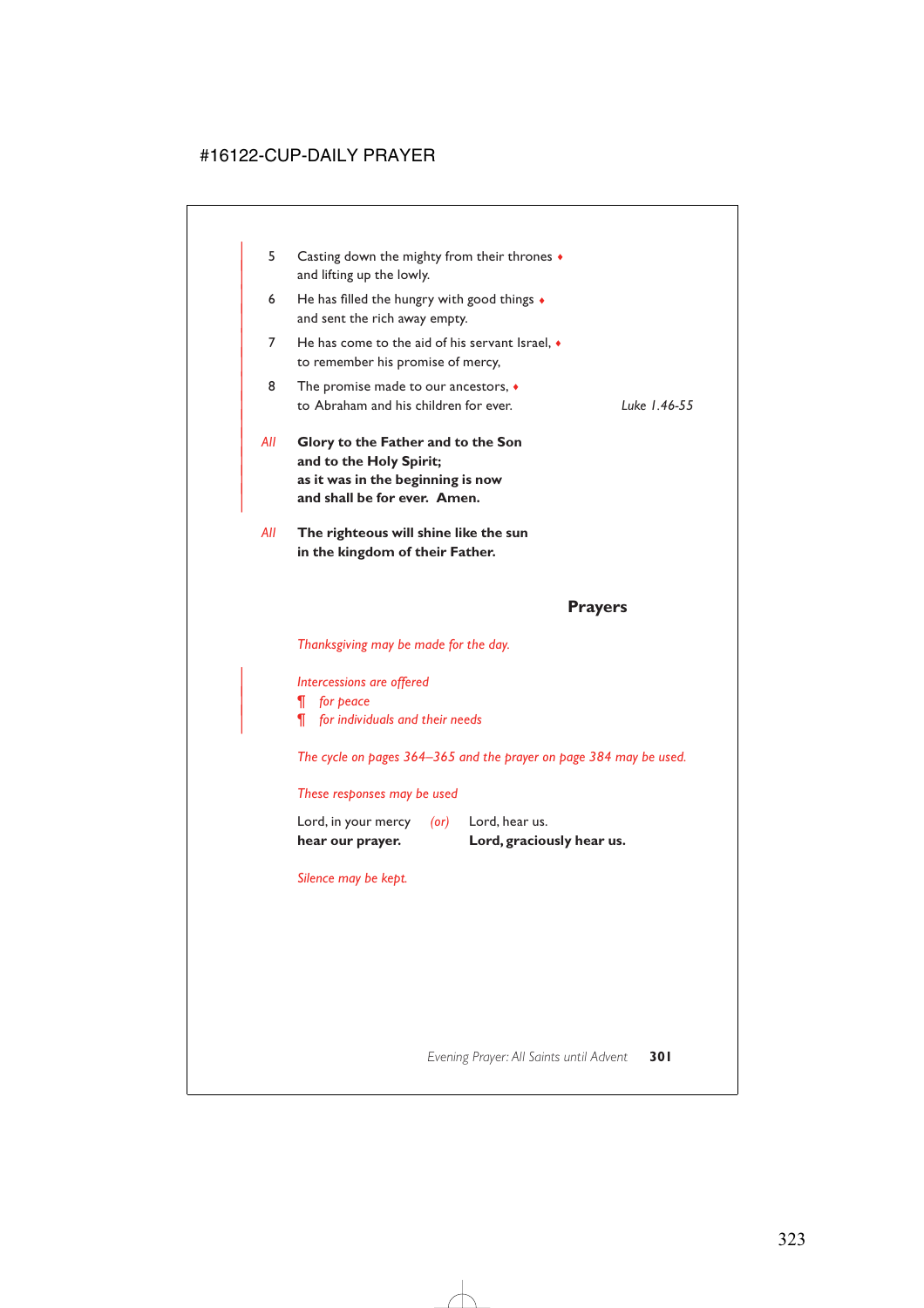| 5   | Casting down the mighty from their thrones $\bullet$<br>and lifting up the lowly.                                                  |              |
|-----|------------------------------------------------------------------------------------------------------------------------------------|--------------|
| 6   | He has filled the hungry with good things $\bullet$<br>and sent the rich away empty.                                               |              |
| 7   | He has come to the aid of his servant Israel, $\bullet$<br>to remember his promise of mercy,                                       |              |
| 8   | The promise made to our ancestors, $\bullet$<br>to Abraham and his children for ever.                                              | Luke 1.46-55 |
| All | Glory to the Father and to the Son<br>and to the Holy Spirit;<br>as it was in the beginning is now<br>and shall be for ever. Amen. |              |
| All | The righteous will shine like the sun<br>in the kingdom of their Father.                                                           |              |

## **Prayers**

*Thanksgiving may be made for the day.*

| *Intercessions are offered*

| *¶ for peace*

| *¶ for individuals and their needs*

*The cycle on pages 364–365 and the prayer on page 384 may be used.*

*These responses may be used*

| hear our prayer.    |            | Lord, graciously hear us. |
|---------------------|------------|---------------------------|
| Lord, in your mercy | $($ or $)$ | Lord, hear us.            |

*Silence may be kept.*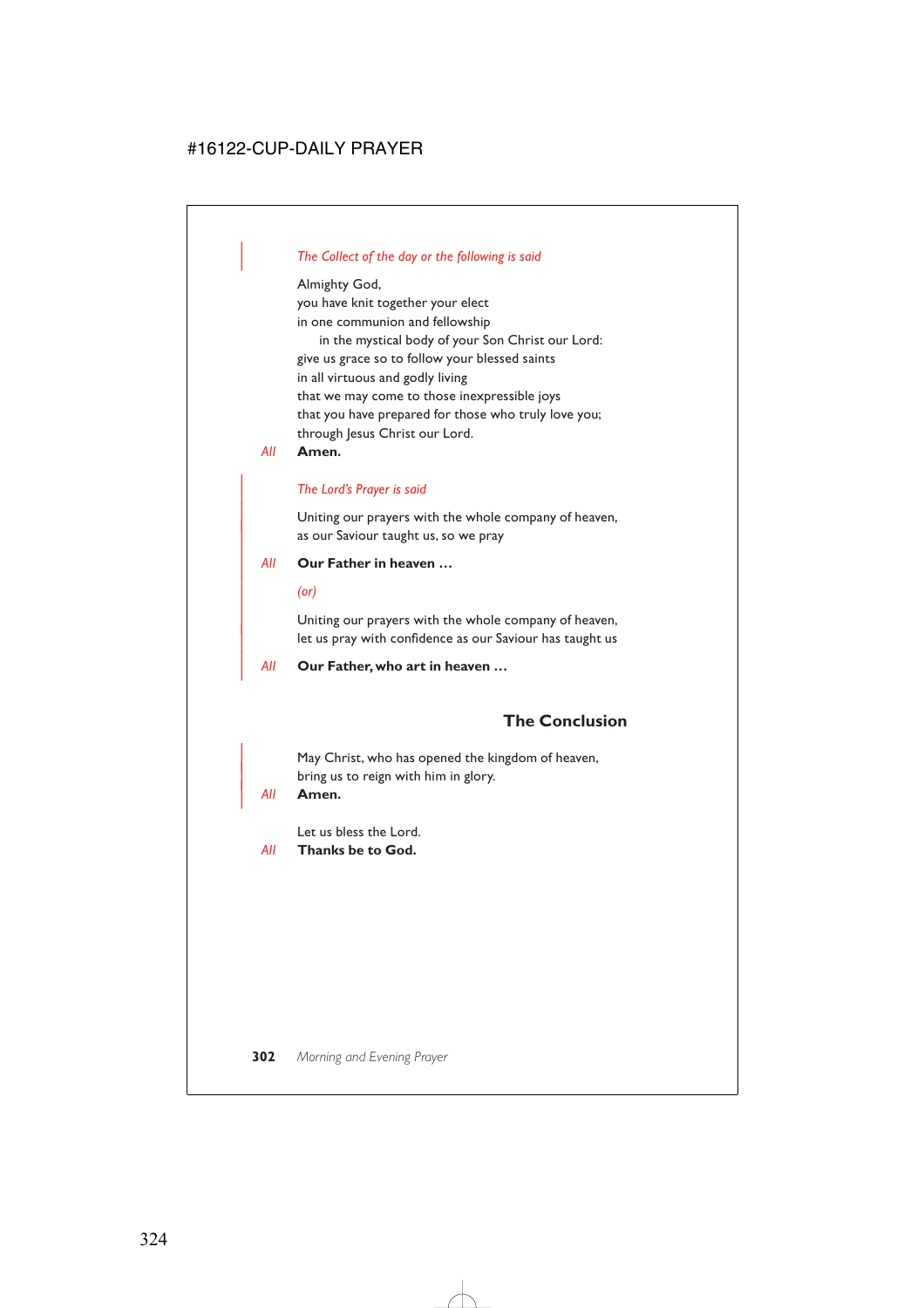## | *The Collect of the day or the following is said*

Almighty God, you have knit together your elect in one communion and fellowship in the mystical body of your Son Christ our Lord: give us grace so to follow your blessed saints in all virtuous and godly living that we may come to those inexpressible joys that you have prepared for those who truly love you; through Jesus Christ our Lord.

*All* **Amen.**

#### | *The Lord's Prayer is said*

Uniting our prayers with the whole company of heaven, as our Saviour taught us, so we pray

#### | *All* **Our Father in heaven …**

| *(or)*

Uniting our prayers with the whole company of heaven, let us pray with confidence as our Saviour has taught us

| *All* **Our Father, who art in heaven …**

# **The Conclusion**

May Christ, who has opened the kingdom of heaven, bring us to reign with him in glory.

#### | *All* **Amen.**

Let us bless the Lord.

*All* **Thanks be to God.**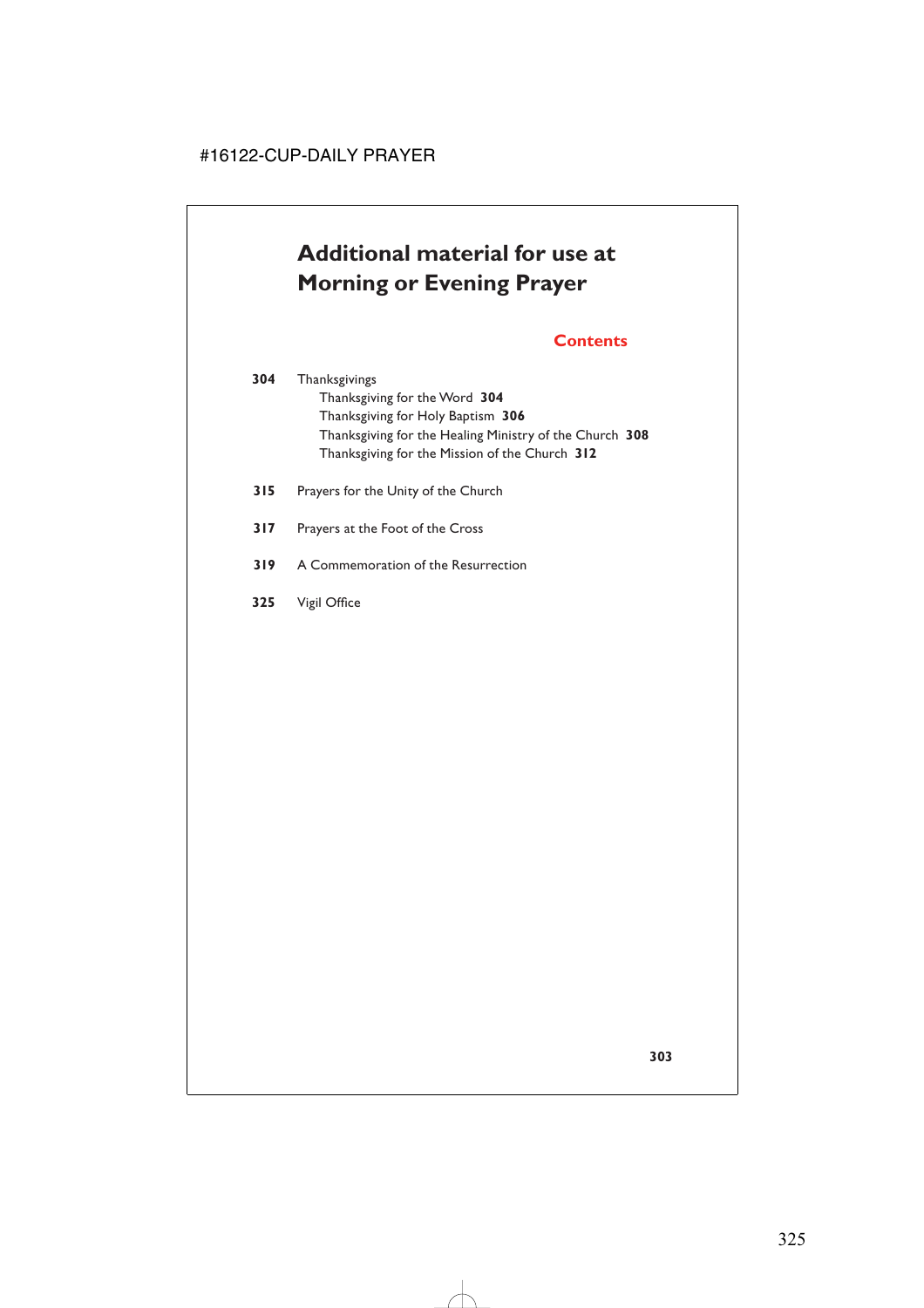# **Additional material for use at Morning or Evening Prayer**

# **Contents**

- **304** Thanksgivings Thanksgiving for the Word **304** Thanksgiving for Holy Baptism **306** Thanksgiving for the Healing Ministry of the Church **308** Thanksgiving for the Mission of the Church **312**
- **315** Prayers for the Unity of the Church
- **317** Prayers at the Foot of the Cross
- **319** A Commemoration of the Resurrection
- **325** Vigil Office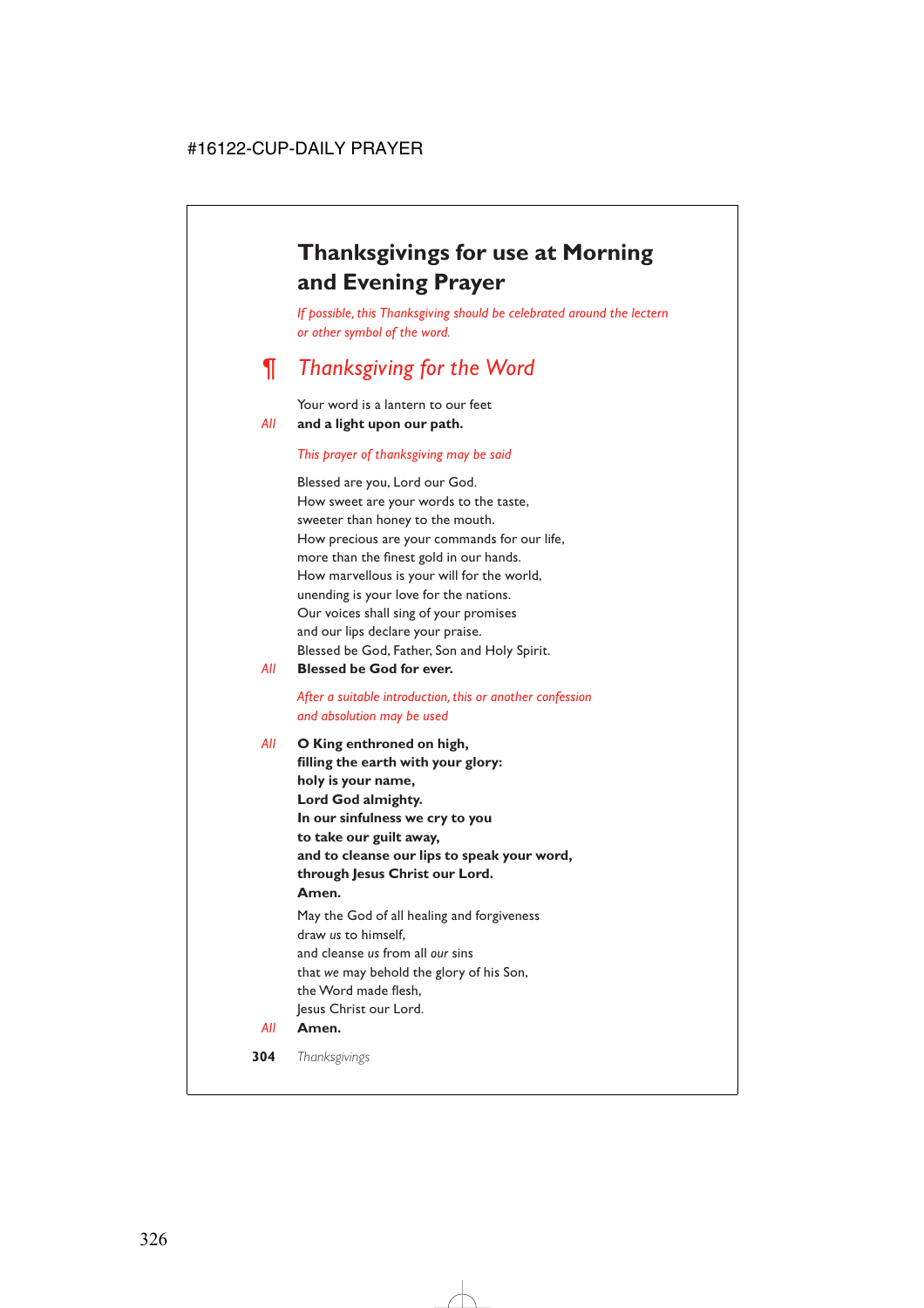# **Thanksgivings for use at Morning and Evening Prayer**

*If possible, this Thanksgiving should be celebrated around the lectern or other symbol of the word.*

# *¶ Thanksgiving for the Word*

Your word is a lantern to our feet *All* **and a light upon our path.**

#### *This prayer of thanksgiving may be said*

Blessed are you, Lord our God. How sweet are your words to the taste, sweeter than honey to the mouth. How precious are your commands for our life, more than the finest gold in our hands. How marvellous is your will for the world, unending is your love for the nations. Our voices shall sing of your promises and our lips declare your praise. Blessed be God, Father, Son and Holy Spirit.

*All* **Blessed be God for ever.**

#### *After a suitable introduction, this or another confession and absolution may be used*

*All* **O King enthroned on high, filling the earth with your glory: holy is your name, Lord God almighty. In our sinfulness we cry to you to take our guilt away, and to cleanse our lips to speak your word, through Jesus Christ our Lord. Amen.** May the God of all healing and forgiveness draw *us* to himself, and cleanse *us* from all *our* sins that *we* may behold the glory of his Son, the Word made flesh,

Jesus Christ our Lord.

*All* **Amen.**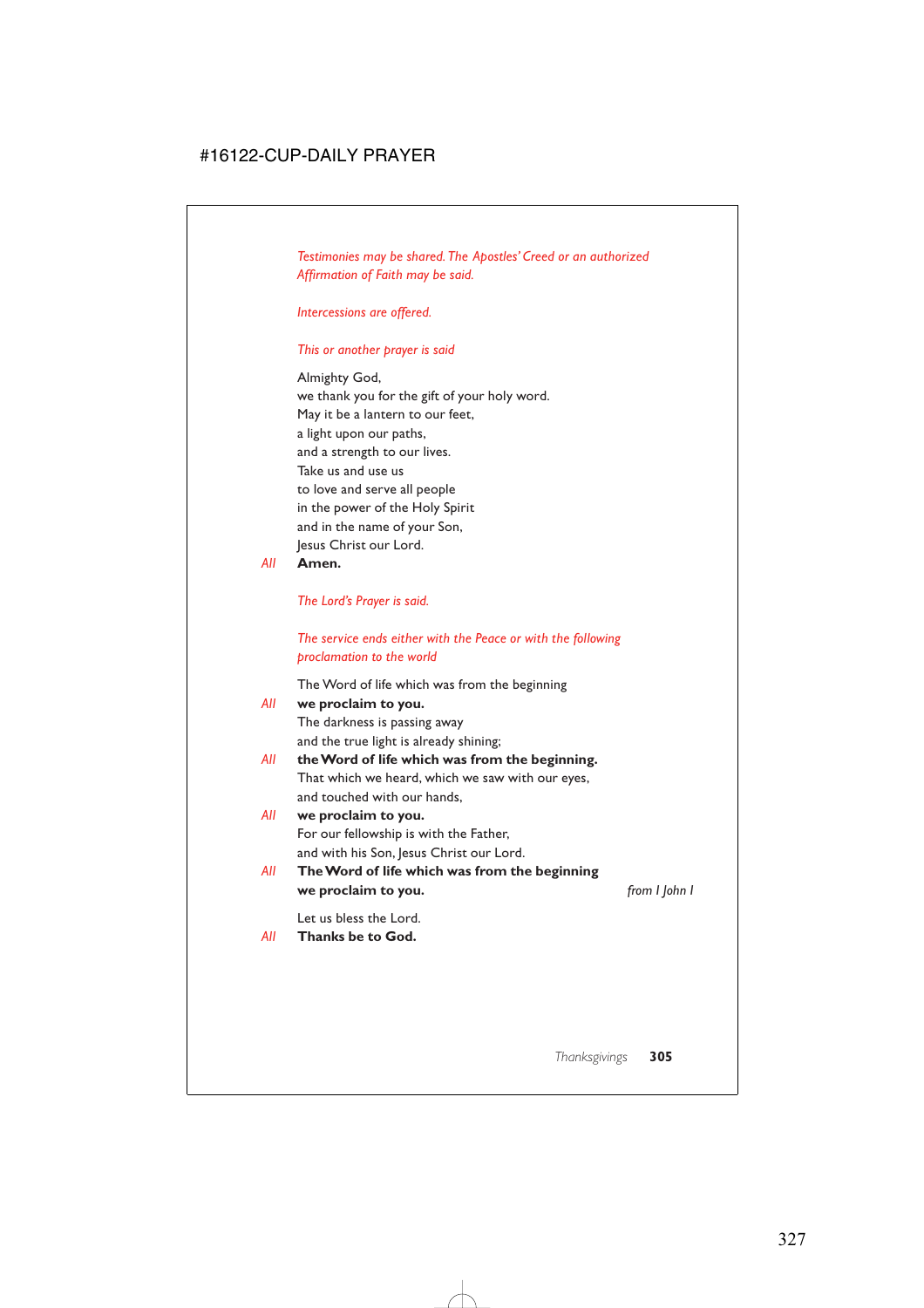*Testimonies may be shared. The Apostles' Creed or an authorized Affirmation of Faith may be said.*

*Intercessions are offered.*

#### *This or another prayer is said*

Almighty God, we thank you for the gift of your holy word. May it be a lantern to our feet, a light upon our paths, and a strength to our lives. Take us and use us to love and serve all people in the power of the Holy Spirit and in the name of your Son, Jesus Christ our Lord.

*All* **Amen.**

*The Lord's Prayer is said.*

*The service ends either with the Peace or with the following proclamation to the world*

The Word of life which was from the beginning

| All | we proclaim to you.                              |               |
|-----|--------------------------------------------------|---------------|
|     | The darkness is passing away                     |               |
|     | and the true light is already shining;           |               |
| AII | the Word of life which was from the beginning.   |               |
|     | That which we heard, which we saw with our eyes, |               |
|     | and touched with our hands,                      |               |
| All | we proclaim to you.                              |               |
|     | For our fellowship is with the Father,           |               |
|     | and with his Son, Jesus Christ our Lord.         |               |
| All | The Word of life which was from the beginning    |               |
|     | we proclaim to you.                              | from I John I |
|     | Lot us bloss the Lord                            |               |

Let us bless the Lord.

# *All* **Thanks be to God.**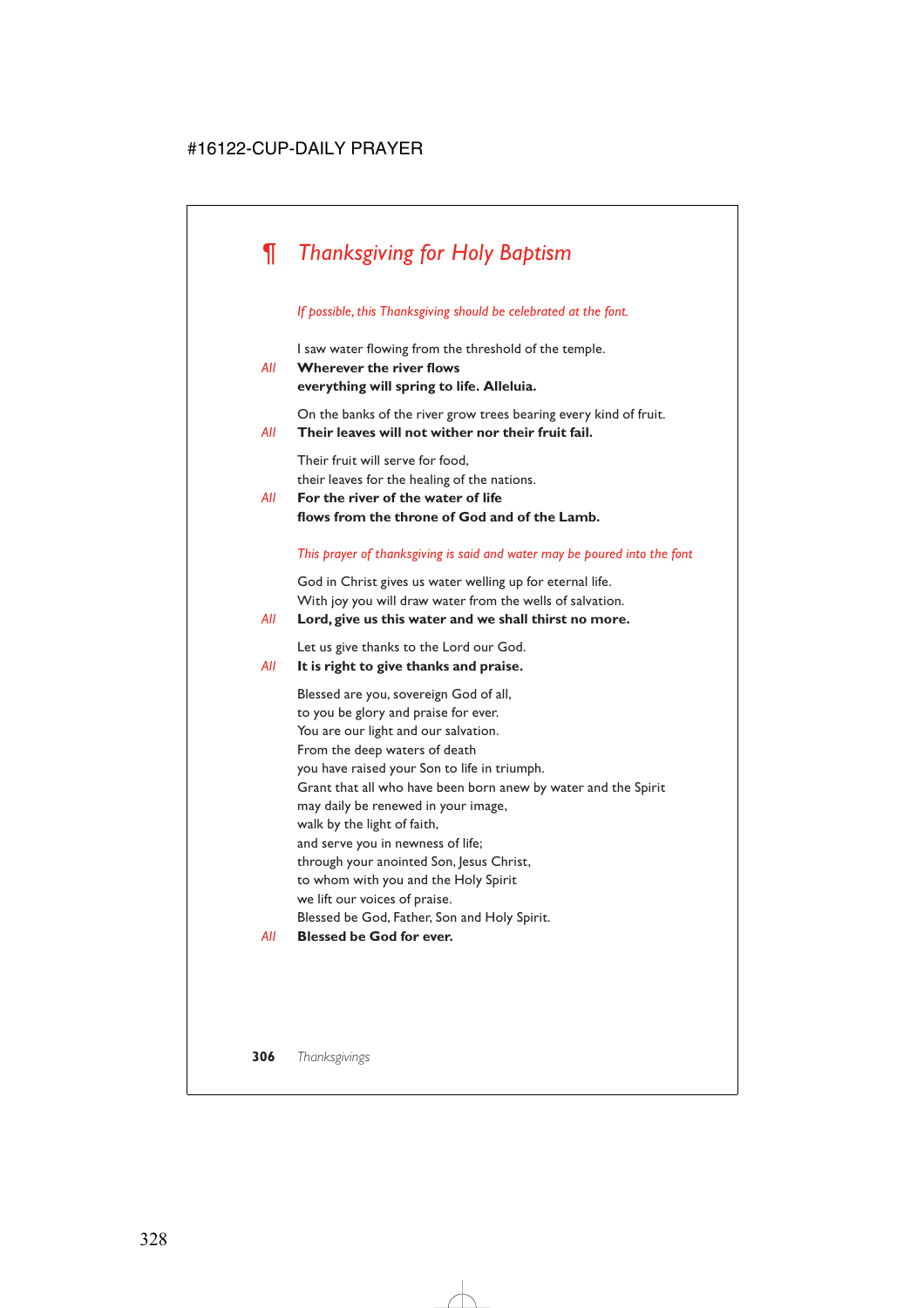# *¶ Thanksgiving for Holy Baptism*

#### *If possible, this Thanksgiving should be celebrated at the font.*

I saw water flowing from the threshold of the temple.

# *All* **Wherever the river flows everything will spring to life. Alleluia.**

On the banks of the river grow trees bearing every kind of fruit.

*All* **Their leaves will not wither nor their fruit fail.**

Their fruit will serve for food, their leaves for the healing of the nations.

*All* **For the river of the water of life flows from the throne of God and of the Lamb.**

#### *This prayer of thanksgiving is said and water may be poured into the font*

God in Christ gives us water welling up for eternal life. With joy you will draw water from the wells of salvation.

#### *All* **Lord, give us this water and we shall thirst no more.**

Let us give thanks to the Lord our God.

## *All* **It is right to give thanks and praise.**

Blessed are you, sovereign God of all, to you be glory and praise for ever. You are our light and our salvation. From the deep waters of death you have raised your Son to life in triumph. Grant that all who have been born anew by water and the Spirit may daily be renewed in your image, walk by the light of faith, and serve you in newness of life; through your anointed Son, Jesus Christ, to whom with you and the Holy Spirit we lift our voices of praise. Blessed be God, Father, Son and Holy Spirit.

*All* **Blessed be God for ever.**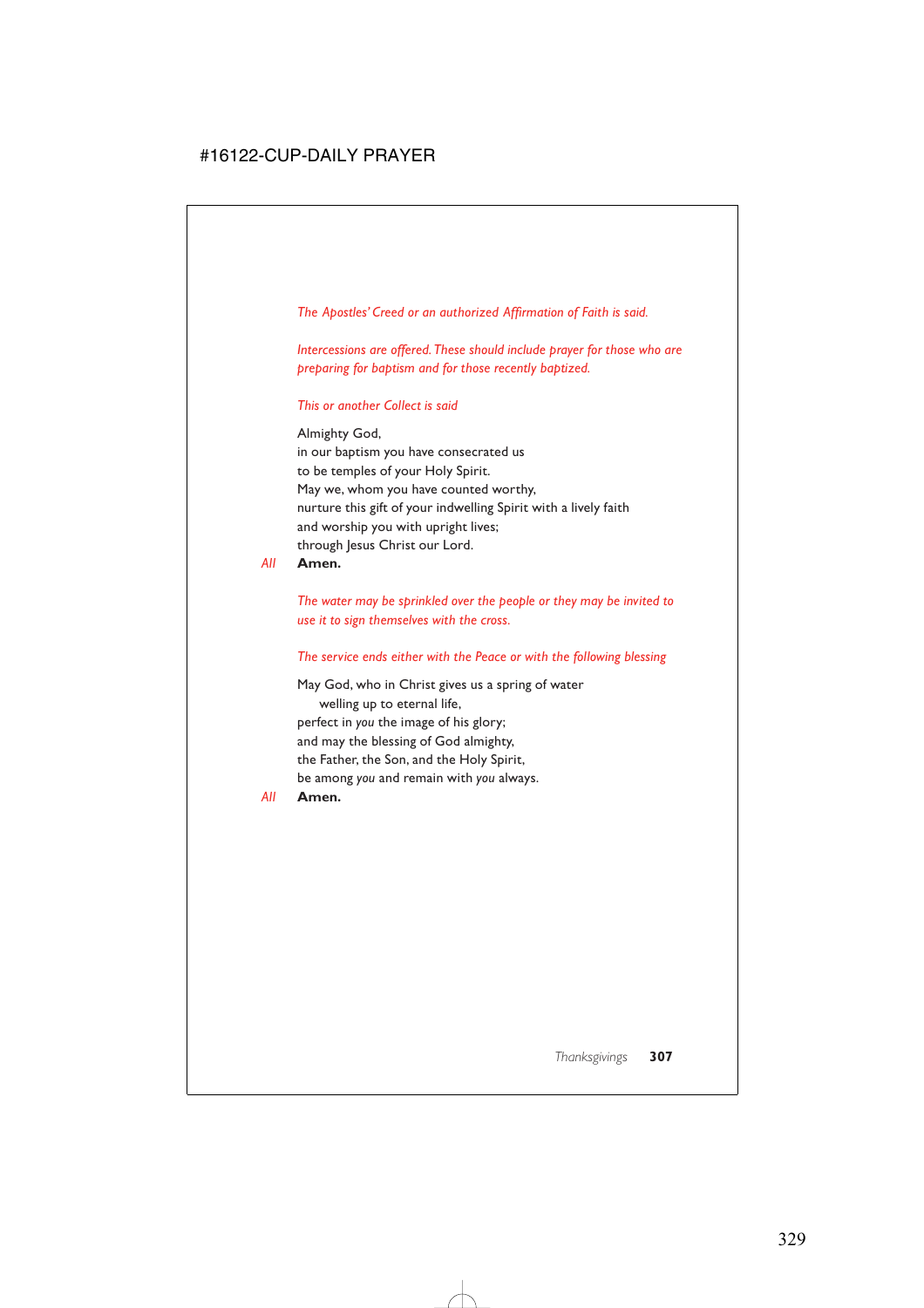*The Apostles' Creed or an authorized Affirmation of Faith is said.*

*Intercessions are offered. These should include prayer for those who are preparing for baptism and for those recently baptized.*

### *This or another Collect is said*

Almighty God, in our baptism you have consecrated us to be temples of your Holy Spirit. May we, whom you have counted worthy, nurture this gift of your indwelling Spirit with a lively faith and worship you with upright lives; through Jesus Christ our Lord.

*All* **Amen.**

*The water may be sprinkled over the people or they may be invited to use it to sign themselves with the cross.*

### *The service ends either with the Peace or with the following blessing*

May God, who in Christ gives us a spring of water welling up to eternal life, perfect in *you* the image of his glory; and may the blessing of God almighty, the Father, the Son, and the Holy Spirit, be among *you* and remain with *you* always.

*All* **Amen.**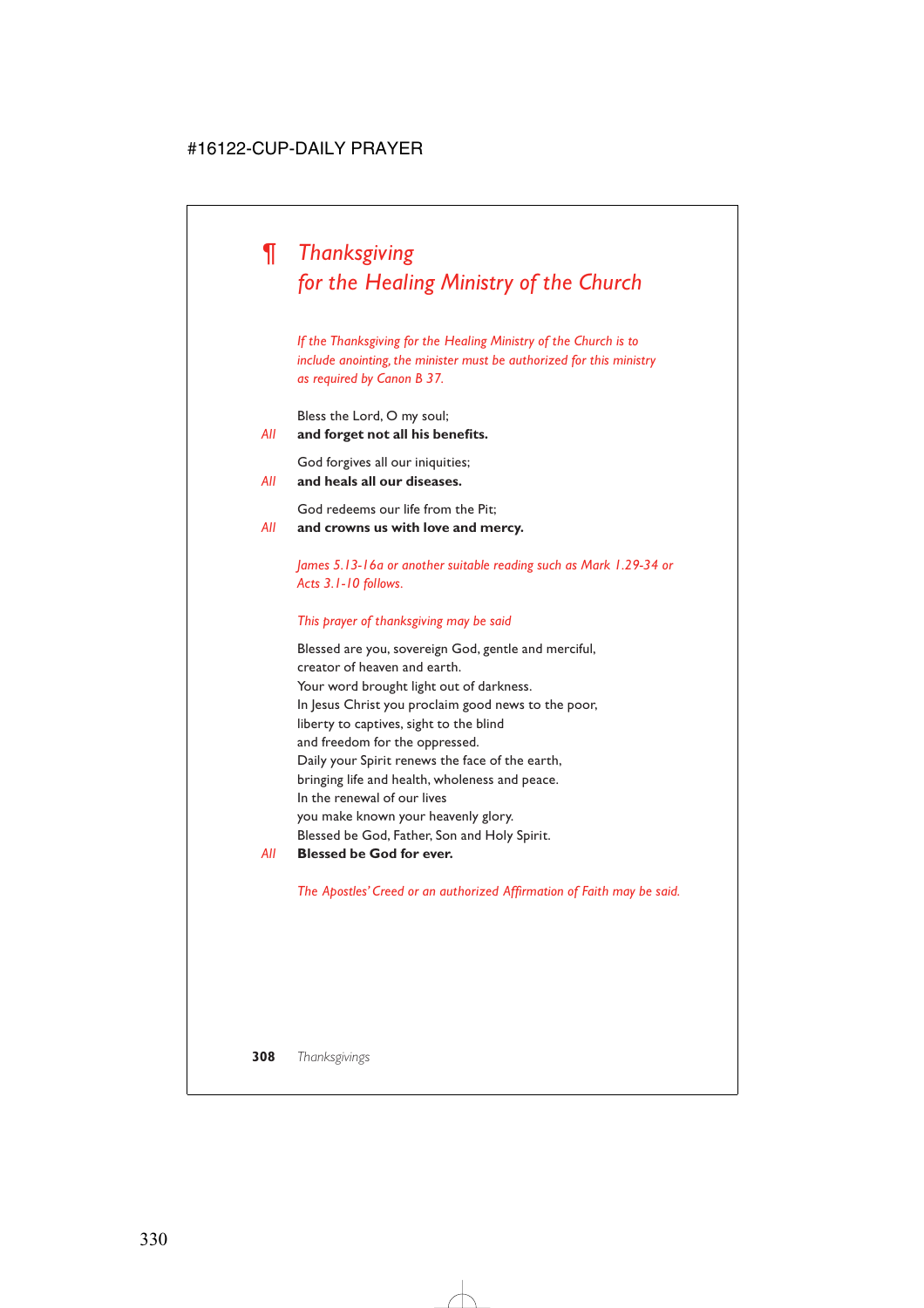# *¶ Thanksgiving for the Healing Ministry of the Church*

*If the Thanksgiving for the Healing Ministry of the Church is to include anointing, the minister must be authorized for this ministry as required by Canon B 37.*

Bless the Lord, O my soul;

*All* **and forget not all his benefits.**

God forgives all our iniquities;

*All* **and heals all our diseases.**

God redeems our life from the Pit;

*All* **and crowns us with love and mercy.**

*James 5.13-16a or another suitable reading such as Mark 1.29-34 or Acts 3.1-10 follows.*

## *This prayer of thanksgiving may be said*

Blessed are you, sovereign God, gentle and merciful, creator of heaven and earth. Your word brought light out of darkness. In Jesus Christ you proclaim good news to the poor, liberty to captives, sight to the blind and freedom for the oppressed. Daily your Spirit renews the face of the earth, bringing life and health, wholeness and peace. In the renewal of our lives you make known your heavenly glory. Blessed be God, Father, Son and Holy Spirit.

*All* **Blessed be God for ever.**

*The Apostles' Creed or an authorized Affirmation of Faith may be said.*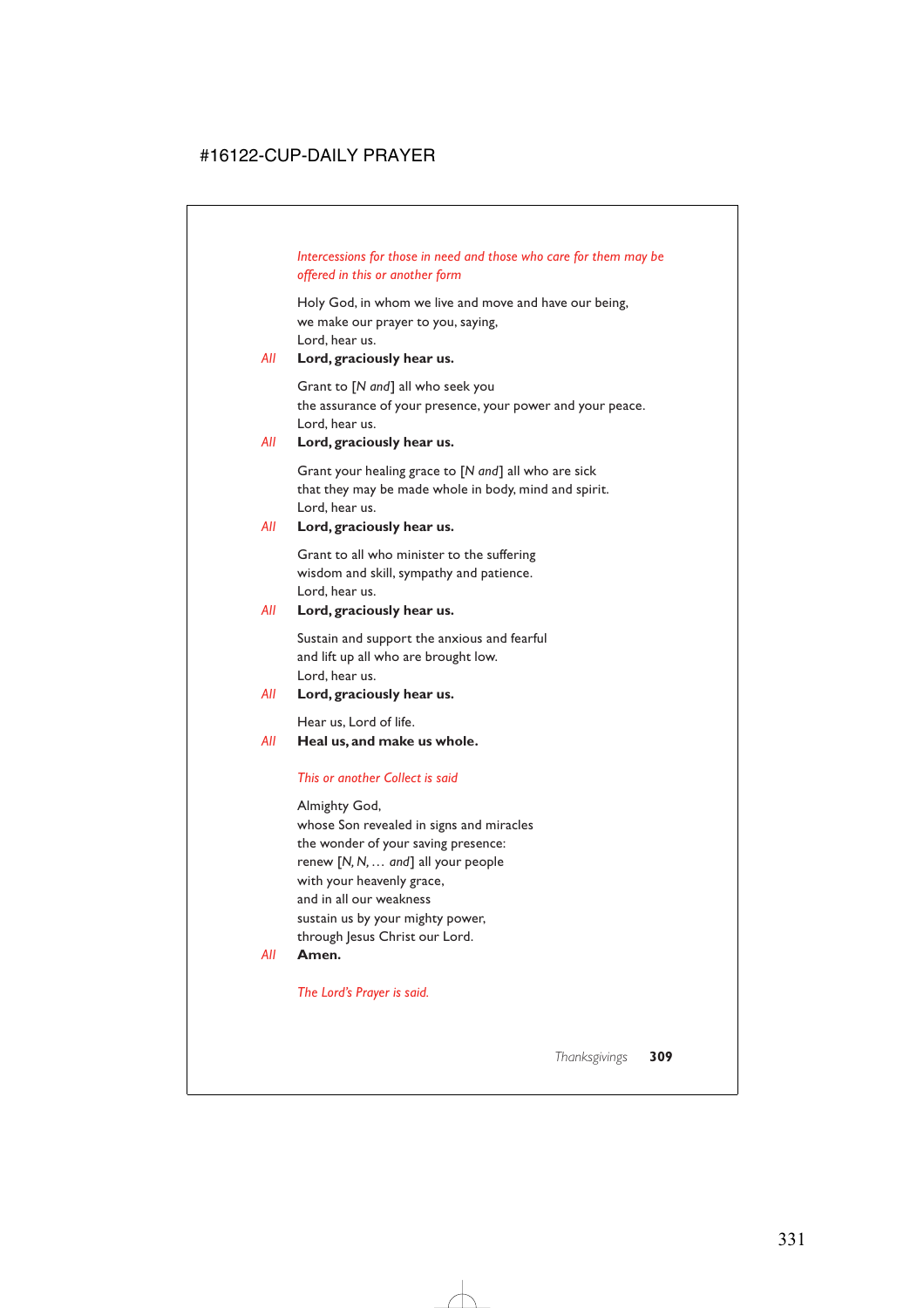# *Intercessions for those in need and those who care for them may be offered in this or another form*

Holy God, in whom we live and move and have our being, we make our prayer to you, saying, Lord, hear us.

# *All* **Lord, graciously hear us.**

Grant to [*N and*] all who seek you the assurance of your presence, your power and your peace. Lord, hear us.

## *All* **Lord, graciously hear us.**

Grant your healing grace to [*N and*] all who are sick that they may be made whole in body, mind and spirit. Lord, hear us.

# *All* **Lord, graciously hear us.**

Grant to all who minister to the suffering wisdom and skill, sympathy and patience. Lord, hear us.

## *All* **Lord, graciously hear us.**

Sustain and support the anxious and fearful and lift up all who are brought low. Lord, hear us.

# *All* **Lord, graciously hear us.**

Hear us, Lord of life.

# *All* **Heal us, and make us whole.**

# *This or another Collect is said*

Almighty God,

whose Son revealed in signs and miracles the wonder of your saving presence: renew [*N, N, … and*] all your people with your heavenly grace, and in all our weakness sustain us by your mighty power, through Jesus Christ our Lord.

### *All* **Amen.**

*The Lord's Prayer is said.*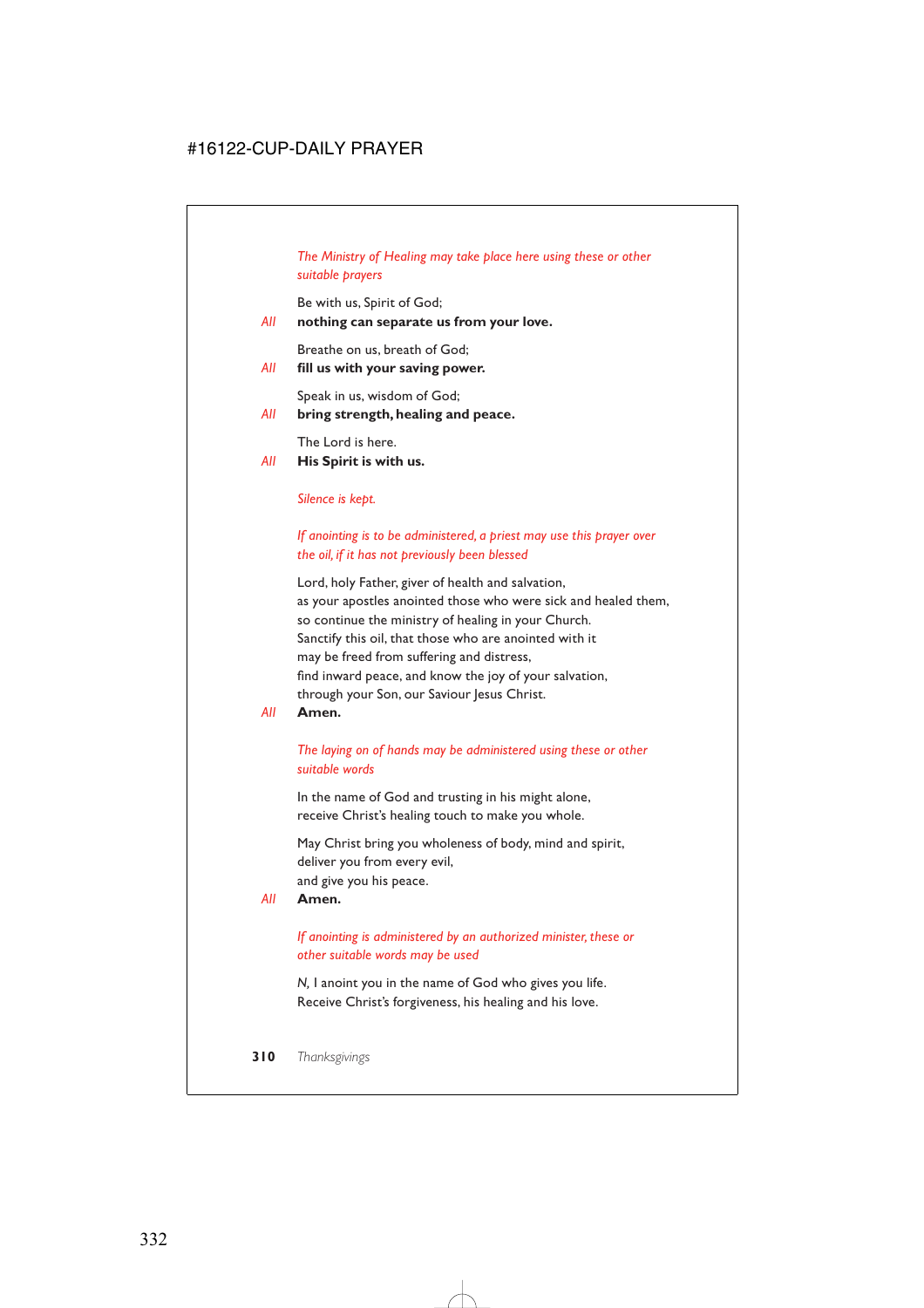# *The Ministry of Healing may take place here using these or other suitable prayers*

Be with us, Spirit of God;

### *All* **nothing can separate us from your love.**

Breathe on us, breath of God;

*All* **fill us with your saving power.**

Speak in us, wisdom of God;

*All* **bring strength, healing and peace.**

The Lord is here.

### *All* **His Spirit is with us.**

### *Silence is kept.*

# *If anointing is to be administered, a priest may use this prayer over the oil, if it has not previously been blessed*

Lord, holy Father, giver of health and salvation, as your apostles anointed those who were sick and healed them, so continue the ministry of healing in your Church. Sanctify this oil, that those who are anointed with it may be freed from suffering and distress, find inward peace, and know the joy of your salvation, through your Son, our Saviour Jesus Christ.

*All* **Amen.**

## *The laying on of hands may be administered using these or other suitable words*

In the name of God and trusting in his might alone, receive Christ's healing touch to make you whole.

May Christ bring you wholeness of body, mind and spirit, deliver you from every evil, and give you his peace.

### *All* **Amen.**

## *If anointing is administered by an authorized minister, these or other suitable words may be used*

*N,* I anoint you in the name of God who gives you life. Receive Christ's forgiveness, his healing and his love.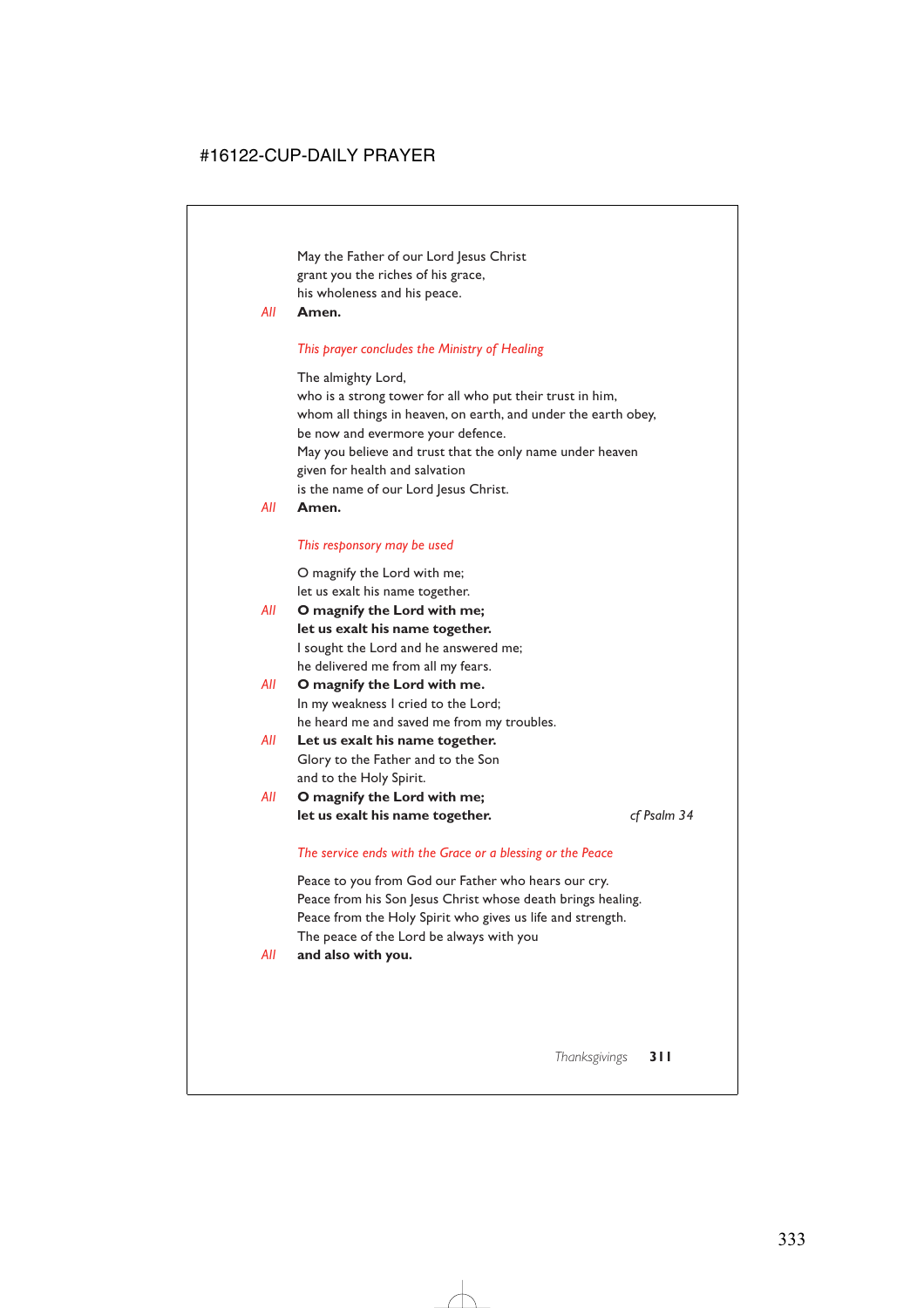May the Father of our Lord Jesus Christ grant you the riches of his grace, his wholeness and his peace.

### *All* **Amen.**

### *This prayer concludes the Ministry of Healing*

The almighty Lord,

who is a strong tower for all who put their trust in him, whom all things in heaven, on earth, and under the earth obey, be now and evermore your defence. May you believe and trust that the only name under heaven given for health and salvation is the name of our Lord Jesus Christ.

### *All* **Amen.**

### *This responsory may be used*

O magnify the Lord with me; let us exalt his name together.

- *All* **O magnify the Lord with me; let us exalt his name together.** I sought the Lord and he answered me; he delivered me from all my fears.
- *All* **O magnify the Lord with me.** In my weakness I cried to the Lord; he heard me and saved me from my troubles.
- *All* **Let us exalt his name together.** Glory to the Father and to the Son and to the Holy Spirit.
- *All* **O magnify the Lord with me; let us exalt his name together.** *cf Psalm 34*

### *The service ends with the Grace or a blessing or the Peace*

Peace to you from God our Father who hears our cry. Peace from his Son Jesus Christ whose death brings healing. Peace from the Holy Spirit who gives us life and strength. The peace of the Lord be always with you

*All* **and also with you.**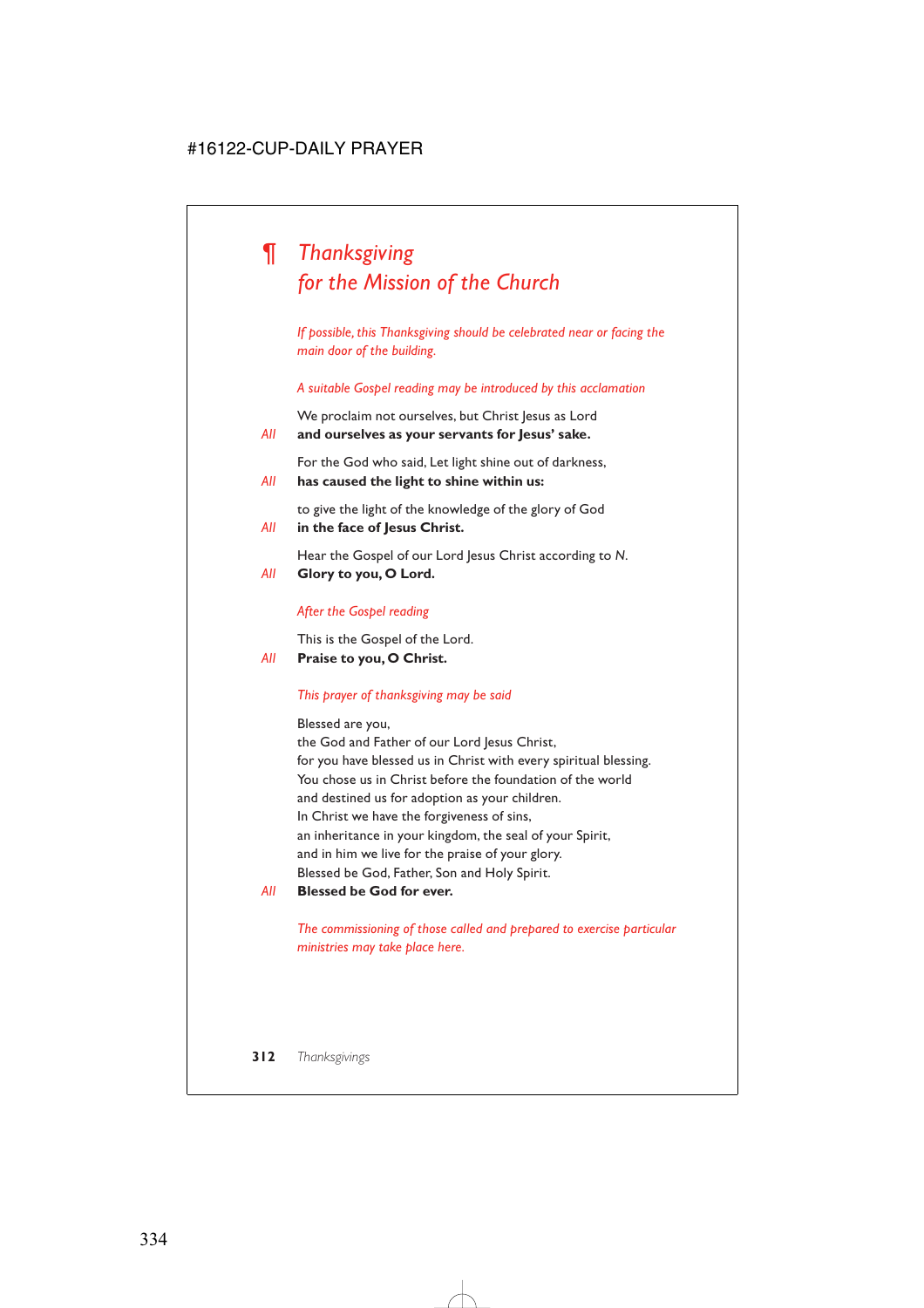# *¶ Thanksgiving for the Mission of the Church*

*If possible, this Thanksgiving should be celebrated near or facing the main door of the building.*

*A suitable Gospel reading may be introduced by this acclamation*

We proclaim not ourselves, but Christ Jesus as Lord

*All* **and ourselves as your servants for Jesus' sake.**

For the God who said, Let light shine out of darkness,

*All* **has caused the light to shine within us:**

to give the light of the knowledge of the glory of God

*All* **in the face of Jesus Christ.**

Hear the Gospel of our Lord Jesus Christ according to *N*.

*All* **Glory to you, O Lord.**

# *After the Gospel reading*

This is the Gospel of the Lord.

*All* **Praise to you, O Christ.**

# *This prayer of thanksgiving may be said*

Blessed are you,

the God and Father of our Lord Jesus Christ, for you have blessed us in Christ with every spiritual blessing. You chose us in Christ before the foundation of the world and destined us for adoption as your children. In Christ we have the forgiveness of sins, an inheritance in your kingdom, the seal of your Spirit, and in him we live for the praise of your glory. Blessed be God, Father, Son and Holy Spirit.

*All* **Blessed be God for ever.**

*The commissioning of those called and prepared to exercise particular ministries may take place here.*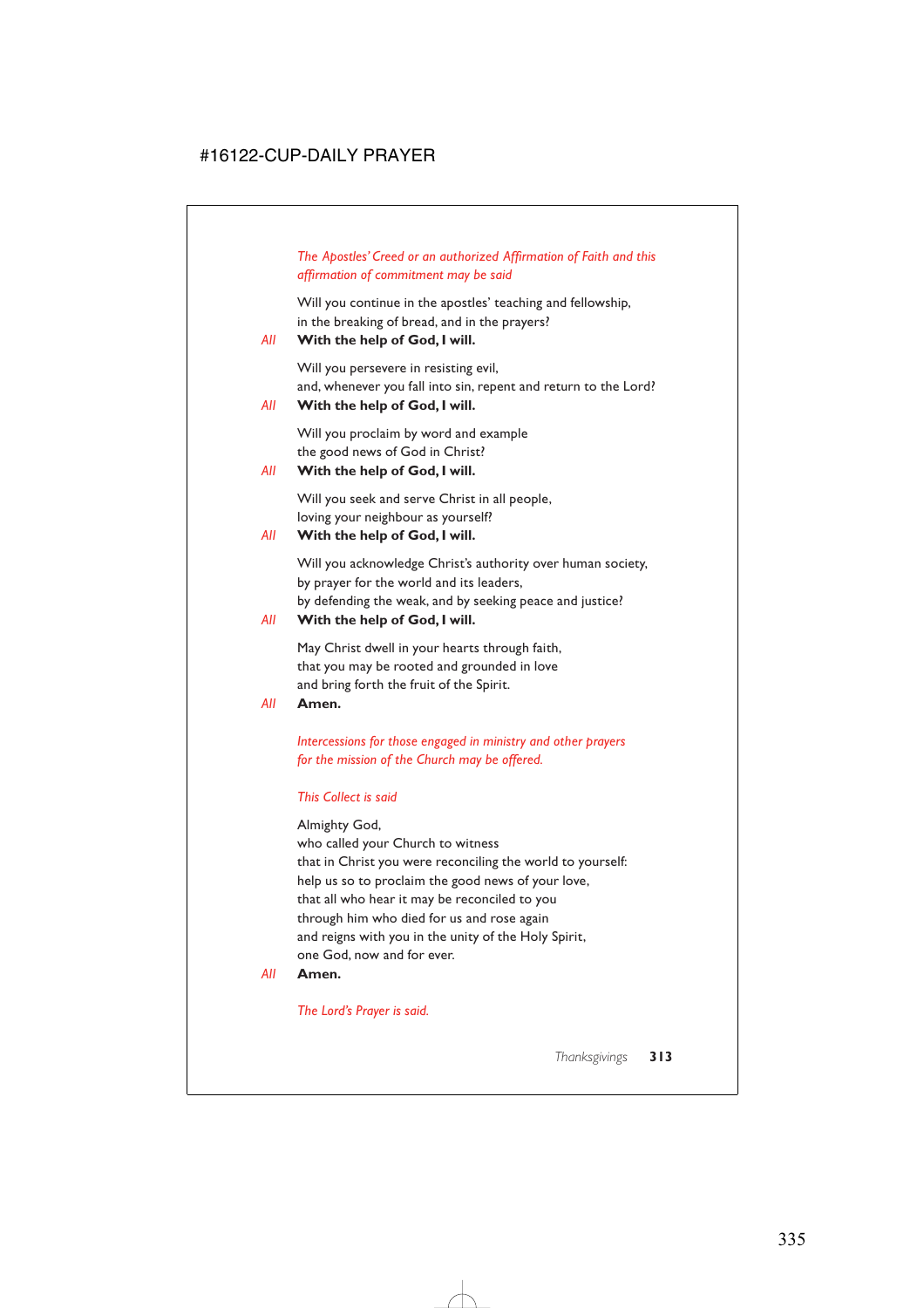# *The Apostles' Creed or an authorized Affirmation of Faith and this affirmation of commitment may be said*

Will you continue in the apostles' teaching and fellowship, in the breaking of bread, and in the prayers?

## *All* **With the help of God, I will.**

Will you persevere in resisting evil, and, whenever you fall into sin, repent and return to the Lord?

# *All* **With the help of God, I will.**

Will you proclaim by word and example the good news of God in Christ?

## *All* **With the help of God, I will.**

Will you seek and serve Christ in all people, loving your neighbour as yourself?

# *All* **With the help of God, I will.**

Will you acknowledge Christ's authority over human society, by prayer for the world and its leaders, by defending the weak, and by seeking peace and justice?

### *All* **With the help of God, I will.**

May Christ dwell in your hearts through faith, that you may be rooted and grounded in love and bring forth the fruit of the Spirit.

*All* **Amen.**

*Intercessions for those engaged in ministry and other prayers for the mission of the Church may be offered.*

### *This Collect is said*

### Almighty God,

who called your Church to witness that in Christ you were reconciling the world to yourself: help us so to proclaim the good news of your love, that all who hear it may be reconciled to you through him who died for us and rose again and reigns with you in the unity of the Holy Spirit, one God, now and for ever.

### *All* **Amen.**

*The Lord's Prayer is said.*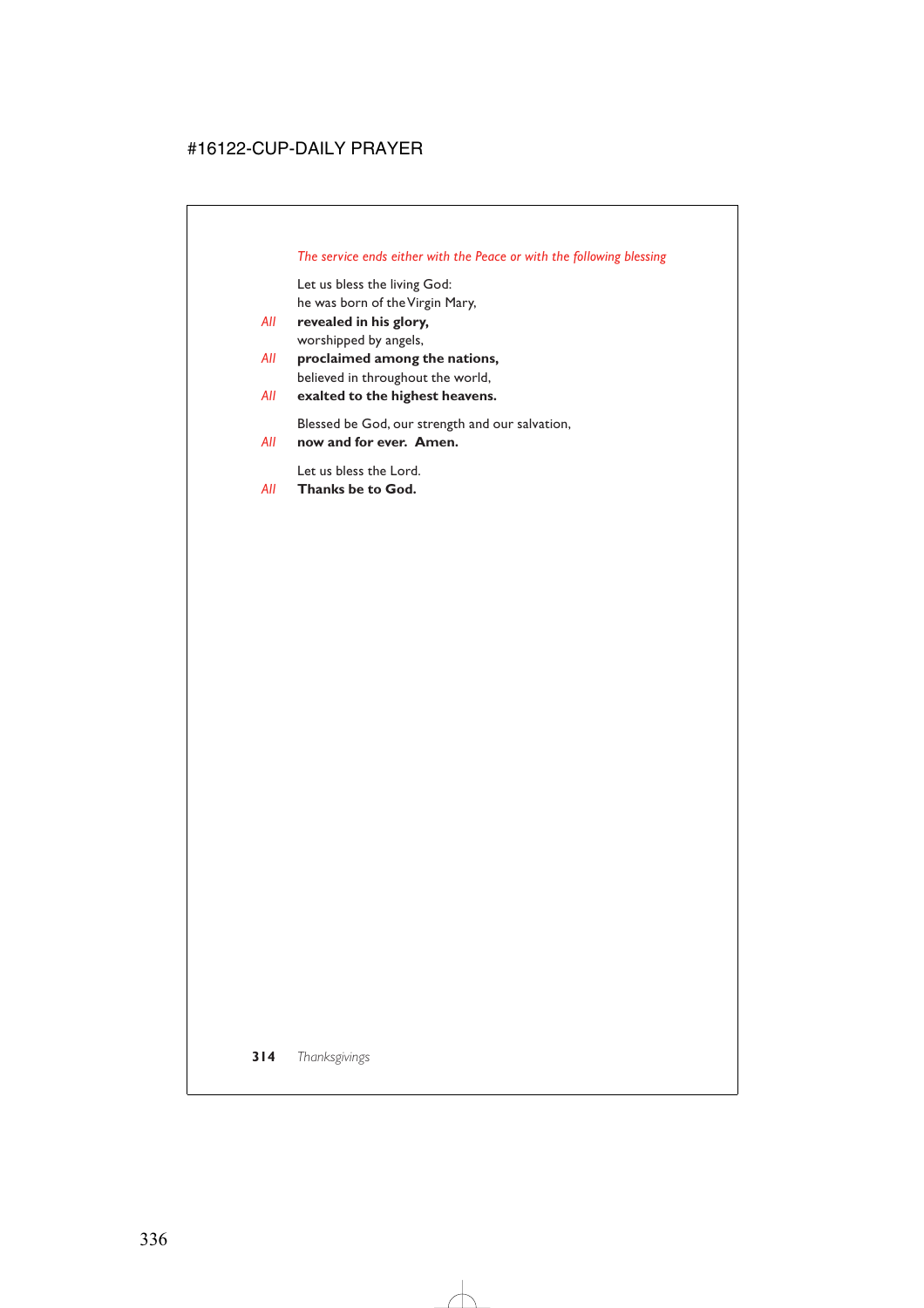# *The service ends either with the Peace or with the following blessing*

Let us bless the living God: he was born of the Virgin Mary,

- *All* **revealed in his glory,** worshipped by angels,
- *All* **proclaimed among the nations,** believed in throughout the world,
- *All* **exalted to the highest heavens.**

Blessed be God, our strength and our salvation,

*All* **now and for ever. Amen.**

Let us bless the Lord.

*All* **Thanks be to God.**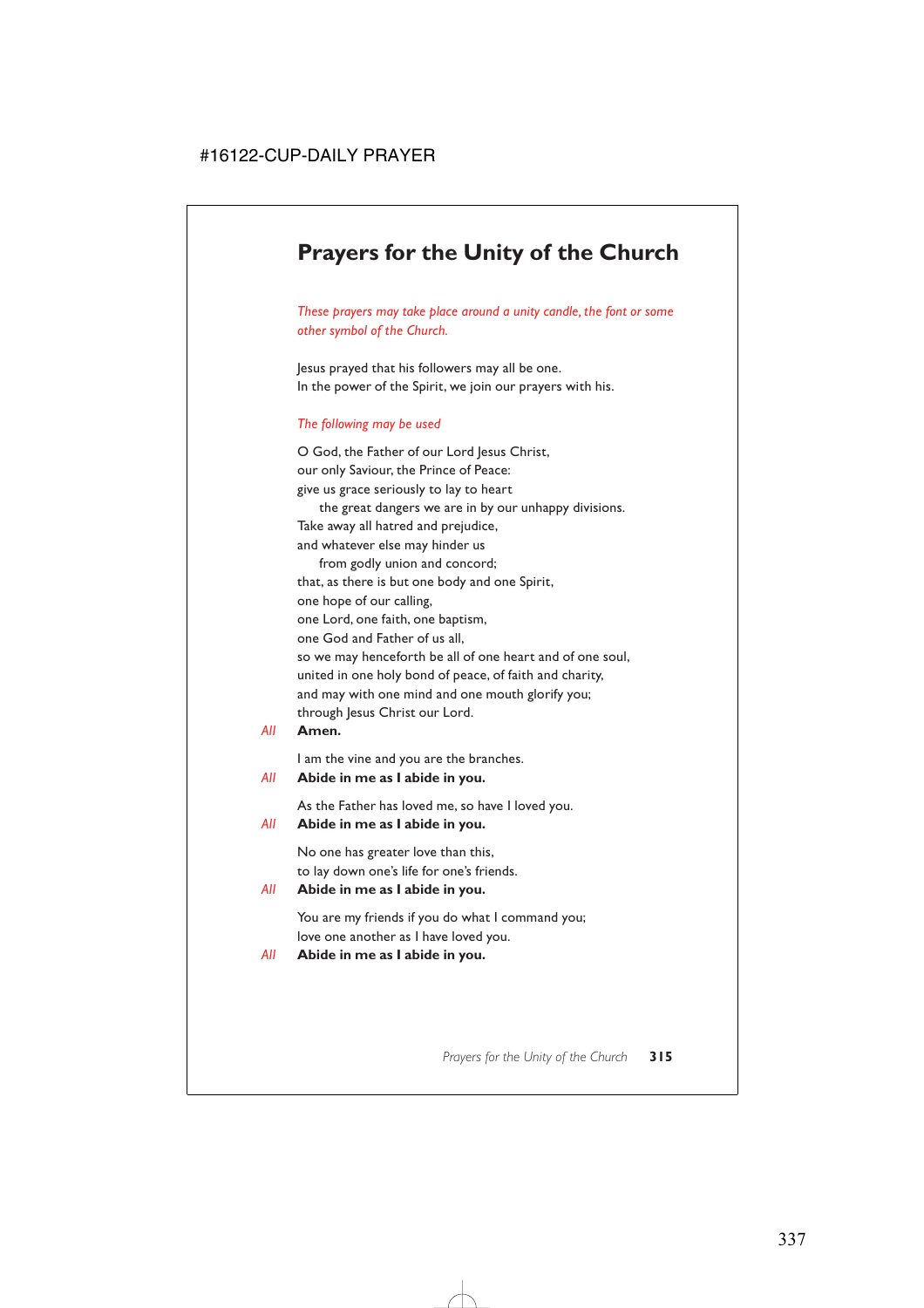# **Prayers for the Unity of the Church**

*These prayers may take place around a unity candle, the font or some other symbol of the Church.*

Jesus prayed that his followers may all be one. In the power of the Spirit, we join our prayers with his.

### *The following may be used*

O God, the Father of our Lord Jesus Christ, our only Saviour, the Prince of Peace: give us grace seriously to lay to heart the great dangers we are in by our unhappy divisions. Take away all hatred and prejudice, and whatever else may hinder us from godly union and concord; that, as there is but one body and one Spirit, one hope of our calling, one Lord, one faith, one baptism, one God and Father of us all, so we may henceforth be all of one heart and of one soul, united in one holy bond of peace, of faith and charity, and may with one mind and one mouth glorify you; through Jesus Christ our Lord.

### *All* **Amen.**

I am the vine and you are the branches.

### *All* **Abide in me as I abide in you.**

As the Father has loved me, so have I loved you.

### *All* **Abide in me as I abide in you.**

No one has greater love than this, to lay down one's life for one's friends.

### *All* **Abide in me as I abide in you.**

You are my friends if you do what I command you; love one another as I have loved you.

### *All* **Abide in me as I abide in you.**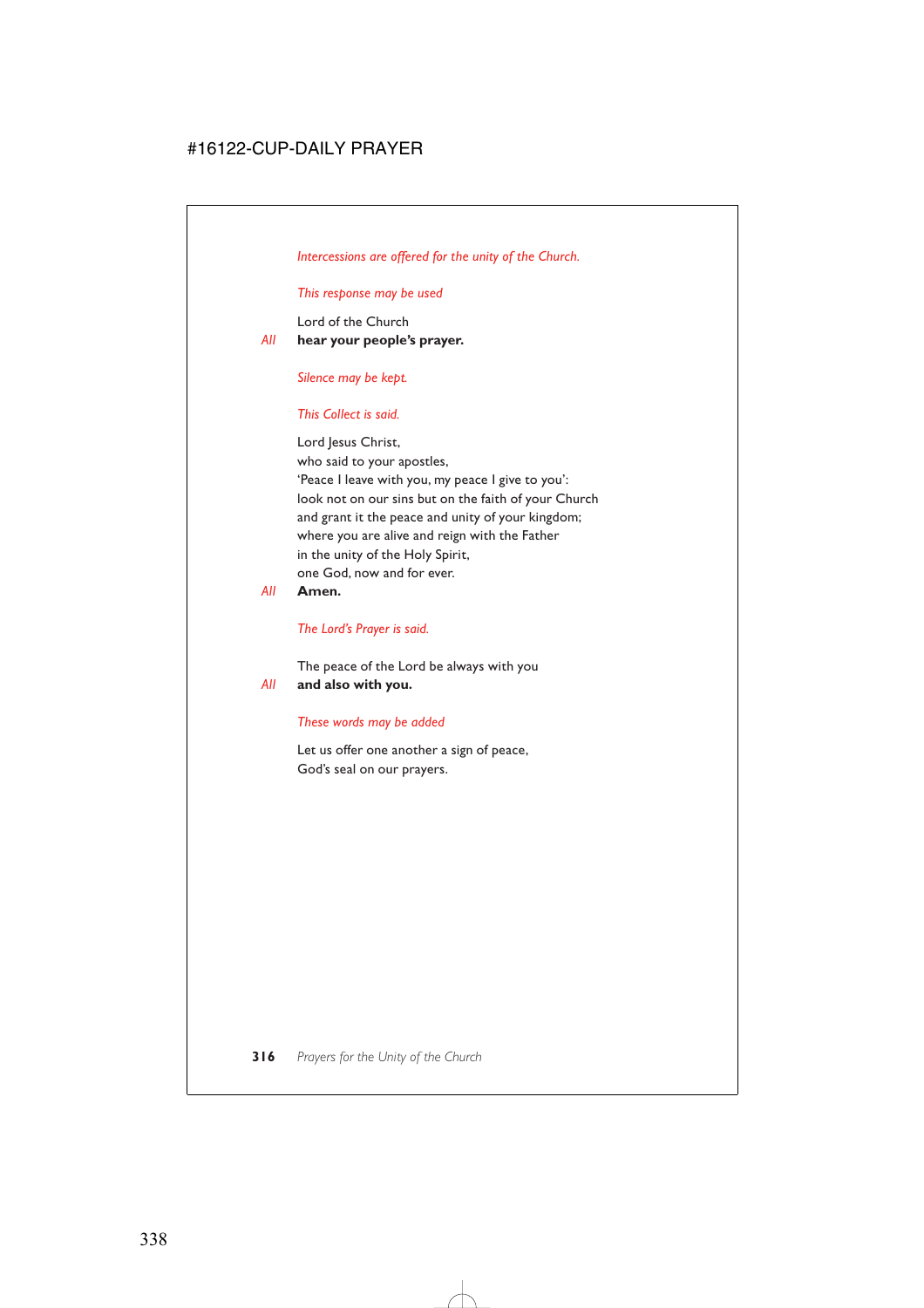*Intercessions are offered for the unity of the Church.*

*This response may be used*

Lord of the Church *All* **hear your people's prayer.**

*Silence may be kept.*

## *This Collect is said.*

Lord Jesus Christ, who said to your apostles, 'Peace I leave with you, my peace I give to you': look not on our sins but on the faith of your Church and grant it the peace and unity of your kingdom; where you are alive and reign with the Father in the unity of the Holy Spirit, one God, now and for ever.

*All* **Amen.**

*The Lord's Prayer is said.*

The peace of the Lord be always with you *All* **and also with you.**

# *These words may be added*

Let us offer one another a sign of peace, God's seal on our prayers.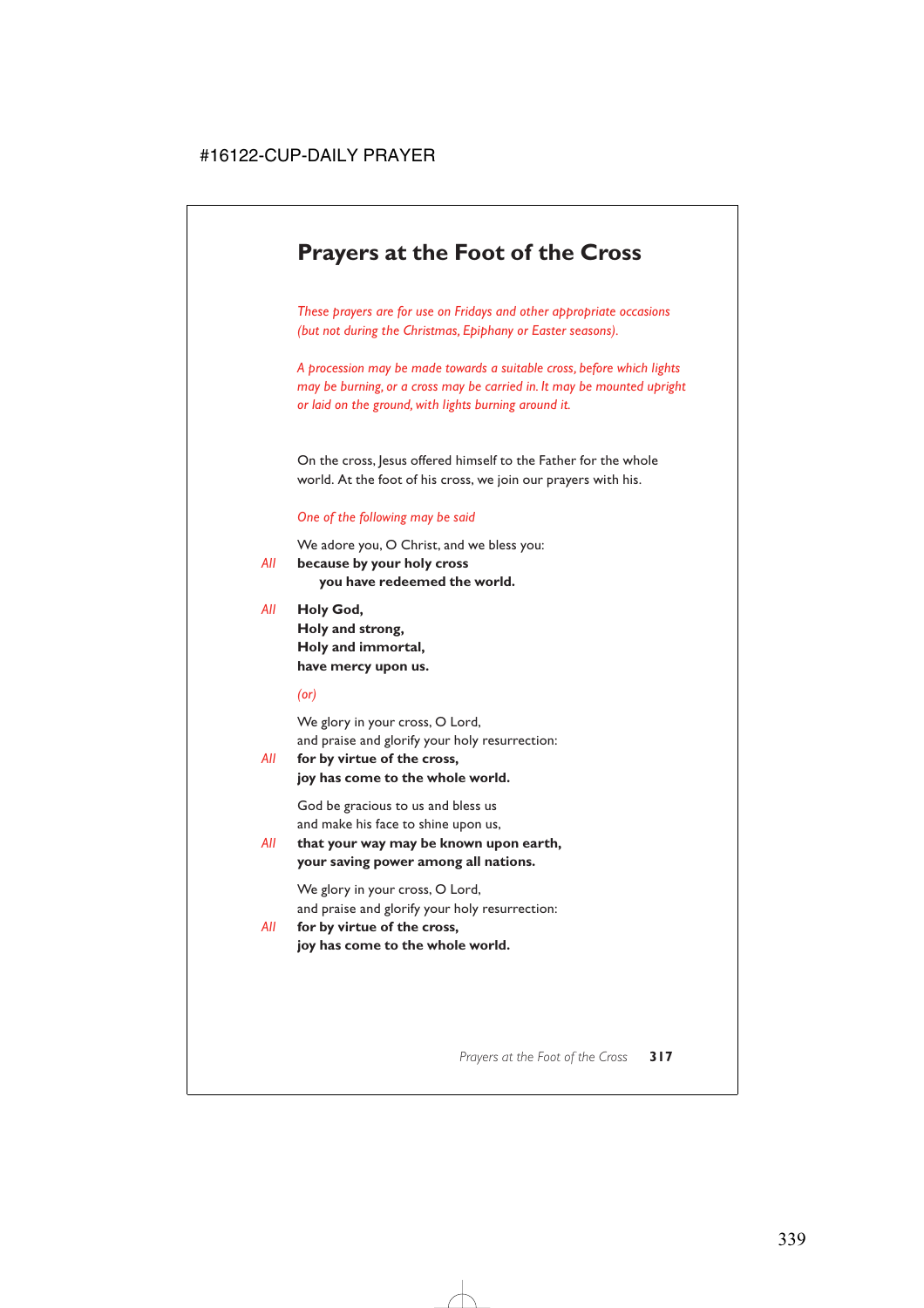# **Prayers at the Foot of the Cross**

*These prayers are for use on Fridays and other appropriate occasions (but not during the Christmas, Epiphany or Easter seasons).*

*A procession may be made towards a suitable cross, before which lights may be burning, or a cross may be carried in. It may be mounted upright or laid on the ground, with lights burning around it.*

On the cross, Jesus offered himself to the Father for the whole world. At the foot of his cross, we join our prayers with his.

### *One of the following may be said*

We adore you, O Christ, and we bless you:

- *All* **because by your holy cross you have redeemed the world.**
- *All* **Holy God,**

**Holy and strong, Holy and immortal, have mercy upon us.**

*(or)*

We glory in your cross, O Lord, and praise and glorify your holy resurrection:

*All* **for by virtue of the cross, joy has come to the whole world.**

> God be gracious to us and bless us and make his face to shine upon us,

*All* **that your way may be known upon earth, your saving power among all nations.**

> We glory in your cross, O Lord, and praise and glorify your holy resurrection:

*All* **for by virtue of the cross, joy has come to the whole world.**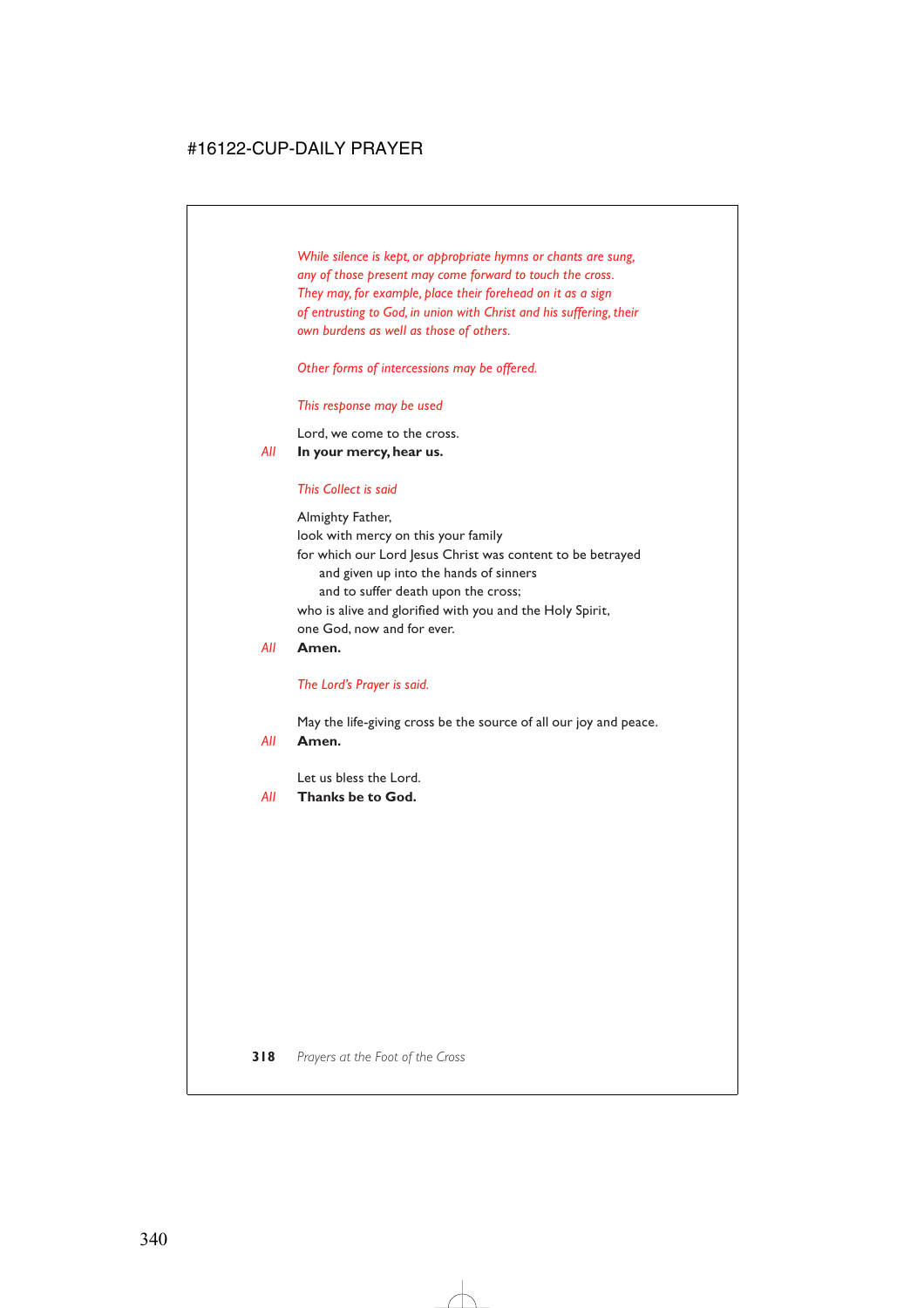*While silence is kept, or appropriate hymns or chants are sung, any of those present may come forward to touch the cross. They may, for example, place their forehead on it as a sign of entrusting to God, in union with Christ and his suffering, their own burdens as well as those of others.*

*Other forms of intercessions may be offered.*

### *This response may be used*

Lord, we come to the cross.

*All* **In your mercy, hear us.**

### *This Collect is said*

Almighty Father, look with mercy on this your family for which our Lord Jesus Christ was content to be betrayed and given up into the hands of sinners and to suffer death upon the cross; who is alive and glorified with you and the Holy Spirit, one God, now and for ever.

### *All* **Amen.**

### *The Lord's Prayer is said.*

May the life-giving cross be the source of all our joy and peace.

### *All* **Amen.**

Let us bless the Lord.

*All* **Thanks be to God.**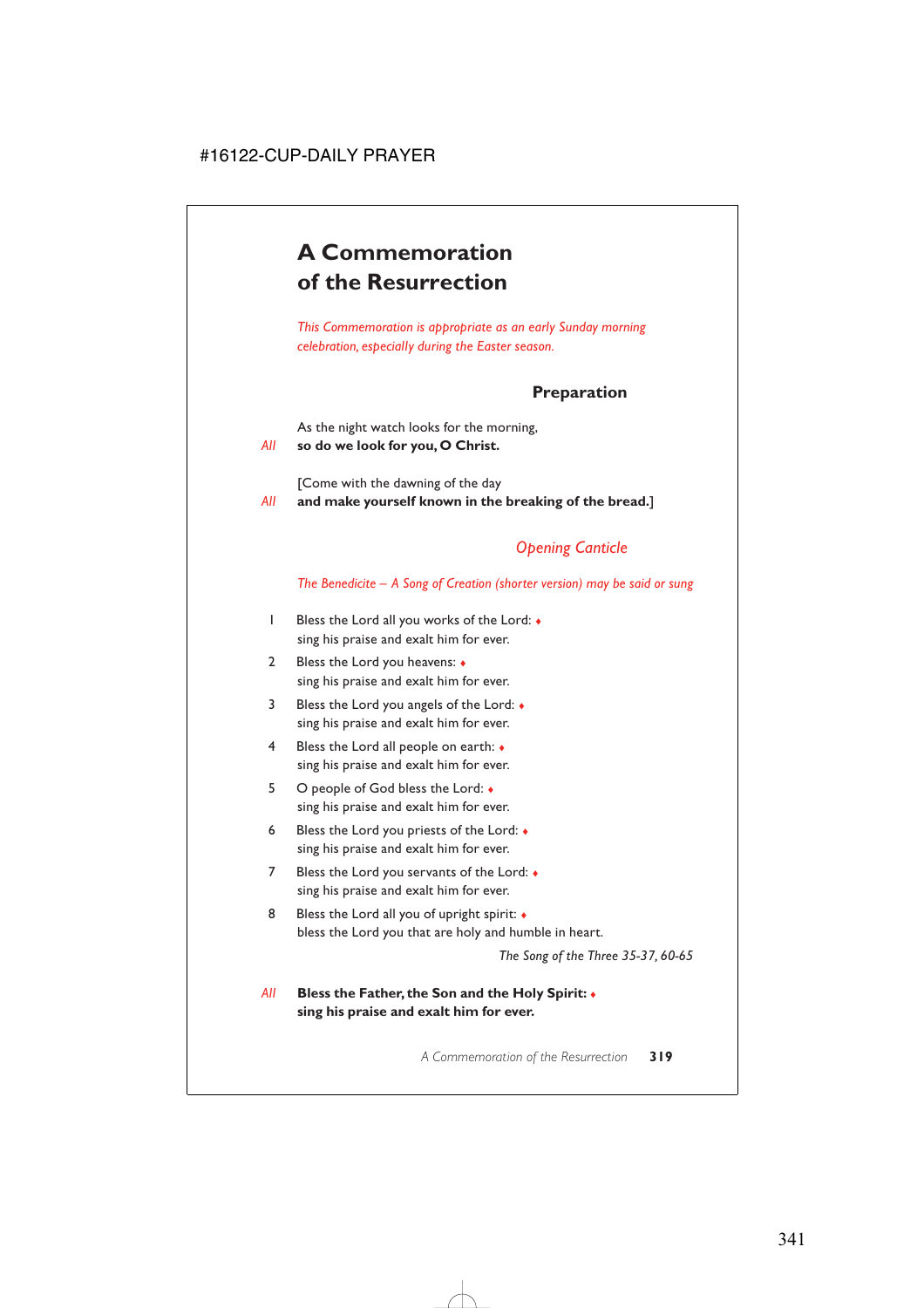# **A Commemoration of the Resurrection**

*This Commemoration is appropriate as an early Sunday morning celebration, especially during the Easter season.*

# **Preparation**

As the night watch looks for the morning,

*All* **so do we look for you, O Christ.**

[Come with the dawning of the day

*All* **and make yourself known in the breaking of the bread.**]

# *Opening Canticle*

*The Benedicite – A Song of Creation (shorter version) may be said or sung*

- 1 Bless the Lord all you works of the Lord: ♦ sing his praise and exalt him for ever.
- 2 Bless the Lord you heavens: ♦ sing his praise and exalt him for ever.
- 3 Bless the Lord you angels of the Lord: ♦ sing his praise and exalt him for ever.
- 4 Bless the Lord all people on earth: ♦ sing his praise and exalt him for ever.
- 5 O people of God bless the Lord: ♦ sing his praise and exalt him for ever.
- 6 Bless the Lord you priests of the Lord: ♦ sing his praise and exalt him for ever.
- 7 Bless the Lord you servants of the Lord: ♦ sing his praise and exalt him for ever.
- 8 Bless the Lord all you of upright spirit:  $\bullet$ bless the Lord you that are holy and humble in heart.

*The Song of the Three 35-37, 60-65*

*All* **Bless the Father, the Son and the Holy Spirit:** ♦ **sing his praise and exalt him for ever.**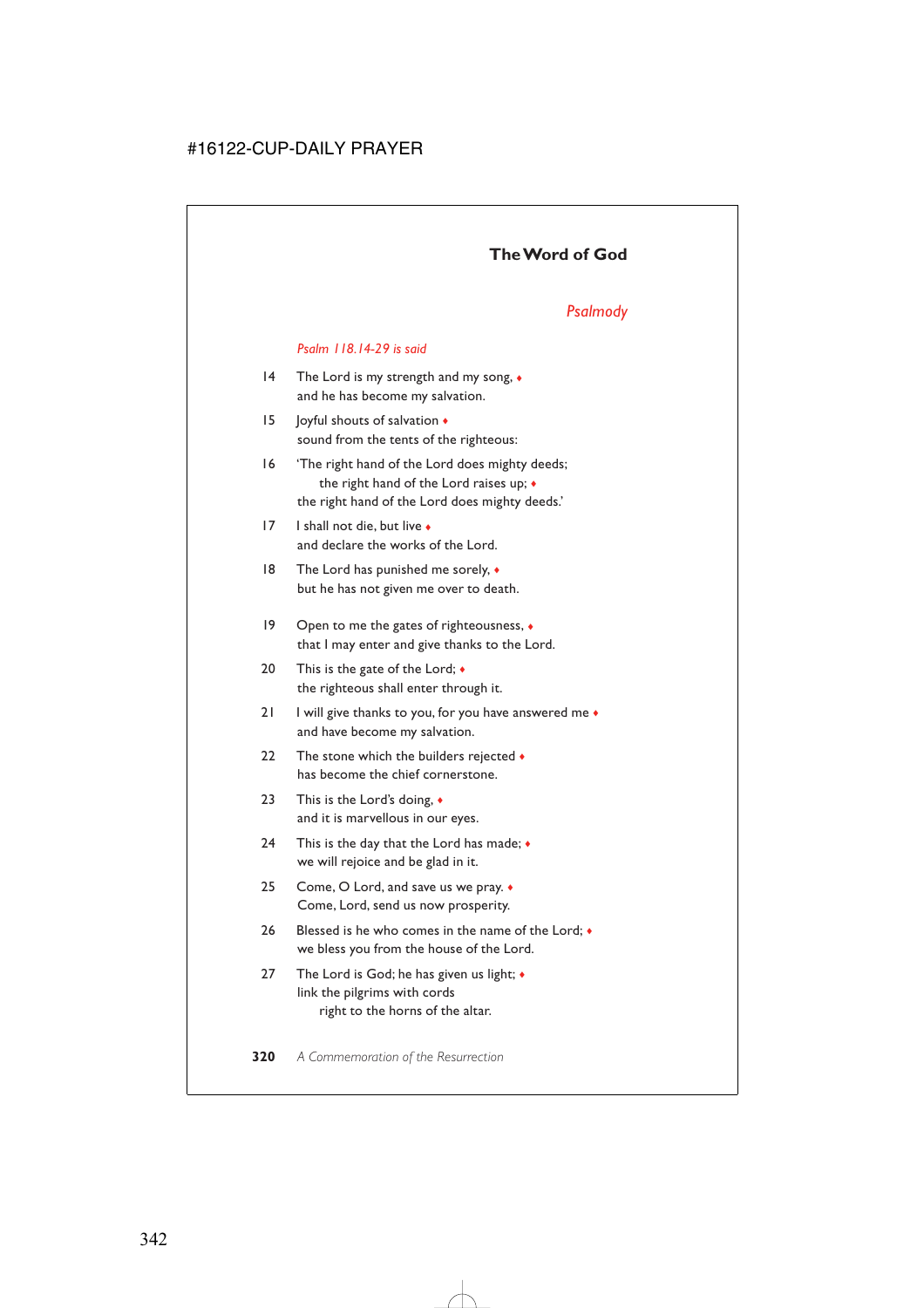# **The Word of God**

# *Psalmody*

### *Psalm 118.14-29 is said*

- 14 The Lord is my strength and my song, ♦ and he has become my salvation.
- 15 Joyful shouts of salvation  $\triangleleft$ sound from the tents of the righteous:
- 16 'The right hand of the Lord does mighty deeds; the right hand of the Lord raises up; ♦ the right hand of the Lord does mighty deeds.'
- 17 I shall not die, but live ♦ and declare the works of the Lord.
- 18 The Lord has punished me sorely,  $\bullet$ but he has not given me over to death.
- 19 Open to me the gates of righteousness, ♦ that I may enter and give thanks to the Lord.
- 20 This is the gate of the Lord;  $\triangleleft$ the righteous shall enter through it.
- 21 I will give thanks to you, for you have answered me  $\bullet$ and have become my salvation.
- 22 The stone which the builders rejected  $\bullet$ has become the chief cornerstone.
- 23 This is the Lord's doing, ♦ and it is marvellous in our eyes.
- 24 This is the day that the Lord has made;  $\bullet$ we will rejoice and be glad in it.
- 25 Come, O Lord, and save us we pray. ♦ Come, Lord, send us now prosperity.
- 26 Blessed is he who comes in the name of the Lord:  $\bullet$ we bless you from the house of the Lord.
- 27 The Lord is God; he has given us light; ♦ link the pilgrims with cords right to the horns of the altar.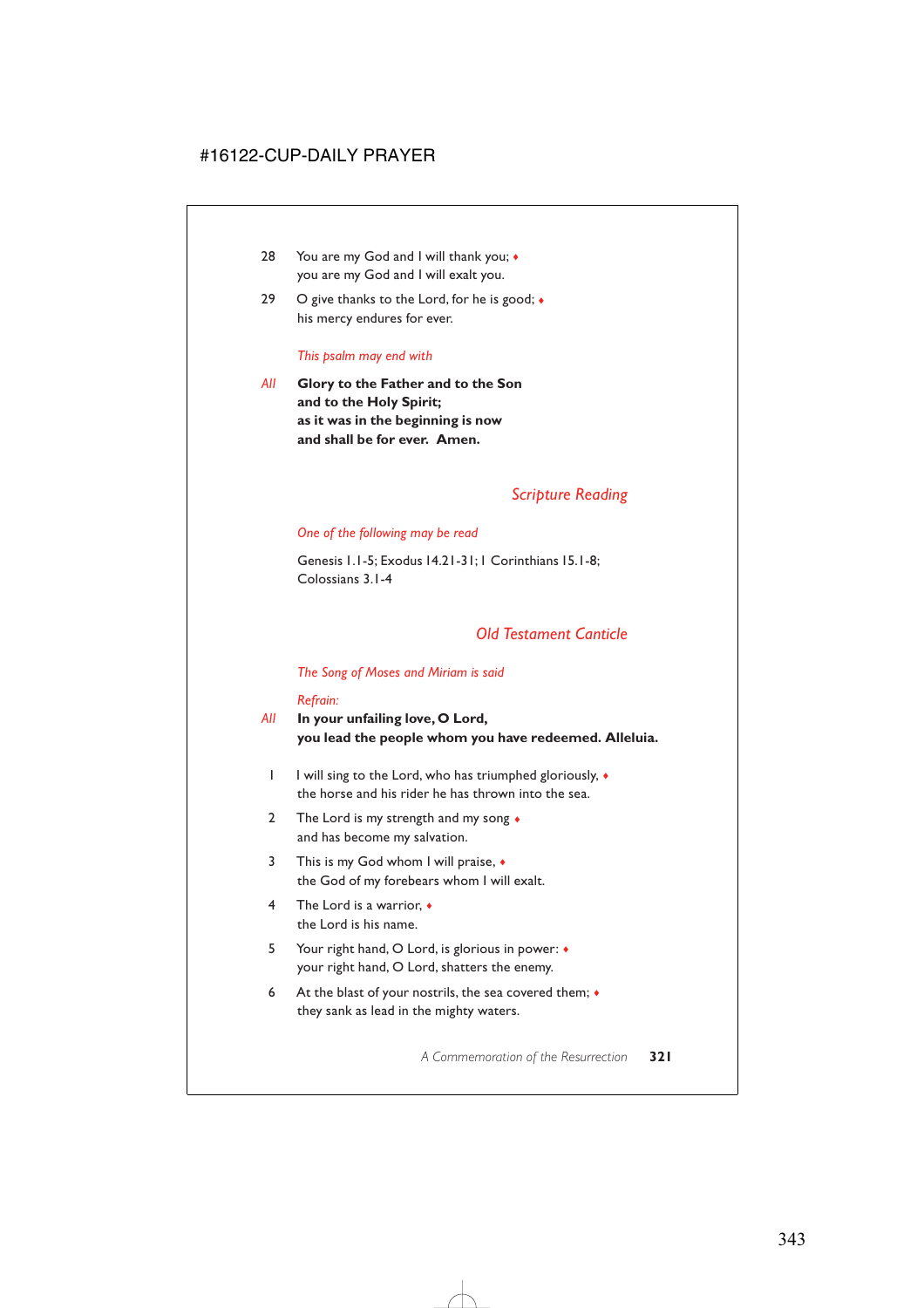- 28 You are my God and I will thank you; ◆ you are my God and I will exalt you.
- 29 O give thanks to the Lord, for he is good;  $\bullet$ his mercy endures for ever.

#### *This psalm may end with*

*All* **Glory to the Father and to the Son and to the Holy Spirit; as it was in the beginning is now and shall be for ever. Amen.**

# *Scripture Reading*

### *One of the following may be read*

Genesis 1.1-5; Exodus 14.21-31;1 Corinthians 15.1-8; Colossians 3.1-4

# *Old Testament Canticle*

### *The Song of Moses and Miriam is said*

### *Refrain:*

- *All* **In your unfailing love, O Lord, you lead the people whom you have redeemed. Alleluia.**
	- 1 I will sing to the Lord, who has triumphed gloriously, ♦ the horse and his rider he has thrown into the sea.
	- 2 The Lord is my strength and my song  $\bullet$ and has become my salvation.
	- 3 This is my God whom I will praise,  $\bullet$ the God of my forebears whom I will exalt.
	- 4 The Lord is a warrior, ♦ the Lord is his name.
	- 5 Your right hand, O Lord, is glorious in power: ♦ your right hand, O Lord, shatters the enemy.
	- 6 At the blast of your nostrils, the sea covered them;  $\triangleleft$ they sank as lead in the mighty waters.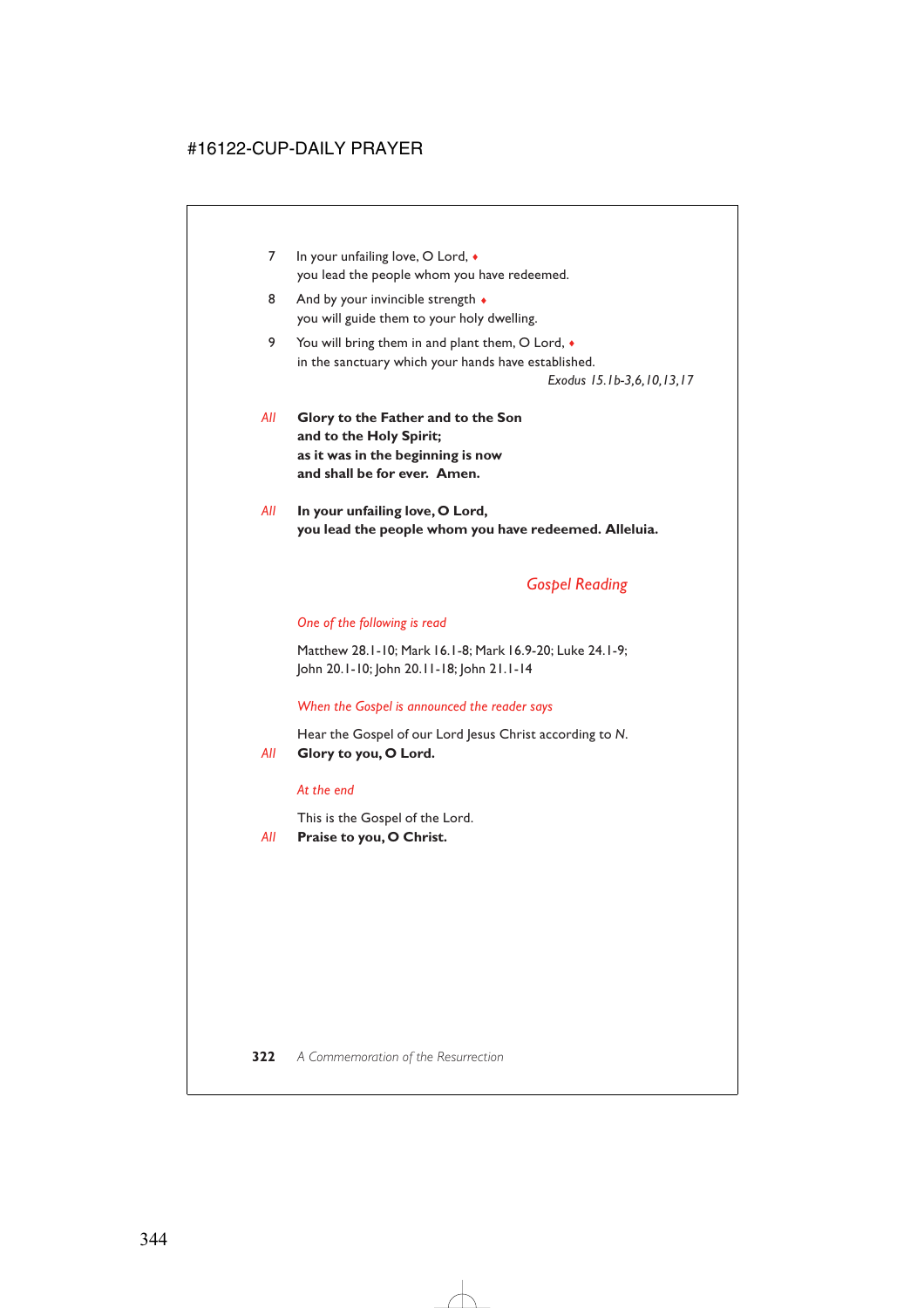- 7 In your unfailing love, O Lord,  $\bullet$ you lead the people whom you have redeemed.
- 8 And by your invincible strength  $\bullet$ you will guide them to your holy dwelling.
- 9 You will bring them in and plant them, O Lord,  $\bullet$ in the sanctuary which your hands have established.

*Exodus 15.1b-3,6,10,13,17*

- *All* **Glory to the Father and to the Son and to the Holy Spirit; as it was in the beginning is now and shall be for ever. Amen.**
- *All* **In your unfailing love, O Lord, you lead the people whom you have redeemed. Alleluia.**

# *Gospel Reading*

# *One of the following is read*

Matthew 28.1-10; Mark 16.1-8; Mark 16.9-20; Luke 24.1-9; John 20.1-10; John 20.11-18; John 21.1-14

### *When the Gospel is announced the reader says*

Hear the Gospel of our Lord Jesus Christ according to *N*. *All* **Glory to you, O Lord.**

### *At the end*

This is the Gospel of the Lord.

*All* **Praise to you, O Christ.**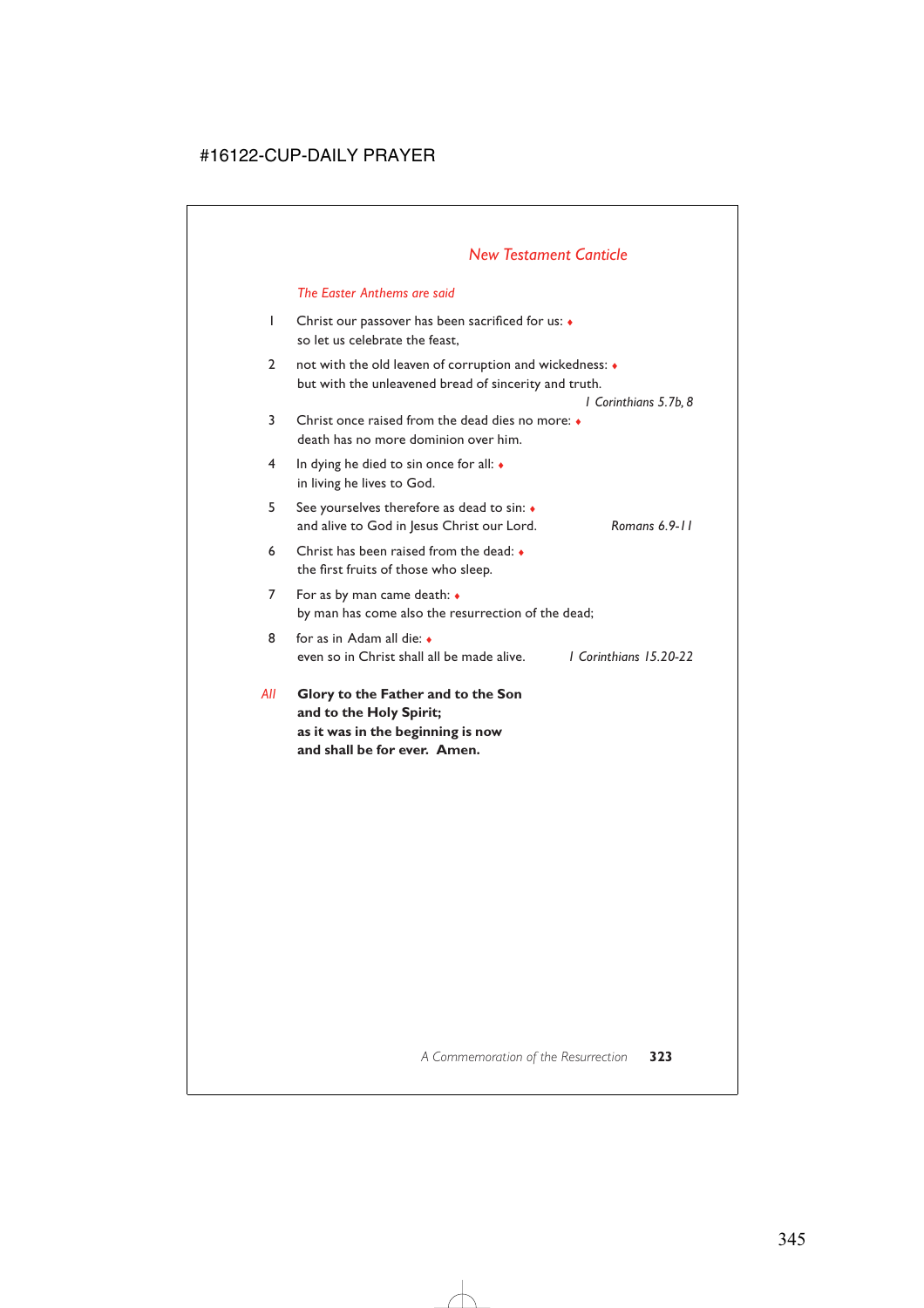# *New Testament Canticle*

### *The Easter Anthems are said*

- 1 Christ our passover has been sacrificed for us: ♦ so let us celebrate the feast,
- 2 not with the old leaven of corruption and wickedness: ♦ but with the unleavened bread of sincerity and truth.

*1 Corinthians 5.7b, 8*

- 3 Christ once raised from the dead dies no more: ♦ death has no more dominion over him.
- 4 In dying he died to sin once for all: ♦ in living he lives to God.
- 5 See yourselves therefore as dead to sin: ♦ and alive to God in Jesus Christ our Lord. *Romans 6.9-11*
- 6 Christ has been raised from the dead: ♦ the first fruits of those who sleep.
- 7 For as by man came death: ♦ by man has come also the resurrection of the dead;
- 8 for as in Adam all die: ♦ even so in Christ shall all be made alive. *1 Corinthians 15.20-22*
- *All* **Glory to the Father and to the Son and to the Holy Spirit; as it was in the beginning is now and shall be for ever. Amen.**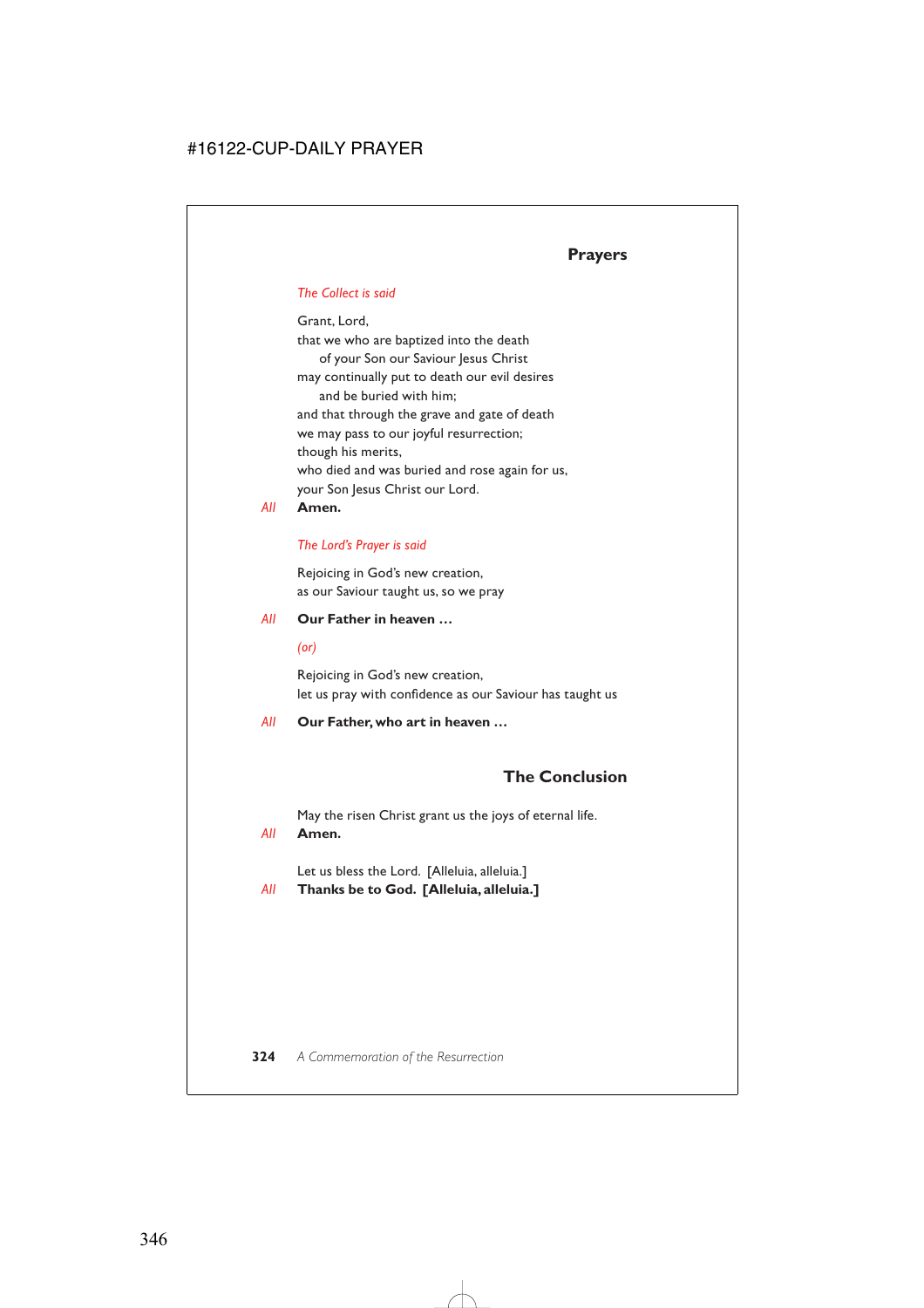# *The Collect is said*

Grant, Lord, that we who are baptized into the death of your Son our Saviour Jesus Christ may continually put to death our evil desires and be buried with him; and that through the grave and gate of death we may pass to our joyful resurrection; though his merits, who died and was buried and rose again for us, your Son Jesus Christ our Lord.

## *All* **Amen.**

# *The Lord's Prayer is said*

Rejoicing in God's new creation, as our Saviour taught us, so we pray

### *All* **Our Father in heaven …**

### *(or)*

Rejoicing in God's new creation, let us pray with confidence as our Saviour has taught us

### *All* **Our Father, who art in heaven …**

# **The Conclusion**

May the risen Christ grant us the joys of eternal life.

### *All* **Amen.**

Let us bless the Lord. [Alleluia, alleluia.]

# *All* **Thanks be to God. [Alleluia, alleluia.]**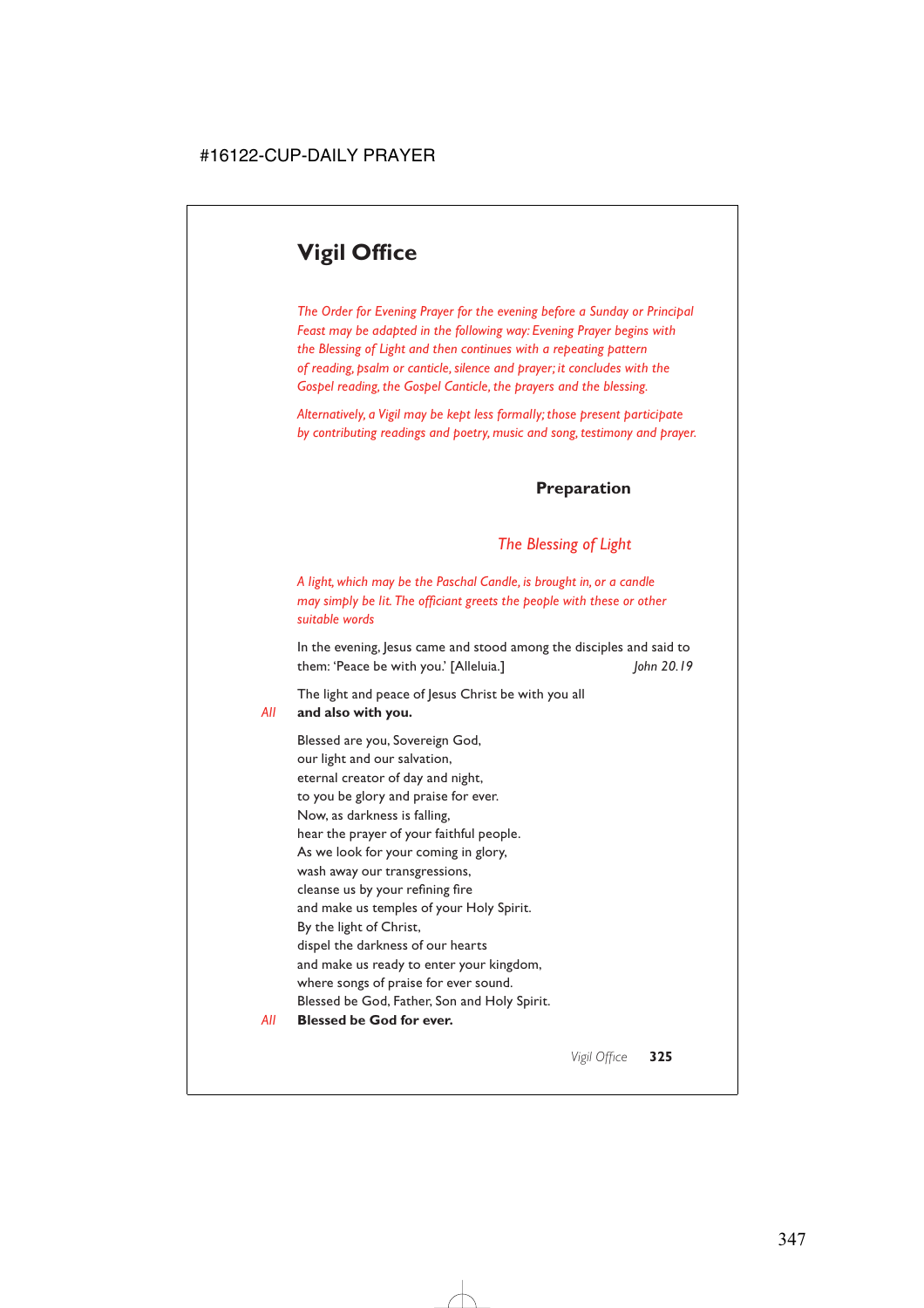# **Vigil Office**

*The Order for Evening Prayer for the evening before a Sunday or Principal Feast may be adapted in the following way: Evening Prayer begins with the Blessing of Light and then continues with a repeating pattern of reading, psalm or canticle, silence and prayer; it concludes with the Gospel reading, the Gospel Canticle, the prayers and the blessing.*

*Alternatively, a Vigil may be kept less formally; those present participate by contributing readings and poetry, music and song, testimony and prayer.*

# **Preparation**

# *The Blessing of Light*

*A light, which may be the Paschal Candle, is brought in, or a candle may simply be lit. The officiant greets the people with these or other suitable words*

In the evening, Jesus came and stood among the disciples and said to them: 'Peace be with you.' [Alleluia.] *John 20.19*

The light and peace of Jesus Christ be with you all

### *All* **and also with you.**

Blessed are you, Sovereign God, our light and our salvation, eternal creator of day and night, to you be glory and praise for ever. Now, as darkness is falling, hear the prayer of your faithful people. As we look for your coming in glory, wash away our transgressions, cleanse us by your refining fire and make us temples of your Holy Spirit. By the light of Christ, dispel the darkness of our hearts and make us ready to enter your kingdom, where songs of praise for ever sound. Blessed be God, Father, Son and Holy Spirit.

### *All* **Blessed be God for ever.**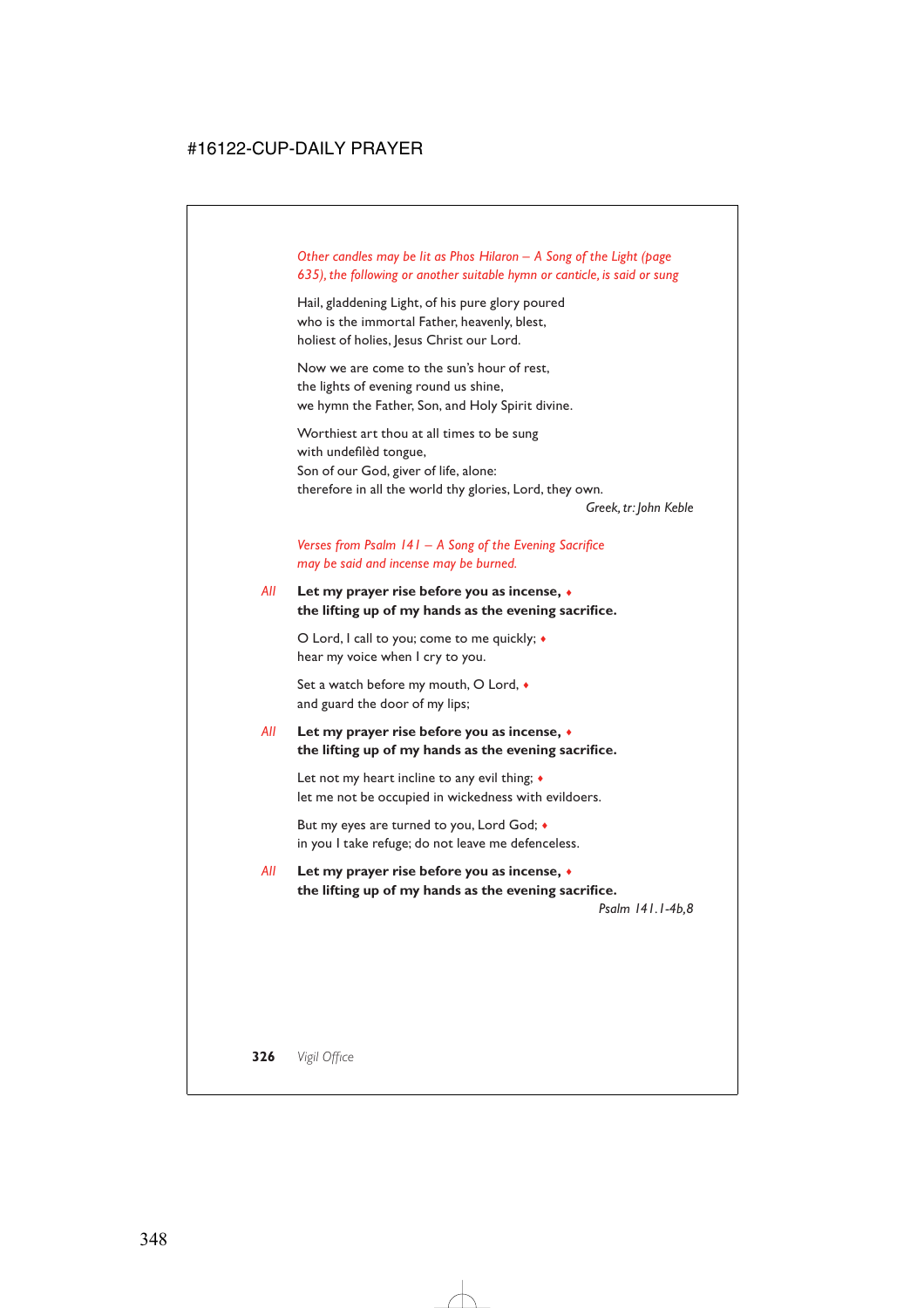# *Other candles may be lit as Phos Hilaron – A Song of the Light (page 635), the following or another suitable hymn or canticle, is said or sung*

Hail, gladdening Light, of his pure glory poured who is the immortal Father, heavenly, blest, holiest of holies, Jesus Christ our Lord.

Now we are come to the sun's hour of rest, the lights of evening round us shine, we hymn the Father, Son, and Holy Spirit divine.

Worthiest art thou at all times to be sung with undefilèd tongue, Son of our God, giver of life, alone: therefore in all the world thy glories, Lord, they own.

*Greek, tr: John Keble*

# *Verses from Psalm 141 – A Song of the Evening Sacrifice may be said and incense may be burned.*

# *All* **Let my prayer rise before you as incense,** ♦ **the lifting up of my hands as the evening sacrifice.**

O Lord, I call to you; come to me quickly; ♦ hear my voice when I cry to you.

Set a watch before my mouth, O Lord, ♦ and guard the door of my lips;

# *All* **Let my prayer rise before you as incense,** ♦ **the lifting up of my hands as the evening sacrifice.**

Let not my heart incline to any evil thing;  $\triangle$ let me not be occupied in wickedness with evildoers.

But my eyes are turned to you, Lord God; ♦ in you I take refuge; do not leave me defenceless.

# *All* **Let my prayer rise before you as incense,** ♦ **the lifting up of my hands as the evening sacrifice.**

*Psalm 141.1-4b,8*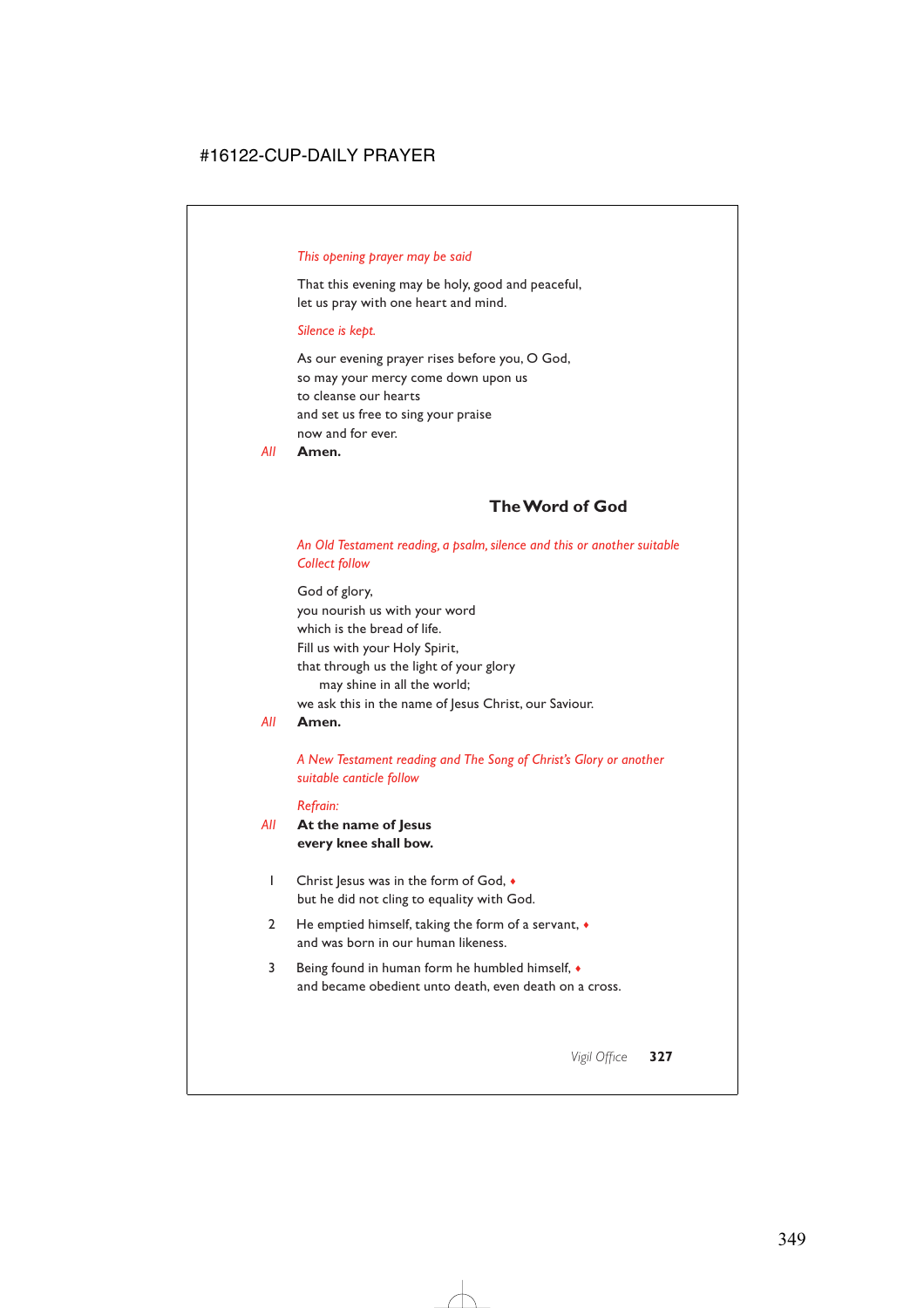### *This opening prayer may be said*

That this evening may be holy, good and peaceful, let us pray with one heart and mind.

#### *Silence is kept.*

As our evening prayer rises before you, O God, so may your mercy come down upon us to cleanse our hearts and set us free to sing your praise now and for ever.

*All* **Amen.**

# **The Word of God**

### *An Old Testament reading, a psalm, silence and this or another suitable Collect follow*

God of glory, you nourish us with your word which is the bread of life. Fill us with your Holy Spirit, that through us the light of your glory may shine in all the world; we ask this in the name of Jesus Christ, our Saviour.

### *All* **Amen.**

# *A New Testament reading and The Song of Christ's Glory or another suitable canticle follow*

#### *Refrain:*

## *All* **At the name of Jesus every knee shall bow.**

- 1 Christ Jesus was in the form of God,  $\bullet$ but he did not cling to equality with God.
- 2 He emptied himself, taking the form of a servant,  $\bullet$ and was born in our human likeness.
- 3 Being found in human form he humbled himself, ♦ and became obedient unto death, even death on a cross.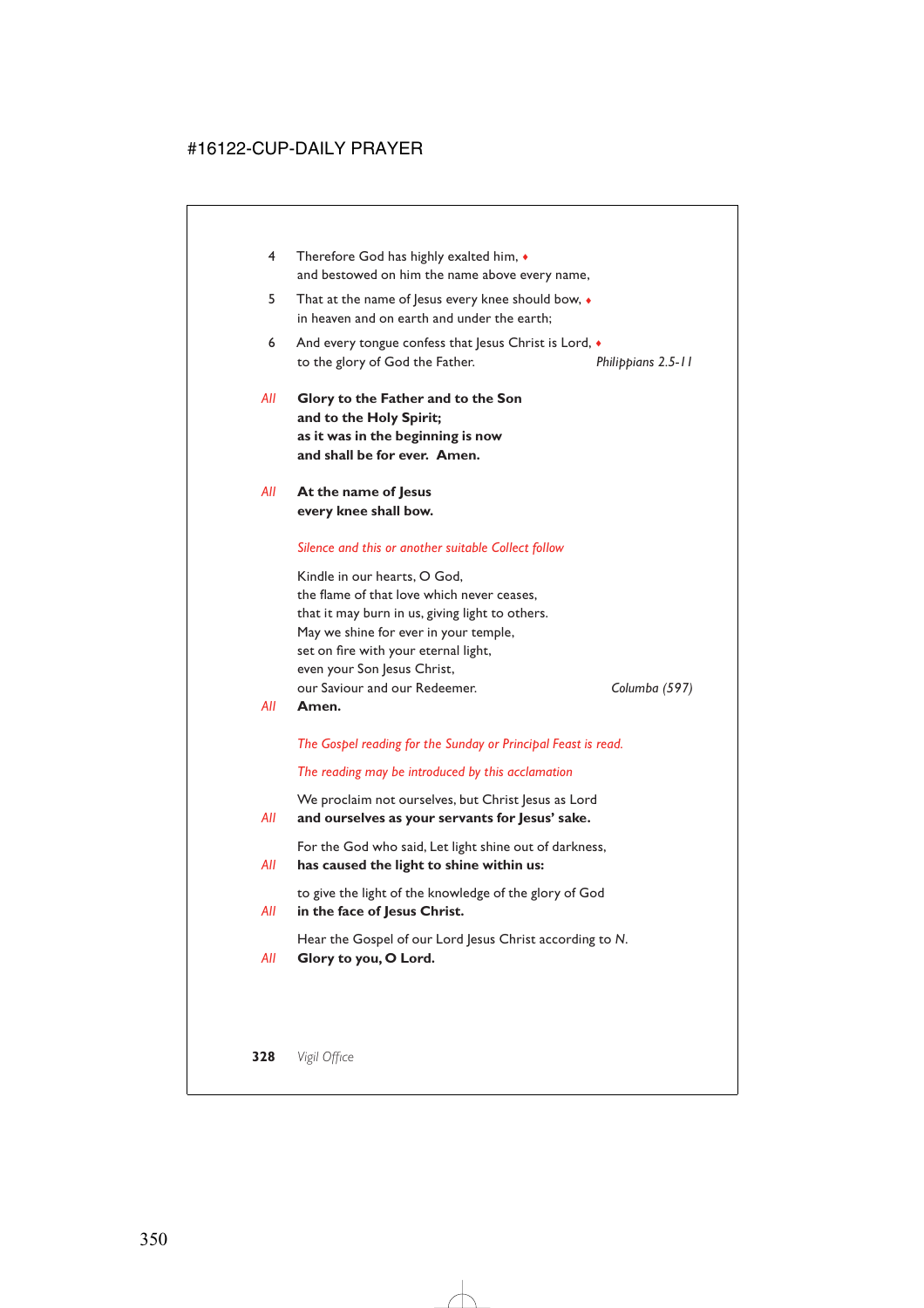- 4 Therefore God has highly exalted him, ♦ and bestowed on him the name above every name,
- 5 That at the name of Jesus every knee should bow, ♦ in heaven and on earth and under the earth;
- 6 And every tongue confess that Jesus Christ is Lord,  $\bullet$ to the glory of God the Father. *Philippians 2.5-11*
- *All* **Glory to the Father and to the Son and to the Holy Spirit; as it was in the beginning is now and shall be for ever. Amen.**
- *All* **At the name of Jesus every knee shall bow.**

### *Silence and this or another suitable Collect follow*

Kindle in our hearts, O God, the flame of that love which never ceases, that it may burn in us, giving light to others. May we shine for ever in your temple, set on fire with your eternal light, even your Son Jesus Christ, our Saviour and our Redeemer. *Columba (597)*

#### *All* **Amen.**

*The Gospel reading for the Sunday or Principal Feast is read.*

*The reading may be introduced by this acclamation*

We proclaim not ourselves, but Christ Jesus as Lord *All* **and ourselves as your servants for Jesus' sake.**

For the God who said, Let light shine out of darkness,

*All* **has caused the light to shine within us:**

to give the light of the knowledge of the glory of God

*All* **in the face of Jesus Christ.**

Hear the Gospel of our Lord Jesus Christ according to *N*.

*All* **Glory to you, O Lord.**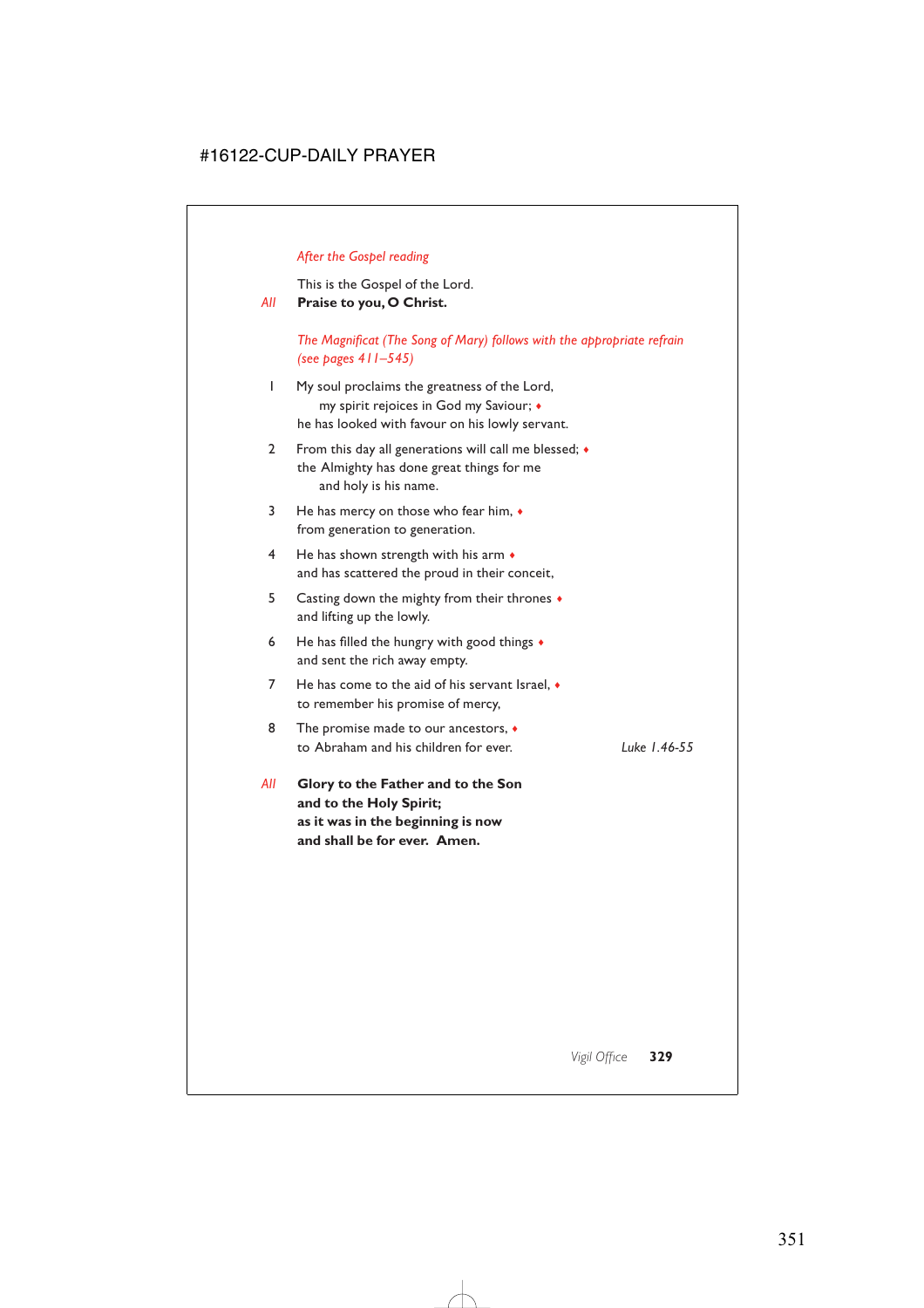# *After the Gospel reading*

This is the Gospel of the Lord.

## *All* **Praise to you, O Christ.**

*The Magnificat (The Song of Mary) follows with the appropriate refrain (see pages 411–545)*

- 1 My soul proclaims the greatness of the Lord, my spirit rejoices in God my Saviour; ♦ he has looked with favour on his lowly servant.
- 2 From this day all generations will call me blessed;  $\bullet$ the Almighty has done great things for me and holy is his name.
- 3 He has mercy on those who fear him, ♦ from generation to generation.
- 4 He has shown strength with his arm  $\bullet$ and has scattered the proud in their conceit,
- 5 Casting down the mighty from their thrones ♦ and lifting up the lowly.
- 6 He has filled the hungry with good things  $\bullet$ and sent the rich away empty.
- 7 He has come to the aid of his servant Israel, ♦ to remember his promise of mercy,
- 8 The promise made to our ancestors,  $\bullet$ to Abraham and his children for ever. *Luke 1.46-55*

*All* **Glory to the Father and to the Son and to the Holy Spirit; as it was in the beginning is now and shall be for ever. Amen.**